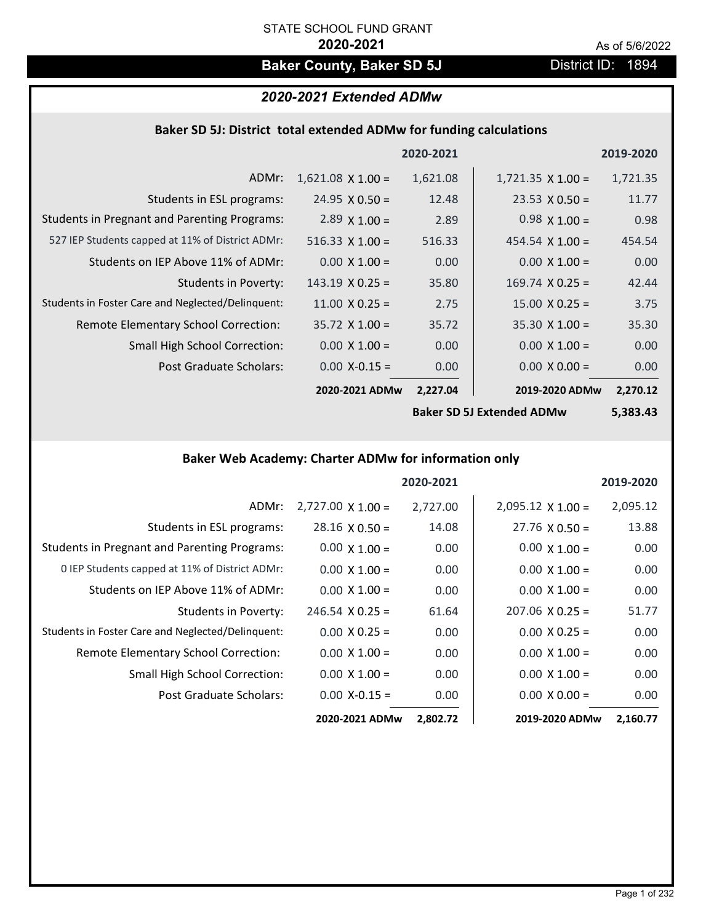# **Baker County, Baker SD 5J** District ID: 1894

# *2020-2021 Extended ADMw*

# **Baker SD 5J: District total extended ADMw for funding calculations**

|                                                     |                        | 2020-2021 |                          | 2019-2020 |
|-----------------------------------------------------|------------------------|-----------|--------------------------|-----------|
| ADMr:                                               | $1,621.08$ X 1.00 =    | 1,621.08  | $1,721.35 \times 1.00 =$ | 1,721.35  |
| Students in ESL programs:                           | $24.95 \times 0.50 =$  | 12.48     | $23.53 \times 0.50 =$    | 11.77     |
| <b>Students in Pregnant and Parenting Programs:</b> | 2.89 $\times$ 1.00 =   | 2.89      | $0.98 \times 1.00 =$     | 0.98      |
| 527 IEP Students capped at 11% of District ADMr:    | 516.33 $X$ 1.00 =      | 516.33    | $454.54 \times 1.00 =$   | 454.54    |
| Students on IEP Above 11% of ADMr:                  | $0.00 \times 1.00 =$   | 0.00      | $0.00$ X $1.00 =$        | 0.00      |
| <b>Students in Poverty:</b>                         | $143.19 \times 0.25 =$ | 35.80     | $169.74 \times 0.25 =$   | 42.44     |
| Students in Foster Care and Neglected/Delinquent:   | $11.00 \times 0.25 =$  | 2.75      | $15.00 \times 0.25 =$    | 3.75      |
| Remote Elementary School Correction:                | $35.72$ X 1.00 =       | 35.72     | $35.30 \times 1.00 =$    | 35.30     |
| <b>Small High School Correction:</b>                | $0.00 \times 1.00 =$   | 0.00      | $0.00 \times 1.00 =$     | 0.00      |
| Post Graduate Scholars:                             | $0.00$ X-0.15 =        | 0.00      | $0.00 \times 0.00 =$     | 0.00      |
|                                                     | 2020-2021 ADMw         | 2,227.04  | 2019-2020 ADMw           | 2,270.12  |
|                                                     |                        |           |                          |           |

**Baker SD 5J Extended ADMw**

**5,383.43**

# **Baker Web Academy: Charter ADMw for information only**

|                                                     |                          | 2020-2021 |                          | 2019-2020 |
|-----------------------------------------------------|--------------------------|-----------|--------------------------|-----------|
| ADMr:                                               | $2,727.00 \times 1.00 =$ | 2,727.00  | $2,095.12 \times 1.00 =$ | 2,095.12  |
| Students in ESL programs:                           | $28.16 \times 0.50 =$    | 14.08     | $27.76 \times 0.50 =$    | 13.88     |
| <b>Students in Pregnant and Parenting Programs:</b> | $0.00 \times 1.00 =$     | 0.00      | $0.00 \times 1.00 =$     | 0.00      |
| 0 IEP Students capped at 11% of District ADMr:      | $0.00 \times 1.00 =$     | 0.00      | $0.00 \times 1.00 =$     | 0.00      |
| Students on IEP Above 11% of ADMr:                  | $0.00 \times 1.00 =$     | 0.00      | $0.00 \times 1.00 =$     | 0.00      |
| Students in Poverty:                                | $246.54 \times 0.25 =$   | 61.64     | $207.06 \times 0.25 =$   | 51.77     |
| Students in Foster Care and Neglected/Delinquent:   | $0.00 \times 0.25 =$     | 0.00      | $0.00 \times 0.25 =$     | 0.00      |
| Remote Elementary School Correction:                | $0.00 \times 1.00 =$     | 0.00      | $0.00 \times 1.00 =$     | 0.00      |
| <b>Small High School Correction:</b>                | $0.00 \times 1.00 =$     | 0.00      | $0.00 \times 1.00 =$     | 0.00      |
| Post Graduate Scholars:                             | $0.00$ X-0.15 =          | 0.00      | $0.00 \times 0.00 =$     | 0.00      |
|                                                     | 2020-2021 ADMw           | 2,802.72  | 2019-2020 ADMw           | 2,160.77  |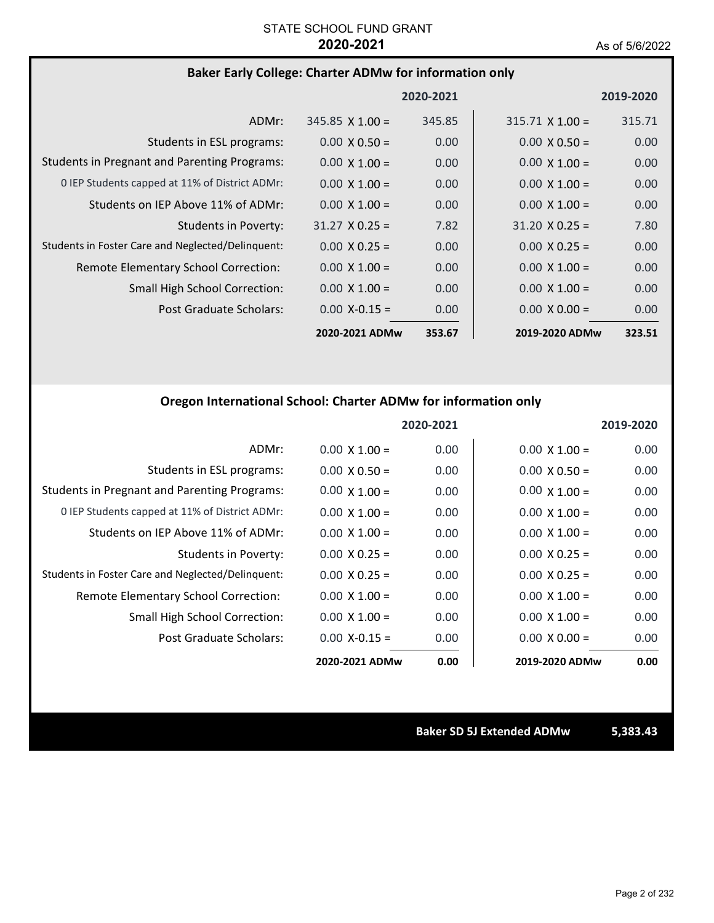## **Baker Early College: Charter ADMw for information only**

|                                                     |                        | 2020-2021 |                        | 2019-2020 |
|-----------------------------------------------------|------------------------|-----------|------------------------|-----------|
| ADMr:                                               | $345.85 \times 1.00 =$ | 345.85    | $315.71 \times 1.00 =$ | 315.71    |
| Students in ESL programs:                           | $0.00 \times 0.50 =$   | 0.00      | $0.00 \times 0.50 =$   | 0.00      |
| <b>Students in Pregnant and Parenting Programs:</b> | $0.00 \times 1.00 =$   | 0.00      | $0.00 \times 1.00 =$   | 0.00      |
| 0 IEP Students capped at 11% of District ADMr:      | $0.00 \times 1.00 =$   | 0.00      | $0.00 \times 1.00 =$   | 0.00      |
| Students on IEP Above 11% of ADMr:                  | $0.00 \times 1.00 =$   | 0.00      | $0.00 \times 1.00 =$   | 0.00      |
| <b>Students in Poverty:</b>                         | $31.27 \times 0.25 =$  | 7.82      | $31.20 \times 0.25 =$  | 7.80      |
| Students in Foster Care and Neglected/Delinquent:   | $0.00 \times 0.25 =$   | 0.00      | $0.00 \times 0.25 =$   | 0.00      |
| Remote Elementary School Correction:                | $0.00 \times 1.00 =$   | 0.00      | $0.00 \times 1.00 =$   | 0.00      |
| <b>Small High School Correction:</b>                | $0.00 \times 1.00 =$   | 0.00      | $0.00 \times 1.00 =$   | 0.00      |
| Post Graduate Scholars:                             | $0.00 X - 0.15 =$      | 0.00      | $0.00 \times 0.00 =$   | 0.00      |
|                                                     | 2020-2021 ADMw         | 353.67    | 2019-2020 ADMw         | 323.51    |

# **Oregon International School: Charter ADMw for information only**

|                                                     |                      | 2020-2021 |                      | 2019-2020 |
|-----------------------------------------------------|----------------------|-----------|----------------------|-----------|
| ADMr:                                               | $0.00 \times 1.00 =$ | 0.00      | $0.00 \times 1.00 =$ | 0.00      |
| Students in ESL programs:                           | $0.00 \times 0.50 =$ | 0.00      | $0.00 \times 0.50 =$ | 0.00      |
| <b>Students in Pregnant and Parenting Programs:</b> | $0.00 \times 1.00 =$ | 0.00      | $0.00 \times 1.00 =$ | 0.00      |
| 0 IEP Students capped at 11% of District ADMr:      | $0.00 \times 1.00 =$ | 0.00      | $0.00 \times 1.00 =$ | 0.00      |
| Students on IEP Above 11% of ADMr:                  | $0.00 \times 1.00 =$ | 0.00      | $0.00 \times 1.00 =$ | 0.00      |
| <b>Students in Poverty:</b>                         | $0.00 \times 0.25 =$ | 0.00      | $0.00 \times 0.25 =$ | 0.00      |
| Students in Foster Care and Neglected/Delinquent:   | $0.00 \times 0.25 =$ | 0.00      | $0.00 \times 0.25 =$ | 0.00      |
| Remote Elementary School Correction:                | $0.00 \times 1.00 =$ | 0.00      | $0.00 \times 1.00 =$ | 0.00      |
| Small High School Correction:                       | $0.00 \times 1.00 =$ | 0.00      | $0.00 \times 1.00 =$ | 0.00      |
| Post Graduate Scholars:                             | $0.00$ X-0.15 =      | 0.00      | $0.00 \times 0.00 =$ | 0.00      |
|                                                     | 2020-2021 ADMw       | 0.00      | 2019-2020 ADMw       | 0.00      |

**Baker SD 5J Extended ADMw 5,383.43**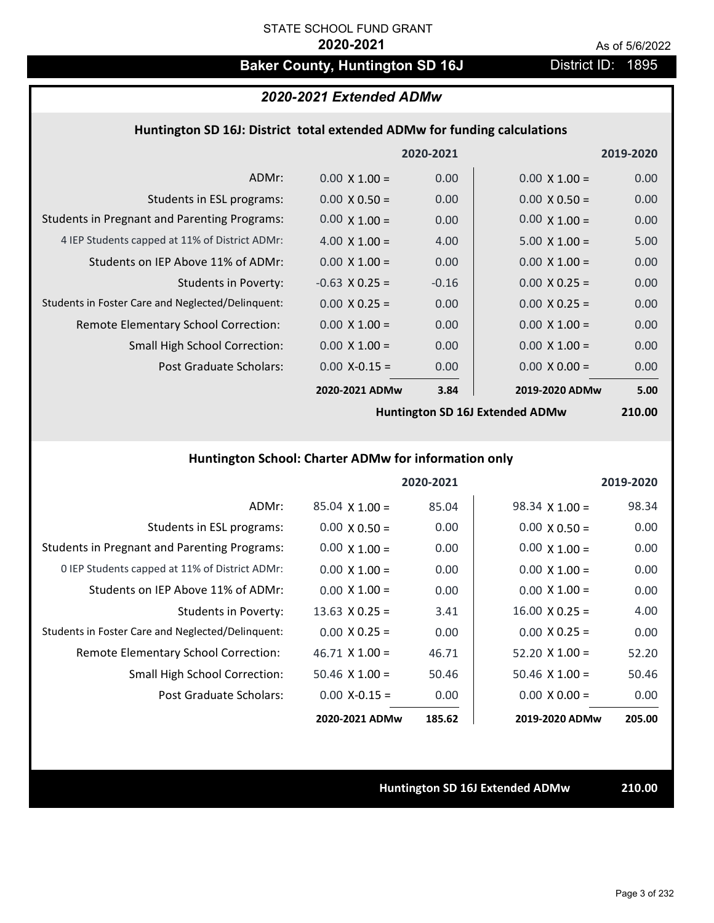# Baker County, Huntington SD 16J **District ID: 1895**

# *2020-2021 Extended ADMw*

## **Huntington SD 16J: District total extended ADMw for funding calculations**

|                                                     |                      | 2020-2021 |                      | 2019-2020 |
|-----------------------------------------------------|----------------------|-----------|----------------------|-----------|
| ADMr:                                               | $0.00 \times 1.00 =$ | 0.00      | $0.00 \times 1.00 =$ | 0.00      |
| Students in ESL programs:                           | $0.00 \times 0.50 =$ | 0.00      | $0.00 \times 0.50 =$ | 0.00      |
| <b>Students in Pregnant and Parenting Programs:</b> | $0.00 \times 1.00 =$ | 0.00      | $0.00 \times 1.00 =$ | 0.00      |
| 4 IEP Students capped at 11% of District ADMr:      | 4.00 $\times$ 1.00 = | 4.00      | $5.00 \times 1.00 =$ | 5.00      |
| Students on IEP Above 11% of ADMr:                  | $0.00 \times 1.00 =$ | 0.00      | $0.00 \times 1.00 =$ | 0.00      |
| <b>Students in Poverty:</b>                         | $-0.63$ X 0.25 =     | $-0.16$   | $0.00 \times 0.25 =$ | 0.00      |
| Students in Foster Care and Neglected/Delinquent:   | $0.00 \times 0.25 =$ | 0.00      | $0.00 \times 0.25 =$ | 0.00      |
| Remote Elementary School Correction:                | $0.00 \times 1.00 =$ | 0.00      | $0.00 \times 1.00 =$ | 0.00      |
| <b>Small High School Correction:</b>                | $0.00 \times 1.00 =$ | 0.00      | $0.00 \times 1.00 =$ | 0.00      |
| Post Graduate Scholars:                             | $0.00$ X-0.15 =      | 0.00      | $0.00 \times 0.00 =$ | 0.00      |
|                                                     | 2020-2021 ADMw       | 3.84      | 2019-2020 ADMw       | 5.00      |
|                                                     |                      |           |                      | .         |

**Huntington SD 16J Extended ADMw**

**210.00**

# **Huntington School: Charter ADMw for information only**

|                                                     |                       | 2020-2021 |                       | 2019-2020 |
|-----------------------------------------------------|-----------------------|-----------|-----------------------|-----------|
| ADMr:                                               | $85.04$ X 1.00 =      | 85.04     | $98.34 \times 1.00 =$ | 98.34     |
| Students in ESL programs:                           | $0.00 \times 0.50 =$  | 0.00      | $0.00 \times 0.50 =$  | 0.00      |
| <b>Students in Pregnant and Parenting Programs:</b> | $0.00 \times 1.00 =$  | 0.00      | $0.00 \times 1.00 =$  | 0.00      |
| 0 IEP Students capped at 11% of District ADMr:      | $0.00 \times 1.00 =$  | 0.00      | $0.00 \times 1.00 =$  | 0.00      |
| Students on IEP Above 11% of ADMr:                  | $0.00 \times 1.00 =$  | 0.00      | $0.00 \times 1.00 =$  | 0.00      |
| Students in Poverty:                                | $13.63 \times 0.25 =$ | 3.41      | $16.00 \times 0.25 =$ | 4.00      |
| Students in Foster Care and Neglected/Delinquent:   | $0.00 \times 0.25 =$  | 0.00      | $0.00 \times 0.25 =$  | 0.00      |
| Remote Elementary School Correction:                | $46.71 \times 1.00 =$ | 46.71     | $52.20 \times 1.00 =$ | 52.20     |
| <b>Small High School Correction:</b>                | $50.46$ X 1.00 =      | 50.46     | $50.46 \times 1.00 =$ | 50.46     |
| Post Graduate Scholars:                             | $0.00 X - 0.15 =$     | 0.00      | $0.00 \times 0.00 =$  | 0.00      |
|                                                     | 2020-2021 ADMw        | 185.62    | 2019-2020 ADMw        | 205.00    |

### **Huntington SD 16J Extended ADMw 210.00**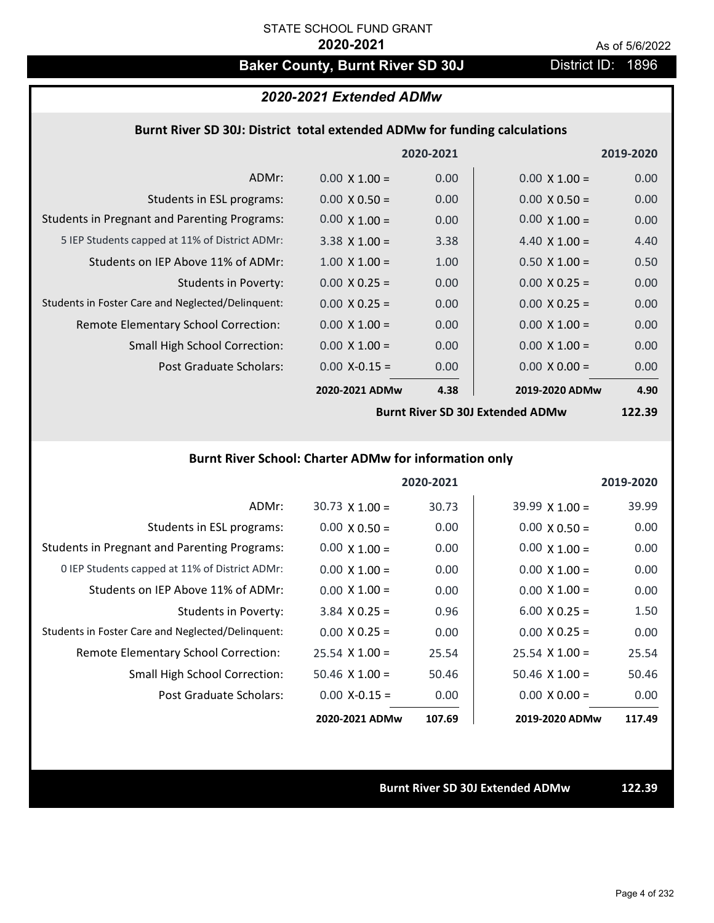# Baker County, Burnt River SD 30J District ID: 1896

## *2020-2021 Extended ADMw*

## **Burnt River SD 30J: District total extended ADMw for funding calculations**

|                                                     |                      | 2020-2021 |                      | 2019-2020 |
|-----------------------------------------------------|----------------------|-----------|----------------------|-----------|
| ADMr:                                               | $0.00 \times 1.00 =$ | 0.00      | $0.00 \times 1.00 =$ | 0.00      |
| Students in ESL programs:                           | $0.00 \times 0.50 =$ | 0.00      | $0.00 \times 0.50 =$ | 0.00      |
| <b>Students in Pregnant and Parenting Programs:</b> | $0.00 \times 1.00 =$ | 0.00      | $0.00 \times 1.00 =$ | 0.00      |
| 5 IEP Students capped at 11% of District ADMr:      | $3.38 \times 1.00 =$ | 3.38      | 4.40 $\times$ 1.00 = | 4.40      |
| Students on IEP Above 11% of ADMr:                  | $1.00 \times 1.00 =$ | 1.00      | $0.50 \times 1.00 =$ | 0.50      |
| Students in Poverty:                                | $0.00 \times 0.25 =$ | 0.00      | $0.00 \times 0.25 =$ | 0.00      |
| Students in Foster Care and Neglected/Delinquent:   | $0.00 \times 0.25 =$ | 0.00      | $0.00 \times 0.25 =$ | 0.00      |
| Remote Elementary School Correction:                | $0.00 \times 1.00 =$ | 0.00      | $0.00 \times 1.00 =$ | 0.00      |
| <b>Small High School Correction:</b>                | $0.00 \times 1.00 =$ | 0.00      | $0.00 \times 1.00 =$ | 0.00      |
| Post Graduate Scholars:                             | $0.00$ X-0.15 =      | 0.00      | $0.00 \times 0.00 =$ | 0.00      |
|                                                     | 2020-2021 ADMw       | 4.38      | 2019-2020 ADMw       | 4.90      |

**Burnt River SD 30J Extended ADMw**

**122.39**

## **Burnt River School: Charter ADMw for information only**

|                                                     |                       | 2020-2021 |                       | 2019-2020 |
|-----------------------------------------------------|-----------------------|-----------|-----------------------|-----------|
| ADMr:                                               | $30.73 \times 1.00 =$ | 30.73     | $39.99 \times 1.00 =$ | 39.99     |
| Students in ESL programs:                           | $0.00 \times 0.50 =$  | 0.00      | $0.00 \times 0.50 =$  | 0.00      |
| <b>Students in Pregnant and Parenting Programs:</b> | $0.00 \times 1.00 =$  | 0.00      | $0.00 \times 1.00 =$  | 0.00      |
| 0 IEP Students capped at 11% of District ADMr:      | $0.00 \times 1.00 =$  | 0.00      | $0.00 \times 1.00 =$  | 0.00      |
| Students on IEP Above 11% of ADMr:                  | $0.00 \times 1.00 =$  | 0.00      | $0.00 \times 1.00 =$  | 0.00      |
| Students in Poverty:                                | $3.84$ X 0.25 =       | 0.96      | $6.00 \times 0.25 =$  | 1.50      |
| Students in Foster Care and Neglected/Delinquent:   | $0.00 \times 0.25 =$  | 0.00      | $0.00 \times 0.25 =$  | 0.00      |
| Remote Elementary School Correction:                | $25.54 \times 1.00 =$ | 25.54     | $25.54 \times 1.00 =$ | 25.54     |
| <b>Small High School Correction:</b>                | $50.46$ X 1.00 =      | 50.46     | $50.46 \times 1.00 =$ | 50.46     |
| Post Graduate Scholars:                             | $0.00 X - 0.15 =$     | 0.00      | $0.00 \times 0.00 =$  | 0.00      |
|                                                     | 2020-2021 ADMw        | 107.69    | 2019-2020 ADMw        | 117.49    |

### **Burnt River SD 30J Extended ADMw 122.39**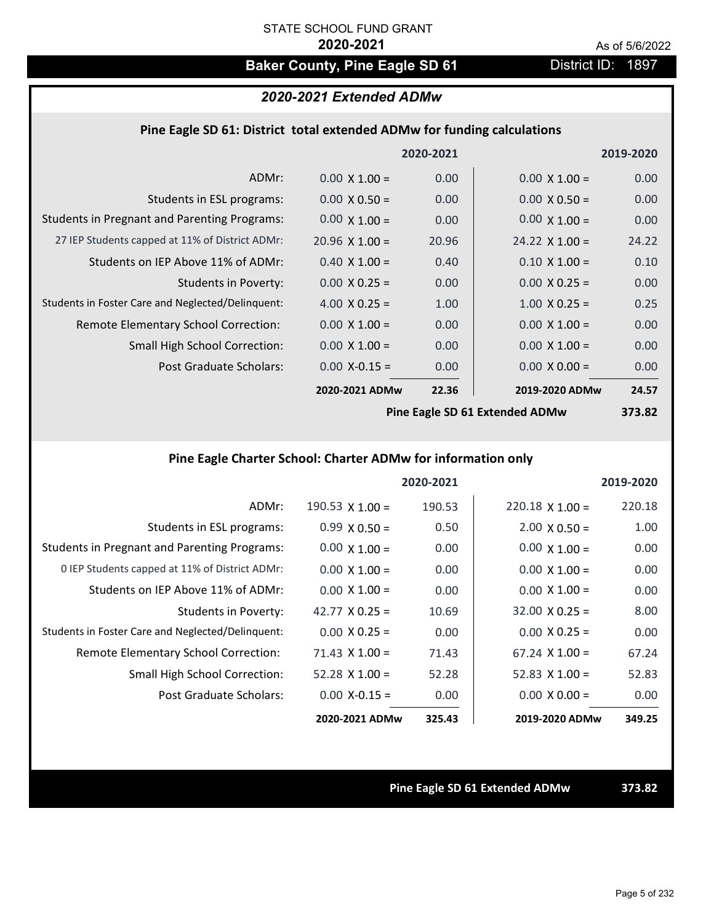# **Baker County, Pine Eagle SD 61** District ID: 1897

# *2020-2021 Extended ADMw*

## **Pine Eagle SD 61: District total extended ADMw for funding calculations**

|                                                     |                       | 2020-2021 |                       | 2019-2020 |
|-----------------------------------------------------|-----------------------|-----------|-----------------------|-----------|
| ADMr:                                               | $0.00 \times 1.00 =$  | 0.00      | $0.00 \times 1.00 =$  | 0.00      |
| Students in ESL programs:                           | $0.00 \times 0.50 =$  | 0.00      | $0.00 \times 0.50 =$  | 0.00      |
| <b>Students in Pregnant and Parenting Programs:</b> | $0.00 \times 1.00 =$  | 0.00      | $0.00 \times 1.00 =$  | 0.00      |
| 27 IEP Students capped at 11% of District ADMr:     | $20.96 \times 1.00 =$ | 20.96     | $24.22 \times 1.00 =$ | 24.22     |
| Students on IEP Above 11% of ADMr:                  | $0.40$ X $1.00 =$     | 0.40      | $0.10 \times 1.00 =$  | 0.10      |
| <b>Students in Poverty:</b>                         | $0.00 \times 0.25 =$  | 0.00      | $0.00 \times 0.25 =$  | 0.00      |
| Students in Foster Care and Neglected/Delinquent:   | 4.00 $X$ 0.25 =       | 1.00      | $1.00 \times 0.25 =$  | 0.25      |
| Remote Elementary School Correction:                | $0.00 \times 1.00 =$  | 0.00      | $0.00 \times 1.00 =$  | 0.00      |
| <b>Small High School Correction:</b>                | $0.00 \times 1.00 =$  | 0.00      | $0.00 \times 1.00 =$  | 0.00      |
| Post Graduate Scholars:                             | $0.00$ X-0.15 =       | 0.00      | $0.00 \times 0.00 =$  | 0.00      |
|                                                     | 2020-2021 ADMw        | 22.36     | 2019-2020 ADMw        | 24.57     |
|                                                     |                       |           |                       |           |

**Pine Eagle SD 61 Extended ADMw**

**373.82**

# **Pine Eagle Charter School: Charter ADMw for information only**

|                                                     |                        | 2020-2021 |                       | 2019-2020 |
|-----------------------------------------------------|------------------------|-----------|-----------------------|-----------|
| ADMr:                                               | $190.53 \times 1.00 =$ | 190.53    | $220.18$ X 1.00 =     | 220.18    |
| Students in ESL programs:                           | $0.99 \times 0.50 =$   | 0.50      | $2.00 \times 0.50 =$  | 1.00      |
| <b>Students in Pregnant and Parenting Programs:</b> | $0.00 \times 1.00 =$   | 0.00      | $0.00 \times 1.00 =$  | 0.00      |
| 0 IEP Students capped at 11% of District ADMr:      | $0.00 \times 1.00 =$   | 0.00      | $0.00 \times 1.00 =$  | 0.00      |
| Students on IEP Above 11% of ADMr:                  | $0.00 \times 1.00 =$   | 0.00      | $0.00 \times 1.00 =$  | 0.00      |
| Students in Poverty:                                | 42.77 $X$ 0.25 =       | 10.69     | $32.00 \times 0.25 =$ | 8.00      |
| Students in Foster Care and Neglected/Delinquent:   | $0.00 \times 0.25 =$   | 0.00      | $0.00 \times 0.25 =$  | 0.00      |
| Remote Elementary School Correction:                | $71.43 \times 1.00 =$  | 71.43     | $67.24 \times 1.00 =$ | 67.24     |
| <b>Small High School Correction:</b>                | $52.28$ X 1.00 =       | 52.28     | 52.83 $\times$ 1.00 = | 52.83     |
| Post Graduate Scholars:                             | $0.00 X - 0.15 =$      | 0.00      | $0.00 \times 0.00 =$  | 0.00      |
|                                                     | 2020-2021 ADMw         | 325.43    | 2019-2020 ADMw        | 349.25    |

**Pine Eagle SD 61 Extended ADMw 373.82**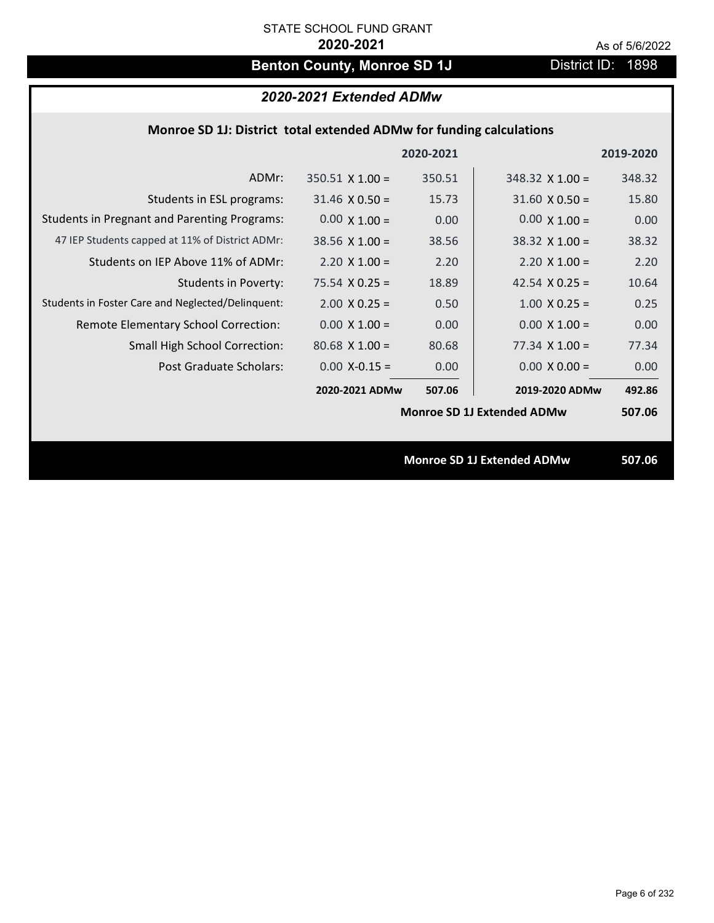# **Benton County, Monroe SD 1J** District ID: 1898

# *2020-2021 Extended ADMw*

## **Monroe SD 1J: District total extended ADMw for funding calculations**

|                                                     |                        | 2020-2021 |                                   | 2019-2020 |
|-----------------------------------------------------|------------------------|-----------|-----------------------------------|-----------|
| ADMr:                                               | $350.51 \times 1.00 =$ | 350.51    | $348.32 \times 1.00 =$            | 348.32    |
| Students in ESL programs:                           | $31.46 \times 0.50 =$  | 15.73     | $31.60 \times 0.50 =$             | 15.80     |
| <b>Students in Pregnant and Parenting Programs:</b> | $0.00 \times 1.00 =$   | 0.00      | $0.00 \times 1.00 =$              | 0.00      |
| 47 IEP Students capped at 11% of District ADMr:     | $38.56 \times 1.00 =$  | 38.56     | $38.32 \times 1.00 =$             | 38.32     |
| Students on IEP Above 11% of ADMr:                  | $2.20 \times 1.00 =$   | 2.20      | $2.20 \times 1.00 =$              | 2.20      |
| <b>Students in Poverty:</b>                         | $75.54 \times 0.25 =$  | 18.89     | 42.54 $X$ 0.25 =                  | 10.64     |
| Students in Foster Care and Neglected/Delinquent:   | $2.00 \times 0.25 =$   | 0.50      | $1.00 \times 0.25 =$              | 0.25      |
| Remote Elementary School Correction:                | $0.00 \times 1.00 =$   | 0.00      | $0.00 \times 1.00 =$              | 0.00      |
| <b>Small High School Correction:</b>                | $80.68$ X 1.00 =       | 80.68     | $77.34 \times 1.00 =$             | 77.34     |
| Post Graduate Scholars:                             | $0.00$ X-0.15 =        | 0.00      | $0.00 \times 0.00 =$              | 0.00      |
|                                                     | 2020-2021 ADMw         | 507.06    | 2019-2020 ADMw                    | 492.86    |
|                                                     |                        |           | <b>Monroe SD 1J Extended ADMw</b> | 507.06    |
|                                                     |                        |           |                                   |           |
|                                                     |                        |           | <b>Monroe SD 1J Extended ADMw</b> | 507.06    |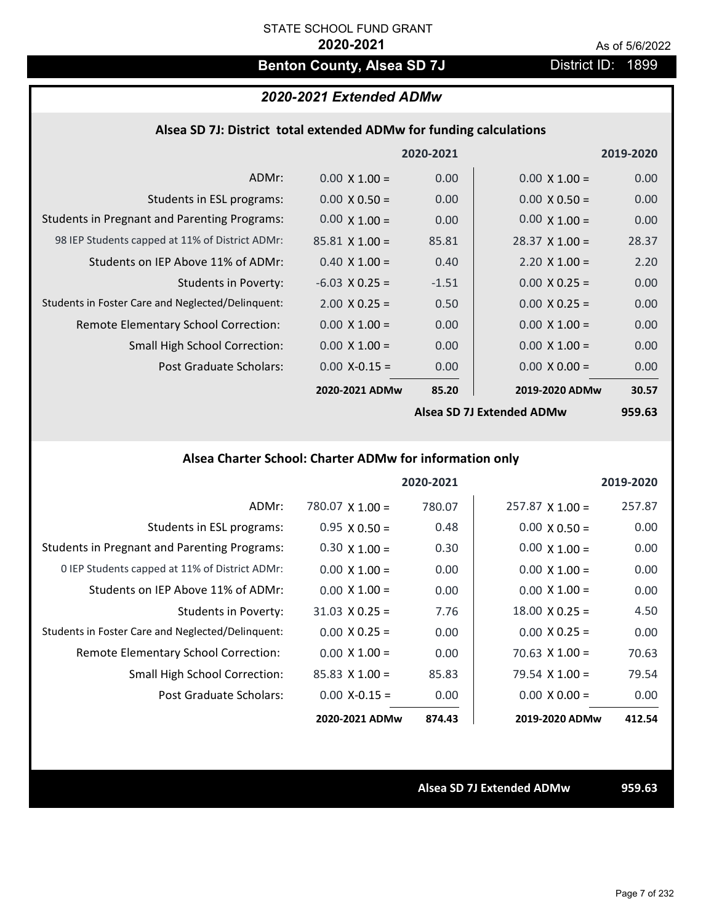# **Benton County, Alsea SD 7J** District ID: 1899

## *2020-2021 Extended ADMw*

| Alsea SD 7J: District total extended ADMw for funding calculations |  |  |  |
|--------------------------------------------------------------------|--|--|--|
|--------------------------------------------------------------------|--|--|--|

|                                                     |                       | 2020-2021 |                                  | 2019-2020 |
|-----------------------------------------------------|-----------------------|-----------|----------------------------------|-----------|
| ADMr:                                               | $0.00 \times 1.00 =$  | 0.00      | $0.00 \times 1.00 =$             | 0.00      |
| Students in ESL programs:                           | $0.00 \times 0.50 =$  | 0.00      | $0.00 \times 0.50 =$             | 0.00      |
| <b>Students in Pregnant and Parenting Programs:</b> | $0.00 \times 1.00 =$  | 0.00      | $0.00 \times 1.00 =$             | 0.00      |
| 98 IEP Students capped at 11% of District ADMr:     | $85.81 \times 1.00 =$ | 85.81     | $28.37 \times 1.00 =$            | 28.37     |
| Students on IEP Above 11% of ADMr:                  | $0.40 \times 1.00 =$  | 0.40      | $2.20 \times 1.00 =$             | 2.20      |
| Students in Poverty:                                | $-6.03$ X 0.25 =      | $-1.51$   | $0.00 \times 0.25 =$             | 0.00      |
| Students in Foster Care and Neglected/Delinquent:   | $2.00 \times 0.25 =$  | 0.50      | $0.00 \times 0.25 =$             | 0.00      |
| Remote Elementary School Correction:                | $0.00 \times 1.00 =$  | 0.00      | $0.00 \times 1.00 =$             | 0.00      |
| <b>Small High School Correction:</b>                | $0.00 \times 1.00 =$  | 0.00      | $0.00 \times 1.00 =$             | 0.00      |
| Post Graduate Scholars:                             | $0.00$ X-0.15 =       | 0.00      | $0.00 \times 0.00 =$             | 0.00      |
|                                                     | 2020-2021 ADMw        | 85.20     | 2019-2020 ADMw                   | 30.57     |
|                                                     |                       |           | <b>Alsea SD 7J Extended ADMw</b> | 959.63    |

## **Alsea Charter School: Charter ADMw for information only**

|                                                     |                        | 2020-2021 |                        | 2019-2020 |
|-----------------------------------------------------|------------------------|-----------|------------------------|-----------|
| ADMr:                                               | $780.07 \times 1.00 =$ | 780.07    | $257.87 \times 1.00 =$ | 257.87    |
| Students in ESL programs:                           | $0.95 \times 0.50 =$   | 0.48      | $0.00 \times 0.50 =$   | 0.00      |
| <b>Students in Pregnant and Parenting Programs:</b> | $0.30 \times 1.00 =$   | 0.30      | $0.00 \times 1.00 =$   | 0.00      |
| 0 IEP Students capped at 11% of District ADMr:      | $0.00 \times 1.00 =$   | 0.00      | $0.00 \times 1.00 =$   | 0.00      |
| Students on IEP Above 11% of ADMr:                  | $0.00 \times 1.00 =$   | 0.00      | $0.00 \times 1.00 =$   | 0.00      |
| Students in Poverty:                                | $31.03 \times 0.25 =$  | 7.76      | $18.00 \times 0.25 =$  | 4.50      |
| Students in Foster Care and Neglected/Delinquent:   | $0.00 \times 0.25 =$   | 0.00      | $0.00 \times 0.25 =$   | 0.00      |
| <b>Remote Elementary School Correction:</b>         | $0.00 \times 1.00 =$   | 0.00      | $70.63 \times 1.00 =$  | 70.63     |
| <b>Small High School Correction:</b>                | $85.83 \times 1.00 =$  | 85.83     | $79.54 \times 1.00 =$  | 79.54     |
| Post Graduate Scholars:                             | $0.00 X - 0.15 =$      | 0.00      | $0.00 \times 0.00 =$   | 0.00      |
|                                                     | 2020-2021 ADMw         | 874.43    | 2019-2020 ADMw         | 412.54    |

**Alsea SD 7J Extended ADMw 959.63**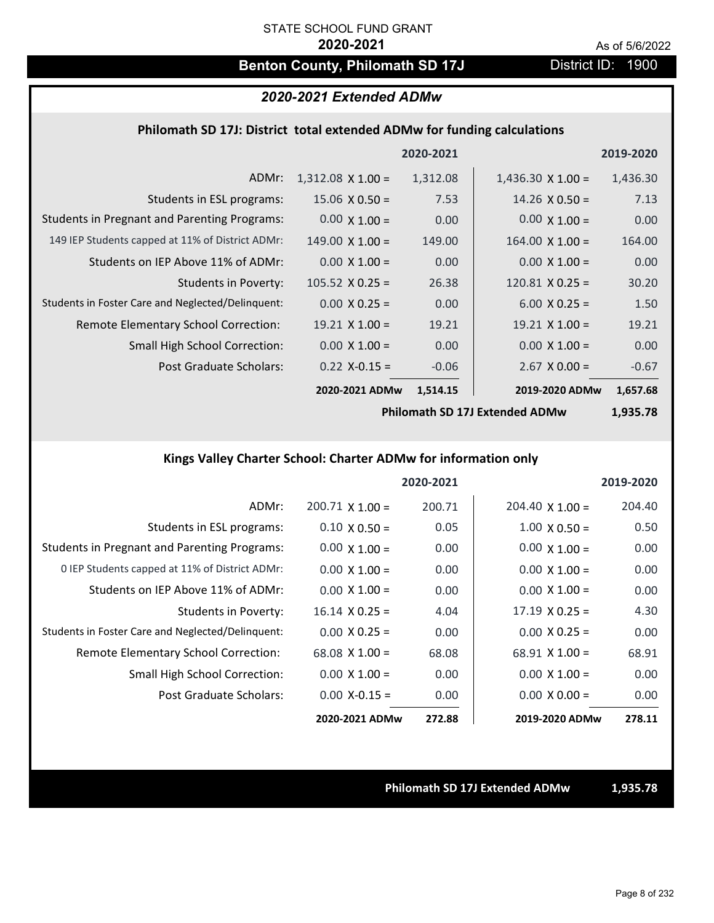# **Benton County, Philomath SD 17J** District ID: 1900

# *2020-2021 Extended ADMw*

## **Philomath SD 17J: District total extended ADMw for funding calculations**

|                                                     |                          | 2020-2021 |                          | 2019-2020 |
|-----------------------------------------------------|--------------------------|-----------|--------------------------|-----------|
| ADMr:                                               | $1,312.08 \times 1.00 =$ | 1,312.08  | $1,436.30 \times 1.00 =$ | 1,436.30  |
| Students in ESL programs:                           | $15.06 \times 0.50 =$    | 7.53      | $14.26 \times 0.50 =$    | 7.13      |
| <b>Students in Pregnant and Parenting Programs:</b> | $0.00 \times 1.00 =$     | 0.00      | $0.00 \times 1.00 =$     | 0.00      |
| 149 IEP Students capped at 11% of District ADMr:    | $149.00 \times 1.00 =$   | 149.00    | $164.00 \times 1.00 =$   | 164.00    |
| Students on IEP Above 11% of ADMr:                  | $0.00 \times 1.00 =$     | 0.00      | $0.00 \times 1.00 =$     | 0.00      |
| <b>Students in Poverty:</b>                         | $105.52 \times 0.25 =$   | 26.38     | $120.81$ X 0.25 =        | 30.20     |
| Students in Foster Care and Neglected/Delinguent:   | $0.00 \times 0.25 =$     | 0.00      | $6.00 \times 0.25 =$     | 1.50      |
| Remote Elementary School Correction:                | $19.21 \times 1.00 =$    | 19.21     | $19.21 \times 1.00 =$    | 19.21     |
| <b>Small High School Correction:</b>                | $0.00 \times 1.00 =$     | 0.00      | $0.00 \times 1.00 =$     | 0.00      |
| Post Graduate Scholars:                             | $0.22$ X-0.15 =          | $-0.06$   | $2.67$ X 0.00 =          | $-0.67$   |
|                                                     | 2020-2021 ADMw           | 1,514.15  | 2019-2020 ADMw           | 1,657.68  |

**Philomath SD 17J Extended ADMw**

**1,935.78**

# **Kings Valley Charter School: Charter ADMw for information only**

|                                                     |                        | 2020-2021 |                        | 2019-2020 |
|-----------------------------------------------------|------------------------|-----------|------------------------|-----------|
| ADMr:                                               | $200.71 \times 1.00 =$ | 200.71    | $204.40 \times 1.00 =$ | 204.40    |
| Students in ESL programs:                           | $0.10 \times 0.50 =$   | 0.05      | $1.00 \times 0.50 =$   | 0.50      |
| <b>Students in Pregnant and Parenting Programs:</b> | $0.00 \times 1.00 =$   | 0.00      | $0.00 \times 1.00 =$   | 0.00      |
| 0 IEP Students capped at 11% of District ADMr:      | $0.00 \times 1.00 =$   | 0.00      | $0.00 \times 1.00 =$   | 0.00      |
| Students on IEP Above 11% of ADMr:                  | $0.00 \times 1.00 =$   | 0.00      | $0.00 \times 1.00 =$   | 0.00      |
| Students in Poverty:                                | $16.14 \times 0.25 =$  | 4.04      | $17.19 \times 0.25 =$  | 4.30      |
| Students in Foster Care and Neglected/Delinquent:   | $0.00 \times 0.25 =$   | 0.00      | $0.00 \times 0.25 =$   | 0.00      |
| Remote Elementary School Correction:                | $68.08 \times 1.00 =$  | 68.08     | $68.91 \times 1.00 =$  | 68.91     |
| <b>Small High School Correction:</b>                | $0.00 \times 1.00 =$   | 0.00      | $0.00 \times 1.00 =$   | 0.00      |
| Post Graduate Scholars:                             | $0.00$ X-0.15 =        | 0.00      | $0.00 \times 0.00 =$   | 0.00      |
|                                                     | 2020-2021 ADMw         | 272.88    | 2019-2020 ADMw         | 278.11    |

**Philomath SD 17J Extended ADMw 1,935.78**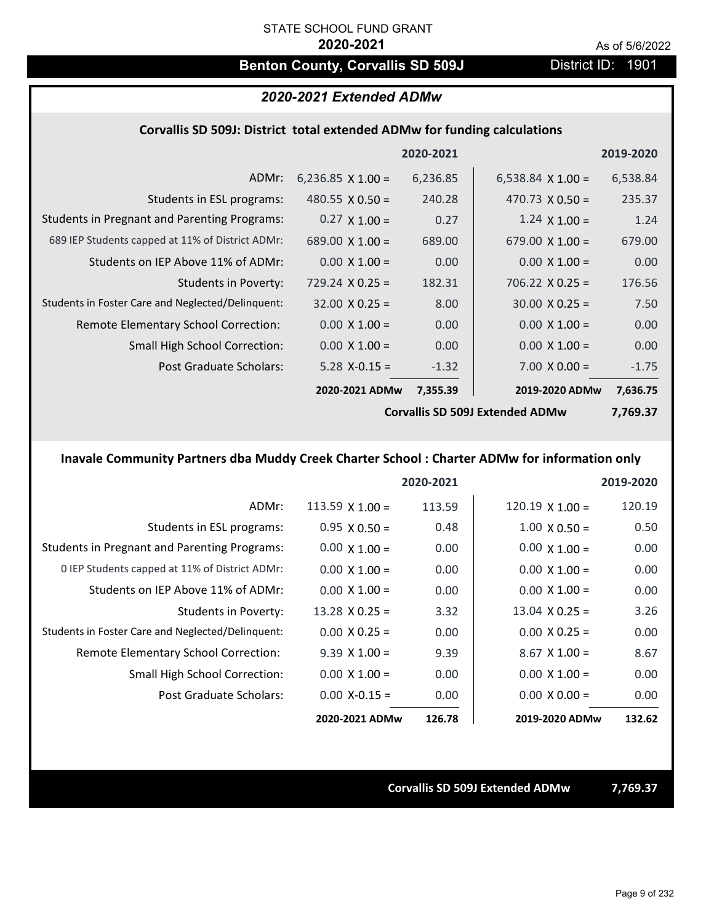# **Benton County, Corvallis SD 509J** District ID: 1901

# *2020-2021 Extended ADMw*

## **Corvallis SD 509J: District total extended ADMw for funding calculations**

|                                                     |                                        | 2020-2021 |                          | 2019-2020 |
|-----------------------------------------------------|----------------------------------------|-----------|--------------------------|-----------|
| ADMr:                                               | 6,236.85 $\times$ 1.00 =               | 6,236.85  | 6,538.84 $\times$ 1.00 = | 6,538.84  |
| Students in ESL programs:                           | 480.55 $X$ 0.50 =                      | 240.28    | 470.73 $\times$ 0.50 =   | 235.37    |
| <b>Students in Pregnant and Parenting Programs:</b> | $0.27 \times 1.00 =$                   | 0.27      | $1.24 \times 1.00 =$     | 1.24      |
| 689 IEP Students capped at 11% of District ADMr:    | 689.00 $\times$ 1.00 =                 | 689.00    | 679.00 $\times$ 1.00 =   | 679.00    |
| Students on IEP Above 11% of ADMr:                  | $0.00 \times 1.00 =$                   | 0.00      | $0.00 \times 1.00 =$     | 0.00      |
| Students in Poverty:                                | $729.24 \times 0.25 =$                 | 182.31    | $706.22 \times 0.25 =$   | 176.56    |
| Students in Foster Care and Neglected/Delinquent:   | $32.00 \times 0.25 =$                  | 8.00      | $30.00 \times 0.25 =$    | 7.50      |
| Remote Elementary School Correction:                | $0.00 \times 1.00 =$                   | 0.00      | $0.00 \times 1.00 =$     | 0.00      |
| <b>Small High School Correction:</b>                | $0.00 \times 1.00 =$                   | 0.00      | $0.00 \times 1.00 =$     | 0.00      |
| Post Graduate Scholars:                             | $5.28$ X-0.15 =                        | $-1.32$   | $7.00 \times 0.00 =$     | $-1.75$   |
|                                                     | 2020-2021 ADMw                         | 7,355.39  | 2019-2020 ADMw           | 7,636.75  |
|                                                     | <b>Corvallis SD 509J Extended ADMw</b> |           |                          | 7,769.37  |

# **Inavale Community Partners dba Muddy Creek Charter School : Charter ADMw for information only**

|                                                     |                        | 2020-2021 |                        | 2019-2020 |
|-----------------------------------------------------|------------------------|-----------|------------------------|-----------|
| ADMr:                                               | $113.59 \times 1.00 =$ | 113.59    | $120.19 \times 1.00 =$ | 120.19    |
| Students in ESL programs:                           | $0.95 \times 0.50 =$   | 0.48      | $1.00 \times 0.50 =$   | 0.50      |
| <b>Students in Pregnant and Parenting Programs:</b> | $0.00 \times 1.00 =$   | 0.00      | $0.00 \times 1.00 =$   | 0.00      |
| 0 IEP Students capped at 11% of District ADMr:      | $0.00 \times 1.00 =$   | 0.00      | $0.00 \times 1.00 =$   | 0.00      |
| Students on IEP Above 11% of ADMr:                  | $0.00 \times 1.00 =$   | 0.00      | $0.00 \times 1.00 =$   | 0.00      |
| Students in Poverty:                                | $13.28 \times 0.25 =$  | 3.32      | $13.04 \times 0.25 =$  | 3.26      |
| Students in Foster Care and Neglected/Delinquent:   | $0.00 \times 0.25 =$   | 0.00      | $0.00 \times 0.25 =$   | 0.00      |
| Remote Elementary School Correction:                | $9.39 \times 1.00 =$   | 9.39      | $8.67$ X $1.00 =$      | 8.67      |
| <b>Small High School Correction:</b>                | $0.00 \times 1.00 =$   | 0.00      | $0.00 \times 1.00 =$   | 0.00      |
| Post Graduate Scholars:                             | $0.00 X - 0.15 =$      | 0.00      | $0.00 \times 0.00 =$   | 0.00      |
|                                                     | 2020-2021 ADMw         | 126.78    | 2019-2020 ADMw         | 132.62    |

**Corvallis SD 509J Extended ADMw 7,769.37**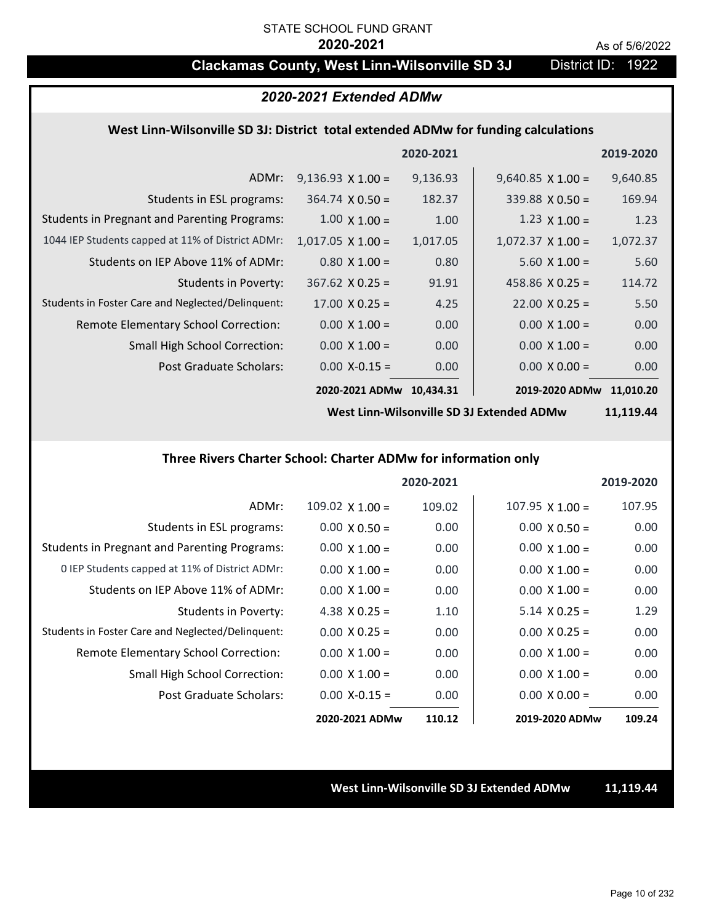# **Clackamas County, West Linn-Wilsonville SD 3J** District ID: 1922

## *2020-2021 Extended ADMw*

## **West Linn‐Wilsonville SD 3J: District total extended ADMw for funding calculations**

|                                                     |                          | 2020-2021 |                          | 2019-2020 |
|-----------------------------------------------------|--------------------------|-----------|--------------------------|-----------|
| ADMr:                                               | $9,136.93 \times 1.00 =$ | 9,136.93  | $9,640.85 \times 1.00 =$ | 9,640.85  |
| Students in ESL programs:                           | $364.74 \times 0.50 =$   | 182.37    | $339.88 \times 0.50 =$   | 169.94    |
| <b>Students in Pregnant and Parenting Programs:</b> | $1.00 \times 1.00 =$     | 1.00      | $1.23 \times 1.00 =$     | 1.23      |
| 1044 IEP Students capped at 11% of District ADMr:   | $1,017.05 \times 1.00 =$ | 1,017.05  | $1,072.37 \times 1.00 =$ | 1,072.37  |
| Students on IEP Above 11% of ADMr:                  | $0.80 \times 1.00 =$     | 0.80      | $5.60 \times 1.00 =$     | 5.60      |
| Students in Poverty:                                | $367.62$ X 0.25 =        | 91.91     | 458.86 $X$ 0.25 =        | 114.72    |
| Students in Foster Care and Neglected/Delinquent:   | $17.00 \times 0.25 =$    | 4.25      | $22.00 \times 0.25 =$    | 5.50      |
| Remote Elementary School Correction:                | $0.00 \times 1.00 =$     | 0.00      | $0.00 \times 1.00 =$     | 0.00      |
| <b>Small High School Correction:</b>                | $0.00 \times 1.00 =$     | 0.00      | $0.00 \times 1.00 =$     | 0.00      |
| Post Graduate Scholars:                             | $0.00$ X-0.15 =          | 0.00      | $0.00 \times 0.00 =$     | 0.00      |
|                                                     | 2020-2021 ADMw           | 10,434.31 | 2019-2020 ADMw           | 11,010.20 |

**West Linn‐Wilsonville SD 3J Extended ADMw**

**11,119.44**

## **Three Rivers Charter School: Charter ADMw for information only**

|                                                     |                      | 2020-2021 |                        | 2019-2020 |
|-----------------------------------------------------|----------------------|-----------|------------------------|-----------|
| ADMr:                                               | 109.02 $X$ 1.00 =    | 109.02    | $107.95 \times 1.00 =$ | 107.95    |
| Students in ESL programs:                           | $0.00 \times 0.50 =$ | 0.00      | $0.00 \times 0.50 =$   | 0.00      |
| <b>Students in Pregnant and Parenting Programs:</b> | $0.00 \times 1.00 =$ | 0.00      | $0.00 \times 1.00 =$   | 0.00      |
| 0 IEP Students capped at 11% of District ADMr:      | $0.00 \times 1.00 =$ | 0.00      | $0.00 \times 1.00 =$   | 0.00      |
| Students on IEP Above 11% of ADMr:                  | $0.00 \times 1.00 =$ | 0.00      | $0.00 \times 1.00 =$   | 0.00      |
| Students in Poverty:                                | 4.38 $X$ 0.25 =      | 1.10      | $5.14 \times 0.25 =$   | 1.29      |
| Students in Foster Care and Neglected/Delinquent:   | $0.00 \times 0.25 =$ | 0.00      | $0.00 \times 0.25 =$   | 0.00      |
| Remote Elementary School Correction:                | $0.00 \times 1.00 =$ | 0.00      | $0.00 \times 1.00 =$   | 0.00      |
| <b>Small High School Correction:</b>                | $0.00 \times 1.00 =$ | 0.00      | $0.00 \times 1.00 =$   | 0.00      |
| Post Graduate Scholars:                             | $0.00 X - 0.15 =$    | 0.00      | $0.00 \times 0.00 =$   | 0.00      |
|                                                     | 2020-2021 ADMw       | 110.12    | 2019-2020 ADMw         | 109.24    |

**West Linn‐Wilsonville SD 3J Extended ADMw 11,119.44**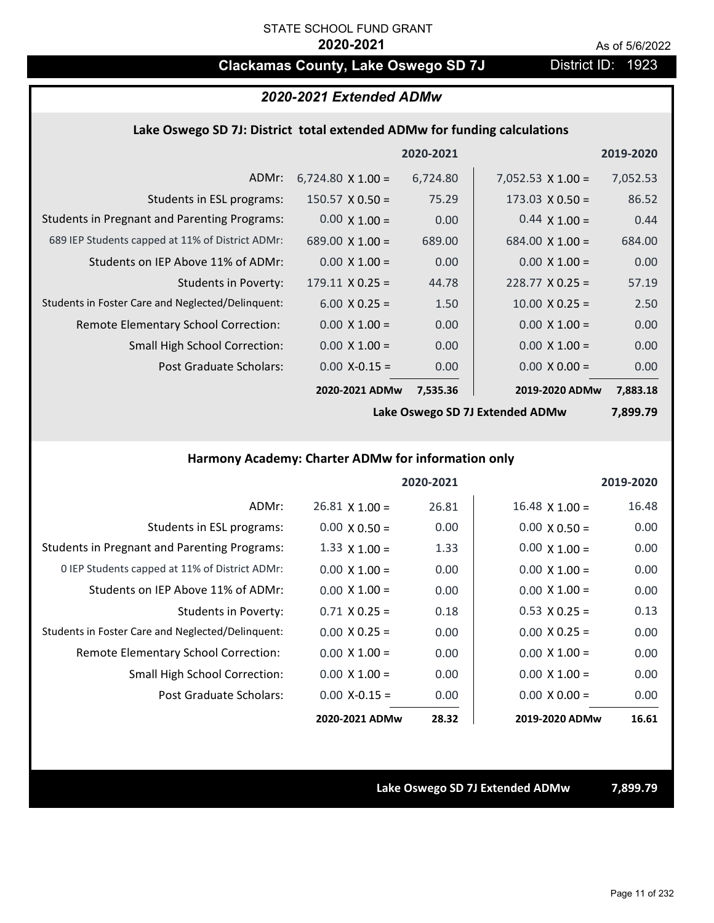# **Clackamas County, Lake Oswego SD 7J District ID: 1923**

# *2020-2021 Extended ADMw*

## **Lake Oswego SD 7J: District total extended ADMw for funding calculations**

|                                                     |                          | 2020-2021 |                          | 2019-2020 |
|-----------------------------------------------------|--------------------------|-----------|--------------------------|-----------|
| ADMr:                                               | $6,724.80 \times 1.00 =$ | 6,724.80  | $7,052.53 \times 1.00 =$ | 7,052.53  |
| Students in ESL programs:                           | $150.57 \times 0.50 =$   | 75.29     | $173.03 \times 0.50 =$   | 86.52     |
| <b>Students in Pregnant and Parenting Programs:</b> | $0.00 \times 1.00 =$     | 0.00      | $0.44 \times 1.00 =$     | 0.44      |
| 689 IEP Students capped at 11% of District ADMr:    | 689.00 $\times$ 1.00 =   | 689.00    | $684.00 \times 1.00 =$   | 684.00    |
| Students on IEP Above 11% of ADMr:                  | $0.00 \times 1.00 =$     | 0.00      | $0.00 \times 1.00 =$     | 0.00      |
| Students in Poverty:                                | $179.11 \times 0.25 =$   | 44.78     | $228.77 \times 0.25 =$   | 57.19     |
| Students in Foster Care and Neglected/Delinquent:   | $6.00 \times 0.25 =$     | 1.50      | $10.00 \times 0.25 =$    | 2.50      |
| Remote Elementary School Correction:                | $0.00 \times 1.00 =$     | 0.00      | $0.00 \times 1.00 =$     | 0.00      |
| <b>Small High School Correction:</b>                | $0.00 \times 1.00 =$     | 0.00      | $0.00 \times 1.00 =$     | 0.00      |
| Post Graduate Scholars:                             | $0.00$ X-0.15 =          | 0.00      | $0.00 \times 0.00 =$     | 0.00      |
|                                                     | 2020-2021 ADMw           | 7,535.36  | 2019-2020 ADMw           | 7,883.18  |

**Lake Oswego SD 7J Extended ADMw**

**7,899.79**

## **Harmony Academy: Charter ADMw for information only**

|                                                     |                       | 2020-2021 |                       | 2019-2020 |
|-----------------------------------------------------|-----------------------|-----------|-----------------------|-----------|
| ADMr:                                               | $26.81 \times 1.00 =$ | 26.81     | $16.48 \times 1.00 =$ | 16.48     |
| Students in ESL programs:                           | $0.00 \times 0.50 =$  | 0.00      | $0.00 \times 0.50 =$  | 0.00      |
| <b>Students in Pregnant and Parenting Programs:</b> | 1.33 $\times$ 1.00 =  | 1.33      | $0.00 \times 1.00 =$  | 0.00      |
| 0 IEP Students capped at 11% of District ADMr:      | $0.00 \times 1.00 =$  | 0.00      | $0.00 \times 1.00 =$  | 0.00      |
| Students on IEP Above 11% of ADMr:                  | $0.00 \times 1.00 =$  | 0.00      | $0.00 \times 1.00 =$  | 0.00      |
| Students in Poverty:                                | $0.71 \times 0.25 =$  | 0.18      | $0.53 \times 0.25 =$  | 0.13      |
| Students in Foster Care and Neglected/Delinquent:   | $0.00 \times 0.25 =$  | 0.00      | $0.00 \times 0.25 =$  | 0.00      |
| Remote Elementary School Correction:                | $0.00 \times 1.00 =$  | 0.00      | $0.00 \times 1.00 =$  | 0.00      |
| <b>Small High School Correction:</b>                | $0.00 \times 1.00 =$  | 0.00      | $0.00 \times 1.00 =$  | 0.00      |
| Post Graduate Scholars:                             | $0.00 X - 0.15 =$     | 0.00      | $0.00 \times 0.00 =$  | 0.00      |
|                                                     | 2020-2021 ADMw        | 28.32     | 2019-2020 ADMw        | 16.61     |

**Lake Oswego SD 7J Extended ADMw 7,899.79**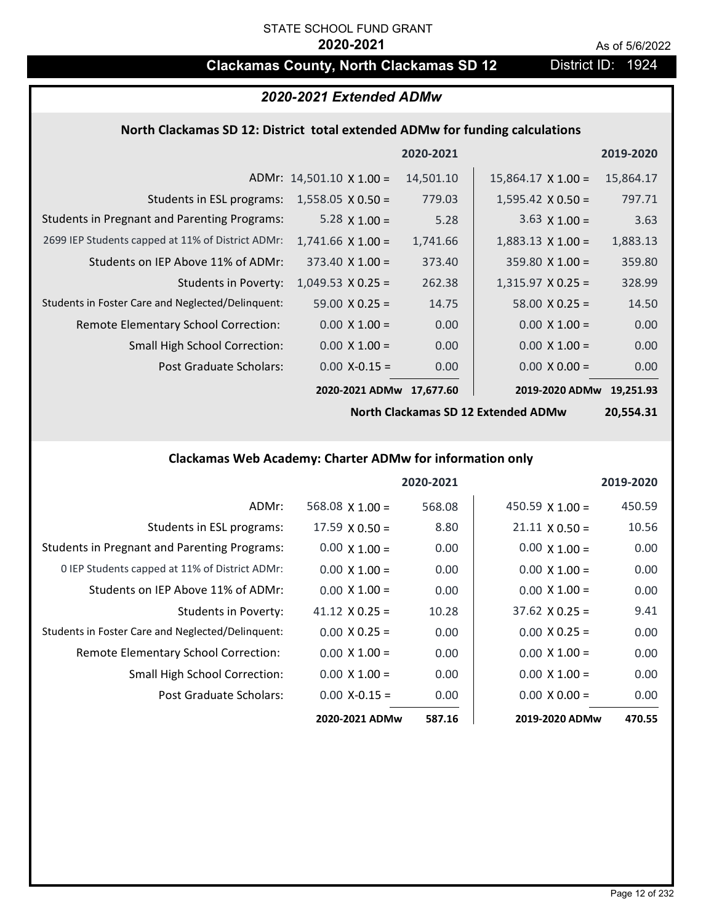# **Clackamas County, North Clackamas SD 12** District ID: 1924

# *2020-2021 Extended ADMw*

## **North Clackamas SD 12: District total extended ADMw for funding calculations**

|                                                     |                                 | 2020-2021 |                           | 2019-2020 |
|-----------------------------------------------------|---------------------------------|-----------|---------------------------|-----------|
|                                                     | ADMr: $14,501.10 \times 1.00 =$ | 14,501.10 | $15,864.17 \times 1.00 =$ | 15,864.17 |
| Students in ESL programs:                           | $1,558.05 \times 0.50 =$        | 779.03    | $1,595.42 \times 0.50 =$  | 797.71    |
| <b>Students in Pregnant and Parenting Programs:</b> | 5.28 $\times$ 1.00 =            | 5.28      | $3.63 \times 1.00 =$      | 3.63      |
| 2699 IEP Students capped at 11% of District ADMr:   | $1,741.66 \times 1.00 =$        | 1,741.66  | $1,883.13 \times 1.00 =$  | 1,883.13  |
| Students on IEP Above 11% of ADMr:                  | $373.40 \times 1.00 =$          | 373.40    | $359.80 \times 1.00 =$    | 359.80    |
| <b>Students in Poverty:</b>                         | $1,049.53$ X 0.25 =             | 262.38    | $1,315.97$ X 0.25 =       | 328.99    |
| Students in Foster Care and Neglected/Delinquent:   | $59.00 \times 0.25 =$           | 14.75     | $58.00 \times 0.25 =$     | 14.50     |
| Remote Elementary School Correction:                | $0.00 \times 1.00 =$            | 0.00      | $0.00 \times 1.00 =$      | 0.00      |
| <b>Small High School Correction:</b>                | $0.00 \times 1.00 =$            | 0.00      | $0.00 \times 1.00 =$      | 0.00      |
| <b>Post Graduate Scholars:</b>                      | $0.00$ X-0.15 =                 | 0.00      | $0.00 \times 0.00 =$      | 0.00      |
|                                                     | 2020-2021 ADMw                  | 17.677.60 | 2019-2020 ADMw            | 19.251.93 |

**North Clackamas SD 12 Extended ADMw**

**20,554.31**

## **Clackamas Web Academy: Charter ADMw for information only**

|                                                     |                        | 2020-2021 |                        | 2019-2020 |
|-----------------------------------------------------|------------------------|-----------|------------------------|-----------|
| ADMr:                                               | $568.08 \times 1.00 =$ | 568.08    | 450.59 $\times$ 1.00 = | 450.59    |
| Students in ESL programs:                           | $17.59 \times 0.50 =$  | 8.80      | $21.11 \times 0.50 =$  | 10.56     |
| <b>Students in Pregnant and Parenting Programs:</b> | $0.00 \times 1.00 =$   | 0.00      | $0.00 \times 1.00 =$   | 0.00      |
| 0 IEP Students capped at 11% of District ADMr:      | $0.00 \times 1.00 =$   | 0.00      | $0.00 \times 1.00 =$   | 0.00      |
| Students on IEP Above 11% of ADMr:                  | $0.00 \times 1.00 =$   | 0.00      | $0.00 \times 1.00 =$   | 0.00      |
| Students in Poverty:                                | $41.12 \times 0.25 =$  | 10.28     | $37.62 \times 0.25 =$  | 9.41      |
| Students in Foster Care and Neglected/Delinquent:   | $0.00 \times 0.25 =$   | 0.00      | $0.00 \times 0.25 =$   | 0.00      |
| Remote Elementary School Correction:                | $0.00 \times 1.00 =$   | 0.00      | $0.00 \times 1.00 =$   | 0.00      |
| <b>Small High School Correction:</b>                | $0.00 \times 1.00 =$   | 0.00      | $0.00 \times 1.00 =$   | 0.00      |
| Post Graduate Scholars:                             | $0.00 X - 0.15 =$      | 0.00      | $0.00 \times 0.00 =$   | 0.00      |
|                                                     | 2020-2021 ADMw         | 587.16    | 2019-2020 ADMw         | 470.55    |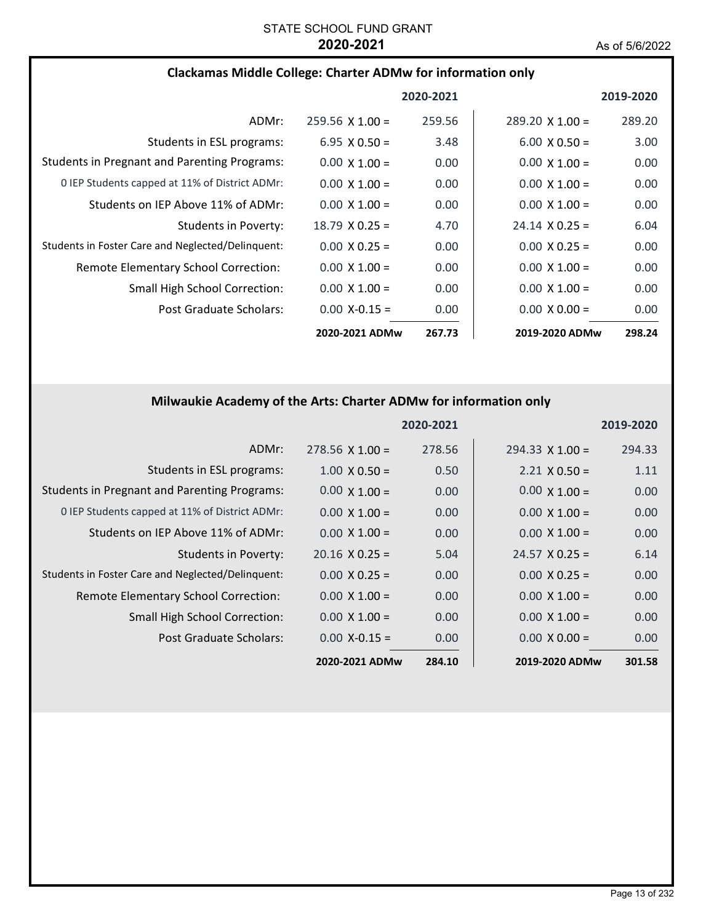## **Clackamas Middle College: Charter ADMw for information only**

|                                                     |                        | 2020-2021 |                        | 2019-2020 |
|-----------------------------------------------------|------------------------|-----------|------------------------|-----------|
| ADMr:                                               | $259.56 \times 1.00 =$ | 259.56    | $289.20 \times 1.00 =$ | 289.20    |
| Students in ESL programs:                           | $6.95 \times 0.50 =$   | 3.48      | $6.00 \times 0.50 =$   | 3.00      |
| <b>Students in Pregnant and Parenting Programs:</b> | $0.00 \times 1.00 =$   | 0.00      | $0.00 \times 1.00 =$   | 0.00      |
| 0 IEP Students capped at 11% of District ADMr:      | $0.00 \times 1.00 =$   | 0.00      | $0.00 \times 1.00 =$   | 0.00      |
| Students on IEP Above 11% of ADMr:                  | $0.00 \times 1.00 =$   | 0.00      | $0.00 \times 1.00 =$   | 0.00      |
| Students in Poverty:                                | $18.79 \times 0.25 =$  | 4.70      | $24.14 \times 0.25 =$  | 6.04      |
| Students in Foster Care and Neglected/Delinquent:   | $0.00 \times 0.25 =$   | 0.00      | $0.00 \times 0.25 =$   | 0.00      |
| Remote Elementary School Correction:                | $0.00 \times 1.00 =$   | 0.00      | $0.00 \times 1.00 =$   | 0.00      |
| <b>Small High School Correction:</b>                | $0.00 \times 1.00 =$   | 0.00      | $0.00 \times 1.00 =$   | 0.00      |
| Post Graduate Scholars:                             | $0.00 X - 0.15 =$      | 0.00      | $0.00 \times 0.00 =$   | 0.00      |
|                                                     | 2020-2021 ADMw         | 267.73    | 2019-2020 ADMw         | 298.24    |

# **Milwaukie Academy of the Arts: Charter ADMw for information only**

|                                                     |                       | 2020-2021 |                        | 2019-2020 |
|-----------------------------------------------------|-----------------------|-----------|------------------------|-----------|
| ADMr:                                               | $278.56$ X 1.00 =     | 278.56    | $294.33 \times 1.00 =$ | 294.33    |
| Students in ESL programs:                           | $1.00 \times 0.50 =$  | 0.50      | $2.21 \times 0.50 =$   | 1.11      |
| <b>Students in Pregnant and Parenting Programs:</b> | $0.00 \times 1.00 =$  | 0.00      | $0.00 \times 1.00 =$   | 0.00      |
| 0 IEP Students capped at 11% of District ADMr:      | $0.00 \times 1.00 =$  | 0.00      | $0.00 \times 1.00 =$   | 0.00      |
| Students on IEP Above 11% of ADMr:                  | $0.00 \times 1.00 =$  | 0.00      | $0.00 \times 1.00 =$   | 0.00      |
| <b>Students in Poverty:</b>                         | $20.16 \times 0.25 =$ | 5.04      | $24.57 \times 0.25 =$  | 6.14      |
| Students in Foster Care and Neglected/Delinquent:   | $0.00 \times 0.25 =$  | 0.00      | $0.00 \times 0.25 =$   | 0.00      |
| Remote Elementary School Correction:                | $0.00 \times 1.00 =$  | 0.00      | $0.00 \times 1.00 =$   | 0.00      |
| <b>Small High School Correction:</b>                | $0.00 \times 1.00 =$  | 0.00      | $0.00 \times 1.00 =$   | 0.00      |
| Post Graduate Scholars:                             | $0.00 X - 0.15 =$     | 0.00      | $0.00 \times 0.00 =$   | 0.00      |
|                                                     | 2020-2021 ADMw        | 284.10    | 2019-2020 ADMw         | 301.58    |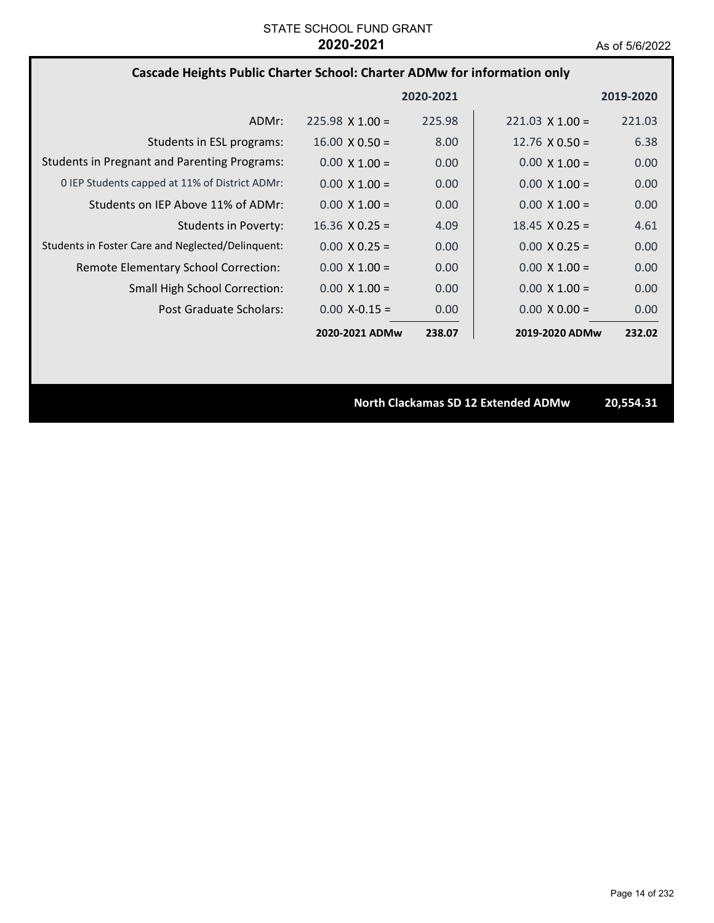## **Cascade Heights Public Charter School: Charter ADMw for information only**

|                                                     |                        | 2020-2021 |                        | 2019-2020 |
|-----------------------------------------------------|------------------------|-----------|------------------------|-----------|
| ADMr:                                               | $225.98 \times 1.00 =$ | 225.98    | $221.03 \times 1.00 =$ | 221.03    |
| Students in ESL programs:                           | $16.00 \times 0.50 =$  | 8.00      | 12.76 $\times$ 0.50 =  | 6.38      |
| <b>Students in Pregnant and Parenting Programs:</b> | $0.00 \times 1.00 =$   | 0.00      | $0.00 \times 1.00 =$   | 0.00      |
| 0 IEP Students capped at 11% of District ADMr:      | $0.00 \times 1.00 =$   | 0.00      | $0.00 \times 1.00 =$   | 0.00      |
| Students on IEP Above 11% of ADMr:                  | $0.00 \times 1.00 =$   | 0.00      | $0.00 \times 1.00 =$   | 0.00      |
| Students in Poverty:                                | $16.36 \times 0.25 =$  | 4.09      | $18.45 \times 0.25 =$  | 4.61      |
| Students in Foster Care and Neglected/Delinquent:   | $0.00 \times 0.25 =$   | 0.00      | $0.00 \times 0.25 =$   | 0.00      |
| Remote Elementary School Correction:                | $0.00 \times 1.00 =$   | 0.00      | $0.00 \times 1.00 =$   | 0.00      |
| <b>Small High School Correction:</b>                | $0.00 \times 1.00 =$   | 0.00      | $0.00 \times 1.00 =$   | 0.00      |
| Post Graduate Scholars:                             | $0.00 X - 0.15 =$      | 0.00      | $0.00 \times 0.00 =$   | 0.00      |
|                                                     | 2020-2021 ADMw         | 238.07    | 2019-2020 ADMw         | 232.02    |

**North Clackamas SD 12 Extended ADMw 20,554.31**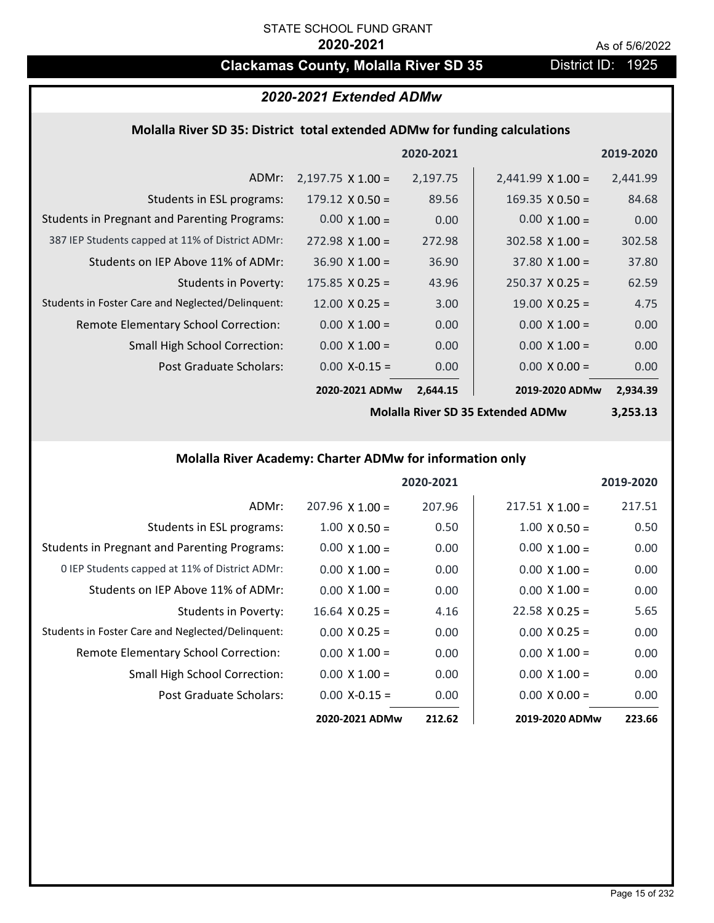# **Clackamas County, Molalla River SD 35** District ID: 1925

# *2020-2021 Extended ADMw*

## **Molalla River SD 35: District total extended ADMw for funding calculations**

|                                                     |                          | 2020-2021 |                          | 2019-2020 |
|-----------------------------------------------------|--------------------------|-----------|--------------------------|-----------|
| ADMr:                                               | $2,197.75 \times 1.00 =$ | 2,197.75  | $2,441.99 \times 1.00 =$ | 2,441.99  |
| Students in ESL programs:                           | $179.12 \times 0.50 =$   | 89.56     | $169.35 \times 0.50 =$   | 84.68     |
| <b>Students in Pregnant and Parenting Programs:</b> | $0.00 \times 1.00 =$     | 0.00      | $0.00 \times 1.00 =$     | 0.00      |
| 387 IEP Students capped at 11% of District ADMr:    | $272.98 \times 1.00 =$   | 272.98    | $302.58 \times 1.00 =$   | 302.58    |
| Students on IEP Above 11% of ADMr:                  | $36.90 \times 1.00 =$    | 36.90     | $37.80 \times 1.00 =$    | 37.80     |
| <b>Students in Poverty:</b>                         | $175.85 \times 0.25 =$   | 43.96     | $250.37 \times 0.25 =$   | 62.59     |
| Students in Foster Care and Neglected/Delinquent:   | $12.00 \times 0.25 =$    | 3.00      | $19.00 \times 0.25 =$    | 4.75      |
| Remote Elementary School Correction:                | $0.00 \times 1.00 =$     | 0.00      | $0.00 \times 1.00 =$     | 0.00      |
| <b>Small High School Correction:</b>                | $0.00 \times 1.00 =$     | 0.00      | $0.00 \times 1.00 =$     | 0.00      |
| Post Graduate Scholars:                             | $0.00$ X-0.15 =          | 0.00      | $0.00 \times 0.00 =$     | 0.00      |
|                                                     | 2020-2021 ADMw           | 2,644.15  | 2019-2020 ADMw           | 2,934.39  |

**Molalla River SD 35 Extended ADMw**

**3,253.13**

# **Molalla River Academy: Charter ADMw for information only**

|                                                     |                        | 2020-2021 |                        | 2019-2020 |
|-----------------------------------------------------|------------------------|-----------|------------------------|-----------|
| ADMr:                                               | $207.96 \times 1.00 =$ | 207.96    | $217.51 \times 1.00 =$ | 217.51    |
| Students in ESL programs:                           | $1.00 \times 0.50 =$   | 0.50      | $1.00 \times 0.50 =$   | 0.50      |
| <b>Students in Pregnant and Parenting Programs:</b> | $0.00 \times 1.00 =$   | 0.00      | $0.00 \times 1.00 =$   | 0.00      |
| 0 IEP Students capped at 11% of District ADMr:      | $0.00 \times 1.00 =$   | 0.00      | $0.00 \times 1.00 =$   | 0.00      |
| Students on IEP Above 11% of ADMr:                  | $0.00 \times 1.00 =$   | 0.00      | $0.00 \times 1.00 =$   | 0.00      |
| Students in Poverty:                                | $16.64$ X 0.25 =       | 4.16      | $22.58 \times 0.25 =$  | 5.65      |
| Students in Foster Care and Neglected/Delinquent:   | $0.00 \times 0.25 =$   | 0.00      | $0.00 \times 0.25 =$   | 0.00      |
| Remote Elementary School Correction:                | $0.00 \times 1.00 =$   | 0.00      | $0.00 \times 1.00 =$   | 0.00      |
| <b>Small High School Correction:</b>                | $0.00 \times 1.00 =$   | 0.00      | $0.00 \times 1.00 =$   | 0.00      |
| Post Graduate Scholars:                             | $0.00$ X-0.15 =        | 0.00      | $0.00 \times 0.00 =$   | 0.00      |
|                                                     | 2020-2021 ADMw         | 212.62    | 2019-2020 ADMw         | 223.66    |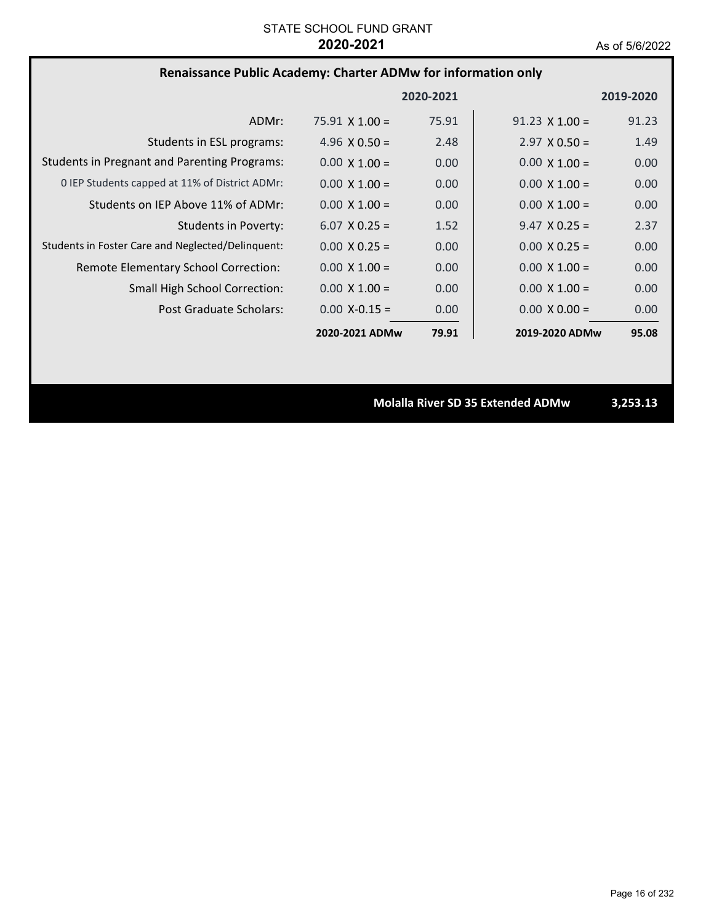# **Renaissance Public Academy: Charter ADMw for information only**

|                                                     |                       | 2020-2021 |                       | 2019-2020 |
|-----------------------------------------------------|-----------------------|-----------|-----------------------|-----------|
| ADMr:                                               | $75.91 \times 1.00 =$ | 75.91     | $91.23 \times 1.00 =$ | 91.23     |
| Students in ESL programs:                           | 4.96 $\times$ 0.50 =  | 2.48      | $2.97 \times 0.50 =$  | 1.49      |
| <b>Students in Pregnant and Parenting Programs:</b> | $0.00 \times 1.00 =$  | 0.00      | $0.00 \times 1.00 =$  | 0.00      |
| 0 IEP Students capped at 11% of District ADMr:      | $0.00 \times 1.00 =$  | 0.00      | $0.00 \times 1.00 =$  | 0.00      |
| Students on IEP Above 11% of ADMr:                  | $0.00 \times 1.00 =$  | 0.00      | $0.00 \times 1.00 =$  | 0.00      |
| Students in Poverty:                                | $6.07 \times 0.25 =$  | 1.52      | $9.47 \times 0.25 =$  | 2.37      |
| Students in Foster Care and Neglected/Delinquent:   | $0.00 \times 0.25 =$  | 0.00      | $0.00 \times 0.25 =$  | 0.00      |
| Remote Elementary School Correction:                | $0.00 \times 1.00 =$  | 0.00      | $0.00 \times 1.00 =$  | 0.00      |
| <b>Small High School Correction:</b>                | $0.00 \times 1.00 =$  | 0.00      | $0.00 \times 1.00 =$  | 0.00      |
| Post Graduate Scholars:                             | $0.00 X - 0.15 =$     | 0.00      | $0.00 \times 0.00 =$  | 0.00      |
|                                                     | 2020-2021 ADMw        | 79.91     | 2019-2020 ADMw        | 95.08     |

**Molalla River SD 35 Extended ADMw 3,253.13**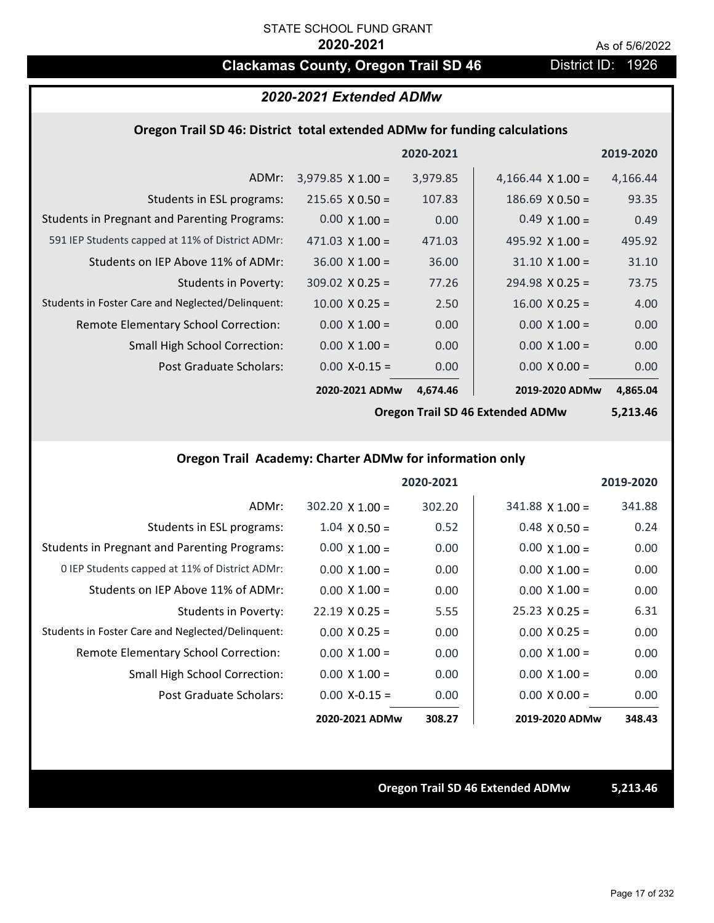# **Clackamas County, Oregon Trail SD 46** District ID: 1926

# *2020-2021 Extended ADMw*

## **Oregon Trail SD 46: District total extended ADMw for funding calculations**

|                                                     |                          | 2020-2021 |                          | 2019-2020 |
|-----------------------------------------------------|--------------------------|-----------|--------------------------|-----------|
| ADMr:                                               | $3,979.85 \times 1.00 =$ | 3,979.85  | 4,166.44 $\times$ 1.00 = | 4,166.44  |
| Students in ESL programs:                           | $215.65 \times 0.50 =$   | 107.83    | $186.69 \times 0.50 =$   | 93.35     |
| <b>Students in Pregnant and Parenting Programs:</b> | $0.00 \times 1.00 =$     | 0.00      | $0.49 \times 1.00 =$     | 0.49      |
| 591 IEP Students capped at 11% of District ADMr:    | $471.03 \times 1.00 =$   | 471.03    | 495.92 $\times$ 1.00 =   | 495.92    |
| Students on IEP Above 11% of ADMr:                  | $36.00 \times 1.00 =$    | 36.00     | $31.10 \times 1.00 =$    | 31.10     |
| Students in Poverty:                                | $309.02 \times 0.25 =$   | 77.26     | $294.98 \times 0.25 =$   | 73.75     |
| Students in Foster Care and Neglected/Delinquent:   | $10.00 \times 0.25 =$    | 2.50      | $16.00 \times 0.25 =$    | 4.00      |
| Remote Elementary School Correction:                | $0.00 \times 1.00 =$     | 0.00      | $0.00 \times 1.00 =$     | 0.00      |
| <b>Small High School Correction:</b>                | $0.00 \times 1.00 =$     | 0.00      | $0.00 \times 1.00 =$     | 0.00      |
| Post Graduate Scholars:                             | $0.00$ X-0.15 =          | 0.00      | $0.00 \times 0.00 =$     | 0.00      |
|                                                     | 2020-2021 ADMw           | 4,674.46  | 2019-2020 ADMw           | 4,865.04  |

**Oregon Trail SD 46 Extended ADMw**

**5,213.46**

# **Oregon Trail Academy: Charter ADMw for information only**

|                                                     |                       | 2020-2021 |                       | 2019-2020 |
|-----------------------------------------------------|-----------------------|-----------|-----------------------|-----------|
| ADMr:                                               | $302.20$ X 1.00 =     | 302.20    | $341.88$ X 1.00 =     | 341.88    |
| Students in ESL programs:                           | $1.04 \times 0.50 =$  | 0.52      | $0.48 \times 0.50 =$  | 0.24      |
| <b>Students in Pregnant and Parenting Programs:</b> | $0.00 \times 1.00 =$  | 0.00      | $0.00 \times 1.00 =$  | 0.00      |
| 0 IEP Students capped at 11% of District ADMr:      | $0.00 \times 1.00 =$  | 0.00      | $0.00 \times 1.00 =$  | 0.00      |
| Students on IEP Above 11% of ADMr:                  | $0.00 \times 1.00 =$  | 0.00      | $0.00 \times 1.00 =$  | 0.00      |
| Students in Poverty:                                | $22.19 \times 0.25 =$ | 5.55      | $25.23 \times 0.25 =$ | 6.31      |
| Students in Foster Care and Neglected/Delinquent:   | $0.00 \times 0.25 =$  | 0.00      | $0.00 \times 0.25 =$  | 0.00      |
| Remote Elementary School Correction:                | $0.00 \times 1.00 =$  | 0.00      | $0.00 \times 1.00 =$  | 0.00      |
| <b>Small High School Correction:</b>                | $0.00 \times 1.00 =$  | 0.00      | $0.00 \times 1.00 =$  | 0.00      |
| Post Graduate Scholars:                             | $0.00$ X-0.15 =       | 0.00      | $0.00 \times 0.00 =$  | 0.00      |
|                                                     | 2020-2021 ADMw        | 308.27    | 2019-2020 ADMw        | 348.43    |

## **Oregon Trail SD 46 Extended ADMw 5,213.46**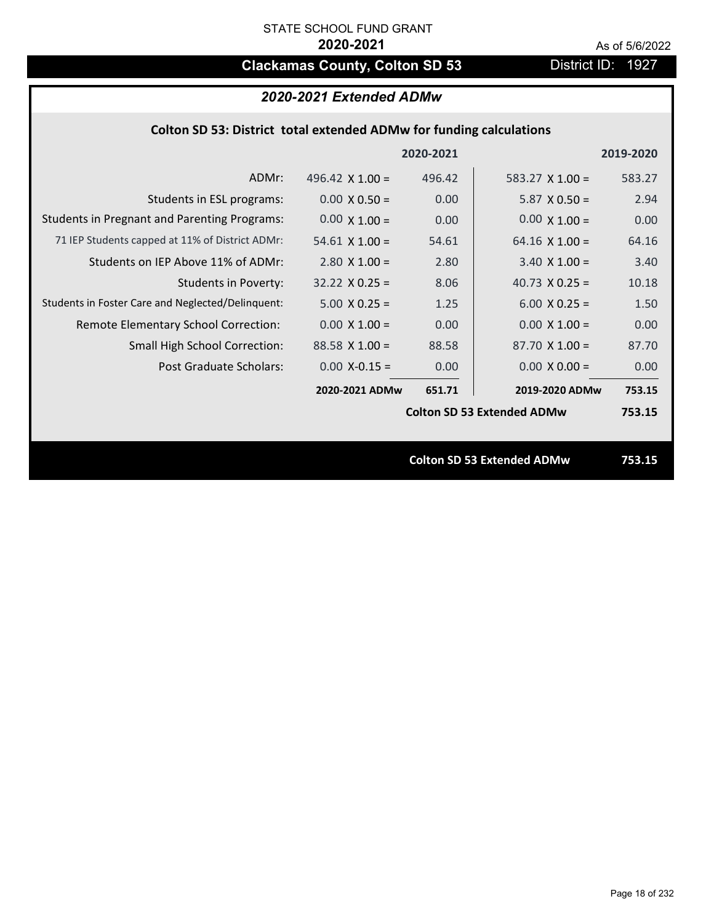# **Clackamas County, Colton SD 53** District ID: 1927

# *2020-2021 Extended ADMw*

# **Colton SD 53: District total extended ADMw for funding calculations**

|                                                     |                        |           | <b>Colton SD 53 Extended ADMw</b> | 753.15    |
|-----------------------------------------------------|------------------------|-----------|-----------------------------------|-----------|
|                                                     |                        |           | <b>Colton SD 53 Extended ADMw</b> | 753.15    |
|                                                     | 2020-2021 ADMw         | 651.71    | 2019-2020 ADMw                    | 753.15    |
| Post Graduate Scholars:                             | $0.00$ X-0.15 =        | 0.00      | $0.00 \times 0.00 =$              | 0.00      |
| <b>Small High School Correction:</b>                | $88.58$ X 1.00 =       | 88.58     | $87.70 \times 1.00 =$             | 87.70     |
| Remote Elementary School Correction:                | $0.00 \times 1.00 =$   | 0.00      | $0.00 \times 1.00 =$              | 0.00      |
| Students in Foster Care and Neglected/Delinquent:   | $5.00 \times 0.25 =$   | 1.25      | $6.00 \times 0.25 =$              | 1.50      |
| <b>Students in Poverty:</b>                         | $32.22 \times 0.25 =$  | 8.06      | 40.73 $X$ 0.25 =                  | 10.18     |
| Students on IEP Above 11% of ADMr:                  | $2.80 \times 1.00 =$   | 2.80      | $3.40 \times 1.00 =$              | 3.40      |
| 71 IEP Students capped at 11% of District ADMr:     | $54.61 \times 1.00 =$  | 54.61     | 64.16 $\times$ 1.00 =             | 64.16     |
| <b>Students in Pregnant and Parenting Programs:</b> | $0.00 \times 1.00 =$   | 0.00      | $0.00 \times 1.00 =$              | 0.00      |
| Students in ESL programs:                           | $0.00 \times 0.50 =$   | 0.00      | $5.87 \times 0.50 =$              | 2.94      |
| ADMr:                                               | 496.42 $\times$ 1.00 = | 496.42    | 583.27 $X$ 1.00 =                 | 583.27    |
|                                                     |                        | 2020-2021 |                                   | 2019-2020 |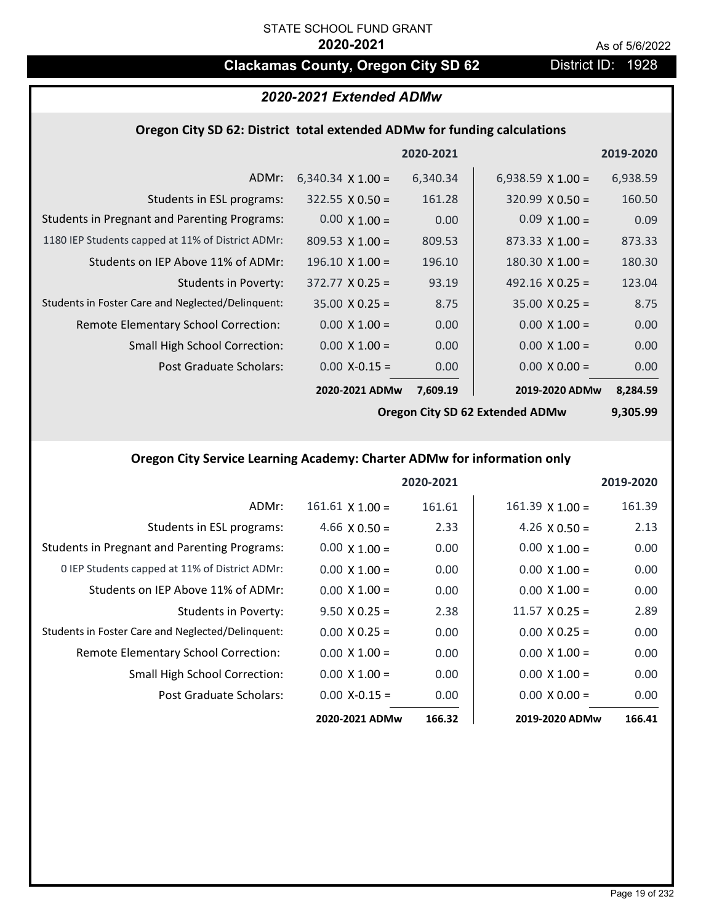# **Clackamas County, Oregon City SD 62** District ID: 1928

# *2020-2021 Extended ADMw*

## **Oregon City SD 62: District total extended ADMw for funding calculations**

|                                                     |                          | 2020-2021 |                          | 2019-2020 |
|-----------------------------------------------------|--------------------------|-----------|--------------------------|-----------|
| ADMr:                                               | 6,340.34 $\times$ 1.00 = | 6,340.34  | 6,938.59 $\times$ 1.00 = | 6,938.59  |
| Students in ESL programs:                           | $322.55 \times 0.50 =$   | 161.28    | $320.99 \times 0.50 =$   | 160.50    |
| <b>Students in Pregnant and Parenting Programs:</b> | $0.00 \times 1.00 =$     | 0.00      | $0.09 \times 1.00 =$     | 0.09      |
| 1180 IEP Students capped at 11% of District ADMr:   | $809.53 \times 1.00 =$   | 809.53    | $873.33 \times 1.00 =$   | 873.33    |
| Students on IEP Above 11% of ADMr:                  | $196.10 \times 1.00 =$   | 196.10    | $180.30 \times 1.00 =$   | 180.30    |
| <b>Students in Poverty:</b>                         | $372.77 \times 0.25 =$   | 93.19     | 492.16 $X$ 0.25 =        | 123.04    |
| Students in Foster Care and Neglected/Delinquent:   | $35.00 \times 0.25 =$    | 8.75      | $35.00 \times 0.25 =$    | 8.75      |
| Remote Elementary School Correction:                | $0.00 \times 1.00 =$     | 0.00      | $0.00 \times 1.00 =$     | 0.00      |
| <b>Small High School Correction:</b>                | $0.00 \times 1.00 =$     | 0.00      | $0.00 \times 1.00 =$     | 0.00      |
| Post Graduate Scholars:                             | $0.00$ X-0.15 =          | 0.00      | $0.00 \times 0.00 =$     | 0.00      |
|                                                     | 2020-2021 ADMw           | 7,609.19  | 2019-2020 ADMw           | 8,284.59  |

**Oregon City SD 62 Extended ADMw**

**9,305.99**

# **Oregon City Service Learning Academy: Charter ADMw for information only**

|                                                     |                        | 2020-2021 |                       | 2019-2020 |
|-----------------------------------------------------|------------------------|-----------|-----------------------|-----------|
| ADMr:                                               | $161.61 \times 1.00 =$ | 161.61    | $161.39$ X $1.00 =$   | 161.39    |
| Students in ESL programs:                           | $4.66 \times 0.50 =$   | 2.33      | 4.26 $\times$ 0.50 =  | 2.13      |
| <b>Students in Pregnant and Parenting Programs:</b> | $0.00 \times 1.00 =$   | 0.00      | $0.00 \times 1.00 =$  | 0.00      |
| 0 IEP Students capped at 11% of District ADMr:      | $0.00 \times 1.00 =$   | 0.00      | $0.00 \times 1.00 =$  | 0.00      |
| Students on IEP Above 11% of ADMr:                  | $0.00 \times 1.00 =$   | 0.00      | $0.00 \times 1.00 =$  | 0.00      |
| Students in Poverty:                                | $9.50 \times 0.25 =$   | 2.38      | $11.57 \times 0.25 =$ | 2.89      |
| Students in Foster Care and Neglected/Delinquent:   | $0.00 \times 0.25 =$   | 0.00      | $0.00 \times 0.25 =$  | 0.00      |
| Remote Elementary School Correction:                | $0.00 \times 1.00 =$   | 0.00      | $0.00 \times 1.00 =$  | 0.00      |
| <b>Small High School Correction:</b>                | $0.00 \times 1.00 =$   | 0.00      | $0.00 \times 1.00 =$  | 0.00      |
| Post Graduate Scholars:                             | $0.00$ X-0.15 =        | 0.00      | $0.00 \times 0.00 =$  | 0.00      |
|                                                     | 2020-2021 ADMw         | 166.32    | 2019-2020 ADMw        | 166.41    |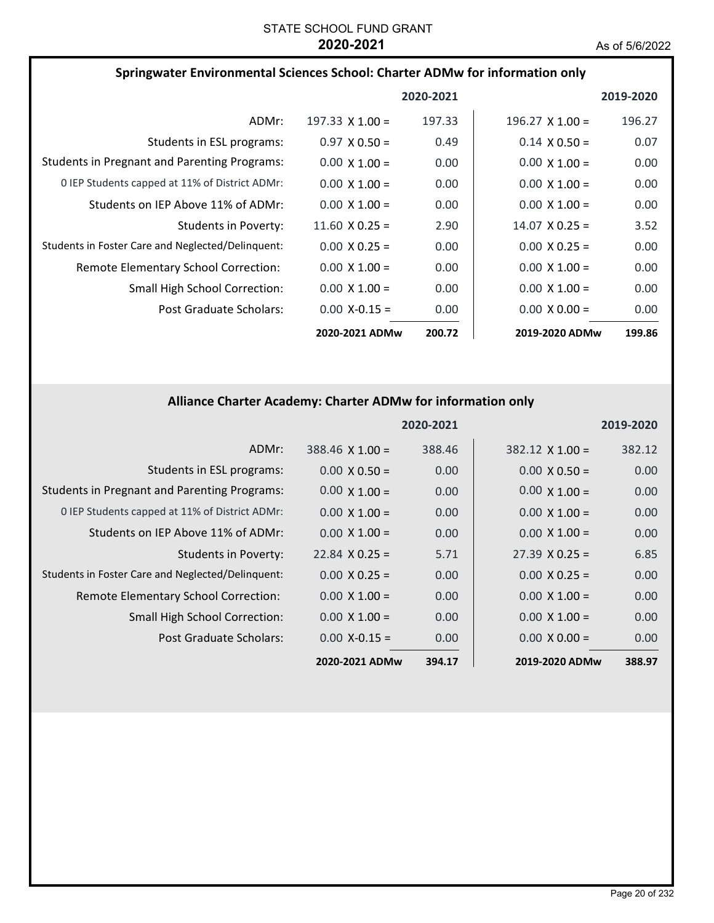| Springwater Environmental Sciences School: Charter ADMw for information only |                        |           |                        |           |
|------------------------------------------------------------------------------|------------------------|-----------|------------------------|-----------|
|                                                                              |                        | 2020-2021 |                        | 2019-2020 |
| ADMr:                                                                        | $197.33 \times 1.00 =$ | 197.33    | $196.27 \times 1.00 =$ | 196.27    |
| Students in ESL programs:                                                    | $0.97 \times 0.50 =$   | 0.49      | $0.14 \times 0.50 =$   | 0.07      |
| <b>Students in Pregnant and Parenting Programs:</b>                          | $0.00 \times 1.00 =$   | 0.00      | $0.00 \times 1.00 =$   | 0.00      |
| 0 IEP Students capped at 11% of District ADMr:                               | $0.00 \times 1.00 =$   | 0.00      | $0.00 \times 1.00 =$   | 0.00      |
| Students on IEP Above 11% of ADMr:                                           | $0.00 \times 1.00 =$   | 0.00      | $0.00 \times 1.00 =$   | 0.00      |
| Students in Poverty:                                                         | $11.60 \times 0.25 =$  | 2.90      | $14.07 \times 0.25 =$  | 3.52      |
| Students in Foster Care and Neglected/Delinquent:                            | $0.00 \times 0.25 =$   | 0.00      | $0.00 \times 0.25 =$   | 0.00      |
| Remote Elementary School Correction:                                         | $0.00 \times 1.00 =$   | 0.00      | $0.00 \times 1.00 =$   | 0.00      |
| <b>Small High School Correction:</b>                                         | $0.00 \times 1.00 =$   | 0.00      | $0.00 \times 1.00 =$   | 0.00      |
| Post Graduate Scholars:                                                      | $0.00 X - 0.15 =$      | 0.00      | $0.00 \times 0.00 =$   | 0.00      |
|                                                                              | 2020-2021 ADMw         | 200.72    | 2019-2020 ADMw         | 199.86    |

# **Alliance Charter Academy: Charter ADMw for information only**

|                                                     |                        | 2020-2021 |                       | 2019-2020 |
|-----------------------------------------------------|------------------------|-----------|-----------------------|-----------|
| ADMr:                                               | $388.46 \times 1.00 =$ | 388.46    | $382.12$ X 1.00 =     | 382.12    |
| Students in ESL programs:                           | $0.00 \times 0.50 =$   | 0.00      | $0.00 \times 0.50 =$  | 0.00      |
| <b>Students in Pregnant and Parenting Programs:</b> | $0.00 \times 1.00 =$   | 0.00      | $0.00 \times 1.00 =$  | 0.00      |
| 0 IEP Students capped at 11% of District ADMr:      | $0.00 \times 1.00 =$   | 0.00      | $0.00 \times 1.00 =$  | 0.00      |
| Students on IEP Above 11% of ADMr:                  | $0.00 \times 1.00 =$   | 0.00      | $0.00 \times 1.00 =$  | 0.00      |
| <b>Students in Poverty:</b>                         | $22.84 \times 0.25 =$  | 5.71      | $27.39 \times 0.25 =$ | 6.85      |
| Students in Foster Care and Neglected/Delinquent:   | $0.00 \times 0.25 =$   | 0.00      | $0.00 \times 0.25 =$  | 0.00      |
| Remote Elementary School Correction:                | $0.00 \times 1.00 =$   | 0.00      | $0.00 \times 1.00 =$  | 0.00      |
| <b>Small High School Correction:</b>                | $0.00 \times 1.00 =$   | 0.00      | $0.00 \times 1.00 =$  | 0.00      |
| Post Graduate Scholars:                             | $0.00$ X-0.15 =        | 0.00      | $0.00 \times 0.00 =$  | 0.00      |
|                                                     | 2020-2021 ADMw         | 394.17    | 2019-2020 ADMw        | 388.97    |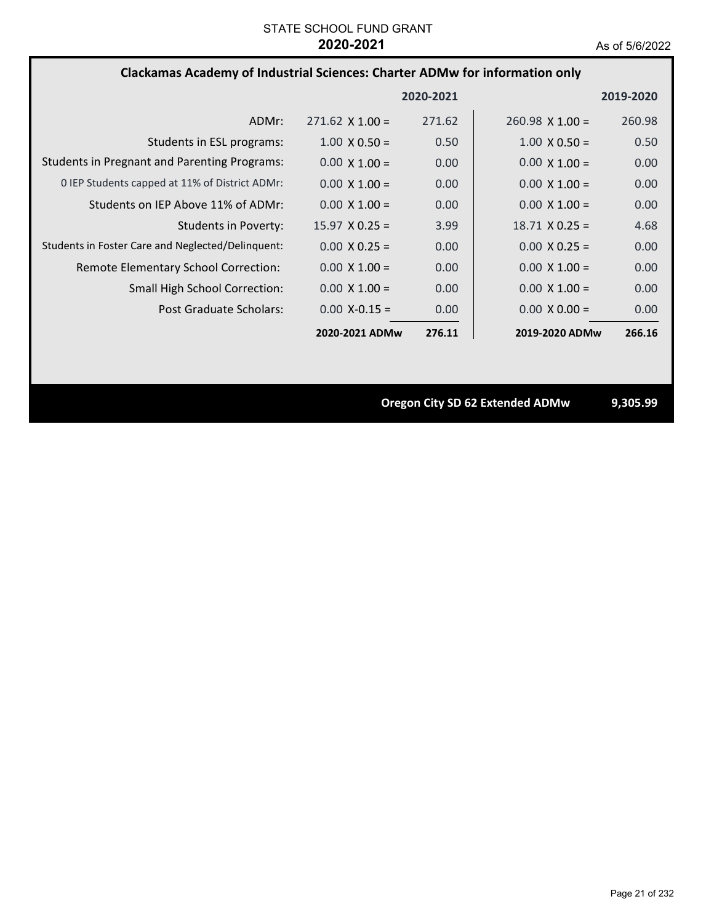# **Clackamas Academy of Industrial Sciences: Charter ADMw for information only**

|                                                     |                        | 2020-2021         |                        | 2019-2020 |
|-----------------------------------------------------|------------------------|-------------------|------------------------|-----------|
| ADMr:                                               | $271.62 \times 1.00 =$ | 271.62            | $260.98 \times 1.00 =$ | 260.98    |
| Students in ESL programs:                           | $1.00 \times 0.50 =$   | 0.50              | $1.00 \times 0.50 =$   | 0.50      |
| <b>Students in Pregnant and Parenting Programs:</b> | $0.00 \times 1.00 =$   | 0.00              | $0.00 \times 1.00 =$   | 0.00      |
| 0 IEP Students capped at 11% of District ADMr:      | $0.00 \times 1.00 =$   | 0.00              | $0.00 \times 1.00 =$   | 0.00      |
| Students on IEP Above 11% of ADMr:                  | $0.00 \times 1.00 =$   | 0.00 <sub>1</sub> | $0.00 \times 1.00 =$   | 0.00      |
| Students in Poverty:                                | $15.97 \times 0.25 =$  | 3.99              | $18.71 \times 0.25 =$  | 4.68      |
| Students in Foster Care and Neglected/Delinquent:   | $0.00 \times 0.25 =$   | 0.00              | $0.00 \times 0.25 =$   | 0.00      |
| Remote Elementary School Correction:                | $0.00 \times 1.00 =$   | 0.00              | $0.00 \times 1.00 =$   | 0.00      |
| <b>Small High School Correction:</b>                | $0.00 \times 1.00 =$   | 0.00              | $0.00 \times 1.00 =$   | 0.00      |
| Post Graduate Scholars:                             | $0.00 X - 0.15 =$      | 0.00              | $0.00 \times 0.00 =$   | 0.00      |
|                                                     | 2020-2021 ADMw         | 276.11            | 2019-2020 ADMw         | 266.16    |

**Oregon City SD 62 Extended ADMw 9,305.99**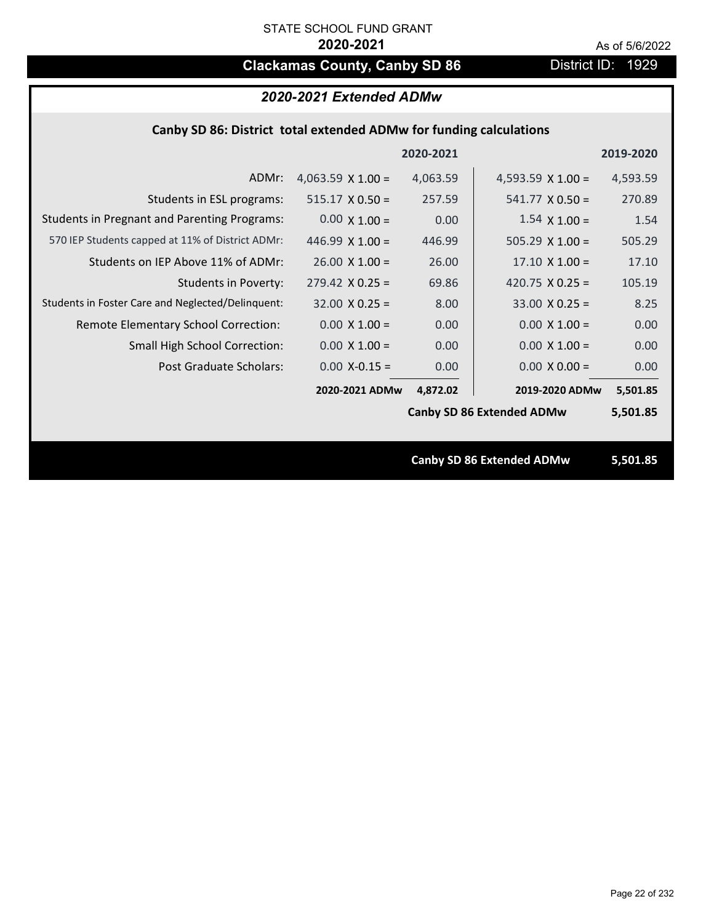# **Clackamas County, Canby SD 86** District ID: 1929

## *2020-2021 Extended ADMw*

## **Canby SD 86: District total extended ADMw for funding calculations**

|                                                     |                          | 2020-2021 |                                  | 2019-2020 |
|-----------------------------------------------------|--------------------------|-----------|----------------------------------|-----------|
| ADMr:                                               | 4,063.59 $\times$ 1.00 = | 4,063.59  | 4,593.59 $\times$ 1.00 =         | 4,593.59  |
| Students in ESL programs:                           | $515.17 \times 0.50 =$   | 257.59    | $541.77 \times 0.50 =$           | 270.89    |
| <b>Students in Pregnant and Parenting Programs:</b> | $0.00 \times 1.00 =$     | 0.00      | $1.54 \times 1.00 =$             | 1.54      |
| 570 IEP Students capped at 11% of District ADMr:    | 446.99 $\times$ 1.00 =   | 446.99    | $505.29 \times 1.00 =$           | 505.29    |
| Students on IEP Above 11% of ADMr:                  | $26.00 \times 1.00 =$    | 26.00     | $17.10 \times 1.00 =$            | 17.10     |
| <b>Students in Poverty:</b>                         | $279.42$ X 0.25 =        | 69.86     | 420.75 $X$ 0.25 =                | 105.19    |
| Students in Foster Care and Neglected/Delinquent:   | $32.00 \times 0.25 =$    | 8.00      | $33.00 \times 0.25 =$            | 8.25      |
| Remote Elementary School Correction:                | $0.00 \times 1.00 =$     | 0.00      | $0.00 \times 1.00 =$             | 0.00      |
| <b>Small High School Correction:</b>                | $0.00 \times 1.00 =$     | 0.00      | $0.00 \times 1.00 =$             | 0.00      |
| Post Graduate Scholars:                             | $0.00$ X-0.15 =          | 0.00      | $0.00 \times 0.00 =$             | 0.00      |
|                                                     | 2020-2021 ADMw           | 4,872.02  | 2019-2020 ADMw                   | 5,501.85  |
|                                                     |                          |           | <b>Canby SD 86 Extended ADMw</b> | 5,501.85  |
|                                                     |                          |           |                                  |           |
|                                                     |                          |           | <b>Canby SD 86 Extended ADMw</b> | 5,501.85  |
|                                                     |                          |           |                                  |           |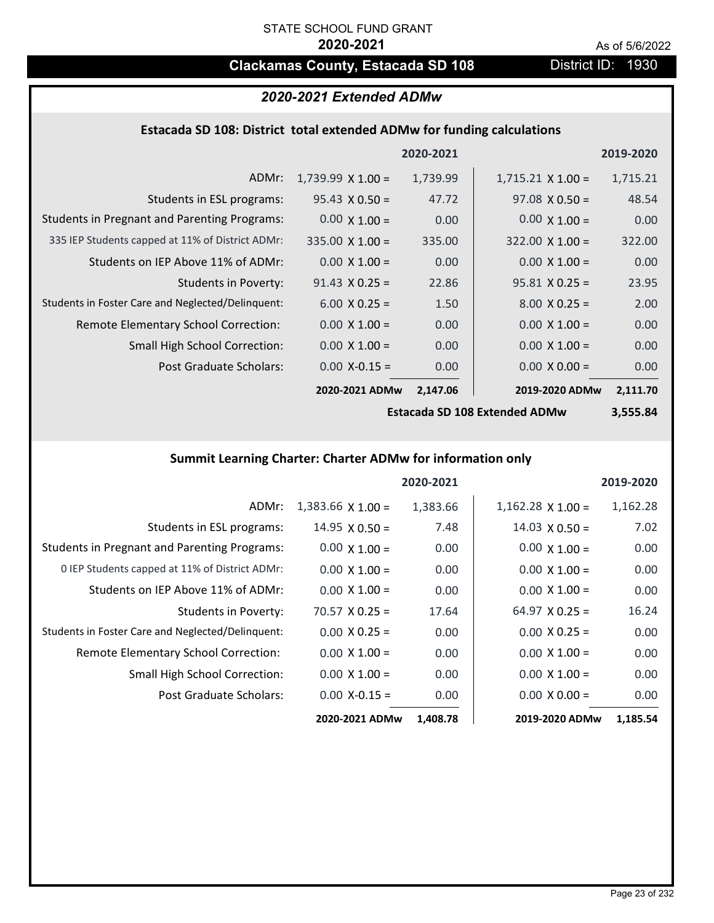# **Clackamas County, Estacada SD 108** District ID: 1930

# *2020-2021 Extended ADMw*

# **Estacada SD 108: District total extended ADMw for funding calculations**

|                                                     |                          | 2020-2021 |                          | 2019-2020 |
|-----------------------------------------------------|--------------------------|-----------|--------------------------|-----------|
| ADMr:                                               | $1,739.99 \times 1.00 =$ | 1,739.99  | $1,715.21 \times 1.00 =$ | 1,715.21  |
| Students in ESL programs:                           | $95.43 \times 0.50 =$    | 47.72     | $97.08 \times 0.50 =$    | 48.54     |
| <b>Students in Pregnant and Parenting Programs:</b> | $0.00 \times 1.00 =$     | 0.00      | $0.00 \times 1.00 =$     | 0.00      |
| 335 IEP Students capped at 11% of District ADMr:    | $335.00 \times 1.00 =$   | 335.00    | $322.00 \times 1.00 =$   | 322.00    |
| Students on IEP Above 11% of ADMr:                  | $0.00 \times 1.00 =$     | 0.00      | $0.00 \times 1.00 =$     | 0.00      |
| Students in Poverty:                                | $91.43 \times 0.25 =$    | 22.86     | $95.81$ X 0.25 =         | 23.95     |
| Students in Foster Care and Neglected/Delinquent:   | $6.00 \times 0.25 =$     | 1.50      | $8.00 \times 0.25 =$     | 2.00      |
| Remote Elementary School Correction:                | $0.00 \times 1.00 =$     | 0.00      | $0.00 \times 1.00 =$     | 0.00      |
| <b>Small High School Correction:</b>                | $0.00 \times 1.00 =$     | 0.00      | $0.00 \times 1.00 =$     | 0.00      |
| Post Graduate Scholars:                             | $0.00 X - 0.15 =$        | 0.00      | $0.00 \times 0.00 =$     | 0.00      |
|                                                     | 2020-2021 ADMw           | 2,147.06  | 2019-2020 ADMw           | 2,111.70  |

**Estacada SD 108 Extended ADMw**

**3,555.84**

# **Summit Learning Charter: Charter ADMw for information only**

|                                                     |                       | 2020-2021 |                          | 2019-2020 |
|-----------------------------------------------------|-----------------------|-----------|--------------------------|-----------|
| ADMr:                                               | $1,383.66$ X $1.00 =$ | 1,383.66  | $1,162.28 \times 1.00 =$ | 1,162.28  |
| Students in ESL programs:                           | $14.95 \times 0.50 =$ | 7.48      | $14.03 \times 0.50 =$    | 7.02      |
| <b>Students in Pregnant and Parenting Programs:</b> | $0.00 \times 1.00 =$  | 0.00      | $0.00 \times 1.00 =$     | 0.00      |
| 0 IEP Students capped at 11% of District ADMr:      | $0.00 \times 1.00 =$  | 0.00      | $0.00 \times 1.00 =$     | 0.00      |
| Students on IEP Above 11% of ADMr:                  | $0.00 \times 1.00 =$  | 0.00      | $0.00 \times 1.00 =$     | 0.00      |
| Students in Poverty:                                | $70.57 \times 0.25 =$ | 17.64     | $64.97$ X 0.25 =         | 16.24     |
| Students in Foster Care and Neglected/Delinquent:   | $0.00 \times 0.25 =$  | 0.00      | $0.00 \times 0.25 =$     | 0.00      |
| Remote Elementary School Correction:                | $0.00 \times 1.00 =$  | 0.00      | $0.00 \times 1.00 =$     | 0.00      |
| <b>Small High School Correction:</b>                | $0.00 \times 1.00 =$  | 0.00      | $0.00 \times 1.00 =$     | 0.00      |
| Post Graduate Scholars:                             | $0.00$ X-0.15 =       | 0.00      | $0.00 \times 0.00 =$     | 0.00      |
|                                                     | 2020-2021 ADMw        | 1,408.78  | 2019-2020 ADMw           | 1,185.54  |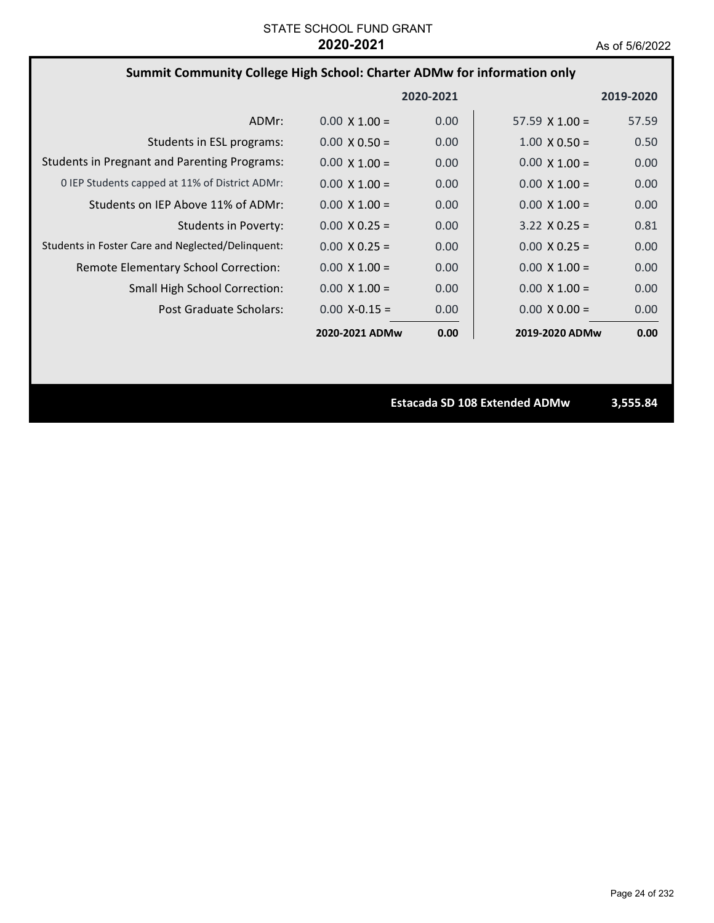# **Summit Community College High School: Charter ADMw for information only**

|                                                     |                      | 2020-2021 |                      | 2019-2020 |
|-----------------------------------------------------|----------------------|-----------|----------------------|-----------|
| ADMr:                                               | $0.00 \times 1.00 =$ | 0.00      | 57.59 $X$ 1.00 =     | 57.59     |
| Students in ESL programs:                           | $0.00 \times 0.50 =$ | 0.00      | $1.00 \times 0.50 =$ | 0.50      |
| <b>Students in Pregnant and Parenting Programs:</b> | $0.00 \times 1.00 =$ | 0.00      | $0.00 \times 1.00 =$ | 0.00      |
| 0 IEP Students capped at 11% of District ADMr:      | $0.00 \times 1.00 =$ | 0.00      | $0.00 \times 1.00 =$ | 0.00      |
| Students on IEP Above 11% of ADMr:                  | $0.00 \times 1.00 =$ | 0.00      | $0.00 \times 1.00 =$ | 0.00      |
| Students in Poverty:                                | $0.00 \times 0.25 =$ | 0.00      | $3.22 \times 0.25 =$ | 0.81      |
| Students in Foster Care and Neglected/Delinquent:   | $0.00 \times 0.25 =$ | 0.00      | $0.00 \times 0.25 =$ | 0.00      |
| Remote Elementary School Correction:                | $0.00 \times 1.00 =$ | 0.00      | $0.00 \times 1.00 =$ | 0.00      |
| <b>Small High School Correction:</b>                | $0.00 \times 1.00 =$ | 0.00      | $0.00 \times 1.00 =$ | 0.00      |
| Post Graduate Scholars:                             | $0.00 X - 0.15 =$    | 0.00      | $0.00 \times 0.00 =$ | 0.00      |
|                                                     | 2020-2021 ADMw       | 0.00      | 2019-2020 ADMw       | 0.00      |

**Estacada SD 108 Extended ADMw 3,555.84**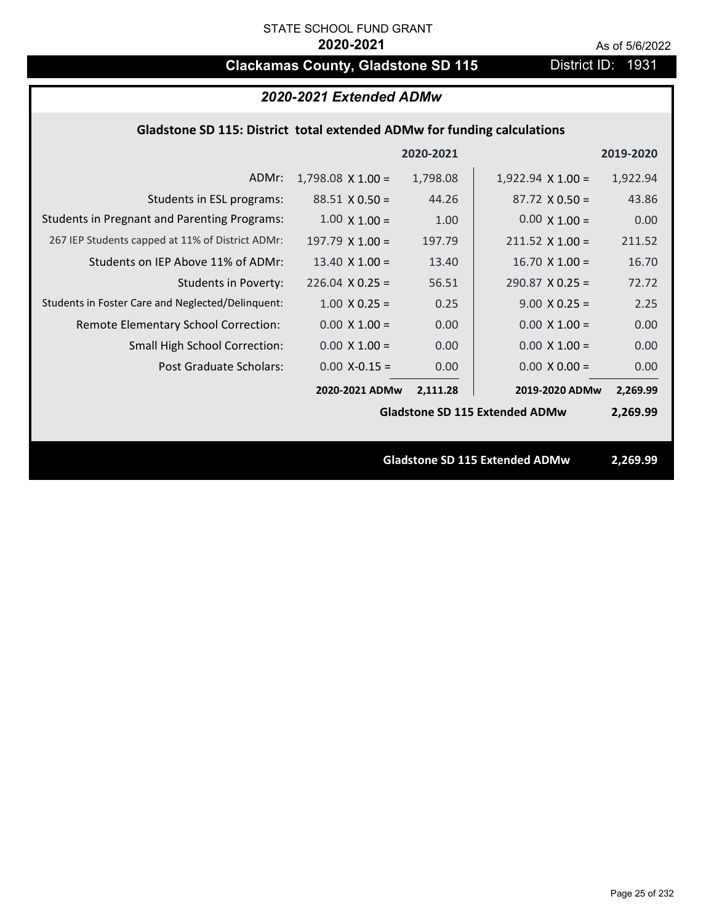# **Clackamas County, Gladstone SD 115** District ID: 1931

| 2020-2021 Extended ADMw                                                 |                          |           |                                       |           |
|-------------------------------------------------------------------------|--------------------------|-----------|---------------------------------------|-----------|
| Gladstone SD 115: District total extended ADMw for funding calculations |                          |           |                                       |           |
|                                                                         |                          | 2020-2021 |                                       | 2019-2020 |
| ADMr:                                                                   | $1,798.08 \times 1.00 =$ | 1,798.08  | $1,922.94 \times 1.00 =$              | 1,922.94  |
| Students in ESL programs:                                               | $88.51 \times 0.50 =$    | 44.26     | $87.72 \times 0.50 =$                 | 43.86     |
| <b>Students in Pregnant and Parenting Programs:</b>                     | $1.00 \times 1.00 =$     | 1.00      | $0.00 \times 1.00 =$                  | 0.00      |
| 267 IEP Students capped at 11% of District ADMr:                        | $197.79 \times 1.00 =$   | 197.79    | $211.52 \times 1.00 =$                | 211.52    |
| Students on IEP Above 11% of ADMr:                                      | 13.40 $X$ 1.00 =         | 13.40     | $16.70$ X $1.00 =$                    | 16.70     |
| <b>Students in Poverty:</b>                                             | $226.04$ X 0.25 =        | 56.51     | $290.87$ X 0.25 =                     | 72.72     |
| Students in Foster Care and Neglected/Delinquent:                       | $1.00 \times 0.25 =$     | 0.25      | $9.00 \times 0.25 =$                  | 2.25      |
| Remote Elementary School Correction:                                    | $0.00 \times 1.00 =$     | 0.00      | $0.00 \times 1.00 =$                  | 0.00      |
| <b>Small High School Correction:</b>                                    | $0.00 \times 1.00 =$     | 0.00      | $0.00 \times 1.00 =$                  | 0.00      |
| <b>Post Graduate Scholars:</b>                                          | $0.00$ X-0.15 =          | 0.00      | $0.00 \times 0.00 =$                  | 0.00      |
|                                                                         | 2020-2021 ADMw           | 2,111.28  | 2019-2020 ADMw                        | 2,269.99  |
|                                                                         |                          |           | <b>Gladstone SD 115 Extended ADMw</b> | 2,269.99  |
|                                                                         |                          |           |                                       |           |
|                                                                         |                          |           | <b>Gladstone SD 115 Extended ADMw</b> | 2,269.99  |
|                                                                         |                          |           |                                       |           |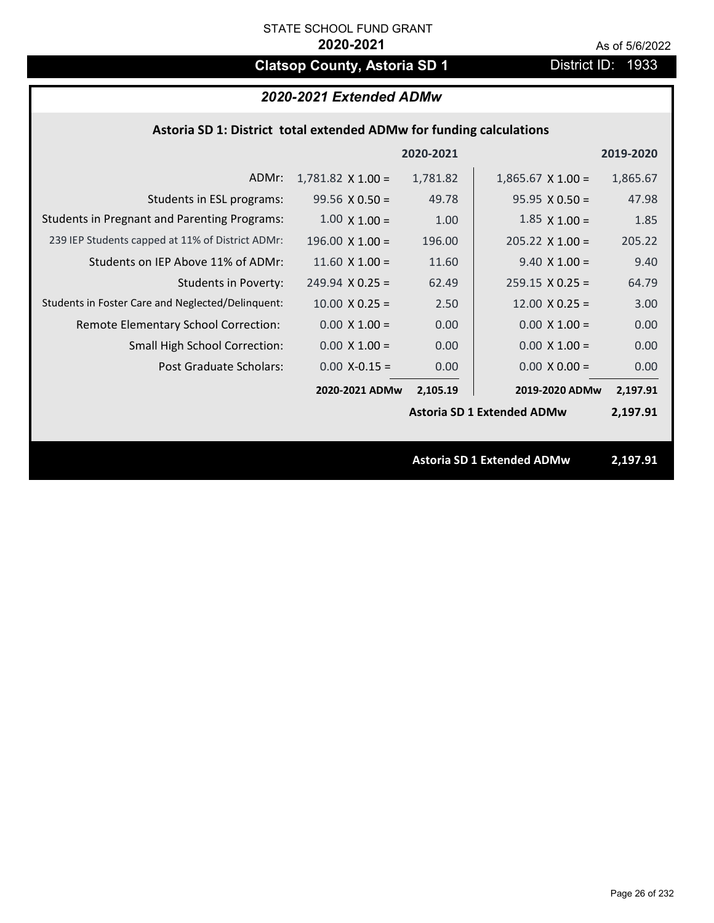# **Clatsop County, Astoria SD 1** District ID: 1933

| 2020-2021 Extended ADMw |  |  |
|-------------------------|--|--|
|-------------------------|--|--|

|  | Astoria SD 1: District total extended ADMw for funding calculations |  |
|--|---------------------------------------------------------------------|--|
|--|---------------------------------------------------------------------|--|

|                                                     |                          | 2020-2021 |                                   | 2019-2020 |  |
|-----------------------------------------------------|--------------------------|-----------|-----------------------------------|-----------|--|
| ADMr:                                               | $1,781.82 \times 1.00 =$ | 1,781.82  | $1,865.67$ X $1.00 =$             | 1,865.67  |  |
| Students in ESL programs:                           | $99.56 \times 0.50 =$    | 49.78     | $95.95 \times 0.50 =$             | 47.98     |  |
| <b>Students in Pregnant and Parenting Programs:</b> | $1.00 \times 1.00 =$     | 1.00      | $1.85 \times 1.00 =$              | 1.85      |  |
| 239 IEP Students capped at 11% of District ADMr:    | $196.00 \times 1.00 =$   | 196.00    | $205.22 \times 1.00 =$            | 205.22    |  |
| Students on IEP Above 11% of ADMr:                  | 11.60 $X$ 1.00 =         | 11.60     | $9.40 \times 1.00 =$              | 9.40      |  |
| <b>Students in Poverty:</b>                         | $249.94$ X 0.25 =        | 62.49     | $259.15 \times 0.25 =$            | 64.79     |  |
| Students in Foster Care and Neglected/Delinquent:   | $10.00 \times 0.25 =$    | 2.50      | $12.00 \times 0.25 =$             | 3.00      |  |
| Remote Elementary School Correction:                | $0.00 \times 1.00 =$     | 0.00      | $0.00 \times 1.00 =$              | 0.00      |  |
| <b>Small High School Correction:</b>                | $0.00 \times 1.00 =$     | 0.00      | $0.00 \times 1.00 =$              | 0.00      |  |
| Post Graduate Scholars:                             | $0.00$ X-0.15 =          | 0.00      | $0.00 \times 0.00 =$              | 0.00      |  |
|                                                     | 2020-2021 ADMw           | 2,105.19  | 2019-2020 ADMw                    | 2,197.91  |  |
|                                                     |                          |           | <b>Astoria SD 1 Extended ADMw</b> | 2,197.91  |  |
|                                                     |                          |           |                                   |           |  |
|                                                     |                          |           | <b>Astoria SD 1 Extended ADMw</b> | 2,197.91  |  |
|                                                     |                          |           |                                   |           |  |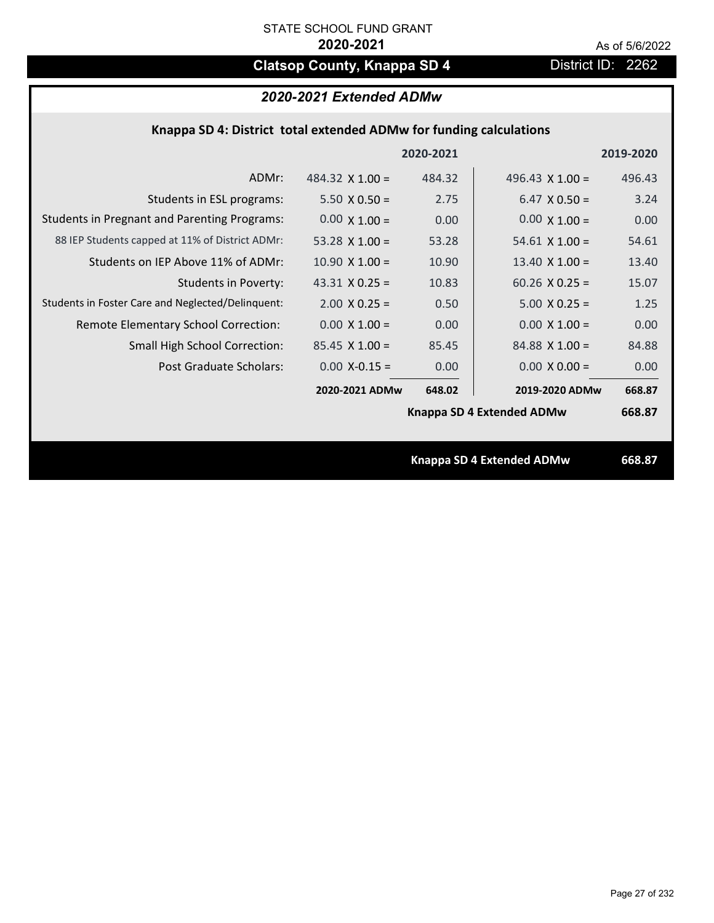# **Clatsop County, Knappa SD 4** District ID: 2262

# *2020-2021 Extended ADMw*

| Knappa SD 4: District total extended ADMw for funding calculations |  |  |  |
|--------------------------------------------------------------------|--|--|--|
|--------------------------------------------------------------------|--|--|--|

|                                                     |                        | 2020-2021 |                           | 2019-2020 |
|-----------------------------------------------------|------------------------|-----------|---------------------------|-----------|
| ADMr:                                               | 484.32 $\times$ 1.00 = | 484.32    | 496.43 $\times$ 1.00 =    | 496.43    |
| Students in ESL programs:                           | $5.50 \times 0.50 =$   | 2.75      | $6.47 \times 0.50 =$      | 3.24      |
| <b>Students in Pregnant and Parenting Programs:</b> | $0.00 \times 1.00 =$   | 0.00      | $0.00 \times 1.00 =$      | 0.00      |
| 88 IEP Students capped at 11% of District ADMr:     | 53.28 $\times$ 1.00 =  | 53.28     | $54.61 \times 1.00 =$     | 54.61     |
| Students on IEP Above 11% of ADMr:                  | $10.90 \times 1.00 =$  | 10.90     | 13.40 $X$ 1.00 =          | 13.40     |
| <b>Students in Poverty:</b>                         | 43.31 $X$ 0.25 =       | 10.83     | $60.26$ X 0.25 =          | 15.07     |
| Students in Foster Care and Neglected/Delinquent:   | $2.00 \times 0.25 =$   | 0.50      | $5.00 \times 0.25 =$      | 1.25      |
| Remote Elementary School Correction:                | $0.00 \times 1.00 =$   | 0.00      | $0.00 \times 1.00 =$      | 0.00      |
| <b>Small High School Correction:</b>                | $85.45 \times 1.00 =$  | 85.45     | $84.88 \times 1.00 =$     | 84.88     |
| Post Graduate Scholars:                             | $0.00$ X-0.15 =        | 0.00      | $0.00 \times 0.00 =$      | 0.00      |
|                                                     | 2020-2021 ADMw         | 648.02    | 2019-2020 ADMw            | 668.87    |
|                                                     |                        |           | Knappa SD 4 Extended ADMw | 668.87    |
|                                                     |                        |           |                           |           |
|                                                     |                        |           | Knappa SD 4 Extended ADMw | 668.87    |
|                                                     |                        |           |                           |           |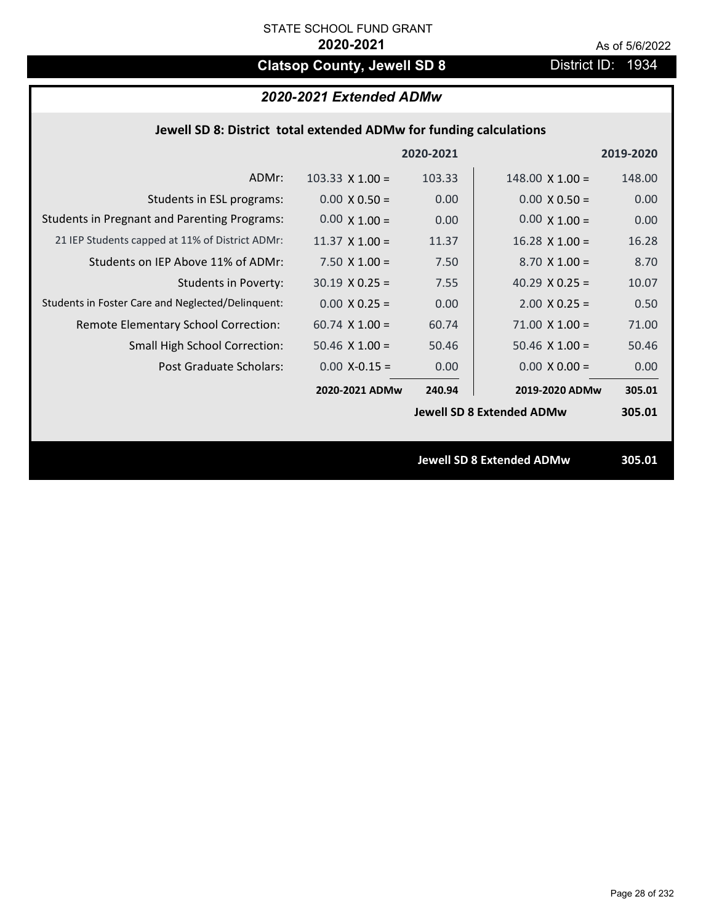# **Clatsop County, Jewell SD 8** District ID: 1934

# *2020-2021 Extended ADMw*

| Jewell SD 8: District total extended ADMw for funding calculations |                        |           |                                  |           |  |
|--------------------------------------------------------------------|------------------------|-----------|----------------------------------|-----------|--|
|                                                                    |                        | 2020-2021 |                                  | 2019-2020 |  |
| ADMr:                                                              | $103.33 \times 1.00 =$ | 103.33    | $148.00 \times 1.00 =$           | 148.00    |  |
| Students in ESL programs:                                          | $0.00 \times 0.50 =$   | 0.00      | $0.00 \times 0.50 =$             | 0.00      |  |
| <b>Students in Pregnant and Parenting Programs:</b>                | $0.00 \times 1.00 =$   | 0.00      | $0.00 \times 1.00 =$             | 0.00      |  |
| 21 IEP Students capped at 11% of District ADMr:                    | $11.37 \times 1.00 =$  | 11.37     | $16.28$ X $1.00 =$               | 16.28     |  |
| Students on IEP Above 11% of ADMr:                                 | $7.50 X 1.00 =$        | 7.50      | $8.70$ X $1.00 =$                | 8.70      |  |
| <b>Students in Poverty:</b>                                        | $30.19 \times 0.25 =$  | 7.55      | 40.29 $X$ 0.25 =                 | 10.07     |  |
| Students in Foster Care and Neglected/Delinquent:                  | $0.00 \times 0.25 =$   | 0.00      | $2.00$ X 0.25 =                  | 0.50      |  |
| Remote Elementary School Correction:                               | $60.74$ X $1.00 =$     | 60.74     | $71.00 \times 1.00 =$            | 71.00     |  |
| <b>Small High School Correction:</b>                               | $50.46$ X $1.00 =$     | 50.46     | $50.46$ X $1.00 =$               | 50.46     |  |
| Post Graduate Scholars:                                            | $0.00$ X-0.15 =        | 0.00      | $0.00 \times 0.00 =$             | 0.00      |  |
|                                                                    | 2020-2021 ADMw         | 240.94    | 2019-2020 ADMw                   | 305.01    |  |
|                                                                    |                        |           | <b>Jewell SD 8 Extended ADMw</b> | 305.01    |  |
|                                                                    |                        |           |                                  |           |  |
|                                                                    |                        |           | <b>Jewell SD 8 Extended ADMw</b> | 305.01    |  |
|                                                                    |                        |           |                                  |           |  |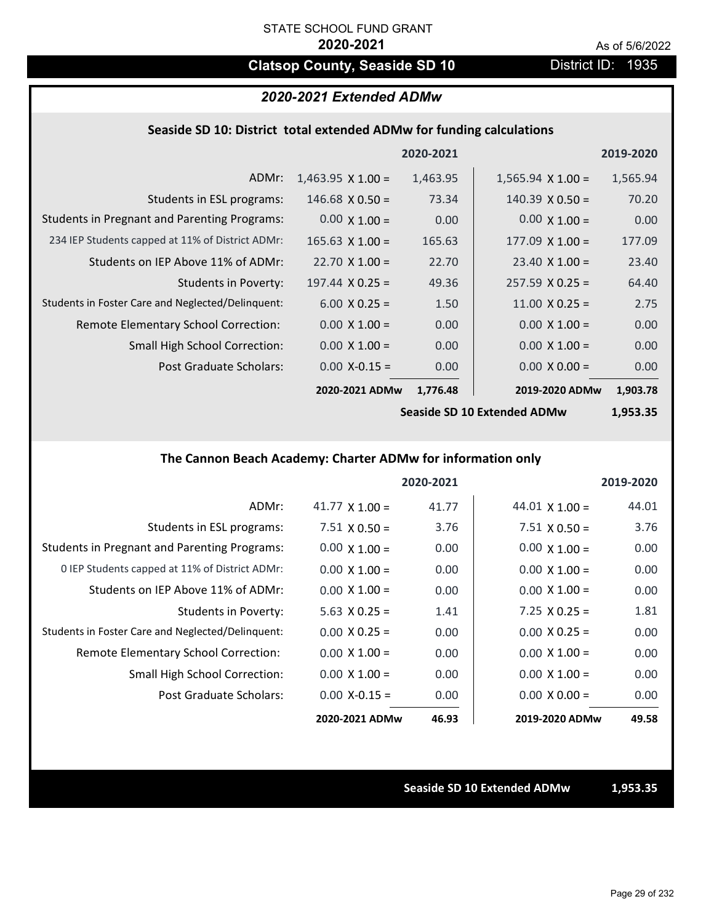# **Clatsop County, Seaside SD 10** District ID: 1935

## *2020-2021 Extended ADMw*

## **Seaside SD 10: District total extended ADMw for funding calculations**

|                                                     |                          | 2020-2021 |                          | 2019-2020 |
|-----------------------------------------------------|--------------------------|-----------|--------------------------|-----------|
| ADMr:                                               | $1,463.95 \times 1.00 =$ | 1,463.95  | $1,565.94 \times 1.00 =$ | 1,565.94  |
| Students in ESL programs:                           | $146.68 \times 0.50 =$   | 73.34     | $140.39 \times 0.50 =$   | 70.20     |
| <b>Students in Pregnant and Parenting Programs:</b> | $0.00 \times 1.00 =$     | 0.00      | $0.00 \times 1.00 =$     | 0.00      |
| 234 IEP Students capped at 11% of District ADMr:    | $165.63 \times 1.00 =$   | 165.63    | $177.09 \times 1.00 =$   | 177.09    |
| Students on IEP Above 11% of ADMr:                  | $22.70 \times 1.00 =$    | 22.70     | $23.40 \times 1.00 =$    | 23.40     |
| Students in Poverty:                                | $197.44 \times 0.25 =$   | 49.36     | $257.59 \times 0.25 =$   | 64.40     |
| Students in Foster Care and Neglected/Delinquent:   | $6.00 \times 0.25 =$     | 1.50      | $11.00 \times 0.25 =$    | 2.75      |
| Remote Elementary School Correction:                | $0.00 \times 1.00 =$     | 0.00      | $0.00 \times 1.00 =$     | 0.00      |
| <b>Small High School Correction:</b>                | $0.00 \times 1.00 =$     | 0.00      | $0.00 \times 1.00 =$     | 0.00      |
| Post Graduate Scholars:                             | $0.00 X - 0.15 =$        | 0.00      | $0.00 \times 0.00 =$     | 0.00      |
|                                                     | 2020-2021 ADMw           | 1,776.48  | 2019-2020 ADMw           | 1,903.78  |
|                                                     |                          |           |                          |           |

**Seaside SD 10 Extended ADMw**

**1,953.35**

## **The Cannon Beach Academy: Charter ADMw for information only**

|                                                     |                       | 2020-2021 |                       | 2019-2020 |
|-----------------------------------------------------|-----------------------|-----------|-----------------------|-----------|
| ADMr:                                               | 41.77 $\times$ 1.00 = | 41.77     | 44.01 $\times$ 1.00 = | 44.01     |
| Students in ESL programs:                           | $7.51 \times 0.50 =$  | 3.76      | $7.51 \times 0.50 =$  | 3.76      |
| <b>Students in Pregnant and Parenting Programs:</b> | $0.00 \times 1.00 =$  | 0.00      | $0.00 \times 1.00 =$  | 0.00      |
| 0 IEP Students capped at 11% of District ADMr:      | $0.00 \times 1.00 =$  | 0.00      | $0.00 \times 1.00 =$  | 0.00      |
| Students on IEP Above 11% of ADMr:                  | $0.00 \times 1.00 =$  | 0.00      | $0.00 \times 1.00 =$  | 0.00      |
| Students in Poverty:                                | $5.63 \times 0.25 =$  | 1.41      | $7.25 \times 0.25 =$  | 1.81      |
| Students in Foster Care and Neglected/Delinquent:   | $0.00 \times 0.25 =$  | 0.00      | $0.00 \times 0.25 =$  | 0.00      |
| Remote Elementary School Correction:                | $0.00 \times 1.00 =$  | 0.00      | $0.00 \times 1.00 =$  | 0.00      |
| <b>Small High School Correction:</b>                | $0.00 \times 1.00 =$  | 0.00      | $0.00 \times 1.00 =$  | 0.00      |
| Post Graduate Scholars:                             | $0.00 X - 0.15 =$     | 0.00      | $0.00 \times 0.00 =$  | 0.00      |
|                                                     | 2020-2021 ADMw        | 46.93     | 2019-2020 ADMw        | 49.58     |

**Seaside SD 10 Extended ADMw 1,953.35**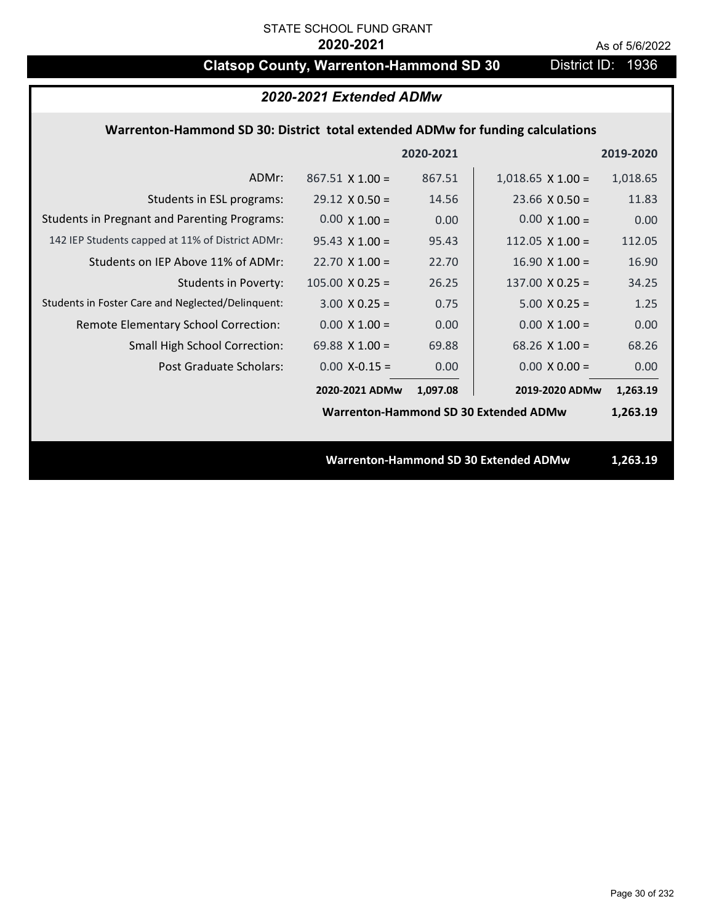# **Clatsop County, Warrenton-Hammond SD 30** District ID: 1936

# *2020-2021 Extended ADMw*

## **Warrenton‐Hammond SD 30: District total extended ADMw for funding calculations**

|                                                     |                        | 2020-2021 |                                              | 2019-2020 |
|-----------------------------------------------------|------------------------|-----------|----------------------------------------------|-----------|
| ADMr:                                               | $867.51 \times 1.00 =$ | 867.51    | $1,018.65 \times 1.00 =$                     | 1,018.65  |
| Students in ESL programs:                           | $29.12 \times 0.50 =$  | 14.56     | $23.66 \times 0.50 =$                        | 11.83     |
| <b>Students in Pregnant and Parenting Programs:</b> | $0.00 \times 1.00 =$   | 0.00      | $0.00 \times 1.00 =$                         | 0.00      |
| 142 IEP Students capped at 11% of District ADMr:    | $95.43 \times 1.00 =$  | 95.43     | 112.05 $\times$ 1.00 =                       | 112.05    |
| Students on IEP Above 11% of ADMr:                  | $22.70 \times 1.00 =$  | 22.70     | $16.90 \times 1.00 =$                        | 16.90     |
| <b>Students in Poverty:</b>                         | $105.00 \times 0.25 =$ | 26.25     | $137.00 \times 0.25 =$                       | 34.25     |
| Students in Foster Care and Neglected/Delinquent:   | $3.00 \times 0.25 =$   | 0.75      | $5.00 \times 0.25 =$                         | 1.25      |
| Remote Elementary School Correction:                | $0.00 \times 1.00 =$   | 0.00      | $0.00 \times 1.00 =$                         | 0.00      |
| <b>Small High School Correction:</b>                | 69.88 $X$ 1.00 =       | 69.88     | $68.26$ X 1.00 =                             | 68.26     |
| Post Graduate Scholars:                             | $0.00$ X-0.15 =        | 0.00      | $0.00 \times 0.00 =$                         | 0.00      |
|                                                     | 2020-2021 ADMw         | 1,097.08  | 2019-2020 ADMw                               | 1,263.19  |
|                                                     |                        |           | <b>Warrenton-Hammond SD 30 Extended ADMw</b> | 1,263.19  |
|                                                     |                        |           |                                              |           |
|                                                     |                        |           | <b>Warrenton-Hammond SD 30 Extended ADMw</b> | 1,263.19  |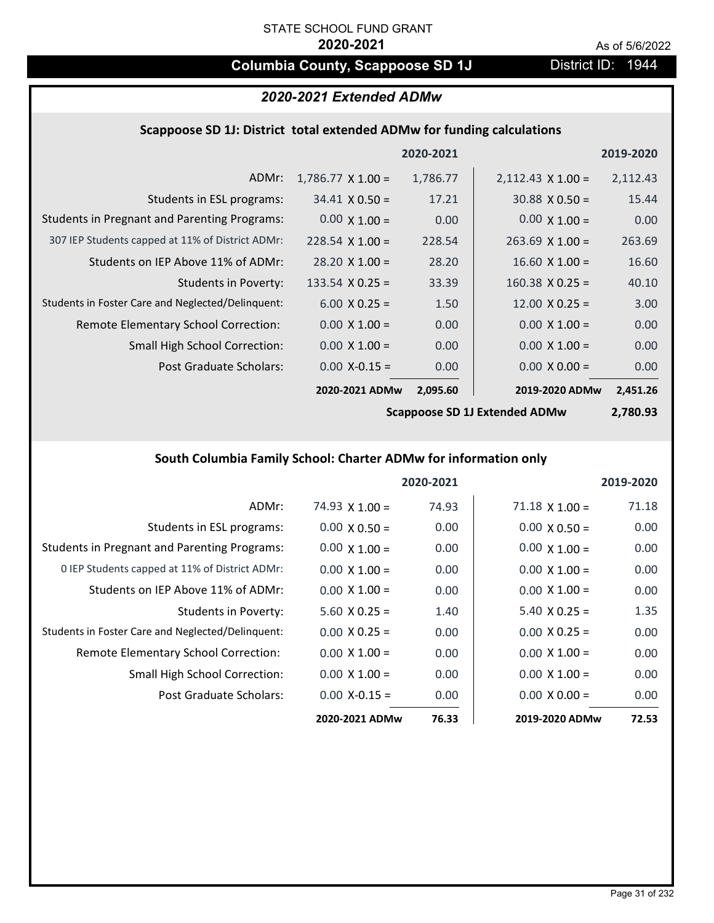# **Columbia County, Scappoose SD 1J** District ID: 1944

# *2020-2021 Extended ADMw*

## **Scappoose SD 1J: District total extended ADMw for funding calculations**

|                                                     |                          | 2020-2021 |                          | 2019-2020 |
|-----------------------------------------------------|--------------------------|-----------|--------------------------|-----------|
| ADMr:                                               | $1,786.77 \times 1.00 =$ | 1,786.77  | $2,112.43 \times 1.00 =$ | 2,112.43  |
| Students in ESL programs:                           | $34.41 \times 0.50 =$    | 17.21     | $30.88 \times 0.50 =$    | 15.44     |
| <b>Students in Pregnant and Parenting Programs:</b> | $0.00 \times 1.00 =$     | 0.00      | $0.00 \times 1.00 =$     | 0.00      |
| 307 IEP Students capped at 11% of District ADMr:    | $228.54 \times 1.00 =$   | 228.54    | $263.69$ X 1.00 =        | 263.69    |
| Students on IEP Above 11% of ADMr:                  | $28.20 \times 1.00 =$    | 28.20     | $16.60 \times 1.00 =$    | 16.60     |
| <b>Students in Poverty:</b>                         | 133.54 $X$ 0.25 =        | 33.39     | $160.38 \times 0.25 =$   | 40.10     |
| Students in Foster Care and Neglected/Delinquent:   | $6.00 \times 0.25 =$     | 1.50      | $12.00 \times 0.25 =$    | 3.00      |
| Remote Elementary School Correction:                | $0.00 \times 1.00 =$     | 0.00      | $0.00 \times 1.00 =$     | 0.00      |
| <b>Small High School Correction:</b>                | $0.00 \times 1.00 =$     | 0.00      | $0.00 \times 1.00 =$     | 0.00      |
| Post Graduate Scholars:                             | $0.00$ X-0.15 =          | 0.00      | $0.00 \times 0.00 =$     | 0.00      |
|                                                     | 2020-2021 ADMw           | 2,095.60  | 2019-2020 ADMw           | 2,451.26  |

**Scappoose SD 1J Extended ADMw**

**2,780.93**

# **South Columbia Family School: Charter ADMw for information only**

|                                                     |                       | 2020-2021 |                       | 2019-2020 |
|-----------------------------------------------------|-----------------------|-----------|-----------------------|-----------|
| ADMr:                                               | $74.93 \times 1.00 =$ | 74.93     | $71.18 \times 1.00 =$ | 71.18     |
| Students in ESL programs:                           | $0.00 \times 0.50 =$  | 0.00      | $0.00 \times 0.50 =$  | 0.00      |
| <b>Students in Pregnant and Parenting Programs:</b> | $0.00 \times 1.00 =$  | 0.00      | $0.00 \times 1.00 =$  | 0.00      |
| 0 IEP Students capped at 11% of District ADMr:      | $0.00 \times 1.00 =$  | 0.00      | $0.00 \times 1.00 =$  | 0.00      |
| Students on IEP Above 11% of ADMr:                  | $0.00 \times 1.00 =$  | 0.00      | $0.00 \times 1.00 =$  | 0.00      |
| Students in Poverty:                                | $5.60 \times 0.25 =$  | 1.40      | $5.40 \times 0.25 =$  | 1.35      |
| Students in Foster Care and Neglected/Delinquent:   | $0.00 \times 0.25 =$  | 0.00      | $0.00 \times 0.25 =$  | 0.00      |
| Remote Elementary School Correction:                | $0.00 \times 1.00 =$  | 0.00      | $0.00 \times 1.00 =$  | 0.00      |
| <b>Small High School Correction:</b>                | $0.00 \times 1.00 =$  | 0.00      | $0.00 \times 1.00 =$  | 0.00      |
| Post Graduate Scholars:                             | $0.00$ X-0.15 =       | 0.00      | $0.00 \times 0.00 =$  | 0.00      |
|                                                     | 2020-2021 ADMw        | 76.33     | 2019-2020 ADMw        | 72.53     |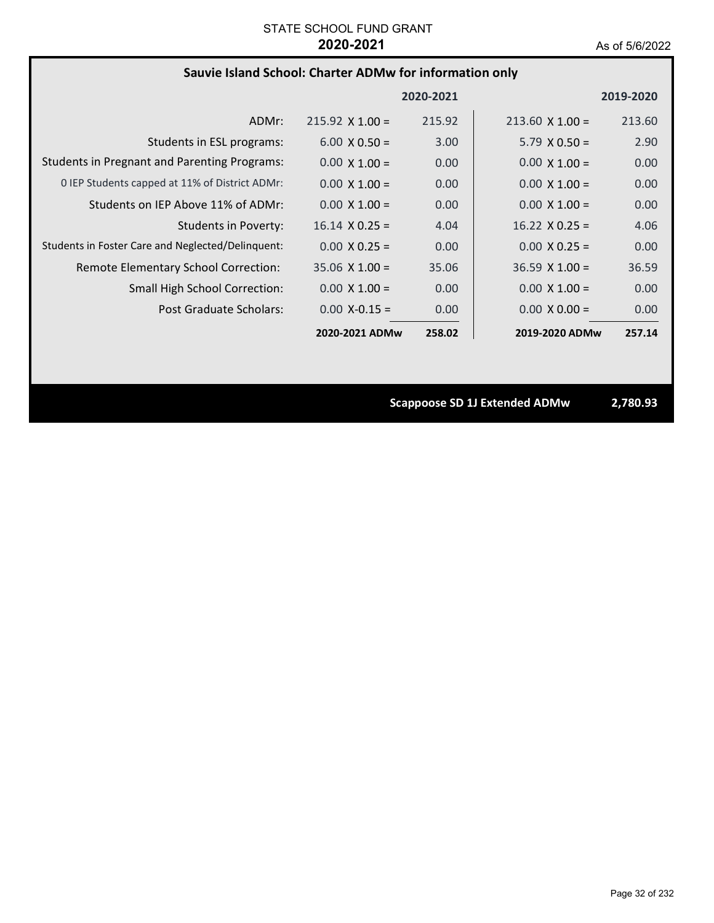# **Sauvie Island School: Charter ADMw for information only**

|                                                     |                        | 2020-2021 |                        | 2019-2020 |
|-----------------------------------------------------|------------------------|-----------|------------------------|-----------|
| ADMr:                                               | $215.92 \times 1.00 =$ | 215.92    | $213.60 \times 1.00 =$ | 213.60    |
| Students in ESL programs:                           | $6.00 \times 0.50 =$   | 3.00      | $5.79 \times 0.50 =$   | 2.90      |
| <b>Students in Pregnant and Parenting Programs:</b> | $0.00 \times 1.00 =$   | 0.00      | $0.00 \times 1.00 =$   | 0.00      |
| 0 IEP Students capped at 11% of District ADMr:      | $0.00 \times 1.00 =$   | 0.00      | $0.00 \times 1.00 =$   | 0.00      |
| Students on IEP Above 11% of ADMr:                  | $0.00 \times 1.00 =$   | 0.00      | $0.00 \times 1.00 =$   | 0.00      |
| <b>Students in Poverty:</b>                         | $16.14 \times 0.25 =$  | 4.04      | $16.22 \times 0.25 =$  | 4.06      |
| Students in Foster Care and Neglected/Delinquent:   | $0.00 \times 0.25 =$   | 0.00      | $0.00 \times 0.25 =$   | 0.00      |
| Remote Elementary School Correction:                | $35.06 \times 1.00 =$  | 35.06     | $36.59 \times 1.00 =$  | 36.59     |
| <b>Small High School Correction:</b>                | $0.00 \times 1.00 =$   | 0.00      | $0.00 \times 1.00 =$   | 0.00      |
| Post Graduate Scholars:                             | $0.00 X - 0.15 =$      | 0.00      | $0.00 \times 0.00 =$   | 0.00      |
|                                                     | 2020-2021 ADMw         | 258.02    | 2019-2020 ADMw         | 257.14    |

**Scappoose SD 1J Extended ADMw 2,780.93**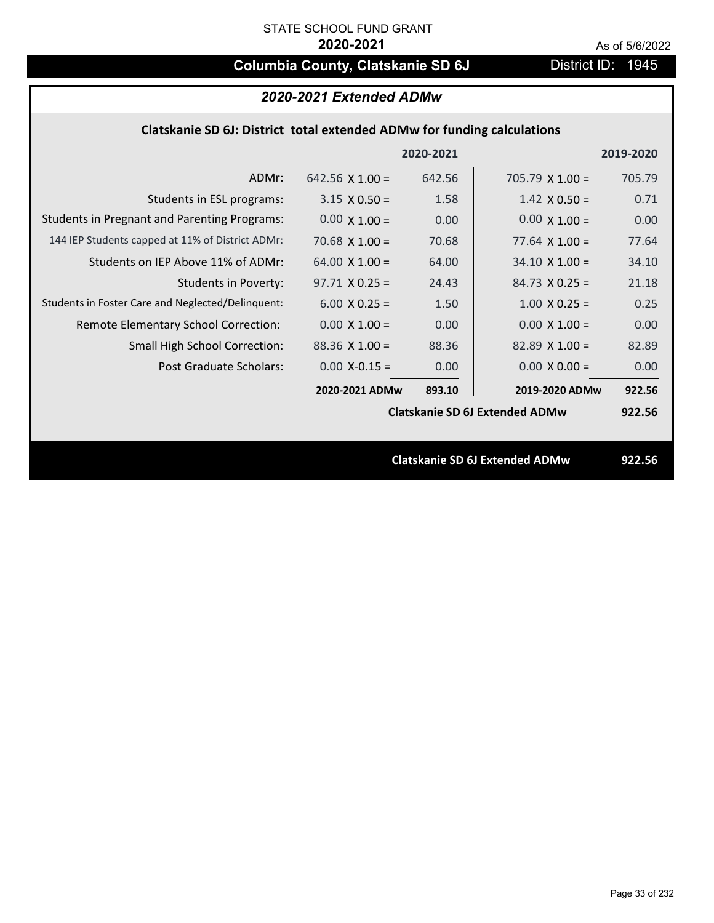# **Columbia County, Clatskanie SD 6J** District ID: 1945

# *2020-2021 Extended ADMw*

## **Clatskanie SD 6J: District total extended ADMw for funding calculations**

|                                                     |                        | 2020-2021 |                                       | 2019-2020 |
|-----------------------------------------------------|------------------------|-----------|---------------------------------------|-----------|
| ADMr:                                               | 642.56 $\times$ 1.00 = | 642.56    | $705.79 \times 1.00 =$                | 705.79    |
| Students in ESL programs:                           | $3.15 \times 0.50 =$   | 1.58      | $1.42 \times 0.50 =$                  | 0.71      |
| <b>Students in Pregnant and Parenting Programs:</b> | $0.00 \times 1.00 =$   | 0.00      | $0.00 \times 1.00 =$                  | 0.00      |
| 144 IEP Students capped at 11% of District ADMr:    | 70.68 $X$ 1.00 =       | 70.68     | $77.64 \times 1.00 =$                 | 77.64     |
| Students on IEP Above 11% of ADMr:                  | $64.00 \times 1.00 =$  | 64.00     | $34.10 \times 1.00 =$                 | 34.10     |
| <b>Students in Poverty:</b>                         | $97.71 X 0.25 =$       | 24.43     | $84.73 \times 0.25 =$                 | 21.18     |
| Students in Foster Care and Neglected/Delinquent:   | $6.00 \times 0.25 =$   | 1.50      | $1.00 \times 0.25 =$                  | 0.25      |
| Remote Elementary School Correction:                | $0.00 \times 1.00 =$   | 0.00      | $0.00 \times 1.00 =$                  | 0.00      |
| <b>Small High School Correction:</b>                | $88.36$ X 1.00 =       | 88.36     | $82.89$ X 1.00 =                      | 82.89     |
| Post Graduate Scholars:                             | $0.00$ X-0.15 =        | 0.00      | $0.00 \times 0.00 =$                  | 0.00      |
|                                                     | 2020-2021 ADMw         | 893.10    | 2019-2020 ADMw                        | 922.56    |
|                                                     |                        |           | <b>Clatskanie SD 6J Extended ADMw</b> | 922.56    |
|                                                     |                        |           |                                       |           |
|                                                     |                        |           | <b>Clatskanie SD 6J Extended ADMw</b> | 922.56    |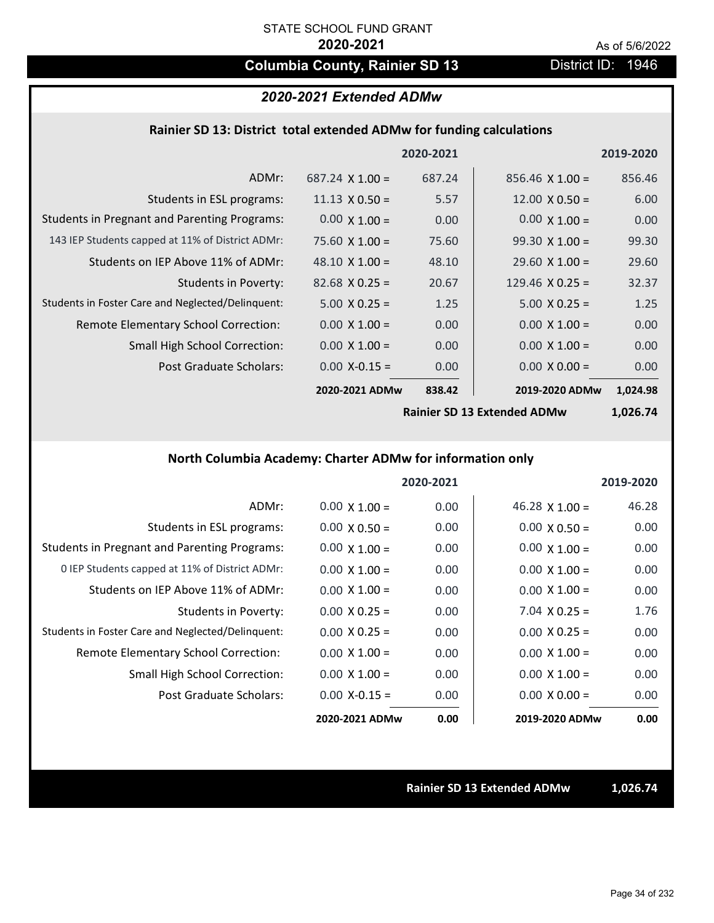# **Columbia County, Rainier SD 13** District ID: 1946

# *2020-2021 Extended ADMw*

## **Rainier SD 13: District total extended ADMw for funding calculations**

|                                                     |                        | 2020-2021 |                        | 2019-2020 |
|-----------------------------------------------------|------------------------|-----------|------------------------|-----------|
| ADMr:                                               | $687.24 \times 1.00 =$ | 687.24    | $856.46 \times 1.00 =$ | 856.46    |
| Students in ESL programs:                           | $11.13 \times 0.50 =$  | 5.57      | $12.00 \times 0.50 =$  | 6.00      |
| <b>Students in Pregnant and Parenting Programs:</b> | $0.00 \times 1.00 =$   | 0.00      | $0.00 \times 1.00 =$   | 0.00      |
| 143 IEP Students capped at 11% of District ADMr:    | $75.60 \times 1.00 =$  | 75.60     | $99.30 \times 1.00 =$  | 99.30     |
| Students on IEP Above 11% of ADMr:                  | 48.10 $\times$ 1.00 =  | 48.10     | $29.60 \times 1.00 =$  | 29.60     |
| <b>Students in Poverty:</b>                         | $82.68 \times 0.25 =$  | 20.67     | 129.46 $X$ 0.25 =      | 32.37     |
| Students in Foster Care and Neglected/Delinquent:   | $5.00 \times 0.25 =$   | 1.25      | $5.00 \times 0.25 =$   | 1.25      |
| Remote Elementary School Correction:                | $0.00 \times 1.00 =$   | 0.00      | $0.00 \times 1.00 =$   | 0.00      |
| <b>Small High School Correction:</b>                | $0.00 \times 1.00 =$   | 0.00      | $0.00 \times 1.00 =$   | 0.00      |
| Post Graduate Scholars:                             | $0.00$ X-0.15 =        | 0.00      | $0.00 \times 0.00 =$   | 0.00      |
|                                                     | 2020-2021 ADMw         | 838.42    | 2019-2020 ADMw         | 1,024.98  |

**Rainier SD 13 Extended ADMw**

**1,026.74**

# **North Columbia Academy: Charter ADMw for information only**

|                                                     |                      | 2020-2021 |                       | 2019-2020 |
|-----------------------------------------------------|----------------------|-----------|-----------------------|-----------|
| ADMr:                                               | $0.00 \times 1.00 =$ | 0.00      | 46.28 $\times$ 1.00 = | 46.28     |
| Students in ESL programs:                           | $0.00 \times 0.50 =$ | 0.00      | $0.00 \times 0.50 =$  | 0.00      |
| <b>Students in Pregnant and Parenting Programs:</b> | $0.00 \times 1.00 =$ | 0.00      | $0.00 \times 1.00 =$  | 0.00      |
| 0 IEP Students capped at 11% of District ADMr:      | $0.00 \times 1.00 =$ | 0.00      | $0.00 \times 1.00 =$  | 0.00      |
| Students on IEP Above 11% of ADMr:                  | $0.00 \times 1.00 =$ | 0.00      | $0.00 \times 1.00 =$  | 0.00      |
| Students in Poverty:                                | $0.00 \times 0.25 =$ | 0.00      | $7.04 \times 0.25 =$  | 1.76      |
| Students in Foster Care and Neglected/Delinquent:   | $0.00 \times 0.25 =$ | 0.00      | $0.00 \times 0.25 =$  | 0.00      |
| Remote Elementary School Correction:                | $0.00 \times 1.00 =$ | 0.00      | $0.00 \times 1.00 =$  | 0.00      |
| <b>Small High School Correction:</b>                | $0.00 \times 1.00 =$ | 0.00      | $0.00 \times 1.00 =$  | 0.00      |
| Post Graduate Scholars:                             | $0.00 X-0.15 =$      | 0.00      | $0.00 \times 0.00 =$  | 0.00      |
|                                                     | 2020-2021 ADMw       | 0.00      | 2019-2020 ADMw        | 0.00      |

**Rainier SD 13 Extended ADMw 1,026.74**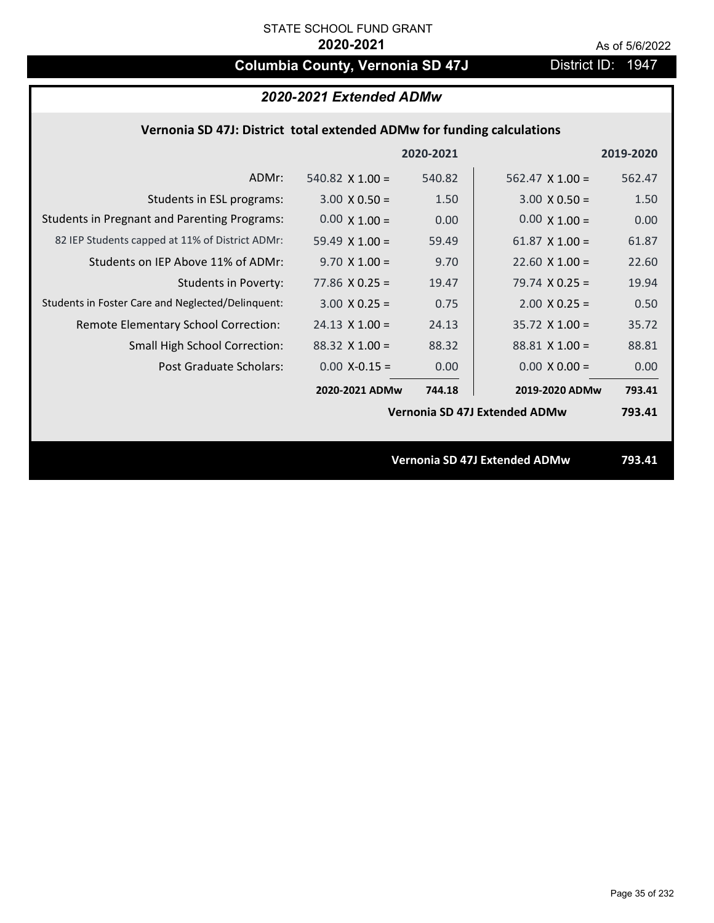# **Columbia County, Vernonia SD 47J** District ID: 1947

# **Vernonia SD 47J: District total extended ADMw for funding calculations**

|                                                     |                        | 2020-2021 |                                      | 2019-2020 |
|-----------------------------------------------------|------------------------|-----------|--------------------------------------|-----------|
| ADMr:                                               | 540.82 $\times$ 1.00 = | 540.82    | $562.47 \times 1.00 =$               | 562.47    |
| Students in ESL programs:                           | $3.00 \times 0.50 =$   | 1.50      | $3.00 \times 0.50 =$                 | 1.50      |
| <b>Students in Pregnant and Parenting Programs:</b> | $0.00 \times 1.00 =$   | 0.00      | $0.00 \times 1.00 =$                 | 0.00      |
| 82 IEP Students capped at 11% of District ADMr:     | 59.49 $\times$ 1.00 =  | 59.49     | 61.87 $X$ 1.00 =                     | 61.87     |
| Students on IEP Above 11% of ADMr:                  | $9.70 \times 1.00 =$   | 9.70      | $22.60$ X $1.00 =$                   | 22.60     |
| <b>Students in Poverty:</b>                         | 77.86 $X$ 0.25 =       | 19.47     | $79.74 \times 0.25 =$                | 19.94     |
| Students in Foster Care and Neglected/Delinquent:   | $3.00 \times 0.25 =$   | 0.75      | $2.00$ X 0.25 =                      | 0.50      |
| Remote Elementary School Correction:                | $24.13 \times 1.00 =$  | 24.13     | $35.72 \times 1.00 =$                | 35.72     |
| <b>Small High School Correction:</b>                | $88.32 \times 1.00 =$  | 88.32     | $88.81$ X 1.00 =                     | 88.81     |
| Post Graduate Scholars:                             | $0.00$ X-0.15 =        | 0.00      | $0.00 \times 0.00 =$                 | 0.00      |
|                                                     | 2020-2021 ADMw         | 744.18    | 2019-2020 ADMw                       | 793.41    |
|                                                     |                        |           | Vernonia SD 47J Extended ADMw        | 793.41    |
|                                                     |                        |           |                                      |           |
|                                                     |                        |           | <b>Vernonia SD 47J Extended ADMw</b> | 793.41    |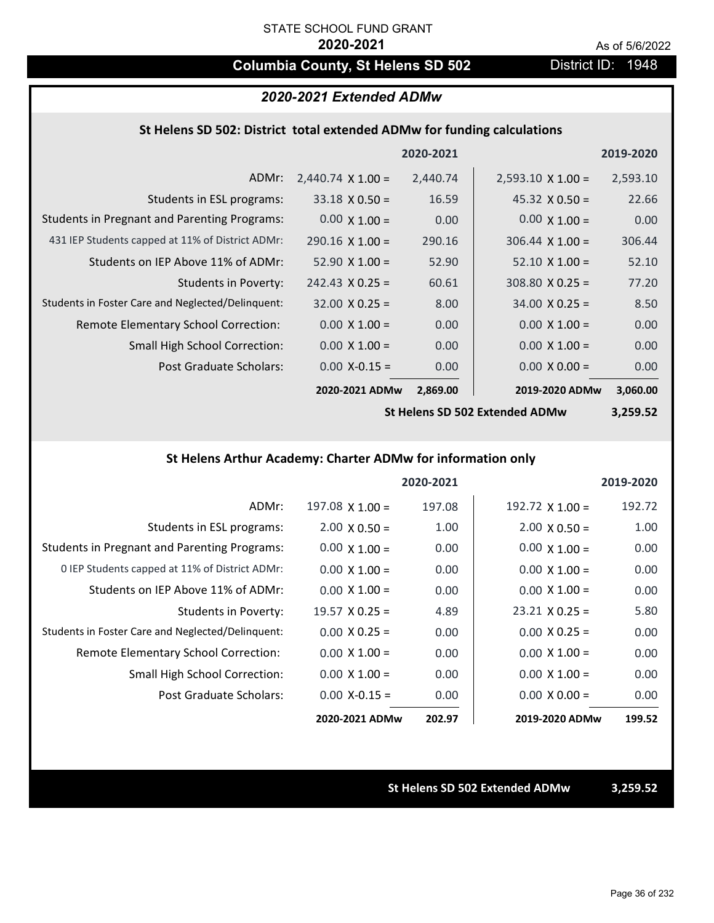# **Columbia County, St Helens SD 502** District ID: 1948

## *2020-2021 Extended ADMw*

## **St Helens SD 502: District total extended ADMw for funding calculations**

|                                                     |                          | 2020-2021 |                          | 2019-2020 |
|-----------------------------------------------------|--------------------------|-----------|--------------------------|-----------|
| ADMr:                                               | $2,440.74 \times 1.00 =$ | 2,440.74  | $2,593.10 \times 1.00 =$ | 2,593.10  |
| Students in ESL programs:                           | $33.18 \times 0.50 =$    | 16.59     | $45.32 \times 0.50 =$    | 22.66     |
| <b>Students in Pregnant and Parenting Programs:</b> | $0.00 \times 1.00 =$     | 0.00      | $0.00 \times 1.00 =$     | 0.00      |
| 431 IEP Students capped at 11% of District ADMr:    | $290.16 \times 1.00 =$   | 290.16    | $306.44 \times 1.00 =$   | 306.44    |
| Students on IEP Above 11% of ADMr:                  | $52.90 \times 1.00 =$    | 52.90     | $52.10 \times 1.00 =$    | 52.10     |
| <b>Students in Poverty:</b>                         | $242.43 \times 0.25 =$   | 60.61     | $308.80 \times 0.25 =$   | 77.20     |
| Students in Foster Care and Neglected/Delinquent:   | $32.00 \times 0.25 =$    | 8.00      | $34.00 \times 0.25 =$    | 8.50      |
| Remote Elementary School Correction:                | $0.00 \times 1.00 =$     | 0.00      | $0.00 \times 1.00 =$     | 0.00      |
| <b>Small High School Correction:</b>                | $0.00 \times 1.00 =$     | 0.00      | $0.00 \times 1.00 =$     | 0.00      |
| Post Graduate Scholars:                             | $0.00 X - 0.15 =$        | 0.00      | $0.00 \times 0.00 =$     | 0.00      |
|                                                     | 2020-2021 ADMw           | 2,869.00  | 2019-2020 ADMw           | 3,060.00  |

**St Helens SD 502 Extended ADMw**

**3,259.52**

## **St Helens Arthur Academy: Charter ADMw for information only**

|                                                     |                       | 2020-2021 |                       | 2019-2020 |
|-----------------------------------------------------|-----------------------|-----------|-----------------------|-----------|
| ADMr:                                               | $197.08$ X $1.00 =$   | 197.08    | 192.72 $X$ 1.00 =     | 192.72    |
| Students in ESL programs:                           | $2.00 \times 0.50 =$  | 1.00      | $2.00 \times 0.50 =$  | 1.00      |
| <b>Students in Pregnant and Parenting Programs:</b> | $0.00 \times 1.00 =$  | 0.00      | $0.00 \times 1.00 =$  | 0.00      |
| 0 IEP Students capped at 11% of District ADMr:      | $0.00 \times 1.00 =$  | 0.00      | $0.00 \times 1.00 =$  | 0.00      |
| Students on IEP Above 11% of ADMr:                  | $0.00 \times 1.00 =$  | 0.00      | $0.00 \times 1.00 =$  | 0.00      |
| Students in Poverty:                                | $19.57 \times 0.25 =$ | 4.89      | $23.21 \times 0.25 =$ | 5.80      |
| Students in Foster Care and Neglected/Delinquent:   | $0.00 \times 0.25 =$  | 0.00      | $0.00 \times 0.25 =$  | 0.00      |
| Remote Elementary School Correction:                | $0.00 \times 1.00 =$  | 0.00      | $0.00 \times 1.00 =$  | 0.00      |
| <b>Small High School Correction:</b>                | $0.00 \times 1.00 =$  | 0.00      | $0.00 \times 1.00 =$  | 0.00      |
| Post Graduate Scholars:                             | $0.00 X - 0.15 =$     | 0.00      | $0.00 \times 0.00 =$  | 0.00      |
|                                                     | 2020-2021 ADMw        | 202.97    | 2019-2020 ADMw        | 199.52    |

**St Helens SD 502 Extended ADMw 3,259.52**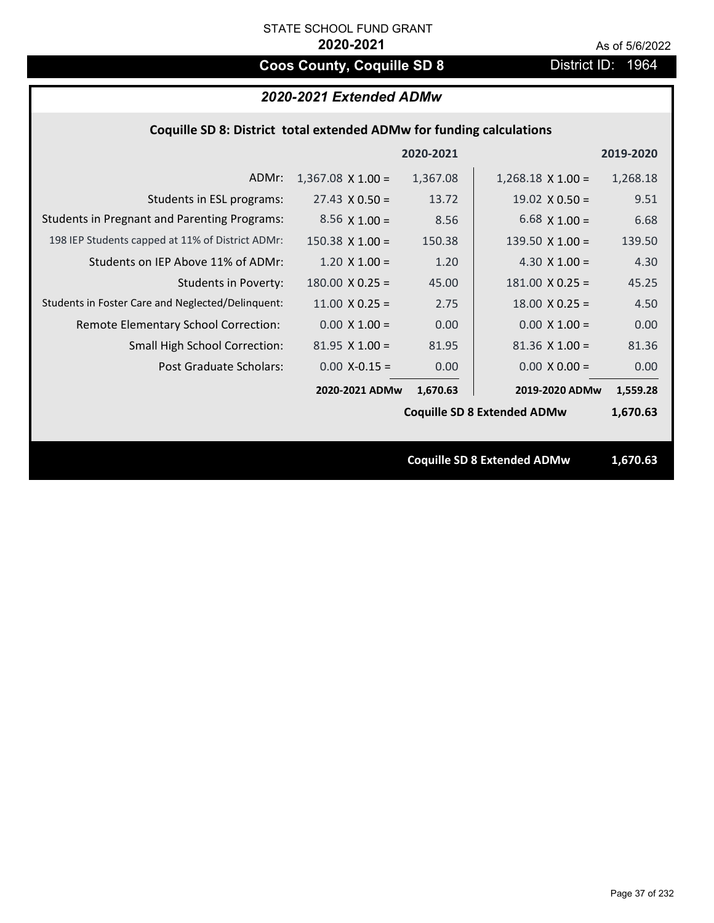# **Coos County, Coquille SD 8** District ID: 1964

# *2020-2021 Extended ADMw*

## **Coquille SD 8: District total extended ADMw for funding calculations**

|                                                     |                          | 2020-2021 |                                    | 2019-2020 |
|-----------------------------------------------------|--------------------------|-----------|------------------------------------|-----------|
| ADMr:                                               | $1,367.08 \times 1.00 =$ | 1,367.08  | $1,268.18 \times 1.00 =$           | 1,268.18  |
| Students in ESL programs:                           | $27.43 \times 0.50 =$    | 13.72     | $19.02 \times 0.50 =$              | 9.51      |
| <b>Students in Pregnant and Parenting Programs:</b> | $8.56 \times 1.00 =$     | 8.56      | 6.68 $\times$ 1.00 =               | 6.68      |
| 198 IEP Students capped at 11% of District ADMr:    | $150.38 \times 1.00 =$   | 150.38    | 139.50 $\times$ 1.00 =             | 139.50    |
| Students on IEP Above 11% of ADMr:                  | $1.20 \times 1.00 =$     | 1.20      | 4.30 $X$ 1.00 =                    | 4.30      |
| <b>Students in Poverty:</b>                         | $180.00 \times 0.25 =$   | 45.00     | $181.00$ X 0.25 =                  | 45.25     |
| Students in Foster Care and Neglected/Delinquent:   | $11.00 \times 0.25 =$    | 2.75      | $18.00 \times 0.25 =$              | 4.50      |
| Remote Elementary School Correction:                | $0.00 X 1.00 =$          | 0.00      | $0.00 \times 1.00 =$               | 0.00      |
| <b>Small High School Correction:</b>                | $81.95 \times 1.00 =$    | 81.95     | $81.36 \times 1.00 =$              | 81.36     |
| Post Graduate Scholars:                             | $0.00$ X-0.15 =          | 0.00      | $0.00 X 0.00 =$                    | 0.00      |
|                                                     | 2020-2021 ADMw           | 1,670.63  | 2019-2020 ADMw                     | 1,559.28  |
|                                                     |                          |           | <b>Coquille SD 8 Extended ADMw</b> | 1,670.63  |
|                                                     |                          |           |                                    |           |
|                                                     |                          |           | <b>Coquille SD 8 Extended ADMw</b> | 1,670.63  |
|                                                     |                          |           |                                    |           |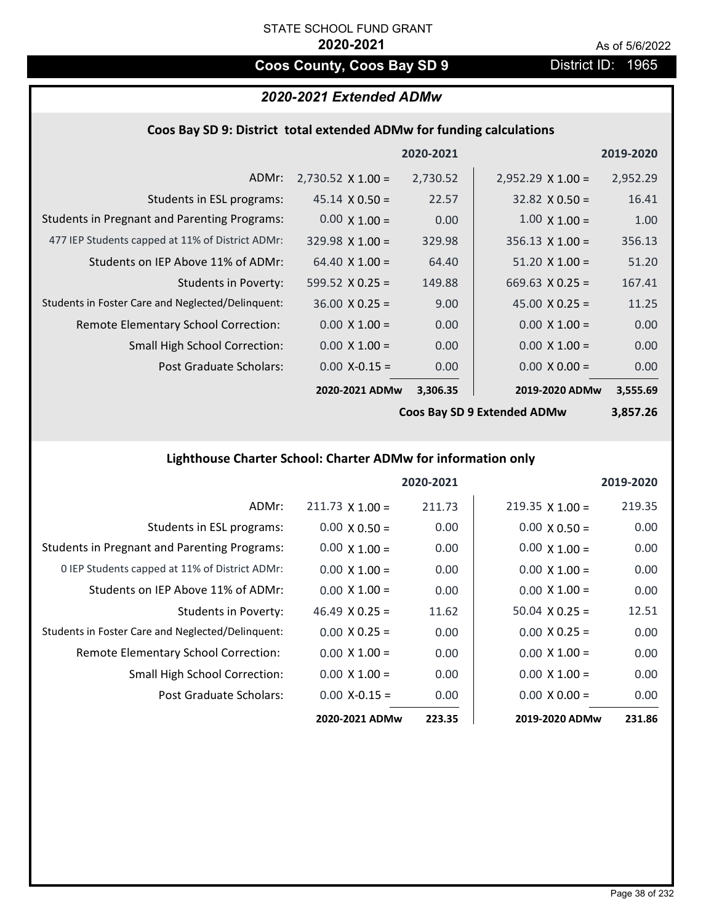# **Coos County, Coos Bay SD 9** District ID: 1965

# *2020-2021 Extended ADMw*

### **Coos Bay SD 9: District total extended ADMw for funding calculations**

|                                                     |                          | 2020-2021 |                          | 2019-2020 |
|-----------------------------------------------------|--------------------------|-----------|--------------------------|-----------|
| ADMr:                                               | $2,730.52 \times 1.00 =$ | 2,730.52  | $2,952.29 \times 1.00 =$ | 2,952.29  |
| Students in ESL programs:                           | $45.14 \times 0.50 =$    | 22.57     | $32.82 \times 0.50 =$    | 16.41     |
| <b>Students in Pregnant and Parenting Programs:</b> | $0.00 \times 1.00 =$     | 0.00      | $1.00 \times 1.00 =$     | 1.00      |
| 477 IEP Students capped at 11% of District ADMr:    | $329.98 \times 1.00 =$   | 329.98    | $356.13 \times 1.00 =$   | 356.13    |
| Students on IEP Above 11% of ADMr:                  | $64.40 \times 1.00 =$    | 64.40     | $51.20 \times 1.00 =$    | 51.20     |
| <b>Students in Poverty:</b>                         | 599.52 $X$ 0.25 =        | 149.88    | $669.63 \times 0.25 =$   | 167.41    |
| Students in Foster Care and Neglected/Delinquent:   | $36.00 \times 0.25 =$    | 9.00      | 45.00 $X$ 0.25 =         | 11.25     |
| Remote Elementary School Correction:                | $0.00 \times 1.00 =$     | 0.00      | $0.00 \times 1.00 =$     | 0.00      |
| <b>Small High School Correction:</b>                | $0.00 \times 1.00 =$     | 0.00      | $0.00 \times 1.00 =$     | 0.00      |
| Post Graduate Scholars:                             | $0.00 X - 0.15 =$        | 0.00      | $0.00 \times 0.00 =$     | 0.00      |
|                                                     | 2020-2021 ADMw           | 3,306.35  | 2019-2020 ADMw           | 3,555.69  |

**Coos Bay SD 9 Extended ADMw**

**3,857.26**

## **Lighthouse Charter School: Charter ADMw for information only**

|                                                     |                       | 2020-2021 |                       | 2019-2020 |
|-----------------------------------------------------|-----------------------|-----------|-----------------------|-----------|
| ADMr:                                               | $211.73$ X 1.00 =     | 211.73    | $219.35$ X 1.00 =     | 219.35    |
| Students in ESL programs:                           | $0.00 \times 0.50 =$  | 0.00      | $0.00 \times 0.50 =$  | 0.00      |
| <b>Students in Pregnant and Parenting Programs:</b> | $0.00 \times 1.00 =$  | 0.00      | $0.00 \times 1.00 =$  | 0.00      |
| 0 IEP Students capped at 11% of District ADMr:      | $0.00 \times 1.00 =$  | 0.00      | $0.00 \times 1.00 =$  | 0.00      |
| Students on IEP Above 11% of ADMr:                  | $0.00 \times 1.00 =$  | 0.00      | $0.00 \times 1.00 =$  | 0.00      |
| Students in Poverty:                                | 46.49 $\times$ 0.25 = | 11.62     | $50.04 \times 0.25 =$ | 12.51     |
| Students in Foster Care and Neglected/Delinquent:   | $0.00 \times 0.25 =$  | 0.00      | $0.00 \times 0.25 =$  | 0.00      |
| Remote Elementary School Correction:                | $0.00 \times 1.00 =$  | 0.00      | $0.00 \times 1.00 =$  | 0.00      |
| <b>Small High School Correction:</b>                | $0.00 \times 1.00 =$  | 0.00      | $0.00 \times 1.00 =$  | 0.00      |
| Post Graduate Scholars:                             | $0.00$ X-0.15 =       | 0.00      | $0.00 \times 0.00 =$  | 0.00      |
|                                                     | 2020-2021 ADMw        | 223.35    | 2019-2020 ADMw        | 231.86    |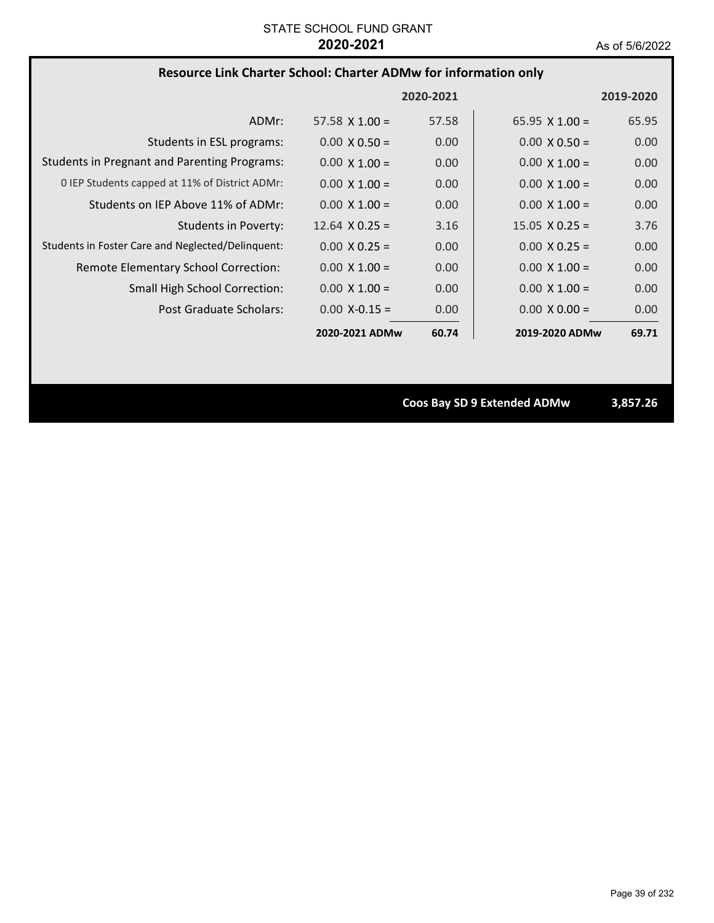### **Resource Link Charter School: Charter ADMw for information only**

|                                                     |                       | 2020-2021 |                       | 2019-2020 |
|-----------------------------------------------------|-----------------------|-----------|-----------------------|-----------|
| ADMr:                                               | $57.58 \times 1.00 =$ | 57.58     | 65.95 $X$ 1.00 =      | 65.95     |
| Students in ESL programs:                           | $0.00 \times 0.50 =$  | 0.00      | $0.00 \times 0.50 =$  | 0.00      |
| <b>Students in Pregnant and Parenting Programs:</b> | $0.00 \times 1.00 =$  | 0.00      | $0.00 \times 1.00 =$  | 0.00      |
| 0 IEP Students capped at 11% of District ADMr:      | $0.00 \times 1.00 =$  | 0.00      | $0.00 \times 1.00 =$  | 0.00      |
| Students on IEP Above 11% of ADMr:                  | $0.00 \times 1.00 =$  | 0.00      | $0.00 \times 1.00 =$  | 0.00      |
| Students in Poverty:                                | $12.64 \times 0.25 =$ | 3.16      | $15.05 \times 0.25 =$ | 3.76      |
| Students in Foster Care and Neglected/Delinquent:   | $0.00 \times 0.25 =$  | 0.00      | $0.00 \times 0.25 =$  | 0.00      |
| Remote Elementary School Correction:                | $0.00 \times 1.00 =$  | 0.00      | $0.00 \times 1.00 =$  | 0.00      |
| <b>Small High School Correction:</b>                | $0.00 \times 1.00 =$  | 0.00      | $0.00 \times 1.00 =$  | 0.00      |
| Post Graduate Scholars:                             | $0.00 X - 0.15 =$     | 0.00      | $0.00 \times 0.00 =$  | 0.00      |
|                                                     | 2020-2021 ADMw        | 60.74     | 2019-2020 ADMw        | 69.71     |

**Coos Bay SD 9 Extended ADMw 3,857.26**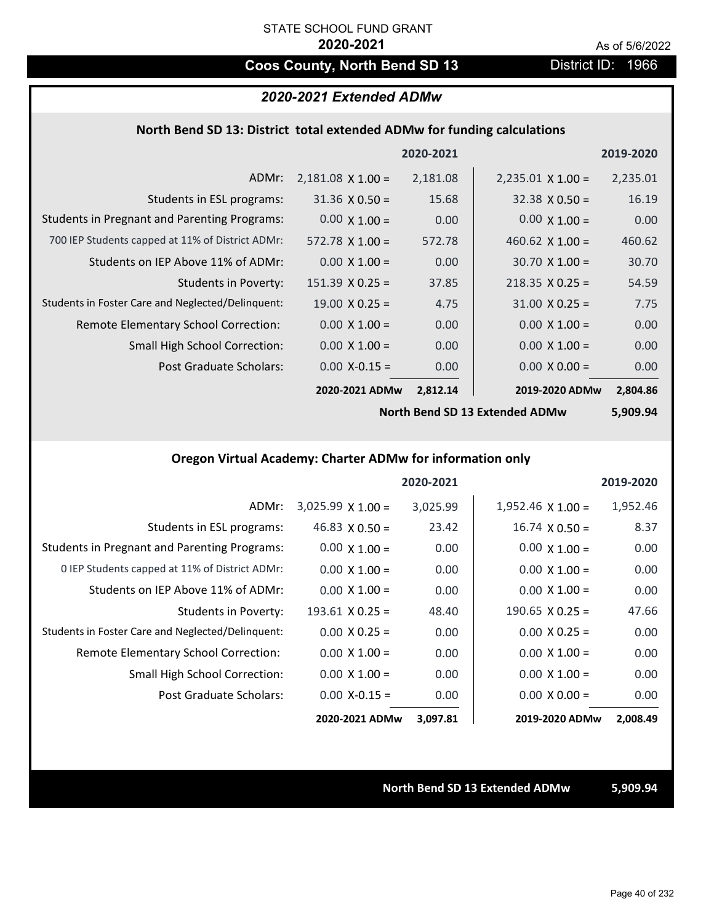# **Coos County, North Bend SD 13** District ID: 1966

## *2020-2021 Extended ADMw*

### **North Bend SD 13: District total extended ADMw for funding calculations**

|                                                     |                          | 2020-2021 |                          | 2019-2020 |
|-----------------------------------------------------|--------------------------|-----------|--------------------------|-----------|
| ADMr:                                               | $2,181.08 \times 1.00 =$ | 2,181.08  | $2,235.01 \times 1.00 =$ | 2,235.01  |
| Students in ESL programs:                           | $31.36 \times 0.50 =$    | 15.68     | $32.38 \times 0.50 =$    | 16.19     |
| <b>Students in Pregnant and Parenting Programs:</b> | $0.00 \times 1.00 =$     | 0.00      | $0.00 \times 1.00 =$     | 0.00      |
| 700 IEP Students capped at 11% of District ADMr:    | $572.78 \times 1.00 =$   | 572.78    | 460.62 $\times$ 1.00 =   | 460.62    |
| Students on IEP Above 11% of ADMr:                  | $0.00 \times 1.00 =$     | 0.00      | $30.70 \times 1.00 =$    | 30.70     |
| Students in Poverty:                                | $151.39 \times 0.25 =$   | 37.85     | $218.35 \times 0.25 =$   | 54.59     |
| Students in Foster Care and Neglected/Delinquent:   | $19.00 \times 0.25 =$    | 4.75      | $31.00 \times 0.25 =$    | 7.75      |
| Remote Elementary School Correction:                | $0.00 \times 1.00 =$     | 0.00      | $0.00 \times 1.00 =$     | 0.00      |
| <b>Small High School Correction:</b>                | $0.00 \times 1.00 =$     | 0.00      | $0.00 \times 1.00 =$     | 0.00      |
| Post Graduate Scholars:                             | $0.00$ X-0.15 =          | 0.00      | $0.00 \times 0.00 =$     | 0.00      |
|                                                     | 2020-2021 ADMw           | 2,812.14  | 2019-2020 ADMw           | 2,804.86  |

**North Bend SD 13 Extended ADMw**

**5,909.94**

# **Oregon Virtual Academy: Charter ADMw for information only**

|                                                     |                          | 2020-2021 |                          | 2019-2020 |
|-----------------------------------------------------|--------------------------|-----------|--------------------------|-----------|
| ADMr:                                               | $3,025.99 \times 1.00 =$ | 3,025.99  | $1,952.46 \times 1.00 =$ | 1,952.46  |
| Students in ESL programs:                           | 46.83 $\times$ 0.50 =    | 23.42     | $16.74 \times 0.50 =$    | 8.37      |
| <b>Students in Pregnant and Parenting Programs:</b> | $0.00 \times 1.00 =$     | 0.00      | $0.00 \times 1.00 =$     | 0.00      |
| 0 IEP Students capped at 11% of District ADMr:      | $0.00 \times 1.00 =$     | 0.00      | $0.00 \times 1.00 =$     | 0.00      |
| Students on IEP Above 11% of ADMr:                  | $0.00 \times 1.00 =$     | 0.00      | $0.00 \times 1.00 =$     | 0.00      |
| Students in Poverty:                                | $193.61$ X 0.25 =        | 48.40     | $190.65 \times 0.25 =$   | 47.66     |
| Students in Foster Care and Neglected/Delinquent:   | $0.00 \times 0.25 =$     | 0.00      | $0.00 \times 0.25 =$     | 0.00      |
| Remote Elementary School Correction:                | $0.00 \times 1.00 =$     | 0.00      | $0.00 \times 1.00 =$     | 0.00      |
| <b>Small High School Correction:</b>                | $0.00 \times 1.00 =$     | 0.00      | $0.00 \times 1.00 =$     | 0.00      |
| Post Graduate Scholars:                             | $0.00$ X-0.15 =          | 0.00      | $0.00 \times 0.00 =$     | 0.00      |
|                                                     | 2020-2021 ADMw           | 3,097.81  | 2019-2020 ADMw           | 2,008.49  |

#### **North Bend SD 13 Extended ADMw 5,909.94**

Page 40 of 232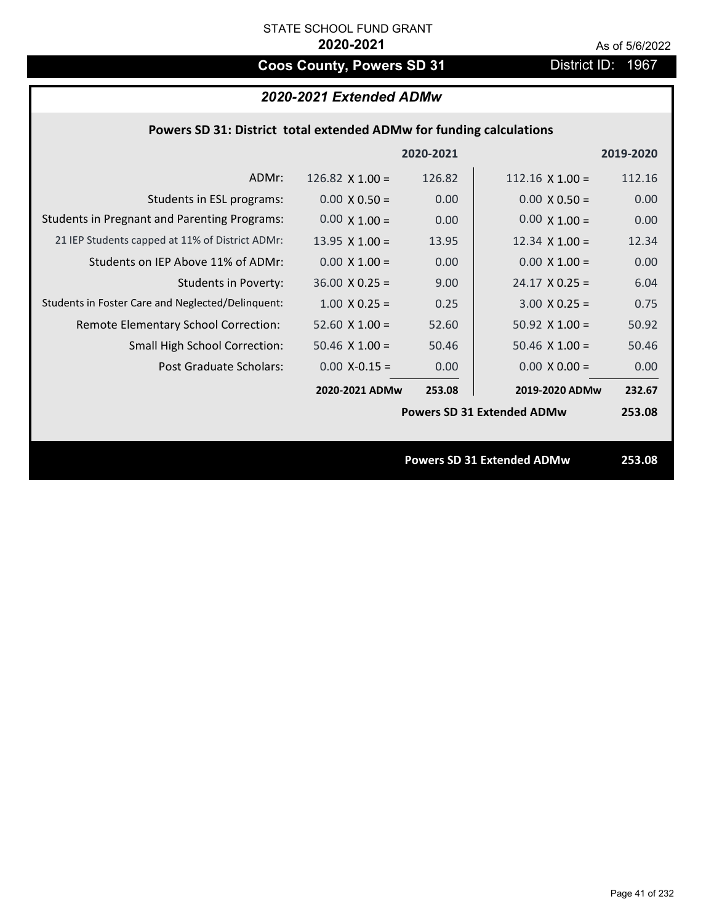# **Coos County, Powers SD 31** District ID: 1967

# *2020-2021 Extended ADMw*

|                                                     |                       | 2020-2021 |                                   | 2019-2020 |
|-----------------------------------------------------|-----------------------|-----------|-----------------------------------|-----------|
| ADMr:                                               | 126.82 $X$ 1.00 =     | 126.82    | $112.16 \times 1.00 =$            | 112.16    |
| Students in ESL programs:                           | $0.00 \times 0.50 =$  | 0.00      | $0.00 \times 0.50 =$              | 0.00      |
| <b>Students in Pregnant and Parenting Programs:</b> | $0.00 \times 1.00 =$  | 0.00      | $0.00 \times 1.00 =$              | 0.00      |
| 21 IEP Students capped at 11% of District ADMr:     | 13.95 $\times$ 1.00 = | 13.95     | 12.34 $\times$ 1.00 =             | 12.34     |
| Students on IEP Above 11% of ADMr:                  | $0.00 \times 1.00 =$  | 0.00      | $0.00 \times 1.00 =$              | 0.00      |
| Students in Poverty:                                | $36.00 \times 0.25 =$ | 9.00      | $24.17 \times 0.25 =$             | 6.04      |
| Students in Foster Care and Neglected/Delinquent:   | $1.00 \times 0.25 =$  | 0.25      | $3.00 X 0.25 =$                   | 0.75      |
| Remote Elementary School Correction:                | $52.60$ X $1.00 =$    | 52.60     | $50.92 \times 1.00 =$             | 50.92     |
| <b>Small High School Correction:</b>                | $50.46 \times 1.00 =$ | 50.46     | $50.46 \times 1.00 =$             | 50.46     |
| Post Graduate Scholars:                             | $0.00$ X-0.15 =       | 0.00      | $0.00 \times 0.00 =$              | 0.00      |
|                                                     | 2020-2021 ADMw        | 253.08    | 2019-2020 ADMw                    | 232.67    |
|                                                     |                       |           | <b>Powers SD 31 Extended ADMw</b> | 253.08    |
|                                                     |                       |           |                                   |           |
|                                                     |                       |           | <b>Powers SD 31 Extended ADMw</b> | 253.08    |
|                                                     |                       |           |                                   |           |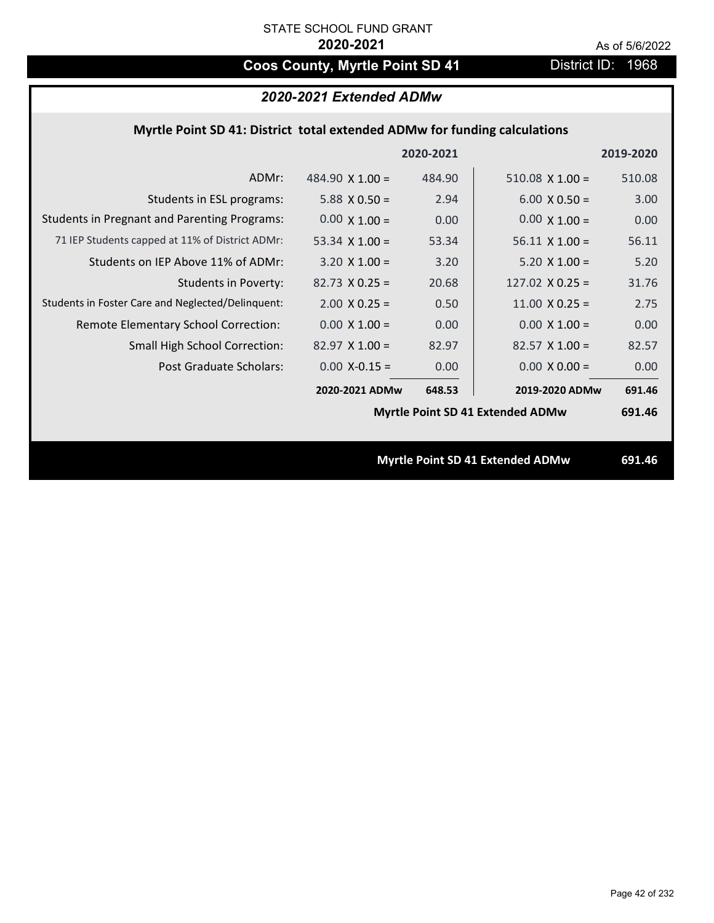# Coos County, Myrtle Point SD 41 District ID: 1968

| 2020-2021 Extended ADMw |  |  |
|-------------------------|--|--|
|-------------------------|--|--|

## **Myrtle Point SD 41: District total extended ADMw for funding calculations**

|                                                     |                        | 2020-2021 |                                         | 2019-2020 |
|-----------------------------------------------------|------------------------|-----------|-----------------------------------------|-----------|
| ADMr:                                               | 484.90 $\times$ 1.00 = | 484.90    | $510.08 \times 1.00 =$                  | 510.08    |
| Students in ESL programs:                           | 5.88 $X$ 0.50 =        | 2.94      | $6.00 \times 0.50 =$                    | 3.00      |
| <b>Students in Pregnant and Parenting Programs:</b> | $0.00 \times 1.00 =$   | 0.00      | $0.00 \times 1.00 =$                    | 0.00      |
| 71 IEP Students capped at 11% of District ADMr:     | 53.34 $\times$ 1.00 =  | 53.34     | $56.11 \times 1.00 =$                   | 56.11     |
| Students on IEP Above 11% of ADMr:                  | $3.20 \times 1.00 =$   | 3.20      | $5.20 \times 1.00 =$                    | 5.20      |
| <b>Students in Poverty:</b>                         | $82.73 \times 0.25 =$  | 20.68     | 127.02 $X$ 0.25 =                       | 31.76     |
| Students in Foster Care and Neglected/Delinquent:   | $2.00 \times 0.25 =$   | 0.50      | $11.00 \times 0.25 =$                   | 2.75      |
| Remote Elementary School Correction:                | $0.00 \times 1.00 =$   | 0.00      | $0.00 \times 1.00 =$                    | 0.00      |
| <b>Small High School Correction:</b>                | $82.97 \times 1.00 =$  | 82.97     | $82.57$ X 1.00 =                        | 82.57     |
| Post Graduate Scholars:                             | $0.00$ X-0.15 =        | 0.00      | $0.00 \times 0.00 =$                    | 0.00      |
|                                                     | 2020-2021 ADMw         | 648.53    | 2019-2020 ADMw                          | 691.46    |
|                                                     |                        |           | <b>Myrtle Point SD 41 Extended ADMw</b> | 691.46    |
|                                                     |                        |           |                                         |           |
|                                                     |                        |           | <b>Myrtle Point SD 41 Extended ADMw</b> | 691.46    |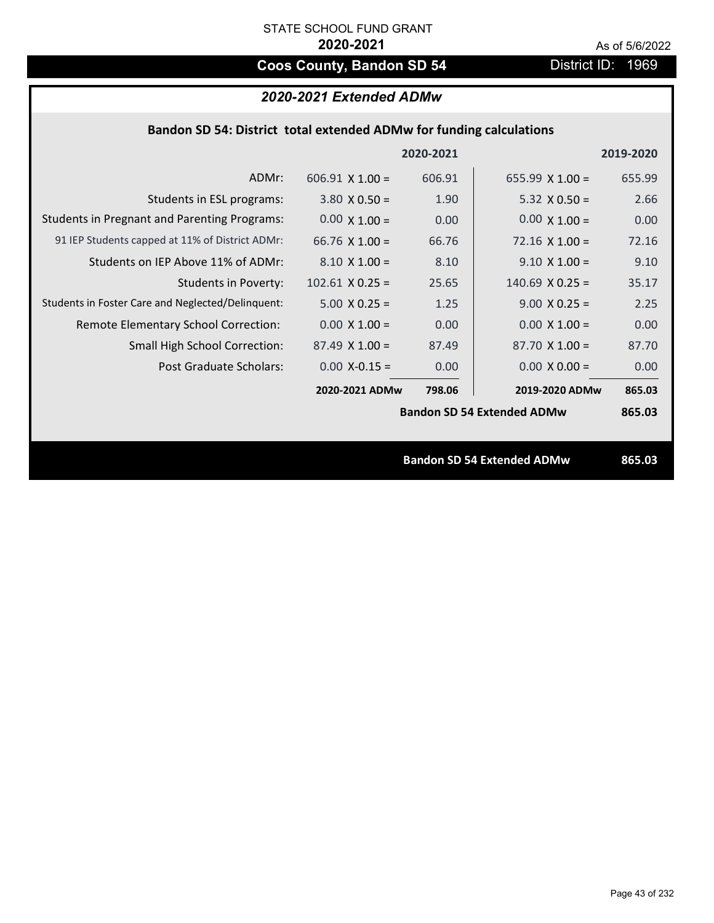# **Coos County, Bandon SD 54** District ID: 1969

# *2020-2021 Extended ADMw*

| Bandon SD 54: District total extended ADMw for funding calculations |  |  |  |
|---------------------------------------------------------------------|--|--|--|
|---------------------------------------------------------------------|--|--|--|

|                                                     |                        | 2020-2021 |                                   | 2019-2020 |
|-----------------------------------------------------|------------------------|-----------|-----------------------------------|-----------|
| ADMr:                                               | $606.91 \times 1.00 =$ | 606.91    | 655.99 $X$ 1.00 =                 | 655.99    |
| Students in ESL programs:                           | $3.80 \times 0.50 =$   | 1.90      | $5.32 \times 0.50 =$              | 2.66      |
| <b>Students in Pregnant and Parenting Programs:</b> | $0.00 \times 1.00 =$   | 0.00      | $0.00 \times 1.00 =$              | 0.00      |
| 91 IEP Students capped at 11% of District ADMr:     | 66.76 $\times$ 1.00 =  | 66.76     | $72.16 \times 1.00 =$             | 72.16     |
| Students on IEP Above 11% of ADMr:                  | $8.10 \times 1.00 =$   | 8.10      | $9.10 \times 1.00 =$              | 9.10      |
| <b>Students in Poverty:</b>                         | $102.61$ X 0.25 =      | 25.65     | $140.69$ X 0.25 =                 | 35.17     |
| Students in Foster Care and Neglected/Delinquent:   | $5.00 \times 0.25 =$   | 1.25      | $9.00 \times 0.25 =$              | 2.25      |
| Remote Elementary School Correction:                | $0.00 \times 1.00 =$   | 0.00      | $0.00 \times 1.00 =$              | 0.00      |
| <b>Small High School Correction:</b>                | $87.49 \times 1.00 =$  | 87.49     | $87.70 \times 1.00 =$             | 87.70     |
| Post Graduate Scholars:                             | $0.00$ X-0.15 =        | 0.00      | $0.00 \times 0.00 =$              | 0.00      |
|                                                     | 2020-2021 ADMw         | 798.06    | 2019-2020 ADMw                    | 865.03    |
|                                                     |                        |           | <b>Bandon SD 54 Extended ADMw</b> | 865.03    |
|                                                     |                        |           |                                   |           |
|                                                     |                        |           | <b>Bandon SD 54 Extended ADMw</b> | 865.03    |
|                                                     |                        |           |                                   |           |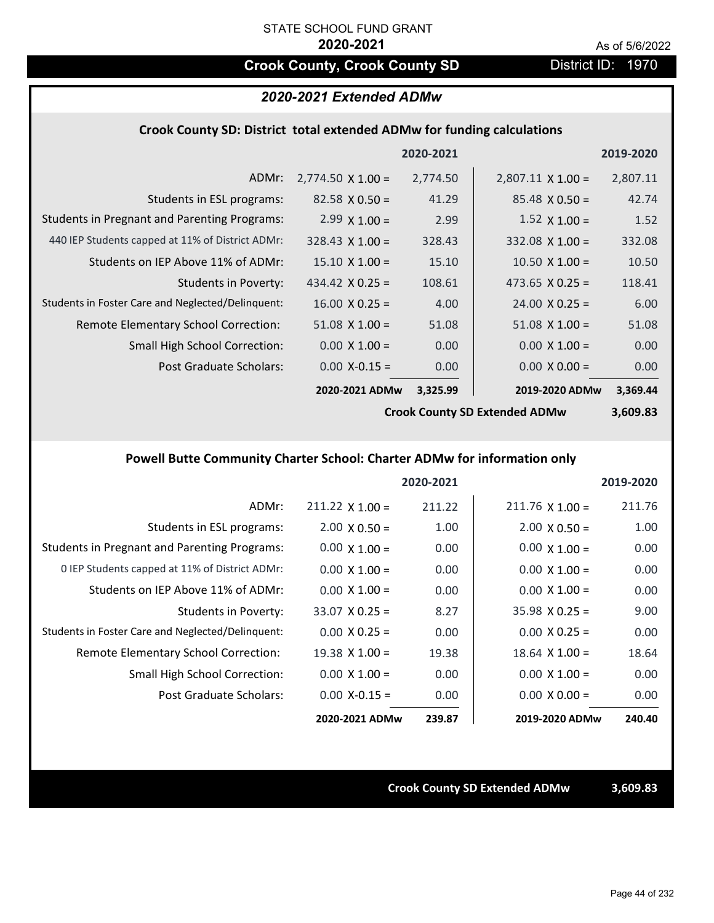# **Crook County, Crook County SD District ID: 1970**

# *2020-2021 Extended ADMw*

#### **Crook County SD: District total extended ADMw for funding calculations**

|                                                     |                          | 2020-2021 |                          | 2019-2020 |
|-----------------------------------------------------|--------------------------|-----------|--------------------------|-----------|
| ADMr:                                               | $2,774.50 \times 1.00 =$ | 2,774.50  | $2,807.11 \times 1.00 =$ | 2,807.11  |
| Students in ESL programs:                           | $82.58 \times 0.50 =$    | 41.29     | $85.48 \times 0.50 =$    | 42.74     |
| <b>Students in Pregnant and Parenting Programs:</b> | $2.99 \times 1.00 =$     | 2.99      | $1.52 \times 1.00 =$     | 1.52      |
| 440 IEP Students capped at 11% of District ADMr:    | $328.43 \times 1.00 =$   | 328.43    | $332.08 \times 1.00 =$   | 332.08    |
| Students on IEP Above 11% of ADMr:                  | $15.10 \times 1.00 =$    | 15.10     | $10.50 \times 1.00 =$    | 10.50     |
| <b>Students in Poverty:</b>                         | 434.42 $X$ 0.25 =        | 108.61    | 473.65 $X$ 0.25 =        | 118.41    |
| Students in Foster Care and Neglected/Delinquent:   | $16.00 \times 0.25 =$    | 4.00      | $24.00 \times 0.25 =$    | 6.00      |
| Remote Elementary School Correction:                | $51.08 \times 1.00 =$    | 51.08     | $51.08 \times 1.00 =$    | 51.08     |
| <b>Small High School Correction:</b>                | $0.00 \times 1.00 =$     | 0.00      | $0.00 \times 1.00 =$     | 0.00      |
| Post Graduate Scholars:                             | $0.00$ X-0.15 =          | 0.00      | $0.00 \times 0.00 =$     | 0.00      |
|                                                     | 2020-2021 ADMw           | 3,325.99  | 2019-2020 ADMw           | 3,369.44  |

**Crook County SD Extended ADMw**

**3,609.83**

# **Powell Butte Community Charter School: Charter ADMw for information only**

|                                                     |                       | 2020-2021 |                        | 2019-2020 |
|-----------------------------------------------------|-----------------------|-----------|------------------------|-----------|
| ADMr:                                               | $211.22$ X 1.00 =     | 211.22    | $211.76 \times 1.00 =$ | 211.76    |
| Students in ESL programs:                           | $2.00 \times 0.50 =$  | 1.00      | $2.00 \times 0.50 =$   | 1.00      |
| <b>Students in Pregnant and Parenting Programs:</b> | $0.00 \times 1.00 =$  | 0.00      | $0.00 \times 1.00 =$   | 0.00      |
| 0 IEP Students capped at 11% of District ADMr:      | $0.00 \times 1.00 =$  | 0.00      | $0.00 \times 1.00 =$   | 0.00      |
| Students on IEP Above 11% of ADMr:                  | $0.00 \times 1.00 =$  | 0.00      | $0.00 \times 1.00 =$   | 0.00      |
| Students in Poverty:                                | $33.07 \times 0.25 =$ | 8.27      | $35.98 \times 0.25 =$  | 9.00      |
| Students in Foster Care and Neglected/Delinquent:   | $0.00 \times 0.25 =$  | 0.00      | $0.00 \times 0.25 =$   | 0.00      |
| Remote Elementary School Correction:                | $19.38 \times 1.00 =$ | 19.38     | $18.64$ X $1.00 =$     | 18.64     |
| <b>Small High School Correction:</b>                | $0.00 \times 1.00 =$  | 0.00      | $0.00 \times 1.00 =$   | 0.00      |
| Post Graduate Scholars:                             | $0.00$ X-0.15 =       | 0.00      | $0.00 \times 0.00 =$   | 0.00      |
|                                                     | 2020-2021 ADMw        | 239.87    | 2019-2020 ADMw         | 240.40    |

**Crook County SD Extended ADMw 3,609.83**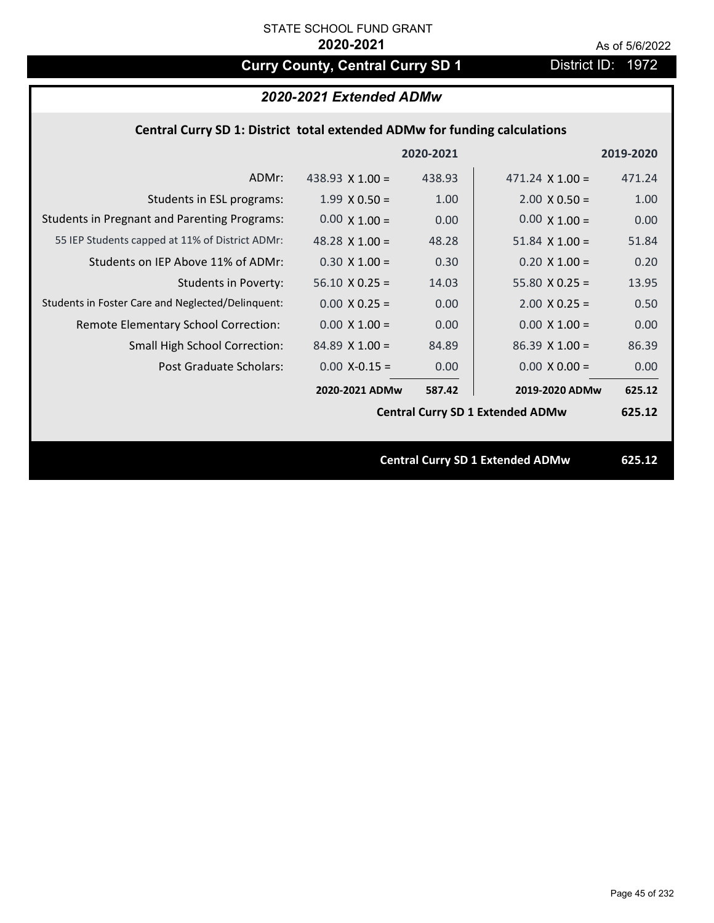# **Curry County, Central Curry SD 1** District ID: 1972

# *2020-2021 Extended ADMw*

## **Central Curry SD 1: District total extended ADMw for funding calculations**

|                                                     |                                         | 2020-2021 |                        | 2019-2020 |
|-----------------------------------------------------|-----------------------------------------|-----------|------------------------|-----------|
| ADMr:                                               | 438.93 $X$ 1.00 =                       | 438.93    | $471.24 \times 1.00 =$ | 471.24    |
| Students in ESL programs:                           | $1.99 \times 0.50 =$                    | 1.00      | $2.00 \times 0.50 =$   | 1.00      |
| <b>Students in Pregnant and Parenting Programs:</b> | $0.00 \times 1.00 =$                    | 0.00      | $0.00 \times 1.00 =$   | 0.00      |
| 55 IEP Students capped at 11% of District ADMr:     | 48.28 $\times$ 1.00 =                   | 48.28     | $51.84$ X $1.00 =$     | 51.84     |
| Students on IEP Above 11% of ADMr:                  | $0.30 X 1.00 =$                         | 0.30      | $0.20 X 1.00 =$        | 0.20      |
| <b>Students in Poverty:</b>                         | $56.10 \times 0.25 =$                   | 14.03     | $55.80 X 0.25 =$       | 13.95     |
| Students in Foster Care and Neglected/Delinquent:   | $0.00 \times 0.25 =$                    | 0.00      | $2.00 \times 0.25 =$   | 0.50      |
| Remote Elementary School Correction:                | $0.00 \times 1.00 =$                    | 0.00      | $0.00 \times 1.00 =$   | 0.00      |
| <b>Small High School Correction:</b>                | $84.89$ X 1.00 =                        | 84.89     | $86.39$ X 1.00 =       | 86.39     |
| Post Graduate Scholars:                             | $0.00$ X-0.15 =                         | 0.00      | $0.00 \times 0.00 =$   | 0.00      |
|                                                     | 2020-2021 ADMw                          | 587.42    | 2019-2020 ADMw         | 625.12    |
|                                                     | <b>Central Curry SD 1 Extended ADMw</b> |           |                        | 625.12    |
|                                                     |                                         |           |                        |           |
| <b>Central Curry SD 1 Extended ADMw</b>             |                                         |           |                        | 625.12    |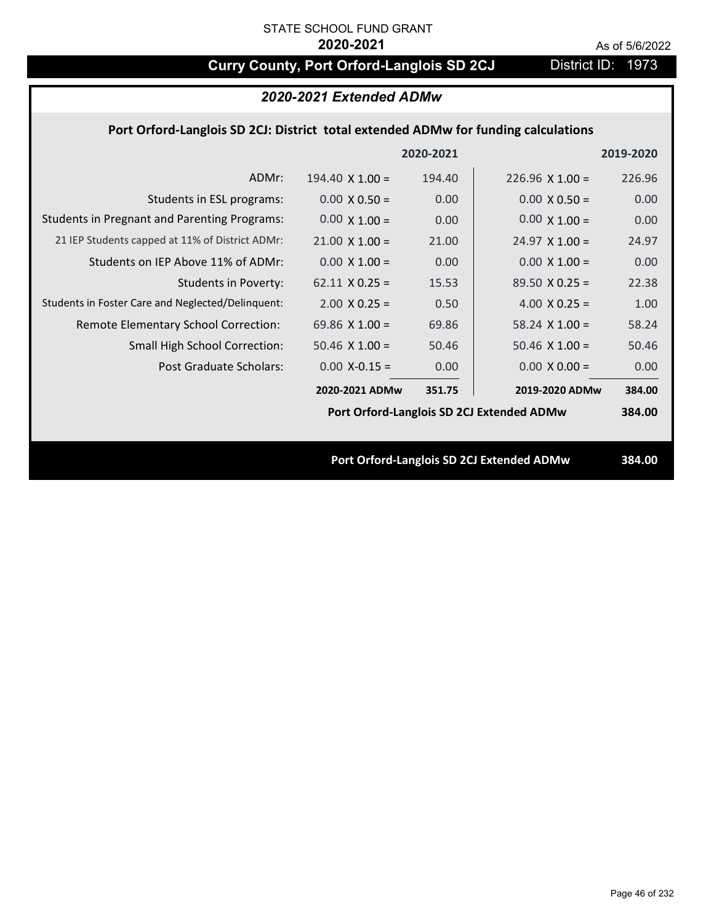# **Curry County, Port Orford-Langlois SD 2CJ** District ID: 1973

| 2020-2021 Extended ADMw                                                            |                        |           |                                           |           |  |
|------------------------------------------------------------------------------------|------------------------|-----------|-------------------------------------------|-----------|--|
| Port Orford-Langlois SD 2CJ: District total extended ADMw for funding calculations |                        |           |                                           |           |  |
|                                                                                    |                        | 2020-2021 |                                           | 2019-2020 |  |
| ADMr:                                                                              | $194.40 \times 1.00 =$ | 194.40    | $226.96 \times 1.00 =$                    | 226.96    |  |
| Students in ESL programs:                                                          | $0.00 \times 0.50 =$   | 0.00      | $0.00 \times 0.50 =$                      | 0.00      |  |
| <b>Students in Pregnant and Parenting Programs:</b>                                | $0.00 \times 1.00 =$   | 0.00      | $0.00 \times 1.00 =$                      | 0.00      |  |
| 21 IEP Students capped at 11% of District ADMr:                                    | $21.00 \times 1.00 =$  | 21.00     | $24.97 \times 1.00 =$                     | 24.97     |  |
| Students on IEP Above 11% of ADMr:                                                 | $0.00 X 1.00 =$        | 0.00      | $0.00 \times 1.00 =$                      | 0.00      |  |
| <b>Students in Poverty:</b>                                                        | $62.11 \times 0.25 =$  | 15.53     | $89.50 X 0.25 =$                          | 22.38     |  |
| Students in Foster Care and Neglected/Delinquent:                                  | $2.00 \times 0.25 =$   | 0.50      | $4.00 \times 0.25 =$                      | 1.00      |  |
| Remote Elementary School Correction:                                               | 69.86 $X$ 1.00 =       | 69.86     | $58.24$ X 1.00 =                          | 58.24     |  |
| Small High School Correction:                                                      | $50.46$ X $1.00 =$     | 50.46     | $50.46$ X $1.00 =$                        | 50.46     |  |
| <b>Post Graduate Scholars:</b>                                                     | $0.00$ X-0.15 =        | 0.00      | $0.00 \times 0.00 =$                      | 0.00      |  |
|                                                                                    | 2020-2021 ADMw         | 351.75    | 2019-2020 ADMw                            | 384.00    |  |
|                                                                                    |                        |           | Port Orford-Langlois SD 2CJ Extended ADMw | 384.00    |  |
|                                                                                    |                        |           |                                           |           |  |
| Port Orford-Langlois SD 2CJ Extended ADMw                                          |                        |           | 384.00                                    |           |  |
|                                                                                    |                        |           |                                           |           |  |
|                                                                                    |                        |           |                                           |           |  |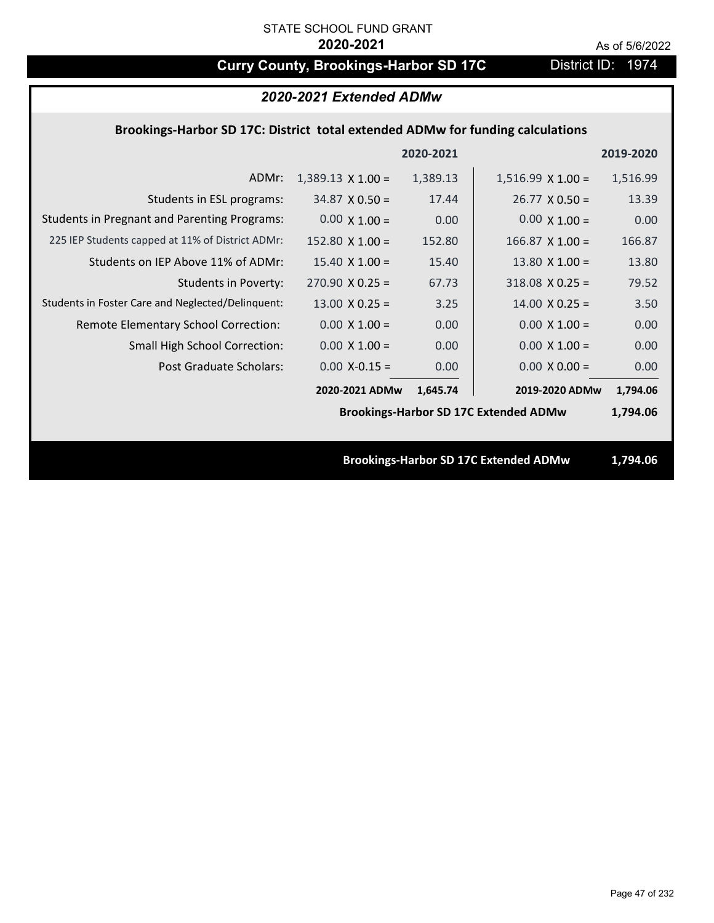# **Curry County, Brookings-Harbor SD 17C** District ID: 1974

| 2020-2021 Extended ADMw                                                        |                          |           |                          |           |  |
|--------------------------------------------------------------------------------|--------------------------|-----------|--------------------------|-----------|--|
| Brookings-Harbor SD 17C: District total extended ADMw for funding calculations |                          |           |                          |           |  |
|                                                                                |                          | 2020-2021 |                          | 2019-2020 |  |
| ADMr:                                                                          | $1,389.13 \times 1.00 =$ | 1,389.13  | $1,516.99 \times 1.00 =$ | 1,516.99  |  |
| Students in ESL programs:                                                      | $34.87 \times 0.50 =$    | 17.44     | $26.77 \times 0.50 =$    | 13.39     |  |
| <b>Students in Pregnant and Parenting Programs:</b>                            | $0.00 \times 1.00 =$     | 0.00      | $0.00 \times 1.00 =$     | 0.00      |  |
| 225 IEP Students capped at 11% of District ADMr:                               | 152.80 $\times$ 1.00 =   | 152.80    | $166.87$ X 1.00 =        | 166.87    |  |
| Students on IEP Above 11% of ADMr:                                             | $15.40 \times 1.00 =$    | 15.40     | $13.80 \times 1.00 =$    | 13.80     |  |
| <b>Students in Poverty:</b>                                                    | $270.90 \times 0.25 =$   | 67.73     | $318.08$ X 0.25 =        | 79.52     |  |
| Students in Foster Care and Neglected/Delinquent:                              | $13.00 \times 0.25 =$    | 3.25      | $14.00 \times 0.25 =$    | 3.50      |  |
| Remote Elementary School Correction:                                           | $0.00 X 1.00 =$          | 0.00      | $0.00 \times 1.00 =$     | 0.00      |  |
| <b>Small High School Correction:</b>                                           | $0.00 \times 1.00 =$     | 0.00      | $0.00 \times 1.00 =$     | 0.00      |  |
| Post Graduate Scholars:                                                        | $0.00$ X-0.15 =          | 0.00      | $0.00 \times 0.00 =$     | 0.00      |  |
|                                                                                | 2020-2021 ADMw           | 1,645.74  | 2019-2020 ADMw           | 1,794.06  |  |
| <b>Brookings-Harbor SD 17C Extended ADMw</b>                                   |                          |           |                          |           |  |
|                                                                                |                          |           |                          |           |  |
| <b>Brookings-Harbor SD 17C Extended ADMw</b>                                   |                          |           |                          | 1,794.06  |  |
|                                                                                |                          |           |                          |           |  |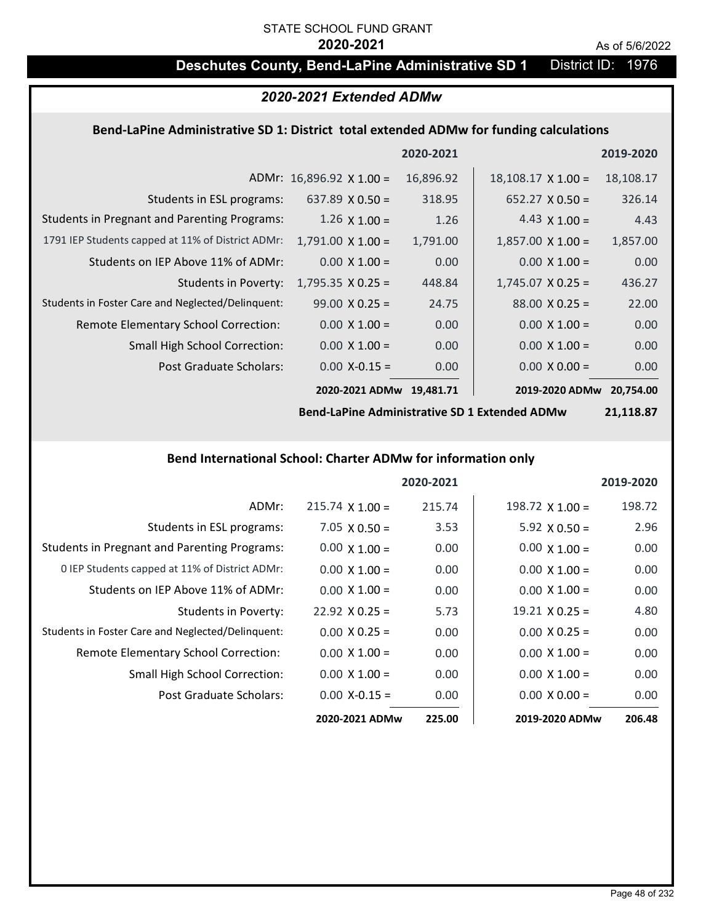# STATE SCHOOL FUND GRANT

#### **2020-2021** As of 5/6/2022

# **Deschutes County, Bend-LaPine Administrative SD 1** District ID: 1976

## *2020-2021 Extended ADMw*

### **Bend‐LaPine Administrative SD 1: District total extended ADMw for funding calculations**

|                                                     |                                 | 2020-2021 |                           | 2019-2020 |
|-----------------------------------------------------|---------------------------------|-----------|---------------------------|-----------|
|                                                     | ADMr: $16,896.92 \times 1.00 =$ | 16,896.92 | $18,108.17 \times 1.00 =$ | 18,108.17 |
| Students in ESL programs:                           | 637.89 $\times$ 0.50 =          | 318.95    | $652.27 \times 0.50 =$    | 326.14    |
| <b>Students in Pregnant and Parenting Programs:</b> | $1.26 \times 1.00 =$            | 1.26      | 4.43 $\times$ 1.00 =      | 4.43      |
| 1791 IEP Students capped at 11% of District ADMr:   | $1,791.00 \times 1.00 =$        | 1,791.00  | $1,857.00 \times 1.00 =$  | 1,857.00  |
| Students on IEP Above 11% of ADMr:                  | $0.00 \times 1.00 =$            | 0.00      | $0.00 \times 1.00 =$      | 0.00      |
| <b>Students in Poverty:</b>                         | $1,795.35 \times 0.25 =$        | 448.84    | $1,745.07 \times 0.25 =$  | 436.27    |
| Students in Foster Care and Neglected/Delinquent:   | $99.00 \times 0.25 =$           | 24.75     | $88.00 \times 0.25 =$     | 22.00     |
| Remote Elementary School Correction:                | $0.00 \times 1.00 =$            | 0.00      | $0.00 \times 1.00 =$      | 0.00      |
| <b>Small High School Correction:</b>                | $0.00 \times 1.00 =$            | 0.00      | $0.00 \times 1.00 =$      | 0.00      |
| Post Graduate Scholars:                             | $0.00 X - 0.15 =$               | 0.00      | $0.00 \times 0.00 =$      | 0.00      |
|                                                     | 2020-2021 ADMw                  | 19.481.71 | 2019-2020 ADMw            | 20.754.00 |

**Bend‐LaPine Administrative SD 1 Extended ADMw**

**21,118.87**

#### **Bend International School: Charter ADMw for information only**

|                                                     |                       | 2020-2021 |                        | 2019-2020 |
|-----------------------------------------------------|-----------------------|-----------|------------------------|-----------|
| ADMr:                                               | $215.74$ X 1.00 =     | 215.74    | $198.72 \times 1.00 =$ | 198.72    |
| Students in ESL programs:                           | $7.05 \times 0.50 =$  | 3.53      | $5.92 \times 0.50 =$   | 2.96      |
| <b>Students in Pregnant and Parenting Programs:</b> | $0.00 \times 1.00 =$  | 0.00      | $0.00 \times 1.00 =$   | 0.00      |
| 0 IEP Students capped at 11% of District ADMr:      | $0.00 \times 1.00 =$  | 0.00      | $0.00 \times 1.00 =$   | 0.00      |
| Students on IEP Above 11% of ADMr:                  | $0.00 \times 1.00 =$  | 0.00      | $0.00 \times 1.00 =$   | 0.00      |
| Students in Poverty:                                | $22.92 \times 0.25 =$ | 5.73      | $19.21 \times 0.25 =$  | 4.80      |
| Students in Foster Care and Neglected/Delinquent:   | $0.00 \times 0.25 =$  | 0.00      | $0.00 \times 0.25 =$   | 0.00      |
| Remote Elementary School Correction:                | $0.00 \times 1.00 =$  | 0.00      | $0.00 \times 1.00 =$   | 0.00      |
| <b>Small High School Correction:</b>                | $0.00 \times 1.00 =$  | 0.00      | $0.00 \times 1.00 =$   | 0.00      |
| Post Graduate Scholars:                             | $0.00 X - 0.15 =$     | 0.00      | $0.00 \times 0.00 =$   | 0.00      |
|                                                     | 2020-2021 ADMw        | 225.00    | 2019-2020 ADMw         | 206.48    |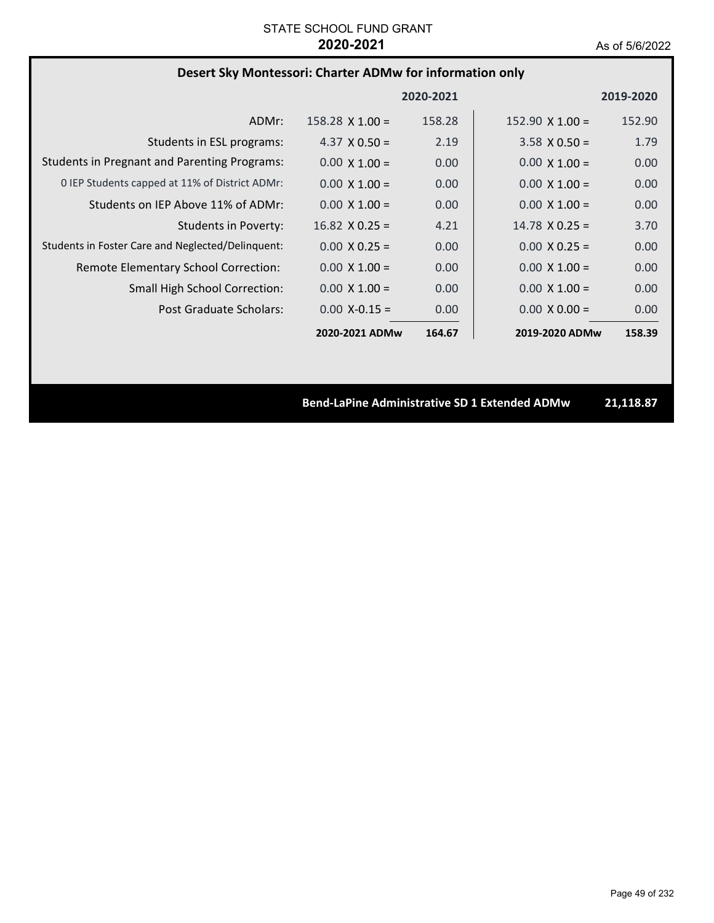# **Desert Sky Montessori: Charter ADMw for information only**

|                                                     |                       | 2020-2021 |                        | 2019-2020 |
|-----------------------------------------------------|-----------------------|-----------|------------------------|-----------|
| ADMr:                                               | $158.28$ X 1.00 =     | 158.28    | $152.90 \times 1.00 =$ | 152.90    |
| Students in ESL programs:                           | 4.37 $\times$ 0.50 =  | 2.19      | $3.58 \times 0.50 =$   | 1.79      |
| <b>Students in Pregnant and Parenting Programs:</b> | $0.00 \times 1.00 =$  | 0.00      | $0.00 \times 1.00 =$   | 0.00      |
| 0 IEP Students capped at 11% of District ADMr:      | $0.00 \times 1.00 =$  | 0.00      | $0.00 \times 1.00 =$   | 0.00      |
| Students on IEP Above 11% of ADMr:                  | $0.00 \times 1.00 =$  | 0.00      | $0.00 \times 1.00 =$   | 0.00      |
| <b>Students in Poverty:</b>                         | $16.82 \times 0.25 =$ | 4.21      | $14.78 \times 0.25 =$  | 3.70      |
| Students in Foster Care and Neglected/Delinquent:   | $0.00 \times 0.25 =$  | 0.00      | $0.00 \times 0.25 =$   | 0.00      |
| Remote Elementary School Correction:                | $0.00 \times 1.00 =$  | 0.00      | $0.00 \times 1.00 =$   | 0.00      |
| <b>Small High School Correction:</b>                | $0.00 \times 1.00 =$  | 0.00      | $0.00 \times 1.00 =$   | 0.00      |
| Post Graduate Scholars:                             | $0.00 X - 0.15 =$     | 0.00      | $0.00 \times 0.00 =$   | 0.00      |
|                                                     | 2020-2021 ADMw        | 164.67    | 2019-2020 ADMw         | 158.39    |

**Bend‐LaPine Administrative SD 1 Extended ADMw 21,118.87**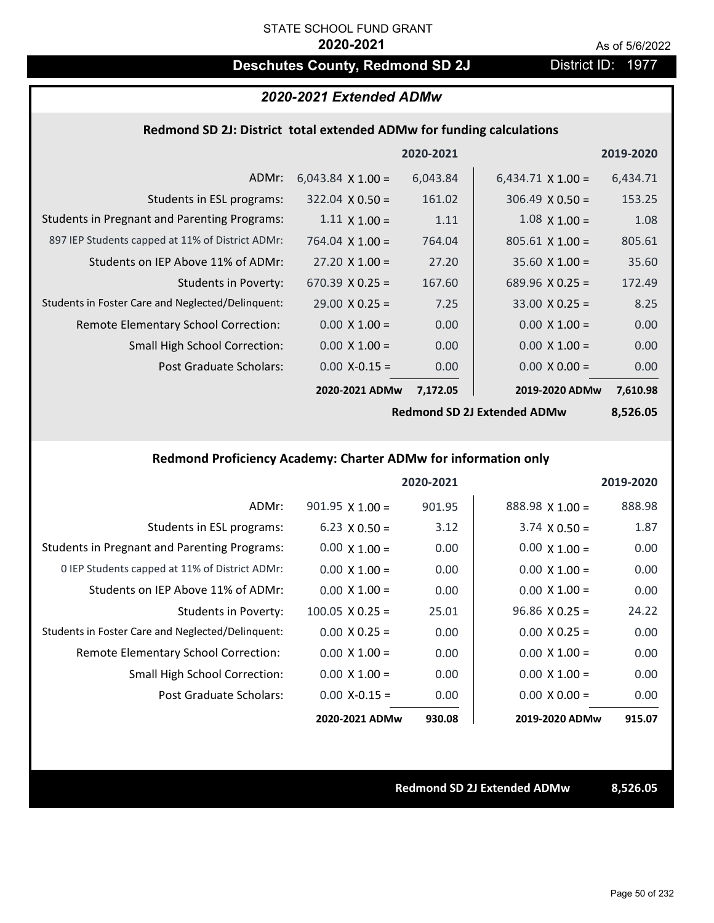# **Deschutes County, Redmond SD 2J District ID: 1977**

### *2020-2021 Extended ADMw*

### **Redmond SD 2J: District total extended ADMw for funding calculations**

|                                                     |                          | 2020-2021 |                          | 2019-2020 |
|-----------------------------------------------------|--------------------------|-----------|--------------------------|-----------|
| ADMr:                                               | $6,043.84 \times 1.00 =$ | 6,043.84  | $6,434.71 \times 1.00 =$ | 6,434.71  |
| Students in ESL programs:                           | $322.04 \times 0.50 =$   | 161.02    | $306.49 \times 0.50 =$   | 153.25    |
| <b>Students in Pregnant and Parenting Programs:</b> | $1.11 \times 1.00 =$     | 1.11      | $1.08 \times 1.00 =$     | 1.08      |
| 897 IEP Students capped at 11% of District ADMr:    | 764.04 $\times$ 1.00 =   | 764.04    | $805.61 \times 1.00 =$   | 805.61    |
| Students on IEP Above 11% of ADMr:                  | $27.20 \times 1.00 =$    | 27.20     | $35.60$ X $1.00 =$       | 35.60     |
| <b>Students in Poverty:</b>                         | $670.39 \times 0.25 =$   | 167.60    | 689.96 $X$ 0.25 =        | 172.49    |
| Students in Foster Care and Neglected/Delinquent:   | $29.00 \times 0.25 =$    | 7.25      | $33.00 \times 0.25 =$    | 8.25      |
| Remote Elementary School Correction:                | $0.00 \times 1.00 =$     | 0.00      | $0.00 \times 1.00 =$     | 0.00      |
| <b>Small High School Correction:</b>                | $0.00 \times 1.00 =$     | 0.00      | $0.00 \times 1.00 =$     | 0.00      |
| Post Graduate Scholars:                             | $0.00$ X-0.15 =          | 0.00      | $0.00 X 0.00 =$          | 0.00      |
|                                                     | 2020-2021 ADMw           | 7,172.05  | 2019-2020 ADMw           | 7,610.98  |
|                                                     |                          |           |                          |           |

**Redmond SD 2J Extended ADMw**

**8,526.05**

### **Redmond Proficiency Academy: Charter ADMw for information only**

|                                                     |                        | 2020-2021 |                        | 2019-2020 |
|-----------------------------------------------------|------------------------|-----------|------------------------|-----------|
| ADMr:                                               | $901.95$ X $1.00 =$    | 901.95    | $888.98 \times 1.00 =$ | 888.98    |
| Students in ESL programs:                           | $6.23 \times 0.50 =$   | 3.12      | $3.74 \times 0.50 =$   | 1.87      |
| <b>Students in Pregnant and Parenting Programs:</b> | $0.00 \times 1.00 =$   | 0.00      | $0.00 \times 1.00 =$   | 0.00      |
| 0 IEP Students capped at 11% of District ADMr:      | $0.00 \times 1.00 =$   | 0.00      | $0.00 \times 1.00 =$   | 0.00      |
| Students on IEP Above 11% of ADMr:                  | $0.00 \times 1.00 =$   | 0.00      | $0.00 \times 1.00 =$   | 0.00      |
| Students in Poverty:                                | $100.05 \times 0.25 =$ | 25.01     | $96.86 \times 0.25 =$  | 24.22     |
| Students in Foster Care and Neglected/Delinquent:   | $0.00 \times 0.25 =$   | 0.00      | $0.00 \times 0.25 =$   | 0.00      |
| Remote Elementary School Correction:                | $0.00 \times 1.00 =$   | 0.00      | $0.00 \times 1.00 =$   | 0.00      |
| <b>Small High School Correction:</b>                | $0.00 \times 1.00 =$   | 0.00      | $0.00 \times 1.00 =$   | 0.00      |
| Post Graduate Scholars:                             | $0.00 X - 0.15 =$      | 0.00      | $0.00 \times 0.00 =$   | 0.00      |
|                                                     | 2020-2021 ADMw         | 930.08    | 2019-2020 ADMw         | 915.07    |

**Redmond SD 2J Extended ADMw 8,526.05**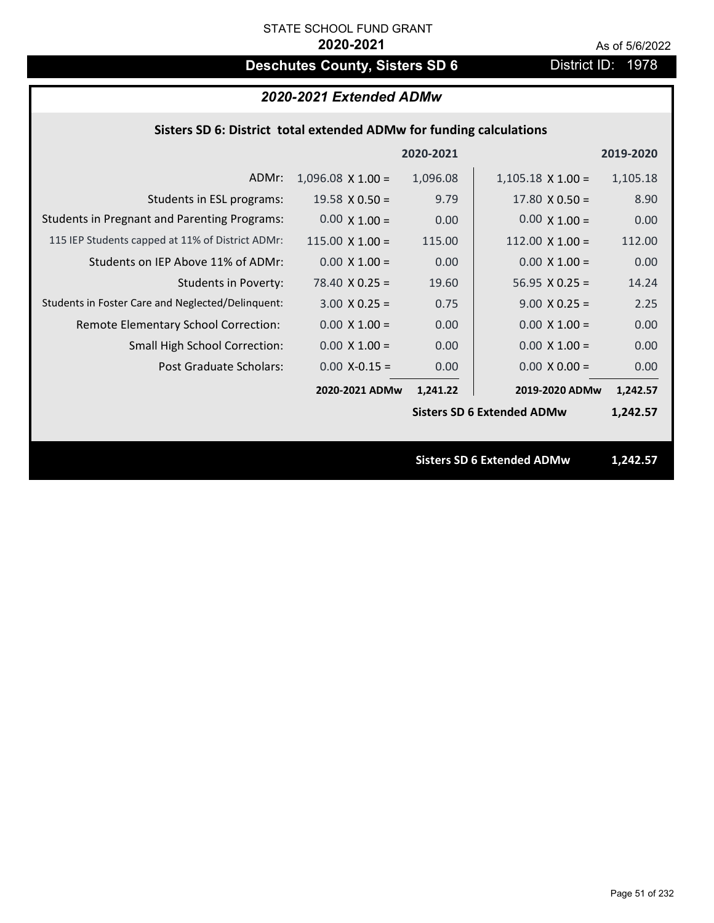# **Deschutes County, Sisters SD 6** District ID: 1978

# *2020-2021 Extended ADMw*

## **Sisters SD 6: District total extended ADMw for funding calculations**

|                                                     |                        | 2020-2021 |                                   | 2019-2020 |
|-----------------------------------------------------|------------------------|-----------|-----------------------------------|-----------|
| ADMr:                                               | $1,096.08$ X 1.00 =    | 1,096.08  | $1,105.18 \times 1.00 =$          | 1,105.18  |
| Students in ESL programs:                           | $19.58 \times 0.50 =$  | 9.79      | $17.80 \times 0.50 =$             | 8.90      |
| <b>Students in Pregnant and Parenting Programs:</b> | $0.00 \times 1.00 =$   | 0.00      | $0.00 \times 1.00 =$              | 0.00      |
| 115 IEP Students capped at 11% of District ADMr:    | $115.00 \times 1.00 =$ | 115.00    | $112.00 \times 1.00 =$            | 112.00    |
| Students on IEP Above 11% of ADMr:                  | $0.00 \times 1.00 =$   | 0.00      | $0.00 \times 1.00 =$              | 0.00      |
| <b>Students in Poverty:</b>                         | $78.40 \times 0.25 =$  | 19.60     | $56.95 \times 0.25 =$             | 14.24     |
| Students in Foster Care and Neglected/Delinquent:   | $3.00 \times 0.25 =$   | 0.75      | $9.00 \times 0.25 =$              | 2.25      |
| Remote Elementary School Correction:                | $0.00 \times 1.00 =$   | 0.00      | $0.00 \times 1.00 =$              | 0.00      |
| <b>Small High School Correction:</b>                | $0.00 \times 1.00 =$   | 0.00      | $0.00 \times 1.00 =$              | 0.00      |
| Post Graduate Scholars:                             | $0.00$ X-0.15 =        | 0.00      | $0.00 X 0.00 =$                   | 0.00      |
|                                                     | 2020-2021 ADMw         | 1,241.22  | 2019-2020 ADMw                    | 1,242.57  |
|                                                     |                        |           | <b>Sisters SD 6 Extended ADMw</b> | 1,242.57  |
|                                                     |                        |           |                                   |           |
|                                                     |                        |           | <b>Sisters SD 6 Extended ADMw</b> | 1,242.57  |
|                                                     |                        |           |                                   |           |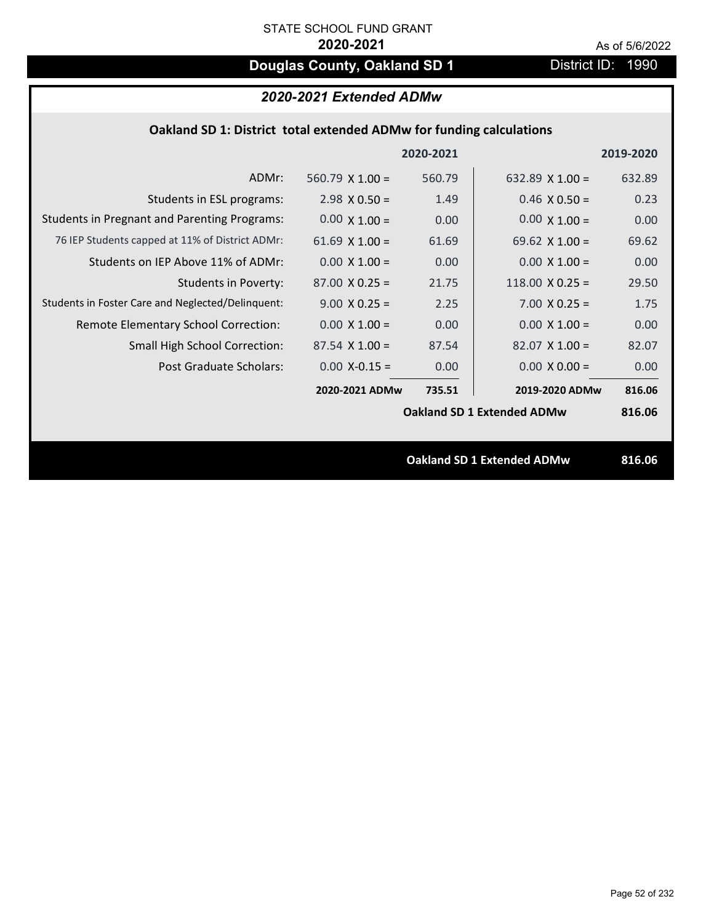# **Douglas County, Oakland SD 1** District ID: 1990

## *2020-2021 Extended ADMw*

### **Oakland SD 1: District total extended ADMw for funding calculations**

|                                                     |                                   | 2020-2021 |                                   | 2019-2020 |
|-----------------------------------------------------|-----------------------------------|-----------|-----------------------------------|-----------|
| ADMr:                                               | 560.79 $\times$ 1.00 =            | 560.79    | 632.89 $\times$ 1.00 =            | 632.89    |
| Students in ESL programs:                           | $2.98 \times 0.50 =$              | 1.49      | $0.46 \times 0.50 =$              | 0.23      |
| <b>Students in Pregnant and Parenting Programs:</b> | $0.00 \times 1.00 =$              | 0.00      | $0.00 \times 1.00 =$              | 0.00      |
| 76 IEP Students capped at 11% of District ADMr:     | 61.69 $\times$ 1.00 =             | 61.69     | 69.62 $\times$ 1.00 =             | 69.62     |
| Students on IEP Above 11% of ADMr:                  | $0.00 \times 1.00 =$              | 0.00      | $0.00 \times 1.00 =$              | 0.00      |
| Students in Poverty:                                | $87.00 \times 0.25 =$             | 21.75     | 118.00 $X$ 0.25 =                 | 29.50     |
| Students in Foster Care and Neglected/Delinquent:   | $9.00 \times 0.25 =$              | 2.25      | $7.00 \times 0.25 =$              | 1.75      |
| Remote Elementary School Correction:                | $0.00 \times 1.00 =$              | 0.00      | $0.00 \times 1.00 =$              | 0.00      |
| <b>Small High School Correction:</b>                | $87.54 \times 1.00 =$             | 87.54     | $82.07 \times 1.00 =$             | 82.07     |
| Post Graduate Scholars:                             | $0.00$ X-0.15 =                   | 0.00      | $0.00 \times 0.00 =$              | 0.00      |
|                                                     | 2020-2021 ADMw                    | 735.51    | 2019-2020 ADMw                    | 816.06    |
|                                                     |                                   |           | <b>Oakland SD 1 Extended ADMw</b> | 816.06    |
|                                                     |                                   |           |                                   |           |
|                                                     | <b>Oakland SD 1 Extended ADMw</b> |           |                                   | 816.06    |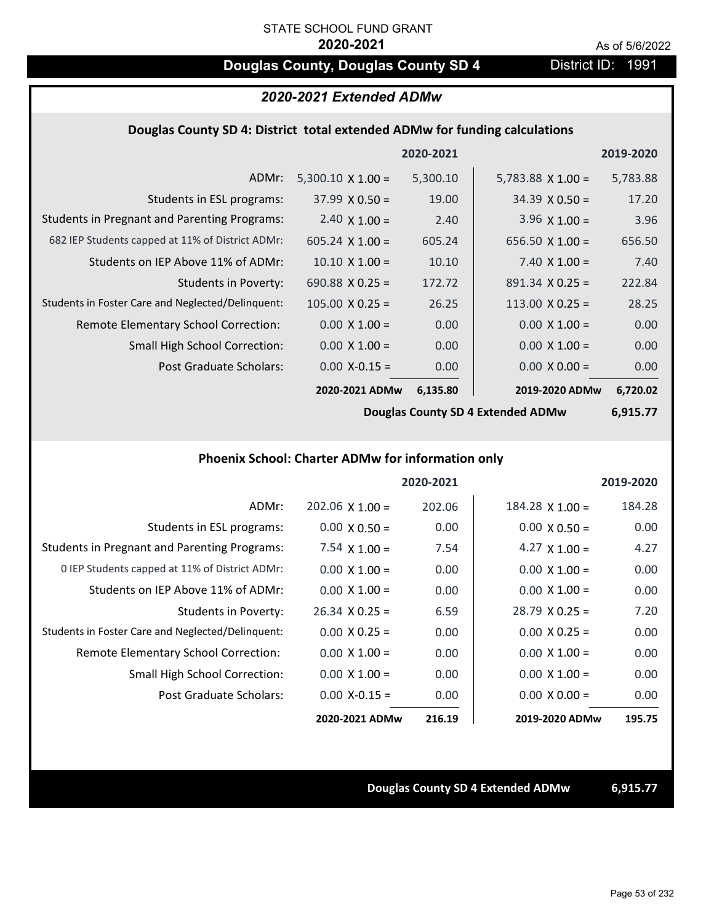# **Douglas County, Douglas County SD 4** District ID: 1991

## *2020-2021 Extended ADMw*

#### **Douglas County SD 4: District total extended ADMw for funding calculations**

|                                                     |                          | 2020-2021 |                          | 2019-2020 |
|-----------------------------------------------------|--------------------------|-----------|--------------------------|-----------|
| ADMr:                                               | $5,300.10 \times 1.00 =$ | 5,300.10  | $5,783.88 \times 1.00 =$ | 5,783.88  |
| Students in ESL programs:                           | $37.99 \times 0.50 =$    | 19.00     | $34.39 \times 0.50 =$    | 17.20     |
| <b>Students in Pregnant and Parenting Programs:</b> | 2.40 $\times$ 1.00 =     | 2.40      | 3.96 $\times$ 1.00 =     | 3.96      |
| 682 IEP Students capped at 11% of District ADMr:    | $605.24 \times 1.00 =$   | 605.24    | $656.50 \times 1.00 =$   | 656.50    |
| Students on IEP Above 11% of ADMr:                  | $10.10 \times 1.00 =$    | 10.10     | 7.40 $X$ 1.00 =          | 7.40      |
| <b>Students in Poverty:</b>                         | 690.88 $X$ 0.25 =        | 172.72    | $891.34 \times 0.25 =$   | 222.84    |
| Students in Foster Care and Neglected/Delinquent:   | $105.00 \times 0.25 =$   | 26.25     | $113.00 \times 0.25 =$   | 28.25     |
| Remote Elementary School Correction:                | $0.00 \times 1.00 =$     | 0.00      | $0.00 \times 1.00 =$     | 0.00      |
| <b>Small High School Correction:</b>                | $0.00 \times 1.00 =$     | 0.00      | $0.00 \times 1.00 =$     | 0.00      |
| Post Graduate Scholars:                             | $0.00$ X-0.15 =          | 0.00      | $0.00 \times 0.00 =$     | 0.00      |
|                                                     | 2020-2021 ADMw           | 6,135.80  | 2019-2020 ADMw           | 6,720.02  |

**Douglas County SD 4 Extended ADMw**

**6,915.77**

#### **Phoenix School: Charter ADMw for information only**

|                                                     |                       | 2020-2021 |                       | 2019-2020 |
|-----------------------------------------------------|-----------------------|-----------|-----------------------|-----------|
| ADMr:                                               | $202.06$ X 1.00 =     | 202.06    | $184.28$ X $1.00 =$   | 184.28    |
| Students in ESL programs:                           | $0.00 \times 0.50 =$  | 0.00      | $0.00 \times 0.50 =$  | 0.00      |
| <b>Students in Pregnant and Parenting Programs:</b> | 7.54 $\times$ 1.00 =  | 7.54      | 4.27 $\times$ 1.00 =  | 4.27      |
| 0 IEP Students capped at 11% of District ADMr:      | $0.00 \times 1.00 =$  | 0.00      | $0.00 \times 1.00 =$  | 0.00      |
| Students on IEP Above 11% of ADMr:                  | $0.00 \times 1.00 =$  | 0.00      | $0.00 \times 1.00 =$  | 0.00      |
| Students in Poverty:                                | $26.34 \times 0.25 =$ | 6.59      | $28.79 \times 0.25 =$ | 7.20      |
| Students in Foster Care and Neglected/Delinquent:   | $0.00 \times 0.25 =$  | 0.00      | $0.00 \times 0.25 =$  | 0.00      |
| Remote Elementary School Correction:                | $0.00 \times 1.00 =$  | 0.00      | $0.00 \times 1.00 =$  | 0.00      |
| <b>Small High School Correction:</b>                | $0.00 \times 1.00 =$  | 0.00      | $0.00 \times 1.00 =$  | 0.00      |
| Post Graduate Scholars:                             | $0.00$ X-0.15 =       | 0.00      | $0.00 \times 0.00 =$  | 0.00      |
|                                                     | 2020-2021 ADMw        | 216.19    | 2019-2020 ADMw        | 195.75    |

#### **Douglas County SD 4 Extended ADMw 6,915.77**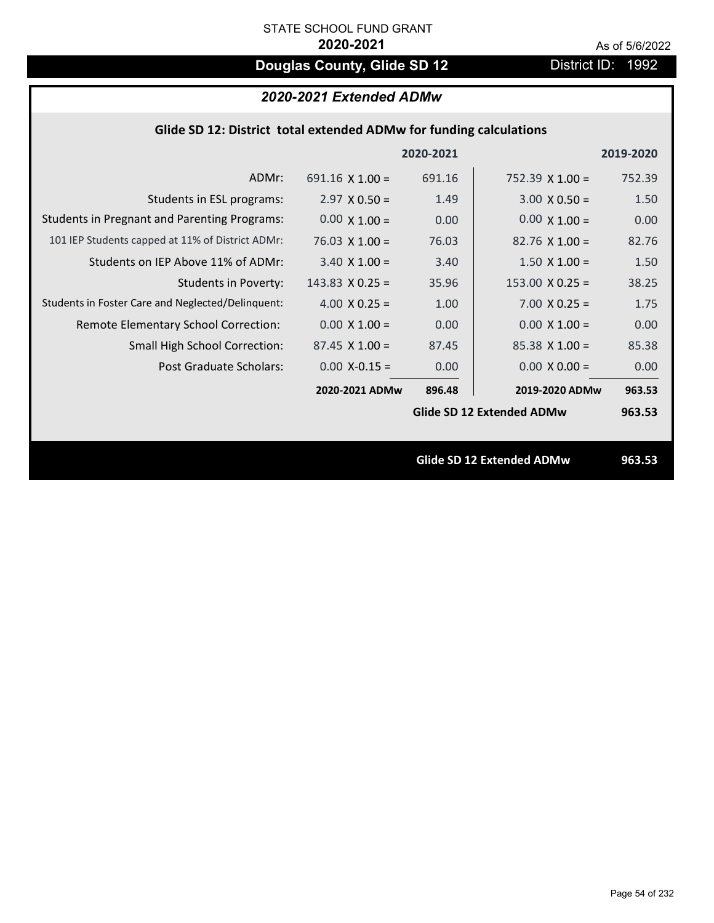# **Douglas County, Glide SD 12** District ID: 1992

# *2020-2021 Extended ADMw*

| Glide SD 12: District total extended ADMw for funding calculations |                        |           |                           |           |  |
|--------------------------------------------------------------------|------------------------|-----------|---------------------------|-----------|--|
|                                                                    |                        | 2020-2021 |                           | 2019-2020 |  |
| ADMr:                                                              | $691.16 \times 1.00 =$ | 691.16    | $752.39 \times 1.00 =$    | 752.39    |  |
| Students in ESL programs:                                          | $2.97 \times 0.50 =$   | 1.49      | $3.00 \times 0.50 =$      | 1.50      |  |
| <b>Students in Pregnant and Parenting Programs:</b>                | $0.00 \times 1.00 =$   | 0.00      | $0.00 \times 1.00 =$      | 0.00      |  |
| 101 IEP Students capped at 11% of District ADMr:                   | $76.03 \times 1.00 =$  | 76.03     | $82.76 \times 1.00 =$     | 82.76     |  |
| Students on IEP Above 11% of ADMr:                                 | $3.40$ X $1.00 =$      | 3.40      | $1.50 \times 1.00 =$      | 1.50      |  |
| <b>Students in Poverty:</b>                                        | $143.83$ X 0.25 =      | 35.96     | $153.00 \times 0.25 =$    | 38.25     |  |
| Students in Foster Care and Neglected/Delinquent:                  | 4.00 $X$ 0.25 =        | 1.00      | $7.00 \times 0.25 =$      | 1.75      |  |
| Remote Elementary School Correction:                               | $0.00 \times 1.00 =$   | 0.00      | $0.00 \times 1.00 =$      | 0.00      |  |
| <b>Small High School Correction:</b>                               | $87.45 \times 1.00 =$  | 87.45     | $85.38$ X 1.00 =          | 85.38     |  |
| Post Graduate Scholars:                                            | $0.00$ X-0.15 =        | 0.00      | $0.00 \times 0.00 =$      | 0.00      |  |
|                                                                    | 2020-2021 ADMw         | 896.48    | 2019-2020 ADMw            | 963.53    |  |
|                                                                    |                        |           | Glide SD 12 Extended ADMw | 963.53    |  |
|                                                                    |                        |           |                           |           |  |
|                                                                    |                        |           | Glide SD 12 Extended ADMw | 963.53    |  |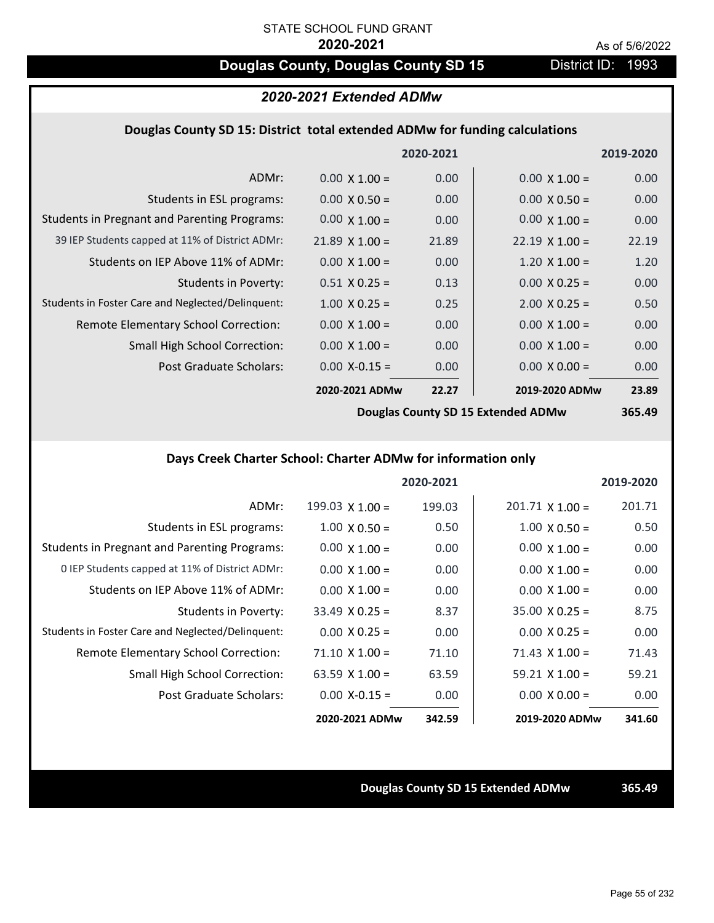# **Douglas County, Douglas County SD 15** District ID: 1993

## *2020-2021 Extended ADMw*

#### **Douglas County SD 15: District total extended ADMw for funding calculations**

|                                                     |                       | 2020-2021 |                       | 2019-2020 |
|-----------------------------------------------------|-----------------------|-----------|-----------------------|-----------|
| ADMr:                                               | $0.00 \times 1.00 =$  | 0.00      | $0.00 \times 1.00 =$  | 0.00      |
| Students in ESL programs:                           | $0.00 \times 0.50 =$  | 0.00      | $0.00 \times 0.50 =$  | 0.00      |
| <b>Students in Pregnant and Parenting Programs:</b> | $0.00 \times 1.00 =$  | 0.00      | $0.00 \times 1.00 =$  | 0.00      |
| 39 IEP Students capped at 11% of District ADMr:     | $21.89 \times 1.00 =$ | 21.89     | $22.19 \times 1.00 =$ | 22.19     |
| Students on IEP Above 11% of ADMr:                  | $0.00 \times 1.00 =$  | 0.00      | $1.20 \times 1.00 =$  | 1.20      |
| <b>Students in Poverty:</b>                         | $0.51 X 0.25 =$       | 0.13      | $0.00 \times 0.25 =$  | 0.00      |
| Students in Foster Care and Neglected/Delinquent:   | $1.00 \times 0.25 =$  | 0.25      | $2.00 \times 0.25 =$  | 0.50      |
| Remote Elementary School Correction:                | $0.00 \times 1.00 =$  | 0.00      | $0.00 \times 1.00 =$  | 0.00      |
| <b>Small High School Correction:</b>                | $0.00 \times 1.00 =$  | 0.00      | $0.00 \times 1.00 =$  | 0.00      |
| Post Graduate Scholars:                             | $0.00$ X-0.15 =       | 0.00      | $0.00 \times 0.00 =$  | 0.00      |
|                                                     | 2020-2021 ADMw        | 22.27     | 2019-2020 ADMw        | 23.89     |
|                                                     |                       |           |                       |           |

**Douglas County SD 15 Extended ADMw**

# **365.49**

# **Days Creek Charter School: Charter ADMw for information only**

|                                                     |                        | 2020-2021 |                        | 2019-2020 |
|-----------------------------------------------------|------------------------|-----------|------------------------|-----------|
| ADMr:                                               | $199.03 \times 1.00 =$ | 199.03    | $201.71 \times 1.00 =$ | 201.71    |
| Students in ESL programs:                           | $1.00 \times 0.50 =$   | 0.50      | $1.00 \times 0.50 =$   | 0.50      |
| <b>Students in Pregnant and Parenting Programs:</b> | $0.00 \times 1.00 =$   | 0.00      | $0.00 \times 1.00 =$   | 0.00      |
| 0 IEP Students capped at 11% of District ADMr:      | $0.00 \times 1.00 =$   | 0.00      | $0.00 \times 1.00 =$   | 0.00      |
| Students on IEP Above 11% of ADMr:                  | $0.00 \times 1.00 =$   | 0.00      | $0.00 \times 1.00 =$   | 0.00      |
| Students in Poverty:                                | $33.49 \times 0.25 =$  | 8.37      | $35.00 \times 0.25 =$  | 8.75      |
| Students in Foster Care and Neglected/Delinquent:   | $0.00 \times 0.25 =$   | 0.00      | $0.00 \times 0.25 =$   | 0.00      |
| Remote Elementary School Correction:                | $71.10 \times 1.00 =$  | 71.10     | $71.43$ X $1.00 =$     | 71.43     |
| <b>Small High School Correction:</b>                | 63.59 $X$ 1.00 =       | 63.59     | $59.21 \times 1.00 =$  | 59.21     |
| Post Graduate Scholars:                             | $0.00$ X-0.15 =        | 0.00      | $0.00 \times 0.00 =$   | 0.00      |
|                                                     | 2020-2021 ADMw         | 342.59    | 2019-2020 ADMw         | 341.60    |

#### **Douglas County SD 15 Extended ADMw 365.49**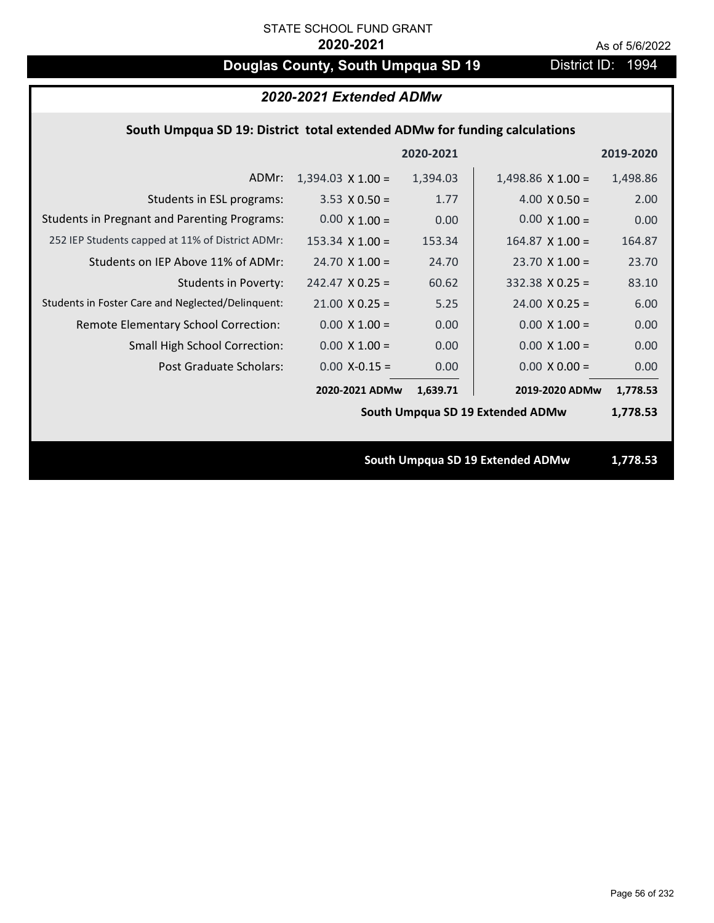# **Douglas County, South Umpqua SD 19** District ID: 1994

| 2020-2021 Extended ADMw                                                   |                          |           |                                  |           |  |
|---------------------------------------------------------------------------|--------------------------|-----------|----------------------------------|-----------|--|
| South Umpqua SD 19: District total extended ADMw for funding calculations |                          |           |                                  |           |  |
|                                                                           |                          | 2020-2021 |                                  | 2019-2020 |  |
| ADMr:                                                                     | $1,394.03 \times 1.00 =$ | 1,394.03  | $1,498.86 \times 1.00 =$         | 1,498.86  |  |
| Students in ESL programs:                                                 | $3.53 \times 0.50 =$     | 1.77      | $4.00 \times 0.50 =$             | 2.00      |  |
| <b>Students in Pregnant and Parenting Programs:</b>                       | $0.00 \times 1.00 =$     | 0.00      | $0.00 \times 1.00 =$             | 0.00      |  |
| 252 IEP Students capped at 11% of District ADMr:                          | $153.34 \times 1.00 =$   | 153.34    | $164.87$ X 1.00 =                | 164.87    |  |
| Students on IEP Above 11% of ADMr:                                        | $24.70 \times 1.00 =$    | 24.70     | $23.70$ X 1.00 =                 | 23.70     |  |
| <b>Students in Poverty:</b>                                               | $242.47$ X 0.25 =        | 60.62     | $332.38$ X 0.25 =                | 83.10     |  |
| Students in Foster Care and Neglected/Delinquent:                         | $21.00 \times 0.25 =$    | 5.25      | $24.00 \times 0.25 =$            | 6.00      |  |
| Remote Elementary School Correction:                                      | $0.00 \times 1.00 =$     | 0.00      | $0.00 \times 1.00 =$             | 0.00      |  |
| <b>Small High School Correction:</b>                                      | $0.00 \times 1.00 =$     | 0.00      | $0.00 \times 1.00 =$             | 0.00      |  |
| Post Graduate Scholars:                                                   | $0.00$ X-0.15 =          | 0.00      | $0.00 X 0.00 =$                  | 0.00      |  |
|                                                                           | 2020-2021 ADMw           | 1,639.71  | 2019-2020 ADMw                   | 1,778.53  |  |
|                                                                           |                          |           | South Umpqua SD 19 Extended ADMw | 1,778.53  |  |
|                                                                           |                          |           |                                  |           |  |
|                                                                           |                          |           | South Umpqua SD 19 Extended ADMw | 1,778.53  |  |
|                                                                           |                          |           |                                  |           |  |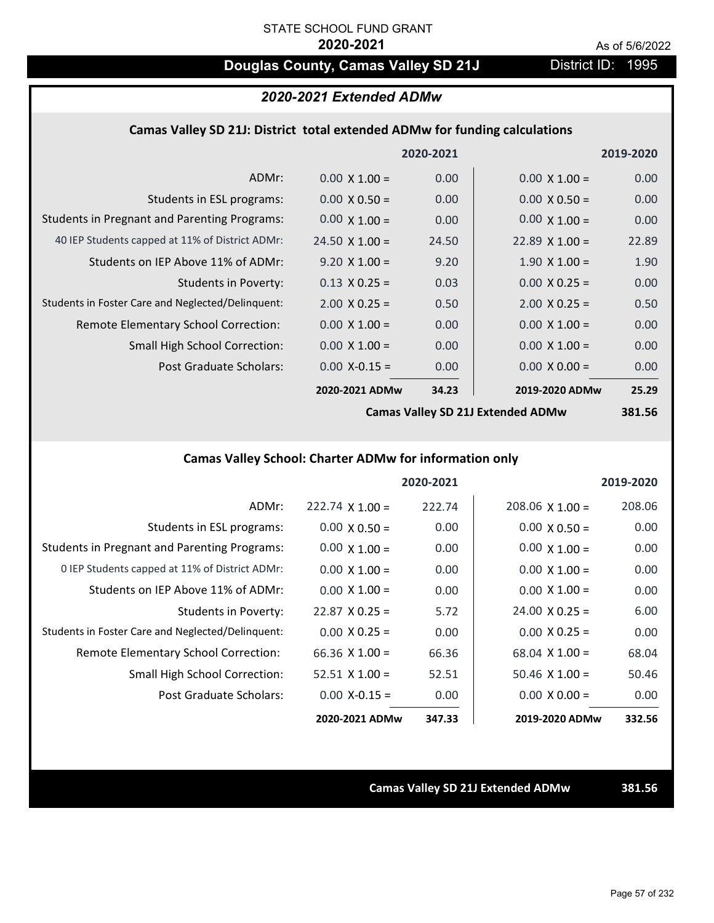# **Douglas County, Camas Valley SD 21J** District ID: 1995

## *2020-2021 Extended ADMw*

#### **Camas Valley SD 21J: District total extended ADMw for funding calculations**

|                                                     |                       | 2020-2021 |                      | 2019-2020 |
|-----------------------------------------------------|-----------------------|-----------|----------------------|-----------|
| ADMr:                                               | $0.00 \times 1.00 =$  | 0.00      | $0.00 \times 1.00 =$ | 0.00      |
| Students in ESL programs:                           | $0.00 \times 0.50 =$  | 0.00      | $0.00 \times 0.50 =$ | 0.00      |
| <b>Students in Pregnant and Parenting Programs:</b> | $0.00 \times 1.00 =$  | 0.00      | $0.00 \times 1.00 =$ | 0.00      |
| 40 IEP Students capped at 11% of District ADMr:     | $24.50 \times 1.00 =$ | 24.50     | $22.89$ X 1.00 =     | 22.89     |
| Students on IEP Above 11% of ADMr:                  | $9.20 \times 1.00 =$  | 9.20      | $1.90 \times 1.00 =$ | 1.90      |
| <b>Students in Poverty:</b>                         | $0.13 \times 0.25 =$  | 0.03      | $0.00 \times 0.25 =$ | 0.00      |
| Students in Foster Care and Neglected/Delinquent:   | $2.00 \times 0.25 =$  | 0.50      | $2.00 \times 0.25 =$ | 0.50      |
| Remote Elementary School Correction:                | $0.00 \times 1.00 =$  | 0.00      | $0.00 \times 1.00 =$ | 0.00      |
| <b>Small High School Correction:</b>                | $0.00 \times 1.00 =$  | 0.00      | $0.00 \times 1.00 =$ | 0.00      |
| Post Graduate Scholars:                             | $0.00$ X-0.15 =       | 0.00      | $0.00 \times 0.00 =$ | 0.00      |
|                                                     | 2020-2021 ADMw        | 34.23     | 2019-2020 ADMw       | 25.29     |
|                                                     |                       |           |                      |           |

**Camas Valley SD 21J Extended ADMw**

**381.56**

# **Camas Valley School: Charter ADMw for information only**

|                                                     |                        | 2020-2021 |                        | 2019-2020 |
|-----------------------------------------------------|------------------------|-----------|------------------------|-----------|
| ADMr:                                               | $222.74 \times 1.00 =$ | 222.74    | $208.06 \times 1.00 =$ | 208.06    |
| Students in ESL programs:                           | $0.00 \times 0.50 =$   | 0.00      | $0.00 \times 0.50 =$   | 0.00      |
| <b>Students in Pregnant and Parenting Programs:</b> | $0.00 \times 1.00 =$   | 0.00      | $0.00 \times 1.00 =$   | 0.00      |
| 0 IEP Students capped at 11% of District ADMr:      | $0.00 \times 1.00 =$   | 0.00      | $0.00 \times 1.00 =$   | 0.00      |
| Students on IEP Above 11% of ADMr:                  | $0.00 \times 1.00 =$   | 0.00      | $0.00 \times 1.00 =$   | 0.00      |
| Students in Poverty:                                | $22.87 \times 0.25 =$  | 5.72      | $24.00 \times 0.25 =$  | 6.00      |
| Students in Foster Care and Neglected/Delinquent:   | $0.00 \times 0.25 =$   | 0.00      | $0.00 \times 0.25 =$   | 0.00      |
| Remote Elementary School Correction:                | 66.36 $X$ 1.00 =       | 66.36     | $68.04 \times 1.00 =$  | 68.04     |
| <b>Small High School Correction:</b>                | $52.51 \times 1.00 =$  | 52.51     | $50.46 \times 1.00 =$  | 50.46     |
| Post Graduate Scholars:                             | $0.00$ X-0.15 =        | 0.00      | $0.00 \times 0.00 =$   | 0.00      |
|                                                     | 2020-2021 ADMw         | 347.33    | 2019-2020 ADMw         | 332.56    |

**Camas Valley SD 21J Extended ADMw 381.56**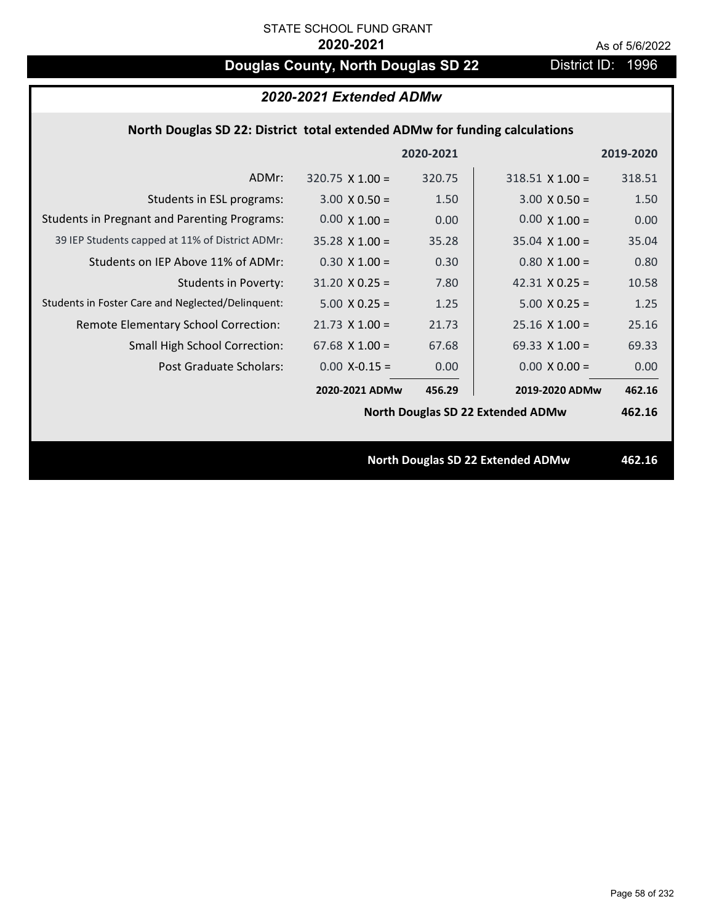# **Douglas County, North Douglas SD 22** District ID: 1996

| 2020-2021 Extended ADMw                                                    |                        |           |                                          |           |  |
|----------------------------------------------------------------------------|------------------------|-----------|------------------------------------------|-----------|--|
| North Douglas SD 22: District total extended ADMw for funding calculations |                        |           |                                          |           |  |
|                                                                            |                        | 2020-2021 |                                          | 2019-2020 |  |
| ADMr:                                                                      | $320.75 \times 1.00 =$ | 320.75    | $318.51$ X 1.00 =                        | 318.51    |  |
| Students in ESL programs:                                                  | $3.00 \times 0.50 =$   | 1.50      | $3.00 \times 0.50 =$                     | 1.50      |  |
| <b>Students in Pregnant and Parenting Programs:</b>                        | $0.00 \times 1.00 =$   | 0.00      | $0.00 \times 1.00 =$                     | 0.00      |  |
| 39 IEP Students capped at 11% of District ADMr:                            | $35.28 \times 1.00 =$  | 35.28     | $35.04 \times 1.00 =$                    | 35.04     |  |
| Students on IEP Above 11% of ADMr:                                         | $0.30 \times 1.00 =$   | 0.30      | $0.80 \times 1.00 =$                     | 0.80      |  |
| <b>Students in Poverty:</b>                                                | $31.20 \times 0.25 =$  | 7.80      | $42.31$ X 0.25 =                         | 10.58     |  |
| Students in Foster Care and Neglected/Delinquent:                          | $5.00 \times 0.25 =$   | 1.25      | $5.00 \times 0.25 =$                     | 1.25      |  |
| Remote Elementary School Correction:                                       | $21.73$ X $1.00 =$     | 21.73     | $25.16 \times 1.00 =$                    | 25.16     |  |
| Small High School Correction:                                              | $67.68$ X $1.00 =$     | 67.68     | 69.33 $X$ 1.00 =                         | 69.33     |  |
| Post Graduate Scholars:                                                    | $0.00$ X-0.15 =        | 0.00      | $0.00 \times 0.00 =$                     | 0.00      |  |
|                                                                            | 2020-2021 ADMw         | 456.29    | 2019-2020 ADMw                           | 462.16    |  |
|                                                                            |                        |           | <b>North Douglas SD 22 Extended ADMw</b> | 462.16    |  |
|                                                                            |                        |           |                                          |           |  |
|                                                                            |                        |           | <b>North Douglas SD 22 Extended ADMw</b> | 462.16    |  |
|                                                                            |                        |           |                                          |           |  |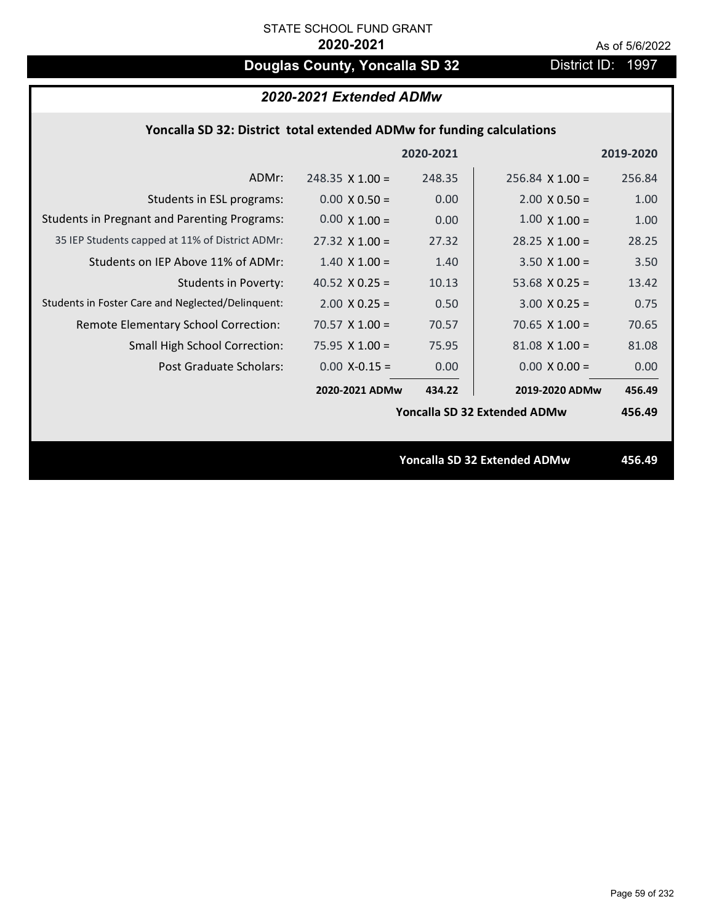# **Douglas County, Yoncalla SD 32** District ID: 1997

# *2020-2021 Extended ADMw*

## **Yoncalla SD 32: District total extended ADMw for funding calculations**

|                                                     |                        | 2020-2021 |                                     | 2019-2020 |
|-----------------------------------------------------|------------------------|-----------|-------------------------------------|-----------|
| ADMr:                                               | $248.35 \times 1.00 =$ | 248.35    | $256.84$ X 1.00 =                   | 256.84    |
| Students in ESL programs:                           | $0.00 \times 0.50 =$   | 0.00      | $2.00 \times 0.50 =$                | 1.00      |
| <b>Students in Pregnant and Parenting Programs:</b> | $0.00 \times 1.00 =$   | 0.00      | $1.00 \times 1.00 =$                | 1.00      |
| 35 IEP Students capped at 11% of District ADMr:     | $27.32 \times 1.00 =$  | 27.32     | $28.25 \times 1.00 =$               | 28.25     |
| Students on IEP Above 11% of ADMr:                  | $1.40 \times 1.00 =$   | 1.40      | $3.50 X 1.00 =$                     | 3.50      |
| <b>Students in Poverty:</b>                         | 40.52 $X$ 0.25 =       | 10.13     | 53.68 $X$ 0.25 =                    | 13.42     |
| Students in Foster Care and Neglected/Delinquent:   | $2.00 \times 0.25 =$   | 0.50      | $3.00 X 0.25 =$                     | 0.75      |
| Remote Elementary School Correction:                | 70.57 $X$ 1.00 =       | 70.57     | $70.65$ X 1.00 =                    | 70.65     |
| <b>Small High School Correction:</b>                | 75.95 $X$ 1.00 =       | 75.95     | $81.08$ X $1.00 =$                  | 81.08     |
| Post Graduate Scholars:                             | $0.00$ X-0.15 =        | 0.00      | $0.00 \times 0.00 =$                | 0.00      |
|                                                     | 2020-2021 ADMw         | 434.22    | 2019-2020 ADMw                      | 456.49    |
|                                                     |                        |           | Yoncalla SD 32 Extended ADMw        | 456.49    |
|                                                     |                        |           |                                     |           |
|                                                     |                        |           | <b>Yoncalla SD 32 Extended ADMw</b> | 456.49    |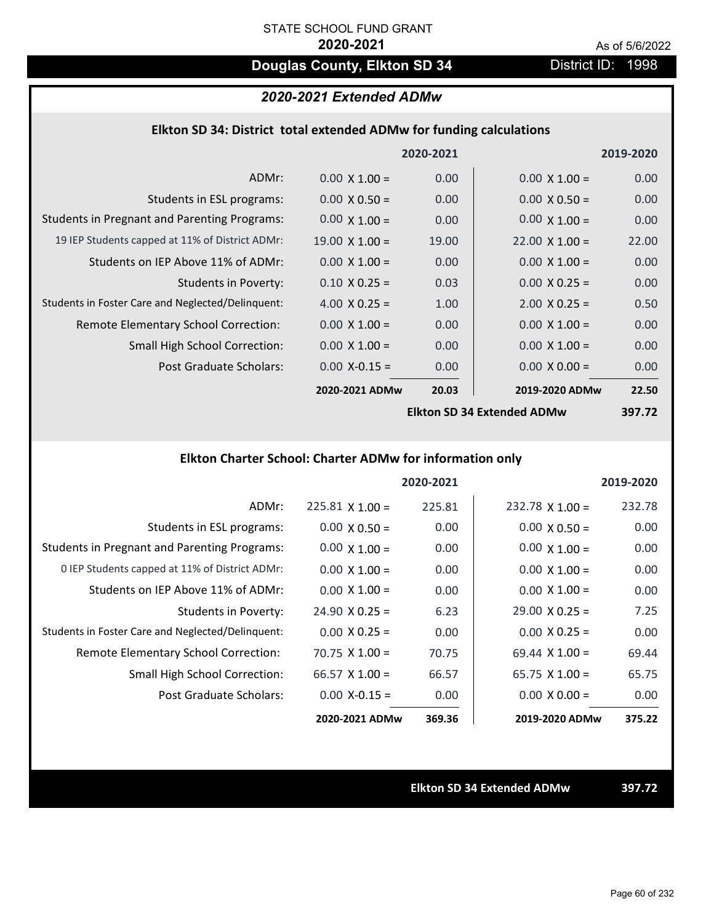# **Douglas County, Elkton SD 34** District ID: 1998

## *2020-2021 Extended ADMw*

### **Elkton SD 34: District total extended ADMw for funding calculations**

|                                                     |                       | 2020-2021 |                            | 2019-2020 |
|-----------------------------------------------------|-----------------------|-----------|----------------------------|-----------|
| ADMr:                                               | $0.00 \times 1.00 =$  | 0.00      | $0.00 \times 1.00 =$       | 0.00      |
| Students in ESL programs:                           | $0.00 \times 0.50 =$  | 0.00      | $0.00 \times 0.50 =$       | 0.00      |
| <b>Students in Pregnant and Parenting Programs:</b> | $0.00 \times 1.00 =$  | 0.00      | $0.00 \times 1.00 =$       | 0.00      |
| 19 IEP Students capped at 11% of District ADMr:     | $19.00 \times 1.00 =$ | 19.00     | $22.00 \times 1.00 =$      | 22.00     |
| Students on IEP Above 11% of ADMr:                  | $0.00 \times 1.00 =$  | 0.00      | $0.00 \times 1.00 =$       | 0.00      |
| <b>Students in Poverty:</b>                         | $0.10 \times 0.25 =$  | 0.03      | $0.00 \times 0.25 =$       | 0.00      |
| Students in Foster Care and Neglected/Delinquent:   | 4.00 $X$ 0.25 =       | 1.00      | $2.00 \times 0.25 =$       | 0.50      |
| Remote Elementary School Correction:                | $0.00 \times 1.00 =$  | 0.00      | $0.00 \times 1.00 =$       | 0.00      |
| <b>Small High School Correction:</b>                | $0.00 \times 1.00 =$  | 0.00      | $0.00 \times 1.00 =$       | 0.00      |
| Post Graduate Scholars:                             | $0.00$ X-0.15 =       | 0.00      | $0.00 \times 0.00 =$       | 0.00      |
|                                                     | 2020-2021 ADMw        | 20.03     | 2019-2020 ADMw             | 22.50     |
|                                                     |                       |           | Ellton CD 24 Extended ADMW | רד דמכ    |

**Elkton SD 34 Extended ADMw**

**397.72**

# **Elkton Charter School: Charter ADMw for information only**

|                                                     |                       | 2020-2021 |                       | 2019-2020 |
|-----------------------------------------------------|-----------------------|-----------|-----------------------|-----------|
| ADMr:                                               | $225.81$ X 1.00 =     | 225.81    | $232.78$ X 1.00 =     | 232.78    |
| Students in ESL programs:                           | $0.00 \times 0.50 =$  | 0.00      | $0.00 \times 0.50 =$  | 0.00      |
| <b>Students in Pregnant and Parenting Programs:</b> | $0.00 \times 1.00 =$  | 0.00      | $0.00 \times 1.00 =$  | 0.00      |
| 0 IEP Students capped at 11% of District ADMr:      | $0.00 \times 1.00 =$  | 0.00      | $0.00 \times 1.00 =$  | 0.00      |
| Students on IEP Above 11% of ADMr:                  | $0.00 \times 1.00 =$  | 0.00      | $0.00 \times 1.00 =$  | 0.00      |
| Students in Poverty:                                | $24.90 \times 0.25 =$ | 6.23      | $29.00 \times 0.25 =$ | 7.25      |
| Students in Foster Care and Neglected/Delinquent:   | $0.00 \times 0.25 =$  | 0.00      | $0.00 \times 0.25 =$  | 0.00      |
| Remote Elementary School Correction:                | $70.75 \times 1.00 =$ | 70.75     | $69.44 \times 1.00 =$ | 69.44     |
| <b>Small High School Correction:</b>                | 66.57 $X$ 1.00 =      | 66.57     | $65.75 \times 1.00 =$ | 65.75     |
| Post Graduate Scholars:                             | $0.00 X - 0.15 =$     | 0.00      | $0.00 \times 0.00 =$  | 0.00      |
|                                                     | 2020-2021 ADMw        | 369.36    | 2019-2020 ADMw        | 375.22    |

**Elkton SD 34 Extended ADMw 397.72**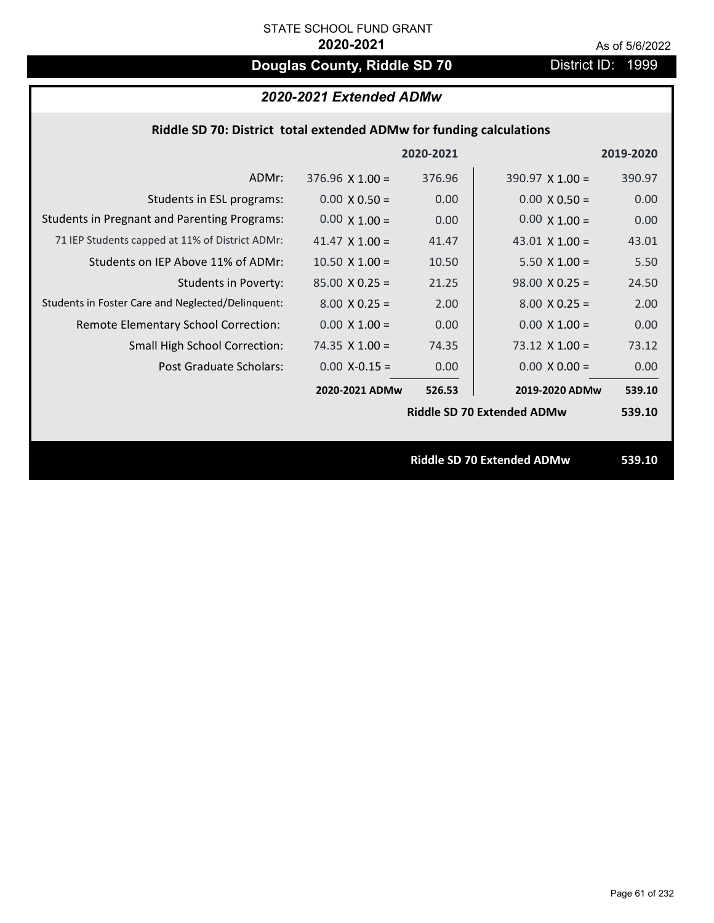# **Douglas County, Riddle SD 70** District ID: 1999

|                                                     |                        | 2020-2021 |                                   | 2019-2020 |
|-----------------------------------------------------|------------------------|-----------|-----------------------------------|-----------|
| ADMr:                                               | $376.96 \times 1.00 =$ | 376.96    | $390.97 \times 1.00 =$            | 390.97    |
| Students in ESL programs:                           | $0.00 \times 0.50 =$   | 0.00      | $0.00 \times 0.50 =$              | 0.00      |
| <b>Students in Pregnant and Parenting Programs:</b> | $0.00 \times 1.00 =$   | 0.00      | $0.00 \times 1.00 =$              | 0.00      |
| 71 IEP Students capped at 11% of District ADMr:     | 41.47 $\times$ 1.00 =  | 41.47     | 43.01 $\times$ 1.00 =             | 43.01     |
| Students on IEP Above 11% of ADMr:                  | $10.50$ X $1.00 =$     | 10.50     | $5.50 \times 1.00 =$              | 5.50      |
| <b>Students in Poverty:</b>                         | $85.00 \times 0.25 =$  | 21.25     | $98.00 \times 0.25 =$             | 24.50     |
| Students in Foster Care and Neglected/Delinquent:   | $8.00 \times 0.25 =$   | 2.00      | $8.00 \times 0.25 =$              | 2.00      |
| Remote Elementary School Correction:                | $0.00 \times 1.00 =$   | 0.00      | $0.00 \times 1.00 =$              | 0.00      |
| <b>Small High School Correction:</b>                | 74.35 $X$ 1.00 =       | 74.35     | $73.12 \times 1.00 =$             | 73.12     |
| Post Graduate Scholars:                             | $0.00$ X-0.15 =        | 0.00      | $0.00 \times 0.00 =$              | 0.00      |
|                                                     | 2020-2021 ADMw         | 526.53    | 2019-2020 ADMw                    | 539.10    |
|                                                     |                        |           | <b>Riddle SD 70 Extended ADMw</b> | 539.10    |
|                                                     |                        |           |                                   |           |
|                                                     |                        |           | <b>Riddle SD 70 Extended ADMw</b> | 539.10    |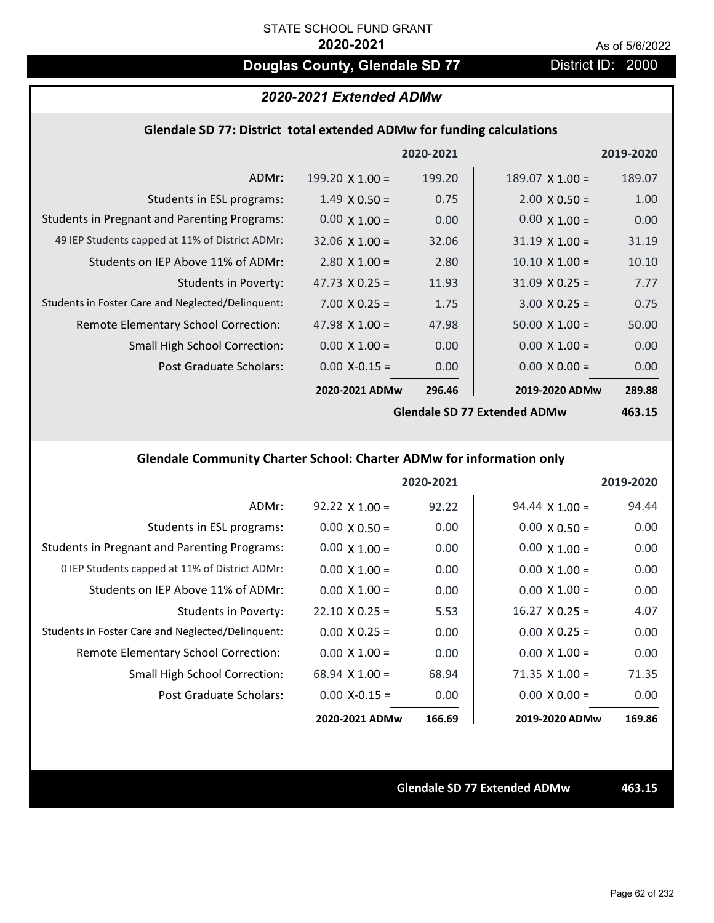# **Douglas County, Glendale SD 77** District ID: 2000

# *2020-2021 Extended ADMw*

### **Glendale SD 77: District total extended ADMw for funding calculations**

|                                                     |                        | 2020-2021 |                        | 2019-2020 |
|-----------------------------------------------------|------------------------|-----------|------------------------|-----------|
| ADMr:                                               | $199.20 \times 1.00 =$ | 199.20    | $189.07 \times 1.00 =$ | 189.07    |
| Students in ESL programs:                           | $1.49 \times 0.50 =$   | 0.75      | $2.00 \times 0.50 =$   | 1.00      |
| <b>Students in Pregnant and Parenting Programs:</b> | $0.00 \times 1.00 =$   | 0.00      | $0.00 \times 1.00 =$   | 0.00      |
| 49 IEP Students capped at 11% of District ADMr:     | $32.06 \times 1.00 =$  | 32.06     | $31.19 \times 1.00 =$  | 31.19     |
| Students on IEP Above 11% of ADMr:                  | $2.80 \times 1.00 =$   | 2.80      | $10.10 \times 1.00 =$  | 10.10     |
| <b>Students in Poverty:</b>                         | 47.73 $X$ 0.25 =       | 11.93     | $31.09 \times 0.25 =$  | 7.77      |
| Students in Foster Care and Neglected/Delinquent:   | $7.00 \times 0.25 =$   | 1.75      | $3.00 \times 0.25 =$   | 0.75      |
| Remote Elementary School Correction:                | 47.98 $\times$ 1.00 =  | 47.98     | $50.00 \times 1.00 =$  | 50.00     |
| <b>Small High School Correction:</b>                | $0.00 \times 1.00 =$   | 0.00      | $0.00 \times 1.00 =$   | 0.00      |
| Post Graduate Scholars:                             | $0.00$ X-0.15 =        | 0.00      | $0.00 \times 0.00 =$   | 0.00      |
|                                                     | 2020-2021 ADMw         | 296.46    | 2019-2020 ADMw         | 289.88    |
|                                                     |                        |           |                        |           |

**Glendale SD 77 Extended ADMw**

**463.15**

## **Glendale Community Charter School: Charter ADMw for information only**

|                                                     |                       | 2020-2021 |                       | 2019-2020 |
|-----------------------------------------------------|-----------------------|-----------|-----------------------|-----------|
| ADMr:                                               | $92.22 \times 1.00 =$ | 92.22     | $94.44 \times 1.00 =$ | 94.44     |
| Students in ESL programs:                           | $0.00 \times 0.50 =$  | 0.00      | $0.00 \times 0.50 =$  | 0.00      |
| <b>Students in Pregnant and Parenting Programs:</b> | $0.00 \times 1.00 =$  | 0.00      | $0.00 \times 1.00 =$  | 0.00      |
| 0 IEP Students capped at 11% of District ADMr:      | $0.00 \times 1.00 =$  | 0.00      | $0.00 \times 1.00 =$  | 0.00      |
| Students on IEP Above 11% of ADMr:                  | $0.00 \times 1.00 =$  | 0.00      | $0.00 \times 1.00 =$  | 0.00      |
| Students in Poverty:                                | $22.10 \times 0.25 =$ | 5.53      | $16.27 \times 0.25 =$ | 4.07      |
| Students in Foster Care and Neglected/Delinquent:   | $0.00 \times 0.25 =$  | 0.00      | $0.00 \times 0.25 =$  | 0.00      |
| Remote Elementary School Correction:                | $0.00 \times 1.00 =$  | 0.00      | $0.00 \times 1.00 =$  | 0.00      |
| <b>Small High School Correction:</b>                | $68.94 \times 1.00 =$ | 68.94     | $71.35 \times 1.00 =$ | 71.35     |
| Post Graduate Scholars:                             | $0.00 X - 0.15 =$     | 0.00      | $0.00 \times 0.00 =$  | 0.00      |
|                                                     | 2020-2021 ADMw        | 166.69    | 2019-2020 ADMw        | 169.86    |

**Glendale SD 77 Extended ADMw 463.15**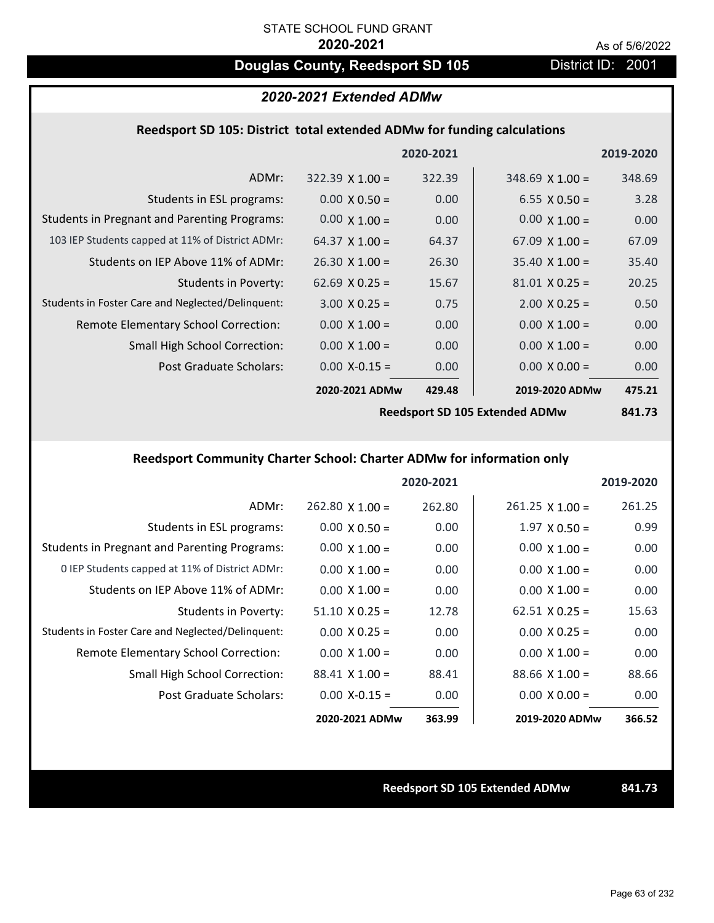# **Douglas County, Reedsport SD 105** District ID: 2001

### *2020-2021 Extended ADMw*

#### **Reedsport SD 105: District total extended ADMw for funding calculations**

|                                                     |                        | 2020-2021 |                        | 2019-2020 |
|-----------------------------------------------------|------------------------|-----------|------------------------|-----------|
| ADMr:                                               | $322.39 \times 1.00 =$ | 322.39    | $348.69 \times 1.00 =$ | 348.69    |
| Students in ESL programs:                           | $0.00 \times 0.50 =$   | 0.00      | $6.55 \times 0.50 =$   | 3.28      |
| <b>Students in Pregnant and Parenting Programs:</b> | $0.00 \times 1.00 =$   | 0.00      | $0.00 \times 1.00 =$   | 0.00      |
| 103 IEP Students capped at 11% of District ADMr:    | 64.37 $\times$ 1.00 =  | 64.37     | $67.09 \times 1.00 =$  | 67.09     |
| Students on IEP Above 11% of ADMr:                  | $26.30 \times 1.00 =$  | 26.30     | $35.40 \times 1.00 =$  | 35.40     |
| Students in Poverty:                                | $62.69 \times 0.25 =$  | 15.67     | $81.01$ X 0.25 =       | 20.25     |
| Students in Foster Care and Neglected/Delinquent:   | $3.00 \times 0.25 =$   | 0.75      | $2.00 \times 0.25 =$   | 0.50      |
| Remote Elementary School Correction:                | $0.00 \times 1.00 =$   | 0.00      | $0.00 \times 1.00 =$   | 0.00      |
| <b>Small High School Correction:</b>                | $0.00 \times 1.00 =$   | 0.00      | $0.00 \times 1.00 =$   | 0.00      |
| Post Graduate Scholars:                             | $0.00$ X-0.15 =        | 0.00      | $0.00 \times 0.00 =$   | 0.00      |
|                                                     | 2020-2021 ADMw         | 429.48    | 2019-2020 ADMw         | 475.21    |
|                                                     |                        |           |                        |           |

**Reedsport SD 105 Extended ADMw**

**841.73**

# **Reedsport Community Charter School: Charter ADMw for information only**

|                                                     |                       | 2020-2021 |                       | 2019-2020 |
|-----------------------------------------------------|-----------------------|-----------|-----------------------|-----------|
| ADMr:                                               | $262.80$ X 1.00 =     | 262.80    | $261.25$ X 1.00 =     | 261.25    |
| Students in ESL programs:                           | $0.00 \times 0.50 =$  | 0.00      | $1.97 \times 0.50 =$  | 0.99      |
| <b>Students in Pregnant and Parenting Programs:</b> | $0.00 \times 1.00 =$  | 0.00      | $0.00 \times 1.00 =$  | 0.00      |
| 0 IEP Students capped at 11% of District ADMr:      | $0.00 \times 1.00 =$  | 0.00      | $0.00 \times 1.00 =$  | 0.00      |
| Students on IEP Above 11% of ADMr:                  | $0.00 \times 1.00 =$  | 0.00      | $0.00 \times 1.00 =$  | 0.00      |
| Students in Poverty:                                | $51.10 \times 0.25 =$ | 12.78     | $62.51 \times 0.25 =$ | 15.63     |
| Students in Foster Care and Neglected/Delinquent:   | $0.00 \times 0.25 =$  | 0.00      | $0.00 \times 0.25 =$  | 0.00      |
| Remote Elementary School Correction:                | $0.00 \times 1.00 =$  | 0.00      | $0.00 \times 1.00 =$  | 0.00      |
| <b>Small High School Correction:</b>                | $88.41$ X 1.00 =      | 88.41     | $88.66 \times 1.00 =$ | 88.66     |
| Post Graduate Scholars:                             | $0.00$ X-0.15 =       | 0.00      | $0.00 \times 0.00 =$  | 0.00      |
|                                                     | 2020-2021 ADMw        | 363.99    | 2019-2020 ADMw        | 366.52    |

**Reedsport SD 105 Extended ADMw 841.73**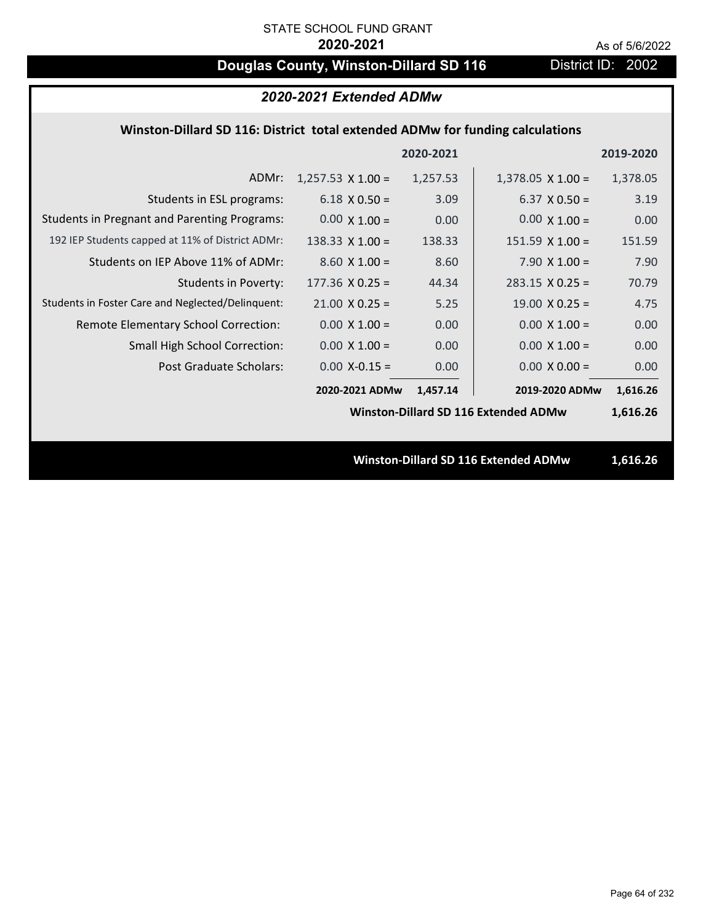# **Douglas County, Winston-Dillard SD 116** District ID: 2002

| 2020-2021 Extended ADMw                                                       |                          |          |                                             |          |
|-------------------------------------------------------------------------------|--------------------------|----------|---------------------------------------------|----------|
| Winston-Dillard SD 116: District total extended ADMw for funding calculations |                          |          |                                             |          |
| 2020-2021<br>2019-2020                                                        |                          |          |                                             |          |
| ADMr:                                                                         | $1,257.53 \times 1.00 =$ | 1,257.53 | $1,378.05 \times 1.00 =$                    | 1,378.05 |
| Students in ESL programs:                                                     | $6.18 \times 0.50 =$     | 3.09     | $6.37 \times 0.50 =$                        | 3.19     |
| <b>Students in Pregnant and Parenting Programs:</b>                           | $0.00 \times 1.00 =$     | 0.00     | $0.00 \times 1.00 =$                        | 0.00     |
| 192 IEP Students capped at 11% of District ADMr:                              | $138.33 \times 1.00 =$   | 138.33   | $151.59$ X $1.00 =$                         | 151.59   |
| Students on IEP Above 11% of ADMr:                                            | $8.60 X 1.00 =$          | 8.60     | 7.90 $X$ 1.00 =                             | 7.90     |
| <b>Students in Poverty:</b>                                                   | $177.36$ X 0.25 =        | 44.34    | $283.15 \times 0.25 =$                      | 70.79    |
| Students in Foster Care and Neglected/Delinquent:                             | $21.00 \times 0.25 =$    | 5.25     | $19.00 \times 0.25 =$                       | 4.75     |
| Remote Elementary School Correction:                                          | $0.00 \times 1.00 =$     | 0.00     | $0.00 \times 1.00 =$                        | 0.00     |
| <b>Small High School Correction:</b>                                          | $0.00 \times 1.00 =$     | 0.00     | $0.00 \times 1.00 =$                        | 0.00     |
| <b>Post Graduate Scholars:</b>                                                | $0.00$ X-0.15 =          | 0.00     | $0.00 \times 0.00 =$                        | 0.00     |
|                                                                               | 2020-2021 ADMw           | 1,457.14 | 2019-2020 ADMw                              | 1,616.26 |
|                                                                               |                          |          | <b>Winston-Dillard SD 116 Extended ADMw</b> | 1,616.26 |
|                                                                               |                          |          |                                             |          |
|                                                                               |                          |          | <b>Winston-Dillard SD 116 Extended ADMw</b> | 1,616.26 |
|                                                                               |                          |          |                                             |          |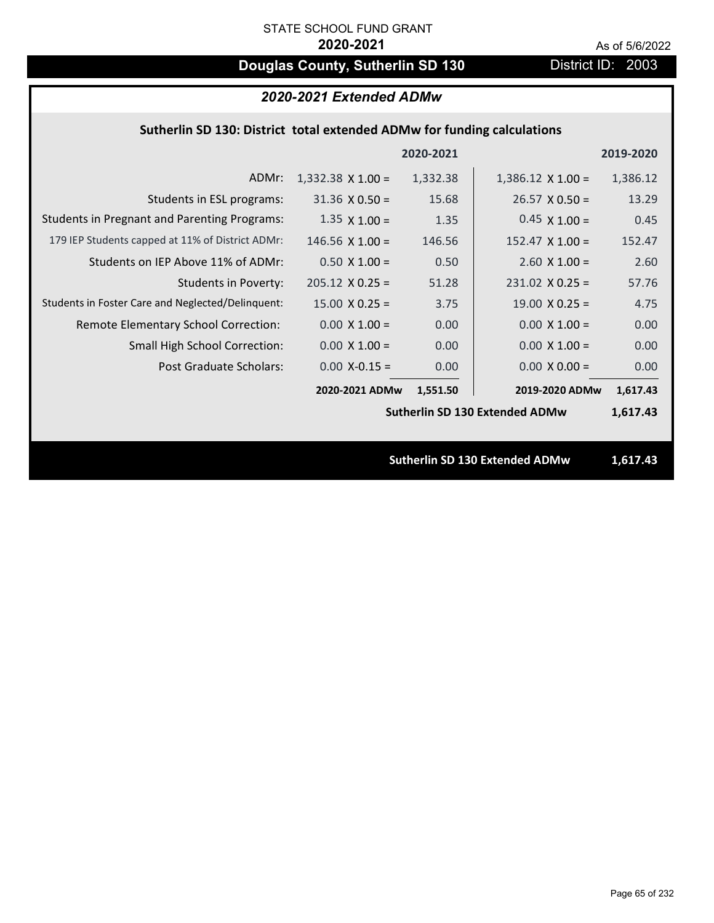# **Douglas County, Sutherlin SD 130** District ID: 2003

### *2020-2021 Extended ADMw*

## **Sutherlin SD 130: District total extended ADMw for funding calculations**

|                                                     |                          | 2020-2021 |                                       | 2019-2020 |
|-----------------------------------------------------|--------------------------|-----------|---------------------------------------|-----------|
| ADMr:                                               | $1,332.38 \times 1.00 =$ | 1,332.38  | $1,386.12 \times 1.00 =$              | 1,386.12  |
| Students in ESL programs:                           | $31.36 \times 0.50 =$    | 15.68     | $26.57 \times 0.50 =$                 | 13.29     |
| <b>Students in Pregnant and Parenting Programs:</b> | $1.35 \times 1.00 =$     | 1.35      | $0.45 \times 1.00 =$                  | 0.45      |
| 179 IEP Students capped at 11% of District ADMr:    | $146.56 \times 1.00 =$   | 146.56    | $152.47 \times 1.00 =$                | 152.47    |
| Students on IEP Above 11% of ADMr:                  | $0.50 X 1.00 =$          | 0.50      | $2.60$ X $1.00 =$                     | 2.60      |
| <b>Students in Poverty:</b>                         | $205.12 \times 0.25 =$   | 51.28     | $231.02$ X 0.25 =                     | 57.76     |
| Students in Foster Care and Neglected/Delinquent:   | $15.00 \times 0.25 =$    | 3.75      | $19.00 \times 0.25 =$                 | 4.75      |
| Remote Elementary School Correction:                | $0.00 \times 1.00 =$     | 0.00      | $0.00 \times 1.00 =$                  | 0.00      |
| <b>Small High School Correction:</b>                | $0.00 \times 1.00 =$     | 0.00      | $0.00 \times 1.00 =$                  | 0.00      |
| Post Graduate Scholars:                             | $0.00$ X-0.15 =          | 0.00      | $0.00 \times 0.00 =$                  | 0.00      |
|                                                     | 2020-2021 ADMw           | 1,551.50  | 2019-2020 ADMw                        | 1,617.43  |
|                                                     |                          |           | <b>Sutherlin SD 130 Extended ADMw</b> | 1,617.43  |
|                                                     |                          |           |                                       |           |
|                                                     |                          |           | <b>Sutherlin SD 130 Extended ADMw</b> | 1,617.43  |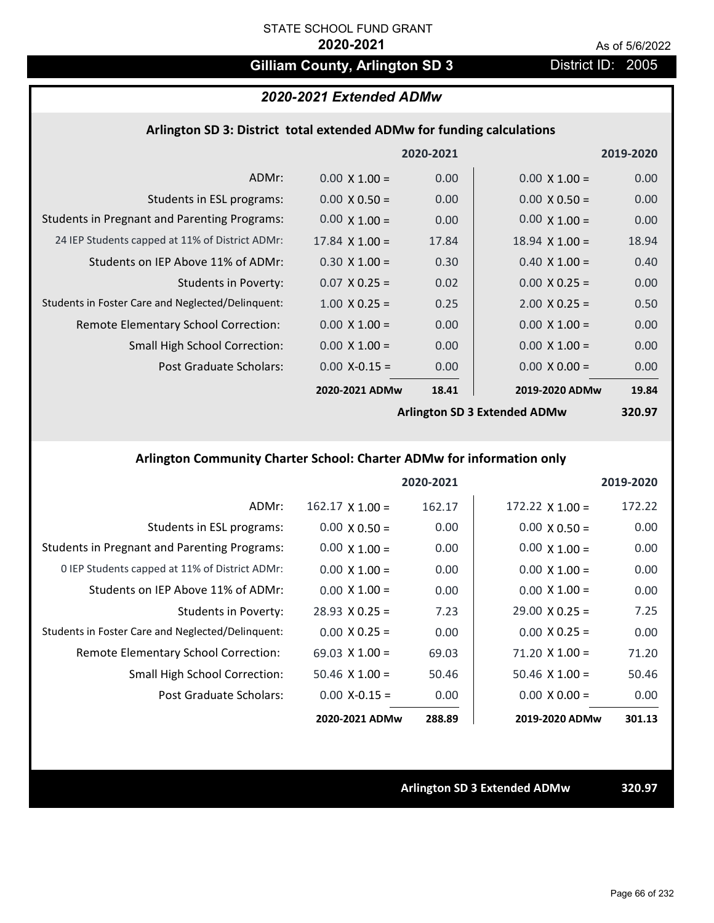# Gilliam County, Arlington SD 3 District ID: 2005

# *2020-2021 Extended ADMw*

### **Arlington SD 3: District total extended ADMw for funding calculations**

|                                                     |                       | 2020-2021 |                              | 2019-2020 |
|-----------------------------------------------------|-----------------------|-----------|------------------------------|-----------|
| ADMr:                                               | $0.00 \times 1.00 =$  | 0.00      | $0.00 \times 1.00 =$         | 0.00      |
| Students in ESL programs:                           | $0.00 \times 0.50 =$  | 0.00      | $0.00 \times 0.50 =$         | 0.00      |
| <b>Students in Pregnant and Parenting Programs:</b> | $0.00 \times 1.00 =$  | 0.00      | $0.00 \times 1.00 =$         | 0.00      |
| 24 IEP Students capped at 11% of District ADMr:     | $17.84 \times 1.00 =$ | 17.84     | $18.94 \times 1.00 =$        | 18.94     |
| Students on IEP Above 11% of ADMr:                  | $0.30 \times 1.00 =$  | 0.30      | $0.40 \times 1.00 =$         | 0.40      |
| <b>Students in Poverty:</b>                         | $0.07 \times 0.25 =$  | 0.02      | $0.00 \times 0.25 =$         | 0.00      |
| Students in Foster Care and Neglected/Delinquent:   | $1.00 \times 0.25 =$  | 0.25      | $2.00 \times 0.25 =$         | 0.50      |
| Remote Elementary School Correction:                | $0.00 \times 1.00 =$  | 0.00      | $0.00 \times 1.00 =$         | 0.00      |
| <b>Small High School Correction:</b>                | $0.00 \times 1.00 =$  | 0.00      | $0.00 \times 1.00 =$         | 0.00      |
| Post Graduate Scholars:                             | $0.00$ X-0.15 =       | 0.00      | $0.00 \times 0.00 =$         | 0.00      |
|                                                     | 2020-2021 ADMw        | 18.41     | 2019-2020 ADMw               | 19.84     |
|                                                     |                       |           | Arlington SD 3 Extended ADMw | 320 Q7    |

**Arlington SD 3 Extended ADMw**

**320.97**

# **Arlington Community Charter School: Charter ADMw for information only**

|                                                     |                        | 2020-2021 |                        | 2019-2020 |
|-----------------------------------------------------|------------------------|-----------|------------------------|-----------|
| ADMr:                                               | $162.17 \times 1.00 =$ | 162.17    | $172.22 \times 1.00 =$ | 172.22    |
| Students in ESL programs:                           | $0.00 \times 0.50 =$   | 0.00      | $0.00 \times 0.50 =$   | 0.00      |
| <b>Students in Pregnant and Parenting Programs:</b> | $0.00 \times 1.00 =$   | 0.00      | $0.00 \times 1.00 =$   | 0.00      |
| 0 IEP Students capped at 11% of District ADMr:      | $0.00 \times 1.00 =$   | 0.00      | $0.00 \times 1.00 =$   | 0.00      |
| Students on IEP Above 11% of ADMr:                  | $0.00 \times 1.00 =$   | 0.00      | $0.00 \times 1.00 =$   | 0.00      |
| Students in Poverty:                                | $28.93 \times 0.25 =$  | 7.23      | $29.00 \times 0.25 =$  | 7.25      |
| Students in Foster Care and Neglected/Delinquent:   | $0.00 \times 0.25 =$   | 0.00      | $0.00 \times 0.25 =$   | 0.00      |
| Remote Elementary School Correction:                | 69.03 $\times$ 1.00 =  | 69.03     | $71.20 \times 1.00 =$  | 71.20     |
| Small High School Correction:                       | $50.46 \times 1.00 =$  | 50.46     | $50.46 \times 1.00 =$  | 50.46     |
| Post Graduate Scholars:                             | $0.00 X - 0.15 =$      | 0.00      | $0.00 \times 0.00 =$   | 0.00      |
|                                                     | 2020-2021 ADMw         | 288.89    | 2019-2020 ADMw         | 301.13    |

**Arlington SD 3 Extended ADMw 320.97**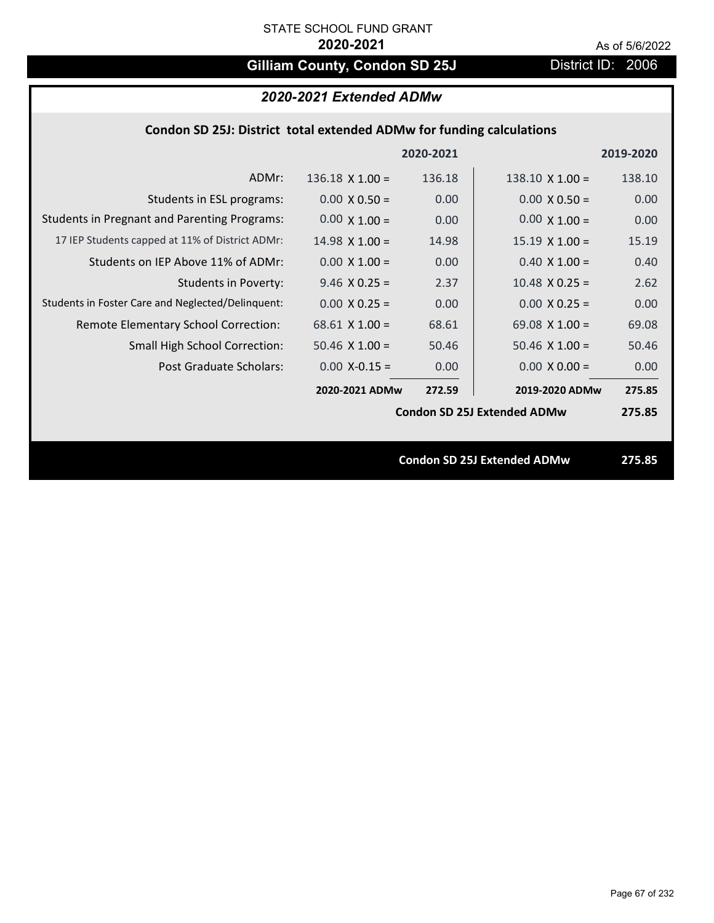# Gilliam County, Condon SD 25J District ID: 2006

| Condon SD 25J: District total extended ADMw for funding calculations |  |  |  |
|----------------------------------------------------------------------|--|--|--|
|----------------------------------------------------------------------|--|--|--|

|                                                     |                        | 2020-2021 |                                    | 2019-2020 |
|-----------------------------------------------------|------------------------|-----------|------------------------------------|-----------|
| ADMr:                                               | $136.18 \times 1.00 =$ | 136.18    | $138.10 \times 1.00 =$             | 138.10    |
| Students in ESL programs:                           | $0.00 \times 0.50 =$   | 0.00      | $0.00 \times 0.50 =$               | 0.00      |
| <b>Students in Pregnant and Parenting Programs:</b> | $0.00 \times 1.00 =$   | 0.00      | $0.00 \times 1.00 =$               | 0.00      |
| 17 IEP Students capped at 11% of District ADMr:     | $14.98 \times 1.00 =$  | 14.98     | $15.19 \times 1.00 =$              | 15.19     |
| Students on IEP Above 11% of ADMr:                  | $0.00 \times 1.00 =$   | 0.00      | $0.40$ X $1.00 =$                  | 0.40      |
| <b>Students in Poverty:</b>                         | $9.46$ X 0.25 =        | 2.37      | $10.48$ X 0.25 =                   | 2.62      |
| Students in Foster Care and Neglected/Delinquent:   | $0.00 \times 0.25 =$   | 0.00      | $0.00 \times 0.25 =$               | 0.00      |
| Remote Elementary School Correction:                | 68.61 $X$ 1.00 =       | 68.61     | 69.08 $X$ 1.00 =                   | 69.08     |
| <b>Small High School Correction:</b>                | $50.46 \times 1.00 =$  | 50.46     | $50.46 \times 1.00 =$              | 50.46     |
| Post Graduate Scholars:                             | $0.00 X-0.15 =$        | 0.00      | $0.00 \times 0.00 =$               | 0.00      |
|                                                     | 2020-2021 ADMw         | 272.59    | 2019-2020 ADMw                     | 275.85    |
|                                                     |                        |           | <b>Condon SD 25J Extended ADMw</b> | 275.85    |
|                                                     |                        |           |                                    |           |
|                                                     |                        |           | <b>Condon SD 25J Extended ADMw</b> | 275.85    |
|                                                     |                        |           |                                    |           |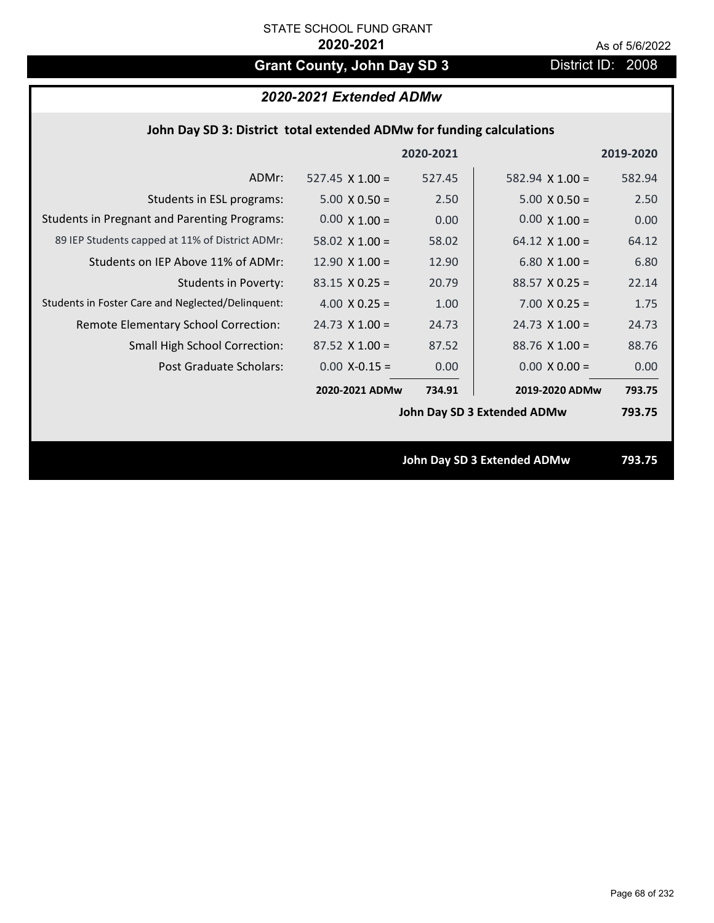# Grant County, John Day SD 3 District ID: 2008

# *2020-2021 Extended ADMw*

| John Day SD 3: District total extended ADMw for funding calculations |  |  |  |
|----------------------------------------------------------------------|--|--|--|
|----------------------------------------------------------------------|--|--|--|

|                                                     |                        | 2020-2021 |                                    | 2019-2020 |
|-----------------------------------------------------|------------------------|-----------|------------------------------------|-----------|
| ADMr:                                               | 527.45 $\times$ 1.00 = | 527.45    | $582.94 \times 1.00 =$             | 582.94    |
| Students in ESL programs:                           | $5.00 \times 0.50 =$   | 2.50      | $5.00 \times 0.50 =$               | 2.50      |
| <b>Students in Pregnant and Parenting Programs:</b> | $0.00 \times 1.00 =$   | 0.00      | $0.00 \times 1.00 =$               | 0.00      |
| 89 IEP Students capped at 11% of District ADMr:     | 58.02 $\times$ 1.00 =  | 58.02     | 64.12 $\times$ 1.00 =              | 64.12     |
| Students on IEP Above 11% of ADMr:                  | 12.90 $X$ 1.00 =       | 12.90     | 6.80 $X$ 1.00 =                    | 6.80      |
| <b>Students in Poverty:</b>                         | $83.15 \times 0.25 =$  | 20.79     | $88.57$ X 0.25 =                   | 22.14     |
| Students in Foster Care and Neglected/Delinquent:   | 4.00 $X$ 0.25 =        | 1.00      | $7.00 \times 0.25 =$               | 1.75      |
| Remote Elementary School Correction:                | $24.73 \times 1.00 =$  | 24.73     | $24.73 \times 1.00 =$              | 24.73     |
| <b>Small High School Correction:</b>                | $87.52$ X 1.00 =       | 87.52     | $88.76$ X 1.00 =                   | 88.76     |
| Post Graduate Scholars:                             | $0.00 X - 0.15 =$      | 0.00      | $0.00 \times 0.00 =$               | 0.00      |
|                                                     | 2020-2021 ADMw         | 734.91    | 2019-2020 ADMw                     | 793.75    |
|                                                     |                        |           | John Day SD 3 Extended ADMw        | 793.75    |
|                                                     |                        |           |                                    |           |
|                                                     |                        |           | <b>John Day SD 3 Extended ADMw</b> | 793.75    |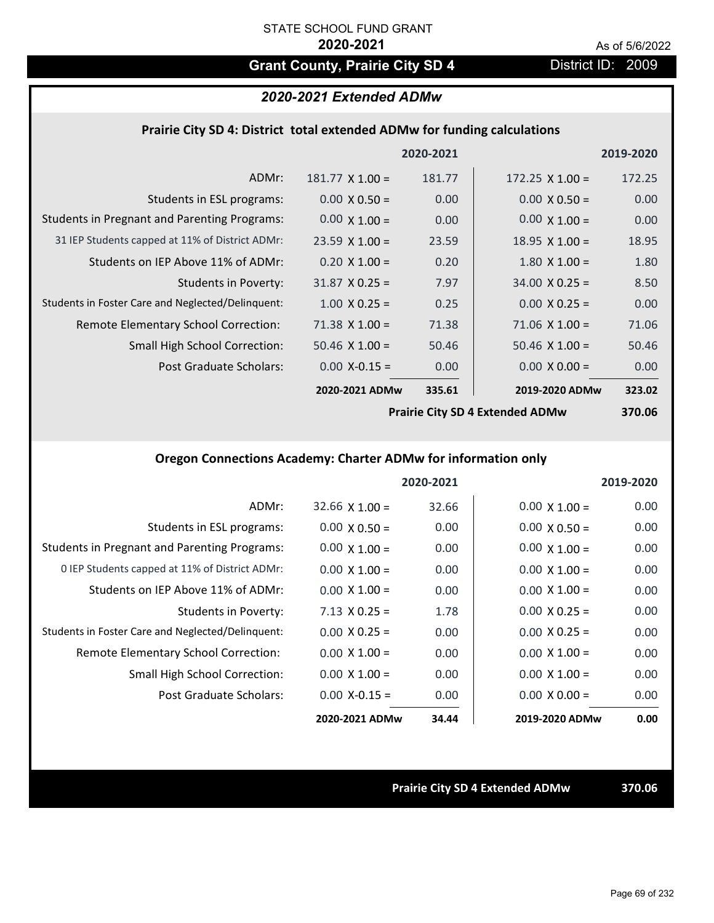# Grant County, Prairie City SD 4 District ID: 2009

# *2020-2021 Extended ADMw*

### **Prairie City SD 4: District total extended ADMw for funding calculations**

|                                                     |                        | 2020-2021 |                        | 2019-2020                                  |
|-----------------------------------------------------|------------------------|-----------|------------------------|--------------------------------------------|
| ADMr:                                               | $181.77 \times 1.00 =$ | 181.77    | $172.25 \times 1.00 =$ | 172.25                                     |
| Students in ESL programs:                           | $0.00 \times 0.50 =$   | 0.00      | $0.00 \times 0.50 =$   | 0.00                                       |
| <b>Students in Pregnant and Parenting Programs:</b> | $0.00 \times 1.00 =$   | 0.00      | $0.00 \times 1.00 =$   | 0.00                                       |
| 31 IEP Students capped at 11% of District ADMr:     | $23.59 \times 1.00 =$  | 23.59     | $18.95 \times 1.00 =$  | 18.95                                      |
| Students on IEP Above 11% of ADMr:                  | $0.20 \times 1.00 =$   | 0.20      | $1.80$ X $1.00 =$      | 1.80                                       |
| <b>Students in Poverty:</b>                         | $31.87 \times 0.25 =$  | 7.97      | $34.00 \times 0.25 =$  | 8.50                                       |
| Students in Foster Care and Neglected/Delinquent:   | $1.00 \times 0.25 =$   | 0.25      | $0.00 X 0.25 =$        | 0.00                                       |
| Remote Elementary School Correction:                | $71.38 \times 1.00 =$  | 71.38     | $71.06 \times 1.00 =$  | 71.06                                      |
| <b>Small High School Correction:</b>                | $50.46 \times 1.00 =$  | 50.46     | $50.46 \times 1.00 =$  | 50.46                                      |
| Post Graduate Scholars:                             | $0.00$ X-0.15 =        | 0.00      | $0.00 X 0.00 =$        | 0.00                                       |
|                                                     | 2020-2021 ADMw         | 335.61    | 2019-2020 ADMw         | 323.02                                     |
|                                                     |                        |           |                        | $\mathbf{a} = \mathbf{a} \cdot \mathbf{a}$ |

**Prairie City SD 4 Extended ADMw**

**370.06**

## **Oregon Connections Academy: Charter ADMw for information only**

|                                                     |                      | 2020-2021 |                      | 2019-2020 |
|-----------------------------------------------------|----------------------|-----------|----------------------|-----------|
| ADMr:                                               | $32.66$ X $1.00 =$   | 32.66     | $0.00 \times 1.00 =$ | 0.00      |
| Students in ESL programs:                           | $0.00 \times 0.50 =$ | 0.00      | $0.00 \times 0.50 =$ | 0.00      |
| <b>Students in Pregnant and Parenting Programs:</b> | $0.00 \times 1.00 =$ | 0.00      | $0.00 \times 1.00 =$ | 0.00      |
| 0 IEP Students capped at 11% of District ADMr:      | $0.00 \times 1.00 =$ | 0.00      | $0.00 \times 1.00 =$ | 0.00      |
| Students on IEP Above 11% of ADMr:                  | $0.00 \times 1.00 =$ | 0.00      | $0.00 \times 1.00 =$ | 0.00      |
| Students in Poverty:                                | $7.13 \times 0.25 =$ | 1.78      | $0.00 \times 0.25 =$ | 0.00      |
| Students in Foster Care and Neglected/Delinquent:   | $0.00 \times 0.25 =$ | 0.00      | $0.00 \times 0.25 =$ | 0.00      |
| Remote Elementary School Correction:                | $0.00 \times 1.00 =$ | 0.00      | $0.00 \times 1.00 =$ | 0.00      |
| Small High School Correction:                       | $0.00 \times 1.00 =$ | 0.00      | $0.00 \times 1.00 =$ | 0.00      |
| Post Graduate Scholars:                             | $0.00 X - 0.15 =$    | 0.00      | $0.00 \times 0.00 =$ | 0.00      |
|                                                     | 2020-2021 ADMw       | 34.44     | 2019-2020 ADMw       | 0.00      |

**Prairie City SD 4 Extended ADMw 370.06**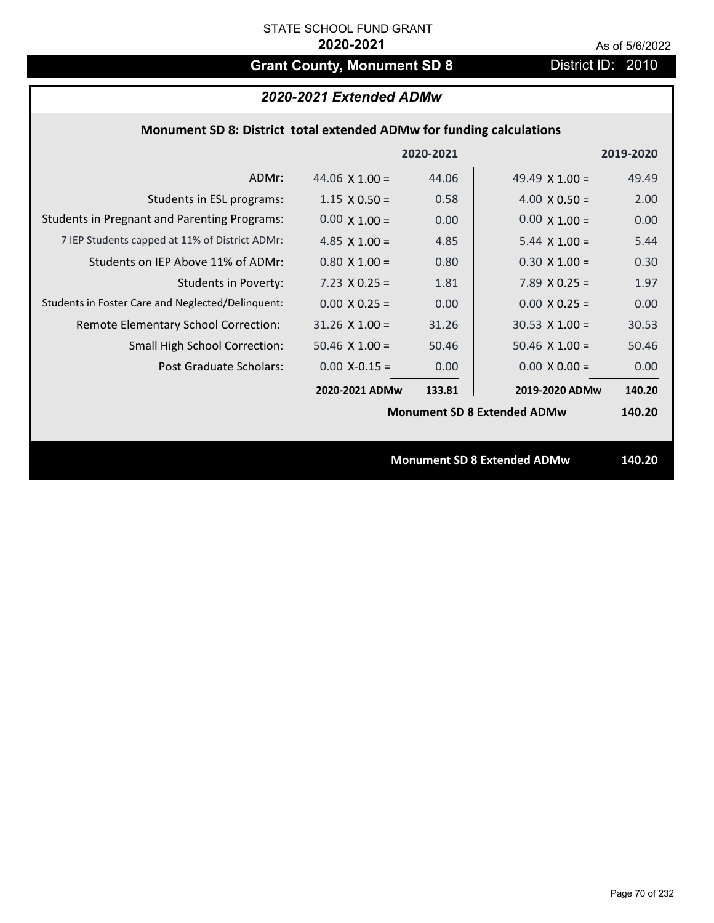# Grant County, Monument SD 8 District ID: 2010

|  | 2020-2021 Extended ADMw |
|--|-------------------------|
|--|-------------------------|

|  | Monument SD 8: District total extended ADMw for funding calculations |  |
|--|----------------------------------------------------------------------|--|
|--|----------------------------------------------------------------------|--|

|                                                     |                       | 2020-2021 |                                    | 2019-2020 |
|-----------------------------------------------------|-----------------------|-----------|------------------------------------|-----------|
| ADMr:                                               | 44.06 $\times$ 1.00 = | 44.06     | 49.49 $\times$ 1.00 =              | 49.49     |
| Students in ESL programs:                           | $1.15 \times 0.50 =$  | 0.58      | $4.00 \times 0.50 =$               | 2.00      |
| <b>Students in Pregnant and Parenting Programs:</b> | $0.00 \times 1.00 =$  | 0.00      | $0.00 \times 1.00 =$               | 0.00      |
| 7 IEP Students capped at 11% of District ADMr:      | 4.85 $\times$ 1.00 =  | 4.85      | 5.44 $\times$ 1.00 =               | 5.44      |
| Students on IEP Above 11% of ADMr:                  | $0.80$ X $1.00 =$     | 0.80      | $0.30 \times 1.00 =$               | 0.30      |
| <b>Students in Poverty:</b>                         | $7.23 \times 0.25 =$  | 1.81      | 7.89 $X$ 0.25 =                    | 1.97      |
| Students in Foster Care and Neglected/Delinquent:   | $0.00 \times 0.25 =$  | 0.00      | $0.00 \times 0.25 =$               | 0.00      |
| Remote Elementary School Correction:                | $31.26$ X $1.00 =$    | 31.26     | $30.53 \times 1.00 =$              | 30.53     |
| <b>Small High School Correction:</b>                | $50.46 \times 1.00 =$ | 50.46     | $50.46 \times 1.00 =$              | 50.46     |
| Post Graduate Scholars:                             | $0.00$ X-0.15 =       | 0.00      | $0.00 \times 0.00 =$               | 0.00      |
|                                                     | 2020-2021 ADMw        | 133.81    | 2019-2020 ADMw                     | 140.20    |
|                                                     |                       |           | <b>Monument SD 8 Extended ADMw</b> | 140.20    |
|                                                     |                       |           |                                    |           |
|                                                     |                       |           | <b>Monument SD 8 Extended ADMw</b> | 140.20    |
|                                                     |                       |           |                                    |           |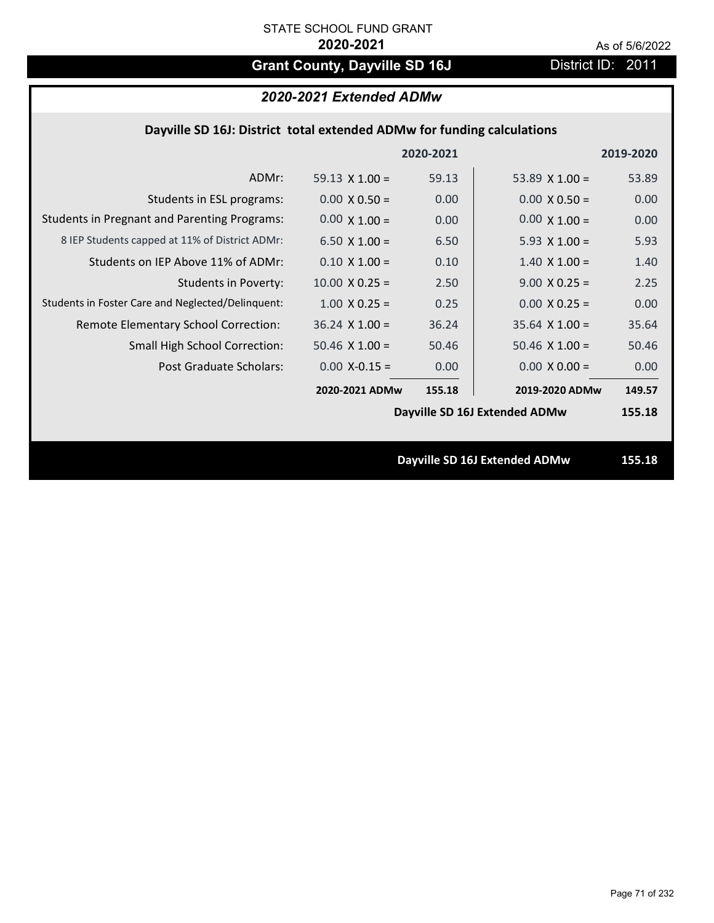# Grant County, Dayville SD 16J District ID: 2011

# *2020-2021 Extended ADMw*

## **Dayville SD 16J: District total extended ADMw for funding calculations**

|                                                     |                       | 2020-2021 |                               | 2019-2020 |
|-----------------------------------------------------|-----------------------|-----------|-------------------------------|-----------|
| ADMr:                                               | 59.13 $\times$ 1.00 = | 59.13     | 53.89 $\times$ 1.00 =         | 53.89     |
| Students in ESL programs:                           | $0.00 \times 0.50 =$  | 0.00      | $0.00 \times 0.50 =$          | 0.00      |
| <b>Students in Pregnant and Parenting Programs:</b> | $0.00 \times 1.00 =$  | 0.00      | $0.00 \times 1.00 =$          | 0.00      |
| 8 IEP Students capped at 11% of District ADMr:      | $6.50 \times 1.00 =$  | 6.50      | 5.93 $X$ 1.00 =               | 5.93      |
| Students on IEP Above 11% of ADMr:                  | $0.10 \times 1.00 =$  | 0.10      | $1.40 \times 1.00 =$          | 1.40      |
| <b>Students in Poverty:</b>                         | $10.00 \times 0.25 =$ | 2.50      | $9.00 \times 0.25 =$          | 2.25      |
| Students in Foster Care and Neglected/Delinquent:   | $1.00 \times 0.25 =$  | 0.25      | $0.00 \times 0.25 =$          | 0.00      |
| Remote Elementary School Correction:                | $36.24$ X $1.00 =$    | 36.24     | $35.64$ X $1.00 =$            | 35.64     |
| <b>Small High School Correction:</b>                | $50.46 \times 1.00 =$ | 50.46     | $50.46 \times 1.00 =$         | 50.46     |
| Post Graduate Scholars:                             | $0.00$ X-0.15 =       | 0.00      | $0.00 \times 0.00 =$          | 0.00      |
|                                                     | 2020-2021 ADMw        | 155.18    | 2019-2020 ADMw                | 149.57    |
|                                                     |                       |           | Dayville SD 16J Extended ADMw | 155.18    |
|                                                     |                       |           |                               |           |
|                                                     |                       |           | Dayville SD 16J Extended ADMw | 155.18    |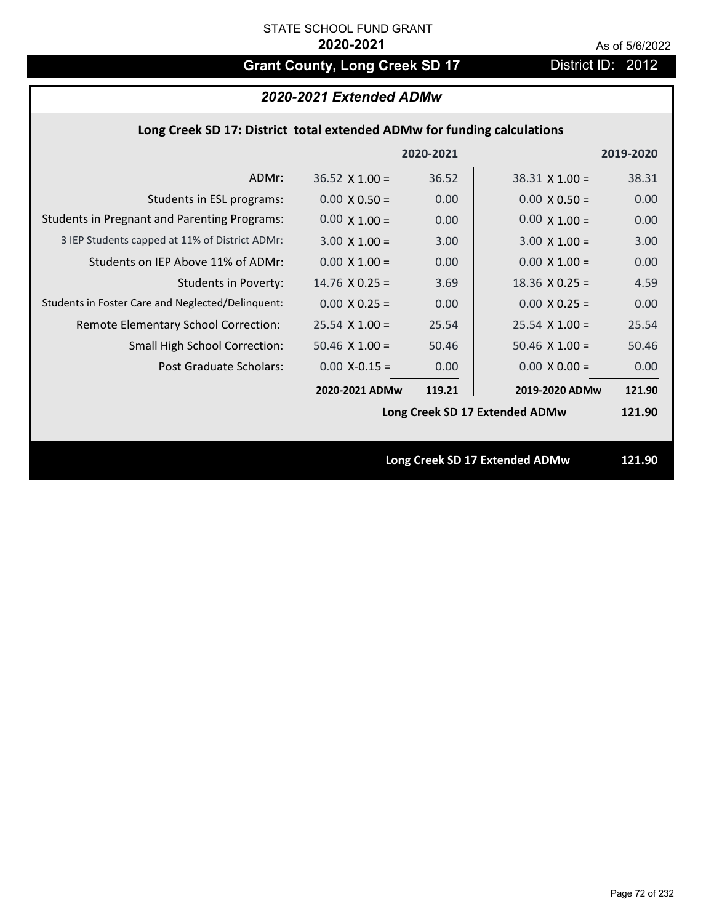# Grant County, Long Creek SD 17 District ID: 2012

# *2020-2021 Extended ADMw*

## **Long Creek SD 17: District total extended ADMw for funding calculations**

|                                                     |                       | 2020-2021 |                                | 2019-2020 |
|-----------------------------------------------------|-----------------------|-----------|--------------------------------|-----------|
| ADMr:                                               | $36.52 \times 1.00 =$ | 36.52     | $38.31$ X 1.00 =               | 38.31     |
| Students in ESL programs:                           | $0.00 \times 0.50 =$  | 0.00      | $0.00 \times 0.50 =$           | 0.00      |
| <b>Students in Pregnant and Parenting Programs:</b> | $0.00 \times 1.00 =$  | 0.00      | $0.00 \times 1.00 =$           | 0.00      |
| 3 IEP Students capped at 11% of District ADMr:      | $3.00 \times 1.00 =$  | 3.00      | $3.00 \times 1.00 =$           | 3.00      |
| Students on IEP Above 11% of ADMr:                  | $0.00 \times 1.00 =$  | 0.00      | $0.00 \times 1.00 =$           | 0.00      |
| <b>Students in Poverty:</b>                         | $14.76$ X 0.25 =      | 3.69      | $18.36$ X 0.25 =               | 4.59      |
| Students in Foster Care and Neglected/Delinquent:   | $0.00 \times 0.25 =$  | 0.00      | $0.00 X 0.25 =$                | 0.00      |
| Remote Elementary School Correction:                | $25.54$ X 1.00 =      | 25.54     | $25.54 \times 1.00 =$          | 25.54     |
| <b>Small High School Correction:</b>                | $50.46$ X $1.00 =$    | 50.46     | $50.46$ X $1.00 =$             | 50.46     |
| Post Graduate Scholars:                             | $0.00$ X-0.15 =       | 0.00      | $0.00 \times 0.00 =$           | 0.00      |
|                                                     | 2020-2021 ADMw        | 119.21    | 2019-2020 ADMw                 | 121.90    |
|                                                     |                       |           | Long Creek SD 17 Extended ADMw | 121.90    |
|                                                     |                       |           |                                |           |
|                                                     |                       |           | Long Creek SD 17 Extended ADMw | 121.90    |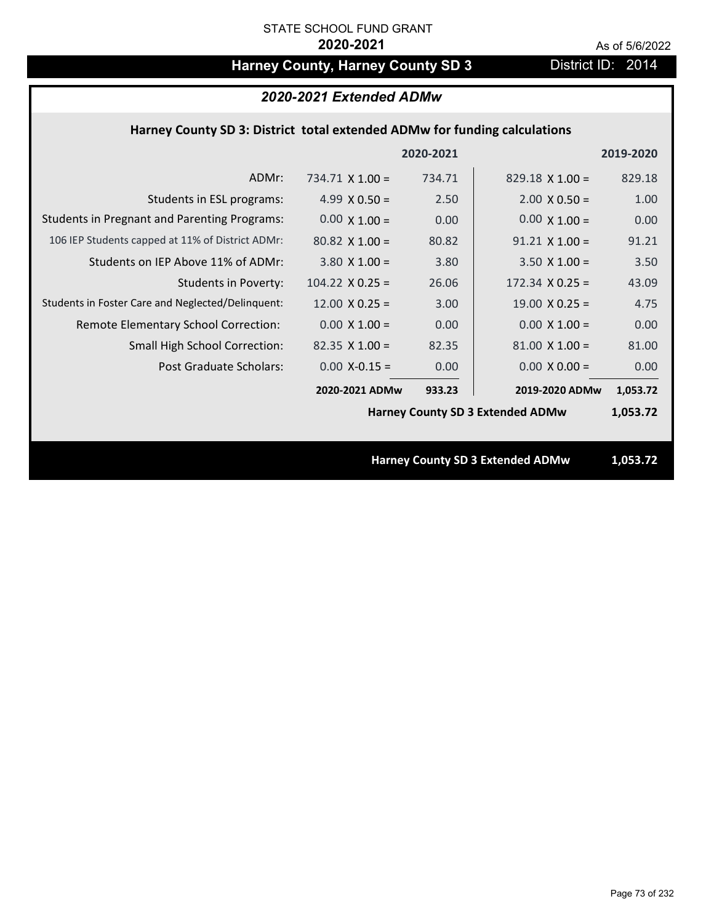# Harney County, Harney County SD 3 District ID: 2014

# *2020-2021 Extended ADMw*

## **Harney County SD 3: District total extended ADMw for funding calculations**

|                                                     |                        | 2020-2021 |                                         | 2019-2020 |
|-----------------------------------------------------|------------------------|-----------|-----------------------------------------|-----------|
| ADMr:                                               | 734.71 $\times$ 1.00 = | 734.71    | $829.18 \times 1.00 =$                  | 829.18    |
| Students in ESL programs:                           | 4.99 $X$ 0.50 =        | 2.50      | $2.00 \times 0.50 =$                    | 1.00      |
| <b>Students in Pregnant and Parenting Programs:</b> | $0.00 \times 1.00 =$   | 0.00      | $0.00 \times 1.00 =$                    | 0.00      |
| 106 IEP Students capped at 11% of District ADMr:    | $80.82$ X 1.00 =       | 80.82     | $91.21$ X $1.00 =$                      | 91.21     |
| Students on IEP Above 11% of ADMr:                  | $3.80 \times 1.00 =$   | 3.80      | $3.50$ X $1.00 =$                       | 3.50      |
| <b>Students in Poverty:</b>                         | $104.22 \times 0.25 =$ | 26.06     | $172.34 \times 0.25 =$                  | 43.09     |
| Students in Foster Care and Neglected/Delinquent:   | $12.00 \times 0.25 =$  | 3.00      | $19.00 \times 0.25 =$                   | 4.75      |
| Remote Elementary School Correction:                | $0.00 \times 1.00 =$   | 0.00      | $0.00 \times 1.00 =$                    | 0.00      |
| <b>Small High School Correction:</b>                | $82.35 \times 1.00 =$  | 82.35     | $81.00 \times 1.00 =$                   | 81.00     |
| Post Graduate Scholars:                             | $0.00$ X-0.15 =        | 0.00      | $0.00 \times 0.00 =$                    | 0.00      |
|                                                     | 2020-2021 ADMw         | 933.23    | 2019-2020 ADMw                          | 1,053.72  |
|                                                     |                        |           | <b>Harney County SD 3 Extended ADMw</b> | 1,053.72  |
|                                                     |                        |           |                                         |           |
|                                                     |                        |           | <b>Harney County SD 3 Extended ADMw</b> | 1,053.72  |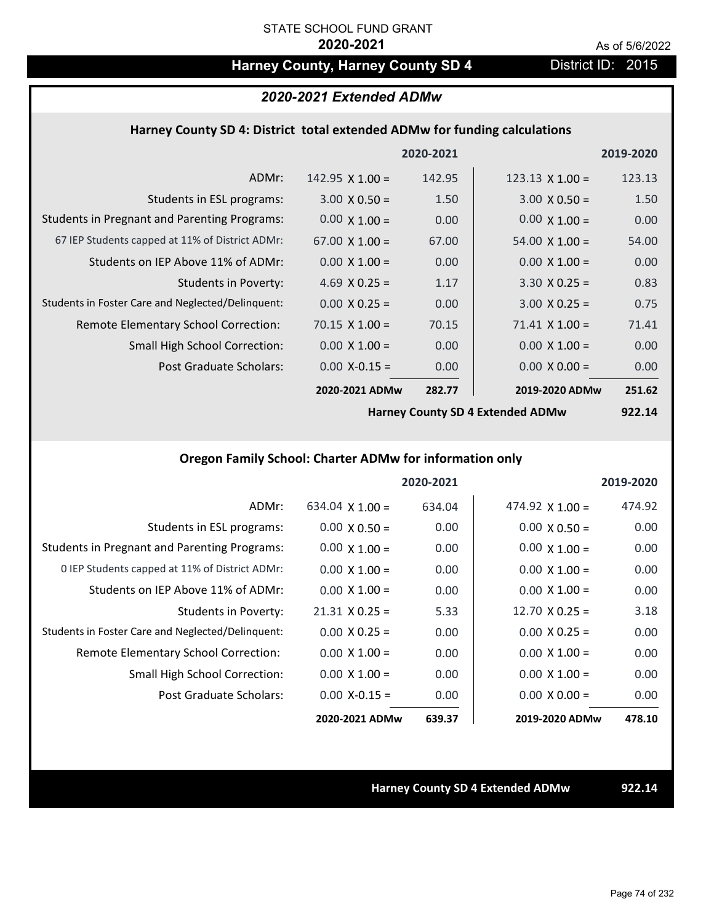# Harney County, Harney County SD 4 District ID: 2015

# *2020-2021 Extended ADMw*

#### **Harney County SD 4: District total extended ADMw for funding calculations**

|                                                     |                       | 2020-2021 |                        | 2019-2020 |
|-----------------------------------------------------|-----------------------|-----------|------------------------|-----------|
| ADMr:                                               | 142.95 $X$ 1.00 =     | 142.95    | $123.13 \times 1.00 =$ | 123.13    |
| Students in ESL programs:                           | $3.00 \times 0.50 =$  | 1.50      | $3.00 \times 0.50 =$   | 1.50      |
| <b>Students in Pregnant and Parenting Programs:</b> | $0.00 \times 1.00 =$  | 0.00      | $0.00 \times 1.00 =$   | 0.00      |
| 67 IEP Students capped at 11% of District ADMr:     | $67.00 \times 1.00 =$ | 67.00     | $54.00 \times 1.00 =$  | 54.00     |
| Students on IEP Above 11% of ADMr:                  | $0.00 \times 1.00 =$  | 0.00      | $0.00 \times 1.00 =$   | 0.00      |
| <b>Students in Poverty:</b>                         | 4.69 $X$ 0.25 =       | 1.17      | $3.30 \times 0.25 =$   | 0.83      |
| Students in Foster Care and Neglected/Delinquent:   | $0.00 \times 0.25 =$  | 0.00      | $3.00 \times 0.25 =$   | 0.75      |
| Remote Elementary School Correction:                | $70.15 \times 1.00 =$ | 70.15     | $71.41 \times 1.00 =$  | 71.41     |
| <b>Small High School Correction:</b>                | $0.00 \times 1.00 =$  | 0.00      | $0.00 \times 1.00 =$   | 0.00      |
| Post Graduate Scholars:                             | $0.00$ X-0.15 =       | 0.00      | $0.00 \times 0.00 =$   | 0.00      |
|                                                     | 2020-2021 ADMw        | 282.77    | 2019-2020 ADMw         | 251.62    |

**Harney County SD 4 Extended ADMw**

**922.14**

# **Oregon Family School: Charter ADMw for information only**

|                                                     |                       | 2020-2021 |                       | 2019-2020 |
|-----------------------------------------------------|-----------------------|-----------|-----------------------|-----------|
| ADMr:                                               | 634.04 $X$ 1.00 =     | 634.04    | 474.92 $X$ 1.00 =     | 474.92    |
| Students in ESL programs:                           | $0.00 \times 0.50 =$  | 0.00      | $0.00 \times 0.50 =$  | 0.00      |
| <b>Students in Pregnant and Parenting Programs:</b> | $0.00 \times 1.00 =$  | 0.00      | $0.00 \times 1.00 =$  | 0.00      |
| 0 IEP Students capped at 11% of District ADMr:      | $0.00 \times 1.00 =$  | 0.00      | $0.00 \times 1.00 =$  | 0.00      |
| Students on IEP Above 11% of ADMr:                  | $0.00 \times 1.00 =$  | 0.00      | $0.00 \times 1.00 =$  | 0.00      |
| Students in Poverty:                                | $21.31 \times 0.25 =$ | 5.33      | $12.70 \times 0.25 =$ | 3.18      |
| Students in Foster Care and Neglected/Delinquent:   | $0.00 \times 0.25 =$  | 0.00      | $0.00 \times 0.25 =$  | 0.00      |
| Remote Elementary School Correction:                | $0.00 \times 1.00 =$  | 0.00      | $0.00 \times 1.00 =$  | 0.00      |
| <b>Small High School Correction:</b>                | $0.00 \times 1.00 =$  | 0.00      | $0.00 \times 1.00 =$  | 0.00      |
| Post Graduate Scholars:                             | $0.00 X - 0.15 =$     | 0.00      | $0.00 \times 0.00 =$  | 0.00      |
|                                                     | 2020-2021 ADMw        | 639.37    | 2019-2020 ADMw        | 478.10    |

**Harney County SD 4 Extended ADMw 922.14**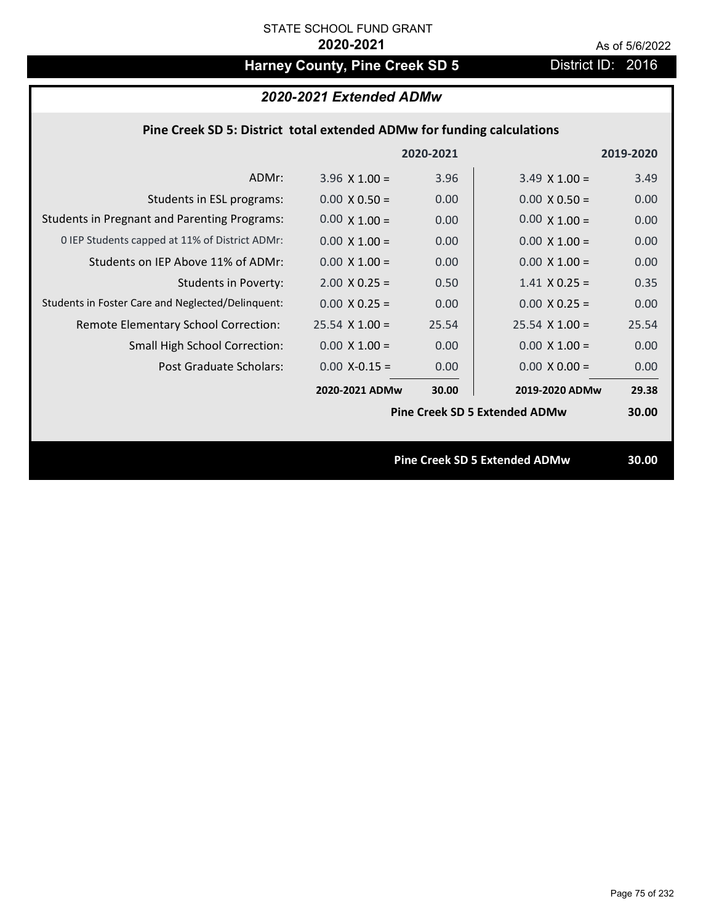# Harney County, Pine Creek SD 5 District ID: 2016

|  | Pine Creek SD 5: District total extended ADMw for funding calculations |
|--|------------------------------------------------------------------------|
|--|------------------------------------------------------------------------|

|                                                     |                       | 2020-2021 |                                      | 2019-2020 |
|-----------------------------------------------------|-----------------------|-----------|--------------------------------------|-----------|
| ADMr:                                               | $3.96 \times 1.00 =$  | 3.96      | $3.49 \times 1.00 =$                 | 3.49      |
| Students in ESL programs:                           | $0.00 \times 0.50 =$  | 0.00      | $0.00 \times 0.50 =$                 | 0.00      |
| <b>Students in Pregnant and Parenting Programs:</b> | $0.00 \times 1.00 =$  | 0.00      | $0.00 \times 1.00 =$                 | 0.00      |
| O IEP Students capped at 11% of District ADMr:      | $0.00 \times 1.00 =$  | 0.00      | $0.00 \times 1.00 =$                 | 0.00      |
| Students on IEP Above 11% of ADMr:                  | $0.00 \times 1.00 =$  | 0.00      | $0.00 \times 1.00 =$                 | 0.00      |
| <b>Students in Poverty:</b>                         | $2.00 \times 0.25 =$  | 0.50      | $1.41 \times 0.25 =$                 | 0.35      |
| Students in Foster Care and Neglected/Delinquent:   | $0.00 \times 0.25 =$  | 0.00      | $0.00 \times 0.25 =$                 | 0.00      |
| Remote Elementary School Correction:                | $25.54 \times 1.00 =$ | 25.54     | $25.54 \times 1.00 =$                | 25.54     |
| <b>Small High School Correction:</b>                | $0.00 \times 1.00 =$  | 0.00      | $0.00 \times 1.00 =$                 | 0.00      |
| Post Graduate Scholars:                             | $0.00$ X-0.15 =       | 0.00      | $0.00 \times 0.00 =$                 | 0.00      |
|                                                     | 2020-2021 ADMw        | 30.00     | 2019-2020 ADMw                       | 29.38     |
|                                                     |                       |           | <b>Pine Creek SD 5 Extended ADMw</b> | 30.00     |
|                                                     |                       |           |                                      |           |
|                                                     |                       |           | <b>Pine Creek SD 5 Extended ADMw</b> | 30.00     |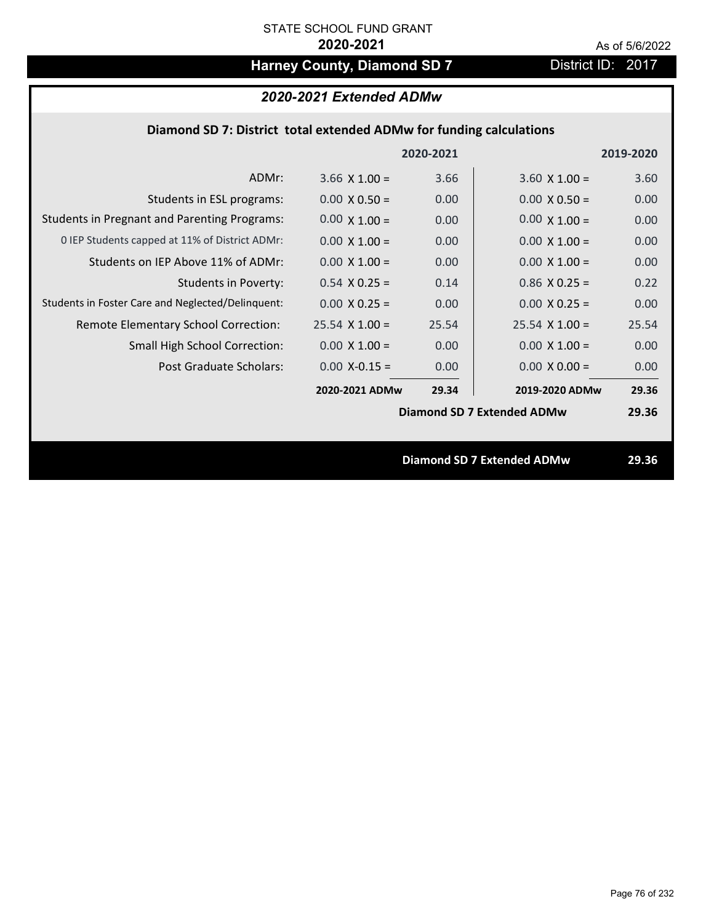# Harney County, Diamond SD 7 District ID: 2017

# *2020-2021 Extended ADMw*

## **Diamond SD 7: District total extended ADMw for funding calculations**

|                                                     |                      | 2020-2021 |                                   | 2019-2020 |
|-----------------------------------------------------|----------------------|-----------|-----------------------------------|-----------|
| ADMr:                                               | 3.66 $X$ 1.00 =      | 3.66      | $3.60 \times 1.00 =$              | 3.60      |
| Students in ESL programs:                           | $0.00 \times 0.50 =$ | 0.00      | $0.00 \times 0.50 =$              | 0.00      |
| <b>Students in Pregnant and Parenting Programs:</b> | $0.00 \times 1.00 =$ | 0.00      | $0.00 \times 1.00 =$              | 0.00      |
| 0 IEP Students capped at 11% of District ADMr:      | $0.00 \times 1.00 =$ | 0.00      | $0.00 \times 1.00 =$              | 0.00      |
| Students on IEP Above 11% of ADMr:                  | $0.00 \times 1.00 =$ | 0.00      | $0.00 \times 1.00 =$              | 0.00      |
| <b>Students in Poverty:</b>                         | $0.54$ X 0.25 =      | 0.14      | $0.86$ X 0.25 =                   | 0.22      |
| Students in Foster Care and Neglected/Delinquent:   | $0.00 \times 0.25 =$ | 0.00      | $0.00 \times 0.25 =$              | 0.00      |
| Remote Elementary School Correction:                | $25.54$ X 1.00 =     | 25.54     | $25.54 \times 1.00 =$             | 25.54     |
| <b>Small High School Correction:</b>                | $0.00 \times 1.00 =$ | 0.00      | $0.00 \times 1.00 =$              | 0.00      |
| Post Graduate Scholars:                             | $0.00$ X-0.15 =      | 0.00      | $0.00 \times 0.00 =$              | 0.00      |
|                                                     | 2020-2021 ADMw       | 29.34     | 2019-2020 ADMw                    | 29.36     |
|                                                     |                      |           | Diamond SD 7 Extended ADMw        | 29.36     |
|                                                     |                      |           |                                   |           |
|                                                     |                      |           | <b>Diamond SD 7 Extended ADMw</b> | 29.36     |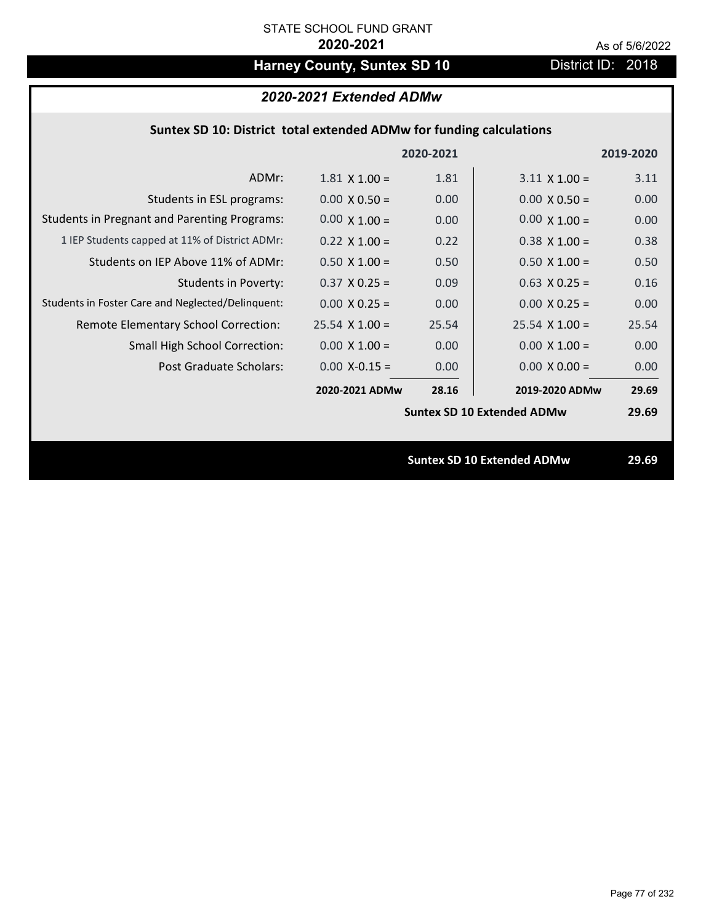# Harney County, Suntex SD 10 **District ID: 2018**

|                                                     |                       | 2020-2021 |                                   | 2019-2020 |
|-----------------------------------------------------|-----------------------|-----------|-----------------------------------|-----------|
| ADMr:                                               | $1.81 \times 1.00 =$  | 1.81      | $3.11 \times 1.00 =$              | 3.11      |
| Students in ESL programs:                           | $0.00 \times 0.50 =$  | 0.00      | $0.00 \times 0.50 =$              | 0.00      |
| <b>Students in Pregnant and Parenting Programs:</b> | $0.00 \times 1.00 =$  | 0.00      | $0.00 \times 1.00 =$              | 0.00      |
| 1 IEP Students capped at 11% of District ADMr:      | $0.22 \times 1.00 =$  | 0.22      | $0.38 \times 1.00 =$              | 0.38      |
| Students on IEP Above 11% of ADMr:                  | $0.50 \times 1.00 =$  | 0.50      | $0.50$ X 1.00 =                   | 0.50      |
| <b>Students in Poverty:</b>                         | $0.37$ X 0.25 =       | 0.09      | $0.63$ X 0.25 =                   | 0.16      |
| Students in Foster Care and Neglected/Delinquent:   | $0.00 \times 0.25 =$  | 0.00      | $0.00 X 0.25 =$                   | 0.00      |
| Remote Elementary School Correction:                | $25.54 \times 1.00 =$ | 25.54     | $25.54$ X 1.00 =                  | 25.54     |
| <b>Small High School Correction:</b>                | $0.00 \times 1.00 =$  | 0.00      | $0.00 \times 1.00 =$              | 0.00      |
| Post Graduate Scholars:                             | $0.00$ X-0.15 =       | 0.00      | $0.00 \times 0.00 =$              | 0.00      |
|                                                     | 2020-2021 ADMw        | 28.16     | 2019-2020 ADMw                    | 29.69     |
|                                                     |                       |           | <b>Suntex SD 10 Extended ADMw</b> | 29.69     |
|                                                     |                       |           |                                   |           |
|                                                     |                       |           | <b>Suntex SD 10 Extended ADMw</b> | 29.69     |
|                                                     |                       |           |                                   |           |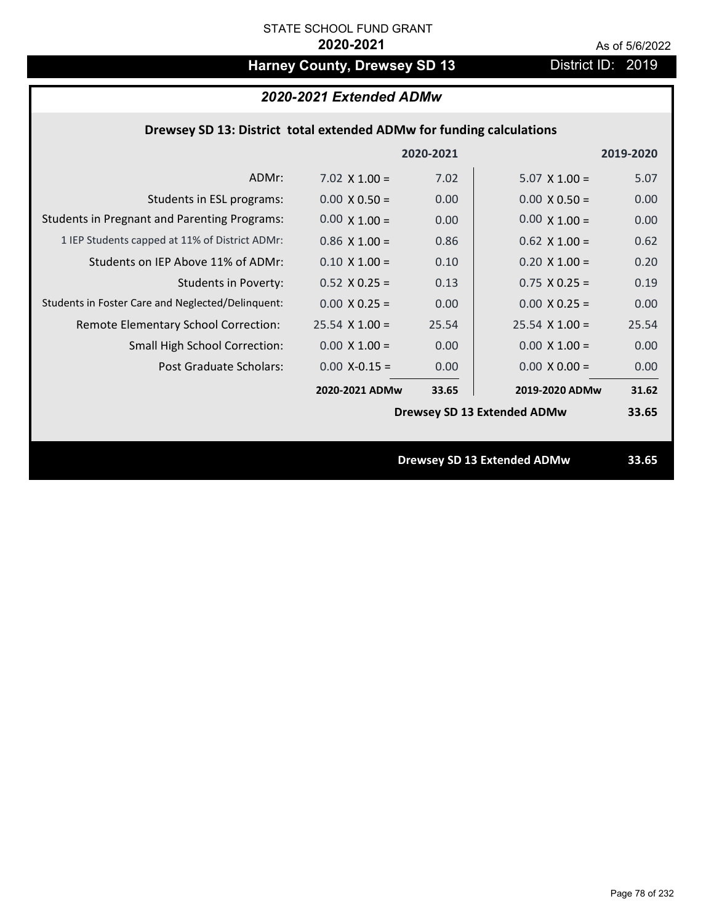# Harney County, Drewsey SD 13 District ID: 2019

# *2020-2021 Extended ADMw*

## **Drewsey SD 13: District total extended ADMw for funding calculations**

|                                                     |                      | 2020-2021 |                                    | 2019-2020 |
|-----------------------------------------------------|----------------------|-----------|------------------------------------|-----------|
| ADMr:                                               | 7.02 $\times$ 1.00 = | 7.02      | $5.07 \times 1.00 =$               | 5.07      |
| Students in ESL programs:                           | $0.00 \times 0.50 =$ | 0.00      | $0.00 \times 0.50 =$               | 0.00      |
| <b>Students in Pregnant and Parenting Programs:</b> | $0.00 \times 1.00 =$ | 0.00      | $0.00 \times 1.00 =$               | 0.00      |
| 1 IEP Students capped at 11% of District ADMr:      | $0.86 \times 1.00 =$ | 0.86      | $0.62$ X 1.00 =                    | 0.62      |
| Students on IEP Above 11% of ADMr:                  | $0.10 \times 1.00 =$ | 0.10      | $0.20$ X $1.00 =$                  | 0.20      |
| <b>Students in Poverty:</b>                         | $0.52$ X $0.25 =$    | 0.13      | $0.75$ X 0.25 =                    | 0.19      |
| Students in Foster Care and Neglected/Delinquent:   | $0.00 \times 0.25 =$ | 0.00      | $0.00 \times 0.25 =$               | 0.00      |
| Remote Elementary School Correction:                | $25.54$ X 1.00 =     | 25.54     | $25.54$ X 1.00 =                   | 25.54     |
| <b>Small High School Correction:</b>                | $0.00 \times 1.00 =$ | 0.00      | $0.00 \times 1.00 =$               | 0.00      |
| Post Graduate Scholars:                             | $0.00$ X-0.15 =      | 0.00      | $0.00 \times 0.00 =$               | 0.00      |
|                                                     | 2020-2021 ADMw       | 33.65     | 2019-2020 ADMw                     | 31.62     |
|                                                     |                      |           | <b>Drewsey SD 13 Extended ADMw</b> | 33.65     |
|                                                     |                      |           |                                    |           |
|                                                     |                      |           | <b>Drewsey SD 13 Extended ADMw</b> | 33.65     |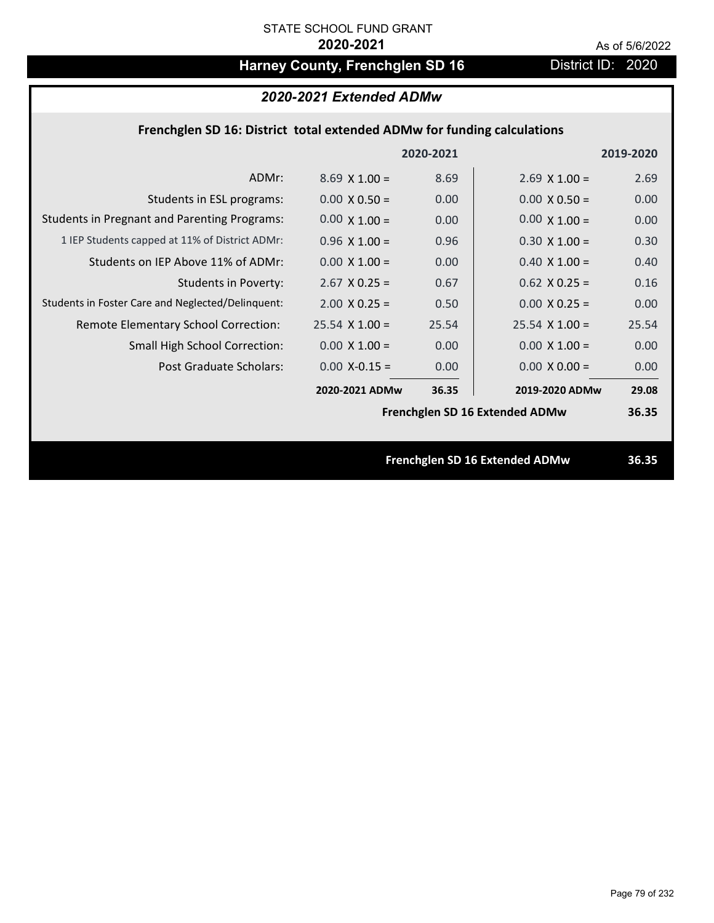# Harney County, Frenchglen SD 16 **District ID: 2020**

# *2020-2021 Extended ADMw*

## **Frenchglen SD 16: District total extended ADMw for funding calculations**

|                                                     |                      | 2020-2021 |                                | 2019-2020 |
|-----------------------------------------------------|----------------------|-----------|--------------------------------|-----------|
| ADMr:                                               | $8.69 \times 1.00 =$ | 8.69      | $2.69$ X 1.00 =                | 2.69      |
| Students in ESL programs:                           | $0.00 \times 0.50 =$ | 0.00      | $0.00 \times 0.50 =$           | 0.00      |
| <b>Students in Pregnant and Parenting Programs:</b> | $0.00 \times 1.00 =$ | 0.00      | $0.00 \times 1.00 =$           | 0.00      |
| 1 IEP Students capped at 11% of District ADMr:      | $0.96 \times 1.00 =$ | 0.96      | $0.30 \times 1.00 =$           | 0.30      |
| Students on IEP Above 11% of ADMr:                  | $0.00 \times 1.00 =$ | 0.00      | $0.40$ X $1.00 =$              | 0.40      |
| <b>Students in Poverty:</b>                         | $2.67$ X 0.25 =      | 0.67      | $0.62$ X 0.25 =                | 0.16      |
| Students in Foster Care and Neglected/Delinquent:   | $2.00 \times 0.25 =$ | 0.50      | $0.00 X 0.25 =$                | 0.00      |
| Remote Elementary School Correction:                | $25.54$ X 1.00 =     | 25.54     | $25.54$ X 1.00 =               | 25.54     |
| <b>Small High School Correction:</b>                | $0.00 \times 1.00 =$ | 0.00      | $0.00 \times 1.00 =$           | 0.00      |
| Post Graduate Scholars:                             | $0.00$ X-0.15 =      | 0.00      | $0.00 \times 0.00 =$           | 0.00      |
|                                                     | 2020-2021 ADMw       | 36.35     | 2019-2020 ADMw                 | 29.08     |
|                                                     |                      |           | Frenchglen SD 16 Extended ADMw | 36.35     |
|                                                     |                      |           |                                |           |
|                                                     |                      |           | Frenchglen SD 16 Extended ADMw | 36.35     |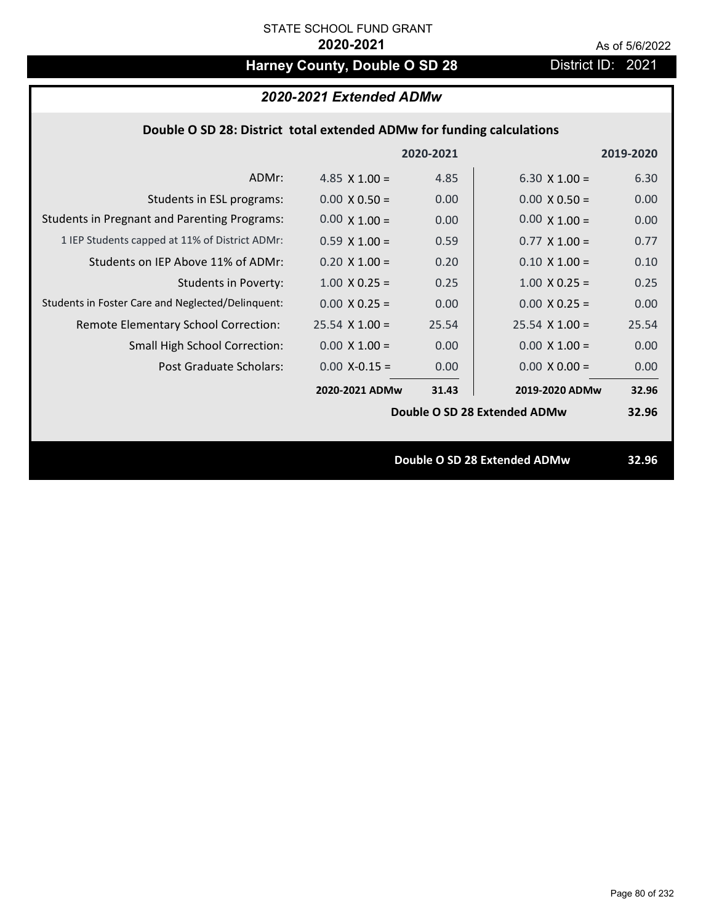# Harney County, Double O SD 28 District ID: 2021

| 2020-2021 Extended ADMw                                               |                      |           |                              |           |
|-----------------------------------------------------------------------|----------------------|-----------|------------------------------|-----------|
| Double O SD 28: District total extended ADMw for funding calculations |                      |           |                              |           |
|                                                                       |                      | 2020-2021 |                              | 2019-2020 |
| ADMr:                                                                 | 4.85 $\times$ 1.00 = | 4.85      | 6.30 $\times$ 1.00 =         | 6.30      |
| Students in ESL programs:                                             | $0.00 \times 0.50 =$ | 0.00      | $0.00 \times 0.50 =$         | 0.00      |
| <b>Students in Pregnant and Parenting Programs:</b>                   | $0.00 \times 1.00 =$ | 0.00      | $0.00 \times 1.00 =$         | 0.00      |
| 1 IEP Students capped at 11% of District ADMr:                        | $0.59 \times 1.00 =$ | 0.59      | $0.77 \times 1.00 =$         | 0.77      |
| Students on IEP Above 11% of ADMr:                                    | $0.20 \times 1.00 =$ | 0.20      | $0.10 \times 1.00 =$         | 0.10      |
| <b>Students in Poverty:</b>                                           | $1.00 \times 0.25 =$ | 0.25      | $1.00 \times 0.25 =$         | 0.25      |
| Students in Foster Care and Neglected/Delinquent:                     | $0.00 \times 0.25 =$ | 0.00      | $0.00 \times 0.25 =$         | 0.00      |
| Remote Elementary School Correction:                                  | $25.54$ X 1.00 =     | 25.54     | $25.54$ X 1.00 =             | 25.54     |
| <b>Small High School Correction:</b>                                  | $0.00 X 1.00 =$      | 0.00      | $0.00 \times 1.00 =$         | 0.00      |
| Post Graduate Scholars:                                               | $0.00$ X-0.15 =      | 0.00      | $0.00 \times 0.00 =$         | 0.00      |
|                                                                       | 2020-2021 ADMw       | 31.43     | 2019-2020 ADMw               | 32.96     |
|                                                                       |                      |           | Double O SD 28 Extended ADMw | 32.96     |
|                                                                       |                      |           |                              |           |
|                                                                       |                      |           | Double O SD 28 Extended ADMw | 32.96     |
|                                                                       |                      |           |                              |           |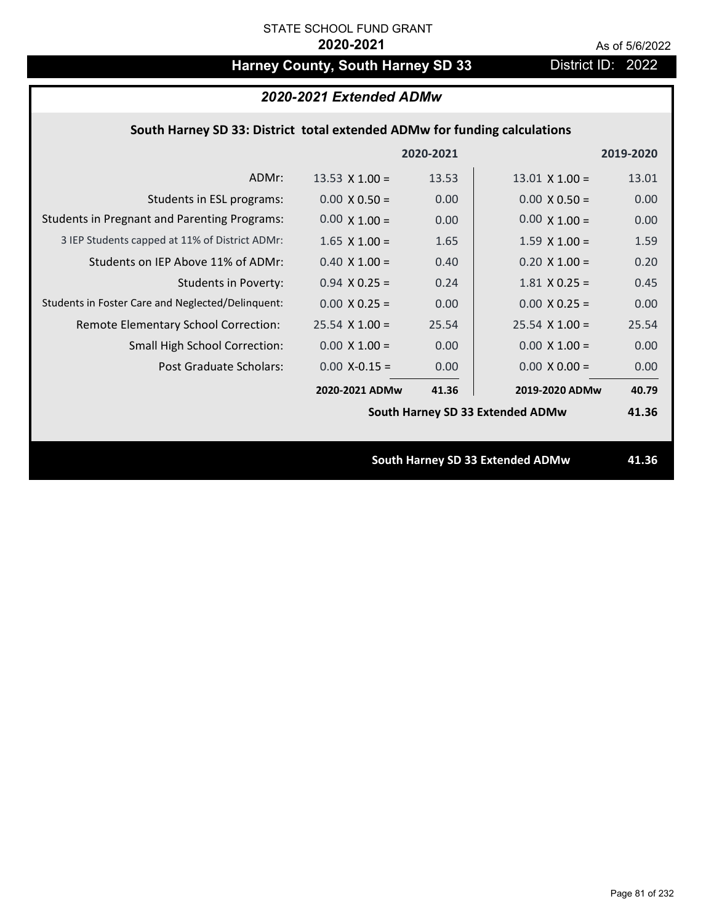# Harney County, South Harney SD 33 District ID: 2022

# *2020-2021 Extended ADMw*

## **South Harney SD 33: District total extended ADMw for funding calculations**

|                                                     |                                  | 2020-2021 |                                  | 2019-2020 |
|-----------------------------------------------------|----------------------------------|-----------|----------------------------------|-----------|
| ADMr:                                               | 13.53 $\times$ 1.00 =            | 13.53     | $13.01 \times 1.00 =$            | 13.01     |
| Students in ESL programs:                           | $0.00 \times 0.50 =$             | 0.00      | $0.00 \times 0.50 =$             | 0.00      |
| <b>Students in Pregnant and Parenting Programs:</b> | $0.00 \times 1.00 =$             | 0.00      | $0.00 \times 1.00 =$             | 0.00      |
| 3 IEP Students capped at 11% of District ADMr:      | $1.65 \times 1.00 =$             | 1.65      | $1.59 \times 1.00 =$             | 1.59      |
| Students on IEP Above 11% of ADMr:                  | $0.40 \times 1.00 =$             | 0.40      | $0.20$ X $1.00 =$                | 0.20      |
| <b>Students in Poverty:</b>                         | $0.94$ X 0.25 =                  | 0.24      | $1.81$ X 0.25 =                  | 0.45      |
| Students in Foster Care and Neglected/Delinquent:   | $0.00 \times 0.25 =$             | 0.00      | $0.00 X 0.25 =$                  | 0.00      |
| Remote Elementary School Correction:                | $25.54$ X 1.00 =                 | 25.54     | $25.54$ X $1.00 =$               | 25.54     |
| <b>Small High School Correction:</b>                | $0.00 \times 1.00 =$             | 0.00      | $0.00 \times 1.00 =$             | 0.00      |
| Post Graduate Scholars:                             | $0.00$ X-0.15 =                  | 0.00      | $0.00 \times 0.00 =$             | 0.00      |
|                                                     | 2020-2021 ADMw                   | 41.36     | 2019-2020 ADMw                   | 40.79     |
|                                                     | South Harney SD 33 Extended ADMw |           |                                  | 41.36     |
|                                                     |                                  |           |                                  |           |
|                                                     |                                  |           | South Harney SD 33 Extended ADMw | 41.36     |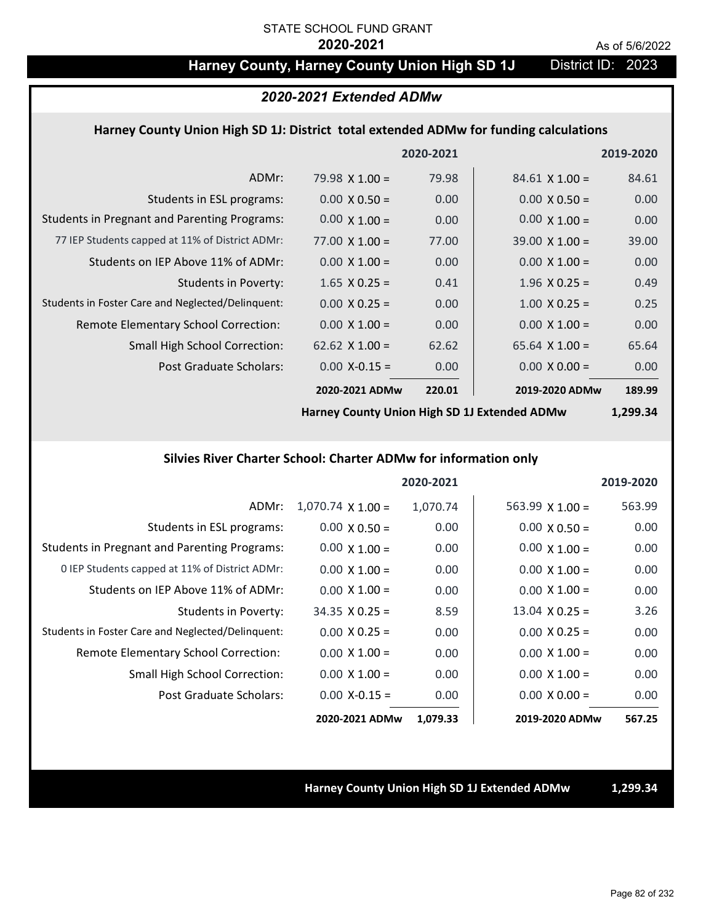# Harney County, Harney County Union High SD 1J District ID: 2023

### *2020-2021 Extended ADMw*

#### **Harney County Union High SD 1J: District total extended ADMw for funding calculations**

|                                                     |                       | 2020-2021 |                       | 2019-2020 |
|-----------------------------------------------------|-----------------------|-----------|-----------------------|-----------|
| ADMr:                                               | 79.98 $X$ 1.00 =      | 79.98     | $84.61 \times 1.00 =$ | 84.61     |
| Students in ESL programs:                           | $0.00 \times 0.50 =$  | 0.00      | $0.00 \times 0.50 =$  | 0.00      |
| <b>Students in Pregnant and Parenting Programs:</b> | $0.00 \times 1.00 =$  | 0.00      | $0.00 \times 1.00 =$  | 0.00      |
| 77 IEP Students capped at 11% of District ADMr:     | $77.00 \times 1.00 =$ | 77.00     | $39.00 \times 1.00 =$ | 39.00     |
| Students on IEP Above 11% of ADMr:                  | $0.00 \times 1.00 =$  | 0.00      | $0.00 \times 1.00 =$  | 0.00      |
| Students in Poverty:                                | $1.65 \times 0.25 =$  | 0.41      | $1.96 \times 0.25 =$  | 0.49      |
| Students in Foster Care and Neglected/Delinquent:   | $0.00 \times 0.25 =$  | 0.00      | $1.00 \times 0.25 =$  | 0.25      |
| Remote Elementary School Correction:                | $0.00 \times 1.00 =$  | 0.00      | $0.00 \times 1.00 =$  | 0.00      |
| <b>Small High School Correction:</b>                | 62.62 $\times$ 1.00 = | 62.62     | $65.64 \times 1.00 =$ | 65.64     |
| Post Graduate Scholars:                             | $0.00 X - 0.15 =$     | 0.00      | $0.00 \times 0.00 =$  | 0.00      |
|                                                     | 2020-2021 ADMw        | 220.01    | 2019-2020 ADMw        | 189.99    |

**Harney County Union High SD 1J Extended ADMw**

**1,299.34**

#### **Silvies River Charter School: Charter ADMw for information only**

|                                                     |                          | 2020-2021 |                        | 2019-2020 |
|-----------------------------------------------------|--------------------------|-----------|------------------------|-----------|
| ADMr:                                               | $1,070.74 \times 1.00 =$ | 1,070.74  | $563.99 \times 1.00 =$ | 563.99    |
| Students in ESL programs:                           | $0.00 \times 0.50 =$     | 0.00      | $0.00 \times 0.50 =$   | 0.00      |
| <b>Students in Pregnant and Parenting Programs:</b> | $0.00 \times 1.00 =$     | 0.00      | $0.00 \times 1.00 =$   | 0.00      |
| 0 IEP Students capped at 11% of District ADMr:      | $0.00 \times 1.00 =$     | 0.00      | $0.00 \times 1.00 =$   | 0.00      |
| Students on IEP Above 11% of ADMr:                  | $0.00 \times 1.00 =$     | 0.00      | $0.00 \times 1.00 =$   | 0.00      |
| Students in Poverty:                                | $34.35 \times 0.25 =$    | 8.59      | $13.04 \times 0.25 =$  | 3.26      |
| Students in Foster Care and Neglected/Delinquent:   | $0.00 \times 0.25 =$     | 0.00      | $0.00 \times 0.25 =$   | 0.00      |
| Remote Elementary School Correction:                | $0.00 \times 1.00 =$     | 0.00      | $0.00 \times 1.00 =$   | 0.00      |
| <b>Small High School Correction:</b>                | $0.00 \times 1.00 =$     | 0.00      | $0.00 \times 1.00 =$   | 0.00      |
| Post Graduate Scholars:                             | $0.00$ X-0.15 =          | 0.00      | $0.00 \times 0.00 =$   | 0.00      |
|                                                     | 2020-2021 ADMw           | 1,079.33  | 2019-2020 ADMw         | 567.25    |

**Harney County Union High SD 1J Extended ADMw 1,299.34**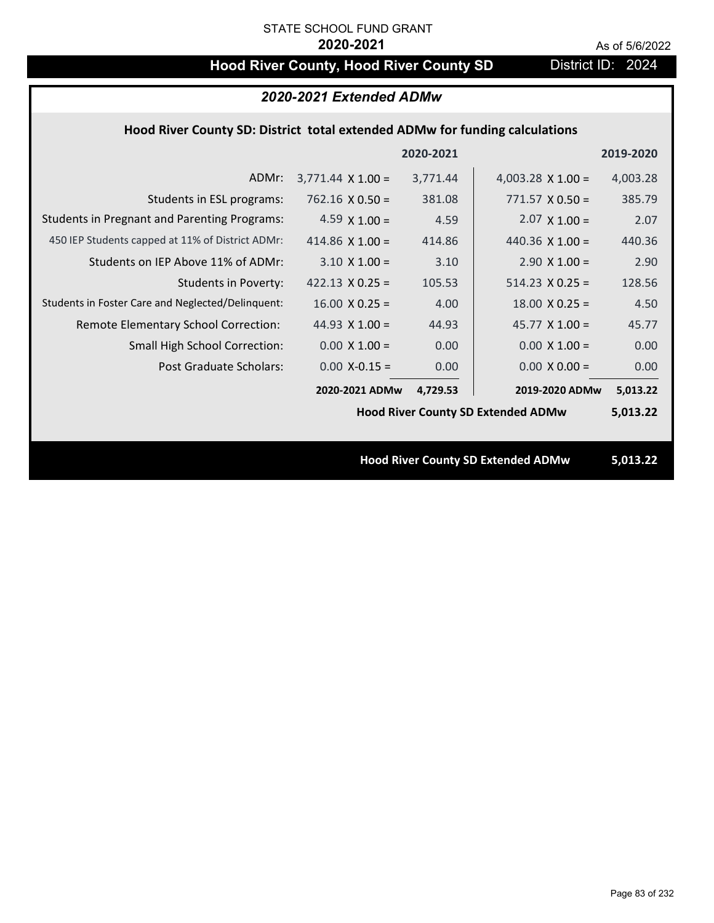# **Hood River County, Hood River County SD** District ID: 2024

| 2020-2021 Extended ADMw                                                     |                          |           |                                           |           |  |
|-----------------------------------------------------------------------------|--------------------------|-----------|-------------------------------------------|-----------|--|
| Hood River County SD: District total extended ADMw for funding calculations |                          |           |                                           |           |  |
|                                                                             |                          | 2020-2021 |                                           | 2019-2020 |  |
| ADMr:                                                                       | $3,771.44 \times 1.00 =$ | 3,771.44  | 4,003.28 $\times$ 1.00 =                  | 4,003.28  |  |
| Students in ESL programs:                                                   | $762.16 \times 0.50 =$   | 381.08    | $771.57 \times 0.50 =$                    | 385.79    |  |
| <b>Students in Pregnant and Parenting Programs:</b>                         | 4.59 $\times$ 1.00 =     | 4.59      | $2.07 \times 1.00 =$                      | 2.07      |  |
| 450 IEP Students capped at 11% of District ADMr:                            | 414.86 $\times$ 1.00 =   | 414.86    | 440.36 $\times$ 1.00 =                    | 440.36    |  |
| Students on IEP Above 11% of ADMr:                                          | $3.10 \times 1.00 =$     | 3.10      | $2.90 \times 1.00 =$                      | 2.90      |  |
| <b>Students in Poverty:</b>                                                 | $422.13 \times 0.25 =$   | 105.53    | $514.23 \times 0.25 =$                    | 128.56    |  |
| Students in Foster Care and Neglected/Delinquent:                           | $16.00 \times 0.25 =$    | 4.00      | $18.00 \times 0.25 =$                     | 4.50      |  |
| Remote Elementary School Correction:                                        | 44.93 $\times$ 1.00 =    | 44.93     | 45.77 $X$ 1.00 =                          | 45.77     |  |
| <b>Small High School Correction:</b>                                        | $0.00 \times 1.00 =$     | 0.00      | $0.00 \times 1.00 =$                      | 0.00      |  |
| Post Graduate Scholars:                                                     | $0.00$ X-0.15 =          | 0.00      | $0.00 \times 0.00 =$                      | 0.00      |  |
|                                                                             | 2020-2021 ADMw           | 4,729.53  | 2019-2020 ADMw                            | 5,013.22  |  |
|                                                                             |                          |           | <b>Hood River County SD Extended ADMw</b> | 5,013.22  |  |
|                                                                             |                          |           |                                           |           |  |
|                                                                             |                          |           | <b>Hood River County SD Extended ADMw</b> | 5,013.22  |  |
|                                                                             |                          |           |                                           |           |  |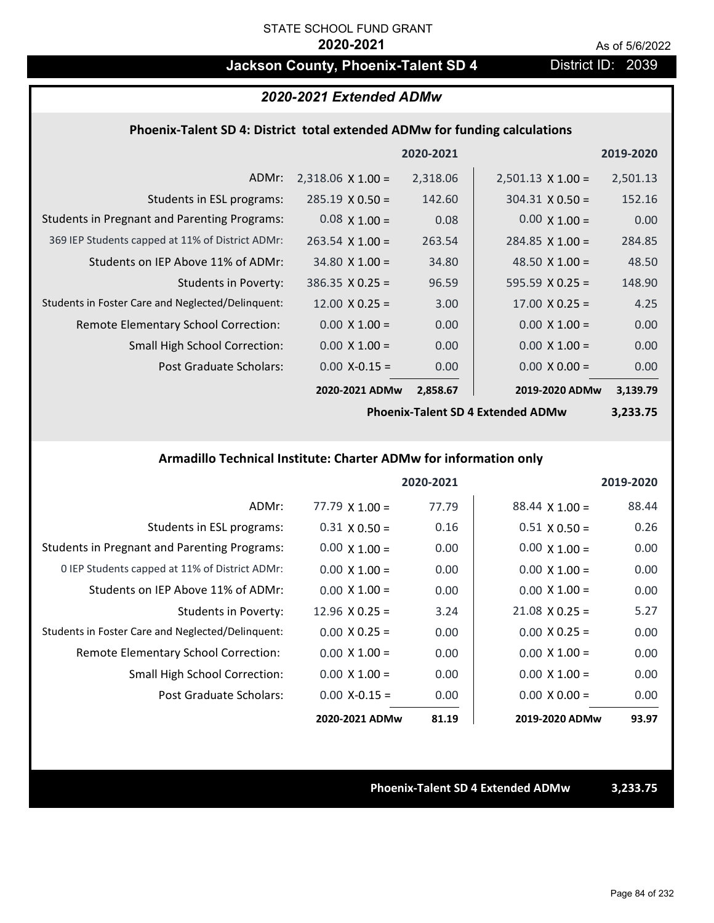# **Jackson County, Phoenix-Talent SD 4** District ID: 2039

### *2020-2021 Extended ADMw*

### **Phoenix‐Talent SD 4: District total extended ADMw for funding calculations**

|                                                     |                          | 2020-2021 |                          | 2019-2020 |
|-----------------------------------------------------|--------------------------|-----------|--------------------------|-----------|
| ADMr:                                               | $2,318.06 \times 1.00 =$ | 2,318.06  | $2,501.13 \times 1.00 =$ | 2,501.13  |
| Students in ESL programs:                           | $285.19 \times 0.50 =$   | 142.60    | $304.31 \times 0.50 =$   | 152.16    |
| <b>Students in Pregnant and Parenting Programs:</b> | $0.08 \times 1.00 =$     | 0.08      | $0.00 \times 1.00 =$     | 0.00      |
| 369 IEP Students capped at 11% of District ADMr:    | $263.54 \times 1.00 =$   | 263.54    | $284.85 \times 1.00 =$   | 284.85    |
| Students on IEP Above 11% of ADMr:                  | $34.80 \times 1.00 =$    | 34.80     | 48.50 $\times$ 1.00 =    | 48.50     |
| <b>Students in Poverty:</b>                         | $386.35 \times 0.25 =$   | 96.59     | 595.59 $X$ 0.25 =        | 148.90    |
| Students in Foster Care and Neglected/Delinquent:   | $12.00 \times 0.25 =$    | 3.00      | $17.00 \times 0.25 =$    | 4.25      |
| Remote Elementary School Correction:                | $0.00 \times 1.00 =$     | 0.00      | $0.00 \times 1.00 =$     | 0.00      |
| <b>Small High School Correction:</b>                | $0.00 \times 1.00 =$     | 0.00      | $0.00 \times 1.00 =$     | 0.00      |
| Post Graduate Scholars:                             | $0.00 X - 0.15 =$        | 0.00      | $0.00 \times 0.00 =$     | 0.00      |
|                                                     | 2020-2021 ADMw           | 2,858.67  | 2019-2020 ADMw           | 3,139.79  |

**Phoenix‐Talent SD 4 Extended ADMw**

**3,233.75**

### **Armadillo Technical Institute: Charter ADMw for information only**

|                                                     |                       | 2020-2021 |                       | 2019-2020 |
|-----------------------------------------------------|-----------------------|-----------|-----------------------|-----------|
| ADMr:                                               | $77.79 \times 1.00 =$ | 77.79     | $88.44 \times 1.00 =$ | 88.44     |
| Students in ESL programs:                           | $0.31 \times 0.50 =$  | 0.16      | $0.51 \times 0.50 =$  | 0.26      |
| <b>Students in Pregnant and Parenting Programs:</b> | $0.00 \times 1.00 =$  | 0.00      | $0.00 \times 1.00 =$  | 0.00      |
| 0 IEP Students capped at 11% of District ADMr:      | $0.00 \times 1.00 =$  | 0.00      | $0.00 \times 1.00 =$  | 0.00      |
| Students on IEP Above 11% of ADMr:                  | $0.00 \times 1.00 =$  | 0.00      | $0.00 \times 1.00 =$  | 0.00      |
| Students in Poverty:                                | $12.96 \times 0.25 =$ | 3.24      | $21.08 \times 0.25 =$ | 5.27      |
| Students in Foster Care and Neglected/Delinquent:   | $0.00 \times 0.25 =$  | 0.00      | $0.00 \times 0.25 =$  | 0.00      |
| Remote Elementary School Correction:                | $0.00 \times 1.00 =$  | 0.00      | $0.00 \times 1.00 =$  | 0.00      |
| <b>Small High School Correction:</b>                | $0.00 \times 1.00 =$  | 0.00      | $0.00 \times 1.00 =$  | 0.00      |
| Post Graduate Scholars:                             | $0.00 X - 0.15 =$     | 0.00      | $0.00 \times 0.00 =$  | 0.00      |
|                                                     | 2020-2021 ADMw        | 81.19     | 2019-2020 ADMw        | 93.97     |

**Phoenix‐Talent SD 4 Extended ADMw 3,233.75**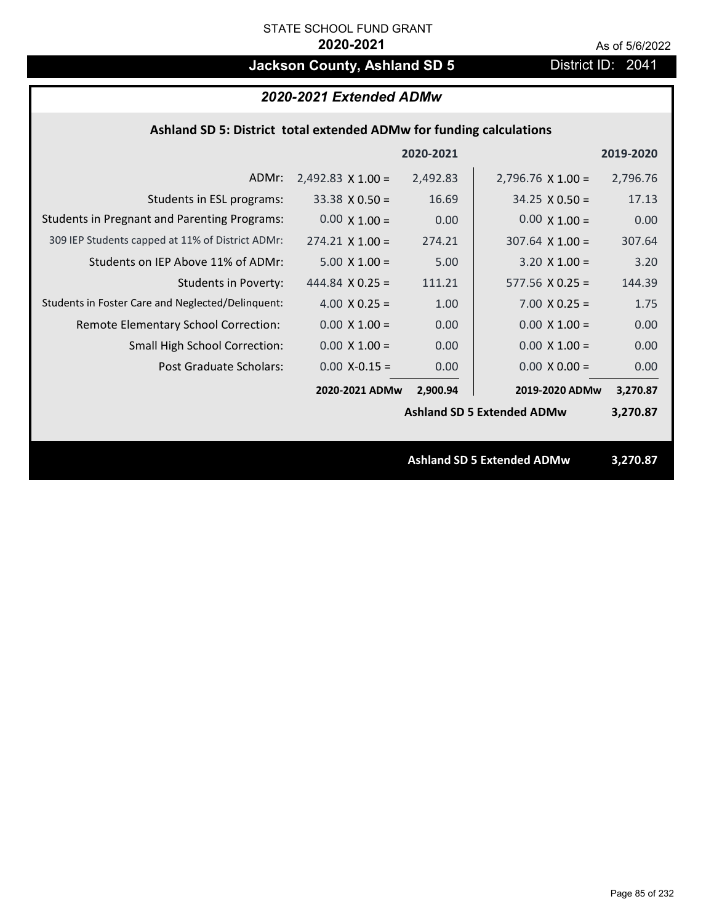# **Jackson County, Ashland SD 5** District ID: 2041

# *2020-2021 Extended ADMw*

## **Ashland SD 5: District total extended ADMw for funding calculations**

|                                                     |                          | 2020-2021 |                                   | 2019-2020 |
|-----------------------------------------------------|--------------------------|-----------|-----------------------------------|-----------|
| ADMr:                                               | $2,492.83 \times 1.00 =$ | 2,492.83  | $2,796.76 \times 1.00 =$          | 2,796.76  |
| Students in ESL programs:                           | $33.38 \times 0.50 =$    | 16.69     | $34.25 \times 0.50 =$             | 17.13     |
| <b>Students in Pregnant and Parenting Programs:</b> | $0.00 \times 1.00 =$     | 0.00      | $0.00 \times 1.00 =$              | 0.00      |
| 309 IEP Students capped at 11% of District ADMr:    | $274.21 \times 1.00 =$   | 274.21    | $307.64 \times 1.00 =$            | 307.64    |
| Students on IEP Above 11% of ADMr:                  | $5.00 \times 1.00 =$     | 5.00      | $3.20 \times 1.00 =$              | 3.20      |
| Students in Poverty:                                | 444.84 $\times$ 0.25 =   | 111.21    | $577.56 \times 0.25 =$            | 144.39    |
| Students in Foster Care and Neglected/Delinquent:   | 4.00 $X$ 0.25 =          | 1.00      | $7.00 \times 0.25 =$              | 1.75      |
| Remote Elementary School Correction:                | $0.00 \times 1.00 =$     | 0.00      | $0.00 \times 1.00 =$              | 0.00      |
| <b>Small High School Correction:</b>                | $0.00 \times 1.00 =$     | 0.00      | $0.00 \times 1.00 =$              | 0.00      |
| Post Graduate Scholars:                             | $0.00$ X-0.15 =          | 0.00      | $0.00 \times 0.00 =$              | 0.00      |
|                                                     | 2020-2021 ADMw           | 2,900.94  | 2019-2020 ADMw                    | 3,270.87  |
|                                                     |                          |           | <b>Ashland SD 5 Extended ADMw</b> | 3,270.87  |
|                                                     |                          |           |                                   |           |
|                                                     |                          |           | <b>Ashland SD 5 Extended ADMw</b> | 3,270.87  |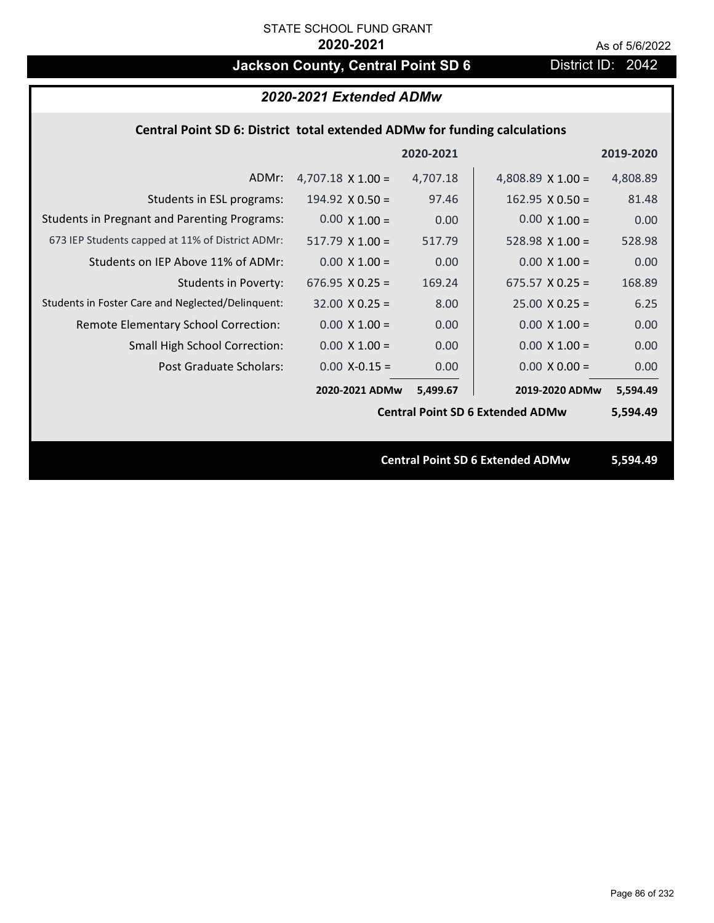# **Jackson County, Central Point SD 6** District ID: 2042

| 2020-2021 Extended ADMw                                                   |                          |           |                                         |           |
|---------------------------------------------------------------------------|--------------------------|-----------|-----------------------------------------|-----------|
| Central Point SD 6: District total extended ADMw for funding calculations |                          |           |                                         |           |
|                                                                           |                          | 2020-2021 |                                         | 2019-2020 |
| ADMr:                                                                     | $4,707.18 \times 1.00 =$ | 4,707.18  | 4,808.89 $\times$ 1.00 =                | 4,808.89  |
| Students in ESL programs:                                                 | 194.92 $X$ 0.50 =        | 97.46     | $162.95 \times 0.50 =$                  | 81.48     |
| <b>Students in Pregnant and Parenting Programs:</b>                       | $0.00 \times 1.00 =$     | 0.00      | $0.00 \times 1.00 =$                    | 0.00      |
| 673 IEP Students capped at 11% of District ADMr:                          | $517.79$ X 1.00 =        | 517.79    | $528.98 \times 1.00 =$                  | 528.98    |
| Students on IEP Above 11% of ADMr:                                        | $0.00 \times 1.00 =$     | 0.00      | $0.00 \times 1.00 =$                    | 0.00      |
| <b>Students in Poverty:</b>                                               | 676.95 $X$ 0.25 =        | 169.24    | $675.57 \times 0.25 =$                  | 168.89    |
| Students in Foster Care and Neglected/Delinquent:                         | $32.00 \times 0.25 =$    | 8.00      | $25.00 \times 0.25 =$                   | 6.25      |
| Remote Elementary School Correction:                                      | $0.00 \times 1.00 =$     | 0.00      | $0.00 \times 1.00 =$                    | 0.00      |
| Small High School Correction:                                             | $0.00 \times 1.00 =$     | 0.00      | $0.00 \times 1.00 =$                    | 0.00      |
| <b>Post Graduate Scholars:</b>                                            | $0.00$ X-0.15 =          | 0.00      | $0.00 \times 0.00 =$                    | 0.00      |
|                                                                           | 2020-2021 ADMw           | 5,499.67  | 2019-2020 ADMw                          | 5,594.49  |
|                                                                           |                          |           | <b>Central Point SD 6 Extended ADMw</b> | 5,594.49  |
|                                                                           |                          |           |                                         |           |
|                                                                           |                          |           | <b>Central Point SD 6 Extended ADMw</b> | 5,594.49  |
|                                                                           |                          |           |                                         |           |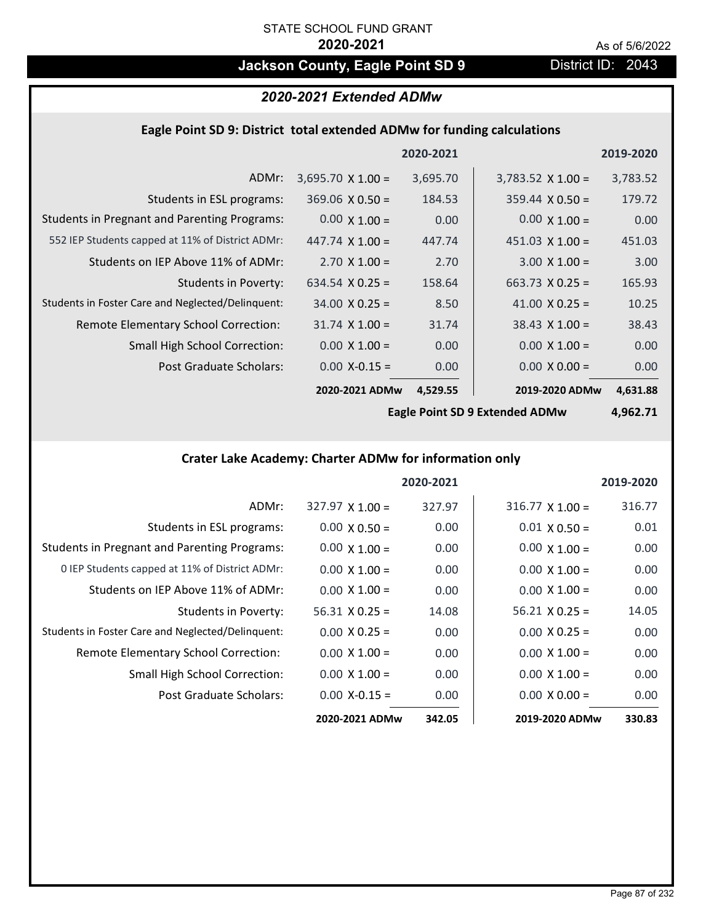# **Jackson County, Eagle Point SD 9 District ID: 2043**

### *2020-2021 Extended ADMw*

# **Eagle Point SD 9: District total extended ADMw for funding calculations**

|                                                     |                          | 2020-2021 |                          | 2019-2020 |
|-----------------------------------------------------|--------------------------|-----------|--------------------------|-----------|
| ADMr:                                               | $3,695.70 \times 1.00 =$ | 3,695.70  | $3,783.52 \times 1.00 =$ | 3,783.52  |
| Students in ESL programs:                           | $369.06 \times 0.50 =$   | 184.53    | $359.44 \times 0.50 =$   | 179.72    |
| <b>Students in Pregnant and Parenting Programs:</b> | $0.00 \times 1.00 =$     | 0.00      | $0.00 \times 1.00 =$     | 0.00      |
| 552 IEP Students capped at 11% of District ADMr:    | 447.74 $\times$ 1.00 =   | 447.74    | $451.03 \times 1.00 =$   | 451.03    |
| Students on IEP Above 11% of ADMr:                  | $2.70 \times 1.00 =$     | 2.70      | $3.00 \times 1.00 =$     | 3.00      |
| <b>Students in Poverty:</b>                         | 634.54 $X$ 0.25 =        | 158.64    | $663.73 \times 0.25 =$   | 165.93    |
| Students in Foster Care and Neglected/Delinquent:   | $34.00 \times 0.25 =$    | 8.50      | 41.00 $X$ 0.25 =         | 10.25     |
| Remote Elementary School Correction:                | $31.74 \times 1.00 =$    | 31.74     | $38.43 \times 1.00 =$    | 38.43     |
| <b>Small High School Correction:</b>                | $0.00 \times 1.00 =$     | 0.00      | $0.00 \times 1.00 =$     | 0.00      |
| Post Graduate Scholars:                             | $0.00$ X-0.15 =          | 0.00      | $0.00 \times 0.00 =$     | 0.00      |
|                                                     | 2020-2021 ADMw           | 4,529.55  | 2019-2020 ADMw           | 4,631.88  |

**Eagle Point SD 9 Extended ADMw**

**4,962.71**

## **Crater Lake Academy: Charter ADMw for information only**

|                                                     |                        | 2020-2021 |                        | 2019-2020 |
|-----------------------------------------------------|------------------------|-----------|------------------------|-----------|
| ADMr:                                               | $327.97 \times 1.00 =$ | 327.97    | $316.77 \times 1.00 =$ | 316.77    |
| Students in ESL programs:                           | $0.00 \times 0.50 =$   | 0.00      | $0.01 \times 0.50 =$   | 0.01      |
| <b>Students in Pregnant and Parenting Programs:</b> | $0.00 \times 1.00 =$   | 0.00      | $0.00 \times 1.00 =$   | 0.00      |
| 0 IEP Students capped at 11% of District ADMr:      | $0.00 \times 1.00 =$   | 0.00      | $0.00 \times 1.00 =$   | 0.00      |
| Students on IEP Above 11% of ADMr:                  | $0.00 \times 1.00 =$   | 0.00      | $0.00 \times 1.00 =$   | 0.00      |
| Students in Poverty:                                | $56.31 \times 0.25 =$  | 14.08     | $56.21 \times 0.25 =$  | 14.05     |
| Students in Foster Care and Neglected/Delinquent:   | $0.00 \times 0.25 =$   | 0.00      | $0.00 \times 0.25 =$   | 0.00      |
| Remote Elementary School Correction:                | $0.00 \times 1.00 =$   | 0.00      | $0.00 \times 1.00 =$   | 0.00      |
| <b>Small High School Correction:</b>                | $0.00 \times 1.00 =$   | 0.00      | $0.00 \times 1.00 =$   | 0.00      |
| Post Graduate Scholars:                             | $0.00 X - 0.15 =$      | 0.00      | $0.00 \times 0.00 =$   | 0.00      |
|                                                     | 2020-2021 ADMw         | 342.05    | 2019-2020 ADMw         | 330.83    |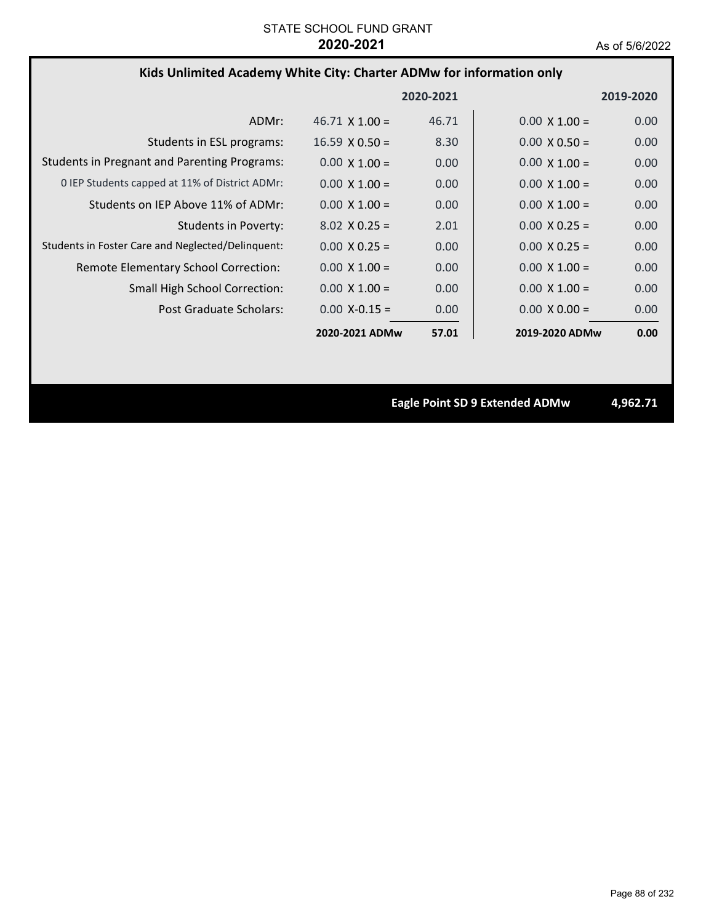# **Kids Unlimited Academy White City: Charter ADMw for information only**

|                                                     |                       | 2020-2021 |                      | 2019-2020 |
|-----------------------------------------------------|-----------------------|-----------|----------------------|-----------|
| ADMr:                                               | $46.71 \times 1.00 =$ | 46.71     | $0.00 \times 1.00 =$ | 0.00      |
| Students in ESL programs:                           | $16.59 \times 0.50 =$ | 8.30      | $0.00 \times 0.50 =$ | 0.00      |
| <b>Students in Pregnant and Parenting Programs:</b> | $0.00 \times 1.00 =$  | 0.00      | $0.00 \times 1.00 =$ | 0.00      |
| 0 IEP Students capped at 11% of District ADMr:      | $0.00 \times 1.00 =$  | 0.00      | $0.00 \times 1.00 =$ | 0.00      |
| Students on IEP Above 11% of ADMr:                  | $0.00 \times 1.00 =$  | 0.00      | $0.00 \times 1.00 =$ | 0.00      |
| Students in Poverty:                                | $8.02 \times 0.25 =$  | 2.01      | $0.00 \times 0.25 =$ | 0.00      |
| Students in Foster Care and Neglected/Delinquent:   | $0.00 \times 0.25 =$  | 0.00      | $0.00 \times 0.25 =$ | 0.00      |
| Remote Elementary School Correction:                | $0.00 \times 1.00 =$  | 0.00      | $0.00 \times 1.00 =$ | 0.00      |
| <b>Small High School Correction:</b>                | $0.00 \times 1.00 =$  | 0.00      | $0.00 \times 1.00 =$ | 0.00      |
| Post Graduate Scholars:                             | $0.00 X - 0.15 =$     | 0.00      | $0.00 \times 0.00 =$ | 0.00      |
|                                                     | 2020-2021 ADMw        | 57.01     | 2019-2020 ADMw       | 0.00      |

**Eagle Point SD 9 Extended ADMw 4,962.71**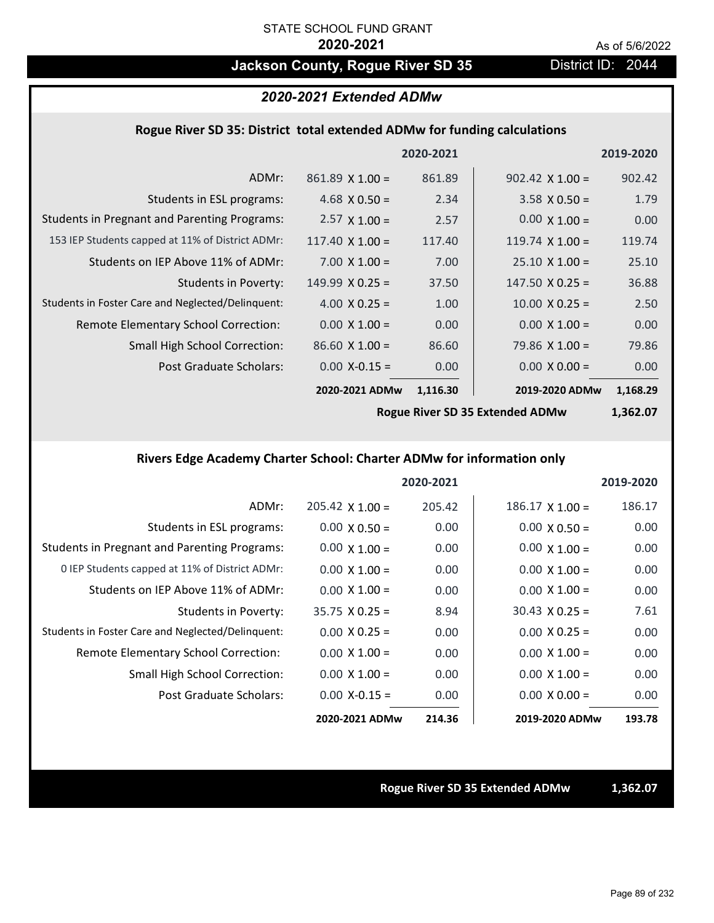# Jackson County, Rogue River SD 35 District ID: 2044

# *2020-2021 Extended ADMw*

### **Rogue River SD 35: District total extended ADMw for funding calculations**

| 2019-2020 |                        | 2020-2021 |                        |                                                     |
|-----------|------------------------|-----------|------------------------|-----------------------------------------------------|
| 902.42    | $902.42 \times 1.00 =$ | 861.89    | $861.89$ X 1.00 =      | ADMr:                                               |
| 1.79      | $3.58 \times 0.50 =$   | 2.34      | 4.68 $\times$ 0.50 =   | Students in ESL programs:                           |
| 0.00      | $0.00 \times 1.00 =$   | 2.57      | $2.57 \times 1.00 =$   | <b>Students in Pregnant and Parenting Programs:</b> |
| 119.74    | 119.74 $\times$ 1.00 = | 117.40    | $117.40 \times 1.00 =$ | 153 IEP Students capped at 11% of District ADMr:    |
| 25.10     | $25.10 \times 1.00 =$  | 7.00      | $7.00 \times 1.00 =$   | Students on IEP Above 11% of ADMr:                  |
| 36.88     | $147.50 \times 0.25 =$ | 37.50     | $149.99 \times 0.25 =$ | Students in Poverty:                                |
| 2.50      | $10.00 \times 0.25 =$  | 1.00      | 4.00 $X$ 0.25 =        | Students in Foster Care and Neglected/Delinquent:   |
| 0.00      | $0.00 \times 1.00 =$   | 0.00      | $0.00 \times 1.00 =$   | Remote Elementary School Correction:                |
| 79.86     | $79.86 \times 1.00 =$  | 86.60     | $86.60 \times 1.00 =$  | <b>Small High School Correction:</b>                |
| 0.00      | $0.00 \times 0.00 =$   | 0.00      | $0.00$ X-0.15 =        | <b>Post Graduate Scholars:</b>                      |
| 1,168.29  | 2019-2020 ADMw         | 1,116.30  | 2020-2021 ADMw         |                                                     |
|           |                        |           |                        |                                                     |

**Rogue River SD 35 Extended ADMw**

**1,362.07**

# **Rivers Edge Academy Charter School: Charter ADMw for information only**

|                                                     |                        | 2020-2021 |                        | 2019-2020 |
|-----------------------------------------------------|------------------------|-----------|------------------------|-----------|
| ADMr:                                               | $205.42 \times 1.00 =$ | 205.42    | $186.17 \times 1.00 =$ | 186.17    |
| Students in ESL programs:                           | $0.00 \times 0.50 =$   | 0.00      | $0.00 \times 0.50 =$   | 0.00      |
| <b>Students in Pregnant and Parenting Programs:</b> | $0.00 \times 1.00 =$   | 0.00      | $0.00 \times 1.00 =$   | 0.00      |
| 0 IEP Students capped at 11% of District ADMr:      | $0.00 \times 1.00 =$   | 0.00      | $0.00 \times 1.00 =$   | 0.00      |
| Students on IEP Above 11% of ADMr:                  | $0.00 \times 1.00 =$   | 0.00      | $0.00 \times 1.00 =$   | 0.00      |
| Students in Poverty:                                | $35.75 \times 0.25 =$  | 8.94      | $30.43 \times 0.25 =$  | 7.61      |
| Students in Foster Care and Neglected/Delinquent:   | $0.00 \times 0.25 =$   | 0.00      | $0.00 \times 0.25 =$   | 0.00      |
| Remote Elementary School Correction:                | $0.00 \times 1.00 =$   | 0.00      | $0.00 \times 1.00 =$   | 0.00      |
| <b>Small High School Correction:</b>                | $0.00 \times 1.00 =$   | 0.00      | $0.00 \times 1.00 =$   | 0.00      |
| Post Graduate Scholars:                             | $0.00$ X-0.15 =        | 0.00      | $0.00 \times 0.00 =$   | 0.00      |
|                                                     | 2020-2021 ADMw         | 214.36    | 2019-2020 ADMw         | 193.78    |

#### **Rogue River SD 35 Extended ADMw 1,362.07**

Page 89 of 232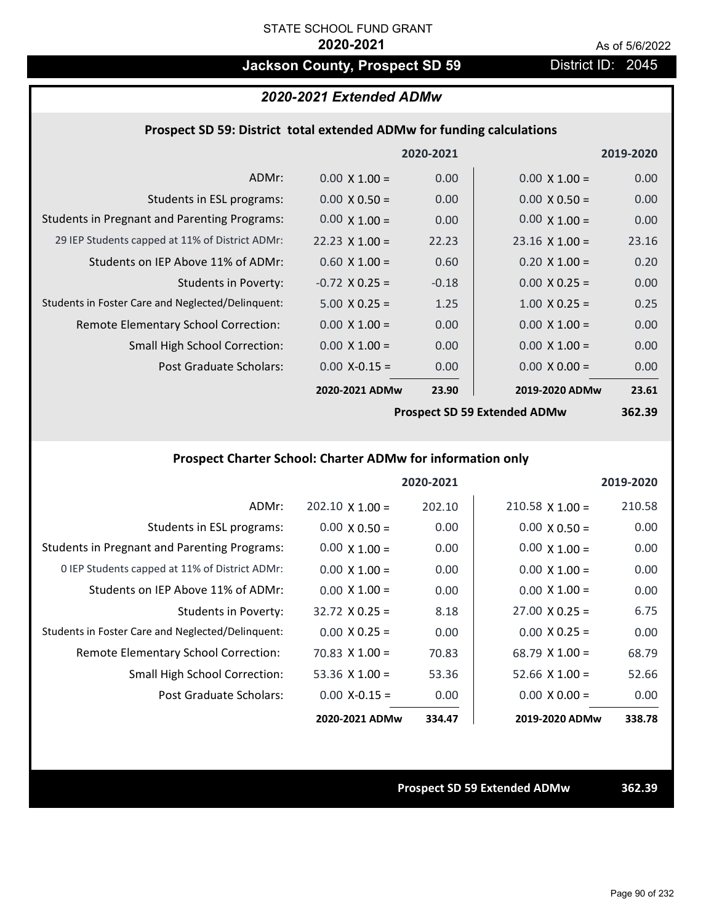# **Jackson County, Prospect SD 59** District ID: 2045

## *2020-2021 Extended ADMw*

### **Prospect SD 59: District total extended ADMw for funding calculations**

|                                                     |                       | 2020-2021 |                                       | 2019-2020 |
|-----------------------------------------------------|-----------------------|-----------|---------------------------------------|-----------|
| ADMr:                                               | $0.00 \times 1.00 =$  | 0.00      | $0.00 \times 1.00 =$                  | 0.00      |
| Students in ESL programs:                           | $0.00 \times 0.50 =$  | 0.00      | $0.00 \times 0.50 =$                  | 0.00      |
| <b>Students in Pregnant and Parenting Programs:</b> | $0.00 \times 1.00 =$  | 0.00      | $0.00 \times 1.00 =$                  | 0.00      |
| 29 IEP Students capped at 11% of District ADMr:     | $22.23 \times 1.00 =$ | 22.23     | $23.16 \times 1.00 =$                 | 23.16     |
| Students on IEP Above 11% of ADMr:                  | $0.60 \times 1.00 =$  | 0.60      | $0.20 \times 1.00 =$                  | 0.20      |
| <b>Students in Poverty:</b>                         | $-0.72$ X 0.25 =      | $-0.18$   | $0.00 \times 0.25 =$                  | 0.00      |
| Students in Foster Care and Neglected/Delinquent:   | $5.00 \times 0.25 =$  | 1.25      | $1.00 \times 0.25 =$                  | 0.25      |
| Remote Elementary School Correction:                | $0.00 \times 1.00 =$  | 0.00      | $0.00 \times 1.00 =$                  | 0.00      |
| <b>Small High School Correction:</b>                | $0.00 \times 1.00 =$  | 0.00      | $0.00 \times 1.00 =$                  | 0.00      |
| Post Graduate Scholars:                             | $0.00$ X-0.15 =       | 0.00      | $0.00 \times 0.00 =$                  | 0.00      |
|                                                     | 2020-2021 ADMw        | 23.90     | 2019-2020 ADMw                        | 23.61     |
|                                                     |                       |           | <b>Dreament CD FO Evtended ADMust</b> | 252.20    |

**Prospect SD 59 Extended ADMw**

**362.39**

## **Prospect Charter School: Charter ADMw for information only**

|                                                     |                        | 2020-2021 |                        | 2019-2020 |
|-----------------------------------------------------|------------------------|-----------|------------------------|-----------|
| ADMr:                                               | $202.10 \times 1.00 =$ | 202.10    | $210.58 \times 1.00 =$ | 210.58    |
| Students in ESL programs:                           | $0.00 \times 0.50 =$   | 0.00      | $0.00 \times 0.50 =$   | 0.00      |
| <b>Students in Pregnant and Parenting Programs:</b> | $0.00 \times 1.00 =$   | 0.00      | $0.00 \times 1.00 =$   | 0.00      |
| 0 IEP Students capped at 11% of District ADMr:      | $0.00 \times 1.00 =$   | 0.00      | $0.00 \times 1.00 =$   | 0.00      |
| Students on IEP Above 11% of ADMr:                  | $0.00 \times 1.00 =$   | 0.00      | $0.00 \times 1.00 =$   | 0.00      |
| Students in Poverty:                                | $32.72 \times 0.25 =$  | 8.18      | $27.00 \times 0.25 =$  | 6.75      |
| Students in Foster Care and Neglected/Delinquent:   | $0.00 \times 0.25 =$   | 0.00      | $0.00 \times 0.25 =$   | 0.00      |
| Remote Elementary School Correction:                | $70.83 \times 1.00 =$  | 70.83     | $68.79 \times 1.00 =$  | 68.79     |
| <b>Small High School Correction:</b>                | 53.36 $X$ 1.00 =       | 53.36     | $52.66 \times 1.00 =$  | 52.66     |
| Post Graduate Scholars:                             | $0.00 X - 0.15 =$      | 0.00      | $0.00 \times 0.00 =$   | 0.00      |
|                                                     | 2020-2021 ADMw         | 334.47    | 2019-2020 ADMw         | 338.78    |

**Prospect SD 59 Extended ADMw 362.39**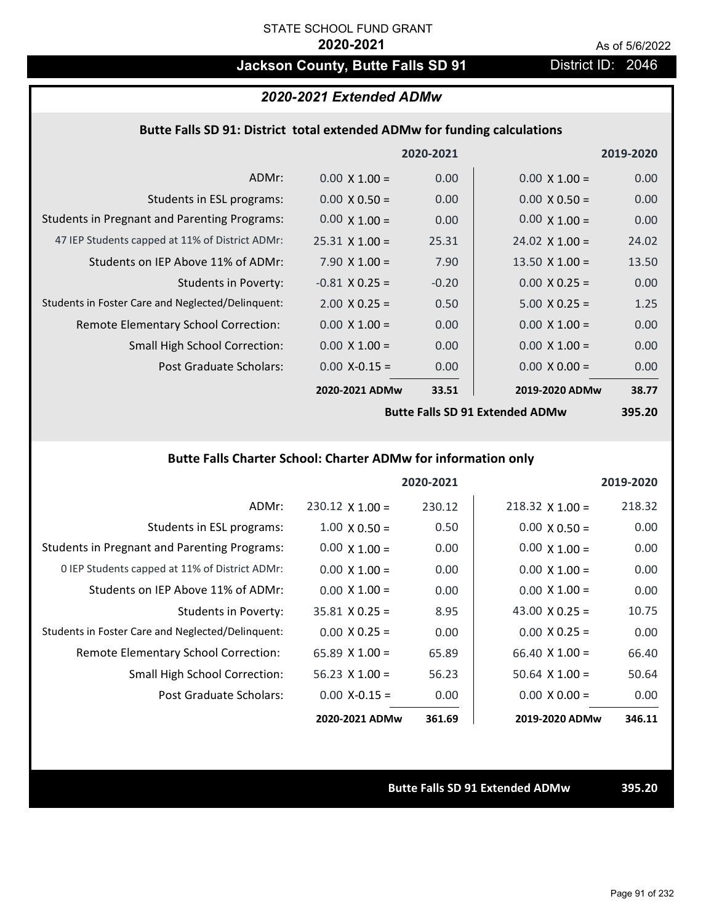# **Jackson County, Butte Falls SD 91** District ID: 2046

### *2020-2021 Extended ADMw*

### **Butte Falls SD 91: District total extended ADMw for funding calculations**

|                                                     |                       | 2020-2021 |                                           | 2019-2020 |
|-----------------------------------------------------|-----------------------|-----------|-------------------------------------------|-----------|
| ADMr:                                               | $0.00 \times 1.00 =$  | 0.00      | $0.00 \times 1.00 =$                      | 0.00      |
| Students in ESL programs:                           | $0.00 \times 0.50 =$  | 0.00      | $0.00 \times 0.50 =$                      | 0.00      |
| <b>Students in Pregnant and Parenting Programs:</b> | $0.00 \times 1.00 =$  | 0.00      | $0.00 \times 1.00 =$                      | 0.00      |
| 47 IEP Students capped at 11% of District ADMr:     | $25.31 \times 1.00 =$ | 25.31     | $24.02 \times 1.00 =$                     | 24.02     |
| Students on IEP Above 11% of ADMr:                  | $7.90 \times 1.00 =$  | 7.90      | 13.50 $\times$ 1.00 =                     | 13.50     |
| <b>Students in Poverty:</b>                         | $-0.81$ X 0.25 =      | $-0.20$   | $0.00 \times 0.25 =$                      | 0.00      |
| Students in Foster Care and Neglected/Delinquent:   | $2.00 \times 0.25 =$  | 0.50      | $5.00 \times 0.25 =$                      | 1.25      |
| Remote Elementary School Correction:                | $0.00 \times 1.00 =$  | 0.00      | $0.00 \times 1.00 =$                      | 0.00      |
| <b>Small High School Correction:</b>                | $0.00 \times 1.00 =$  | 0.00      | $0.00 \times 1.00 =$                      | 0.00      |
| Post Graduate Scholars:                             | $0.00$ X-0.15 =       | 0.00      | $0.00 \times 0.00 =$                      | 0.00      |
|                                                     | 2020-2021 ADMw        | 33.51     | 2019-2020 ADMw                            | 38.77     |
|                                                     |                       |           | <b>Dutty Falls CD 04 Futured all ADMA</b> | ant an    |

**Butte Falls SD 91 Extended ADMw**

**395.20**

# **Butte Falls Charter School: Charter ADMw for information only**

|                                                     |                       | 2020-2021 |                        | 2019-2020 |
|-----------------------------------------------------|-----------------------|-----------|------------------------|-----------|
| ADMr:                                               | $230.12$ X 1.00 =     | 230.12    | $218.32 \times 1.00 =$ | 218.32    |
| Students in ESL programs:                           | $1.00 \times 0.50 =$  | 0.50      | $0.00 \times 0.50 =$   | 0.00      |
| <b>Students in Pregnant and Parenting Programs:</b> | $0.00 \times 1.00 =$  | 0.00      | $0.00 \times 1.00 =$   | 0.00      |
| 0 IEP Students capped at 11% of District ADMr:      | $0.00 \times 1.00 =$  | 0.00      | $0.00 \times 1.00 =$   | 0.00      |
| Students on IEP Above 11% of ADMr:                  | $0.00 \times 1.00 =$  | 0.00      | $0.00 \times 1.00 =$   | 0.00      |
| Students in Poverty:                                | $35.81 \times 0.25 =$ | 8.95      | 43.00 $\times$ 0.25 =  | 10.75     |
| Students in Foster Care and Neglected/Delinquent:   | $0.00 \times 0.25 =$  | 0.00      | $0.00 \times 0.25 =$   | 0.00      |
| Remote Elementary School Correction:                | 65.89 $\times$ 1.00 = | 65.89     | $66.40 \times 1.00 =$  | 66.40     |
| <b>Small High School Correction:</b>                | $56.23 \times 1.00 =$ | 56.23     | $50.64$ X $1.00 =$     | 50.64     |
| Post Graduate Scholars:                             | $0.00 X - 0.15 =$     | 0.00      | $0.00 \times 0.00 =$   | 0.00      |
|                                                     | 2020-2021 ADMw        | 361.69    | 2019-2020 ADMw         | 346.11    |

**Butte Falls SD 91 Extended ADMw 395.20**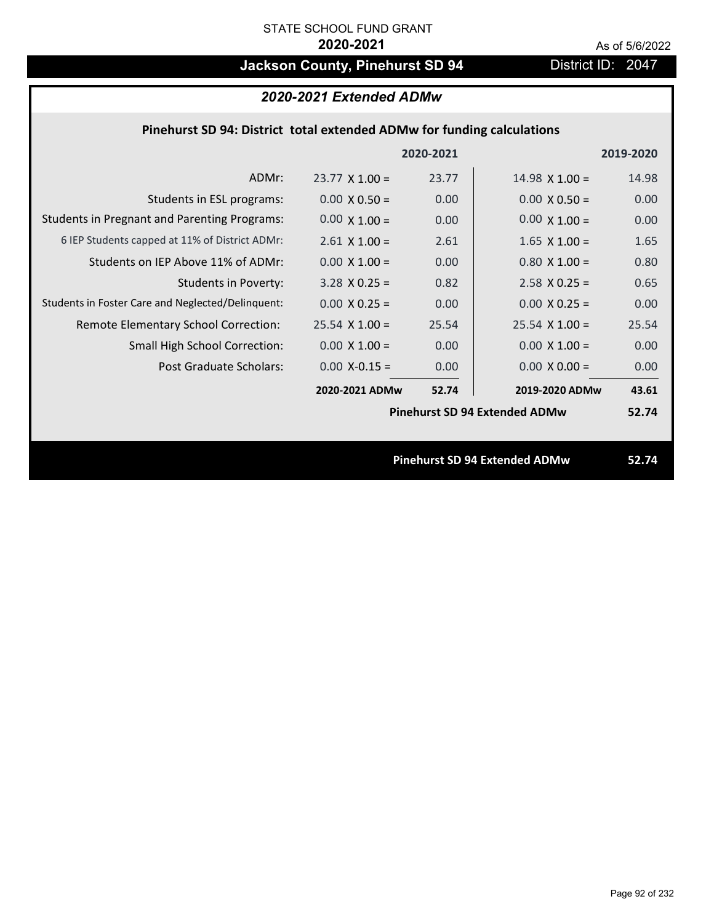# **Jackson County, Pinehurst SD 94** District ID: 2047

# *2020-2021 Extended ADMw*

## **Pinehurst SD 94: District total extended ADMw for funding calculations**

|                                                     |                                      | 2020-2021 |                                      | 2019-2020 |
|-----------------------------------------------------|--------------------------------------|-----------|--------------------------------------|-----------|
| ADMr:                                               | $23.77 \times 1.00 =$                | 23.77     | $14.98 \times 1.00 =$                | 14.98     |
| Students in ESL programs:                           | $0.00 \times 0.50 =$                 | 0.00      | $0.00 \times 0.50 =$                 | 0.00      |
| <b>Students in Pregnant and Parenting Programs:</b> | $0.00 \times 1.00 =$                 | 0.00      | $0.00 \times 1.00 =$                 | 0.00      |
| 6 IEP Students capped at 11% of District ADMr:      | $2.61$ X $1.00 =$                    | 2.61      | $1.65$ X $1.00 =$                    | 1.65      |
| Students on IEP Above 11% of ADMr:                  | $0.00 \times 1.00 =$                 | 0.00      | $0.80$ X 1.00 =                      | 0.80      |
| <b>Students in Poverty:</b>                         | $3.28$ X 0.25 =                      | 0.82      | $2.58$ X 0.25 =                      | 0.65      |
| Students in Foster Care and Neglected/Delinquent:   | $0.00 \times 0.25 =$                 | 0.00      | $0.00 X 0.25 =$                      | 0.00      |
| Remote Elementary School Correction:                | $25.54$ X 1.00 =                     | 25.54     | $25.54$ X $1.00 =$                   | 25.54     |
| <b>Small High School Correction:</b>                | $0.00 \times 1.00 =$                 | 0.00      | $0.00 \times 1.00 =$                 | 0.00      |
| Post Graduate Scholars:                             | $0.00$ X-0.15 =                      | 0.00      | $0.00 \times 0.00 =$                 | 0.00      |
|                                                     | 2020-2021 ADMw                       | 52.74     | 2019-2020 ADMw                       | 43.61     |
|                                                     | <b>Pinehurst SD 94 Extended ADMw</b> |           |                                      | 52.74     |
|                                                     |                                      |           |                                      |           |
|                                                     |                                      |           | <b>Pinehurst SD 94 Extended ADMw</b> | 52.74     |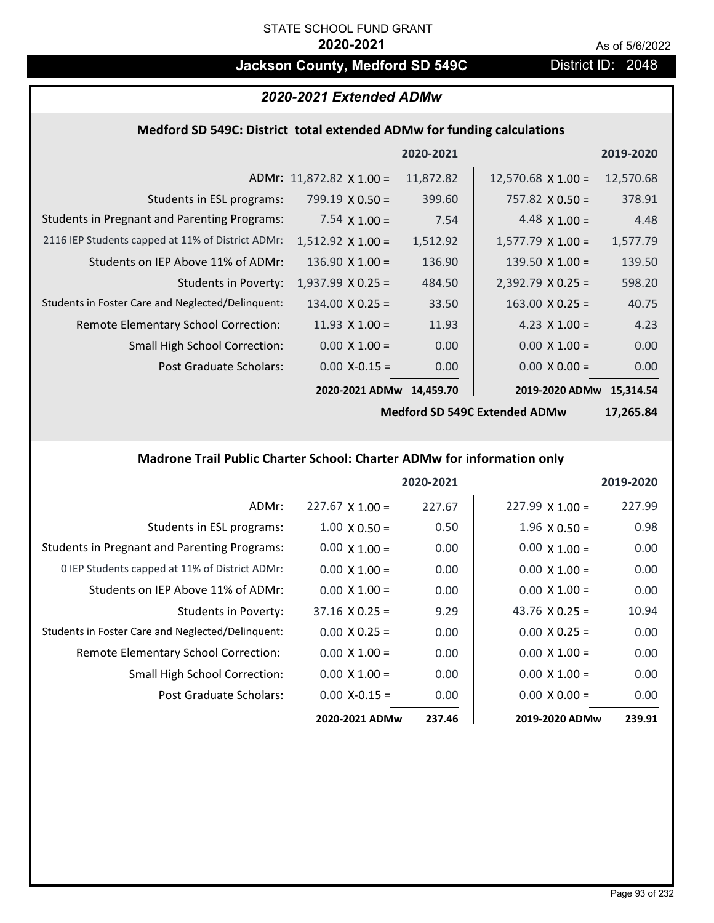# **Jackson County, Medford SD 549C** District ID: 2048

## *2020-2021 Extended ADMw*

### **Medford SD 549C: District total extended ADMw for funding calculations**

|                                                     |                                 | 2020-2021 |                           | 2019-2020 |
|-----------------------------------------------------|---------------------------------|-----------|---------------------------|-----------|
|                                                     | ADMr: $11,872.82 \times 1.00 =$ | 11,872.82 | $12,570.68 \times 1.00 =$ | 12,570.68 |
| Students in ESL programs:                           | $799.19 \times 0.50 =$          | 399.60    | $757.82 \times 0.50 =$    | 378.91    |
| <b>Students in Pregnant and Parenting Programs:</b> | 7.54 $\times$ 1.00 =            | 7.54      | 4.48 $\times$ 1.00 =      | 4.48      |
| 2116 IEP Students capped at 11% of District ADMr:   | $1,512.92 \times 1.00 =$        | 1,512.92  | $1,577.79 \times 1.00 =$  | 1,577.79  |
| Students on IEP Above 11% of ADMr:                  | $136.90 \times 1.00 =$          | 136.90    | 139.50 $\times$ 1.00 =    | 139.50    |
| <b>Students in Poverty:</b>                         | $1,937.99 \times 0.25 =$        | 484.50    | $2,392.79$ X 0.25 =       | 598.20    |
| Students in Foster Care and Neglected/Delinquent:   | $134.00 \times 0.25 =$          | 33.50     | $163.00 \times 0.25 =$    | 40.75     |
| Remote Elementary School Correction:                | 11.93 $\times$ 1.00 =           | 11.93     | 4.23 $X$ 1.00 =           | 4.23      |
| <b>Small High School Correction:</b>                | $0.00 \times 1.00 =$            | 0.00      | $0.00 \times 1.00 =$      | 0.00      |
| Post Graduate Scholars:                             | $0.00$ X-0.15 =                 | 0.00      | $0.00 \times 0.00 =$      | 0.00      |
|                                                     | 2020-2021 ADMw                  | 14.459.70 | 2019-2020 ADMw            | 15.314.54 |

**Medford SD 549C Extended ADMw**

**17,265.84**

# **Madrone Trail Public Charter School: Charter ADMw for information only**

|                                                     |                        | 2020-2021 |                        | 2019-2020 |
|-----------------------------------------------------|------------------------|-----------|------------------------|-----------|
| ADMr:                                               | $227.67 \times 1.00 =$ | 227.67    | $227.99 \times 1.00 =$ | 227.99    |
| Students in ESL programs:                           | $1.00 \times 0.50 =$   | 0.50      | $1.96 \times 0.50 =$   | 0.98      |
| <b>Students in Pregnant and Parenting Programs:</b> | $0.00 \times 1.00 =$   | 0.00      | $0.00 \times 1.00 =$   | 0.00      |
| 0 IEP Students capped at 11% of District ADMr:      | $0.00 \times 1.00 =$   | 0.00      | $0.00 \times 1.00 =$   | 0.00      |
| Students on IEP Above 11% of ADMr:                  | $0.00 \times 1.00 =$   | 0.00      | $0.00 \times 1.00 =$   | 0.00      |
| Students in Poverty:                                | $37.16 \times 0.25 =$  | 9.29      | 43.76 $\times$ 0.25 =  | 10.94     |
| Students in Foster Care and Neglected/Delinquent:   | $0.00 \times 0.25 =$   | 0.00      | $0.00 \times 0.25 =$   | 0.00      |
| Remote Elementary School Correction:                | $0.00 \times 1.00 =$   | 0.00      | $0.00 \times 1.00 =$   | 0.00      |
| <b>Small High School Correction:</b>                | $0.00 \times 1.00 =$   | 0.00      | $0.00 \times 1.00 =$   | 0.00      |
| Post Graduate Scholars:                             | $0.00 X - 0.15 =$      | 0.00      | $0.00 \times 0.00 =$   | 0.00      |
|                                                     | 2020-2021 ADMw         | 237.46    | 2019-2020 ADMw         | 239.91    |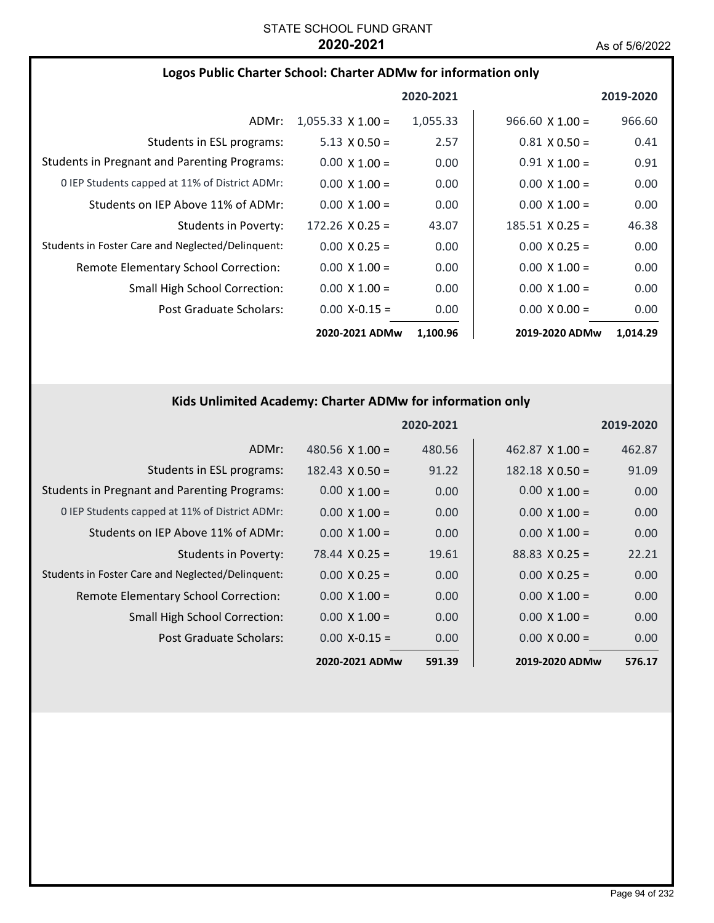### **Logos Public Charter School: Charter ADMw for information only**

|                                                     |                          | 2020-2021 |                        | 2019-2020 |
|-----------------------------------------------------|--------------------------|-----------|------------------------|-----------|
| ADMr:                                               | $1,055.33 \times 1.00 =$ | 1,055.33  | $966.60 \times 1.00 =$ | 966.60    |
| Students in ESL programs:                           | $5.13 \times 0.50 =$     | 2.57      | $0.81 \times 0.50 =$   | 0.41      |
| <b>Students in Pregnant and Parenting Programs:</b> | $0.00 \times 1.00 =$     | 0.00      | $0.91 \times 1.00 =$   | 0.91      |
| 0 IEP Students capped at 11% of District ADMr:      | $0.00 \times 1.00 =$     | 0.00      | $0.00 \times 1.00 =$   | 0.00      |
| Students on IEP Above 11% of ADMr:                  | $0.00 \times 1.00 =$     | 0.00      | $0.00 \times 1.00 =$   | 0.00      |
| Students in Poverty:                                | $172.26 \times 0.25 =$   | 43.07     | $185.51 \times 0.25 =$ | 46.38     |
| Students in Foster Care and Neglected/Delinquent:   | $0.00 \times 0.25 =$     | 0.00      | $0.00 \times 0.25 =$   | 0.00      |
| Remote Elementary School Correction:                | $0.00 \times 1.00 =$     | 0.00      | $0.00 \times 1.00 =$   | 0.00      |
| <b>Small High School Correction:</b>                | $0.00 \times 1.00 =$     | 0.00      | $0.00 \times 1.00 =$   | 0.00      |
| Post Graduate Scholars:                             | $0.00$ X-0.15 =          | 0.00      | $0.00 \times 0.00 =$   | 0.00      |
|                                                     | 2020-2021 ADMw           | 1,100.96  | 2019-2020 ADMw         | 1,014.29  |

## **Kids Unlimited Academy: Charter ADMw for information only**

|                                                     |                        | 2020-2021 |                        | 2019-2020 |
|-----------------------------------------------------|------------------------|-----------|------------------------|-----------|
| ADMr:                                               | 480.56 $X$ 1.00 =      | 480.56    | $462.87$ X 1.00 =      | 462.87    |
| Students in ESL programs:                           | $182.43 \times 0.50 =$ | 91.22     | $182.18 \times 0.50 =$ | 91.09     |
| <b>Students in Pregnant and Parenting Programs:</b> | $0.00 \times 1.00 =$   | 0.00      | $0.00 \times 1.00 =$   | 0.00      |
| 0 IEP Students capped at 11% of District ADMr:      | $0.00 \times 1.00 =$   | 0.00      | $0.00 \times 1.00 =$   | 0.00      |
| Students on IEP Above 11% of ADMr:                  | $0.00 \times 1.00 =$   | 0.00      | $0.00 \times 1.00 =$   | 0.00      |
| <b>Students in Poverty:</b>                         | $78.44 \times 0.25 =$  | 19.61     | $88.83 \times 0.25 =$  | 22.21     |
| Students in Foster Care and Neglected/Delinquent:   | $0.00 \times 0.25 =$   | 0.00      | $0.00 \times 0.25 =$   | 0.00      |
| Remote Elementary School Correction:                | $0.00 \times 1.00 =$   | 0.00      | $0.00 \times 1.00 =$   | 0.00      |
| <b>Small High School Correction:</b>                | $0.00 \times 1.00 =$   | 0.00      | $0.00 \times 1.00 =$   | 0.00      |
| Post Graduate Scholars:                             | $0.00$ X-0.15 =        | 0.00      | $0.00 \times 0.00 =$   | 0.00      |
|                                                     | 2020-2021 ADMw         | 591.39    | 2019-2020 ADMw         | 576.17    |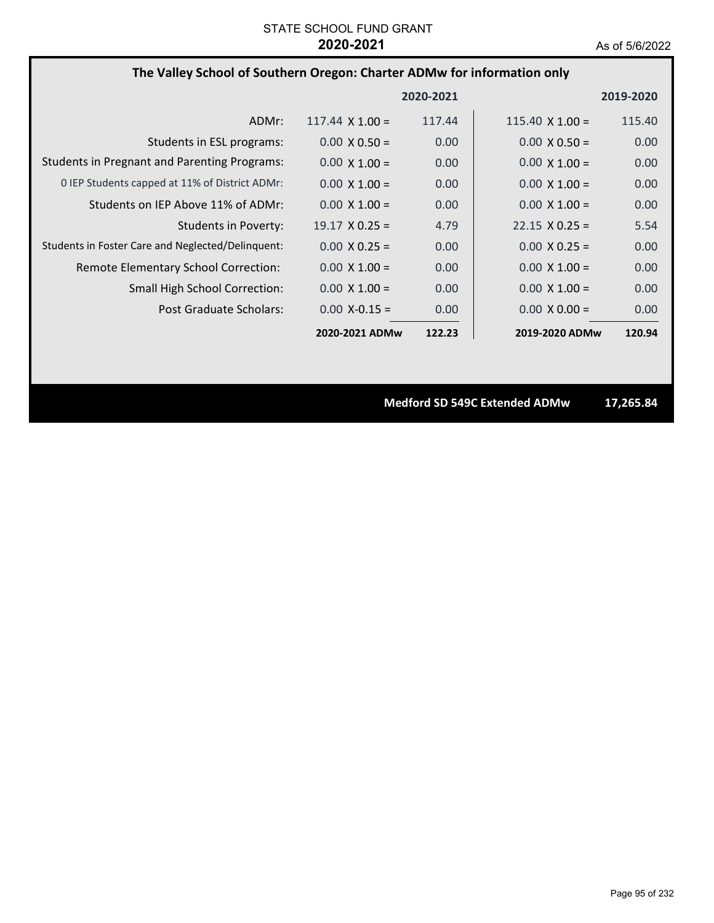### **The Valley School of Southern Oregon: Charter ADMw for information only**

|                                                     |                        | 2020-2021         |                        | 2019-2020 |
|-----------------------------------------------------|------------------------|-------------------|------------------------|-----------|
| ADMr:                                               | $117.44 \times 1.00 =$ | 117.44            | $115.40 \times 1.00 =$ | 115.40    |
| Students in ESL programs:                           | $0.00 \times 0.50 =$   | 0.00              | $0.00 \times 0.50 =$   | 0.00      |
| <b>Students in Pregnant and Parenting Programs:</b> | $0.00 \times 1.00 =$   | 0.00              | $0.00 \times 1.00 =$   | 0.00      |
| 0 IEP Students capped at 11% of District ADMr:      | $0.00 \times 1.00 =$   | 0.00              | $0.00 \times 1.00 =$   | 0.00      |
| Students on IEP Above 11% of ADMr:                  | $0.00 \times 1.00 =$   | 0.00              | $0.00 \times 1.00 =$   | 0.00      |
| Students in Poverty:                                | $19.17 \times 0.25 =$  | 4.79              | $22.15 \times 0.25 =$  | 5.54      |
| Students in Foster Care and Neglected/Delinquent:   | $0.00 \times 0.25 =$   | 0.00              | $0.00 \times 0.25 =$   | 0.00      |
| Remote Elementary School Correction:                | $0.00 \times 1.00 =$   | 0.00 <sub>1</sub> | $0.00 \times 1.00 =$   | 0.00      |
| <b>Small High School Correction:</b>                | $0.00 \times 1.00 =$   | 0.00              | $0.00 \times 1.00 =$   | 0.00      |
| Post Graduate Scholars:                             | $0.00 X - 0.15 =$      | 0.00              | $0.00 \times 0.00 =$   | 0.00      |
|                                                     | 2020-2021 ADMw         | 122.23            | 2019-2020 ADMw         | 120.94    |

**Medford SD 549C Extended ADMw 17,265.84**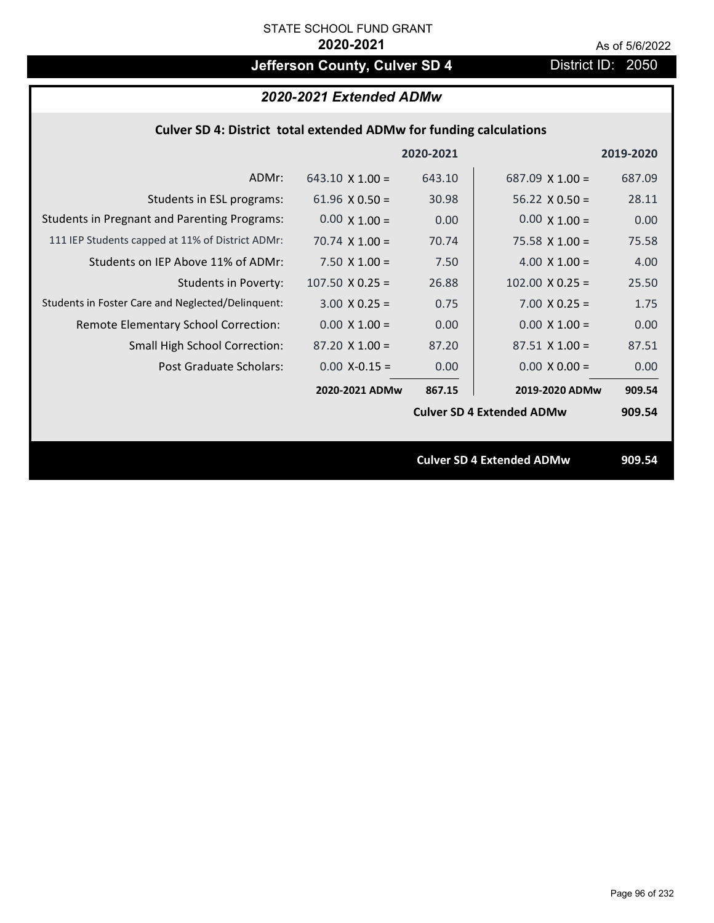# **Jefferson County, Culver SD 4** District ID: 2050

|                                                                           | 2020-2021 Extended ADMw |           |                                  |           |  |  |  |
|---------------------------------------------------------------------------|-------------------------|-----------|----------------------------------|-----------|--|--|--|
| <b>Culver SD 4: District total extended ADMw for funding calculations</b> |                         |           |                                  |           |  |  |  |
|                                                                           |                         | 2020-2021 |                                  | 2019-2020 |  |  |  |
| ADMr:                                                                     | $643.10 \times 1.00 =$  | 643.10    | 687.09 $\times$ 1.00 =           | 687.09    |  |  |  |
| Students in ESL programs:                                                 | 61.96 $\times$ 0.50 =   | 30.98     | $56.22 \times 0.50 =$            | 28.11     |  |  |  |
| <b>Students in Pregnant and Parenting Programs:</b>                       | $0.00 \times 1.00 =$    | 0.00      | $0.00 \times 1.00 =$             | 0.00      |  |  |  |
| 111 IEP Students capped at 11% of District ADMr:                          | 70.74 $\times$ 1.00 =   | 70.74     | $75.58 \times 1.00 =$            | 75.58     |  |  |  |
| Students on IEP Above 11% of ADMr:                                        | $7.50 X 1.00 =$         | 7.50      | $4.00 \times 1.00 =$             | 4.00      |  |  |  |
| <b>Students in Poverty:</b>                                               | $107.50$ X 0.25 =       | 26.88     | $102.00 \times 0.25 =$           | 25.50     |  |  |  |
| Students in Foster Care and Neglected/Delinquent:                         | $3.00 X 0.25 =$         | 0.75      | $7.00 X 0.25 =$                  | 1.75      |  |  |  |
| Remote Elementary School Correction:                                      | $0.00 \times 1.00 =$    | 0.00      | $0.00 X 1.00 =$                  | 0.00      |  |  |  |
| Small High School Correction:                                             | $87.20$ X 1.00 =        | 87.20     | $87.51$ X 1.00 =                 | 87.51     |  |  |  |
| <b>Post Graduate Scholars:</b>                                            | $0.00$ X-0.15 =         | 0.00      | $0.00 \times 0.00 =$             | 0.00      |  |  |  |
|                                                                           | 2020-2021 ADMw          | 867.15    | 2019-2020 ADMw                   | 909.54    |  |  |  |
|                                                                           |                         |           | <b>Culver SD 4 Extended ADMw</b> | 909.54    |  |  |  |
|                                                                           |                         |           |                                  |           |  |  |  |
|                                                                           |                         |           | <b>Culver SD 4 Extended ADMw</b> | 909.54    |  |  |  |
|                                                                           |                         |           |                                  |           |  |  |  |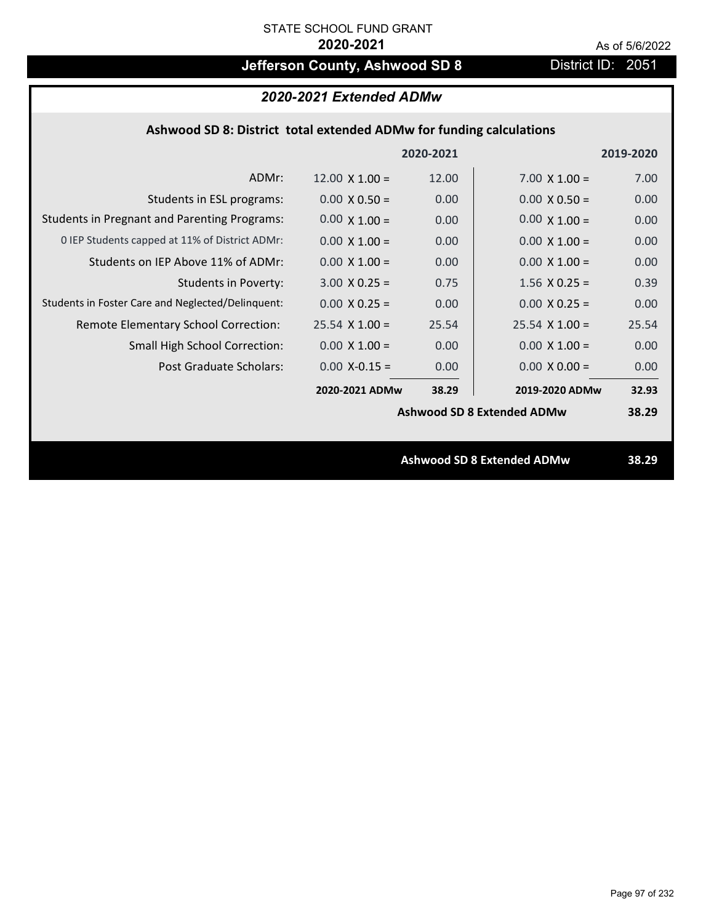# **Jefferson County, Ashwood SD 8** District ID: 2051

## **Ashwood SD 8: District total extended ADMw for funding calculations**

|                                                     |                       | 2020-2021 |                                   | 2019-2020 |
|-----------------------------------------------------|-----------------------|-----------|-----------------------------------|-----------|
| ADMr:                                               | $12.00 \times 1.00 =$ | 12.00     | $7.00 \times 1.00 =$              | 7.00      |
| Students in ESL programs:                           | $0.00 \times 0.50 =$  | 0.00      | $0.00 \times 0.50 =$              | 0.00      |
| <b>Students in Pregnant and Parenting Programs:</b> | $0.00 \times 1.00 =$  | 0.00      | $0.00 \times 1.00 =$              | 0.00      |
| 0 IEP Students capped at 11% of District ADMr:      | $0.00 \times 1.00 =$  | 0.00      | $0.00 \times 1.00 =$              | 0.00      |
| Students on IEP Above 11% of ADMr:                  | $0.00 \times 1.00 =$  | 0.00      | $0.00 \times 1.00 =$              | 0.00      |
| <b>Students in Poverty:</b>                         | $3.00 \times 0.25 =$  | 0.75      | $1.56$ X 0.25 =                   | 0.39      |
| Students in Foster Care and Neglected/Delinquent:   | $0.00 \times 0.25 =$  | 0.00      | $0.00 \times 0.25 =$              | 0.00      |
| Remote Elementary School Correction:                | $25.54$ X 1.00 =      | 25.54     | $25.54 \times 1.00 =$             | 25.54     |
| <b>Small High School Correction:</b>                | $0.00 \times 1.00 =$  | 0.00      | $0.00 \times 1.00 =$              | 0.00      |
| Post Graduate Scholars:                             | $0.00$ X-0.15 =       | 0.00      | $0.00 \times 0.00 =$              | 0.00      |
|                                                     | 2020-2021 ADMw        | 38.29     | 2019-2020 ADMw                    | 32.93     |
|                                                     |                       |           | <b>Ashwood SD 8 Extended ADMw</b> | 38.29     |
|                                                     |                       |           |                                   |           |
|                                                     |                       |           | <b>Ashwood SD 8 Extended ADMw</b> | 38.29     |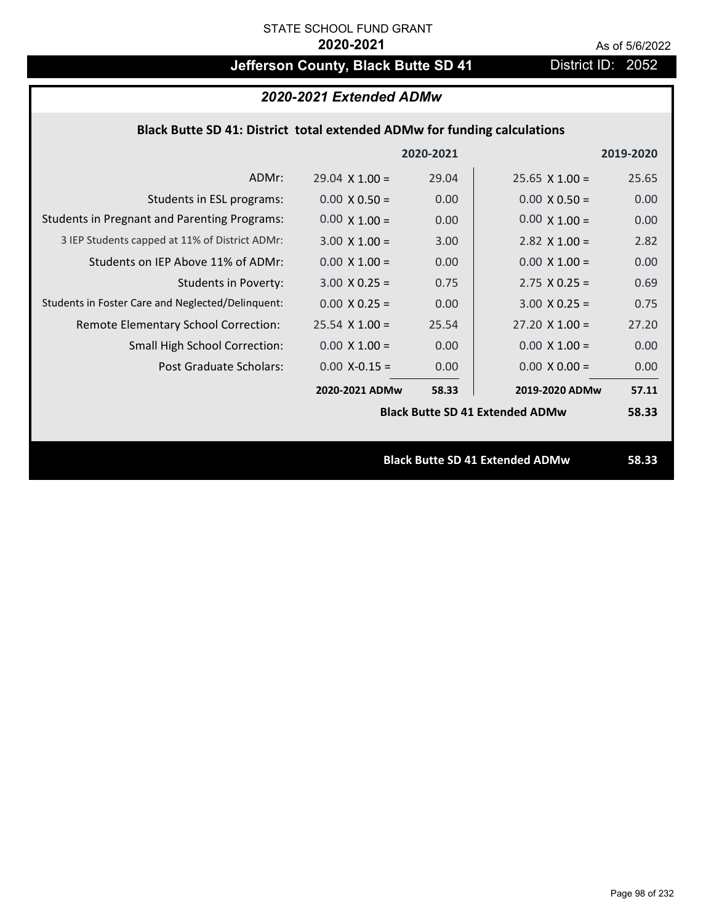# **Jefferson County, Black Butte SD 41** District ID: 2052

**2020‐2021 2019‐2020**

| 2020-2021 Extended ADMw                                                  |                                                         |  |  |  |  |
|--------------------------------------------------------------------------|---------------------------------------------------------|--|--|--|--|
| Black Butte SD 41: District total extended ADMw for funding calculations |                                                         |  |  |  |  |
|                                                                          | 2020-2021                                               |  |  |  |  |
|                                                                          | 25.65 X 1.00<br>$29.04 \times 1.00 =$<br>29.04<br>ADMr: |  |  |  |  |

| ADMr:                                               | $29.04 \times 1.00 =$ | 29.04 | $25.65 \times 1.00 =$                  | 25.65 |
|-----------------------------------------------------|-----------------------|-------|----------------------------------------|-------|
| Students in ESL programs:                           | $0.00 \times 0.50 =$  | 0.00  | $0.00 \times 0.50 =$                   | 0.00  |
| <b>Students in Pregnant and Parenting Programs:</b> | $0.00 \times 1.00 =$  | 0.00  | $0.00 \times 1.00 =$                   | 0.00  |
| 3 IEP Students capped at 11% of District ADMr:      | $3.00 \times 1.00 =$  | 3.00  | $2.82$ X 1.00 =                        | 2.82  |
| Students on IEP Above 11% of ADMr:                  | $0.00 \times 1.00 =$  | 0.00  | $0.00 \times 1.00 =$                   | 0.00  |
| <b>Students in Poverty:</b>                         | $3.00 \times 0.25 =$  | 0.75  | $2.75 \times 0.25 =$                   | 0.69  |
| Students in Foster Care and Neglected/Delinquent:   | $0.00 \times 0.25 =$  | 0.00  | $3.00 \times 0.25 =$                   | 0.75  |
| Remote Elementary School Correction:                | $25.54$ X 1.00 =      | 25.54 | $27.20 \times 1.00 =$                  | 27.20 |
| <b>Small High School Correction:</b>                | $0.00 \times 1.00 =$  | 0.00  | $0.00 \times 1.00 =$                   | 0.00  |
| Post Graduate Scholars:                             | $0.00$ X-0.15 =       | 0.00  | $0.00 \times 0.00 =$                   | 0.00  |
|                                                     | 2020-2021 ADMw        | 58.33 | 2019-2020 ADMw                         | 57.11 |
|                                                     |                       |       | <b>Black Butte SD 41 Extended ADMw</b> | 58.33 |
|                                                     |                       |       |                                        |       |
|                                                     |                       |       | <b>Black Butte SD 41 Extended ADMw</b> | 58.33 |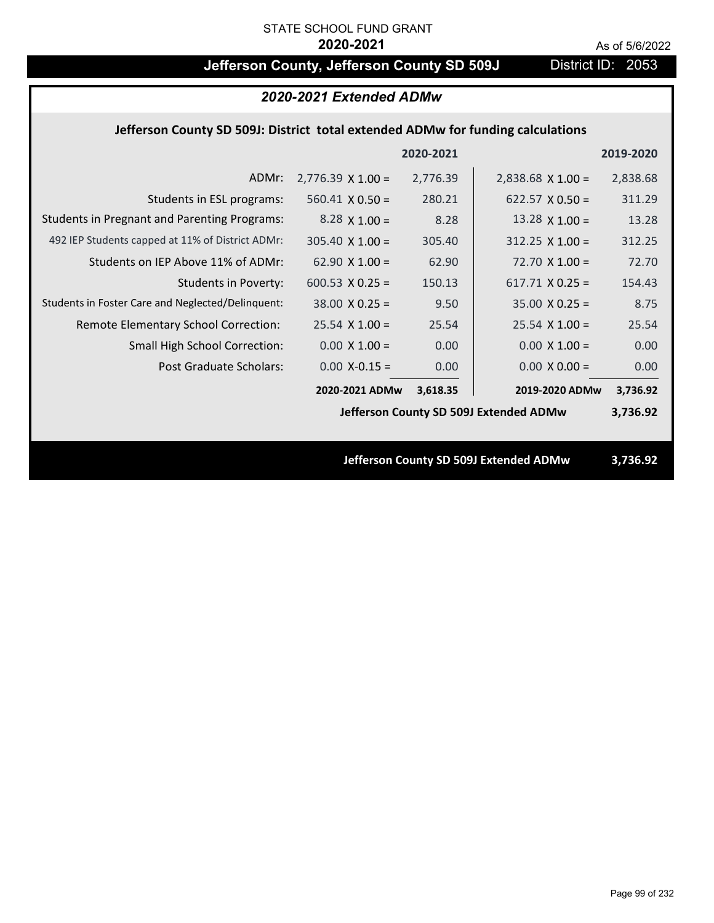# **Jefferson County, Jefferson County SD 509J** District ID: 2053

| 2020-2021 Extended ADMw                                                         |                          |           |                                        |           |  |
|---------------------------------------------------------------------------------|--------------------------|-----------|----------------------------------------|-----------|--|
| Jefferson County SD 509J: District total extended ADMw for funding calculations |                          |           |                                        |           |  |
|                                                                                 |                          | 2020-2021 |                                        | 2019-2020 |  |
| ADMr:                                                                           | $2,776.39 \times 1.00 =$ | 2,776.39  | $2,838.68$ X 1.00 =                    | 2,838.68  |  |
| Students in ESL programs:                                                       | $560.41 \times 0.50 =$   | 280.21    | $622.57 \times 0.50 =$                 | 311.29    |  |
| <b>Students in Pregnant and Parenting Programs:</b>                             | $8.28 \times 1.00 =$     | 8.28      | 13.28 $\times$ 1.00 =                  | 13.28     |  |
| 492 IEP Students capped at 11% of District ADMr:                                | $305.40 \times 1.00 =$   | 305.40    | $312.25 \times 1.00 =$                 | 312.25    |  |
| Students on IEP Above 11% of ADMr:                                              | $62.90 \times 1.00 =$    | 62.90     | $72.70 \times 1.00 =$                  | 72.70     |  |
| <b>Students in Poverty:</b>                                                     | 600.53 $X$ 0.25 =        | 150.13    | $617.71$ X 0.25 =                      | 154.43    |  |
| Students in Foster Care and Neglected/Delinquent:                               | $38.00 \times 0.25 =$    | 9.50      | $35.00 \times 0.25 =$                  | 8.75      |  |
| Remote Elementary School Correction:                                            | $25.54$ X 1.00 =         | 25.54     | $25.54$ X 1.00 =                       | 25.54     |  |
| Small High School Correction:                                                   | $0.00 \times 1.00 =$     | 0.00      | $0.00 \times 1.00 =$                   | 0.00      |  |
| <b>Post Graduate Scholars:</b>                                                  | $0.00$ X-0.15 =          | 0.00      | $0.00 \times 0.00 =$                   | 0.00      |  |
|                                                                                 | 2020-2021 ADMw           | 3,618.35  | 2019-2020 ADMw                         | 3,736.92  |  |
|                                                                                 |                          |           | Jefferson County SD 509J Extended ADMw | 3,736.92  |  |
|                                                                                 |                          |           |                                        |           |  |
| Jefferson County SD 509J Extended ADMw                                          |                          |           |                                        | 3,736.92  |  |
|                                                                                 |                          |           |                                        |           |  |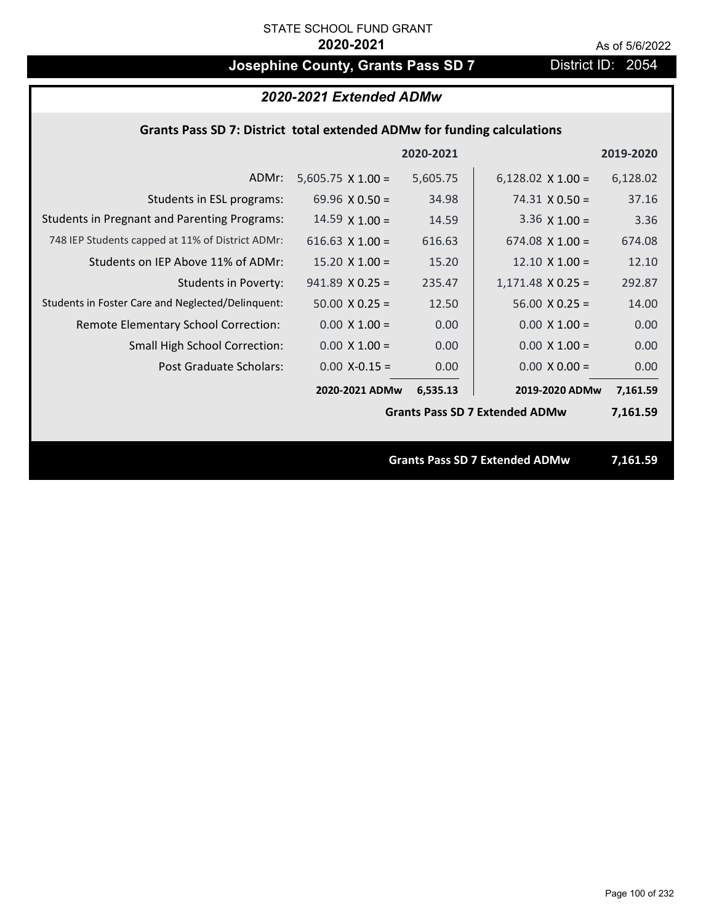# **Josephine County, Grants Pass SD 7** District ID: 2054

# *2020-2021 Extended ADMw*

## **Grants Pass SD 7: District total extended ADMw for funding calculations**

|                                                     |                          | 2020-2021 |                                       | 2019-2020 |
|-----------------------------------------------------|--------------------------|-----------|---------------------------------------|-----------|
| ADMr:                                               | $5,605.75 \times 1.00 =$ | 5,605.75  | $6,128.02 \times 1.00 =$              | 6,128.02  |
| Students in ESL programs:                           | 69.96 $\times$ 0.50 =    | 34.98     | $74.31 \times 0.50 =$                 | 37.16     |
| <b>Students in Pregnant and Parenting Programs:</b> | $14.59 \times 1.00 =$    | 14.59     | 3.36 $\times$ 1.00 =                  | 3.36      |
| 748 IEP Students capped at 11% of District ADMr:    | 616.63 $X$ 1.00 =        | 616.63    | $674.08 \times 1.00 =$                | 674.08    |
| Students on IEP Above 11% of ADMr:                  | $15.20 \times 1.00 =$    | 15.20     | $12.10 \times 1.00 =$                 | 12.10     |
| <b>Students in Poverty:</b>                         | $941.89$ X 0.25 =        | 235.47    | $1,171.48$ X 0.25 =                   | 292.87    |
| Students in Foster Care and Neglected/Delinquent:   | $50.00 \times 0.25 =$    | 12.50     | $56.00 \times 0.25 =$                 | 14.00     |
| Remote Elementary School Correction:                | $0.00 \times 1.00 =$     | 0.00      | $0.00 \times 1.00 =$                  | 0.00      |
| <b>Small High School Correction:</b>                | $0.00 \times 1.00 =$     | 0.00      | $0.00 \times 1.00 =$                  | 0.00      |
| Post Graduate Scholars:                             | $0.00$ X-0.15 =          | 0.00      | $0.00 \times 0.00 =$                  | 0.00      |
|                                                     | 2020-2021 ADMw           | 6,535.13  | 2019-2020 ADMw                        | 7,161.59  |
|                                                     |                          |           | <b>Grants Pass SD 7 Extended ADMw</b> | 7,161.59  |
|                                                     |                          |           |                                       |           |
|                                                     |                          |           | <b>Grants Pass SD 7 Extended ADMw</b> | 7,161.59  |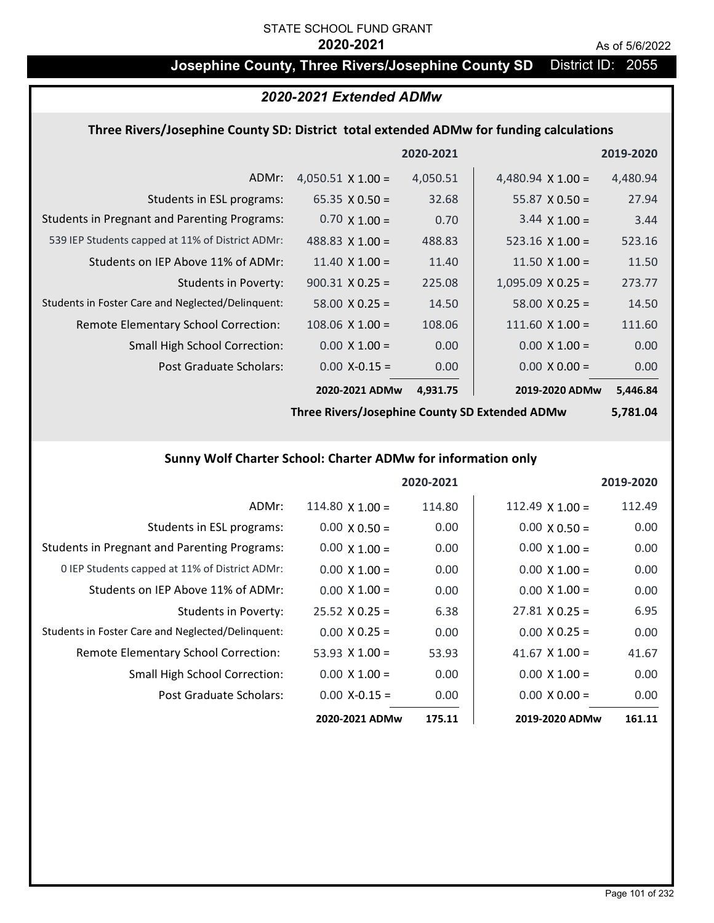# **Josephine County, Three Rivers/Josephine County SD** District ID: 2055

## *2020-2021 Extended ADMw*

## **Three Rivers/Josephine County SD: District total extended ADMw for funding calculations**

|                                                     |                          | 2020-2021 |                          | 2019-2020 |
|-----------------------------------------------------|--------------------------|-----------|--------------------------|-----------|
| ADMr:                                               | $4,050.51 \times 1.00 =$ | 4,050.51  | 4,480.94 $\times$ 1.00 = | 4,480.94  |
| Students in ESL programs:                           | $65.35 \times 0.50 =$    | 32.68     | $55.87 \times 0.50 =$    | 27.94     |
| <b>Students in Pregnant and Parenting Programs:</b> | $0.70 \times 1.00 =$     | 0.70      | $3.44 \times 1.00 =$     | 3.44      |
| 539 IEP Students capped at 11% of District ADMr:    | 488.83 $\times$ 1.00 =   | 488.83    | $523.16 \times 1.00 =$   | 523.16    |
| Students on IEP Above 11% of ADMr:                  | $11.40 \times 1.00 =$    | 11.40     | 11.50 $X$ 1.00 =         | 11.50     |
| <b>Students in Poverty:</b>                         | $900.31 \times 0.25 =$   | 225.08    | $1,095.09 \times 0.25 =$ | 273.77    |
| Students in Foster Care and Neglected/Delinquent:   | $58.00 \times 0.25 =$    | 14.50     | $58.00 \times 0.25 =$    | 14.50     |
| Remote Elementary School Correction:                | $108.06 \times 1.00 =$   | 108.06    | $111.60 \times 1.00 =$   | 111.60    |
| <b>Small High School Correction:</b>                | $0.00 \times 1.00 =$     | 0.00      | $0.00 \times 1.00 =$     | 0.00      |
| Post Graduate Scholars:                             | $0.00$ X-0.15 =          | 0.00      | $0.00 \times 0.00 =$     | 0.00      |
|                                                     | 2020-2021 ADMw           | 4,931.75  | 2019-2020 ADMw           | 5,446.84  |

**Three Rivers/Josephine County SD Extended ADMw**

**5,781.04**

# **Sunny Wolf Charter School: Charter ADMw for information only**

|                                                     |                       | 2020-2021 |                       | 2019-2020 |
|-----------------------------------------------------|-----------------------|-----------|-----------------------|-----------|
| ADMr:                                               | $114.80$ X $1.00 =$   | 114.80    | 112.49 $X$ 1.00 =     | 112.49    |
| Students in ESL programs:                           | $0.00 \times 0.50 =$  | 0.00      | $0.00 \times 0.50 =$  | 0.00      |
| <b>Students in Pregnant and Parenting Programs:</b> | $0.00 \times 1.00 =$  | 0.00      | $0.00 \times 1.00 =$  | 0.00      |
| 0 IEP Students capped at 11% of District ADMr:      | $0.00 \times 1.00 =$  | 0.00      | $0.00 \times 1.00 =$  | 0.00      |
| Students on IEP Above 11% of ADMr:                  | $0.00 \times 1.00 =$  | 0.00      | $0.00 \times 1.00 =$  | 0.00      |
| Students in Poverty:                                | $25.52 \times 0.25 =$ | 6.38      | $27.81 \times 0.25 =$ | 6.95      |
| Students in Foster Care and Neglected/Delinquent:   | $0.00 \times 0.25 =$  | 0.00      | $0.00 \times 0.25 =$  | 0.00      |
| Remote Elementary School Correction:                | 53.93 $\times$ 1.00 = | 53.93     | 41.67 $\times$ 1.00 = | 41.67     |
| <b>Small High School Correction:</b>                | $0.00 \times 1.00 =$  | 0.00      | $0.00 \times 1.00 =$  | 0.00      |
| Post Graduate Scholars:                             | $0.00 X - 0.15 =$     | 0.00      | $0.00 \times 0.00 =$  | 0.00      |
|                                                     | 2020-2021 ADMw        | 175.11    | 2019-2020 ADMw        | 161.11    |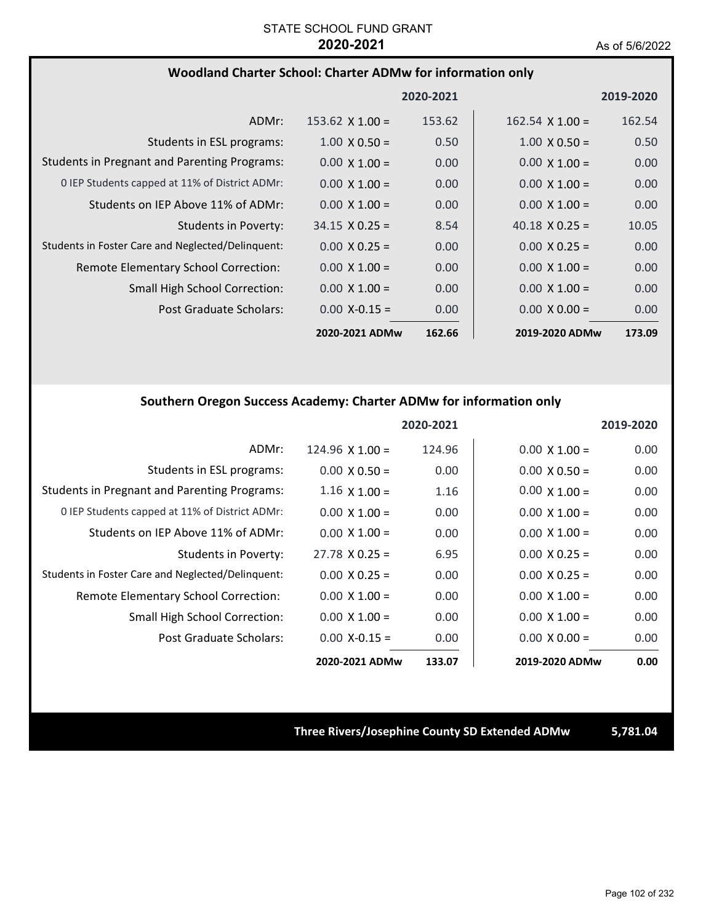### **Woodland Charter School: Charter ADMw for information only**

|                                                     |                        | 2020-2021 |                        | 2019-2020 |
|-----------------------------------------------------|------------------------|-----------|------------------------|-----------|
| ADMr:                                               | $153.62 \times 1.00 =$ | 153.62    | $162.54 \times 1.00 =$ | 162.54    |
| Students in ESL programs:                           | $1.00 \times 0.50 =$   | 0.50      | $1.00 \times 0.50 =$   | 0.50      |
| <b>Students in Pregnant and Parenting Programs:</b> | $0.00 \times 1.00 =$   | 0.00      | $0.00 \times 1.00 =$   | 0.00      |
| 0 IEP Students capped at 11% of District ADMr:      | $0.00 \times 1.00 =$   | 0.00      | $0.00 \times 1.00 =$   | 0.00      |
| Students on IEP Above 11% of ADMr:                  | $0.00 \times 1.00 =$   | 0.00      | $0.00 \times 1.00 =$   | 0.00      |
| <b>Students in Poverty:</b>                         | $34.15 \times 0.25 =$  | 8.54      | 40.18 $\times$ 0.25 =  | 10.05     |
| Students in Foster Care and Neglected/Delinquent:   | $0.00 \times 0.25 =$   | 0.00      | $0.00 \times 0.25 =$   | 0.00      |
| Remote Elementary School Correction:                | $0.00 \times 1.00 =$   | 0.00      | $0.00 \times 1.00 =$   | 0.00      |
| <b>Small High School Correction:</b>                | $0.00 \times 1.00 =$   | 0.00      | $0.00 \times 1.00 =$   | 0.00      |
| Post Graduate Scholars:                             | $0.00 X - 0.15 =$      | 0.00      | $0.00 \times 0.00 =$   | 0.00      |
|                                                     | 2020-2021 ADMw         | 162.66    | 2019-2020 ADMw         | 173.09    |

### **Southern Oregon Success Academy: Charter ADMw for information only**

|                                                     |                        | 2020-2021 |                      | 2019-2020         |
|-----------------------------------------------------|------------------------|-----------|----------------------|-------------------|
| ADMr:                                               | $124.96 \times 1.00 =$ | 124.96    | $0.00 \times 1.00 =$ | 0.00              |
| Students in ESL programs:                           | $0.00 \times 0.50 =$   | 0.00      | $0.00 \times 0.50 =$ | 0.00              |
| <b>Students in Pregnant and Parenting Programs:</b> | $1.16 \times 1.00 =$   | 1.16      | $0.00 \times 1.00 =$ | 0.00              |
| 0 IEP Students capped at 11% of District ADMr:      | $0.00 \times 1.00 =$   | 0.00      | $0.00 \times 1.00 =$ | 0.00              |
| Students on IEP Above 11% of ADMr:                  | $0.00 \times 1.00 =$   | 0.00      | $0.00 \times 1.00 =$ | 0.00              |
| Students in Poverty:                                | $27.78 \times 0.25 =$  | 6.95      | $0.00 \times 0.25 =$ | 0.00              |
| Students in Foster Care and Neglected/Delinquent:   | $0.00 \times 0.25 =$   | 0.00      | $0.00 \times 0.25 =$ | 0.00              |
| Remote Elementary School Correction:                | $0.00 \times 1.00 =$   | 0.00      | $0.00 \times 1.00 =$ | 0.00              |
| Small High School Correction:                       | $0.00 \times 1.00 =$   | 0.00      | $0.00 \times 1.00 =$ | 0.00              |
| Post Graduate Scholars:                             | $0.00$ X-0.15 =        | 0.00      | $0.00 \times 0.00 =$ | 0.00 <sub>1</sub> |
|                                                     | 2020-2021 ADMw         | 133.07    | 2019-2020 ADMw       | 0.00              |

### **Three Rivers/Josephine County SD Extended ADMw 5,781.04**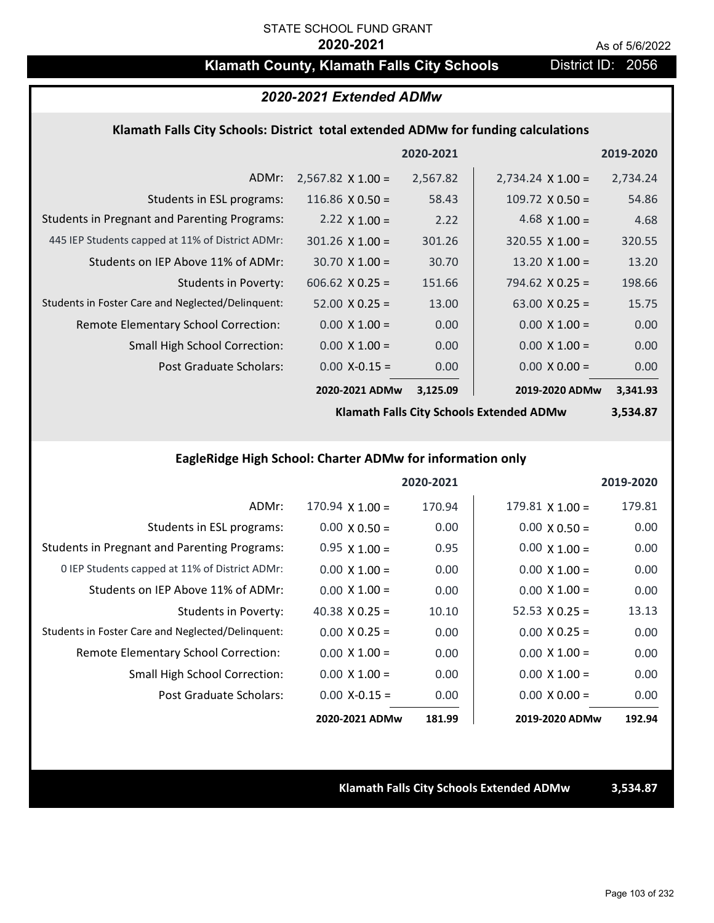# **Klamath County, Klamath Falls City Schools District ID: 2056**

# *2020-2021 Extended ADMw*

### **Klamath Falls City Schools: District total extended ADMw for funding calculations**

|                                                     |                          | 2020-2021 |                          | 2019-2020 |
|-----------------------------------------------------|--------------------------|-----------|--------------------------|-----------|
| ADMr:                                               | $2,567.82 \times 1.00 =$ | 2,567.82  | $2,734.24 \times 1.00 =$ | 2,734.24  |
| Students in ESL programs:                           | 116.86 $\times$ 0.50 =   | 58.43     | $109.72 \times 0.50 =$   | 54.86     |
| <b>Students in Pregnant and Parenting Programs:</b> | 2.22 $\times$ 1.00 =     | 2.22      | 4.68 $\times$ 1.00 =     | 4.68      |
| 445 IEP Students capped at 11% of District ADMr:    | $301.26 \times 1.00 =$   | 301.26    | $320.55 \times 1.00 =$   | 320.55    |
| Students on IEP Above 11% of ADMr:                  | $30.70 \times 1.00 =$    | 30.70     | 13.20 $X$ 1.00 =         | 13.20     |
| <b>Students in Poverty:</b>                         | $606.62$ X 0.25 =        | 151.66    | $794.62 \times 0.25 =$   | 198.66    |
| Students in Foster Care and Neglected/Delinquent:   | $52.00 \times 0.25 =$    | 13.00     | $63.00 \times 0.25 =$    | 15.75     |
| Remote Elementary School Correction:                | $0.00 \times 1.00 =$     | 0.00      | $0.00 \times 1.00 =$     | 0.00      |
| <b>Small High School Correction:</b>                | $0.00 \times 1.00 =$     | 0.00      | $0.00 \times 1.00 =$     | 0.00      |
| Post Graduate Scholars:                             | $0.00$ X-0.15 =          | 0.00      | $0.00 \times 0.00 =$     | 0.00      |
|                                                     | 2020-2021 ADMw           | 3,125.09  | 2019-2020 ADMw           | 3,341.93  |

**Klamath Falls City Schools Extended ADMw**

**3,534.87**

# **EagleRidge High School: Charter ADMw for information only**

|                                                     |                       | 2020-2021 |                        | 2019-2020 |
|-----------------------------------------------------|-----------------------|-----------|------------------------|-----------|
| ADMr:                                               | $170.94$ X $1.00 =$   | 170.94    | $179.81 \times 1.00 =$ | 179.81    |
| Students in ESL programs:                           | $0.00 \times 0.50 =$  | 0.00      | $0.00 \times 0.50 =$   | 0.00      |
| <b>Students in Pregnant and Parenting Programs:</b> | $0.95 \times 1.00 =$  | 0.95      | $0.00 \times 1.00 =$   | 0.00      |
| 0 IEP Students capped at 11% of District ADMr:      | $0.00 \times 1.00 =$  | 0.00      | $0.00 \times 1.00 =$   | 0.00      |
| Students on IEP Above 11% of ADMr:                  | $0.00 \times 1.00 =$  | 0.00      | $0.00 \times 1.00 =$   | 0.00      |
| Students in Poverty:                                | 40.38 $\times$ 0.25 = | 10.10     | $52.53 \times 0.25 =$  | 13.13     |
| Students in Foster Care and Neglected/Delinquent:   | $0.00 \times 0.25 =$  | 0.00      | $0.00 \times 0.25 =$   | 0.00      |
| Remote Elementary School Correction:                | $0.00 \times 1.00 =$  | 0.00      | $0.00 \times 1.00 =$   | 0.00      |
| <b>Small High School Correction:</b>                | $0.00 \times 1.00 =$  | 0.00      | $0.00 \times 1.00 =$   | 0.00      |
| Post Graduate Scholars:                             | $0.00 X - 0.15 =$     | 0.00      | $0.00 \times 0.00 =$   | 0.00      |
|                                                     | 2020-2021 ADMw        | 181.99    | 2019-2020 ADMw         | 192.94    |

**Klamath Falls City Schools Extended ADMw 3,534.87**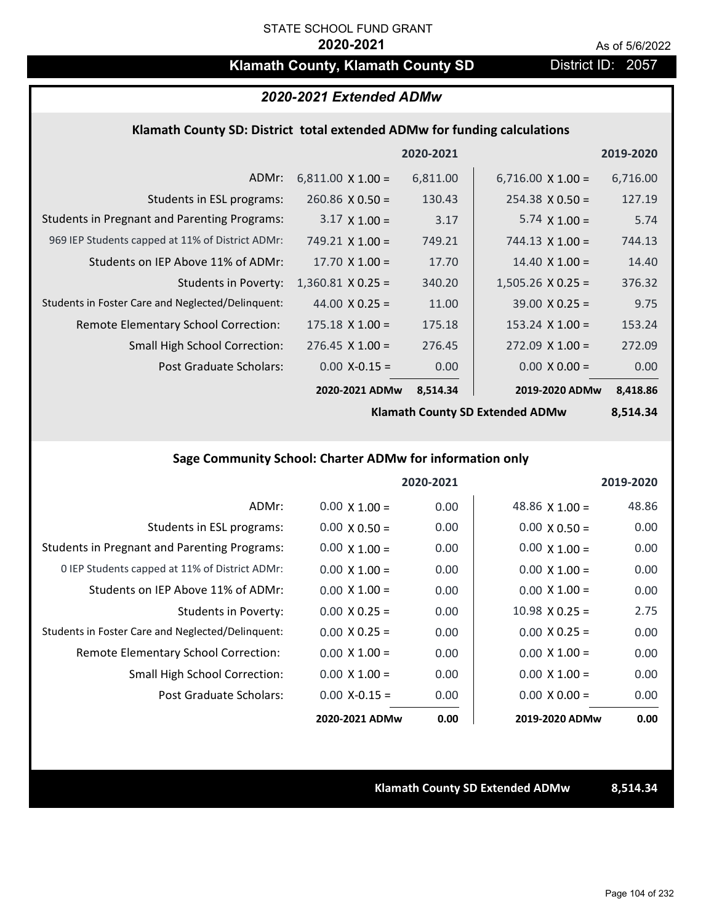# **Klamath County, Klamath County SD** District ID: 2057

# *2020-2021 Extended ADMw*

### **Klamath County SD: District total extended ADMw for funding calculations**

|                                                     |                          | 2020-2021 |                          | 2019-2020 |
|-----------------------------------------------------|--------------------------|-----------|--------------------------|-----------|
| ADMr:                                               | $6,811.00 \times 1.00 =$ | 6,811.00  | $6,716.00 \times 1.00 =$ | 6,716.00  |
| Students in ESL programs:                           | $260.86 \times 0.50 =$   | 130.43    | $254.38 \times 0.50 =$   | 127.19    |
| <b>Students in Pregnant and Parenting Programs:</b> | $3.17 \times 1.00 =$     | 3.17      | 5.74 $\times$ 1.00 =     | 5.74      |
| 969 IEP Students capped at 11% of District ADMr:    | $749.21 \times 1.00 =$   | 749.21    | $744.13 \times 1.00 =$   | 744.13    |
| Students on IEP Above 11% of ADMr:                  | $17.70 \times 1.00 =$    | 17.70     | $14.40 \times 1.00 =$    | 14.40     |
| <b>Students in Poverty:</b>                         | $1,360.81$ X 0.25 =      | 340.20    | $1,505.26$ X 0.25 =      | 376.32    |
| Students in Foster Care and Neglected/Delinquent:   | $44.00 \times 0.25 =$    | 11.00     | $39.00 \times 0.25 =$    | 9.75      |
| Remote Elementary School Correction:                | $175.18 \times 1.00 =$   | 175.18    | $153.24 \times 1.00 =$   | 153.24    |
| <b>Small High School Correction:</b>                | $276.45 \times 1.00 =$   | 276.45    | $272.09 \times 1.00 =$   | 272.09    |
| Post Graduate Scholars:                             | $0.00$ X-0.15 =          | 0.00      | $0.00 \times 0.00 =$     | 0.00      |
|                                                     | 2020-2021 ADMw           | 8,514.34  | 2019-2020 ADMw           | 8,418.86  |

**Klamath County SD Extended ADMw**

**8,514.34**

### **Sage Community School: Charter ADMw for information only**

|                                                     |                      | 2020-2021 |                       | 2019-2020 |
|-----------------------------------------------------|----------------------|-----------|-----------------------|-----------|
| ADMr:                                               | $0.00 \times 1.00 =$ | 0.00      | 48.86 $\times$ 1.00 = | 48.86     |
| Students in ESL programs:                           | $0.00 \times 0.50 =$ | 0.00      | $0.00 \times 0.50 =$  | 0.00      |
| <b>Students in Pregnant and Parenting Programs:</b> | $0.00 \times 1.00 =$ | 0.00      | $0.00 \times 1.00 =$  | 0.00      |
| 0 IEP Students capped at 11% of District ADMr:      | $0.00 \times 1.00 =$ | 0.00      | $0.00 \times 1.00 =$  | 0.00      |
| Students on IEP Above 11% of ADMr:                  | $0.00 \times 1.00 =$ | 0.00      | $0.00 \times 1.00 =$  | 0.00      |
| Students in Poverty:                                | $0.00 \times 0.25 =$ | 0.00      | $10.98 \times 0.25 =$ | 2.75      |
| Students in Foster Care and Neglected/Delinquent:   | $0.00 \times 0.25 =$ | 0.00      | $0.00 \times 0.25 =$  | 0.00      |
| Remote Elementary School Correction:                | $0.00 \times 1.00 =$ | 0.00      | $0.00 \times 1.00 =$  | 0.00      |
| <b>Small High School Correction:</b>                | $0.00 \times 1.00 =$ | 0.00      | $0.00 \times 1.00 =$  | 0.00      |
| Post Graduate Scholars:                             | $0.00 X - 0.15 =$    | 0.00      | $0.00 \times 0.00 =$  | 0.00      |
|                                                     | 2020-2021 ADMw       | 0.00      | 2019-2020 ADMw        | 0.00      |

**Klamath County SD Extended ADMw 8,514.34**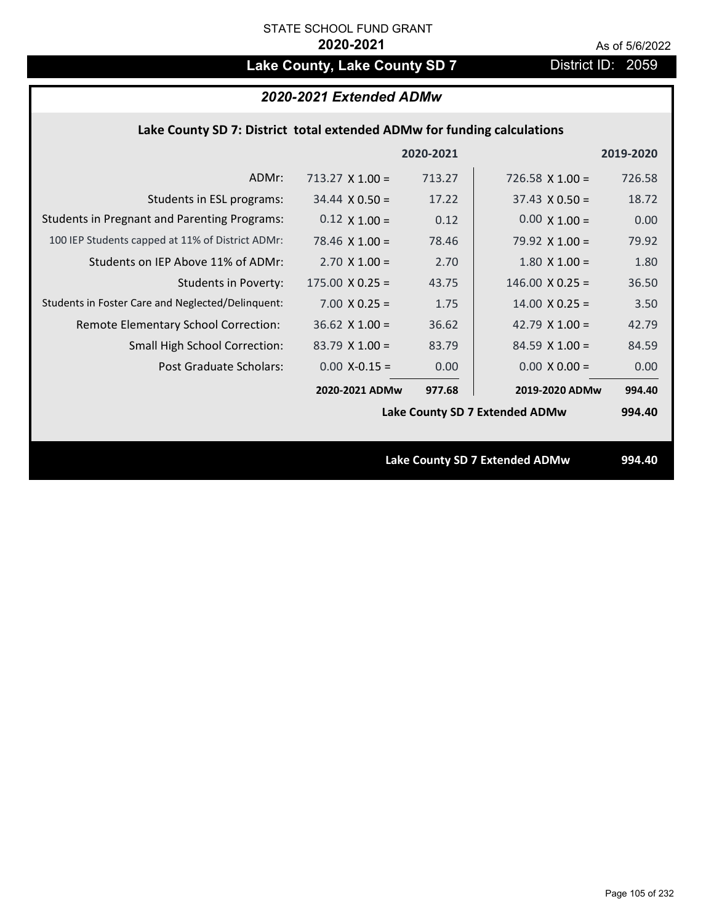# Lake County, Lake County SD 7 District ID: 2059

### **Lake County SD 7: District total extended ADMw for funding calculations**

|                                                     |                                | 2020-2021 |                                | 2019-2020 |
|-----------------------------------------------------|--------------------------------|-----------|--------------------------------|-----------|
| ADMr:                                               | $713.27 \times 1.00 =$         | 713.27    | 726.58 $\times$ 1.00 =         | 726.58    |
| Students in ESL programs:                           | $34.44 \times 0.50 =$          | 17.22     | $37.43 \times 0.50 =$          | 18.72     |
| <b>Students in Pregnant and Parenting Programs:</b> | $0.12 \times 1.00 =$           | 0.12      | $0.00 \times 1.00 =$           | 0.00      |
| 100 IEP Students capped at 11% of District ADMr:    | 78.46 $\times$ 1.00 =          | 78.46     | 79.92 $\times$ 1.00 =          | 79.92     |
| Students on IEP Above 11% of ADMr:                  | $2.70 \times 1.00 =$           | 2.70      | $1.80$ X $1.00 =$              | 1.80      |
| <b>Students in Poverty:</b>                         | $175.00 \times 0.25 =$         | 43.75     | $146.00 \times 0.25 =$         | 36.50     |
| Students in Foster Care and Neglected/Delinquent:   | $7.00 \times 0.25 =$           | 1.75      | $14.00 \times 0.25 =$          | 3.50      |
| Remote Elementary School Correction:                | $36.62$ X 1.00 =               | 36.62     | 42.79 $\times$ 1.00 =          | 42.79     |
| <b>Small High School Correction:</b>                | $83.79$ X 1.00 =               | 83.79     | $84.59$ X $1.00 =$             | 84.59     |
| Post Graduate Scholars:                             | $0.00$ X-0.15 =                | 0.00      | $0.00 \times 0.00 =$           | 0.00      |
|                                                     | 2020-2021 ADMw                 | 977.68    | 2019-2020 ADMw                 | 994.40    |
|                                                     | Lake County SD 7 Extended ADMw |           |                                | 994.40    |
|                                                     |                                |           |                                |           |
|                                                     |                                |           | Lake County SD 7 Extended ADMw | 994.40    |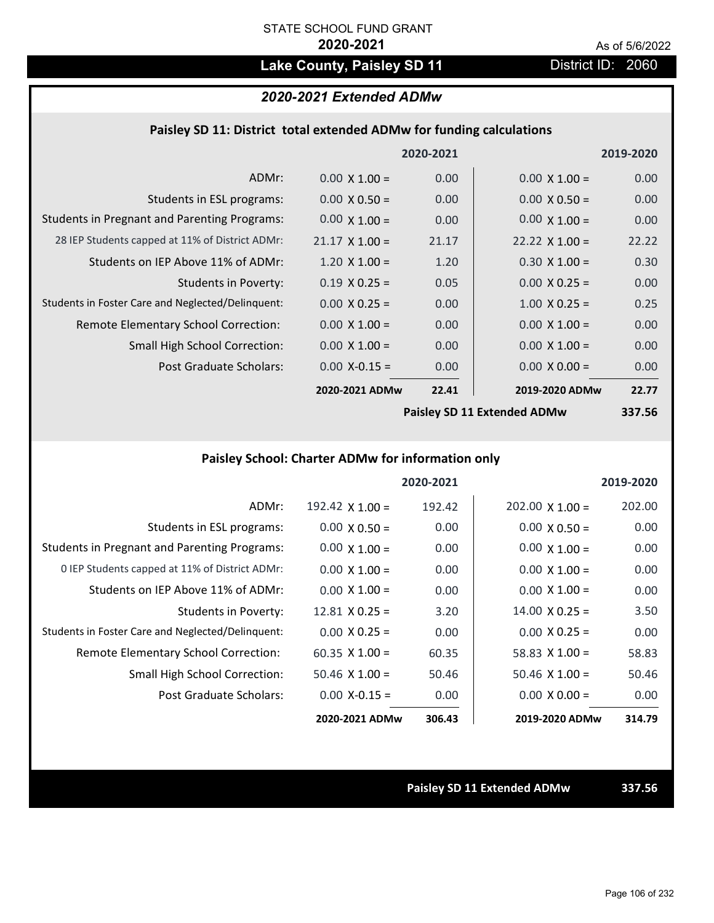# Lake County, Paisley SD 11 **District ID: 2060**

# *2020-2021 Extended ADMw*

### **Paisley SD 11: District total extended ADMw for funding calculations**

|                                                     |                       | 2020-2021 |                             | 2019-2020 |
|-----------------------------------------------------|-----------------------|-----------|-----------------------------|-----------|
| ADMr:                                               | $0.00 \times 1.00 =$  | 0.00      | $0.00 \times 1.00 =$        | 0.00      |
| Students in ESL programs:                           | $0.00 \times 0.50 =$  | 0.00      | $0.00 \times 0.50 =$        | 0.00      |
| <b>Students in Pregnant and Parenting Programs:</b> | $0.00 \times 1.00 =$  | 0.00      | $0.00 \times 1.00 =$        | 0.00      |
| 28 IEP Students capped at 11% of District ADMr:     | $21.17 \times 1.00 =$ | 21.17     | $22.22 \times 1.00 =$       | 22.22     |
| Students on IEP Above 11% of ADMr:                  | $1.20 \times 1.00 =$  | 1.20      | $0.30 \times 1.00 =$        | 0.30      |
| <b>Students in Poverty:</b>                         | $0.19 \times 0.25 =$  | 0.05      | $0.00 \times 0.25 =$        | 0.00      |
| Students in Foster Care and Neglected/Delinquent:   | $0.00 \times 0.25 =$  | 0.00      | $1.00 \times 0.25 =$        | 0.25      |
| Remote Elementary School Correction:                | $0.00 \times 1.00 =$  | 0.00      | $0.00 \times 1.00 =$        | 0.00      |
| <b>Small High School Correction:</b>                | $0.00 \times 1.00 =$  | 0.00      | $0.00 \times 1.00 =$        | 0.00      |
| Post Graduate Scholars:                             | $0.00$ X-0.15 =       | 0.00      | $0.00 \times 0.00 =$        | 0.00      |
|                                                     | 2020-2021 ADMw        | 22.41     | 2019-2020 ADMw              | 22.77     |
|                                                     |                       |           | Paisley SD 11 Extended ADMw | 337 56    |

**Paisley SD 11 Extended ADMw**

**337.56**

# **Paisley School: Charter ADMw for information only**

|                                                     |                       | 2020-2021 |                        | 2019-2020 |
|-----------------------------------------------------|-----------------------|-----------|------------------------|-----------|
| ADMr:                                               | 192.42 $X$ 1.00 =     | 192.42    | $202.00 \times 1.00 =$ | 202.00    |
| Students in ESL programs:                           | $0.00 \times 0.50 =$  | 0.00      | $0.00 \times 0.50 =$   | 0.00      |
| <b>Students in Pregnant and Parenting Programs:</b> | $0.00 \times 1.00 =$  | 0.00      | $0.00 \times 1.00 =$   | 0.00      |
| 0 IEP Students capped at 11% of District ADMr:      | $0.00 \times 1.00 =$  | 0.00      | $0.00 \times 1.00 =$   | 0.00      |
| Students on IEP Above 11% of ADMr:                  | $0.00 \times 1.00 =$  | 0.00      | $0.00 \times 1.00 =$   | 0.00      |
| Students in Poverty:                                | $12.81 \times 0.25 =$ | 3.20      | $14.00 \times 0.25 =$  | 3.50      |
| Students in Foster Care and Neglected/Delinquent:   | $0.00 \times 0.25 =$  | 0.00      | $0.00 \times 0.25 =$   | 0.00      |
| Remote Elementary School Correction:                | $60.35 \times 1.00 =$ | 60.35     | $58.83 \times 1.00 =$  | 58.83     |
| <b>Small High School Correction:</b>                | $50.46$ X 1.00 =      | 50.46     | $50.46 \times 1.00 =$  | 50.46     |
| Post Graduate Scholars:                             | $0.00$ X-0.15 =       | 0.00      | $0.00 \times 0.00 =$   | 0.00      |
|                                                     | 2020-2021 ADMw        | 306.43    | 2019-2020 ADMw         | 314.79    |

**Paisley SD 11 Extended ADMw 337.56**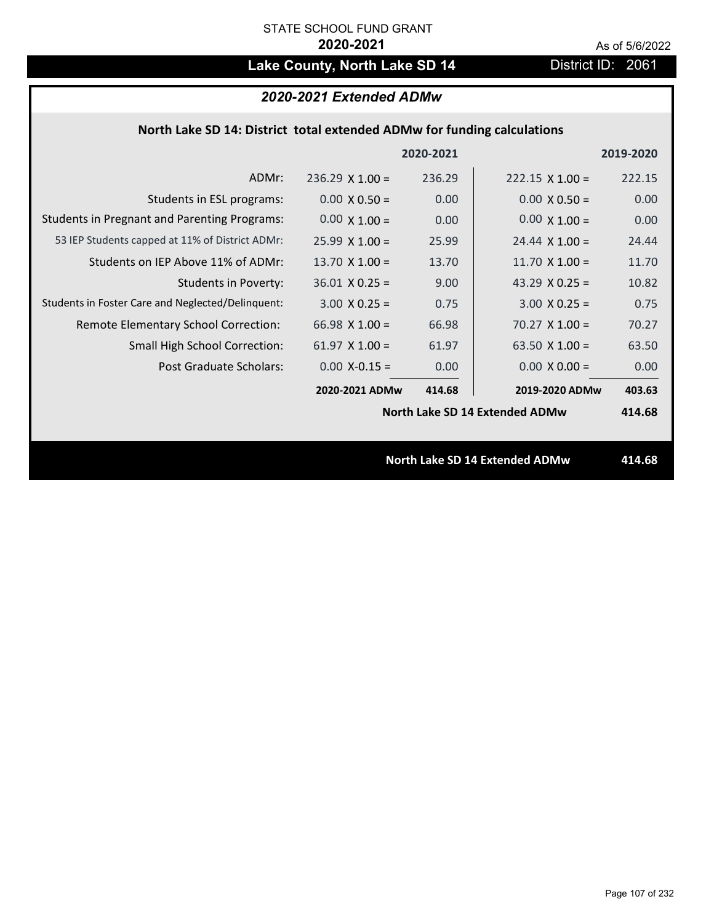# Lake County, North Lake SD 14 District ID: 2061

# *2020-2021 Extended ADMw*

### **North Lake SD 14: District total extended ADMw for funding calculations**

|                                                     |                                | 2020-2021 |                                       | 2019-2020 |
|-----------------------------------------------------|--------------------------------|-----------|---------------------------------------|-----------|
| ADMr:                                               | $236.29 \times 1.00 =$         | 236.29    | $222.15 \times 1.00 =$                | 222.15    |
| Students in ESL programs:                           | $0.00 \times 0.50 =$           | 0.00      | $0.00 \times 0.50 =$                  | 0.00      |
| <b>Students in Pregnant and Parenting Programs:</b> | $0.00 \times 1.00 =$           | 0.00      | $0.00 \times 1.00 =$                  | 0.00      |
| 53 IEP Students capped at 11% of District ADMr:     | $25.99 \times 1.00 =$          | 25.99     | $24.44 \times 1.00 =$                 | 24.44     |
| Students on IEP Above 11% of ADMr:                  | 13.70 $\times$ 1.00 =          | 13.70     | 11.70 $X$ 1.00 =                      | 11.70     |
| <b>Students in Poverty:</b>                         | $36.01$ X 0.25 =               | 9.00      | 43.29 $X$ 0.25 =                      | 10.82     |
| Students in Foster Care and Neglected/Delinquent:   | $3.00 \times 0.25 =$           | 0.75      | $3.00 \times 0.25 =$                  | 0.75      |
| Remote Elementary School Correction:                | 66.98 $X$ 1.00 =               | 66.98     | $70.27 \times 1.00 =$                 | 70.27     |
| <b>Small High School Correction:</b>                | $61.97$ X $1.00 =$             | 61.97     | 63.50 $X$ 1.00 =                      | 63.50     |
| Post Graduate Scholars:                             | $0.00$ X-0.15 =                | 0.00      | $0.00 \times 0.00 =$                  | 0.00      |
|                                                     | 2020-2021 ADMw                 | 414.68    | 2019-2020 ADMw                        | 403.63    |
|                                                     | North Lake SD 14 Extended ADMw |           |                                       | 414.68    |
|                                                     |                                |           |                                       |           |
|                                                     |                                |           | <b>North Lake SD 14 Extended ADMw</b> | 414.68    |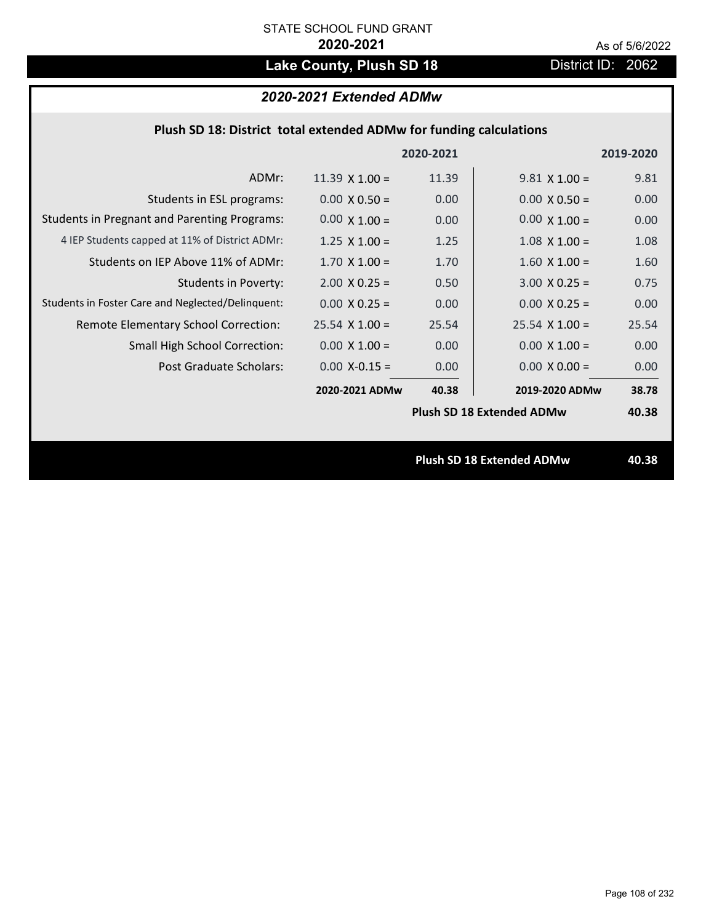# Lake County, Plush SD 18 **District ID: 2062**

# *2020-2021 Extended ADMw*

| Plush SD 18: District total extended ADMw for funding calculations |                       |           |                                  |           |  |
|--------------------------------------------------------------------|-----------------------|-----------|----------------------------------|-----------|--|
|                                                                    |                       | 2020-2021 |                                  | 2019-2020 |  |
| ADMr:                                                              | $11.39 \times 1.00 =$ | 11.39     | $9.81 \times 1.00 =$             | 9.81      |  |
| Students in ESL programs:                                          | $0.00 \times 0.50 =$  | 0.00      | $0.00 \times 0.50 =$             | 0.00      |  |
| <b>Students in Pregnant and Parenting Programs:</b>                | $0.00 \times 1.00 =$  | 0.00      | $0.00 \times 1.00 =$             | 0.00      |  |
| 4 IEP Students capped at 11% of District ADMr:                     | $1.25 \times 1.00 =$  | 1.25      | $1.08 \times 1.00 =$             | 1.08      |  |
| Students on IEP Above 11% of ADMr:                                 | $1.70$ X $1.00 =$     | 1.70      | $1.60$ X $1.00 =$                | 1.60      |  |
| <b>Students in Poverty:</b>                                        | $2.00 \times 0.25 =$  | 0.50      | $3.00 X 0.25 =$                  | 0.75      |  |
| Students in Foster Care and Neglected/Delinquent:                  | $0.00 \times 0.25 =$  | 0.00      | $0.00 \times 0.25 =$             | 0.00      |  |
| Remote Elementary School Correction:                               | $25.54$ X 1.00 =      | 25.54     | $25.54$ X 1.00 =                 | 25.54     |  |
| <b>Small High School Correction:</b>                               | $0.00 \times 1.00 =$  | 0.00      | $0.00 \times 1.00 =$             | 0.00      |  |
| Post Graduate Scholars:                                            | $0.00$ X-0.15 =       | 0.00      | $0.00 \times 0.00 =$             | 0.00      |  |
|                                                                    | 2020-2021 ADMw        | 40.38     | 2019-2020 ADMw                   | 38.78     |  |
|                                                                    |                       |           | <b>Plush SD 18 Extended ADMw</b> | 40.38     |  |
|                                                                    |                       |           |                                  |           |  |
|                                                                    |                       |           | <b>Plush SD 18 Extended ADMw</b> | 40.38     |  |
|                                                                    |                       |           |                                  |           |  |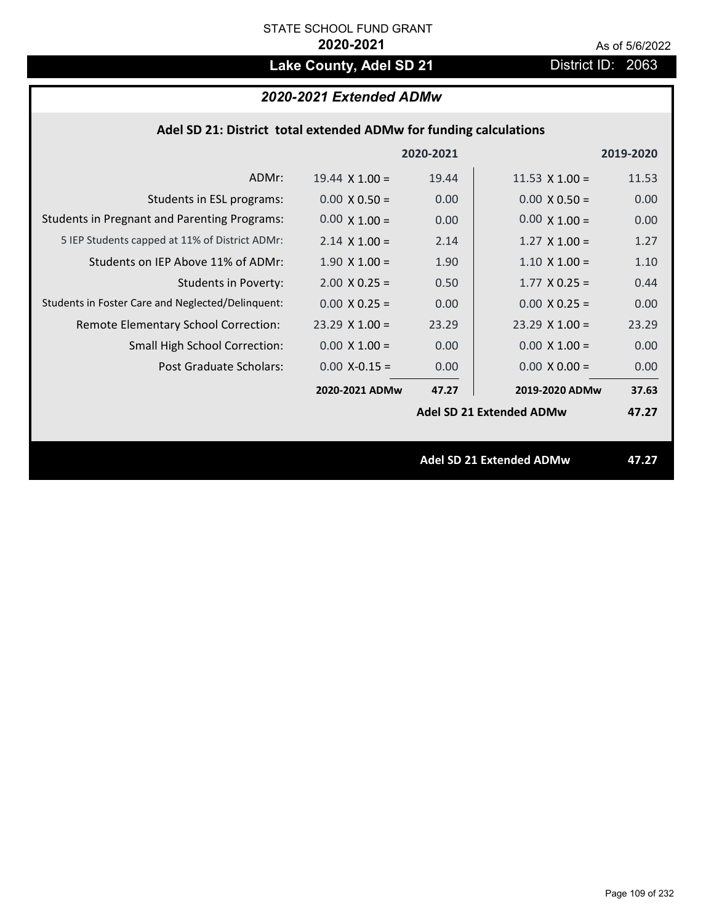# Lake County, Adel SD 21 District ID: 2063

## *2020-2021 Extended ADMw*

|  | Adel SD 21: District total extended ADMw for funding calculations |  |
|--|-------------------------------------------------------------------|--|
|--|-------------------------------------------------------------------|--|

|                                                     |                       | 2020-2021 |                                 | 2019-2020 |
|-----------------------------------------------------|-----------------------|-----------|---------------------------------|-----------|
| ADMr:                                               | $19.44 \times 1.00 =$ | 19.44     | 11.53 $\times$ 1.00 =           | 11.53     |
| Students in ESL programs:                           | $0.00 \times 0.50 =$  | 0.00      | $0.00 \times 0.50 =$            | 0.00      |
| <b>Students in Pregnant and Parenting Programs:</b> | $0.00 \times 1.00 =$  | 0.00      | $0.00 \times 1.00 =$            | 0.00      |
| 5 IEP Students capped at 11% of District ADMr:      | $2.14 \times 1.00 =$  | 2.14      | $1.27 \times 1.00 =$            | 1.27      |
| Students on IEP Above 11% of ADMr:                  | $1.90 \times 1.00 =$  | 1.90      | $1.10 \times 1.00 =$            | 1.10      |
| <b>Students in Poverty:</b>                         | $2.00 \times 0.25 =$  | 0.50      | $1.77$ X 0.25 =                 | 0.44      |
| Students in Foster Care and Neglected/Delinquent:   | $0.00 \times 0.25 =$  | 0.00      | $0.00 \times 0.25 =$            | 0.00      |
| Remote Elementary School Correction:                | $23.29$ X $1.00 =$    | 23.29     | $23.29 \times 1.00 =$           | 23.29     |
| <b>Small High School Correction:</b>                | $0.00 \times 1.00 =$  | 0.00      | $0.00 \times 1.00 =$            | 0.00      |
| Post Graduate Scholars:                             | $0.00$ X-0.15 =       | 0.00      | $0.00 \times 0.00 =$            | 0.00      |
|                                                     | 2020-2021 ADMw        | 47.27     | 2019-2020 ADMw                  | 37.63     |
|                                                     |                       |           | <b>Adel SD 21 Extended ADMw</b> | 47.27     |
|                                                     |                       |           |                                 |           |
|                                                     |                       |           | <b>Adel SD 21 Extended ADMw</b> | 47.27     |
|                                                     |                       |           |                                 |           |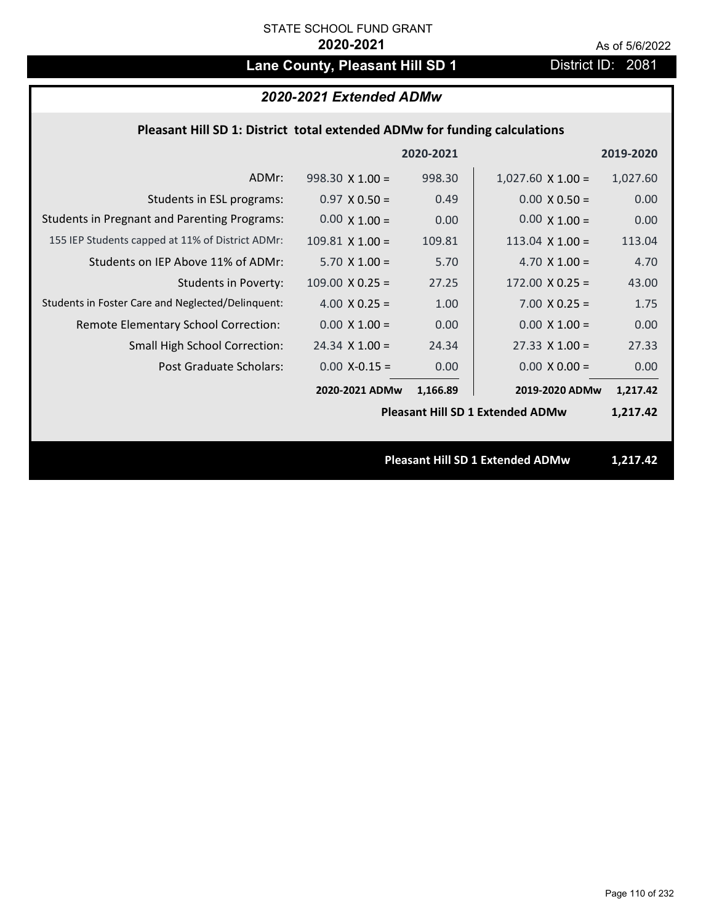# Lane County, Pleasant Hill SD 1 District ID: 2081

## *2020-2021 Extended ADMw*

## **Pleasant Hill SD 1: District total extended ADMw for funding calculations**

|                                                     |                        | 2020-2021 |                                         | 2019-2020 |
|-----------------------------------------------------|------------------------|-----------|-----------------------------------------|-----------|
| ADMr:                                               | $998.30 \times 1.00 =$ | 998.30    | $1,027.60 \times 1.00 =$                | 1,027.60  |
| Students in ESL programs:                           | $0.97 \times 0.50 =$   | 0.49      | $0.00 \times 0.50 =$                    | 0.00      |
| <b>Students in Pregnant and Parenting Programs:</b> | $0.00 \times 1.00 =$   | 0.00      | $0.00 \times 1.00 =$                    | 0.00      |
| 155 IEP Students capped at 11% of District ADMr:    | $109.81$ X 1.00 =      | 109.81    | 113.04 $X$ 1.00 =                       | 113.04    |
| Students on IEP Above 11% of ADMr:                  | $5.70 \times 1.00 =$   | 5.70      | 4.70 $X$ 1.00 =                         | 4.70      |
| <b>Students in Poverty:</b>                         | $109.00 \times 0.25 =$ | 27.25     | $172.00 \times 0.25 =$                  | 43.00     |
| Students in Foster Care and Neglected/Delinquent:   | 4.00 $X$ 0.25 =        | 1.00      | $7.00 \times 0.25 =$                    | 1.75      |
| Remote Elementary School Correction:                | $0.00 \times 1.00 =$   | 0.00      | $0.00 \times 1.00 =$                    | 0.00      |
| <b>Small High School Correction:</b>                | $24.34$ X $1.00 =$     | 24.34     | $27.33 \times 1.00 =$                   | 27.33     |
| Post Graduate Scholars:                             | $0.00$ X-0.15 =        | 0.00      | $0.00 \times 0.00 =$                    | 0.00      |
|                                                     | 2020-2021 ADMw         | 1,166.89  | 2019-2020 ADMw                          | 1,217.42  |
|                                                     |                        |           | <b>Pleasant Hill SD 1 Extended ADMw</b> | 1,217.42  |
|                                                     |                        |           |                                         |           |
|                                                     |                        |           | <b>Pleasant Hill SD 1 Extended ADMw</b> | 1,217.42  |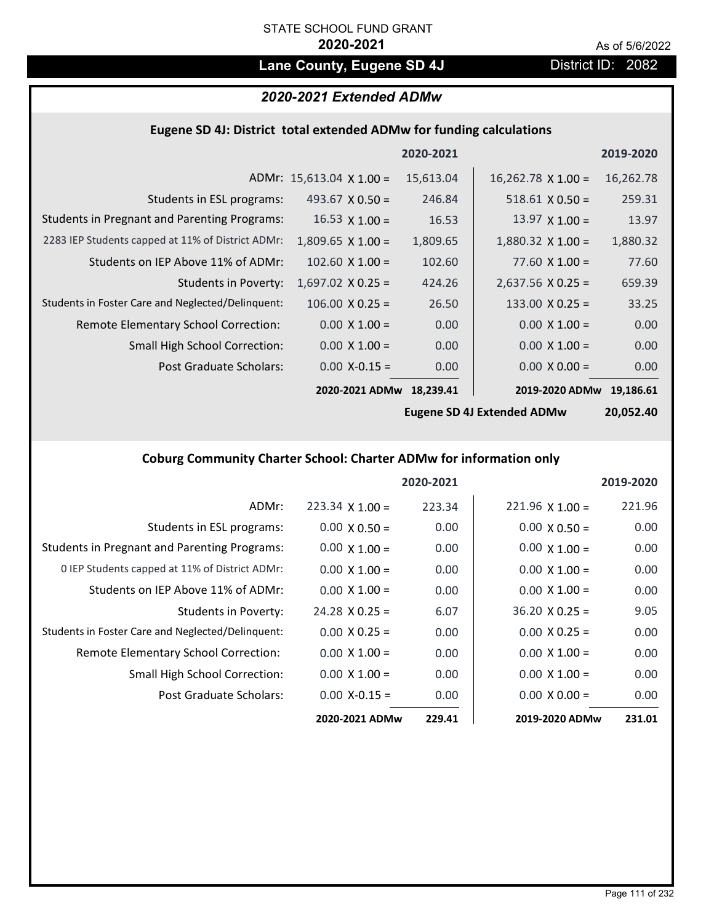## Lane County, Eugene SD 4J **District ID: 2082**

## *2020-2021 Extended ADMw*

## **Eugene SD 4J: District total extended ADMw for funding calculations**

|                                                     |                                 | 2020-2021 |                           | 2019-2020 |
|-----------------------------------------------------|---------------------------------|-----------|---------------------------|-----------|
|                                                     | ADMr: $15,613.04 \times 1.00 =$ | 15,613.04 | $16,262.78 \times 1.00 =$ | 16,262.78 |
| Students in ESL programs:                           | 493.67 $\times$ 0.50 =          | 246.84    | $518.61 \times 0.50 =$    | 259.31    |
| <b>Students in Pregnant and Parenting Programs:</b> | $16.53 \times 1.00 =$           | 16.53     | $13.97 \times 1.00 =$     | 13.97     |
| 2283 IEP Students capped at 11% of District ADMr:   | $1,809.65 \times 1.00 =$        | 1,809.65  | $1,880.32 \times 1.00 =$  | 1,880.32  |
| Students on IEP Above 11% of ADMr:                  | $102.60 \times 1.00 =$          | 102.60    | 77.60 $X$ 1.00 =          | 77.60     |
| Students in Poverty:                                | $1,697.02$ X 0.25 =             | 424.26    | $2,637.56$ X 0.25 =       | 659.39    |
| Students in Foster Care and Neglected/Delinquent:   | $106.00 \times 0.25 =$          | 26.50     | $133.00 \times 0.25 =$    | 33.25     |
| Remote Elementary School Correction:                | $0.00 \times 1.00 =$            | 0.00      | $0.00 \times 1.00 =$      | 0.00      |
| <b>Small High School Correction:</b>                | $0.00 \times 1.00 =$            | 0.00      | $0.00 \times 1.00 =$      | 0.00      |
| Post Graduate Scholars:                             | $0.00$ X-0.15 =                 | 0.00      | $0.00 \times 0.00 =$      | 0.00      |
|                                                     | 2020-2021 ADMw                  | 18,239.41 | 2019-2020 ADMw            | 19.186.61 |

**Eugene SD 4J Extended ADMw**

**20,052.40**

## **Coburg Community Charter School: Charter ADMw for information only**

|                                                     |                        | 2020-2021 |                        | 2019-2020 |
|-----------------------------------------------------|------------------------|-----------|------------------------|-----------|
| ADMr:                                               | $223.34 \times 1.00 =$ | 223.34    | $221.96 \times 1.00 =$ | 221.96    |
| Students in ESL programs:                           | $0.00 \times 0.50 =$   | 0.00      | $0.00 \times 0.50 =$   | 0.00      |
| <b>Students in Pregnant and Parenting Programs:</b> | $0.00 \times 1.00 =$   | 0.00      | $0.00 \times 1.00 =$   | 0.00      |
| 0 IEP Students capped at 11% of District ADMr:      | $0.00 \times 1.00 =$   | 0.00      | $0.00 \times 1.00 =$   | 0.00      |
| Students on IEP Above 11% of ADMr:                  | $0.00 \times 1.00 =$   | 0.00      | $0.00 \times 1.00 =$   | 0.00      |
| Students in Poverty:                                | $24.28 \times 0.25 =$  | 6.07      | $36.20 \times 0.25 =$  | 9.05      |
| Students in Foster Care and Neglected/Delinquent:   | $0.00 \times 0.25 =$   | 0.00      | $0.00 \times 0.25 =$   | 0.00      |
| Remote Elementary School Correction:                | $0.00 \times 1.00 =$   | 0.00      | $0.00 \times 1.00 =$   | 0.00      |
| <b>Small High School Correction:</b>                | $0.00 \times 1.00 =$   | 0.00      | $0.00 \times 1.00 =$   | 0.00      |
| Post Graduate Scholars:                             | $0.00$ X-0.15 =        | 0.00      | $0.00 \times 0.00 =$   | 0.00      |
|                                                     | 2020-2021 ADMw         | 229.41    | 2019-2020 ADMw         | 231.01    |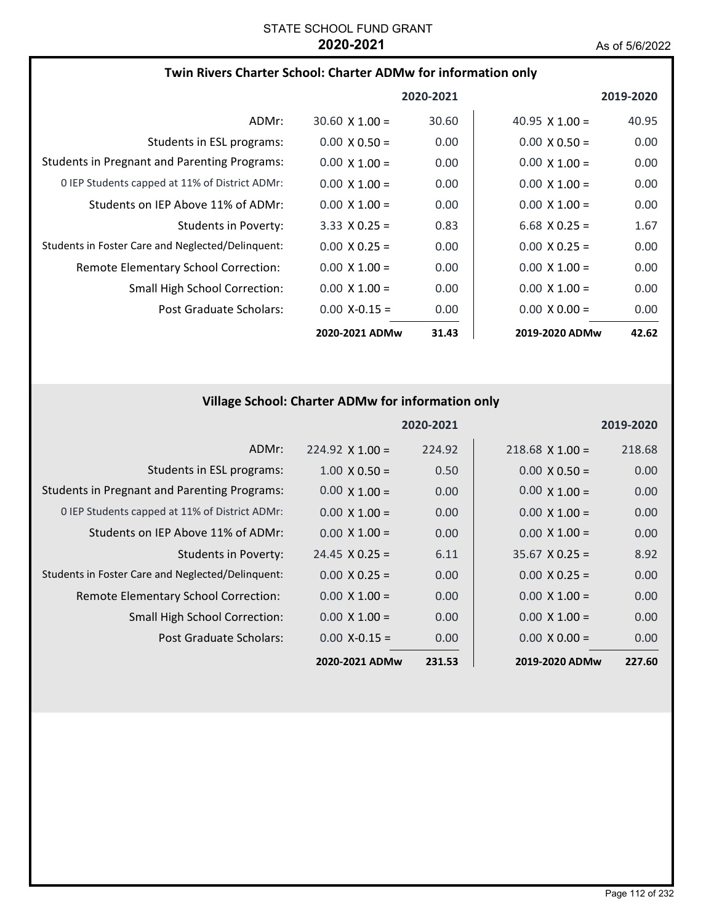### **Twin Rivers Charter School: Charter ADMw for information only**

|                                                     |                       | 2020-2021 |                       | 2019-2020         |
|-----------------------------------------------------|-----------------------|-----------|-----------------------|-------------------|
| ADMr:                                               | $30.60 \times 1.00 =$ | 30.60     | $40.95 \times 1.00 =$ | 40.95             |
| Students in ESL programs:                           | $0.00 \times 0.50 =$  | 0.00      | $0.00 \times 0.50 =$  | 0.00              |
| <b>Students in Pregnant and Parenting Programs:</b> | $0.00 \times 1.00 =$  | 0.00      | $0.00 \times 1.00 =$  | 0.00              |
| 0 IEP Students capped at 11% of District ADMr:      | $0.00 \times 1.00 =$  | 0.00      | $0.00 \times 1.00 =$  | 0.00              |
| Students on IEP Above 11% of ADMr:                  | $0.00 \times 1.00 =$  | 0.00      | $0.00 \times 1.00 =$  | 0.00 <sub>1</sub> |
| Students in Poverty:                                | $3.33 \times 0.25 =$  | 0.83      | $6.68$ X 0.25 =       | 1.67              |
| Students in Foster Care and Neglected/Delinquent:   | $0.00 \times 0.25 =$  | 0.00      | $0.00 \times 0.25 =$  | 0.00              |
| Remote Elementary School Correction:                | $0.00 \times 1.00 =$  | 0.00      | $0.00 \times 1.00 =$  | 0.00              |
| <b>Small High School Correction:</b>                | $0.00 \times 1.00 =$  | 0.00      | $0.00 \times 1.00 =$  | 0.00              |
| Post Graduate Scholars:                             | $0.00 X - 0.15 =$     | 0.00      | $0.00 \times 0.00 =$  | 0.00              |
|                                                     | 2020-2021 ADMw        | 31.43     | 2019-2020 ADMw        | 42.62             |

## **Village School: Charter ADMw for information only**

|                                                     |                        | 2020-2021 |                       | 2019-2020 |
|-----------------------------------------------------|------------------------|-----------|-----------------------|-----------|
| ADMr:                                               | $224.92 \times 1.00 =$ | 224.92    | $218.68$ X 1.00 =     | 218.68    |
| Students in ESL programs:                           | $1.00 \times 0.50 =$   | 0.50      | $0.00 \times 0.50 =$  | 0.00      |
| <b>Students in Pregnant and Parenting Programs:</b> | $0.00 \times 1.00 =$   | 0.00      | $0.00 \times 1.00 =$  | 0.00      |
| 0 IEP Students capped at 11% of District ADMr:      | $0.00 \times 1.00 =$   | 0.00      | $0.00 \times 1.00 =$  | 0.00      |
| Students on IEP Above 11% of ADMr:                  | $0.00 \times 1.00 =$   | 0.00      | $0.00 \times 1.00 =$  | 0.00      |
| Students in Poverty:                                | $24.45 \times 0.25 =$  | 6.11      | $35.67 \times 0.25 =$ | 8.92      |
| Students in Foster Care and Neglected/Delinquent:   | $0.00 \times 0.25 =$   | 0.00      | $0.00 \times 0.25 =$  | 0.00      |
| Remote Elementary School Correction:                | $0.00 \times 1.00 =$   | 0.00      | $0.00 \times 1.00 =$  | 0.00      |
| <b>Small High School Correction:</b>                | $0.00 \times 1.00 =$   | 0.00      | $0.00 \times 1.00 =$  | 0.00      |
| Post Graduate Scholars:                             | $0.00 X - 0.15 =$      | 0.00      | $0.00 \times 0.00 =$  | 0.00      |
|                                                     | 2020-2021 ADMw         | 231.53    | 2019-2020 ADMw        | 227.60    |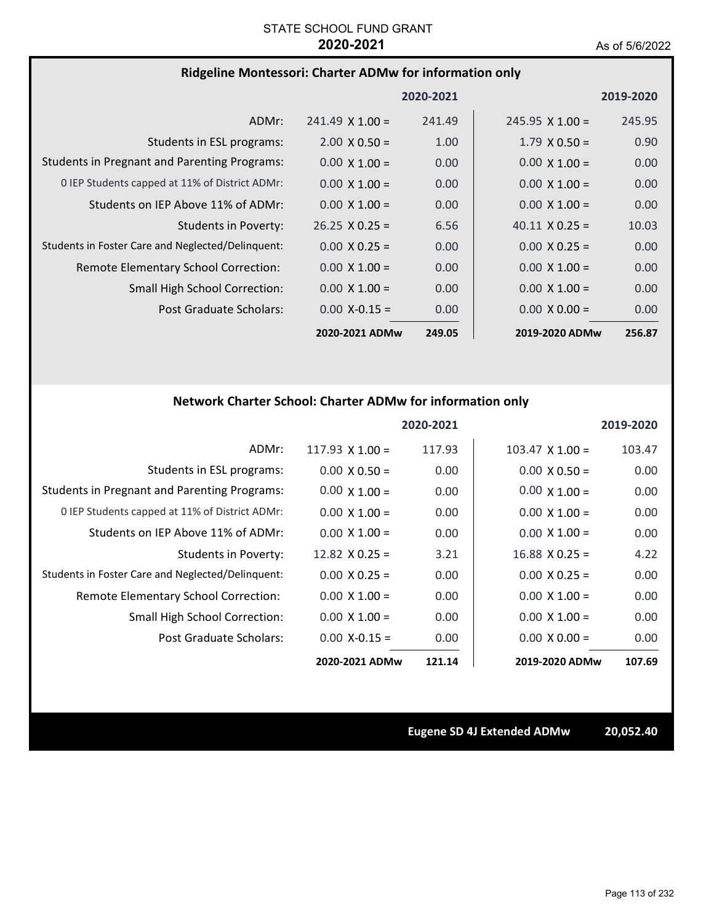### **Ridgeline Montessori: Charter ADMw for information only**

|                                                     |                        | 2020-2021 |                        | 2019-2020         |
|-----------------------------------------------------|------------------------|-----------|------------------------|-------------------|
| ADMr:                                               | $241.49 \times 1.00 =$ | 241.49    | $245.95 \times 1.00 =$ | 245.95            |
| Students in ESL programs:                           | $2.00 \times 0.50 =$   | 1.00      | $1.79 \times 0.50 =$   | 0.90              |
| <b>Students in Pregnant and Parenting Programs:</b> | $0.00 \times 1.00 =$   | 0.00      | $0.00 \times 1.00 =$   | 0.00              |
| 0 IEP Students capped at 11% of District ADMr:      | $0.00 \times 1.00 =$   | 0.00      | $0.00 \times 1.00 =$   | 0.00              |
| Students on IEP Above 11% of ADMr:                  | $0.00 \times 1.00 =$   | 0.00      | $0.00 \times 1.00 =$   | 0.00              |
| Students in Poverty:                                | $26.25 \times 0.25 =$  | 6.56      | $40.11 \times 0.25 =$  | 10.03             |
| Students in Foster Care and Neglected/Delinguent:   | $0.00 \times 0.25 =$   | 0.00      | $0.00 \times 0.25 =$   | 0.00              |
| Remote Elementary School Correction:                | $0.00 \times 1.00 =$   | 0.00      | $0.00 \times 1.00 =$   | 0.00 <sub>1</sub> |
| <b>Small High School Correction:</b>                | $0.00 \times 1.00 =$   | 0.00      | $0.00 \times 1.00 =$   | 0.00              |
| Post Graduate Scholars:                             | $0.00 X - 0.15 =$      | 0.00      | $0.00 \times 0.00 =$   | 0.00              |
|                                                     | 2020-2021 ADMw         | 249.05    | 2019-2020 ADMw         | 256.87            |

## **Network Charter School: Charter ADMw for information only**

|                                                     |                       | 2020-2021 |                        | 2019-2020 |
|-----------------------------------------------------|-----------------------|-----------|------------------------|-----------|
| ADMr:                                               | 117.93 $X$ 1.00 =     | 117.93    | $103.47 \times 1.00 =$ | 103.47    |
| Students in ESL programs:                           | $0.00 \times 0.50 =$  | 0.00      | $0.00 \times 0.50 =$   | 0.00      |
| <b>Students in Pregnant and Parenting Programs:</b> | $0.00 \times 1.00 =$  | 0.00      | $0.00 \times 1.00 =$   | 0.00      |
| 0 IEP Students capped at 11% of District ADMr:      | $0.00 \times 1.00 =$  | 0.00      | $0.00 \times 1.00 =$   | 0.00      |
| Students on IEP Above 11% of ADMr:                  | $0.00 \times 1.00 =$  | 0.00      | $0.00 \times 1.00 =$   | 0.00      |
| <b>Students in Poverty:</b>                         | $12.82 \times 0.25 =$ | 3.21      | $16.88 \times 0.25 =$  | 4.22      |
| Students in Foster Care and Neglected/Delinquent:   | $0.00 \times 0.25 =$  | 0.00      | $0.00 \times 0.25 =$   | 0.00      |
| Remote Elementary School Correction:                | $0.00 \times 1.00 =$  | 0.00      | $0.00 \times 1.00 =$   | 0.00      |
| <b>Small High School Correction:</b>                | $0.00 \times 1.00 =$  | 0.00      | $0.00 \times 1.00 =$   | 0.00      |
| Post Graduate Scholars:                             | $0.00$ X-0.15 =       | 0.00      | $0.00 \times 0.00 =$   | 0.00      |
|                                                     | 2020-2021 ADMw        | 121.14    | 2019-2020 ADMw         | 107.69    |

**Eugene SD 4J Extended ADMw 20,052.40**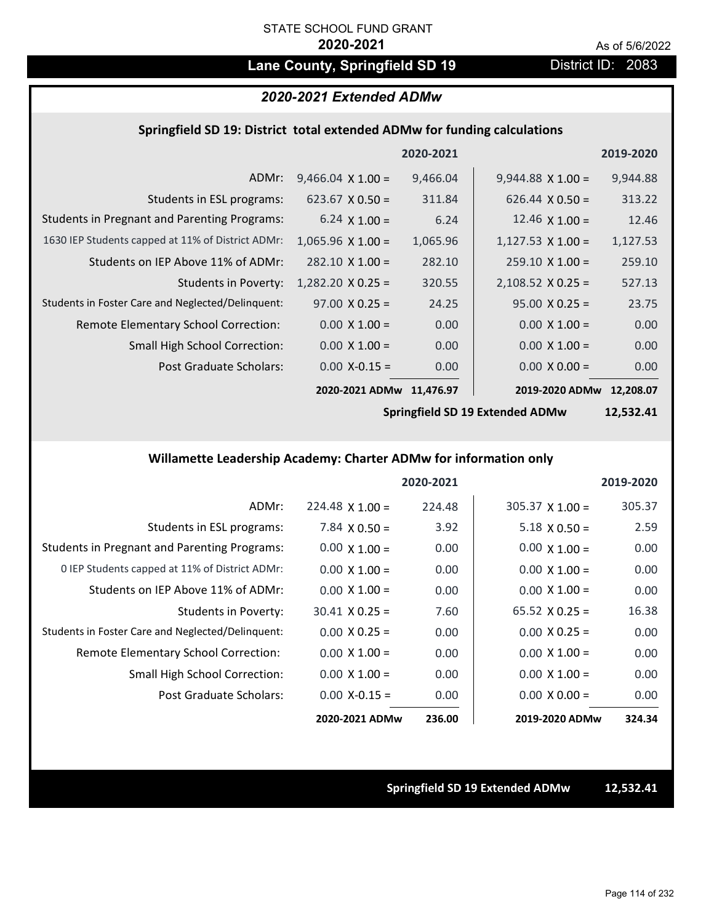# Lane County, Springfield SD 19 **District ID: 2083**

## *2020-2021 Extended ADMw*

### **Springfield SD 19: District total extended ADMw for funding calculations**

|                                                     |                          | 2020-2021 |                          | 2019-2020 |
|-----------------------------------------------------|--------------------------|-----------|--------------------------|-----------|
| ADMr:                                               | $9,466.04 \times 1.00 =$ | 9,466.04  | $9,944.88 \times 1.00 =$ | 9,944.88  |
| Students in ESL programs:                           | $623.67 \times 0.50 =$   | 311.84    | $626.44 \times 0.50 =$   | 313.22    |
| <b>Students in Pregnant and Parenting Programs:</b> | 6.24 $\times$ 1.00 =     | 6.24      | 12.46 $\times$ 1.00 =    | 12.46     |
| 1630 IEP Students capped at 11% of District ADMr:   | $1,065.96 \times 1.00 =$ | 1,065.96  | $1,127.53 \times 1.00 =$ | 1,127.53  |
| Students on IEP Above 11% of ADMr:                  | $282.10 \times 1.00 =$   | 282.10    | $259.10 \times 1.00 =$   | 259.10    |
| <b>Students in Poverty:</b>                         | $1,282.20 \times 0.25 =$ | 320.55    | $2,108.52 \times 0.25 =$ | 527.13    |
| Students in Foster Care and Neglected/Delinquent:   | $97.00 \times 0.25 =$    | 24.25     | $95.00 \times 0.25 =$    | 23.75     |
| Remote Elementary School Correction:                | $0.00 \times 1.00 =$     | 0.00      | $0.00 \times 1.00 =$     | 0.00      |
| <b>Small High School Correction:</b>                | $0.00 \times 1.00 =$     | 0.00      | $0.00 \times 1.00 =$     | 0.00      |
| Post Graduate Scholars:                             | $0.00 X - 0.15 =$        | 0.00      | $0.00 \times 0.00 =$     | 0.00      |
|                                                     | 2020-2021 ADMw           | 11.476.97 | 2019-2020 ADMw           | 12.208.07 |

**Springfield SD 19 Extended ADMw**

**12,532.41**

## **Willamette Leadership Academy: Charter ADMw for information only**

|                                                     |                        | 2020-2021 |                        | 2019-2020 |
|-----------------------------------------------------|------------------------|-----------|------------------------|-----------|
| ADMr:                                               | $224.48 \times 1.00 =$ | 224.48    | $305.37 \times 1.00 =$ | 305.37    |
| Students in ESL programs:                           | $7.84 \times 0.50 =$   | 3.92      | $5.18 \times 0.50 =$   | 2.59      |
| <b>Students in Pregnant and Parenting Programs:</b> | $0.00 \times 1.00 =$   | 0.00      | $0.00 \times 1.00 =$   | 0.00      |
| 0 IEP Students capped at 11% of District ADMr:      | $0.00 \times 1.00 =$   | 0.00      | $0.00 \times 1.00 =$   | 0.00      |
| Students on IEP Above 11% of ADMr:                  | $0.00 \times 1.00 =$   | 0.00      | $0.00 \times 1.00 =$   | 0.00      |
| Students in Poverty:                                | $30.41 \times 0.25 =$  | 7.60      | $65.52 \times 0.25 =$  | 16.38     |
| Students in Foster Care and Neglected/Delinquent:   | $0.00 \times 0.25 =$   | 0.00      | $0.00 \times 0.25 =$   | 0.00      |
| Remote Elementary School Correction:                | $0.00 \times 1.00 =$   | 0.00      | $0.00 \times 1.00 =$   | 0.00      |
| <b>Small High School Correction:</b>                | $0.00 \times 1.00 =$   | 0.00      | $0.00 \times 1.00 =$   | 0.00      |
| Post Graduate Scholars:                             | $0.00$ X-0.15 =        | 0.00      | $0.00 \times 0.00 =$   | 0.00      |
|                                                     | 2020-2021 ADMw         | 236.00    | 2019-2020 ADMw         | 324.34    |

**Springfield SD 19 Extended ADMw 12,532.41**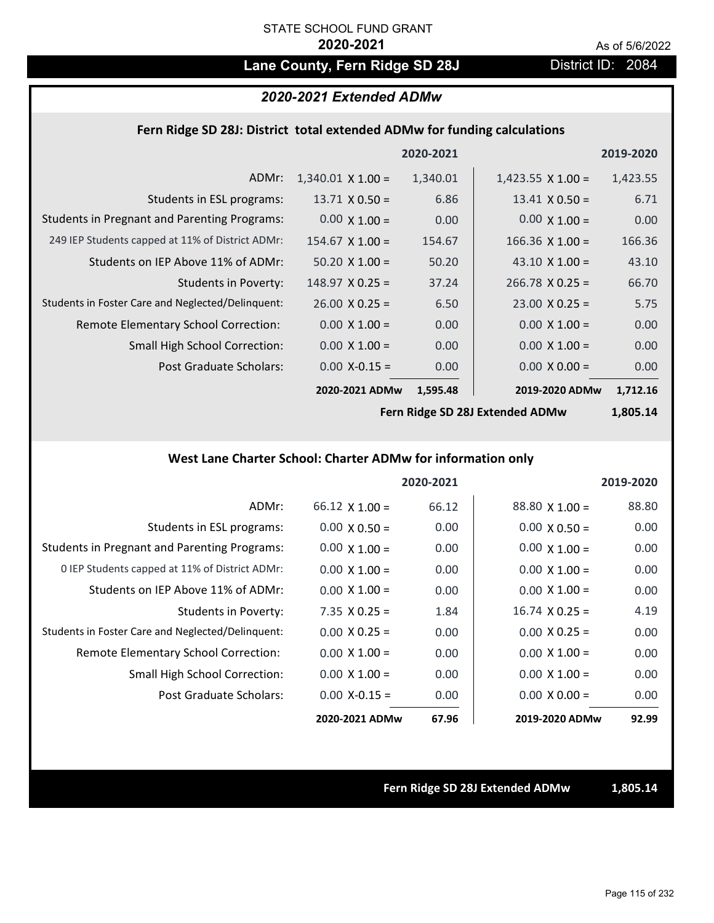## Lane County, Fern Ridge SD 28J District ID: 2084

### *2020-2021 Extended ADMw*

### **Fern Ridge SD 28J: District total extended ADMw for funding calculations**

|                                                     |                          | 2020-2021 |                          | 2019-2020 |
|-----------------------------------------------------|--------------------------|-----------|--------------------------|-----------|
| ADMr:                                               | $1,340.01 \times 1.00 =$ | 1,340.01  | $1,423.55 \times 1.00 =$ | 1,423.55  |
| Students in ESL programs:                           | $13.71 \times 0.50 =$    | 6.86      | $13.41 \times 0.50 =$    | 6.71      |
| <b>Students in Pregnant and Parenting Programs:</b> | $0.00 \times 1.00 =$     | 0.00      | $0.00 \times 1.00 =$     | 0.00      |
| 249 IEP Students capped at 11% of District ADMr:    | $154.67 \times 1.00 =$   | 154.67    | $166.36 \times 1.00 =$   | 166.36    |
| Students on IEP Above 11% of ADMr:                  | $50.20 \times 1.00 =$    | 50.20     | 43.10 $\times$ 1.00 =    | 43.10     |
| Students in Poverty:                                | $148.97 \times 0.25 =$   | 37.24     | $266.78 \times 0.25 =$   | 66.70     |
| Students in Foster Care and Neglected/Delinquent:   | $26.00 \times 0.25 =$    | 6.50      | $23.00 \times 0.25 =$    | 5.75      |
| Remote Elementary School Correction:                | $0.00 \times 1.00 =$     | 0.00      | $0.00 \times 1.00 =$     | 0.00      |
| <b>Small High School Correction:</b>                | $0.00 \times 1.00 =$     | 0.00      | $0.00 \times 1.00 =$     | 0.00      |
| Post Graduate Scholars:                             | $0.00$ X-0.15 =          | 0.00      | $0.00 \times 0.00 =$     | 0.00      |
|                                                     | 2020-2021 ADMw           | 1,595.48  | 2019-2020 ADMw           | 1,712.16  |

**Fern Ridge SD 28J Extended ADMw**

**1,805.14**

### **West Lane Charter School: Charter ADMw for information only**

|                                                     |                       | 2020-2021 |                       | 2019-2020 |
|-----------------------------------------------------|-----------------------|-----------|-----------------------|-----------|
| ADMr:                                               | $66.12 \times 1.00 =$ | 66.12     | $88.80$ X 1.00 =      | 88.80     |
| Students in ESL programs:                           | $0.00 \times 0.50 =$  | 0.00      | $0.00 \times 0.50 =$  | 0.00      |
| <b>Students in Pregnant and Parenting Programs:</b> | $0.00 \times 1.00 =$  | 0.00      | $0.00 \times 1.00 =$  | 0.00      |
| 0 IEP Students capped at 11% of District ADMr:      | $0.00 \times 1.00 =$  | 0.00      | $0.00 \times 1.00 =$  | 0.00      |
| Students on IEP Above 11% of ADMr:                  | $0.00 \times 1.00 =$  | 0.00      | $0.00 \times 1.00 =$  | 0.00      |
| Students in Poverty:                                | $7.35 \times 0.25 =$  | 1.84      | $16.74 \times 0.25 =$ | 4.19      |
| Students in Foster Care and Neglected/Delinquent:   | $0.00 \times 0.25 =$  | 0.00      | $0.00 \times 0.25 =$  | 0.00      |
| Remote Elementary School Correction:                | $0.00 \times 1.00 =$  | 0.00      | $0.00 \times 1.00 =$  | 0.00      |
| <b>Small High School Correction:</b>                | $0.00 \times 1.00 =$  | 0.00      | $0.00 \times 1.00 =$  | 0.00      |
| Post Graduate Scholars:                             | $0.00 X - 0.15 =$     | 0.00      | $0.00 \times 0.00 =$  | 0.00      |
|                                                     | 2020-2021 ADMw        | 67.96     | 2019-2020 ADMw        | 92.99     |

**Fern Ridge SD 28J Extended ADMw 1,805.14**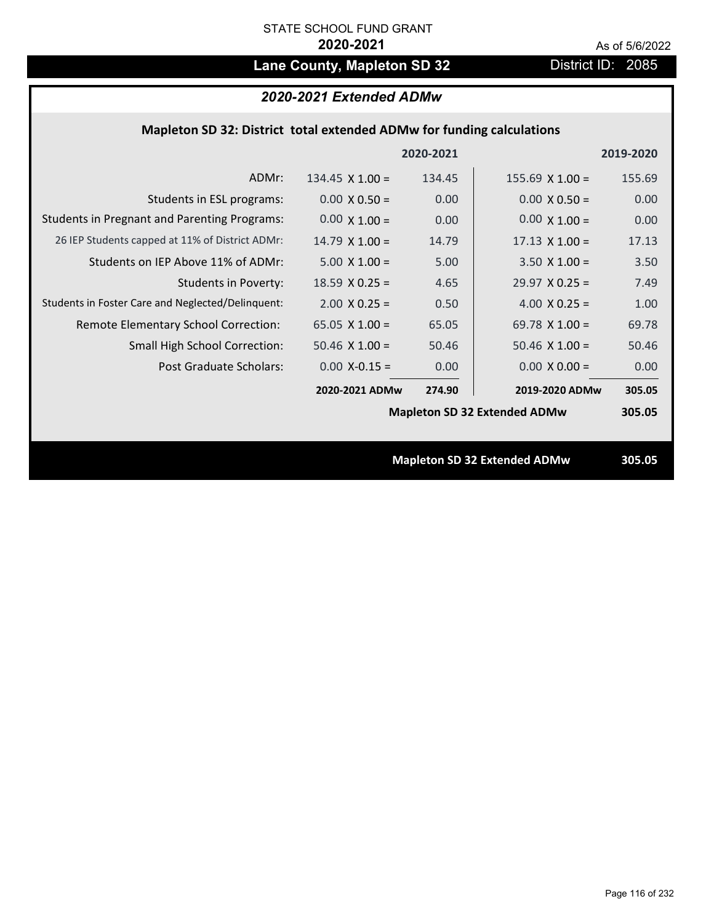# Lane County, Mapleton SD 32 District ID: 2085

## *2020-2021 Extended ADMw*

### **Mapleton SD 32: District total extended ADMw for funding calculations**

|                                                     |                        | 2020-2021 |                                     | 2019-2020 |
|-----------------------------------------------------|------------------------|-----------|-------------------------------------|-----------|
| ADMr:                                               | $134.45 \times 1.00 =$ | 134.45    | $155.69$ X $1.00 =$                 | 155.69    |
| Students in ESL programs:                           | $0.00 \times 0.50 =$   | 0.00      | $0.00 \times 0.50 =$                | 0.00      |
| <b>Students in Pregnant and Parenting Programs:</b> | $0.00 \times 1.00 =$   | 0.00      | $0.00 \times 1.00 =$                | 0.00      |
| 26 IEP Students capped at 11% of District ADMr:     | $14.79 \times 1.00 =$  | 14.79     | $17.13 \times 1.00 =$               | 17.13     |
| Students on IEP Above 11% of ADMr:                  | $5.00 \times 1.00 =$   | 5.00      | $3.50 \times 1.00 =$                | 3.50      |
| <b>Students in Poverty:</b>                         | $18.59$ X 0.25 =       | 4.65      | $29.97 \times 0.25 =$               | 7.49      |
| Students in Foster Care and Neglected/Delinquent:   | $2.00 \times 0.25 =$   | 0.50      | 4.00 $X$ 0.25 =                     | 1.00      |
| Remote Elementary School Correction:                | 65.05 $X$ 1.00 =       | 65.05     | 69.78 $\times$ 1.00 =               | 69.78     |
| <b>Small High School Correction:</b>                | $50.46$ X $1.00 =$     | 50.46     | $50.46$ X 1.00 =                    | 50.46     |
| Post Graduate Scholars:                             | $0.00$ X-0.15 =        | 0.00      | $0.00 \times 0.00 =$                | 0.00      |
|                                                     | 2020-2021 ADMw         | 274.90    | 2019-2020 ADMw                      | 305.05    |
|                                                     |                        |           | <b>Mapleton SD 32 Extended ADMw</b> | 305.05    |
|                                                     |                        |           |                                     |           |
|                                                     |                        |           | <b>Mapleton SD 32 Extended ADMw</b> | 305.05    |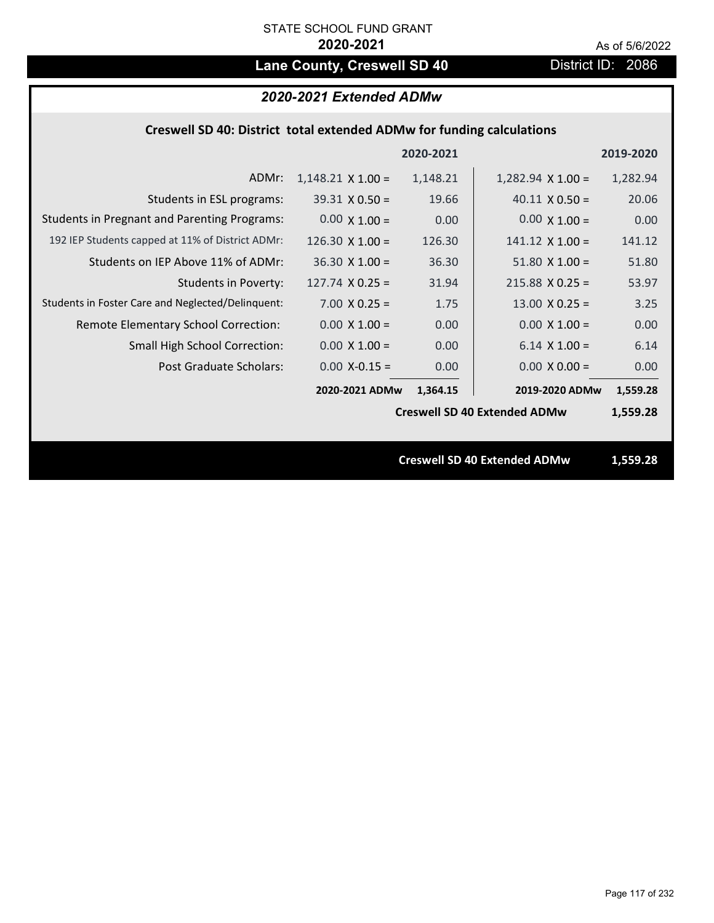# Lane County, Creswell SD 40 District ID: 2086

## *2020-2021 Extended ADMw*

## **Creswell SD 40: District total extended ADMw for funding calculations**

|                                                     |                          | 2020-2021 |                                     | 2019-2020 |  |
|-----------------------------------------------------|--------------------------|-----------|-------------------------------------|-----------|--|
| ADMr:                                               | $1,148.21 \times 1.00 =$ | 1,148.21  | $1,282.94 \times 1.00 =$            | 1,282.94  |  |
| Students in ESL programs:                           | $39.31 \times 0.50 =$    | 19.66     | $40.11 \times 0.50 =$               | 20.06     |  |
| <b>Students in Pregnant and Parenting Programs:</b> | $0.00 \times 1.00 =$     | 0.00      | $0.00 \times 1.00 =$                | 0.00      |  |
| 192 IEP Students capped at 11% of District ADMr:    | 126.30 $\times$ 1.00 =   | 126.30    | $141.12 \times 1.00 =$              | 141.12    |  |
| Students on IEP Above 11% of ADMr:                  | $36.30 \times 1.00 =$    | 36.30     | $51.80$ X $1.00 =$                  | 51.80     |  |
| <b>Students in Poverty:</b>                         | $127.74$ X 0.25 =        | 31.94     | $215.88$ X 0.25 =                   | 53.97     |  |
| Students in Foster Care and Neglected/Delinquent:   | $7.00 \times 0.25 =$     | 1.75      | $13.00 \times 0.25 =$               | 3.25      |  |
| Remote Elementary School Correction:                | $0.00 \times 1.00 =$     | 0.00      | $0.00 \times 1.00 =$                | 0.00      |  |
| <b>Small High School Correction:</b>                | $0.00 \times 1.00 =$     | 0.00      | $6.14$ X $1.00 =$                   | 6.14      |  |
| Post Graduate Scholars:                             | $0.00$ X-0.15 =          | 0.00      | $0.00 \times 0.00 =$                | 0.00      |  |
|                                                     | 2020-2021 ADMw           | 1,364.15  | 2019-2020 ADMw                      | 1,559.28  |  |
|                                                     |                          |           | <b>Creswell SD 40 Extended ADMw</b> | 1,559.28  |  |
|                                                     |                          |           |                                     |           |  |
|                                                     |                          |           | <b>Creswell SD 40 Extended ADMw</b> | 1,559.28  |  |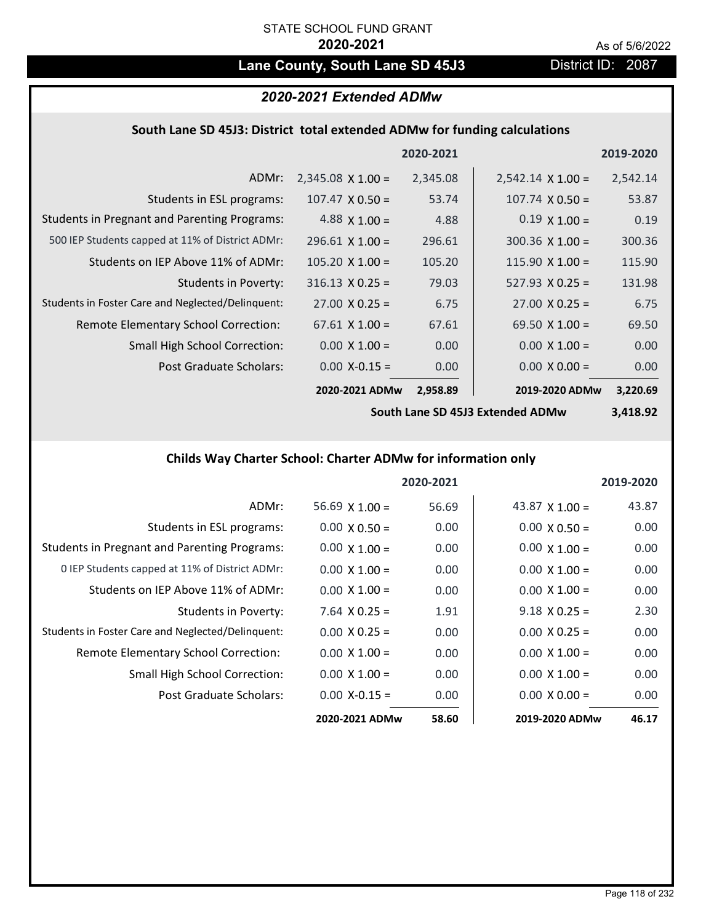## Lane County, South Lane SD 45J3 District ID: 2087

## *2020-2021 Extended ADMw*

### **South Lane SD 45J3: District total extended ADMw for funding calculations**

|                                                     |                          | 2020-2021 |                          | 2019-2020 |
|-----------------------------------------------------|--------------------------|-----------|--------------------------|-----------|
| ADMr:                                               | $2,345.08 \times 1.00 =$ | 2,345.08  | $2,542.14 \times 1.00 =$ | 2,542.14  |
| Students in ESL programs:                           | $107.47 \times 0.50 =$   | 53.74     | $107.74 \times 0.50 =$   | 53.87     |
| <b>Students in Pregnant and Parenting Programs:</b> | 4.88 $\times$ 1.00 =     | 4.88      | $0.19 \times 1.00 =$     | 0.19      |
| 500 IEP Students capped at 11% of District ADMr:    | $296.61 \times 1.00 =$   | 296.61    | $300.36 \times 1.00 =$   | 300.36    |
| Students on IEP Above 11% of ADMr:                  | $105.20 \times 1.00 =$   | 105.20    | $115.90 \times 1.00 =$   | 115.90    |
| Students in Poverty:                                | $316.13 \times 0.25 =$   | 79.03     | $527.93 \times 0.25 =$   | 131.98    |
| Students in Foster Care and Neglected/Delinquent:   | $27.00 \times 0.25 =$    | 6.75      | $27.00 \times 0.25 =$    | 6.75      |
| Remote Elementary School Correction:                | $67.61 \times 1.00 =$    | 67.61     | 69.50 $\times$ 1.00 =    | 69.50     |
| <b>Small High School Correction:</b>                | $0.00 \times 1.00 =$     | 0.00      | $0.00 \times 1.00 =$     | 0.00      |
| Post Graduate Scholars:                             | $0.00$ X-0.15 =          | 0.00      | $0.00 \times 0.00 =$     | 0.00      |
|                                                     | 2020-2021 ADMw           | 2,958.89  | 2019-2020 ADMw           | 3,220.69  |

**South Lane SD 45J3 Extended ADMw**

**3,418.92**

## **Childs Way Charter School: Charter ADMw for information only**

|                                                     |                       | 2020-2021 |                       | 2019-2020 |
|-----------------------------------------------------|-----------------------|-----------|-----------------------|-----------|
| ADMr:                                               | $56.69 \times 1.00 =$ | 56.69     | 43.87 $\times$ 1.00 = | 43.87     |
| Students in ESL programs:                           | $0.00 \times 0.50 =$  | 0.00      | $0.00 \times 0.50 =$  | 0.00      |
| <b>Students in Pregnant and Parenting Programs:</b> | $0.00 \times 1.00 =$  | 0.00      | $0.00 \times 1.00 =$  | 0.00      |
| 0 IEP Students capped at 11% of District ADMr:      | $0.00 \times 1.00 =$  | 0.00      | $0.00 \times 1.00 =$  | 0.00      |
| Students on IEP Above 11% of ADMr:                  | $0.00 \times 1.00 =$  | 0.00      | $0.00 \times 1.00 =$  | 0.00      |
| Students in Poverty:                                | $7.64$ X 0.25 =       | 1.91      | $9.18 \times 0.25 =$  | 2.30      |
| Students in Foster Care and Neglected/Delinquent:   | $0.00 \times 0.25 =$  | 0.00      | $0.00 \times 0.25 =$  | 0.00      |
| Remote Elementary School Correction:                | $0.00 \times 1.00 =$  | 0.00      | $0.00 \times 1.00 =$  | 0.00      |
| <b>Small High School Correction:</b>                | $0.00 \times 1.00 =$  | 0.00      | $0.00 \times 1.00 =$  | 0.00      |
| Post Graduate Scholars:                             | $0.00 X - 0.15 =$     | 0.00      | $0.00 \times 0.00 =$  | 0.00      |
|                                                     | 2020-2021 ADMw        | 58.60     | 2019-2020 ADMw        | 46.17     |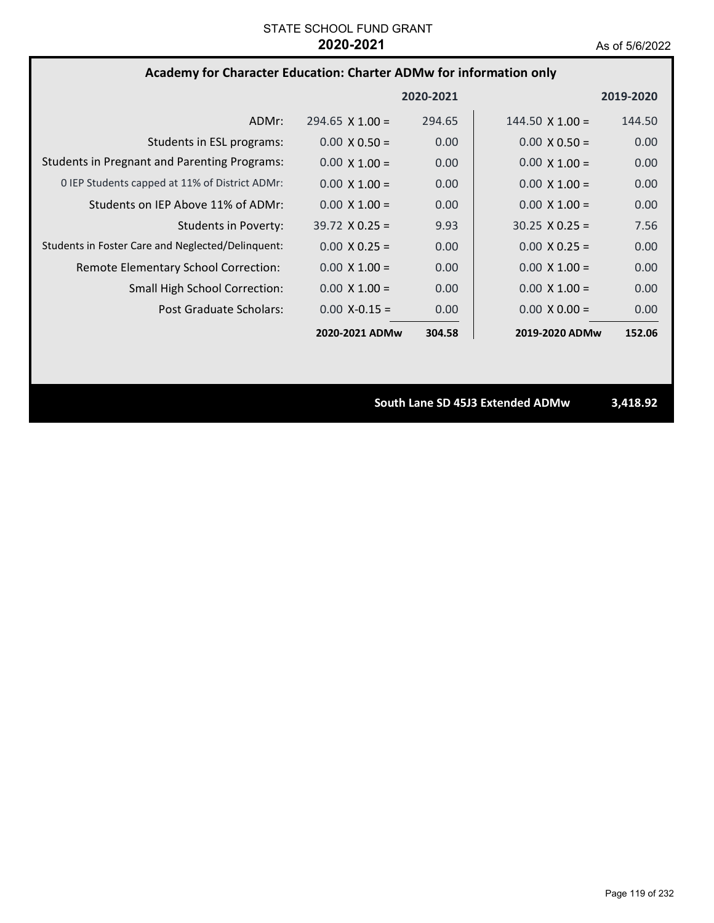## **Academy for Character Education: Charter ADMw for information only**

|                                                     |                        | 2020-2021         |                        | 2019-2020 |
|-----------------------------------------------------|------------------------|-------------------|------------------------|-----------|
| ADMr:                                               | $294.65 \times 1.00 =$ | 294.65            | $144.50 \times 1.00 =$ | 144.50    |
| Students in ESL programs:                           | $0.00 \times 0.50 =$   | 0.00              | $0.00 \times 0.50 =$   | 0.00      |
| <b>Students in Pregnant and Parenting Programs:</b> | $0.00 \times 1.00 =$   | 0.00              | $0.00 \times 1.00 =$   | 0.00      |
| 0 IEP Students capped at 11% of District ADMr:      | $0.00 \times 1.00 =$   | 0.00              | $0.00 \times 1.00 =$   | 0.00      |
| Students on IEP Above 11% of ADMr:                  | $0.00 \times 1.00 =$   | 0.00              | $0.00 \times 1.00 =$   | 0.00      |
| Students in Poverty:                                | $39.72 \times 0.25 =$  | 9.93              | $30.25 \times 0.25 =$  | 7.56      |
| Students in Foster Care and Neglected/Delinquent:   | $0.00 \times 0.25 =$   | 0.00              | $0.00 \times 0.25 =$   | 0.00      |
| Remote Elementary School Correction:                | $0.00 \times 1.00 =$   | 0.00 <sub>1</sub> | $0.00 \times 1.00 =$   | 0.00      |
| <b>Small High School Correction:</b>                | $0.00 \times 1.00 =$   | 0.00              | $0.00 \times 1.00 =$   | 0.00      |
| Post Graduate Scholars:                             | $0.00 X - 0.15 =$      | 0.00              | $0.00 \times 0.00 =$   | 0.00      |
|                                                     | 2020-2021 ADMw         | 304.58            | 2019-2020 ADMw         | 152.06    |

**South Lane SD 45J3 Extended ADMw 3,418.92**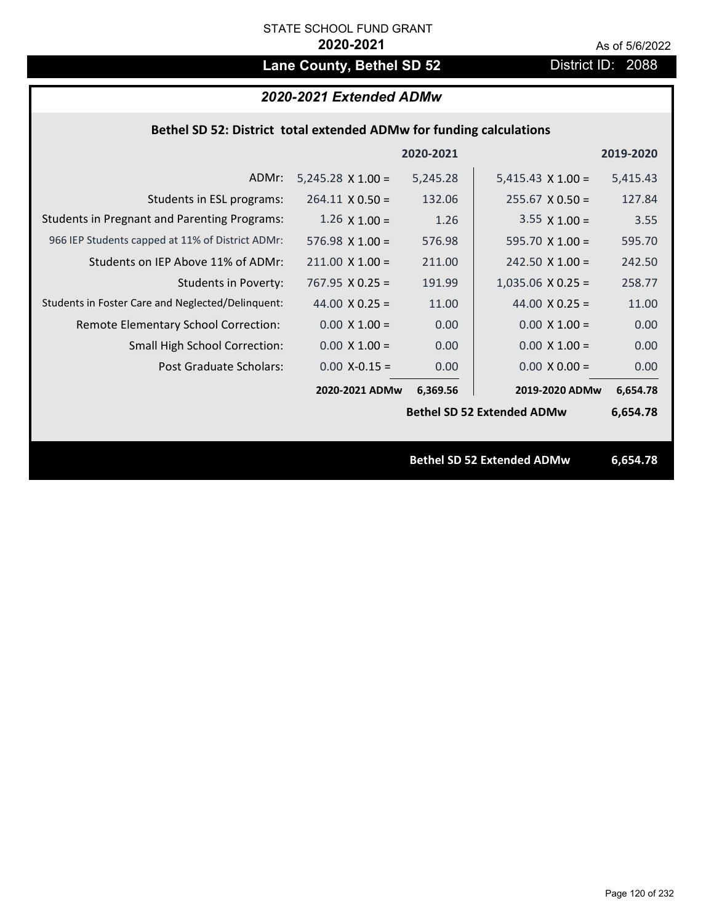# Lane County, Bethel SD 52 District ID: 2088

## *2020-2021 Extended ADMw*

### **Bethel SD 52: District total extended ADMw for funding calculations**

|                                                     |                          | 2020-2021 |                                   | 2019-2020 |
|-----------------------------------------------------|--------------------------|-----------|-----------------------------------|-----------|
| ADMr:                                               | $5,245.28 \times 1.00 =$ | 5,245.28  | $5,415.43 \times 1.00 =$          | 5,415.43  |
| Students in ESL programs:                           | $264.11 \times 0.50 =$   | 132.06    | $255.67 \times 0.50 =$            | 127.84    |
| <b>Students in Pregnant and Parenting Programs:</b> | $1.26 \times 1.00 =$     | 1.26      | 3.55 $\times$ 1.00 =              | 3.55      |
| 966 IEP Students capped at 11% of District ADMr:    | $576.98 \times 1.00 =$   | 576.98    | 595.70 $X$ 1.00 =                 | 595.70    |
| Students on IEP Above 11% of ADMr:                  | $211.00$ X $1.00 =$      | 211.00    | $242.50 \times 1.00 =$            | 242.50    |
| <b>Students in Poverty:</b>                         | $767.95 \times 0.25 =$   | 191.99    | $1,035.06$ X 0.25 =               | 258.77    |
| Students in Foster Care and Neglected/Delinquent:   | 44.00 $X$ 0.25 =         | 11.00     | 44.00 $X$ 0.25 =                  | 11.00     |
| Remote Elementary School Correction:                | $0.00 \times 1.00 =$     | 0.00      | $0.00 \times 1.00 =$              | 0.00      |
| <b>Small High School Correction:</b>                | $0.00 \times 1.00 =$     | 0.00      | $0.00 \times 1.00 =$              | 0.00      |
| Post Graduate Scholars:                             | $0.00$ X-0.15 =          | 0.00      | $0.00 \times 0.00 =$              | 0.00      |
|                                                     | 2020-2021 ADMw           | 6,369.56  | 2019-2020 ADMw                    | 6,654.78  |
|                                                     |                          |           | <b>Bethel SD 52 Extended ADMw</b> | 6,654.78  |
|                                                     |                          |           |                                   |           |
|                                                     |                          |           | <b>Bethel SD 52 Extended ADMw</b> | 6,654.78  |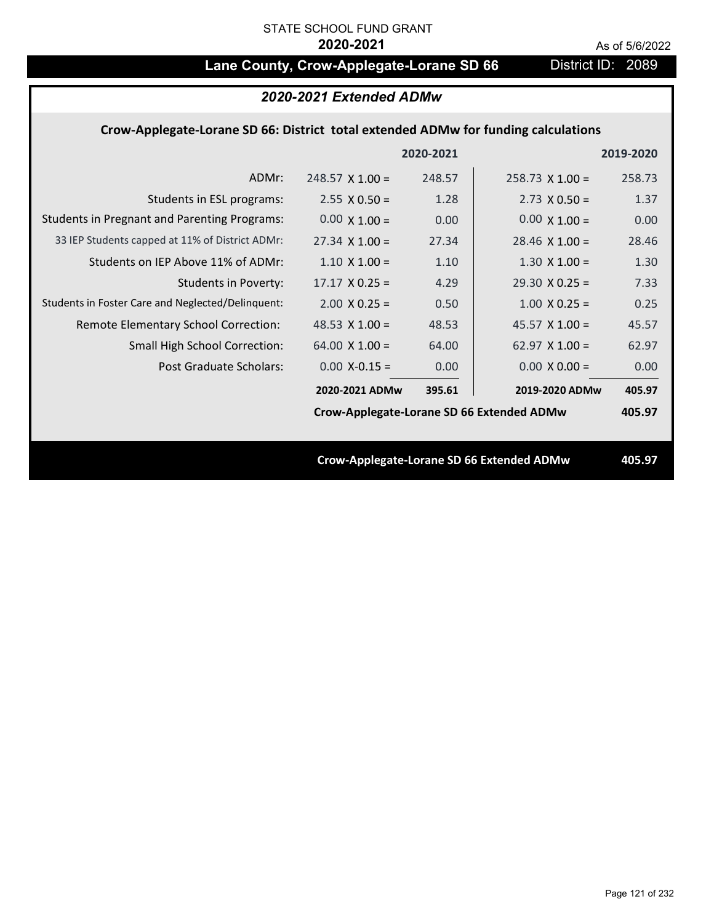# Lane County, Crow-Applegate-Lorane SD 66 District ID: 2089

| 2020-2021 Extended ADMw                                                            |                                           |           |                                                  |           |  |
|------------------------------------------------------------------------------------|-------------------------------------------|-----------|--------------------------------------------------|-----------|--|
| Crow-Applegate-Lorane SD 66: District total extended ADMw for funding calculations |                                           |           |                                                  |           |  |
|                                                                                    |                                           | 2020-2021 |                                                  | 2019-2020 |  |
| ADMr:                                                                              | $248.57 \times 1.00 =$                    | 248.57    | $258.73 \times 1.00 =$                           | 258.73    |  |
| Students in ESL programs:                                                          | $2.55 \times 0.50 =$                      | 1.28      | $2.73 \times 0.50 =$                             | 1.37      |  |
| <b>Students in Pregnant and Parenting Programs:</b>                                | $0.00 \times 1.00 =$                      | 0.00      | $0.00 \times 1.00 =$                             | 0.00      |  |
| 33 IEP Students capped at 11% of District ADMr:                                    | $27.34 \times 1.00 =$                     | 27.34     | $28.46 \times 1.00 =$                            | 28.46     |  |
| Students on IEP Above 11% of ADMr:                                                 | $1.10 \times 1.00 =$                      | 1.10      | $1.30 \times 1.00 =$                             | 1.30      |  |
| <b>Students in Poverty:</b>                                                        | $17.17 \times 0.25 =$                     | 4.29      | $29.30 \times 0.25 =$                            | 7.33      |  |
| Students in Foster Care and Neglected/Delinquent:                                  | $2.00 \times 0.25 =$                      | 0.50      | $1.00 \times 0.25 =$                             | 0.25      |  |
| Remote Elementary School Correction:                                               | 48.53 $X$ 1.00 =                          | 48.53     | 45.57 $X$ 1.00 =                                 | 45.57     |  |
| Small High School Correction:                                                      | $64.00 \times 1.00 =$                     | 64.00     | 62.97 $X$ 1.00 =                                 | 62.97     |  |
| <b>Post Graduate Scholars:</b>                                                     | $0.00$ X-0.15 =                           | 0.00      | $0.00 \times 0.00 =$                             | 0.00      |  |
|                                                                                    | 2020-2021 ADMw                            | 395.61    | 2019-2020 ADMw                                   | 405.97    |  |
|                                                                                    | Crow-Applegate-Lorane SD 66 Extended ADMw |           |                                                  | 405.97    |  |
|                                                                                    |                                           |           | <b>Crow-Applegate-Lorane SD 66 Extended ADMw</b> | 405.97    |  |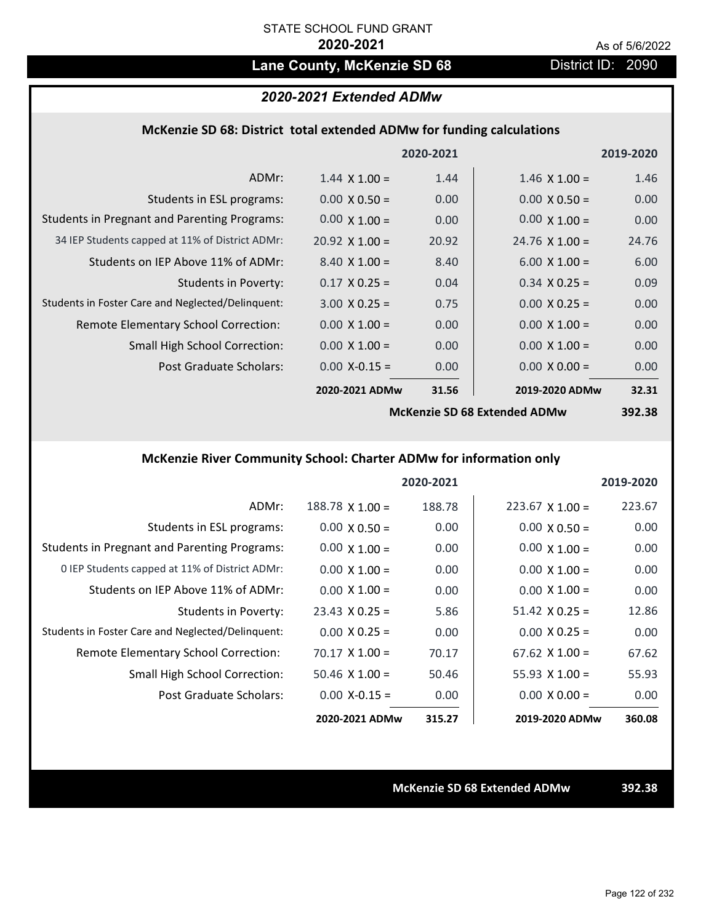# Lane County, McKenzie SD 68 District ID: 2090

## *2020-2021 Extended ADMw*

### **McKenzie SD 68: District total extended ADMw for funding calculations**

|                                                     |                       | 2020-2021         |                              | 2019-2020 |
|-----------------------------------------------------|-----------------------|-------------------|------------------------------|-----------|
| ADMr:                                               | $1.44 \times 1.00 =$  | 1.44              | $1.46 \times 1.00 =$         | 1.46      |
| Students in ESL programs:                           | $0.00 \times 0.50 =$  | 0.00 <sub>1</sub> | $0.00 \times 0.50 =$         | 0.00      |
| <b>Students in Pregnant and Parenting Programs:</b> | $0.00 \times 1.00 =$  | 0.00              | $0.00 \times 1.00 =$         | 0.00      |
| 34 IEP Students capped at 11% of District ADMr:     | $20.92 \times 1.00 =$ | 20.92             | $24.76 \times 1.00 =$        | 24.76     |
| Students on IEP Above 11% of ADMr:                  | $8.40 \times 1.00 =$  | 8.40              | $6.00 \times 1.00 =$         | 6.00      |
| <b>Students in Poverty:</b>                         | $0.17 \times 0.25 =$  | 0.04              | $0.34 \times 0.25 =$         | 0.09      |
| Students in Foster Care and Neglected/Delinquent:   | $3.00 \times 0.25 =$  | 0.75              | $0.00 \times 0.25 =$         | 0.00      |
| Remote Elementary School Correction:                | $0.00 \times 1.00 =$  | 0.00              | $0.00 \times 1.00 =$         | 0.00      |
| <b>Small High School Correction:</b>                | $0.00 \times 1.00 =$  | 0.00              | $0.00 \times 1.00 =$         | 0.00      |
| Post Graduate Scholars:                             | $0.00$ X-0.15 =       | 0.00              | $0.00 \times 0.00 =$         | 0.00      |
|                                                     | 2020-2021 ADMw        | 31.56             | 2019-2020 ADMw               | 32.31     |
|                                                     |                       |                   | McKanzia SD 68 Extandad ADMw | 30J 38    |

**McKenzie SD 68 Extended ADMw**

**392.38**

## **McKenzie River Community School: Charter ADMw for information only**

|                                                     |                        | 2020-2021 |                        | 2019-2020 |
|-----------------------------------------------------|------------------------|-----------|------------------------|-----------|
| ADMr:                                               | $188.78 \times 1.00 =$ | 188.78    | $223.67 \times 1.00 =$ | 223.67    |
| Students in ESL programs:                           | $0.00 \times 0.50 =$   | 0.00      | $0.00 \times 0.50 =$   | 0.00      |
| <b>Students in Pregnant and Parenting Programs:</b> | $0.00 \times 1.00 =$   | 0.00      | $0.00 \times 1.00 =$   | 0.00      |
| 0 IEP Students capped at 11% of District ADMr:      | $0.00 \times 1.00 =$   | 0.00      | $0.00 \times 1.00 =$   | 0.00      |
| Students on IEP Above 11% of ADMr:                  | $0.00 \times 1.00 =$   | 0.00      | $0.00 \times 1.00 =$   | 0.00      |
| Students in Poverty:                                | $23.43 \times 0.25 =$  | 5.86      | $51.42 \times 0.25 =$  | 12.86     |
| Students in Foster Care and Neglected/Delinquent:   | $0.00 \times 0.25 =$   | 0.00      | $0.00 \times 0.25 =$   | 0.00      |
| Remote Elementary School Correction:                | $70.17 \times 1.00 =$  | 70.17     | $67.62 \times 1.00 =$  | 67.62     |
| <b>Small High School Correction:</b>                | $50.46 \times 1.00 =$  | 50.46     | $55.93 \times 1.00 =$  | 55.93     |
| Post Graduate Scholars:                             | $0.00$ X-0.15 =        | 0.00      | $0.00 \times 0.00 =$   | 0.00      |
|                                                     | 2020-2021 ADMw         | 315.27    | 2019-2020 ADMw         | 360.08    |

**McKenzie SD 68 Extended ADMw 392.38**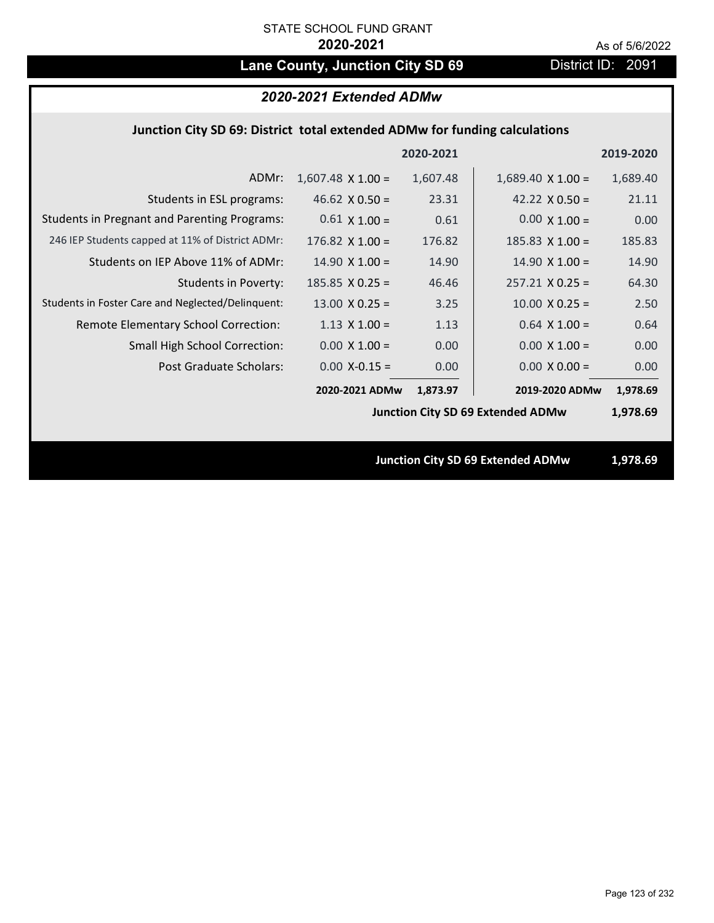# Lane County, Junction City SD 69 District ID: 2091

## *2020-2021 Extended ADMw*

### **Junction City SD 69: District total extended ADMw for funding calculations**

|                                                     |                          | 2020-2021 |                                          | 2019-2020 |
|-----------------------------------------------------|--------------------------|-----------|------------------------------------------|-----------|
| ADMr:                                               | $1,607.48 \times 1.00 =$ | 1,607.48  | $1,689.40 \times 1.00 =$                 | 1,689.40  |
| Students in ESL programs:                           | 46.62 $\times$ 0.50 =    | 23.31     | 42.22 $\times$ 0.50 =                    | 21.11     |
| <b>Students in Pregnant and Parenting Programs:</b> | $0.61 \times 1.00 =$     | 0.61      | $0.00 \times 1.00 =$                     | 0.00      |
| 246 IEP Students capped at 11% of District ADMr:    | $176.82 \times 1.00 =$   | 176.82    | $185.83 \times 1.00 =$                   | 185.83    |
| Students on IEP Above 11% of ADMr:                  | $14.90 \times 1.00 =$    | 14.90     | $14.90 \times 1.00 =$                    | 14.90     |
| Students in Poverty:                                | $185.85$ X 0.25 =        | 46.46     | $257.21 \times 0.25 =$                   | 64.30     |
| Students in Foster Care and Neglected/Delinquent:   | $13.00 \times 0.25 =$    | 3.25      | $10.00$ X 0.25 =                         | 2.50      |
| Remote Elementary School Correction:                | $1.13 \times 1.00 =$     | 1.13      | $0.64$ X 1.00 =                          | 0.64      |
| <b>Small High School Correction:</b>                | $0.00 \times 1.00 =$     | 0.00      | $0.00 \times 1.00 =$                     | 0.00      |
| Post Graduate Scholars:                             | $0.00$ X-0.15 =          | 0.00      | $0.00 \times 0.00 =$                     | 0.00      |
|                                                     | 2020-2021 ADMw           | 1,873.97  | 2019-2020 ADMw                           | 1,978.69  |
|                                                     |                          |           | <b>Junction City SD 69 Extended ADMw</b> | 1,978.69  |
|                                                     |                          |           |                                          |           |
|                                                     |                          |           | <b>Junction City SD 69 Extended ADMw</b> | 1,978.69  |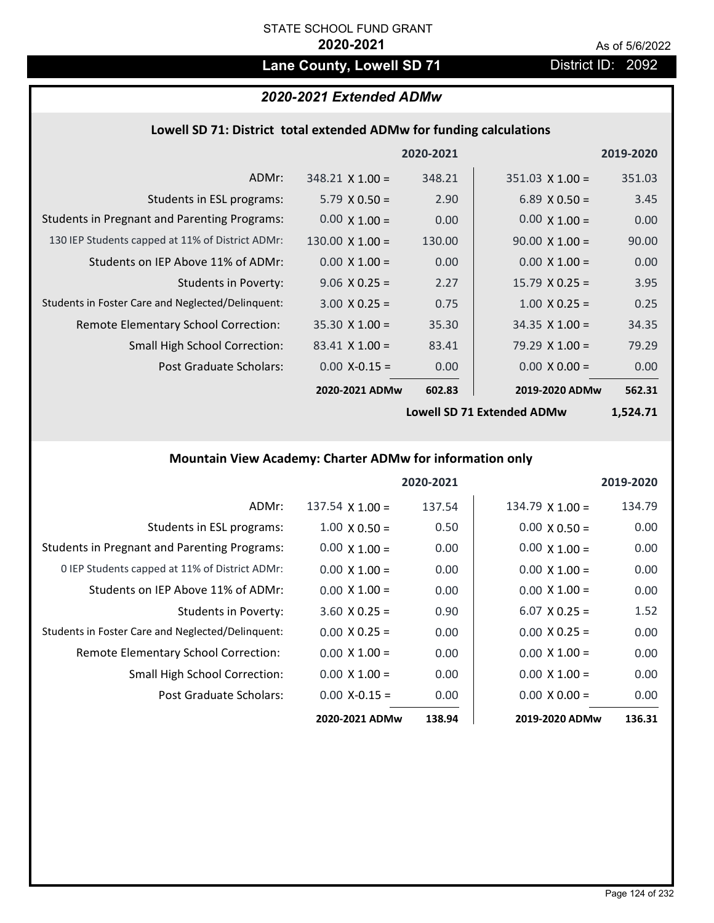## Lane County, Lowell SD 71 District ID: 2092

## *2020-2021 Extended ADMw*

## **Lowell SD 71: District total extended ADMw for funding calculations**

|                                                     |                        | 2020-2021 |                        | 2019-2020 |
|-----------------------------------------------------|------------------------|-----------|------------------------|-----------|
| ADMr:                                               | $348.21 \times 1.00 =$ | 348.21    | $351.03 \times 1.00 =$ | 351.03    |
| Students in ESL programs:                           | $5.79 \times 0.50 =$   | 2.90      | $6.89 \times 0.50 =$   | 3.45      |
| <b>Students in Pregnant and Parenting Programs:</b> | $0.00 \times 1.00 =$   | 0.00      | $0.00 \times 1.00 =$   | 0.00      |
| 130 IEP Students capped at 11% of District ADMr:    | $130.00 \times 1.00 =$ | 130.00    | $90.00 \times 1.00 =$  | 90.00     |
| Students on IEP Above 11% of ADMr:                  | $0.00 \times 1.00 =$   | 0.00      | $0.00 \times 1.00 =$   | 0.00      |
| <b>Students in Poverty:</b>                         | $9.06 \times 0.25 =$   | 2.27      | $15.79 \times 0.25 =$  | 3.95      |
| Students in Foster Care and Neglected/Delinquent:   | $3.00 \times 0.25 =$   | 0.75      | $1.00 \times 0.25 =$   | 0.25      |
| Remote Elementary School Correction:                | $35.30 \times 1.00 =$  | 35.30     | $34.35 \times 1.00 =$  | 34.35     |
| <b>Small High School Correction:</b>                | $83.41 \times 1.00 =$  | 83.41     | $79.29 \times 1.00 =$  | 79.29     |
| Post Graduate Scholars:                             | $0.00$ X-0.15 =        | 0.00      | $0.00 \times 0.00 =$   | 0.00      |
|                                                     | 2020-2021 ADMw         | 602.83    | 2019-2020 ADMw         | 562.31    |

**Lowell SD 71 Extended ADMw**

**1,524.71**

## **Mountain View Academy: Charter ADMw for information only**

|                                                     |                        | 2020-2021 |                      | 2019-2020 |
|-----------------------------------------------------|------------------------|-----------|----------------------|-----------|
| ADMr:                                               | $137.54 \times 1.00 =$ | 137.54    | $134.79$ X 1.00 =    | 134.79    |
| Students in ESL programs:                           | $1.00 \times 0.50 =$   | 0.50      | $0.00 \times 0.50 =$ | 0.00      |
| <b>Students in Pregnant and Parenting Programs:</b> | $0.00 \times 1.00 =$   | 0.00      | $0.00 \times 1.00 =$ | 0.00      |
| 0 IEP Students capped at 11% of District ADMr:      | $0.00 \times 1.00 =$   | 0.00      | $0.00 \times 1.00 =$ | 0.00      |
| Students on IEP Above 11% of ADMr:                  | $0.00 \times 1.00 =$   | 0.00      | $0.00 \times 1.00 =$ | 0.00      |
| Students in Poverty:                                | $3.60 \times 0.25 =$   | 0.90      | $6.07 \times 0.25 =$ | 1.52      |
| Students in Foster Care and Neglected/Delinquent:   | $0.00 \times 0.25 =$   | 0.00      | $0.00 \times 0.25 =$ | 0.00      |
| Remote Elementary School Correction:                | $0.00 \times 1.00 =$   | 0.00      | $0.00 \times 1.00 =$ | 0.00      |
| <b>Small High School Correction:</b>                | $0.00 \times 1.00 =$   | 0.00      | $0.00 \times 1.00 =$ | 0.00      |
| Post Graduate Scholars:                             | $0.00 X - 0.15 =$      | 0.00      | $0.00 \times 0.00 =$ | 0.00      |
|                                                     | 2020-2021 ADMw         | 138.94    | 2019-2020 ADMw       | 136.31    |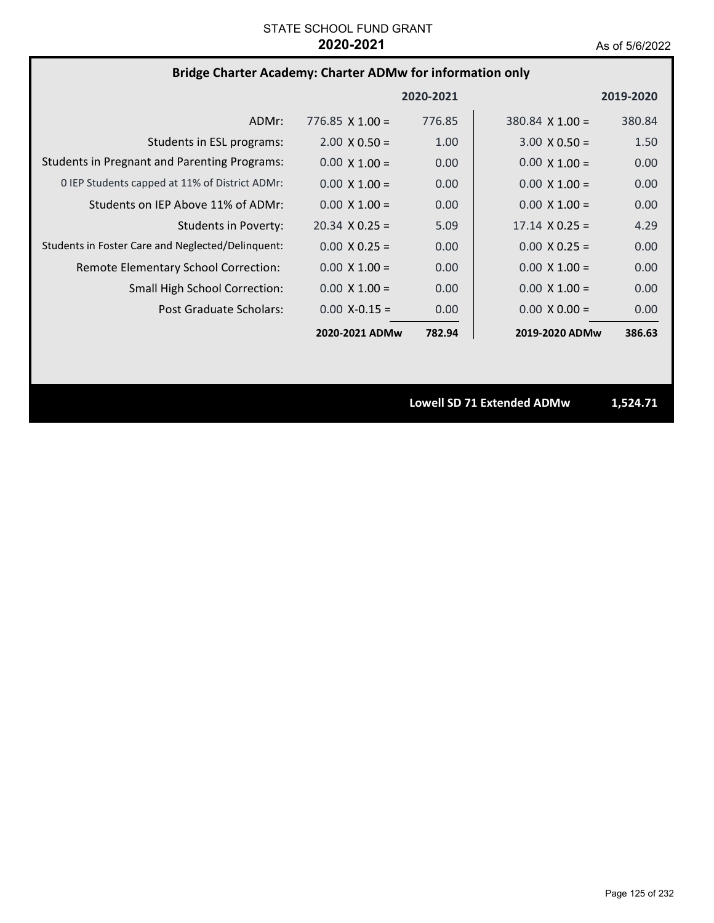## **Bridge Charter Academy: Charter ADMw for information only**

|                                                     |                        | 2020-2021 |                        | 2019-2020 |
|-----------------------------------------------------|------------------------|-----------|------------------------|-----------|
| ADMr:                                               | $776.85 \times 1.00 =$ | 776.85    | $380.84 \times 1.00 =$ | 380.84    |
| Students in ESL programs:                           | $2.00 \times 0.50 =$   | 1.00      | $3.00 \times 0.50 =$   | 1.50      |
| <b>Students in Pregnant and Parenting Programs:</b> | $0.00 \times 1.00 =$   | 0.00      | $0.00 \times 1.00 =$   | 0.00      |
| 0 IEP Students capped at 11% of District ADMr:      | $0.00 \times 1.00 =$   | 0.00      | $0.00 \times 1.00 =$   | 0.00      |
| Students on IEP Above 11% of ADMr:                  | $0.00 \times 1.00 =$   | 0.00      | $0.00 \times 1.00 =$   | 0.00      |
| <b>Students in Poverty:</b>                         | $20.34 \times 0.25 =$  | 5.09      | $17.14 \times 0.25 =$  | 4.29      |
| Students in Foster Care and Neglected/Delinquent:   | $0.00 \times 0.25 =$   | 0.00      | $0.00 \times 0.25 =$   | 0.00      |
| Remote Elementary School Correction:                | $0.00 \times 1.00 =$   | 0.00      | $0.00 \times 1.00 =$   | 0.00      |
| Small High School Correction:                       | $0.00 \times 1.00 =$   | 0.00      | $0.00 \times 1.00 =$   | 0.00      |
| Post Graduate Scholars:                             | $0.00 X - 0.15 =$      | 0.00      | $0.00 \times 0.00 =$   | 0.00      |
|                                                     | 2020-2021 ADMw         | 782.94    | 2019-2020 ADMw         | 386.63    |

**Lowell SD 71 Extended ADMw 1,524.71**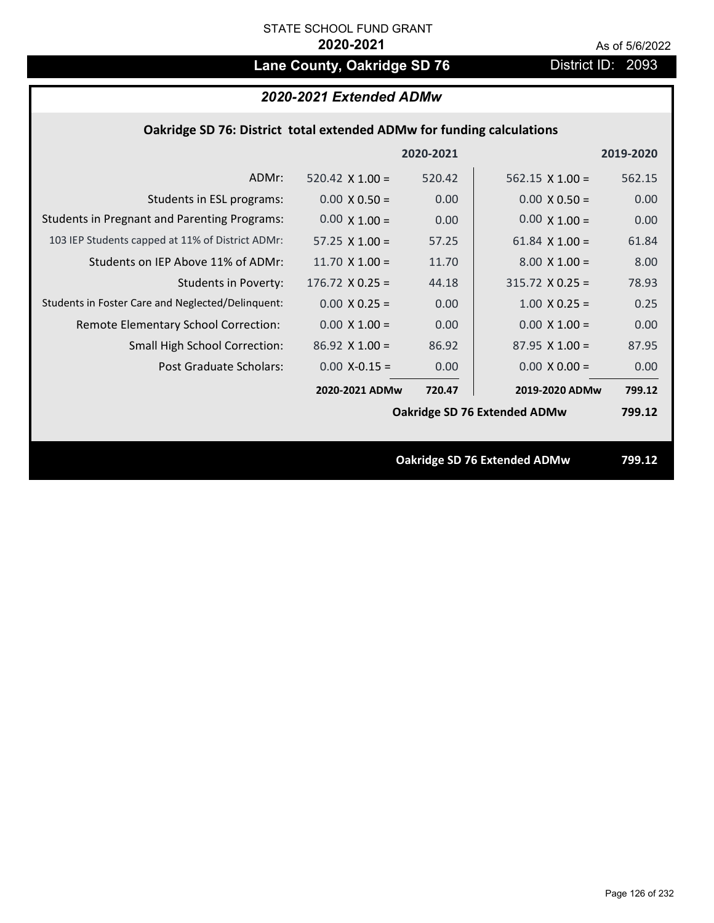# Lane County, Oakridge SD 76 **District ID: 2093**

|  | Oakridge SD 76: District total extended ADMw for funding calculations |  |
|--|-----------------------------------------------------------------------|--|
|--|-----------------------------------------------------------------------|--|

|                                                     |                        | 2020-2021 |                              | 2019-2020 |
|-----------------------------------------------------|------------------------|-----------|------------------------------|-----------|
| ADMr:                                               | 520.42 $\times$ 1.00 = | 520.42    | $562.15 \times 1.00 =$       | 562.15    |
| Students in ESL programs:                           | $0.00 \times 0.50 =$   | 0.00      | $0.00 \times 0.50 =$         | 0.00      |
| <b>Students in Pregnant and Parenting Programs:</b> | $0.00 \times 1.00 =$   | 0.00      | $0.00 \times 1.00 =$         | 0.00      |
| 103 IEP Students capped at 11% of District ADMr:    | 57.25 $\times$ 1.00 =  | 57.25     | 61.84 $\times$ 1.00 =        | 61.84     |
| Students on IEP Above 11% of ADMr:                  | 11.70 $\times$ 1.00 =  | 11.70     | $8.00 \times 1.00 =$         | 8.00      |
| <b>Students in Poverty:</b>                         | $176.72$ X 0.25 =      | 44.18     | $315.72$ X 0.25 =            | 78.93     |
| Students in Foster Care and Neglected/Delinquent:   | $0.00 \times 0.25 =$   | 0.00      | $1.00 \times 0.25 =$         | 0.25      |
| Remote Elementary School Correction:                | $0.00 \times 1.00 =$   | 0.00      | $0.00 \times 1.00 =$         | 0.00      |
| <b>Small High School Correction:</b>                | $86.92$ X 1.00 =       | 86.92     | $87.95 \times 1.00 =$        | 87.95     |
| Post Graduate Scholars:                             | $0.00 X-0.15 =$        | 0.00      | $0.00 \times 0.00 =$         | 0.00      |
|                                                     | 2020-2021 ADMw         | 720.47    | 2019-2020 ADMw               | 799.12    |
|                                                     |                        |           | Oakridge SD 76 Extended ADMw | 799.12    |
|                                                     |                        |           |                              |           |
|                                                     |                        |           | Oakridge SD 76 Extended ADMw | 799.12    |
|                                                     |                        |           |                              |           |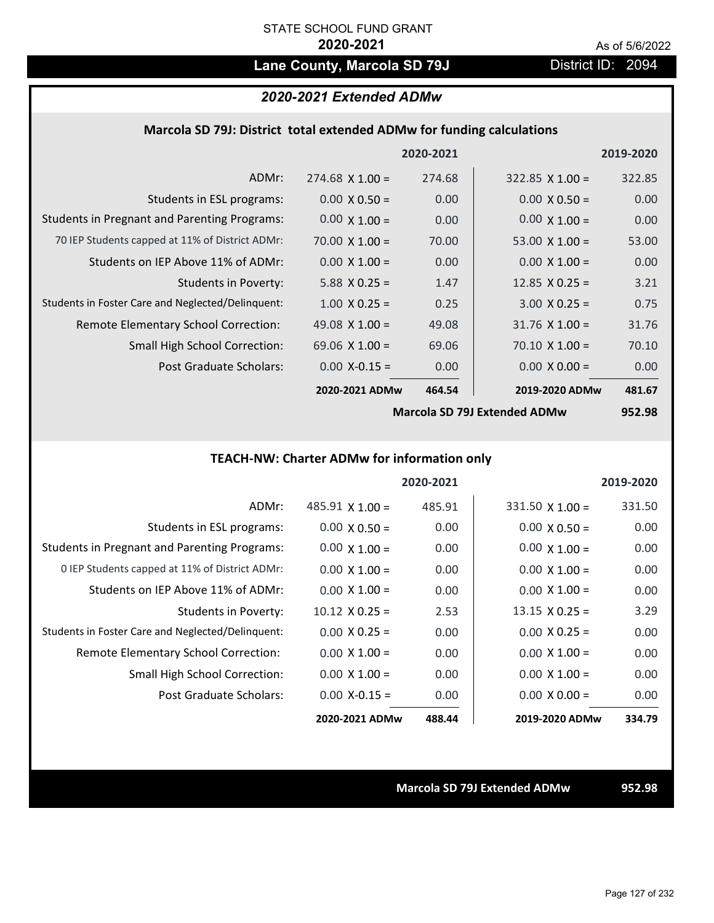## Lane County, Marcola SD 79J District ID: 2094

## *2020-2021 Extended ADMw*

### **Marcola SD 79J: District total extended ADMw for funding calculations**

|                                                     |                       | 2020-2021      |                       | 2019-2020 |
|-----------------------------------------------------|-----------------------|----------------|-----------------------|-----------|
| ADMr:                                               | $274.68$ X 1.00 =     | 274.68         | $322.85$ X 1.00 =     | 322.85    |
| Students in ESL programs:                           | $0.00 \times 0.50 =$  | 0.00           | $0.00 \times 0.50 =$  | 0.00      |
| <b>Students in Pregnant and Parenting Programs:</b> | $0.00 \times 1.00 =$  | 0.00           | $0.00 \times 1.00 =$  | 0.00      |
| 70 IEP Students capped at 11% of District ADMr:     | 70.00 $\times$ 1.00 = | 70.00          | 53.00 $\times$ 1.00 = | 53.00     |
| Students on IEP Above 11% of ADMr:                  | $0.00 \times 1.00 =$  | 0.00           | $0.00 \times 1.00 =$  | 0.00      |
| Students in Poverty:                                | 5.88 $X$ 0.25 =       | 1.47           | 12.85 $\times$ 0.25 = | 3.21      |
| Students in Foster Care and Neglected/Delinquent:   | $1.00 \times 0.25 =$  | 0.25           | $3.00 \times 0.25 =$  | 0.75      |
| Remote Elementary School Correction:                | 49.08 $\times$ 1.00 = | 49.08          | $31.76$ X $1.00 =$    | 31.76     |
| <b>Small High School Correction:</b>                | 69.06 $\times$ 1.00 = | 69.06          | $70.10 \times 1.00 =$ | 70.10     |
| Post Graduate Scholars:                             | $0.00$ X-0.15 =       | 0.00           | $0.00 \times 0.00 =$  | 0.00      |
|                                                     | 2020-2021 ADMw        | 464.54         | 2019-2020 ADMw        | 481.67    |
|                                                     |                       | $\blacksquare$ |                       | $- - - -$ |

**Marcola SD 79J Extended ADMw**

**952.98**

## **TEACH‐NW: Charter ADMw for information only**

|                                                     |                        | 2020-2021 |                        | 2019-2020 |
|-----------------------------------------------------|------------------------|-----------|------------------------|-----------|
| ADMr:                                               | $485.91 \times 1.00 =$ | 485.91    | $331.50 \times 1.00 =$ | 331.50    |
| Students in ESL programs:                           | $0.00 \times 0.50 =$   | 0.00      | $0.00 \times 0.50 =$   | 0.00      |
| <b>Students in Pregnant and Parenting Programs:</b> | $0.00 \times 1.00 =$   | 0.00      | $0.00 \times 1.00 =$   | 0.00      |
| 0 IEP Students capped at 11% of District ADMr:      | $0.00 \times 1.00 =$   | 0.00      | $0.00 \times 1.00 =$   | 0.00      |
| Students on IFP Above 11% of ADMr:                  | $0.00 \times 1.00 =$   | 0.00      | $0.00 \times 1.00 =$   | 0.00      |
| <b>Students in Poverty:</b>                         | $10.12 \times 0.25 =$  | 2.53      | $13.15 \times 0.25 =$  | 3.29      |
| Students in Foster Care and Neglected/Delinquent:   | $0.00 \times 0.25 =$   | 0.00      | $0.00 \times 0.25 =$   | 0.00      |
| Remote Elementary School Correction:                | $0.00 \times 1.00 =$   | 0.00      | $0.00 \times 1.00 =$   | 0.00      |
| Small High School Correction:                       | $0.00 \times 1.00 =$   | 0.00      | $0.00 \times 1.00 =$   | 0.00      |
| Post Graduate Scholars:                             | $0.00 X - 0.15 =$      | 0.00      | $0.00 \times 0.00 =$   | 0.00      |
|                                                     | 2020-2021 ADMw         | 488.44    | 2019-2020 ADMw         | 334.79    |

**Marcola SD 79J Extended ADMw 952.98**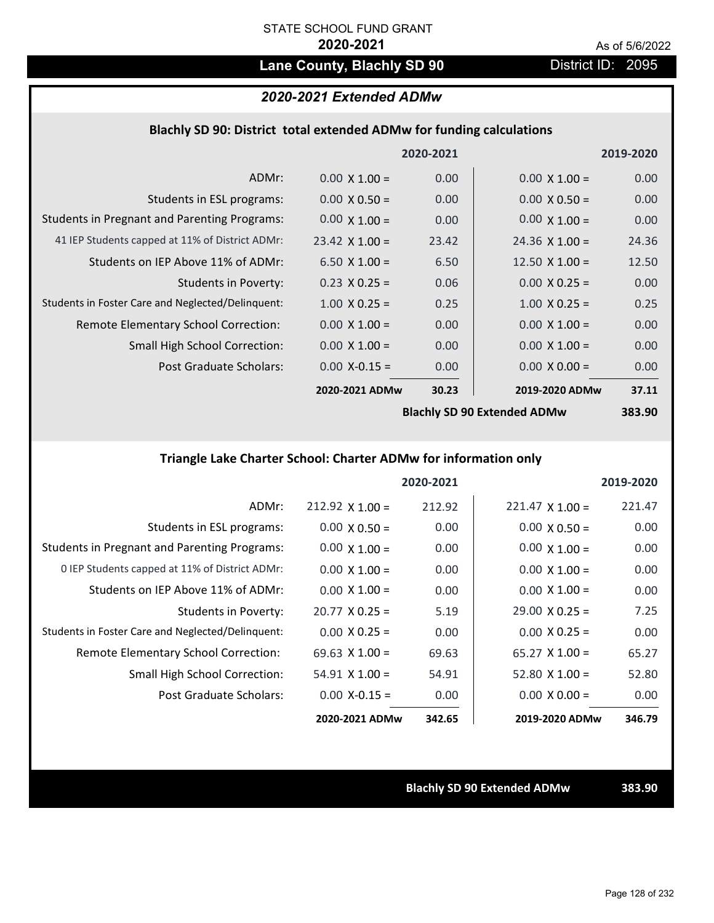## Lane County, Blachly SD 90 **District ID: 2095**

## *2020-2021 Extended ADMw*

### **Blachly SD 90: District total extended ADMw for funding calculations**

|                                                     |                       | 2020-2021 |                                    | 2019-2020 |
|-----------------------------------------------------|-----------------------|-----------|------------------------------------|-----------|
| ADMr:                                               | $0.00 \times 1.00 =$  | 0.00      | $0.00 \times 1.00 =$               | 0.00      |
| Students in ESL programs:                           | $0.00 \times 0.50 =$  | 0.00      | $0.00 \times 0.50 =$               | 0.00      |
| <b>Students in Pregnant and Parenting Programs:</b> | $0.00 \times 1.00 =$  | 0.00      | $0.00 \times 1.00 =$               | 0.00      |
| 41 IEP Students capped at 11% of District ADMr:     | $23.42 \times 1.00 =$ | 23.42     | $24.36 \times 1.00 =$              | 24.36     |
| Students on IEP Above 11% of ADMr:                  | 6.50 $X$ 1.00 =       | 6.50      | 12.50 $X$ 1.00 =                   | 12.50     |
| <b>Students in Poverty:</b>                         | $0.23 \times 0.25 =$  | 0.06      | $0.00 \times 0.25 =$               | 0.00      |
| Students in Foster Care and Neglected/Delinquent:   | $1.00 \times 0.25 =$  | 0.25      | $1.00 \times 0.25 =$               | 0.25      |
| Remote Elementary School Correction:                | $0.00 \times 1.00 =$  | 0.00      | $0.00 \times 1.00 =$               | 0.00      |
| <b>Small High School Correction:</b>                | $0.00 \times 1.00 =$  | 0.00      | $0.00 \times 1.00 =$               | 0.00      |
| Post Graduate Scholars:                             | $0.00$ X-0.15 =       | 0.00      | $0.00 \times 0.00 =$               | 0.00      |
|                                                     | 2020-2021 ADMw        | 30.23     | 2019-2020 ADMw                     | 37.11     |
|                                                     |                       |           | <b>Rlachly SD 90 Extended ADMW</b> | 383 AV    |

**Blachly SD 90 Extended ADMw**

**383.90**

## **Triangle Lake Charter School: Charter ADMw for information only**

|                                                     |                        | 2020-2021 |                        | 2019-2020 |
|-----------------------------------------------------|------------------------|-----------|------------------------|-----------|
| ADMr:                                               | $212.92 \times 1.00 =$ | 212.92    | $221.47 \times 1.00 =$ | 221.47    |
| Students in ESL programs:                           | $0.00 \times 0.50 =$   | 0.00      | $0.00 \times 0.50 =$   | 0.00      |
| <b>Students in Pregnant and Parenting Programs:</b> | $0.00 \times 1.00 =$   | 0.00      | $0.00 \times 1.00 =$   | 0.00      |
| 0 IEP Students capped at 11% of District ADMr:      | $0.00 \times 1.00 =$   | 0.00      | $0.00 \times 1.00 =$   | 0.00      |
| Students on IEP Above 11% of ADMr:                  | $0.00 \times 1.00 =$   | 0.00      | $0.00 \times 1.00 =$   | 0.00      |
| Students in Poverty:                                | $20.77 \times 0.25 =$  | 5.19      | $29.00 \times 0.25 =$  | 7.25      |
| Students in Foster Care and Neglected/Delinquent:   | $0.00 \times 0.25 =$   | 0.00      | $0.00 \times 0.25 =$   | 0.00      |
| <b>Remote Elementary School Correction:</b>         | $69.63 \times 1.00 =$  | 69.63     | $65.27 \times 1.00 =$  | 65.27     |
| <b>Small High School Correction:</b>                | $54.91 \times 1.00 =$  | 54.91     | $52.80 \times 1.00 =$  | 52.80     |
| Post Graduate Scholars:                             | $0.00 X - 0.15 =$      | 0.00      | $0.00 \times 0.00 =$   | 0.00      |
|                                                     | 2020-2021 ADMw         | 342.65    | 2019-2020 ADMw         | 346.79    |

**Blachly SD 90 Extended ADMw 383.90**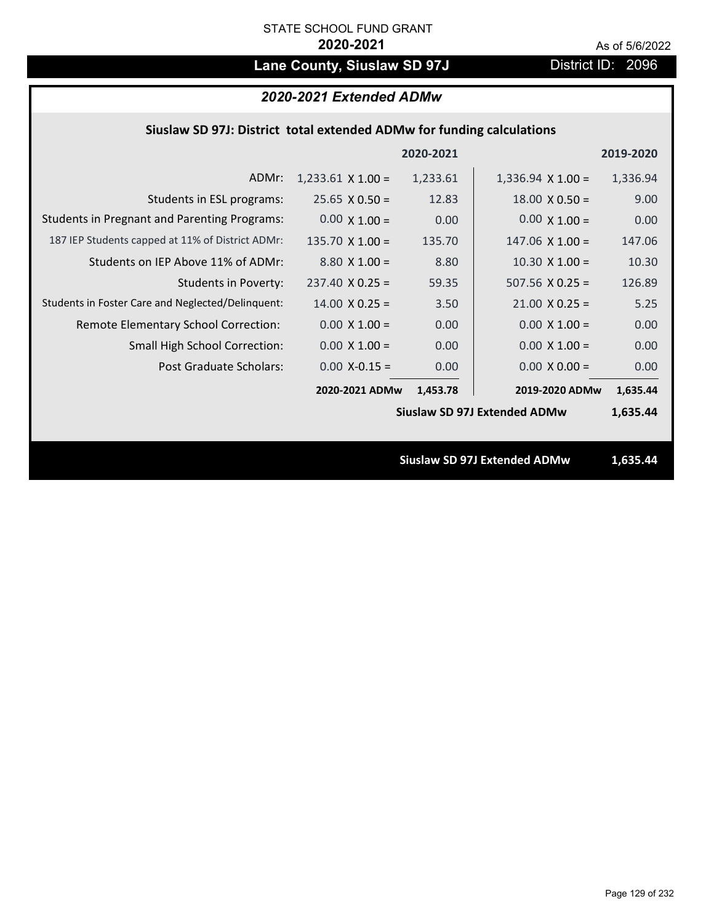# Lane County, Siuslaw SD 97J District ID: 2096

| 2020-2021 Extended ADMw                                               |                          |           |                                     |           |  |
|-----------------------------------------------------------------------|--------------------------|-----------|-------------------------------------|-----------|--|
| Siuslaw SD 97J: District total extended ADMw for funding calculations |                          |           |                                     |           |  |
|                                                                       |                          | 2020-2021 |                                     | 2019-2020 |  |
| ADMr:                                                                 | $1,233.61 \times 1.00 =$ | 1,233.61  | $1,336.94 \times 1.00 =$            | 1,336.94  |  |
| Students in ESL programs:                                             | $25.65 \times 0.50 =$    | 12.83     | $18.00 \times 0.50 =$               | 9.00      |  |
| <b>Students in Pregnant and Parenting Programs:</b>                   | $0.00 \times 1.00 =$     | 0.00      | $0.00 \times 1.00 =$                | 0.00      |  |
| 187 IEP Students capped at 11% of District ADMr:                      | $135.70 \times 1.00 =$   | 135.70    | $147.06 \times 1.00 =$              | 147.06    |  |
| Students on IEP Above 11% of ADMr:                                    | $8.80 X 1.00 =$          | 8.80      | $10.30$ X $1.00 =$                  | 10.30     |  |
| <b>Students in Poverty:</b>                                           | $237.40$ X 0.25 =        | 59.35     | $507.56$ X 0.25 =                   | 126.89    |  |
| Students in Foster Care and Neglected/Delinquent:                     | $14.00 \times 0.25 =$    | 3.50      | $21.00 \times 0.25 =$               | 5.25      |  |
| Remote Elementary School Correction:                                  | $0.00 \times 1.00 =$     | 0.00      | $0.00 \times 1.00 =$                | 0.00      |  |
| Small High School Correction:                                         | $0.00 \times 1.00 =$     | 0.00      | $0.00 \times 1.00 =$                | 0.00      |  |
| <b>Post Graduate Scholars:</b>                                        | $0.00$ X-0.15 =          | 0.00      | $0.00 \times 0.00 =$                | 0.00      |  |
|                                                                       | 2020-2021 ADMw           | 1,453.78  | 2019-2020 ADMw                      | 1,635.44  |  |
|                                                                       |                          |           | <b>Siuslaw SD 97J Extended ADMw</b> | 1,635.44  |  |
|                                                                       |                          |           |                                     |           |  |
|                                                                       |                          |           | <b>Siuslaw SD 97J Extended ADMw</b> | 1,635.44  |  |
|                                                                       |                          |           |                                     |           |  |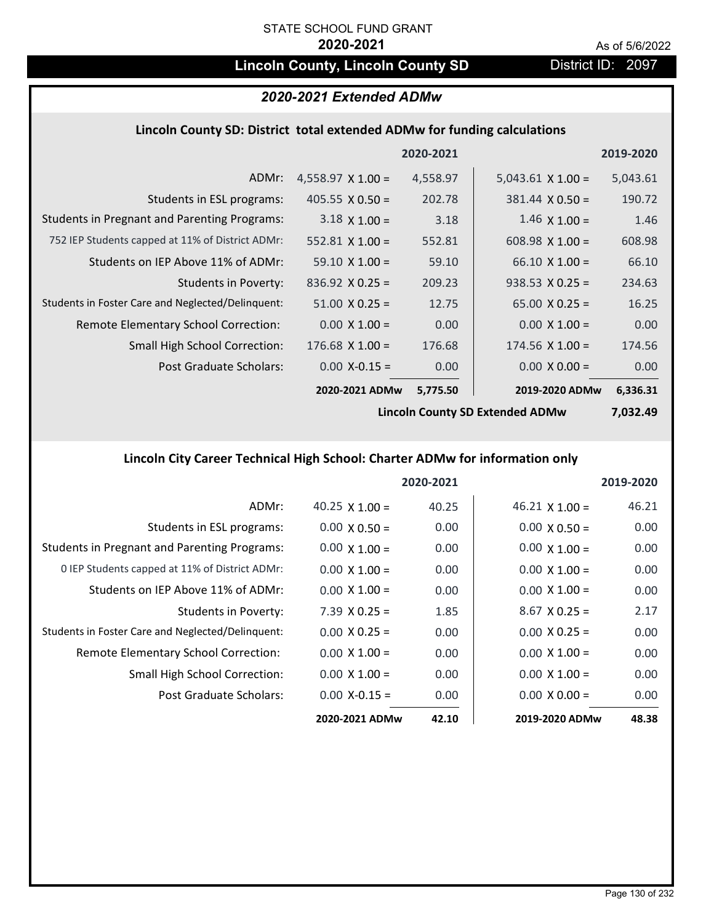## **Lincoln County, Lincoln County SD** District ID: 2097

## *2020-2021 Extended ADMw*

### **Lincoln County SD: District total extended ADMw for funding calculations**

|                                                     |                          | 2020-2021 |                          | 2019-2020 |
|-----------------------------------------------------|--------------------------|-----------|--------------------------|-----------|
| ADMr:                                               | $4,558.97 \times 1.00 =$ | 4,558.97  | $5,043.61 \times 1.00 =$ | 5,043.61  |
| Students in ESL programs:                           | $405.55 \times 0.50 =$   | 202.78    | $381.44 \times 0.50 =$   | 190.72    |
| <b>Students in Pregnant and Parenting Programs:</b> | $3.18 \times 1.00 =$     | 3.18      | $1.46 \times 1.00 =$     | 1.46      |
| 752 IEP Students capped at 11% of District ADMr:    | 552.81 $\times$ 1.00 =   | 552.81    | 608.98 $X$ 1.00 =        | 608.98    |
| Students on IEP Above 11% of ADMr:                  | $59.10 \times 1.00 =$    | 59.10     | $66.10 \times 1.00 =$    | 66.10     |
| <b>Students in Poverty:</b>                         | $836.92 \times 0.25 =$   | 209.23    | $938.53 \times 0.25 =$   | 234.63    |
| Students in Foster Care and Neglected/Delinquent:   | $51.00 \times 0.25 =$    | 12.75     | $65.00 \times 0.25 =$    | 16.25     |
| Remote Elementary School Correction:                | $0.00 \times 1.00 =$     | 0.00      | $0.00 \times 1.00 =$     | 0.00      |
| <b>Small High School Correction:</b>                | $176.68$ X 1.00 =        | 176.68    | $174.56 \times 1.00 =$   | 174.56    |
| Post Graduate Scholars:                             | $0.00$ X-0.15 =          | 0.00      | $0.00 \times 0.00 =$     | 0.00      |
|                                                     | 2020-2021 ADMw           | 5,775.50  | 2019-2020 ADMw           | 6,336.31  |

**Lincoln County SD Extended ADMw**

**7,032.49**

## **Lincoln City Career Technical High School: Charter ADMw for information only**

|                                                     |                       | 2020-2021 |                       | 2019-2020 |
|-----------------------------------------------------|-----------------------|-----------|-----------------------|-----------|
| ADMr:                                               | 40.25 $\times$ 1.00 = | 40.25     | $46.21 \times 1.00 =$ | 46.21     |
| Students in ESL programs:                           | $0.00 \times 0.50 =$  | 0.00      | $0.00 \times 0.50 =$  | 0.00      |
| <b>Students in Pregnant and Parenting Programs:</b> | $0.00 \times 1.00 =$  | 0.00      | $0.00 \times 1.00 =$  | 0.00      |
| 0 IEP Students capped at 11% of District ADMr:      | $0.00 \times 1.00 =$  | 0.00      | $0.00 \times 1.00 =$  | 0.00      |
| Students on IEP Above 11% of ADMr:                  | $0.00 \times 1.00 =$  | 0.00      | $0.00 \times 1.00 =$  | 0.00      |
| Students in Poverty:                                | $7.39 \times 0.25 =$  | 1.85      | $8.67$ X 0.25 =       | 2.17      |
| Students in Foster Care and Neglected/Delinquent:   | $0.00 \times 0.25 =$  | 0.00      | $0.00 \times 0.25 =$  | 0.00      |
| <b>Remote Elementary School Correction:</b>         | $0.00 \times 1.00 =$  | 0.00      | $0.00 \times 1.00 =$  | 0.00      |
| <b>Small High School Correction:</b>                | $0.00 \times 1.00 =$  | 0.00      | $0.00 \times 1.00 =$  | 0.00      |
| Post Graduate Scholars:                             | $0.00 X - 0.15 =$     | 0.00      | $0.00 \times 0.00 =$  | 0.00      |
|                                                     | 2020-2021 ADMw        | 42.10     | 2019-2020 ADMw        | 48.38     |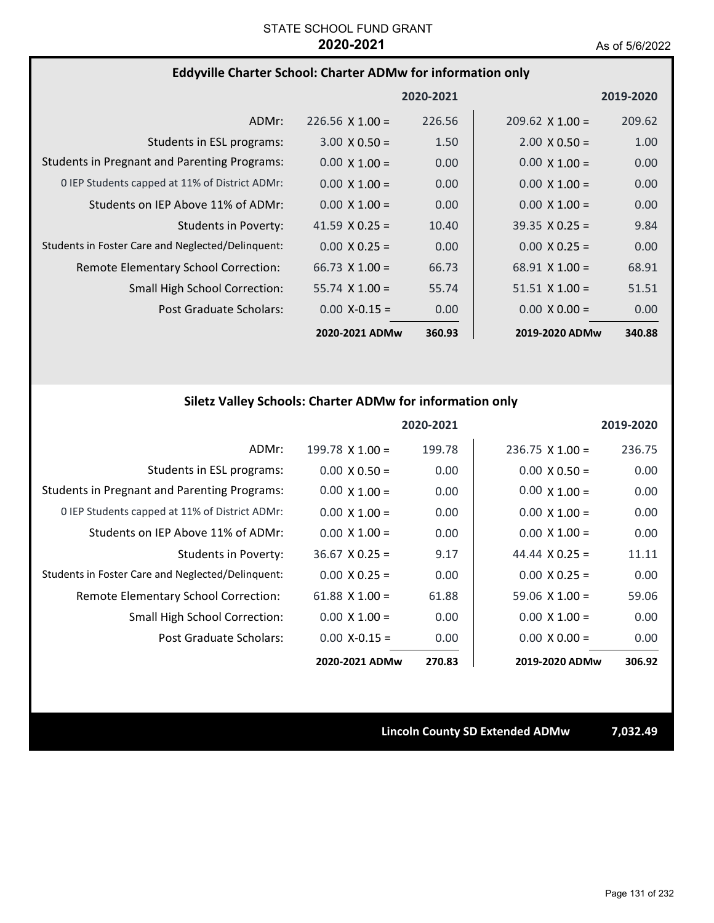### **Eddyville Charter School: Charter ADMw for information only**

|                                                     |                        | 2020-2021 |                        | 2019-2020 |
|-----------------------------------------------------|------------------------|-----------|------------------------|-----------|
| ADMr:                                               | $226.56 \times 1.00 =$ | 226.56    | $209.62 \times 1.00 =$ | 209.62    |
| Students in ESL programs:                           | $3.00 \times 0.50 =$   | 1.50      | $2.00 \times 0.50 =$   | 1.00      |
| <b>Students in Pregnant and Parenting Programs:</b> | $0.00 \times 1.00 =$   | 0.00      | $0.00 \times 1.00 =$   | 0.00      |
| 0 IEP Students capped at 11% of District ADMr:      | $0.00 \times 1.00 =$   | 0.00      | $0.00 \times 1.00 =$   | 0.00      |
| Students on IEP Above 11% of ADMr:                  | $0.00 \times 1.00 =$   | 0.00      | $0.00 \times 1.00 =$   | 0.00      |
| Students in Poverty:                                | 41.59 $\times$ 0.25 =  | 10.40     | $39.35 \times 0.25 =$  | 9.84      |
| Students in Foster Care and Neglected/Delinquent:   | $0.00 \times 0.25 =$   | 0.00      | $0.00 \times 0.25 =$   | 0.00      |
| Remote Elementary School Correction:                | $66.73 \times 1.00 =$  | 66.73     | $68.91 \times 1.00 =$  | 68.91     |
| <b>Small High School Correction:</b>                | $55.74 \times 1.00 =$  | 55.74     | $51.51 \times 1.00 =$  | 51.51     |
| Post Graduate Scholars:                             | $0.00$ X-0.15 =        | 0.00      | $0.00 \times 0.00 =$   | 0.00      |
|                                                     | 2020-2021 ADMw         | 360.93    | 2019-2020 ADMw         | 340.88    |

## **Siletz Valley Schools: Charter ADMw for information only**

|                                                     |                       | 2020-2021 |                        | 2019-2020 |
|-----------------------------------------------------|-----------------------|-----------|------------------------|-----------|
| ADMr:                                               | 199.78 $X$ 1.00 =     | 199.78    | $236.75 \times 1.00 =$ | 236.75    |
| Students in ESL programs:                           | $0.00 \times 0.50 =$  | 0.00      | $0.00 \times 0.50 =$   | 0.00      |
| <b>Students in Pregnant and Parenting Programs:</b> | $0.00 \times 1.00 =$  | 0.00      | $0.00 \times 1.00 =$   | 0.00      |
| 0 IEP Students capped at 11% of District ADMr:      | $0.00 \times 1.00 =$  | 0.00      | $0.00 \times 1.00 =$   | 0.00      |
| Students on IEP Above 11% of ADMr:                  | $0.00 \times 1.00 =$  | 0.00      | $0.00 \times 1.00 =$   | 0.00      |
| <b>Students in Poverty:</b>                         | $36.67 \times 0.25 =$ | 9.17      | 44.44 $\times$ 0.25 =  | 11.11     |
| Students in Foster Care and Neglected/Delinquent:   | $0.00 \times 0.25 =$  | 0.00      | $0.00 \times 0.25 =$   | 0.00      |
| Remote Elementary School Correction:                | 61.88 $X$ 1.00 =      | 61.88     | $59.06 \times 1.00 =$  | 59.06     |
| Small High School Correction:                       | $0.00 \times 1.00 =$  | 0.00      | $0.00 \times 1.00 =$   | 0.00      |
| Post Graduate Scholars:                             | $0.00$ X-0.15 =       | 0.00      | $0.00 \times 0.00 =$   | 0.00      |
|                                                     | 2020-2021 ADMw        | 270.83    | 2019-2020 ADMw         | 306.92    |

**Lincoln County SD Extended ADMw 7,032.49**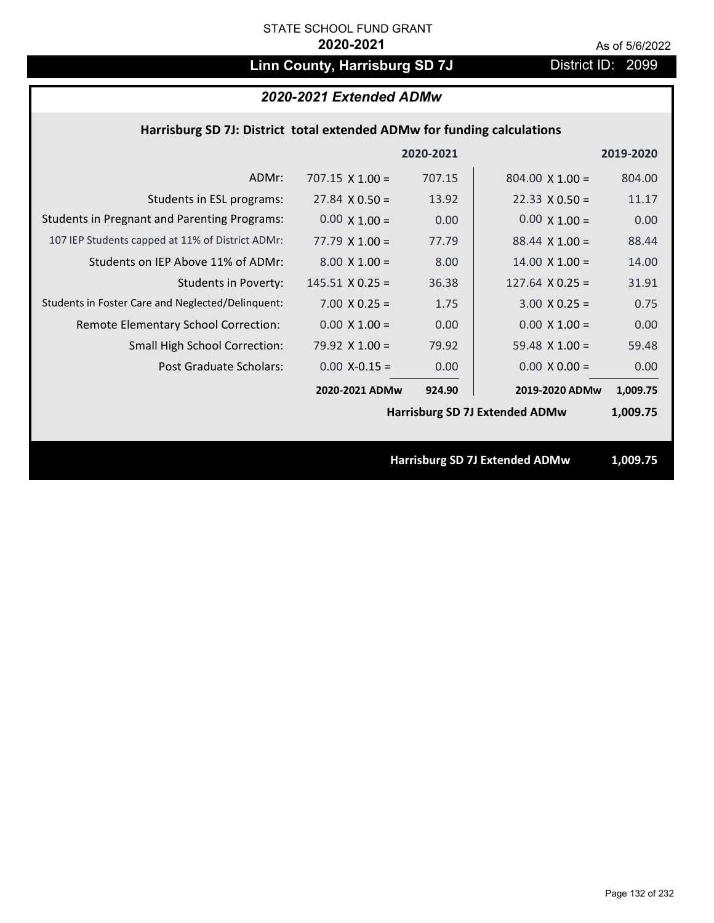# Linn County, Harrisburg SD 7J District ID: 2099

## *2020-2021 Extended ADMw*

### **Harrisburg SD 7J: District total extended ADMw for funding calculations**

|                                                     |                        | 2020-2021 |                                       | 2019-2020 |
|-----------------------------------------------------|------------------------|-----------|---------------------------------------|-----------|
| ADMr:                                               | $707.15 \times 1.00 =$ | 707.15    | $804.00 \times 1.00 =$                | 804.00    |
| Students in ESL programs:                           | $27.84 \times 0.50 =$  | 13.92     | $22.33 \times 0.50 =$                 | 11.17     |
| <b>Students in Pregnant and Parenting Programs:</b> | $0.00 \times 1.00 =$   | 0.00      | $0.00 \times 1.00 =$                  | 0.00      |
| 107 IEP Students capped at 11% of District ADMr:    | $77.79 \times 1.00 =$  | 77.79     | $88.44 \times 1.00 =$                 | 88.44     |
| Students on IEP Above 11% of ADMr:                  | $8.00 \times 1.00 =$   | 8.00      | $14.00 \times 1.00 =$                 | 14.00     |
| <b>Students in Poverty:</b>                         | $145.51$ X 0.25 =      | 36.38     | $127.64$ X 0.25 =                     | 31.91     |
| Students in Foster Care and Neglected/Delinquent:   | $7.00 \times 0.25 =$   | 1.75      | $3.00 X 0.25 =$                       | 0.75      |
| Remote Elementary School Correction:                | $0.00 \times 1.00 =$   | 0.00      | $0.00 \times 1.00 =$                  | 0.00      |
| <b>Small High School Correction:</b>                | 79.92 $X$ 1.00 =       | 79.92     | 59.48 $X$ 1.00 =                      | 59.48     |
| Post Graduate Scholars:                             | $0.00$ X-0.15 =        | 0.00      | $0.00 \times 0.00 =$                  | 0.00      |
|                                                     | 2020-2021 ADMw         | 924.90    | 2019-2020 ADMw                        | 1,009.75  |
|                                                     |                        |           | <b>Harrisburg SD 7J Extended ADMw</b> | 1,009.75  |
|                                                     |                        |           |                                       |           |
|                                                     |                        |           | <b>Harrisburg SD 7J Extended ADMw</b> | 1,009.75  |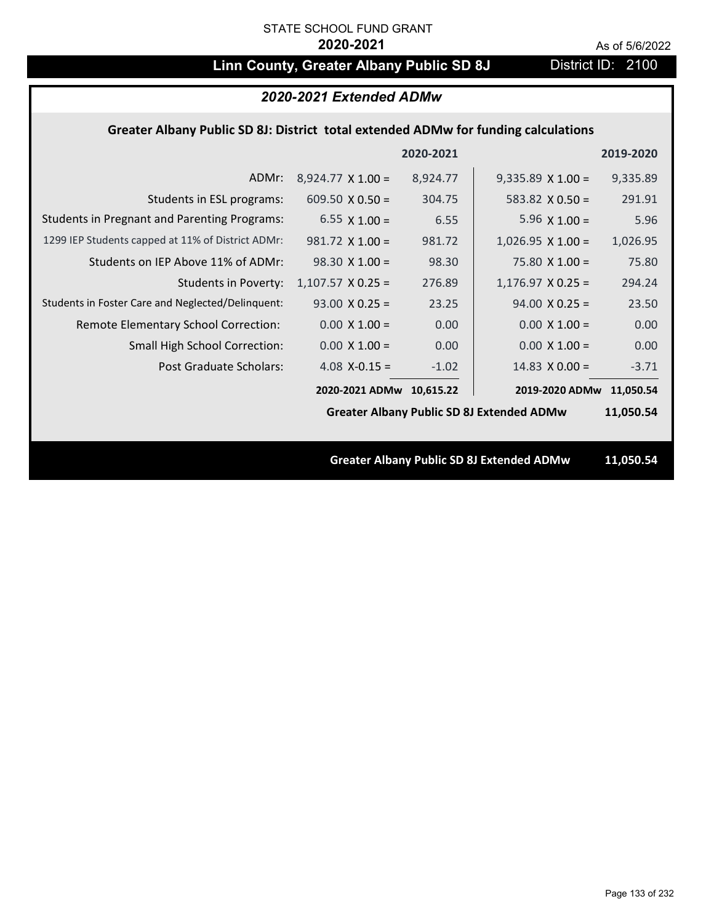# **Linn County, Greater Albany Public SD 8J** District ID: 2100

| 2020-2021 Extended ADMw                                                            |                          |           |                                                  |           |
|------------------------------------------------------------------------------------|--------------------------|-----------|--------------------------------------------------|-----------|
| Greater Albany Public SD 8J: District total extended ADMw for funding calculations |                          |           |                                                  |           |
|                                                                                    |                          | 2020-2021 |                                                  | 2019-2020 |
| ADMr:                                                                              | $8,924.77 \times 1.00 =$ | 8,924.77  | $9,335.89 \times 1.00 =$                         | 9,335.89  |
| Students in ESL programs:                                                          | 609.50 $\times$ 0.50 =   | 304.75    | 583.82 $\times$ 0.50 =                           | 291.91    |
| <b>Students in Pregnant and Parenting Programs:</b>                                | 6.55 $\times$ 1.00 =     | 6.55      | 5.96 $\times$ 1.00 =                             | 5.96      |
| 1299 IEP Students capped at 11% of District ADMr:                                  | $981.72 \times 1.00 =$   | 981.72    | $1,026.95 \times 1.00 =$                         | 1,026.95  |
| Students on IEP Above 11% of ADMr:                                                 | $98.30 \times 1.00 =$    | 98.30     | 75.80 $X$ 1.00 =                                 | 75.80     |
| <b>Students in Poverty:</b>                                                        | $1,107.57$ X 0.25 =      | 276.89    | $1,176.97$ X 0.25 =                              | 294.24    |
| Students in Foster Care and Neglected/Delinquent:                                  | $93.00 \times 0.25 =$    | 23.25     | $94.00 \times 0.25 =$                            | 23.50     |
| Remote Elementary School Correction:                                               | $0.00 \times 1.00 =$     | 0.00      | $0.00 \times 1.00 =$                             | 0.00      |
| Small High School Correction:                                                      | $0.00 \times 1.00 =$     | 0.00      | $0.00 \times 1.00 =$                             | 0.00      |
| <b>Post Graduate Scholars:</b>                                                     | 4.08 $X-0.15 =$          | $-1.02$   | 14.83 $\times$ 0.00 =                            | $-3.71$   |
|                                                                                    | 2020-2021 ADMw 10,615.22 |           | 2019-2020 ADMw                                   | 11,050.54 |
|                                                                                    |                          |           | <b>Greater Albany Public SD 8J Extended ADMw</b> | 11,050.54 |
|                                                                                    |                          |           |                                                  |           |
|                                                                                    |                          |           | <b>Greater Albany Public SD 8J Extended ADMw</b> | 11,050.54 |
|                                                                                    |                          |           |                                                  |           |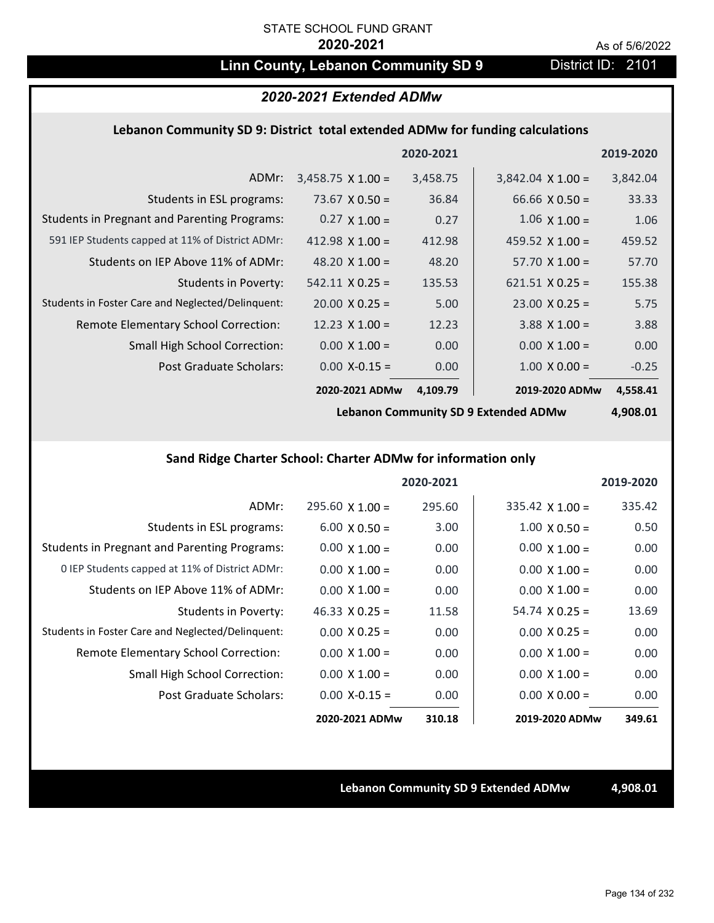## Linn County, Lebanon Community SD 9 District ID: 2101

## *2020-2021 Extended ADMw*

### **Lebanon Community SD 9: District total extended ADMw for funding calculations**

|                                                     |                          | 2020-2021 |                          | 2019-2020 |
|-----------------------------------------------------|--------------------------|-----------|--------------------------|-----------|
| ADMr:                                               | $3,458.75 \times 1.00 =$ | 3,458.75  | $3,842.04 \times 1.00 =$ | 3,842.04  |
| Students in ESL programs:                           | 73.67 $\times$ 0.50 =    | 36.84     | $66.66 \times 0.50 =$    | 33.33     |
| <b>Students in Pregnant and Parenting Programs:</b> | $0.27 \times 1.00 =$     | 0.27      | $1.06 \times 1.00 =$     | 1.06      |
| 591 IEP Students capped at 11% of District ADMr:    | 412.98 $\times$ 1.00 =   | 412.98    | 459.52 $\times$ 1.00 =   | 459.52    |
| Students on IEP Above 11% of ADMr:                  | 48.20 $\times$ 1.00 =    | 48.20     | $57.70 \times 1.00 =$    | 57.70     |
| Students in Poverty:                                | $542.11 \times 0.25 =$   | 135.53    | $621.51 \times 0.25 =$   | 155.38    |
| Students in Foster Care and Neglected/Delinquent:   | $20.00 \times 0.25 =$    | 5.00      | $23.00 \times 0.25 =$    | 5.75      |
| Remote Elementary School Correction:                | 12.23 $\times$ 1.00 =    | 12.23     | $3.88$ X 1.00 =          | 3.88      |
| <b>Small High School Correction:</b>                | $0.00 \times 1.00 =$     | 0.00      | $0.00 \times 1.00 =$     | 0.00      |
| Post Graduate Scholars:                             | $0.00 X - 0.15 =$        | 0.00      | $1.00 \times 0.00 =$     | $-0.25$   |
|                                                     | 2020-2021 ADMw           | 4,109.79  | 2019-2020 ADMw           | 4,558.41  |

**Lebanon Community SD 9 Extended ADMw**

**4,908.01**

## **Sand Ridge Charter School: Charter ADMw for information only**

|                                                     |                       | 2020-2021 |                        | 2019-2020 |
|-----------------------------------------------------|-----------------------|-----------|------------------------|-----------|
| ADMr:                                               | $295.60$ X 1.00 =     | 295.60    | $335.42 \times 1.00 =$ | 335.42    |
| Students in ESL programs:                           | $6.00 \times 0.50 =$  | 3.00      | $1.00 \times 0.50 =$   | 0.50      |
| <b>Students in Pregnant and Parenting Programs:</b> | $0.00 \times 1.00 =$  | 0.00      | $0.00 \times 1.00 =$   | 0.00      |
| 0 IEP Students capped at 11% of District ADMr:      | $0.00 \times 1.00 =$  | 0.00      | $0.00 \times 1.00 =$   | 0.00      |
| Students on IEP Above 11% of ADMr:                  | $0.00 \times 1.00 =$  | 0.00      | $0.00 \times 1.00 =$   | 0.00      |
| Students in Poverty:                                | $46.33 \times 0.25 =$ | 11.58     | $54.74 \times 0.25 =$  | 13.69     |
| Students in Foster Care and Neglected/Delinquent:   | $0.00 \times 0.25 =$  | 0.00      | $0.00 \times 0.25 =$   | 0.00      |
| Remote Elementary School Correction:                | $0.00 \times 1.00 =$  | 0.00      | $0.00 \times 1.00 =$   | 0.00      |
| <b>Small High School Correction:</b>                | $0.00 \times 1.00 =$  | 0.00      | $0.00 \times 1.00 =$   | 0.00      |
| Post Graduate Scholars:                             | $0.00 X - 0.15 =$     | 0.00      | $0.00 \times 0.00 =$   | 0.00      |
|                                                     | 2020-2021 ADMw        | 310.18    | 2019-2020 ADMw         | 349.61    |

**Lebanon Community SD 9 Extended ADMw 4,908.01**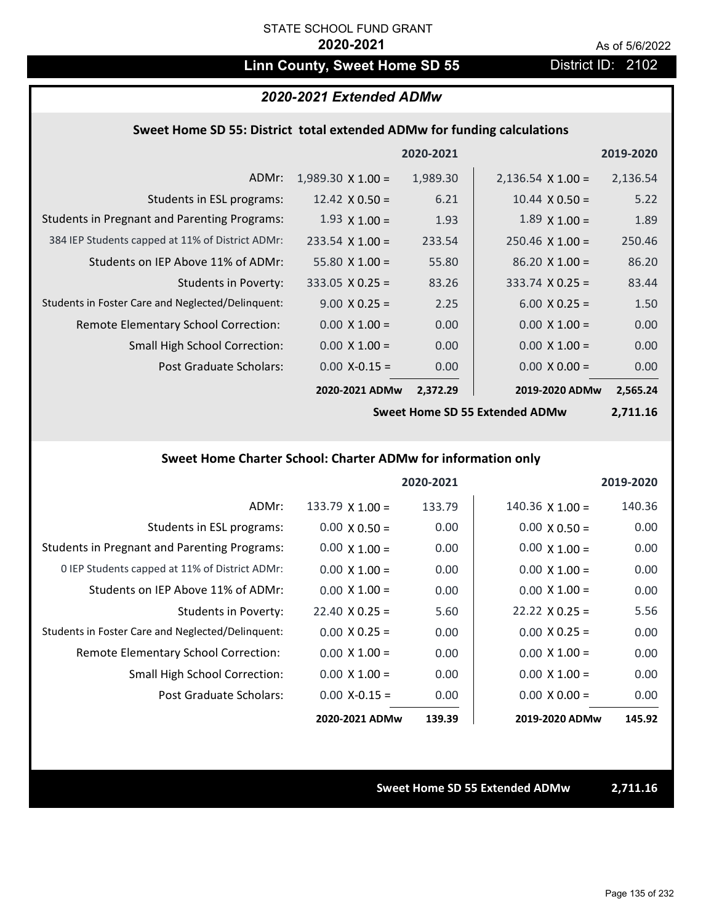## Linn County, Sweet Home SD 55 District ID: 2102

### *2020-2021 Extended ADMw*

### **Sweet Home SD 55: District total extended ADMw for funding calculations**

|                                                     |                          | 2020-2021 |                          | 2019-2020 |
|-----------------------------------------------------|--------------------------|-----------|--------------------------|-----------|
| ADMr:                                               | $1,989.30 \times 1.00 =$ | 1,989.30  | $2,136.54 \times 1.00 =$ | 2,136.54  |
| Students in ESL programs:                           | 12.42 $\times$ 0.50 =    | 6.21      | $10.44 \times 0.50 =$    | 5.22      |
| <b>Students in Pregnant and Parenting Programs:</b> | $1.93 \times 1.00 =$     | 1.93      | $1.89 \times 1.00 =$     | 1.89      |
| 384 IEP Students capped at 11% of District ADMr:    | $233.54 \times 1.00 =$   | 233.54    | $250.46 \times 1.00 =$   | 250.46    |
| Students on IEP Above 11% of ADMr:                  | $55.80 \times 1.00 =$    | 55.80     | $86.20 \times 1.00 =$    | 86.20     |
| <b>Students in Poverty:</b>                         | $333.05 \times 0.25 =$   | 83.26     | $333.74 \times 0.25 =$   | 83.44     |
| Students in Foster Care and Neglected/Delinquent:   | $9.00 \times 0.25 =$     | 2.25      | $6.00 \times 0.25 =$     | 1.50      |
| Remote Elementary School Correction:                | $0.00 \times 1.00 =$     | 0.00      | $0.00 \times 1.00 =$     | 0.00      |
| <b>Small High School Correction:</b>                | $0.00 \times 1.00 =$     | 0.00      | $0.00 \times 1.00 =$     | 0.00      |
| Post Graduate Scholars:                             | $0.00 X - 0.15 =$        | 0.00      | $0.00 \times 0.00 =$     | 0.00      |
|                                                     | 2020-2021 ADMw           | 2,372.29  | 2019-2020 ADMw           | 2,565.24  |

**Sweet Home SD 55 Extended ADMw**

**2,711.16**

## **Sweet Home Charter School: Charter ADMw for information only**

|                                                     |                       | 2020-2021 |                        | 2019-2020 |
|-----------------------------------------------------|-----------------------|-----------|------------------------|-----------|
| ADMr:                                               | 133.79 $X$ 1.00 =     | 133.79    | $140.36 \times 1.00 =$ | 140.36    |
| Students in ESL programs:                           | $0.00 \times 0.50 =$  | 0.00      | $0.00 \times 0.50 =$   | 0.00      |
| <b>Students in Pregnant and Parenting Programs:</b> | $0.00 \times 1.00 =$  | 0.00      | $0.00 \times 1.00 =$   | 0.00      |
| 0 IEP Students capped at 11% of District ADMr:      | $0.00 \times 1.00 =$  | 0.00      | $0.00 \times 1.00 =$   | 0.00      |
| Students on IEP Above 11% of ADMr:                  | $0.00 \times 1.00 =$  | 0.00      | $0.00 \times 1.00 =$   | 0.00      |
| Students in Poverty:                                | $22.40 \times 0.25 =$ | 5.60      | $22.22 \times 0.25 =$  | 5.56      |
| Students in Foster Care and Neglected/Delinquent:   | $0.00 \times 0.25 =$  | 0.00      | $0.00 \times 0.25 =$   | 0.00      |
| Remote Elementary School Correction:                | $0.00 \times 1.00 =$  | 0.00      | $0.00 \times 1.00 =$   | 0.00      |
| <b>Small High School Correction:</b>                | $0.00 \times 1.00 =$  | 0.00      | $0.00 \times 1.00 =$   | 0.00      |
| Post Graduate Scholars:                             | $0.00$ X-0.15 =       | 0.00      | $0.00 \times 0.00 =$   | 0.00      |
|                                                     | 2020-2021 ADMw        | 139.39    | 2019-2020 ADMw         | 145.92    |

### **Sweet Home SD 55 Extended ADMw 2,711.16**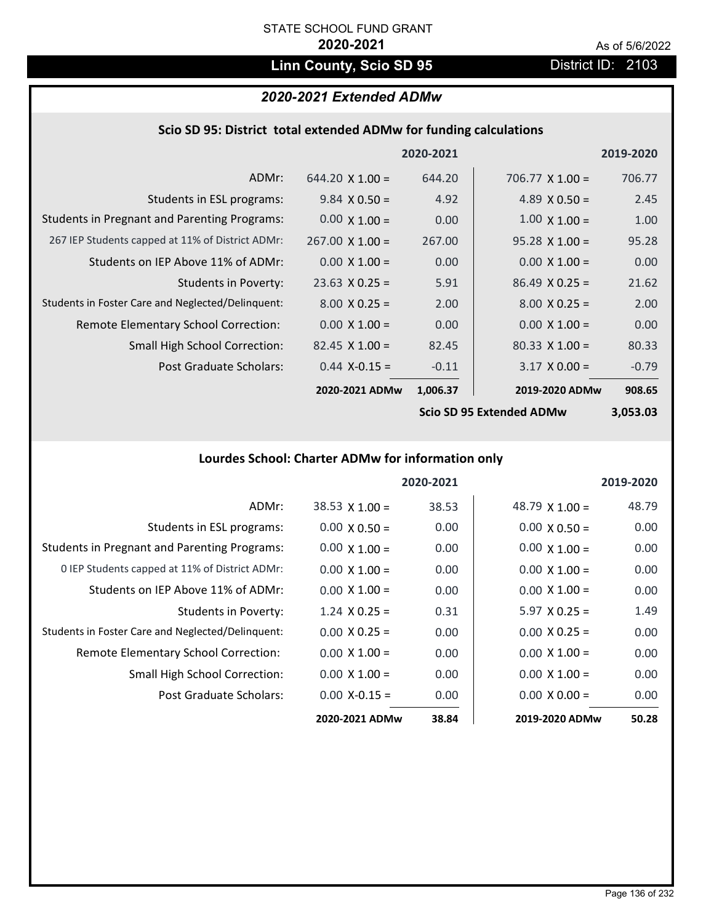# Linn County, Scio SD 95 **District ID: 2103**

## *2020-2021 Extended ADMw*

|  | Scio SD 95: District total extended ADMw for funding calculations |  |
|--|-------------------------------------------------------------------|--|
|--|-------------------------------------------------------------------|--|

|                                                     |                        | 2020-2021 |                                                        | 2019-2020 |
|-----------------------------------------------------|------------------------|-----------|--------------------------------------------------------|-----------|
| ADMr:                                               | $644.20 \times 1.00 =$ | 644.20    | 706.77 $\times$ 1.00 =                                 | 706.77    |
| Students in ESL programs:                           | $9.84 \times 0.50 =$   | 4.92      | 4.89 $\times$ 0.50 =                                   | 2.45      |
| <b>Students in Pregnant and Parenting Programs:</b> | $0.00 \times 1.00 =$   | 0.00      | $1.00 \times 1.00 =$                                   | 1.00      |
| 267 IEP Students capped at 11% of District ADMr:    | $267.00 \times 1.00 =$ | 267.00    | $95.28 \times 1.00 =$                                  | 95.28     |
| Students on IEP Above 11% of ADMr:                  | $0.00 \times 1.00 =$   | 0.00      | $0.00 \times 1.00 =$                                   | 0.00      |
| <b>Students in Poverty:</b>                         | $23.63$ X 0.25 =       | 5.91      | $86.49 \times 0.25 =$                                  | 21.62     |
| Students in Foster Care and Neglected/Delinquent:   | $8.00 \times 0.25 =$   | 2.00      | $8.00 \times 0.25 =$                                   | 2.00      |
| Remote Elementary School Correction:                | $0.00 \times 1.00 =$   | 0.00      | $0.00 \times 1.00 =$                                   | 0.00      |
| <b>Small High School Correction:</b>                | $82.45 \times 1.00 =$  | 82.45     | $80.33 \times 1.00 =$                                  | 80.33     |
| Post Graduate Scholars:                             | $0.44$ X-0.15 =        | $-0.11$   | $3.17 \times 0.00 =$                                   | $-0.79$   |
|                                                     | 2020-2021 ADMw         | 1,006.37  | 2019-2020 ADMw                                         | 908.65    |
|                                                     |                        |           | $C_{\mathcal{L}}$ . CD OF Futural and ADM $\mathbf{A}$ | רה הדה ה  |

**Scio SD 95 Extended ADMw**

**3,053.03**

## **Lourdes School: Charter ADMw for information only**

|                                                     |                       | 2020-2021 |                       | 2019-2020 |
|-----------------------------------------------------|-----------------------|-----------|-----------------------|-----------|
| ADMr:                                               | $38.53 \times 1.00 =$ | 38.53     | 48.79 $\times$ 1.00 = | 48.79     |
| Students in ESL programs:                           | $0.00 \times 0.50 =$  | 0.00      | $0.00 \times 0.50 =$  | 0.00      |
| <b>Students in Pregnant and Parenting Programs:</b> | $0.00 \times 1.00 =$  | 0.00      | $0.00 \times 1.00 =$  | 0.00      |
| 0 IEP Students capped at 11% of District ADMr:      | $0.00 \times 1.00 =$  | 0.00      | $0.00 \times 1.00 =$  | 0.00      |
| Students on IEP Above 11% of ADMr:                  | $0.00 \times 1.00 =$  | 0.00      | $0.00 \times 1.00 =$  | 0.00      |
| Students in Poverty:                                | $1.24 \times 0.25 =$  | 0.31      | $5.97 \times 0.25 =$  | 1.49      |
| Students in Foster Care and Neglected/Delinquent:   | $0.00 \times 0.25 =$  | 0.00      | $0.00 \times 0.25 =$  | 0.00      |
| Remote Elementary School Correction:                | $0.00 \times 1.00 =$  | 0.00      | $0.00 \times 1.00 =$  | 0.00      |
| <b>Small High School Correction:</b>                | $0.00 \times 1.00 =$  | 0.00      | $0.00 \times 1.00 =$  | 0.00      |
| Post Graduate Scholars:                             | $0.00 X - 0.15 =$     | 0.00      | $0.00 \times 0.00 =$  | 0.00      |
|                                                     | 2020-2021 ADMw        | 38.84     | 2019-2020 ADMw        | 50.28     |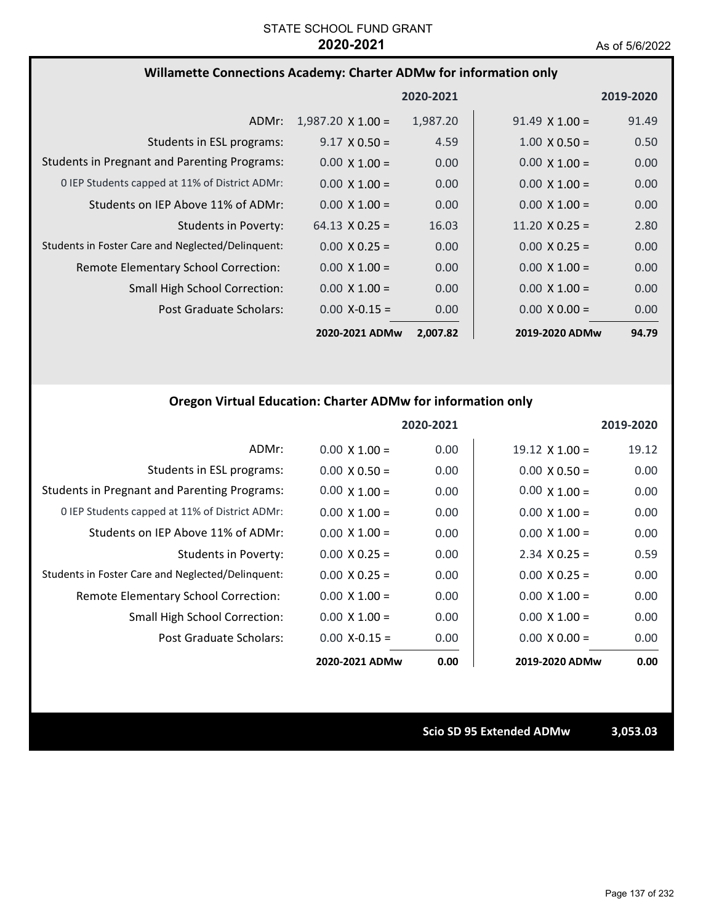### **Willamette Connections Academy: Charter ADMw for information only**

|                                                     |                          | 2020-2021 |                       | 2019-2020 |
|-----------------------------------------------------|--------------------------|-----------|-----------------------|-----------|
| ADMr:                                               | $1,987.20 \times 1.00 =$ | 1,987.20  | $91.49 \times 1.00 =$ | 91.49     |
| Students in ESL programs:                           | $9.17 \times 0.50 =$     | 4.59      | $1.00 \times 0.50 =$  | 0.50      |
| <b>Students in Pregnant and Parenting Programs:</b> | $0.00 \times 1.00 =$     | 0.00      | $0.00 \times 1.00 =$  | 0.00      |
| 0 IEP Students capped at 11% of District ADMr:      | $0.00 \times 1.00 =$     | 0.00      | $0.00 \times 1.00 =$  | 0.00      |
| Students on IEP Above 11% of ADMr:                  | $0.00 \times 1.00 =$     | 0.00      | $0.00 \times 1.00 =$  | 0.00      |
| <b>Students in Poverty:</b>                         | $64.13 \times 0.25 =$    | 16.03     | $11.20 \times 0.25 =$ | 2.80      |
| Students in Foster Care and Neglected/Delinquent:   | $0.00 \times 0.25 =$     | 0.00      | $0.00 \times 0.25 =$  | 0.00      |
| Remote Elementary School Correction:                | $0.00 \times 1.00 =$     | 0.00      | $0.00 \times 1.00 =$  | 0.00      |
| <b>Small High School Correction:</b>                | $0.00 \times 1.00 =$     | 0.00      | $0.00 \times 1.00 =$  | 0.00      |
| Post Graduate Scholars:                             | $0.00$ X-0.15 =          | 0.00      | $0.00 \times 0.00 =$  | 0.00      |
|                                                     | 2020-2021 ADMw           | 2,007.82  | 2019-2020 ADMw        | 94.79     |

### **Oregon Virtual Education: Charter ADMw for information only**

|                                                     |                      | 2020-2021 |                       | 2019-2020 |
|-----------------------------------------------------|----------------------|-----------|-----------------------|-----------|
| ADMr:                                               | $0.00 \times 1.00 =$ | 0.00      | $19.12 \times 1.00 =$ | 19.12     |
| Students in ESL programs:                           | $0.00 \times 0.50 =$ | 0.00      | $0.00 \times 0.50 =$  | 0.00      |
| <b>Students in Pregnant and Parenting Programs:</b> | $0.00 \times 1.00 =$ | 0.00      | $0.00 \times 1.00 =$  | 0.00      |
| 0 IEP Students capped at 11% of District ADMr:      | $0.00 \times 1.00 =$ | 0.00      | $0.00 \times 1.00 =$  | 0.00      |
| Students on IEP Above 11% of ADMr:                  | $0.00 \times 1.00 =$ | 0.00      | $0.00 \times 1.00 =$  | 0.00      |
| Students in Poverty:                                | $0.00 \times 0.25 =$ | 0.00      | $2.34 \times 0.25 =$  | 0.59      |
| Students in Foster Care and Neglected/Delinquent:   | $0.00 \times 0.25 =$ | 0.00      | $0.00 \times 0.25 =$  | 0.00      |
| Remote Elementary School Correction:                | $0.00 \times 1.00 =$ | 0.00      | $0.00 \times 1.00 =$  | 0.00      |
| <b>Small High School Correction:</b>                | $0.00 \times 1.00 =$ | 0.00      | $0.00 \times 1.00 =$  | 0.00      |
| Post Graduate Scholars:                             | $0.00$ X-0.15 =      | 0.00      | $0.00 \times 0.00 =$  | 0.00      |
|                                                     | 2020-2021 ADMw       | 0.00      | 2019-2020 ADMw        | 0.00      |

**Scio SD 95 Extended ADMw 3,053.03**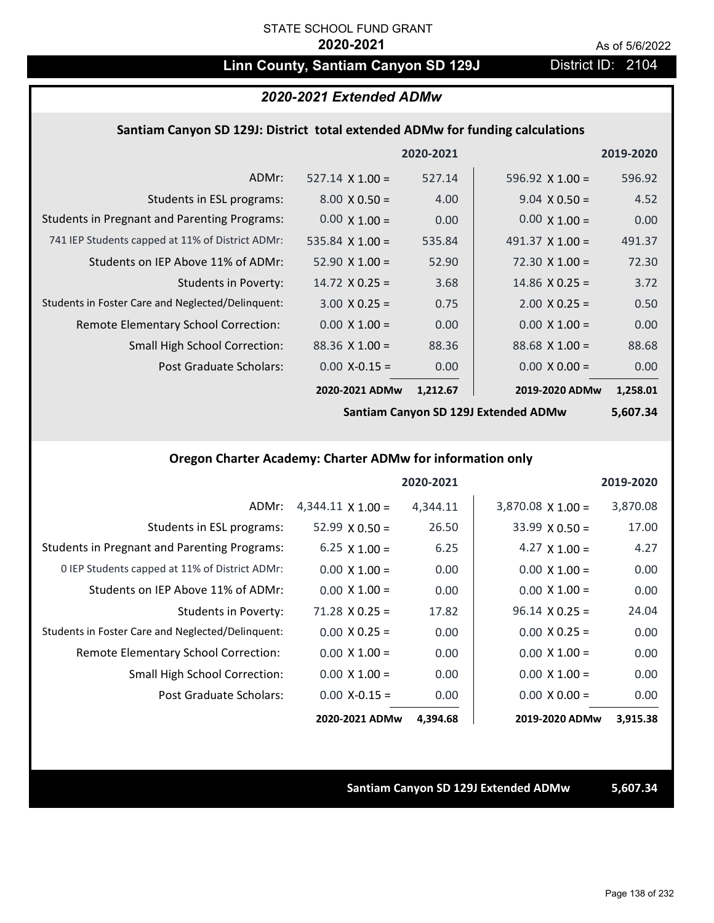## Linn County, Santiam Canyon SD 129J District ID: 2104

### *2020-2021 Extended ADMw*

### **Santiam Canyon SD 129J: District total extended ADMw for funding calculations**

|                                                     |                        | 2020-2021 |                        | 2019-2020 |
|-----------------------------------------------------|------------------------|-----------|------------------------|-----------|
| ADMr:                                               | $527.14 \times 1.00 =$ | 527.14    | 596.92 $\times$ 1.00 = | 596.92    |
| Students in ESL programs:                           | $8.00 \times 0.50 =$   | 4.00      | $9.04 \times 0.50 =$   | 4.52      |
| <b>Students in Pregnant and Parenting Programs:</b> | $0.00 \times 1.00 =$   | 0.00      | $0.00 \times 1.00 =$   | 0.00      |
| 741 IEP Students capped at 11% of District ADMr:    | 535.84 $\times$ 1.00 = | 535.84    | 491.37 $\times$ 1.00 = | 491.37    |
| Students on IEP Above 11% of ADMr:                  | $52.90 \times 1.00 =$  | 52.90     | $72.30 \times 1.00 =$  | 72.30     |
| <b>Students in Poverty:</b>                         | $14.72 \times 0.25 =$  | 3.68      | $14.86 \times 0.25 =$  | 3.72      |
| Students in Foster Care and Neglected/Delinquent:   | $3.00 \times 0.25 =$   | 0.75      | $2.00 \times 0.25 =$   | 0.50      |
| Remote Elementary School Correction:                | $0.00 \times 1.00 =$   | 0.00      | $0.00 \times 1.00 =$   | 0.00      |
| <b>Small High School Correction:</b>                | $88.36 \times 1.00 =$  | 88.36     | $88.68 \times 1.00 =$  | 88.68     |
| Post Graduate Scholars:                             | $0.00$ X-0.15 =        | 0.00      | $0.00 \times 0.00 =$   | 0.00      |
|                                                     | 2020-2021 ADMw         | 1,212.67  | 2019-2020 ADMw         | 1,258.01  |

**Santiam Canyon SD 129J Extended ADMw**

**5,607.34**

### **Oregon Charter Academy: Charter ADMw for information only**

|                                                     |                          | 2020-2021 |                       | 2019-2020 |
|-----------------------------------------------------|--------------------------|-----------|-----------------------|-----------|
| ADMr:                                               | $4,344.11 \times 1.00 =$ | 4,344.11  | $3,870.08$ X 1.00 =   | 3,870.08  |
| Students in ESL programs:                           | $52.99 \times 0.50 =$    | 26.50     | $33.99 \times 0.50 =$ | 17.00     |
| <b>Students in Pregnant and Parenting Programs:</b> | 6.25 $\times$ 1.00 =     | 6.25      | 4.27 $\times$ 1.00 =  | 4.27      |
| 0 IEP Students capped at 11% of District ADMr:      | $0.00 \times 1.00 =$     | 0.00      | $0.00 \times 1.00 =$  | 0.00      |
| Students on IEP Above 11% of ADMr:                  | $0.00 \times 1.00 =$     | 0.00      | $0.00 \times 1.00 =$  | 0.00      |
| Students in Poverty:                                | $71.28 \times 0.25 =$    | 17.82     | $96.14 \times 0.25 =$ | 24.04     |
| Students in Foster Care and Neglected/Delinquent:   | $0.00 \times 0.25 =$     | 0.00      | $0.00 \times 0.25 =$  | 0.00      |
| Remote Elementary School Correction:                | $0.00 \times 1.00 =$     | 0.00      | $0.00 \times 1.00 =$  | 0.00      |
| <b>Small High School Correction:</b>                | $0.00 \times 1.00 =$     | 0.00      | $0.00 \times 1.00 =$  | 0.00      |
| Post Graduate Scholars:                             | $0.00$ X-0.15 =          | 0.00      | $0.00 \times 0.00 =$  | 0.00      |
|                                                     | 2020-2021 ADMw           | 4,394.68  | 2019-2020 ADMw        | 3,915.38  |

### **Santiam Canyon SD 129J Extended ADMw 5,607.34**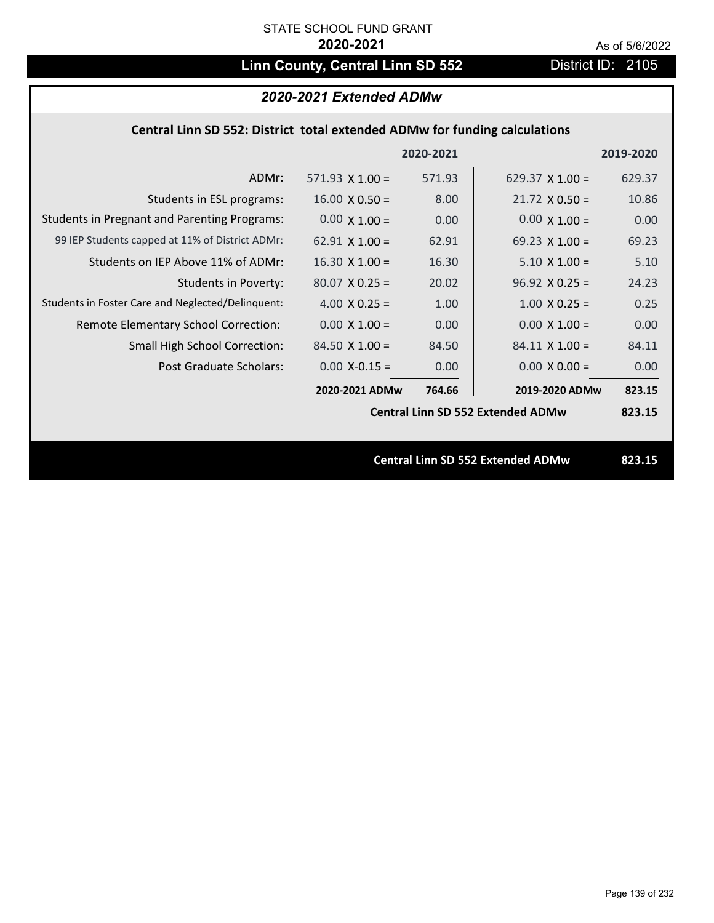# Linn County, Central Linn SD 552 District ID: 2105

## *2020-2021 Extended ADMw*

### **Central Linn SD 552: District total extended ADMw for funding calculations**

|                                                     |                        | 2020-2021 |                                          | 2019-2020 |
|-----------------------------------------------------|------------------------|-----------|------------------------------------------|-----------|
| ADMr:                                               | $571.93 \times 1.00 =$ | 571.93    | 629.37 $\times$ 1.00 =                   | 629.37    |
| Students in ESL programs:                           | $16.00 \times 0.50 =$  | 8.00      | $21.72 \times 0.50 =$                    | 10.86     |
| <b>Students in Pregnant and Parenting Programs:</b> | $0.00 \times 1.00 =$   | 0.00      | $0.00 \times 1.00 =$                     | 0.00      |
| 99 IEP Students capped at 11% of District ADMr:     | $62.91 \times 1.00 =$  | 62.91     | 69.23 $\times$ 1.00 =                    | 69.23     |
| Students on IEP Above 11% of ADMr:                  | $16.30 \times 1.00 =$  | 16.30     | $5.10 \times 1.00 =$                     | 5.10      |
| <b>Students in Poverty:</b>                         | $80.07$ X 0.25 =       | 20.02     | $96.92 \times 0.25 =$                    | 24.23     |
| Students in Foster Care and Neglected/Delinquent:   | 4.00 $X$ 0.25 =        | 1.00      | $1.00 \times 0.25 =$                     | 0.25      |
| Remote Elementary School Correction:                | $0.00 \times 1.00 =$   | 0.00      | $0.00 \times 1.00 =$                     | 0.00      |
| <b>Small High School Correction:</b>                | $84.50 \times 1.00 =$  | 84.50     | $84.11 \times 1.00 =$                    | 84.11     |
| Post Graduate Scholars:                             | $0.00$ X-0.15 =        | 0.00      | $0.00 \times 0.00 =$                     | 0.00      |
|                                                     | 2020-2021 ADMw         | 764.66    | 2019-2020 ADMw                           | 823.15    |
|                                                     |                        |           | <b>Central Linn SD 552 Extended ADMw</b> | 823.15    |
|                                                     |                        |           |                                          |           |
|                                                     |                        |           | <b>Central Linn SD 552 Extended ADMw</b> | 823.15    |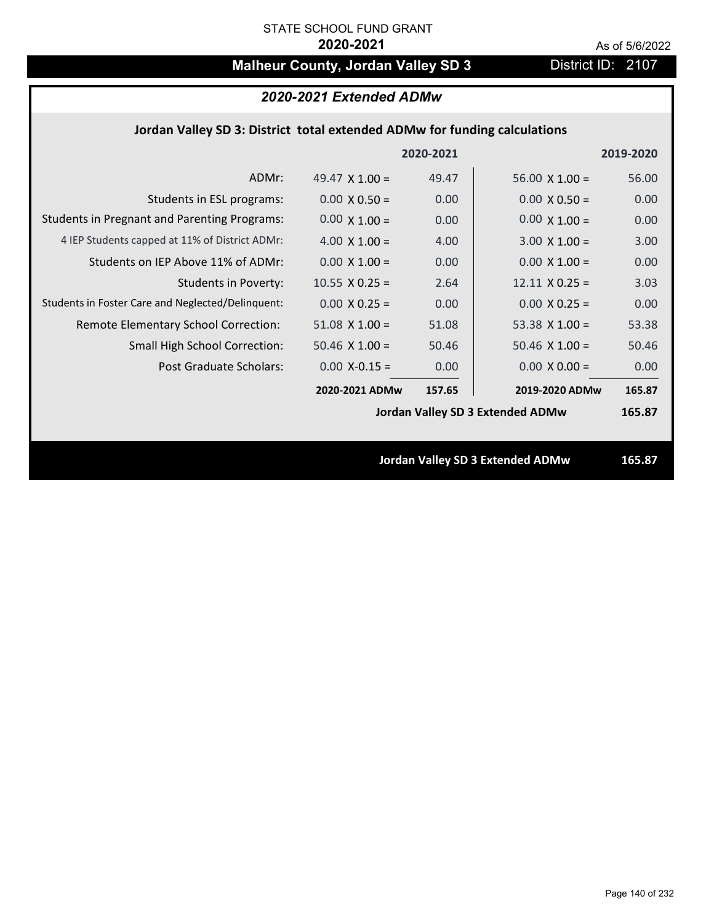# **Malheur County, Jordan Valley SD 3** District ID: 2107

| 2020-2021 Extended ADMw |  |  |
|-------------------------|--|--|
|-------------------------|--|--|

## **Jordan Valley SD 3: District total extended ADMw for funding calculations**

|                                                     |                       | 2020-2021 |                                         | 2019-2020 |
|-----------------------------------------------------|-----------------------|-----------|-----------------------------------------|-----------|
| ADMr:                                               | 49.47 $\times$ 1.00 = | 49.47     | $56.00 \times 1.00 =$                   | 56.00     |
| Students in ESL programs:                           | $0.00 \times 0.50 =$  | 0.00      | $0.00 \times 0.50 =$                    | 0.00      |
| <b>Students in Pregnant and Parenting Programs:</b> | $0.00 \times 1.00 =$  | 0.00      | $0.00 \times 1.00 =$                    | 0.00      |
| 4 IEP Students capped at 11% of District ADMr:      | 4.00 $\times$ 1.00 =  | 4.00      | $3.00 \times 1.00 =$                    | 3.00      |
| Students on IEP Above 11% of ADMr:                  | $0.00$ X $1.00 =$     | 0.00      | $0.00$ X $1.00 =$                       | 0.00      |
| <b>Students in Poverty:</b>                         | $10.55$ X 0.25 =      | 2.64      | $12.11 \times 0.25 =$                   | 3.03      |
| Students in Foster Care and Neglected/Delinquent:   | $0.00 \times 0.25 =$  | 0.00      | $0.00 \times 0.25 =$                    | 0.00      |
| Remote Elementary School Correction:                | $51.08$ X $1.00 =$    | 51.08     | 53.38 $X$ 1.00 =                        | 53.38     |
| <b>Small High School Correction:</b>                | $50.46 \times 1.00 =$ | 50.46     | $50.46 \times 1.00 =$                   | 50.46     |
| Post Graduate Scholars:                             | $0.00$ X-0.15 =       | 0.00      | $0.00 \times 0.00 =$                    | 0.00      |
|                                                     | 2020-2021 ADMw        | 157.65    | 2019-2020 ADMw                          | 165.87    |
|                                                     |                       |           | <b>Jordan Valley SD 3 Extended ADMw</b> | 165.87    |
|                                                     |                       |           |                                         |           |
|                                                     |                       |           | <b>Jordan Valley SD 3 Extended ADMw</b> | 165.87    |
|                                                     |                       |           |                                         |           |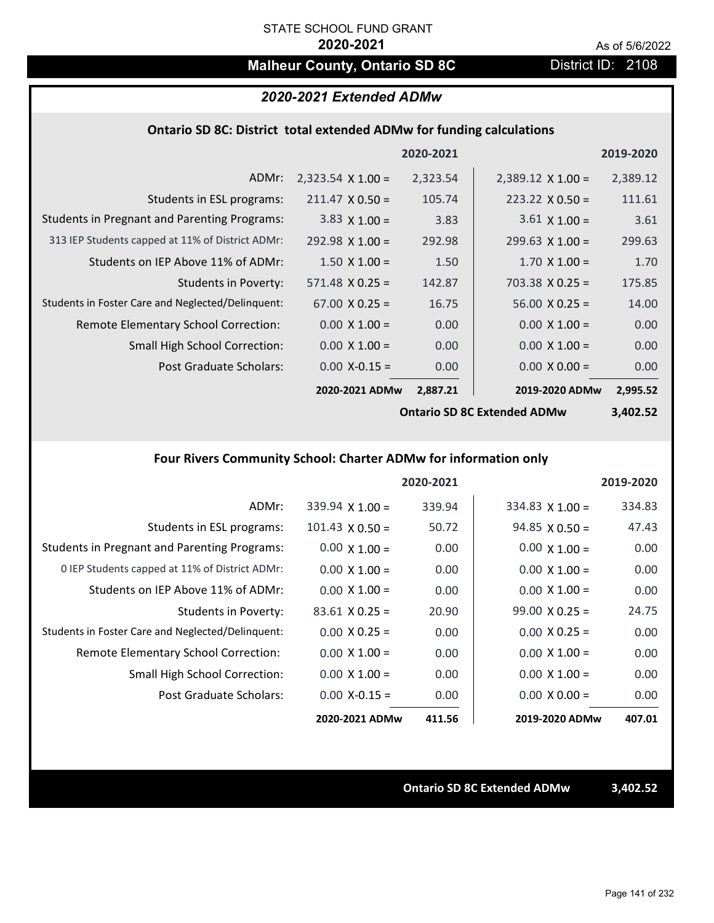# **Malheur County, Ontario SD 8C** District ID: 2108

### *2020-2021 Extended ADMw*

### **Ontario SD 8C: District total extended ADMw for funding calculations**

|                                                     |                          | 2020-2021 |                          | 2019-2020 |
|-----------------------------------------------------|--------------------------|-----------|--------------------------|-----------|
| ADMr:                                               | $2,323.54 \times 1.00 =$ | 2,323.54  | $2,389.12 \times 1.00 =$ | 2,389.12  |
| Students in ESL programs:                           | $211.47 \times 0.50 =$   | 105.74    | $223.22 \times 0.50 =$   | 111.61    |
| <b>Students in Pregnant and Parenting Programs:</b> | $3.83 \times 1.00 =$     | 3.83      | $3.61 \times 1.00 =$     | 3.61      |
| 313 IEP Students capped at 11% of District ADMr:    | $292.98 \times 1.00 =$   | 292.98    | $299.63 \times 1.00 =$   | 299.63    |
| Students on IEP Above 11% of ADMr:                  | $1.50 \times 1.00 =$     | 1.50      | $1.70 \times 1.00 =$     | 1.70      |
| <b>Students in Poverty:</b>                         | $571.48 \times 0.25 =$   | 142.87    | $703.38 \times 0.25 =$   | 175.85    |
| Students in Foster Care and Neglected/Delinquent:   | $67.00 \times 0.25 =$    | 16.75     | $56.00 \times 0.25 =$    | 14.00     |
| Remote Elementary School Correction:                | $0.00 \times 1.00 =$     | 0.00      | $0.00 \times 1.00 =$     | 0.00      |
| <b>Small High School Correction:</b>                | $0.00 \times 1.00 =$     | 0.00      | $0.00 \times 1.00 =$     | 0.00      |
| Post Graduate Scholars:                             | $0.00$ X-0.15 =          | 0.00      | $0.00 \times 0.00 =$     | 0.00      |
|                                                     | 2020-2021 ADMw           | 2,887.21  | 2019-2020 ADMw           | 2,995.52  |

**Ontario SD 8C Extended ADMw**

**3,402.52**

## **Four Rivers Community School: Charter ADMw for information only**

|                                                     |                        | 2020-2021 |                       | 2019-2020 |
|-----------------------------------------------------|------------------------|-----------|-----------------------|-----------|
| ADMr:                                               | $339.94$ X 1.00 =      | 339.94    | $334.83$ X 1.00 =     | 334.83    |
| Students in ESL programs:                           | $101.43 \times 0.50 =$ | 50.72     | $94.85 \times 0.50 =$ | 47.43     |
| <b>Students in Pregnant and Parenting Programs:</b> | $0.00 \times 1.00 =$   | 0.00      | $0.00 \times 1.00 =$  | 0.00      |
| 0 IEP Students capped at 11% of District ADMr:      | $0.00 \times 1.00 =$   | 0.00      | $0.00 \times 1.00 =$  | 0.00      |
| Students on IEP Above 11% of ADMr:                  | $0.00 \times 1.00 =$   | 0.00      | $0.00 \times 1.00 =$  | 0.00      |
| Students in Poverty:                                | $83.61 \times 0.25 =$  | 20.90     | $99.00 \times 0.25 =$ | 24.75     |
| Students in Foster Care and Neglected/Delinquent:   | $0.00 \times 0.25 =$   | 0.00      | $0.00 \times 0.25 =$  | 0.00      |
| Remote Elementary School Correction:                | $0.00 \times 1.00 =$   | 0.00      | $0.00 \times 1.00 =$  | 0.00      |
| <b>Small High School Correction:</b>                | $0.00 \times 1.00 =$   | 0.00      | $0.00 \times 1.00 =$  | 0.00      |
| Post Graduate Scholars:                             | $0.00 X - 0.15 =$      | 0.00      | $0.00 \times 0.00 =$  | 0.00      |
|                                                     | 2020-2021 ADMw         | 411.56    | 2019-2020 ADMw        | 407.01    |

**Ontario SD 8C Extended ADMw 3,402.52**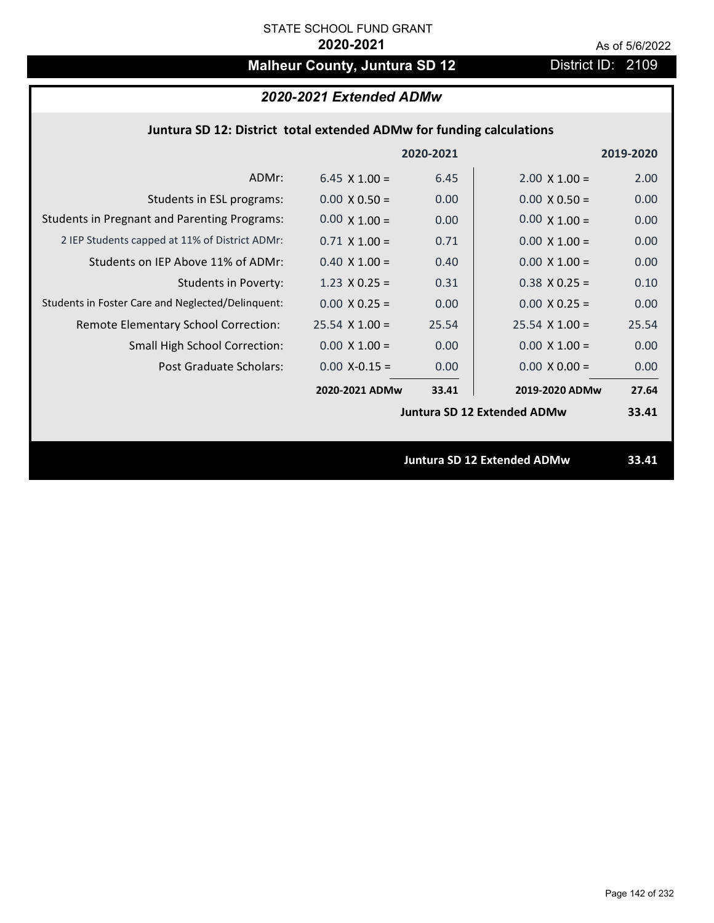# **Malheur County, Juntura SD 12** District ID: 2109

| 2020-2021 Extended ADMw |
|-------------------------|
|-------------------------|

|                                                     |                      | 2020-2021 |                                    | 2019-2020 |
|-----------------------------------------------------|----------------------|-----------|------------------------------------|-----------|
| ADMr:                                               | $6.45 \times 1.00 =$ | 6.45      | $2.00 \times 1.00 =$               | 2.00      |
| Students in ESL programs:                           | $0.00 \times 0.50 =$ | 0.00      | $0.00 \times 0.50 =$               | 0.00      |
| <b>Students in Pregnant and Parenting Programs:</b> | $0.00 \times 1.00 =$ | 0.00      | $0.00 \times 1.00 =$               | 0.00      |
| 2 IEP Students capped at 11% of District ADMr:      | $0.71 \times 1.00 =$ | 0.71      | $0.00 \times 1.00 =$               | 0.00      |
| Students on IEP Above 11% of ADMr:                  | $0.40 \times 1.00 =$ | 0.40      | $0.00 \times 1.00 =$               | 0.00      |
| <b>Students in Poverty:</b>                         | 1.23 $X$ 0.25 =      | 0.31      | $0.38$ X 0.25 =                    | 0.10      |
| Students in Foster Care and Neglected/Delinquent:   | $0.00 \times 0.25 =$ | 0.00      | $0.00 \times 0.25 =$               | 0.00      |
| Remote Elementary School Correction:                | $25.54$ X 1.00 =     | 25.54     | $25.54 \times 1.00 =$              | 25.54     |
| <b>Small High School Correction:</b>                | $0.00 \times 1.00 =$ | 0.00      | $0.00 \times 1.00 =$               | 0.00      |
| Post Graduate Scholars:                             | $0.00$ X-0.15 =      | 0.00      | $0.00 \times 0.00 =$               | 0.00      |
|                                                     | 2020-2021 ADMw       | 33.41     | 2019-2020 ADMw                     | 27.64     |
|                                                     |                      |           | <b>Juntura SD 12 Extended ADMw</b> | 33.41     |
|                                                     |                      |           |                                    |           |
|                                                     |                      |           | <b>Juntura SD 12 Extended ADMw</b> | 33.41     |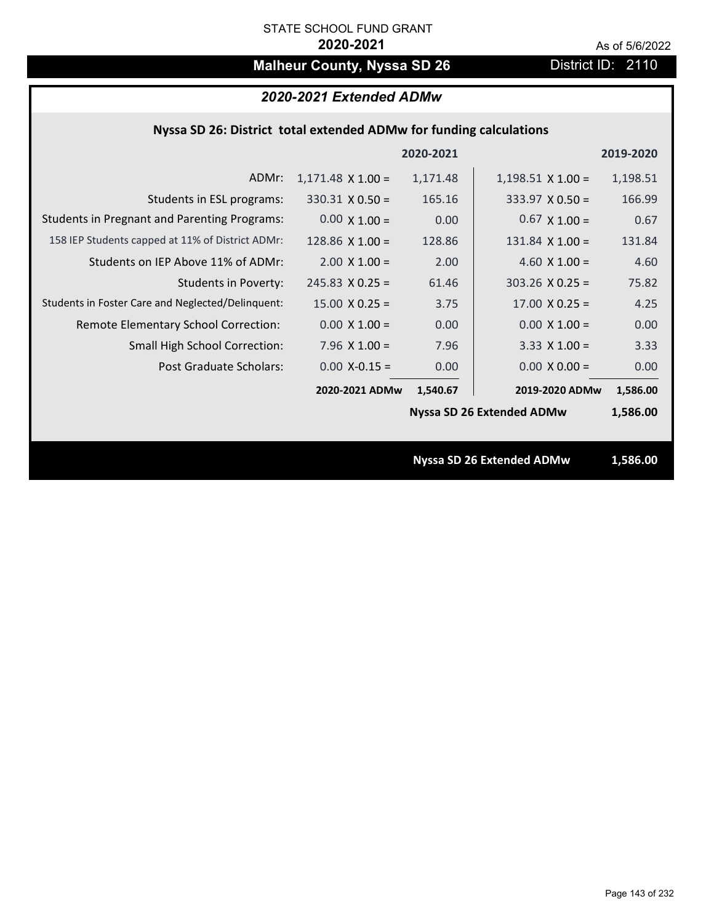# **Malheur County, Nyssa SD 26** District ID: 2110

| 2020-2021 Extended ADMw |  |
|-------------------------|--|
|-------------------------|--|

| Nyssa SD 26: District total extended ADMw for funding calculations |  |  |  |
|--------------------------------------------------------------------|--|--|--|
|--------------------------------------------------------------------|--|--|--|

|                                                     |                                  | 2020-2021 |                                  | 2019-2020 |  |
|-----------------------------------------------------|----------------------------------|-----------|----------------------------------|-----------|--|
| ADMr:                                               | $1,171.48 \times 1.00 =$         | 1,171.48  | $1,198.51 \times 1.00 =$         | 1,198.51  |  |
| Students in ESL programs:                           | $330.31 \times 0.50 =$           | 165.16    | $333.97 \times 0.50 =$           | 166.99    |  |
| <b>Students in Pregnant and Parenting Programs:</b> | $0.00 \times 1.00 =$             | 0.00      | $0.67 \times 1.00 =$             | 0.67      |  |
| 158 IEP Students capped at 11% of District ADMr:    | 128.86 $X$ 1.00 =                | 128.86    | $131.84$ X $1.00 =$              | 131.84    |  |
| Students on IEP Above 11% of ADMr:                  | $2.00 \times 1.00 =$             | 2.00      | 4.60 $X$ 1.00 =                  | 4.60      |  |
| <b>Students in Poverty:</b>                         | $245.83$ X 0.25 =                | 61.46     | $303.26$ X 0.25 =                | 75.82     |  |
| Students in Foster Care and Neglected/Delinquent:   | $15.00 \times 0.25 =$            | 3.75      | $17.00 \times 0.25 =$            | 4.25      |  |
| Remote Elementary School Correction:                | $0.00 \times 1.00 =$             | 0.00      | $0.00 \times 1.00 =$             | 0.00      |  |
| <b>Small High School Correction:</b>                | 7.96 $X$ 1.00 =                  | 7.96      | $3.33 \times 1.00 =$             | 3.33      |  |
| Post Graduate Scholars:                             | $0.00$ X-0.15 =                  | 0.00      | $0.00 \times 0.00 =$             | 0.00      |  |
|                                                     | 2020-2021 ADMw                   | 1,540.67  | 2019-2020 ADMw                   | 1,586.00  |  |
|                                                     |                                  |           | <b>Nyssa SD 26 Extended ADMw</b> | 1,586.00  |  |
|                                                     |                                  |           |                                  |           |  |
|                                                     | <b>Nyssa SD 26 Extended ADMw</b> |           | 1,586.00                         |           |  |
|                                                     |                                  |           |                                  |           |  |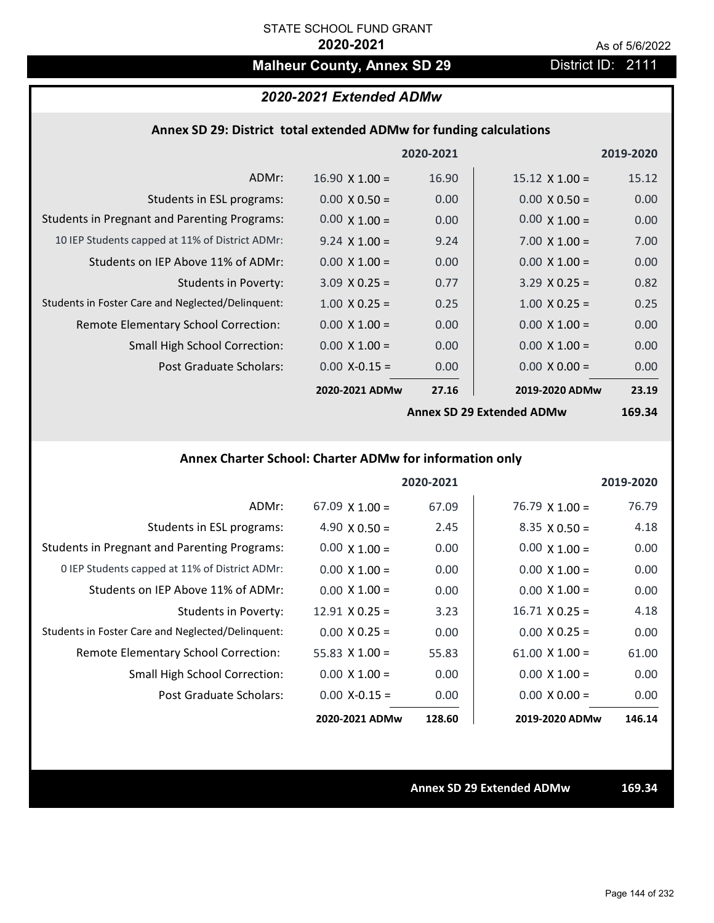# **Malheur County, Annex SD 29** District ID: 2111

## *2020-2021 Extended ADMw*

### **Annex SD 29: District total extended ADMw for funding calculations**

|                                                     |                           | 2020-2021 |                       | 2019-2020 |
|-----------------------------------------------------|---------------------------|-----------|-----------------------|-----------|
| ADMr:                                               | $16.90 \times 1.00 =$     | 16.90     | $15.12 \times 1.00 =$ | 15.12     |
| Students in ESL programs:                           | $0.00 \times 0.50 =$      | 0.00      | $0.00 \times 0.50 =$  | 0.00      |
| <b>Students in Pregnant and Parenting Programs:</b> | $0.00 \times 1.00 =$      | 0.00      | $0.00 \times 1.00 =$  | 0.00      |
| 10 IEP Students capped at 11% of District ADMr:     | $9.24 \times 1.00 =$      | 9.24      | $7.00 \times 1.00 =$  | 7.00      |
| Students on IEP Above 11% of ADMr:                  | $0.00 \times 1.00 =$      | 0.00      | $0.00 \times 1.00 =$  | 0.00      |
| <b>Students in Poverty:</b>                         | $3.09 \times 0.25 =$      | 0.77      | $3.29 \times 0.25 =$  | 0.82      |
| Students in Foster Care and Neglected/Delinquent:   | $1.00 \times 0.25 =$      | 0.25      | $1.00 \times 0.25 =$  | 0.25      |
| Remote Elementary School Correction:                | $0.00 \times 1.00 =$      | 0.00      | $0.00 \times 1.00 =$  | 0.00      |
| <b>Small High School Correction:</b>                | $0.00 \times 1.00 =$      | 0.00      | $0.00 \times 1.00 =$  | 0.00      |
| Post Graduate Scholars:                             | $0.00$ X-0.15 =           | 0.00      | $0.00 \times 0.00 =$  | 0.00      |
|                                                     | 2020-2021 ADMw            | 27.16     | 2019-2020 ADMw        | 23.19     |
|                                                     | Annov CD 20 Extended ADMW |           | $160.21$              |           |

**Annex SD 29 Extended ADMw**

**169.34**

## **Annex Charter School: Charter ADMw for information only**

|                                                     |                       | 2020-2021 |                       | 2019-2020 |
|-----------------------------------------------------|-----------------------|-----------|-----------------------|-----------|
| ADMr:                                               | $67.09 \times 1.00 =$ | 67.09     | $76.79 \times 1.00 =$ | 76.79     |
| Students in ESL programs:                           | 4.90 $\times$ 0.50 =  | 2.45      | $8.35 \times 0.50 =$  | 4.18      |
| <b>Students in Pregnant and Parenting Programs:</b> | $0.00 \times 1.00 =$  | 0.00      | $0.00 \times 1.00 =$  | 0.00      |
| 0 IEP Students capped at 11% of District ADMr:      | $0.00 \times 1.00 =$  | 0.00      | $0.00 \times 1.00 =$  | 0.00      |
| Students on IEP Above 11% of ADMr:                  | $0.00 \times 1.00 =$  | 0.00      | $0.00 \times 1.00 =$  | 0.00      |
| Students in Poverty:                                | $12.91 \times 0.25 =$ | 3.23      | $16.71 \times 0.25 =$ | 4.18      |
| Students in Foster Care and Neglected/Delinquent:   | $0.00 \times 0.25 =$  | 0.00      | $0.00 \times 0.25 =$  | 0.00      |
| <b>Remote Elementary School Correction:</b>         | 55.83 $\times$ 1.00 = | 55.83     | $61.00 \times 1.00 =$ | 61.00     |
| <b>Small High School Correction:</b>                | $0.00 \times 1.00 =$  | 0.00      | $0.00 \times 1.00 =$  | 0.00      |
| Post Graduate Scholars:                             | $0.00 X - 0.15 =$     | 0.00      | $0.00 \times 0.00 =$  | 0.00      |
|                                                     | 2020-2021 ADMw        | 128.60    | 2019-2020 ADMw        | 146.14    |

**Annex SD 29 Extended ADMw 169.34**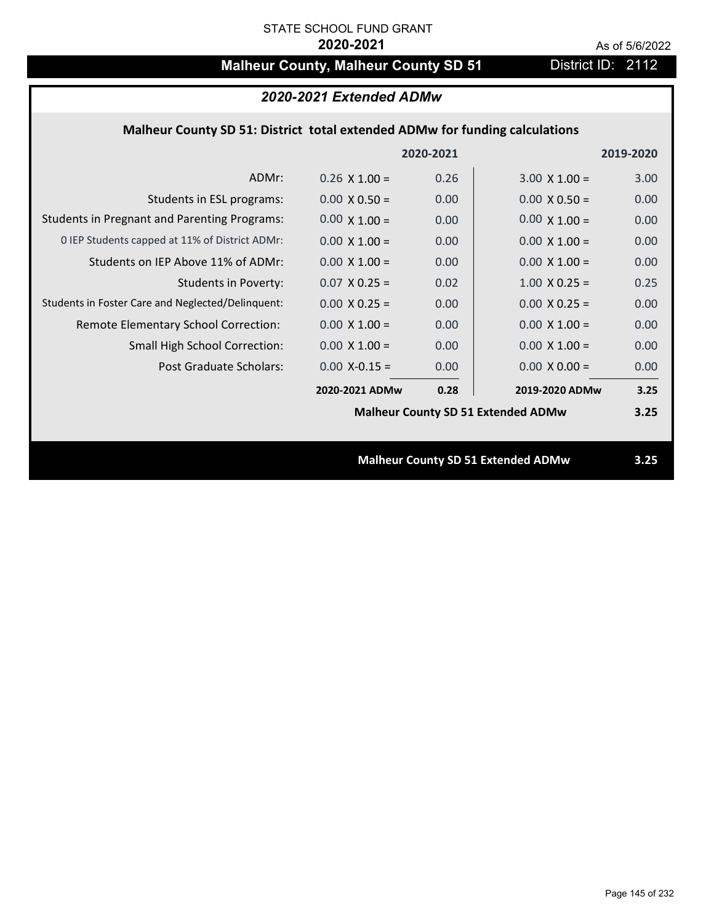# **Malheur County, Malheur County SD 51** District ID: 2112

| 2020-2021 Extended ADMw                                                     |                      |      |                                           |      |  |  |
|-----------------------------------------------------------------------------|----------------------|------|-------------------------------------------|------|--|--|
| Malheur County SD 51: District total extended ADMw for funding calculations |                      |      |                                           |      |  |  |
| 2020-2021<br>2019-2020                                                      |                      |      |                                           |      |  |  |
| ADMr:                                                                       | $0.26 \times 1.00 =$ | 0.26 | $3.00 \times 1.00 =$                      | 3.00 |  |  |
| Students in ESL programs:                                                   | $0.00 \times 0.50 =$ | 0.00 | $0.00 \times 0.50 =$                      | 0.00 |  |  |
| <b>Students in Pregnant and Parenting Programs:</b>                         | $0.00 \times 1.00 =$ | 0.00 | $0.00 \times 1.00 =$                      | 0.00 |  |  |
| 0 IEP Students capped at 11% of District ADMr:                              | $0.00 \times 1.00 =$ | 0.00 | $0.00 \times 1.00 =$                      | 0.00 |  |  |
| Students on IEP Above 11% of ADMr:                                          | $0.00 \times 1.00 =$ | 0.00 | $0.00 \times 1.00 =$                      | 0.00 |  |  |
| <b>Students in Poverty:</b>                                                 | $0.07$ X 0.25 =      | 0.02 | $1.00 \times 0.25 =$                      | 0.25 |  |  |
| Students in Foster Care and Neglected/Delinquent:                           | $0.00 \times 0.25 =$ | 0.00 | $0.00 X 0.25 =$                           | 0.00 |  |  |
| Remote Elementary School Correction:                                        | $0.00 \times 1.00 =$ | 0.00 | $0.00 \times 1.00 =$                      | 0.00 |  |  |
| <b>Small High School Correction:</b>                                        | $0.00 \times 1.00 =$ | 0.00 | $0.00 \times 1.00 =$                      | 0.00 |  |  |
| Post Graduate Scholars:                                                     | $0.00$ X-0.15 =      | 0.00 | $0.00 \times 0.00 =$                      | 0.00 |  |  |
|                                                                             | 2020-2021 ADMw       | 0.28 | 2019-2020 ADMw                            | 3.25 |  |  |
|                                                                             |                      |      | <b>Malheur County SD 51 Extended ADMw</b> | 3.25 |  |  |
|                                                                             |                      |      |                                           |      |  |  |
|                                                                             |                      |      | <b>Malheur County SD 51 Extended ADMw</b> | 3.25 |  |  |
|                                                                             |                      |      |                                           |      |  |  |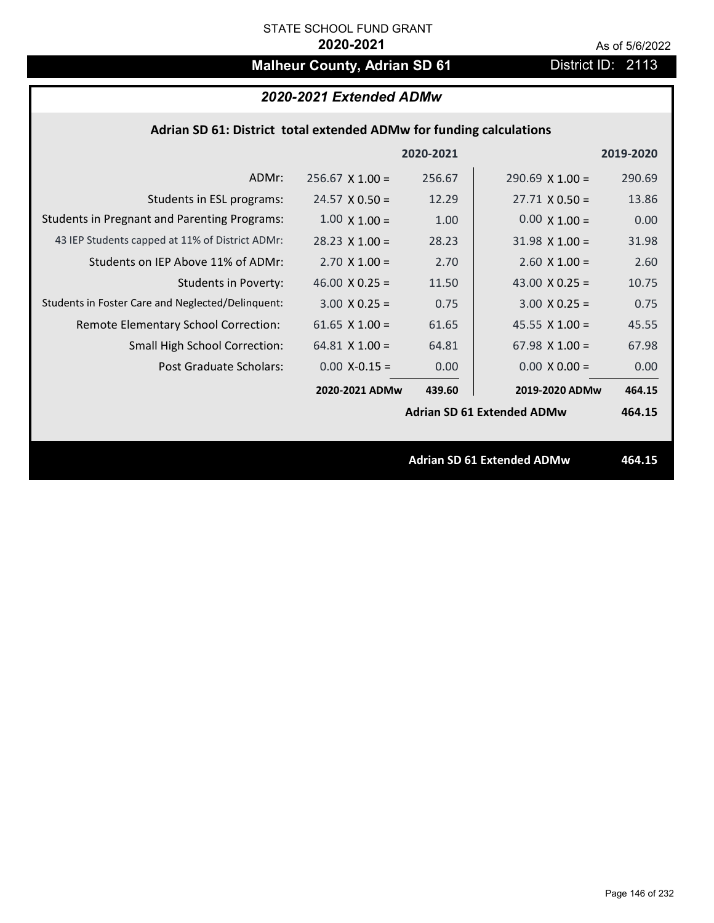# **Malheur County, Adrian SD 61** District ID: 2113

|  | 2020-2021 Extended ADMw |
|--|-------------------------|
|--|-------------------------|

| Adrian SD 61: District total extended ADMw for funding calculations |  |  |  |
|---------------------------------------------------------------------|--|--|--|
|---------------------------------------------------------------------|--|--|--|

|                                                     |                        | 2020-2021 |                                   | 2019-2020 |
|-----------------------------------------------------|------------------------|-----------|-----------------------------------|-----------|
| ADMr:                                               | $256.67 \times 1.00 =$ | 256.67    | $290.69$ X 1.00 =                 | 290.69    |
| Students in ESL programs:                           | $24.57 \times 0.50 =$  | 12.29     | $27.71 \times 0.50 =$             | 13.86     |
| <b>Students in Pregnant and Parenting Programs:</b> | $1.00 \times 1.00 =$   | 1.00      | $0.00 \times 1.00 =$              | 0.00      |
| 43 IEP Students capped at 11% of District ADMr:     | $28.23 \times 1.00 =$  | 28.23     | $31.98 \times 1.00 =$             | 31.98     |
| Students on IEP Above 11% of ADMr:                  | $2.70 \times 1.00 =$   | 2.70      | $2.60$ X $1.00 =$                 | 2.60      |
| <b>Students in Poverty:</b>                         | 46.00 $X$ 0.25 =       | 11.50     | 43.00 $X$ 0.25 =                  | 10.75     |
| Students in Foster Care and Neglected/Delinquent:   | $3.00 \times 0.25 =$   | 0.75      | $3.00 \times 0.25 =$              | 0.75      |
| Remote Elementary School Correction:                | 61.65 $X$ 1.00 =       | 61.65     | $45.55 \times 1.00 =$             | 45.55     |
| <b>Small High School Correction:</b>                | $64.81$ X 1.00 =       | 64.81     | 67.98 $X$ 1.00 =                  | 67.98     |
| Post Graduate Scholars:                             | $0.00$ X-0.15 =        | 0.00      | $0.00 \times 0.00 =$              | 0.00      |
|                                                     | 2020-2021 ADMw         | 439.60    | 2019-2020 ADMw                    | 464.15    |
|                                                     |                        |           | <b>Adrian SD 61 Extended ADMw</b> | 464.15    |
|                                                     |                        |           |                                   |           |
|                                                     |                        |           | <b>Adrian SD 61 Extended ADMw</b> | 464.15    |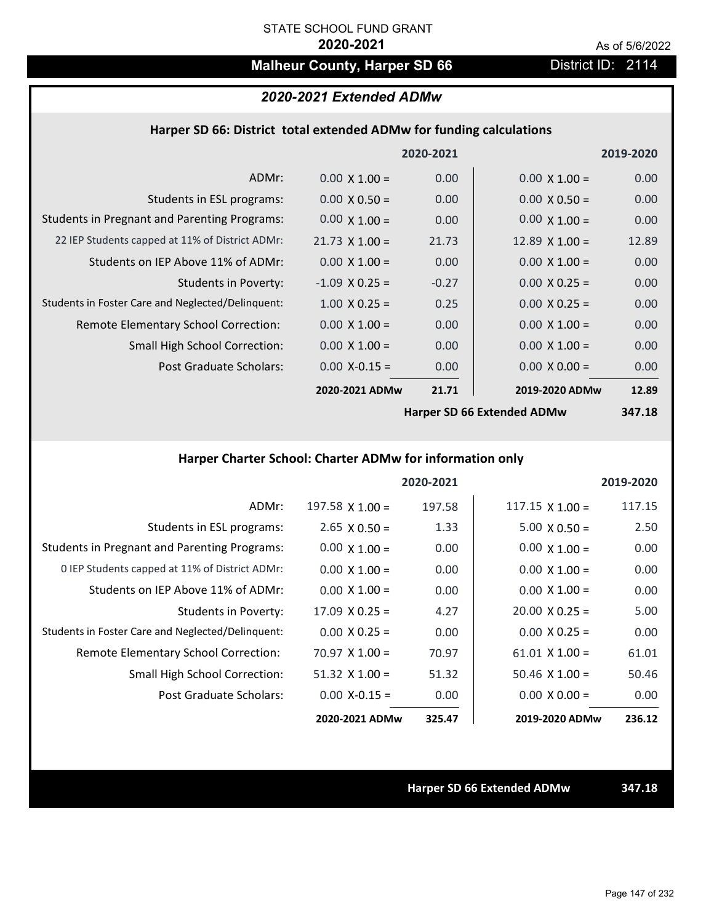# **Malheur County, Harper SD 66** District ID: 2114

# *2020-2021 Extended ADMw*

#### **Harper SD 66: District total extended ADMw for funding calculations**

|                                                     |                       | 2020-2021 |                            | 2019-2020 |
|-----------------------------------------------------|-----------------------|-----------|----------------------------|-----------|
| ADMr:                                               | $0.00 \times 1.00 =$  | 0.00      | $0.00 \times 1.00 =$       | 0.00      |
| Students in ESL programs:                           | $0.00 \times 0.50 =$  | 0.00      | $0.00 \times 0.50 =$       | 0.00      |
| <b>Students in Pregnant and Parenting Programs:</b> | $0.00 \times 1.00 =$  | 0.00      | $0.00 \times 1.00 =$       | 0.00      |
| 22 IEP Students capped at 11% of District ADMr:     | $21.73 \times 1.00 =$ | 21.73     | $12.89 \times 1.00 =$      | 12.89     |
| Students on IEP Above 11% of ADMr:                  | $0.00 \times 1.00 =$  | 0.00      | $0.00 \times 1.00 =$       | 0.00      |
| <b>Students in Poverty:</b>                         | $-1.09$ X 0.25 =      | $-0.27$   | $0.00 \times 0.25 =$       | 0.00      |
| Students in Foster Care and Neglected/Delinquent:   | $1.00 \times 0.25 =$  | 0.25      | $0.00 \times 0.25 =$       | 0.00      |
| Remote Elementary School Correction:                | $0.00 \times 1.00 =$  | 0.00      | $0.00 \times 1.00 =$       | 0.00      |
| <b>Small High School Correction:</b>                | $0.00 \times 1.00 =$  | 0.00      | $0.00 \times 1.00 =$       | 0.00      |
| Post Graduate Scholars:                             | $0.00$ X-0.15 =       | 0.00      | $0.00 \times 0.00 =$       | 0.00      |
|                                                     | 2020-2021 ADMw        | 21.71     | 2019-2020 ADMw             | 12.89     |
|                                                     |                       |           | Harnor CD CC Evtondod ADMu | $217.10$  |

**Harper SD 66 Extended ADMw**

**347.18**

# **Harper Charter School: Charter ADMw for information only**

|                                                     |                       | 2020-2021 |                        | 2019-2020 |
|-----------------------------------------------------|-----------------------|-----------|------------------------|-----------|
| ADMr:                                               | 197.58 $X$ 1.00 =     | 197.58    | $117.15 \times 1.00 =$ | 117.15    |
| Students in ESL programs:                           | $2.65 \times 0.50 =$  | 1.33      | $5.00 \times 0.50 =$   | 2.50      |
| <b>Students in Pregnant and Parenting Programs:</b> | $0.00 \times 1.00 =$  | 0.00      | $0.00 \times 1.00 =$   | 0.00      |
| 0 IEP Students capped at 11% of District ADMr:      | $0.00 \times 1.00 =$  | 0.00      | $0.00 \times 1.00 =$   | 0.00      |
| Students on IEP Above 11% of ADMr:                  | $0.00 \times 1.00 =$  | 0.00      | $0.00 \times 1.00 =$   | 0.00      |
| Students in Poverty:                                | $17.09 \times 0.25 =$ | 4.27      | $20.00 \times 0.25 =$  | 5.00      |
| Students in Foster Care and Neglected/Delinquent:   | $0.00 \times 0.25 =$  | 0.00      | $0.00 \times 0.25 =$   | 0.00      |
| Remote Elementary School Correction:                | $70.97 \times 1.00 =$ | 70.97     | $61.01 \times 1.00 =$  | 61.01     |
| <b>Small High School Correction:</b>                | $51.32$ X $1.00 =$    | 51.32     | $50.46 \times 1.00 =$  | 50.46     |
| Post Graduate Scholars:                             | $0.00 X - 0.15 =$     | 0.00      | $0.00 \times 0.00 =$   | 0.00      |
|                                                     | 2020-2021 ADMw        | 325.47    | 2019-2020 ADMw         | 236.12    |

**Harper SD 66 Extended ADMw 347.18**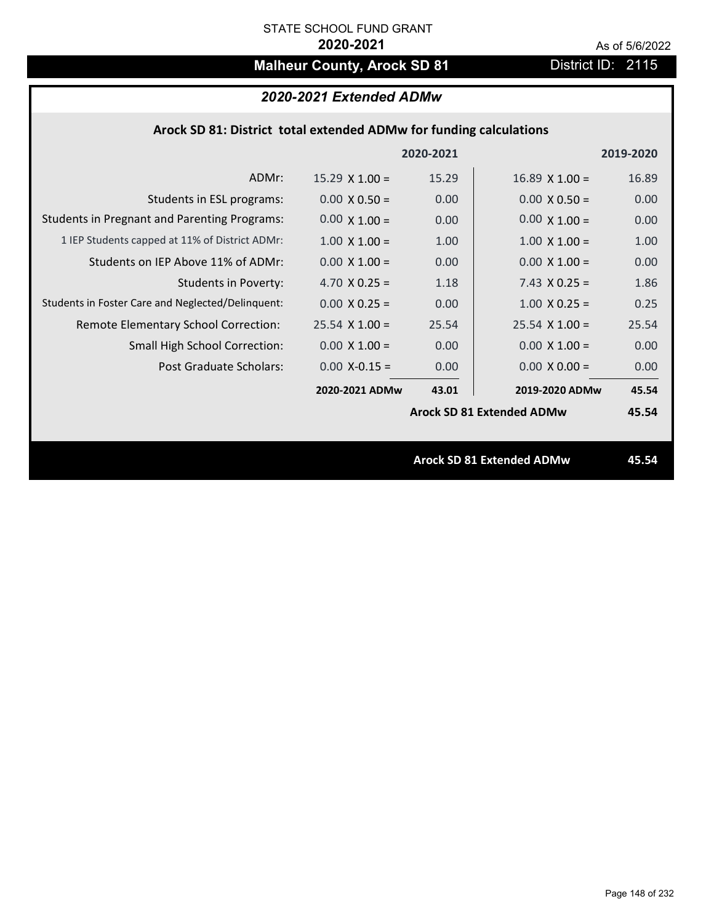# **Malheur County, Arock SD 81** District ID: 2115

# *2020-2021 Extended ADMw*

### **Arock SD 81: District total extended ADMw for funding calculations**

|                                                     |                       | 2020-2021 |                                  | 2019-2020 |
|-----------------------------------------------------|-----------------------|-----------|----------------------------------|-----------|
| ADMr:                                               | $15.29 \times 1.00 =$ | 15.29     | $16.89$ X $1.00 =$               | 16.89     |
| Students in ESL programs:                           | $0.00 \times 0.50 =$  | 0.00      | $0.00 \times 0.50 =$             | 0.00      |
| <b>Students in Pregnant and Parenting Programs:</b> | $0.00 \times 1.00 =$  | 0.00      | $0.00 \times 1.00 =$             | 0.00      |
| 1 IEP Students capped at 11% of District ADMr:      | $1.00 \times 1.00 =$  | 1.00      | $1.00 \times 1.00 =$             | 1.00      |
| Students on IEP Above 11% of ADMr:                  | $0.00 \times 1.00 =$  | 0.00      | $0.00 \times 1.00 =$             | 0.00      |
| <b>Students in Poverty:</b>                         | 4.70 $X$ 0.25 =       | 1.18      | $7.43 \times 0.25 =$             | 1.86      |
| Students in Foster Care and Neglected/Delinquent:   | $0.00 \times 0.25 =$  | 0.00      | $1.00 \times 0.25 =$             | 0.25      |
| Remote Elementary School Correction:                | $25.54$ X 1.00 =      | 25.54     | $25.54 \times 1.00 =$            | 25.54     |
| <b>Small High School Correction:</b>                | $0.00 \times 1.00 =$  | 0.00      | $0.00 \times 1.00 =$             | 0.00      |
| Post Graduate Scholars:                             | $0.00$ X-0.15 =       | 0.00      | $0.00 \times 0.00 =$             | 0.00      |
|                                                     | 2020-2021 ADMw        | 43.01     | 2019-2020 ADMw                   | 45.54     |
|                                                     |                       |           | <b>Arock SD 81 Extended ADMw</b> | 45.54     |
|                                                     |                       |           |                                  |           |
|                                                     |                       |           | <b>Arock SD 81 Extended ADMw</b> | 45.54     |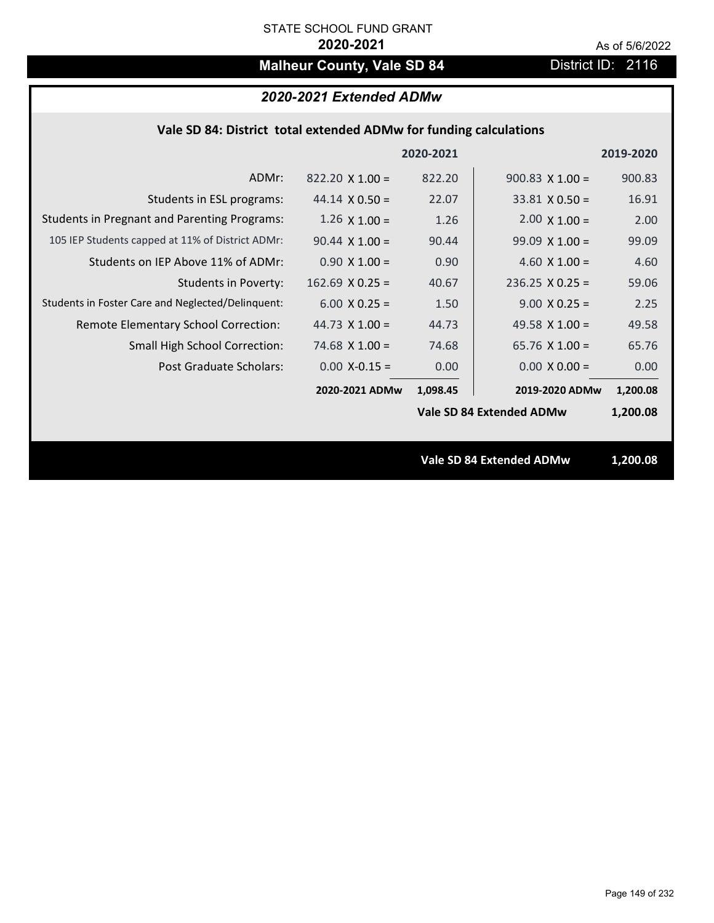# **Malheur County, Vale SD 84** District ID: 2116

# *2020-2021 Extended ADMw*

| Vale SD 84: District total extended ADMw for funding calculations |
|-------------------------------------------------------------------|
|-------------------------------------------------------------------|

|                                                     |                        | 2020-2021 |                                 | 2019-2020 |
|-----------------------------------------------------|------------------------|-----------|---------------------------------|-----------|
| ADMr:                                               | $822.20 \times 1.00 =$ | 822.20    | $900.83 \times 1.00 =$          | 900.83    |
| Students in ESL programs:                           | $44.14 \times 0.50 =$  | 22.07     | $33.81 \times 0.50 =$           | 16.91     |
| <b>Students in Pregnant and Parenting Programs:</b> | $1.26 \times 1.00 =$   | 1.26      | $2.00 \times 1.00 =$            | 2.00      |
| 105 IEP Students capped at 11% of District ADMr:    | $90.44 \times 1.00 =$  | 90.44     | $99.09 \times 1.00 =$           | 99.09     |
| Students on IEP Above 11% of ADMr:                  | $0.90 \times 1.00 =$   | 0.90      | 4.60 $X$ 1.00 =                 | 4.60      |
| <b>Students in Poverty:</b>                         | $162.69$ X 0.25 =      | 40.67     | $236.25$ X 0.25 =               | 59.06     |
| Students in Foster Care and Neglected/Delinquent:   | $6.00 \times 0.25 =$   | 1.50      | $9.00 \times 0.25 =$            | 2.25      |
| Remote Elementary School Correction:                | 44.73 $X$ 1.00 =       | 44.73     | 49.58 $\times$ 1.00 =           | 49.58     |
| <b>Small High School Correction:</b>                | 74.68 $X$ 1.00 =       | 74.68     | 65.76 $X$ 1.00 =                | 65.76     |
| Post Graduate Scholars:                             | $0.00$ X-0.15 =        | 0.00      | $0.00 \times 0.00 =$            | 0.00      |
|                                                     | 2020-2021 ADMw         | 1,098.45  | 2019-2020 ADMw                  | 1,200.08  |
|                                                     |                        |           | <b>Vale SD 84 Extended ADMw</b> | 1,200.08  |
|                                                     |                        |           |                                 |           |
|                                                     |                        |           | <b>Vale SD 84 Extended ADMw</b> | 1,200.08  |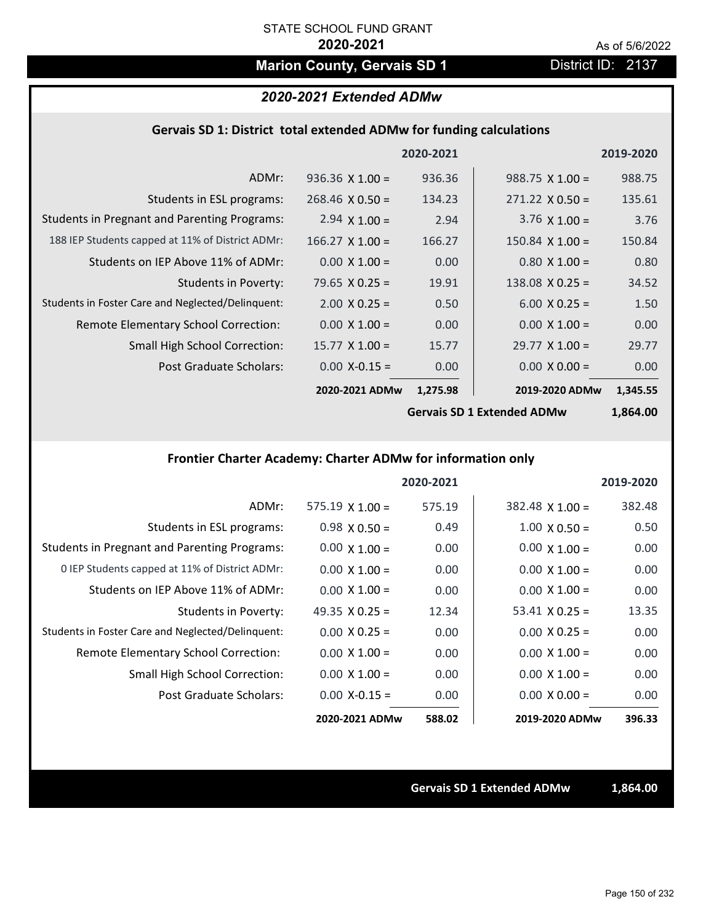# **Marion County, Gervais SD 1** District ID: 2137

### *2020-2021 Extended ADMw*

#### **Gervais SD 1: District total extended ADMw for funding calculations**

|                                                     |                        | 2020-2021 |                        | 2019-2020 |
|-----------------------------------------------------|------------------------|-----------|------------------------|-----------|
| ADMr:                                               | $936.36 \times 1.00 =$ | 936.36    | $988.75 \times 1.00 =$ | 988.75    |
| Students in ESL programs:                           | $268.46 \times 0.50 =$ | 134.23    | $271.22 \times 0.50 =$ | 135.61    |
| <b>Students in Pregnant and Parenting Programs:</b> | 2.94 $\times$ 1.00 =   | 2.94      | 3.76 $\times$ 1.00 =   | 3.76      |
| 188 IEP Students capped at 11% of District ADMr:    | $166.27$ X $1.00 =$    | 166.27    | $150.84 \times 1.00 =$ | 150.84    |
| Students on IEP Above 11% of ADMr:                  | $0.00 \times 1.00 =$   | 0.00      | $0.80 X 1.00 =$        | 0.80      |
| Students in Poverty:                                | 79.65 $X$ 0.25 =       | 19.91     | $138.08$ X 0.25 =      | 34.52     |
| Students in Foster Care and Neglected/Delinquent:   | $2.00 \times 0.25 =$   | 0.50      | $6.00 \times 0.25 =$   | 1.50      |
| Remote Elementary School Correction:                | $0.00 \times 1.00 =$   | 0.00      | $0.00 \times 1.00 =$   | 0.00      |
| <b>Small High School Correction:</b>                | $15.77 \times 1.00 =$  | 15.77     | $29.77 \times 1.00 =$  | 29.77     |
| Post Graduate Scholars:                             | $0.00$ X-0.15 =        | 0.00      | $0.00 \times 0.00 =$   | 0.00      |
|                                                     | 2020-2021 ADMw         | 1,275.98  | 2019-2020 ADMw         | 1,345.55  |
|                                                     |                        |           |                        |           |

**Gervais SD 1 Extended ADMw**

# **1,864.00**

# **Frontier Charter Academy: Charter ADMw for information only**

|                                                     |                        | 2020-2021 |                        | 2019-2020 |
|-----------------------------------------------------|------------------------|-----------|------------------------|-----------|
| ADMr:                                               | $575.19 \times 1.00 =$ | 575.19    | $382.48 \times 1.00 =$ | 382.48    |
| Students in ESL programs:                           | $0.98 \times 0.50 =$   | 0.49      | $1.00 \times 0.50 =$   | 0.50      |
| <b>Students in Pregnant and Parenting Programs:</b> | $0.00 \times 1.00 =$   | 0.00      | $0.00 \times 1.00 =$   | 0.00      |
| 0 IEP Students capped at 11% of District ADMr:      | $0.00 \times 1.00 =$   | 0.00      | $0.00 \times 1.00 =$   | 0.00      |
| Students on IEP Above 11% of ADMr:                  | $0.00 \times 1.00 =$   | 0.00      | $0.00 \times 1.00 =$   | 0.00      |
| Students in Poverty:                                | 49.35 $X$ 0.25 =       | 12.34     | $53.41 \times 0.25 =$  | 13.35     |
| Students in Foster Care and Neglected/Delinquent:   | $0.00 \times 0.25 =$   | 0.00      | $0.00 \times 0.25 =$   | 0.00      |
| Remote Elementary School Correction:                | $0.00 \times 1.00 =$   | 0.00      | $0.00 \times 1.00 =$   | 0.00      |
| <b>Small High School Correction:</b>                | $0.00 X 1.00 =$        | 0.00      | $0.00 \times 1.00 =$   | 0.00      |
| Post Graduate Scholars:                             | $0.00$ X-0.15 =        | 0.00      | $0.00 \times 0.00 =$   | 0.00      |
|                                                     | 2020-2021 ADMw         | 588.02    | 2019-2020 ADMw         | 396.33    |

**Gervais SD 1 Extended ADMw 1,864.00**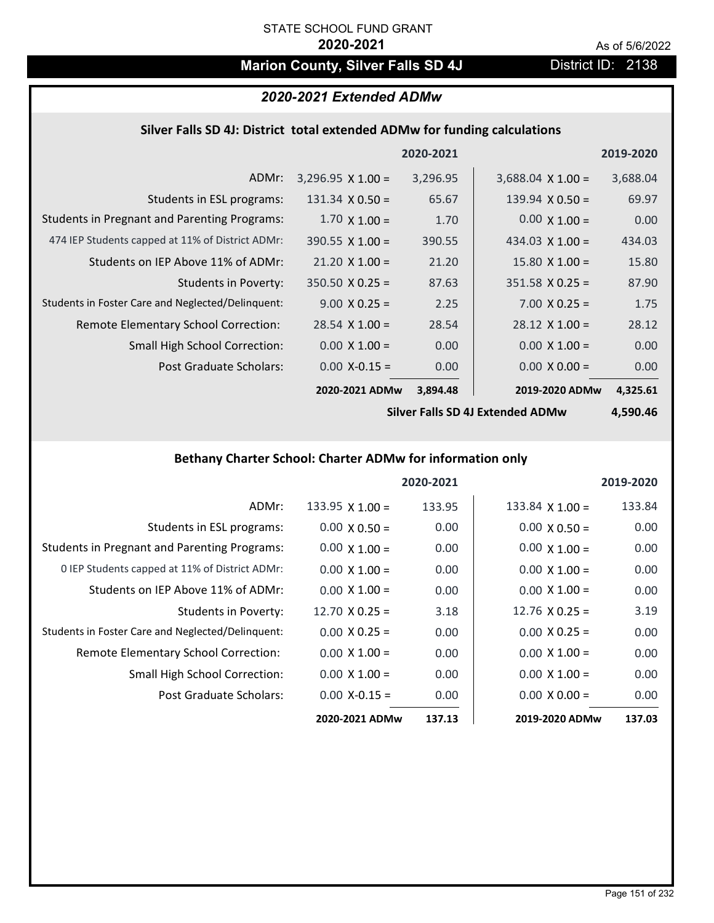# **Marion County, Silver Falls SD 4J** District ID: 2138

# *2020-2021 Extended ADMw*

### **Silver Falls SD 4J: District total extended ADMw for funding calculations**

|                                                     |                          | 2020-2021 |                          | 2019-2020 |
|-----------------------------------------------------|--------------------------|-----------|--------------------------|-----------|
| ADMr:                                               | $3,296.95 \times 1.00 =$ | 3,296.95  | $3,688.04 \times 1.00 =$ | 3,688.04  |
| Students in ESL programs:                           | $131.34 \times 0.50 =$   | 65.67     | 139.94 $\times$ 0.50 =   | 69.97     |
| <b>Students in Pregnant and Parenting Programs:</b> | $1.70 \times 1.00 =$     | 1.70      | $0.00 \times 1.00 =$     | 0.00      |
| 474 IEP Students capped at 11% of District ADMr:    | $390.55 \times 1.00 =$   | 390.55    | 434.03 $\times$ 1.00 =   | 434.03    |
| Students on IEP Above 11% of ADMr:                  | $21.20 \times 1.00 =$    | 21.20     | $15.80 \times 1.00 =$    | 15.80     |
| Students in Poverty:                                | $350.50 \times 0.25 =$   | 87.63     | $351.58 \times 0.25 =$   | 87.90     |
| Students in Foster Care and Neglected/Delinquent:   | $9.00 \times 0.25 =$     | 2.25      | $7.00 \times 0.25 =$     | 1.75      |
| Remote Elementary School Correction:                | $28.54 \times 1.00 =$    | 28.54     | $28.12 \times 1.00 =$    | 28.12     |
| <b>Small High School Correction:</b>                | $0.00 \times 1.00 =$     | 0.00      | $0.00 \times 1.00 =$     | 0.00      |
| Post Graduate Scholars:                             | $0.00$ X-0.15 =          | 0.00      | $0.00 \times 0.00 =$     | 0.00      |
|                                                     | 2020-2021 ADMw           | 3,894.48  | 2019-2020 ADMw           | 4,325.61  |

**Silver Falls SD 4J Extended ADMw**

**4,590.46**

# **Bethany Charter School: Charter ADMw for information only**

|                                                     |                        | 2020-2021 |                        | 2019-2020 |
|-----------------------------------------------------|------------------------|-----------|------------------------|-----------|
| ADMr:                                               | $133.95 \times 1.00 =$ | 133.95    | $133.84 \times 1.00 =$ | 133.84    |
| Students in ESL programs:                           | $0.00 \times 0.50 =$   | 0.00      | $0.00 \times 0.50 =$   | 0.00      |
| <b>Students in Pregnant and Parenting Programs:</b> | $0.00 \times 1.00 =$   | 0.00      | $0.00 \times 1.00 =$   | 0.00      |
| 0 IEP Students capped at 11% of District ADMr:      | $0.00 \times 1.00 =$   | 0.00      | $0.00 \times 1.00 =$   | 0.00      |
| Students on IEP Above 11% of ADMr:                  | $0.00 \times 1.00 =$   | 0.00      | $0.00 \times 1.00 =$   | 0.00      |
| Students in Poverty:                                | $12.70 \times 0.25 =$  | 3.18      | $12.76 \times 0.25 =$  | 3.19      |
| Students in Foster Care and Neglected/Delinquent:   | $0.00 \times 0.25 =$   | 0.00      | $0.00 \times 0.25 =$   | 0.00      |
| Remote Elementary School Correction:                | $0.00 \times 1.00 =$   | 0.00      | $0.00 \times 1.00 =$   | 0.00      |
| <b>Small High School Correction:</b>                | $0.00 \times 1.00 =$   | 0.00      | $0.00 \times 1.00 =$   | 0.00      |
| Post Graduate Scholars:                             | $0.00 X - 0.15 =$      | 0.00      | $0.00 \times 0.00 =$   | 0.00      |
|                                                     | 2020-2021 ADMw         | 137.13    | 2019-2020 ADMw         | 137.03    |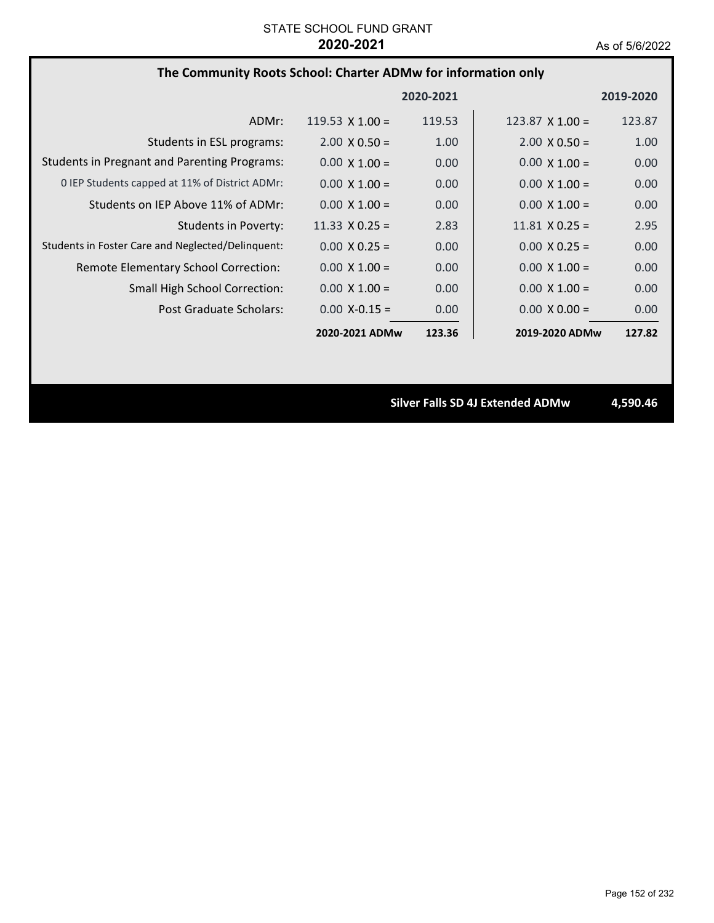# **The Community Roots School: Charter ADMw for information only**

|                                                     |                        | 2020-2021         |                        | 2019-2020 |
|-----------------------------------------------------|------------------------|-------------------|------------------------|-----------|
| ADMr:                                               | 119.53 $\times$ 1.00 = | 119.53            | $123.87 \times 1.00 =$ | 123.87    |
| Students in ESL programs:                           | $2.00 \times 0.50 =$   | 1.00              | $2.00 \times 0.50 =$   | 1.00      |
| <b>Students in Pregnant and Parenting Programs:</b> | $0.00 \times 1.00 =$   | 0.00              | $0.00 \times 1.00 =$   | 0.00      |
| 0 IEP Students capped at 11% of District ADMr:      | $0.00 \times 1.00 =$   | 0.00              | $0.00 \times 1.00 =$   | 0.00      |
| Students on IEP Above 11% of ADMr:                  | $0.00 \times 1.00 =$   | 0.00              | $0.00 \times 1.00 =$   | 0.00      |
| Students in Poverty:                                | 11.33 $\times$ 0.25 =  | 2.83              | $11.81 \times 0.25 =$  | 2.95      |
| Students in Foster Care and Neglected/Delinquent:   | $0.00 \times 0.25 =$   | 0.00              | $0.00 \times 0.25 =$   | 0.00      |
| Remote Elementary School Correction:                | $0.00 \times 1.00 =$   | 0.00              | $0.00 \times 1.00 =$   | 0.00      |
| <b>Small High School Correction:</b>                | $0.00 \times 1.00 =$   | 0.00              | $0.00 \times 1.00 =$   | 0.00      |
| Post Graduate Scholars:                             | $0.00$ X-0.15 =        | 0.00 <sub>1</sub> | $0.00 \times 0.00 =$   | 0.00      |
|                                                     | 2020-2021 ADMw         | 123.36            | 2019-2020 ADMw         | 127.82    |

**Silver Falls SD 4J Extended ADMw 4,590.46**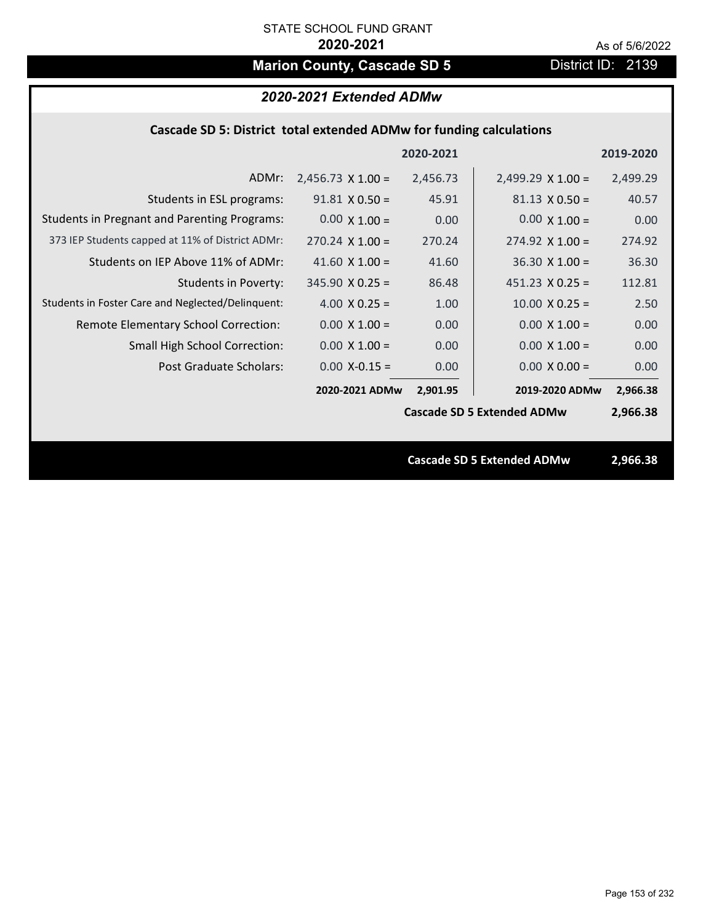# **Marion County, Cascade SD 5** District ID: 2139

|                                                                     | 2020-2021 Extended ADMw  |           |                                   |           |  |
|---------------------------------------------------------------------|--------------------------|-----------|-----------------------------------|-----------|--|
| Cascade SD 5: District total extended ADMw for funding calculations |                          |           |                                   |           |  |
|                                                                     |                          | 2020-2021 |                                   | 2019-2020 |  |
| ADMr:                                                               | $2,456.73 \times 1.00 =$ | 2,456.73  | $2,499.29 \times 1.00 =$          | 2,499.29  |  |
| Students in ESL programs:                                           | $91.81 \times 0.50 =$    | 45.91     | $81.13 \times 0.50 =$             | 40.57     |  |
| <b>Students in Pregnant and Parenting Programs:</b>                 | $0.00 \times 1.00 =$     | 0.00      | $0.00 \times 1.00 =$              | 0.00      |  |
| 373 IEP Students capped at 11% of District ADMr:                    | $270.24 \times 1.00 =$   | 270.24    | $274.92 \times 1.00 =$            | 274.92    |  |
| Students on IEP Above 11% of ADMr:                                  | 41.60 $X$ 1.00 =         | 41.60     | $36.30$ X $1.00 =$                | 36.30     |  |
| <b>Students in Poverty:</b>                                         | $345.90 \times 0.25 =$   | 86.48     | $451.23 \times 0.25 =$            | 112.81    |  |
| Students in Foster Care and Neglected/Delinquent:                   | 4.00 $X$ 0.25 =          | 1.00      | $10.00 \times 0.25 =$             | 2.50      |  |
| Remote Elementary School Correction:                                | $0.00 \times 1.00 =$     | 0.00      | $0.00 X 1.00 =$                   | 0.00      |  |
| Small High School Correction:                                       | $0.00 \times 1.00 =$     | 0.00      | $0.00 \times 1.00 =$              | 0.00      |  |
| Post Graduate Scholars:                                             | $0.00$ X-0.15 =          | 0.00      | $0.00 \times 0.00 =$              | 0.00      |  |
|                                                                     | 2020-2021 ADMw           | 2,901.95  | 2019-2020 ADMw                    | 2,966.38  |  |
|                                                                     |                          |           | <b>Cascade SD 5 Extended ADMw</b> | 2,966.38  |  |
|                                                                     |                          |           |                                   |           |  |
|                                                                     |                          |           | <b>Cascade SD 5 Extended ADMw</b> | 2,966.38  |  |
|                                                                     |                          |           |                                   |           |  |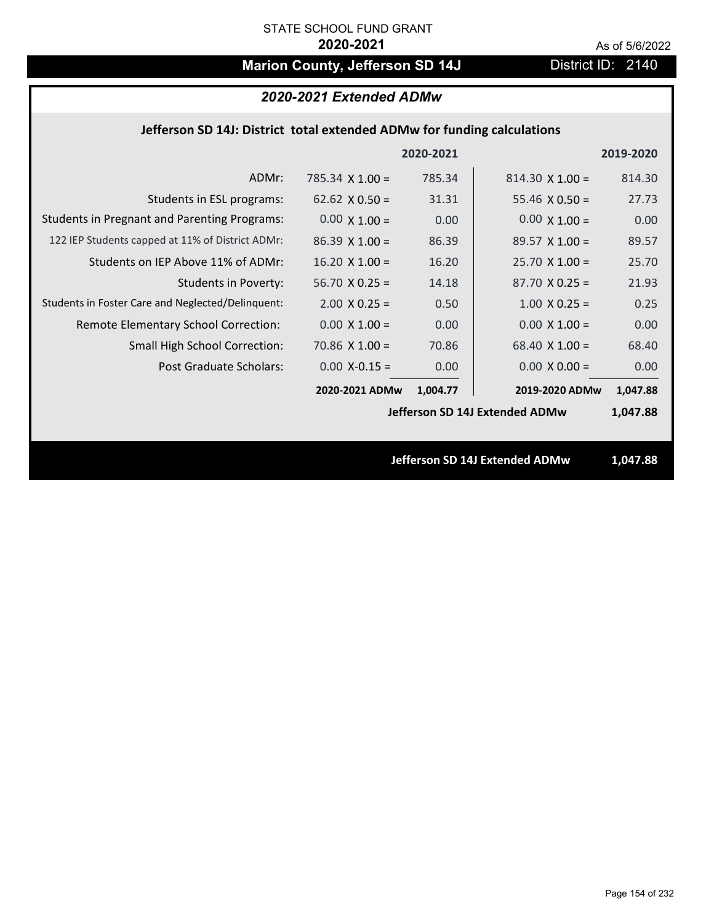# **Marion County, Jefferson SD 14J** District ID: 2140

# *2020-2021 Extended ADMw*

### **Jefferson SD 14J: District total extended ADMw for funding calculations**

|                                                     |                       | 2020-2021 |                                | 2019-2020 |
|-----------------------------------------------------|-----------------------|-----------|--------------------------------|-----------|
| ADMr:                                               | 785.34 $X$ 1.00 =     | 785.34    | $814.30 \times 1.00 =$         | 814.30    |
| Students in ESL programs:                           | 62.62 $\times$ 0.50 = | 31.31     | 55.46 $\times$ 0.50 =          | 27.73     |
| <b>Students in Pregnant and Parenting Programs:</b> | $0.00 \times 1.00 =$  | 0.00      | $0.00 \times 1.00 =$           | 0.00      |
| 122 IEP Students capped at 11% of District ADMr:    | $86.39 \times 1.00 =$ | 86.39     | $89.57 \times 1.00 =$          | 89.57     |
| Students on IEP Above 11% of ADMr:                  | $16.20 \times 1.00 =$ | 16.20     | $25.70$ X 1.00 =               | 25.70     |
| <b>Students in Poverty:</b>                         | $56.70$ X 0.25 =      | 14.18     | $87.70 X 0.25 =$               | 21.93     |
| Students in Foster Care and Neglected/Delinquent:   | $2.00 \times 0.25 =$  | 0.50      | $1.00 \times 0.25 =$           | 0.25      |
| Remote Elementary School Correction:                | $0.00 \times 1.00 =$  | 0.00      | $0.00 \times 1.00 =$           | 0.00      |
| <b>Small High School Correction:</b>                | $70.86$ X $1.00 =$    | 70.86     | 68.40 $X$ 1.00 =               | 68.40     |
| Post Graduate Scholars:                             | $0.00$ X-0.15 =       | 0.00      | $0.00 \times 0.00 =$           | 0.00      |
|                                                     | 2020-2021 ADMw        | 1,004.77  | 2019-2020 ADMw                 | 1,047.88  |
|                                                     |                       |           | Jefferson SD 14J Extended ADMw | 1,047.88  |
|                                                     |                       |           |                                |           |
|                                                     |                       |           | Jefferson SD 14J Extended ADMw | 1,047.88  |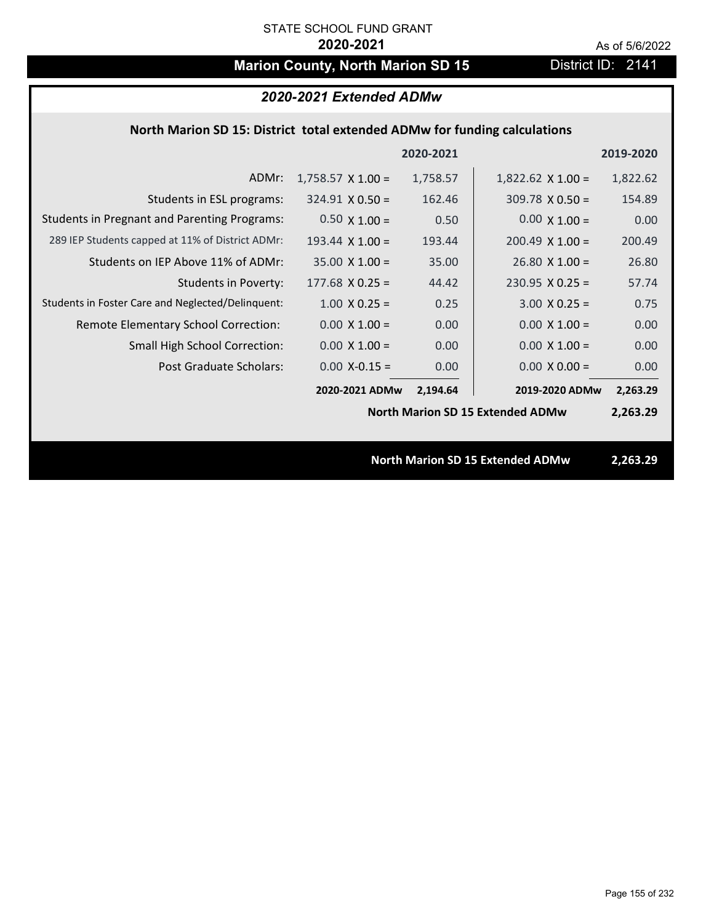# **Marion County, North Marion SD 15** District ID: 2141

# *2020-2021 Extended ADMw*

### **North Marion SD 15: District total extended ADMw for funding calculations**

|                                                     |                          | 2020-2021 |                                         | 2019-2020 |
|-----------------------------------------------------|--------------------------|-----------|-----------------------------------------|-----------|
| ADMr:                                               | $1,758.57 \times 1.00 =$ | 1,758.57  | $1,822.62 \times 1.00 =$                | 1,822.62  |
| Students in ESL programs:                           | $324.91 \times 0.50 =$   | 162.46    | $309.78 \times 0.50 =$                  | 154.89    |
| <b>Students in Pregnant and Parenting Programs:</b> | $0.50 \times 1.00 =$     | 0.50      | $0.00 \times 1.00 =$                    | 0.00      |
| 289 IEP Students capped at 11% of District ADMr:    | 193.44 $\times$ 1.00 =   | 193.44    | $200.49 \times 1.00 =$                  | 200.49    |
| Students on IEP Above 11% of ADMr:                  | $35.00 \times 1.00 =$    | 35.00     | $26.80 X 1.00 =$                        | 26.80     |
| <b>Students in Poverty:</b>                         | $177.68 \times 0.25 =$   | 44.42     | $230.95$ X 0.25 =                       | 57.74     |
| Students in Foster Care and Neglected/Delinquent:   | $1.00 \times 0.25 =$     | 0.25      | $3.00 \times 0.25 =$                    | 0.75      |
| Remote Elementary School Correction:                | $0.00 \times 1.00 =$     | 0.00      | $0.00 \times 1.00 =$                    | 0.00      |
| <b>Small High School Correction:</b>                | $0.00 \times 1.00 =$     | 0.00      | $0.00 \times 1.00 =$                    | 0.00      |
| Post Graduate Scholars:                             | $0.00$ X-0.15 =          | 0.00      | $0.00 \times 0.00 =$                    | 0.00      |
|                                                     | 2020-2021 ADMw           | 2,194.64  | 2019-2020 ADMw                          | 2,263.29  |
|                                                     |                          |           | <b>North Marion SD 15 Extended ADMw</b> | 2,263.29  |
|                                                     |                          |           |                                         |           |
|                                                     |                          |           | <b>North Marion SD 15 Extended ADMw</b> | 2,263.29  |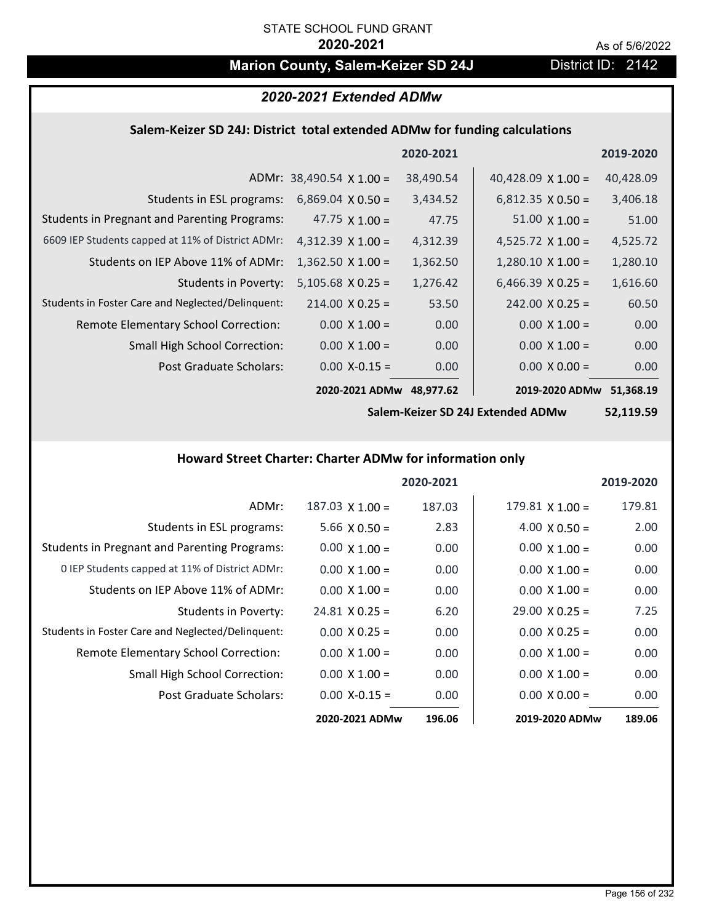# **Marion County, Salem-Keizer SD 24J District ID: 2142**

| 2020-2021 Extended ADMw                                                    |
|----------------------------------------------------------------------------|
| Salem-Keizer SD 24J: District total extended ADMw for funding calculations |

|                                                     |                                 | 2020-2021 |                           | 2019-2020 |
|-----------------------------------------------------|---------------------------------|-----------|---------------------------|-----------|
|                                                     | ADMr: $38,490.54 \times 1.00 =$ | 38,490.54 | 40,428.09 $\times$ 1.00 = | 40,428.09 |
| Students in ESL programs:                           | $6,869.04 \times 0.50 =$        | 3,434.52  | $6,812.35 \times 0.50 =$  | 3,406.18  |
| <b>Students in Pregnant and Parenting Programs:</b> | 47.75 $\times$ 1.00 =           | 47.75     | $51.00 \times 1.00 =$     | 51.00     |
| 6609 IEP Students capped at 11% of District ADMr:   | 4,312.39 $\times$ 1.00 =        | 4,312.39  | 4,525.72 $\times$ 1.00 =  | 4,525.72  |
| Students on IEP Above 11% of ADMr:                  | $1,362.50 \times 1.00 =$        | 1,362.50  | $1,280.10 \times 1.00 =$  | 1,280.10  |
| <b>Students in Poverty:</b>                         | $5,105.68$ X 0.25 =             | 1,276.42  | $6,466.39 \times 0.25 =$  | 1,616.60  |
| Students in Foster Care and Neglected/Delinquent:   | $214.00 \times 0.25 =$          | 53.50     | $242.00 \times 0.25 =$    | 60.50     |
| <b>Remote Elementary School Correction:</b>         | $0.00 \times 1.00 =$            | 0.00      | $0.00 \times 1.00 =$      | 0.00      |
| <b>Small High School Correction:</b>                | $0.00 \times 1.00 =$            | 0.00      | $0.00 \times 1.00 =$      | 0.00      |
| Post Graduate Scholars:                             | $0.00$ X-0.15 =                 | 0.00      | $0.00 \times 0.00 =$      | 0.00      |
|                                                     | 2020-2021 ADMw                  | 48,977.62 | 2019-2020 ADMw            | 51,368.19 |

**Salem‐Keizer SD 24J Extended ADMw**

**52,119.59**

# **Howard Street Charter: Charter ADMw for information only**

|                                                     |                       | 2020-2021 |                        | 2019-2020 |
|-----------------------------------------------------|-----------------------|-----------|------------------------|-----------|
| ADMr:                                               | $187.03$ X $1.00 =$   | 187.03    | $179.81 \times 1.00 =$ | 179.81    |
| Students in ESL programs:                           | $5.66 \times 0.50 =$  | 2.83      | $4.00 \times 0.50 =$   | 2.00      |
| <b>Students in Pregnant and Parenting Programs:</b> | $0.00 \times 1.00 =$  | 0.00      | $0.00 \times 1.00 =$   | 0.00      |
| 0 IEP Students capped at 11% of District ADMr:      | $0.00 \times 1.00 =$  | 0.00      | $0.00 \times 1.00 =$   | 0.00      |
| Students on IEP Above 11% of ADMr:                  | $0.00 \times 1.00 =$  | 0.00      | $0.00 \times 1.00 =$   | 0.00      |
| Students in Poverty:                                | $24.81 \times 0.25 =$ | 6.20      | $29.00 \times 0.25 =$  | 7.25      |
| Students in Foster Care and Neglected/Delinquent:   | $0.00 \times 0.25 =$  | 0.00      | $0.00 \times 0.25 =$   | 0.00      |
| Remote Elementary School Correction:                | $0.00 \times 1.00 =$  | 0.00      | $0.00 \times 1.00 =$   | 0.00      |
| <b>Small High School Correction:</b>                | $0.00 \times 1.00 =$  | 0.00      | $0.00 \times 1.00 =$   | 0.00      |
| Post Graduate Scholars:                             | $0.00$ X-0.15 =       | 0.00      | $0.00 \times 0.00 =$   | 0.00      |
|                                                     | 2020-2021 ADMw        | 196.06    | 2019-2020 ADMw         | 189.06    |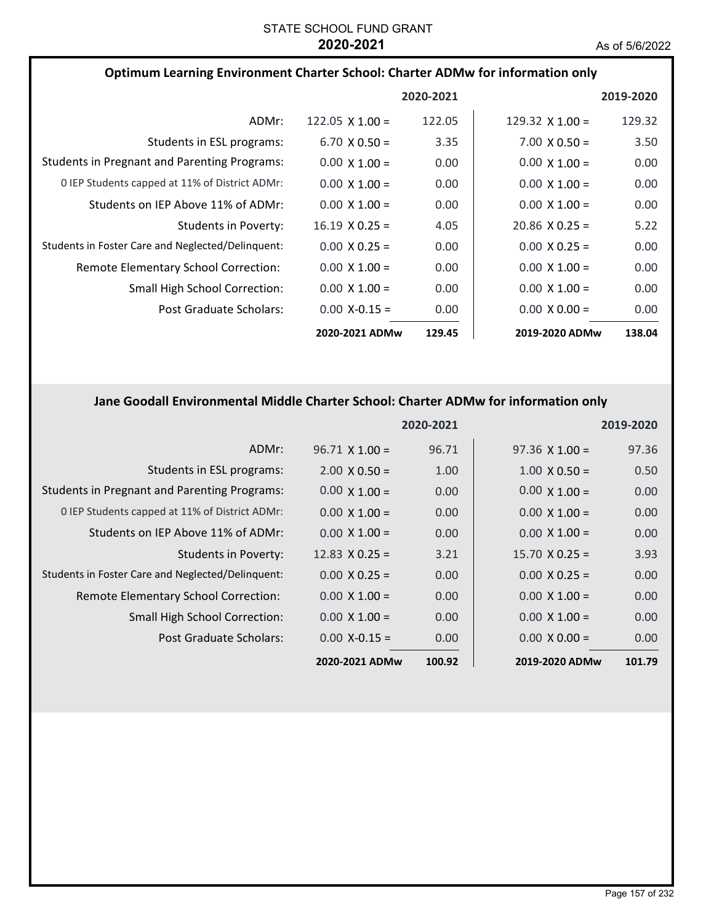| Optimum Learning Environment Charter School: Charter ADMw for information only |                        |           |                       |           |
|--------------------------------------------------------------------------------|------------------------|-----------|-----------------------|-----------|
|                                                                                |                        | 2020-2021 |                       | 2019-2020 |
| ADMr:                                                                          | $122.05 \times 1.00 =$ | 122.05    | 129.32 $X$ 1.00 =     | 129.32    |
| Students in ESL programs:                                                      | $6.70 \times 0.50 =$   | 3.35      | $7.00 \times 0.50 =$  | 3.50      |
| <b>Students in Pregnant and Parenting Programs:</b>                            | $0.00 \times 1.00 =$   | 0.00      | $0.00 \times 1.00 =$  | 0.00      |
| 0 IEP Students capped at 11% of District ADMr:                                 | $0.00 \times 1.00 =$   | 0.00      | $0.00 \times 1.00 =$  | 0.00      |
| Students on IEP Above 11% of ADMr:                                             | $0.00 \times 1.00 =$   | 0.00      | $0.00 \times 1.00 =$  | 0.00      |
| Students in Poverty:                                                           | $16.19 \times 0.25 =$  | 4.05      | $20.86 \times 0.25 =$ | 5.22      |
| Students in Foster Care and Neglected/Delinquent:                              | $0.00 \times 0.25 =$   | 0.00      | $0.00 \times 0.25 =$  | 0.00      |
| Remote Elementary School Correction:                                           | $0.00 \times 1.00 =$   | 0.00      | $0.00 \times 1.00 =$  | 0.00      |
| <b>Small High School Correction:</b>                                           | $0.00 \times 1.00 =$   | 0.00      | $0.00 \times 1.00 =$  | 0.00      |
| Post Graduate Scholars:                                                        | $0.00$ X-0.15 =        | 0.00      | $0.00 \times 0.00 =$  | 0.00      |
|                                                                                | 2020-2021 ADMw         | 129.45    | 2019-2020 ADMw        | 138.04    |

# **Jane Goodall Environmental Middle Charter School: Charter ADMw for information only**

|                                                     |                       | 2020-2021 |                       | 2019-2020 |
|-----------------------------------------------------|-----------------------|-----------|-----------------------|-----------|
| ADMr:                                               | $96.71 \times 1.00 =$ | 96.71     | $97.36 \times 1.00 =$ | 97.36     |
| Students in ESL programs:                           | $2.00 \times 0.50 =$  | 1.00      | $1.00 \times 0.50 =$  | 0.50      |
| <b>Students in Pregnant and Parenting Programs:</b> | $0.00 \times 1.00 =$  | 0.00      | $0.00 \times 1.00 =$  | 0.00      |
| 0 IEP Students capped at 11% of District ADMr:      | $0.00 \times 1.00 =$  | 0.00      | $0.00 \times 1.00 =$  | 0.00      |
| Students on IEP Above 11% of ADMr:                  | $0.00 \times 1.00 =$  | 0.00      | $0.00 \times 1.00 =$  | 0.00      |
| <b>Students in Poverty:</b>                         | $12.83 \times 0.25 =$ | 3.21      | $15.70 \times 0.25 =$ | 3.93      |
| Students in Foster Care and Neglected/Delinquent:   | $0.00 \times 0.25 =$  | 0.00      | $0.00 \times 0.25 =$  | 0.00      |
| Remote Elementary School Correction:                | $0.00 \times 1.00 =$  | 0.00      | $0.00 \times 1.00 =$  | 0.00      |
| <b>Small High School Correction:</b>                | $0.00 \times 1.00 =$  | 0.00      | $0.00 \times 1.00 =$  | 0.00      |
| Post Graduate Scholars:                             | $0.00$ X-0.15 =       | 0.00      | $0.00 \times 0.00 =$  | 0.00      |
|                                                     | 2020-2021 ADMw        | 100.92    | 2019-2020 ADMw        | 101.79    |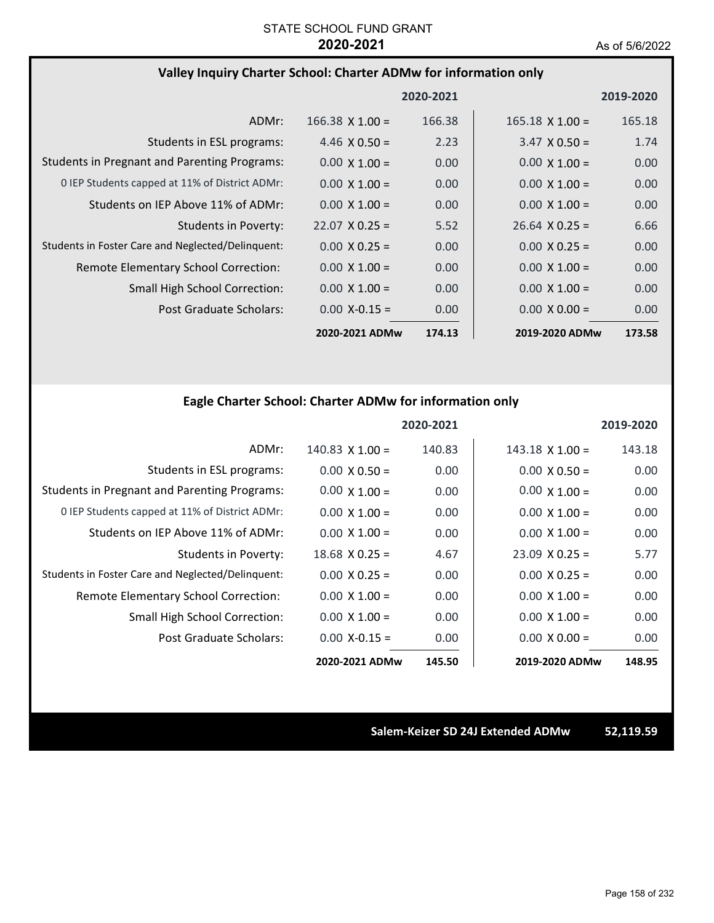# **Valley Inquiry Charter School: Charter ADMw for information only**

|                                                     |                       | 2020-2021 |                        | 2019-2020         |
|-----------------------------------------------------|-----------------------|-----------|------------------------|-------------------|
| ADMr:                                               | $166.38$ X $1.00 =$   | 166.38    | $165.18 \times 1.00 =$ | 165.18            |
| Students in ESL programs:                           | 4.46 $\times$ 0.50 =  | 2.23      | $3.47 \times 0.50 =$   | 1.74              |
| <b>Students in Pregnant and Parenting Programs:</b> | $0.00 \times 1.00 =$  | 0.00      | $0.00 \times 1.00 =$   | 0.00              |
| 0 IEP Students capped at 11% of District ADMr:      | $0.00 \times 1.00 =$  | 0.00      | $0.00 \times 1.00 =$   | 0.00              |
| Students on IEP Above 11% of ADMr:                  | $0.00 \times 1.00 =$  | 0.00      | $0.00 \times 1.00 =$   | 0.00              |
| Students in Poverty:                                | $22.07 \times 0.25 =$ | 5.52      | $26.64 \times 0.25 =$  | 6.66              |
| Students in Foster Care and Neglected/Delinquent:   | $0.00 \times 0.25 =$  | 0.00      | $0.00 \times 0.25 =$   | 0.00              |
| Remote Elementary School Correction:                | $0.00 \times 1.00 =$  | 0.00      | $0.00 \times 1.00 =$   | 0.00              |
| <b>Small High School Correction:</b>                | $0.00 \times 1.00 =$  | 0.00      | $0.00 \times 1.00 =$   | 0.00              |
| Post Graduate Scholars:                             | $0.00$ X-0.15 =       | 0.00      | $0.00 \times 0.00 =$   | 0.00 <sub>1</sub> |
|                                                     | 2020-2021 ADMw        | 174.13    | 2019-2020 ADMw         | 173.58            |

# **Eagle Charter School: Charter ADMw for information only**

|                                                     |                      | 2020-2021 |                       | 2019-2020 |
|-----------------------------------------------------|----------------------|-----------|-----------------------|-----------|
| ADMr:                                               | $140.83$ X $1.00 =$  | 140.83    | $143.18$ X $1.00 =$   | 143.18    |
| Students in ESL programs:                           | $0.00 \times 0.50 =$ | 0.00      | $0.00 \times 0.50 =$  | 0.00      |
| <b>Students in Pregnant and Parenting Programs:</b> | $0.00 \times 1.00 =$ | 0.00      | $0.00 \times 1.00 =$  | 0.00      |
| 0 IEP Students capped at 11% of District ADMr:      | $0.00 \times 1.00 =$ | 0.00      | $0.00 \times 1.00 =$  | 0.00      |
| Students on IEP Above 11% of ADMr:                  | $0.00 \times 1.00 =$ | 0.00      | $0.00 \times 1.00 =$  | 0.00      |
| Students in Poverty:                                | $18.68$ X 0.25 =     | 4.67      | $23.09 \times 0.25 =$ | 5.77      |
| Students in Foster Care and Neglected/Delinquent:   | $0.00 \times 0.25 =$ | 0.00      | $0.00 \times 0.25 =$  | 0.00      |
| Remote Elementary School Correction:                | $0.00 \times 1.00 =$ | 0.00      | $0.00 \times 1.00 =$  | 0.00      |
| Small High School Correction:                       | $0.00 \times 1.00 =$ | 0.00      | $0.00 \times 1.00 =$  | 0.00      |
| Post Graduate Scholars:                             | $0.00$ X-0.15 =      | 0.00      | $0.00 \times 0.00 =$  | 0.00      |
|                                                     | 2020-2021 ADMw       | 145.50    | 2019-2020 ADMw        | 148.95    |

**Salem‐Keizer SD 24J Extended ADMw 52,119.59**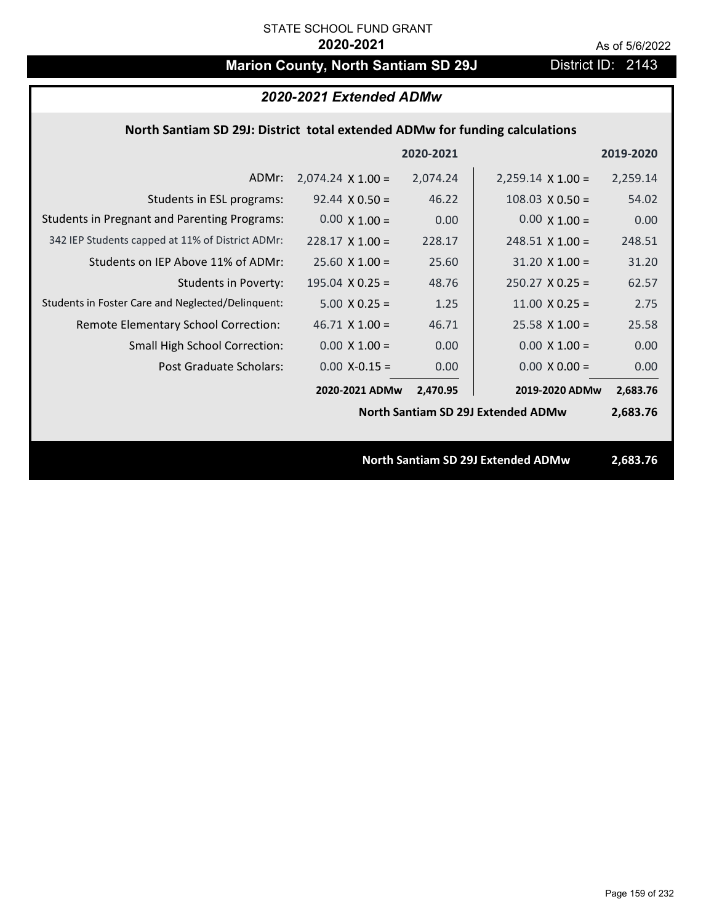# **Marion County, North Santiam SD 29J** District ID: 2143

|                                                                             | 2020-2021 Extended ADMw  |           |                                           |           |  |
|-----------------------------------------------------------------------------|--------------------------|-----------|-------------------------------------------|-----------|--|
| North Santiam SD 29J: District total extended ADMw for funding calculations |                          |           |                                           |           |  |
|                                                                             |                          | 2020-2021 |                                           | 2019-2020 |  |
| ADMr:                                                                       | $2,074.24 \times 1.00 =$ | 2,074.24  | $2,259.14 \times 1.00 =$                  | 2,259.14  |  |
| Students in ESL programs:                                                   | $92.44 \times 0.50 =$    | 46.22     | $108.03 \times 0.50 =$                    | 54.02     |  |
| <b>Students in Pregnant and Parenting Programs:</b>                         | $0.00 \times 1.00 =$     | 0.00      | $0.00 \times 1.00 =$                      | 0.00      |  |
| 342 IEP Students capped at 11% of District ADMr:                            | $228.17 \times 1.00 =$   | 228.17    | $248.51 \times 1.00 =$                    | 248.51    |  |
| Students on IEP Above 11% of ADMr:                                          | $25.60 \times 1.00 =$    | 25.60     | $31.20 \times 1.00 =$                     | 31.20     |  |
| <b>Students in Poverty:</b>                                                 | $195.04$ X 0.25 =        | 48.76     | $250.27$ X 0.25 =                         | 62.57     |  |
| Students in Foster Care and Neglected/Delinquent:                           | $5.00 \times 0.25 =$     | 1.25      | 11.00 $X$ 0.25 =                          | 2.75      |  |
| Remote Elementary School Correction:                                        | $46.71$ X $1.00 =$       | 46.71     | $25.58$ X 1.00 =                          | 25.58     |  |
| <b>Small High School Correction:</b>                                        | $0.00 \times 1.00 =$     | 0.00      | $0.00 \times 1.00 =$                      | 0.00      |  |
| Post Graduate Scholars:                                                     | $0.00$ X-0.15 =          | 0.00      | $0.00 X 0.00 =$                           | 0.00      |  |
|                                                                             | 2020-2021 ADMw           | 2,470.95  | 2019-2020 ADMw                            | 2,683.76  |  |
|                                                                             |                          |           | <b>North Santiam SD 29J Extended ADMw</b> | 2,683.76  |  |
|                                                                             |                          |           |                                           |           |  |
|                                                                             |                          |           | <b>North Santiam SD 29J Extended ADMw</b> | 2,683.76  |  |
|                                                                             |                          |           |                                           |           |  |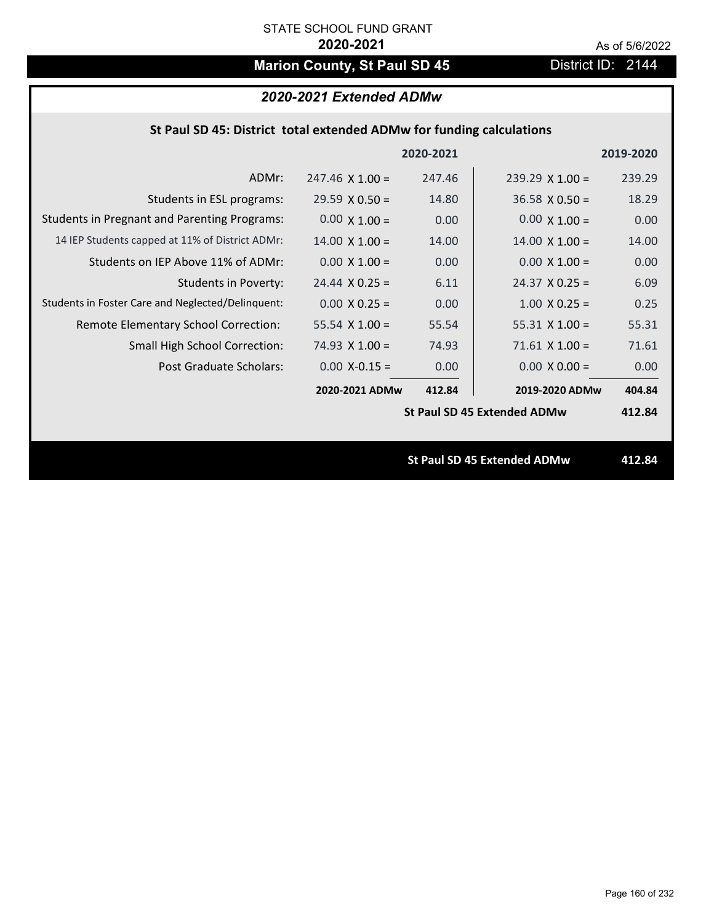# **Marion County, St Paul SD 45** District ID: 2144

# *2020-2021 Extended ADMw*

### **St Paul SD 45: District total extended ADMw for funding calculations**

|                                                     |                        | 2020-2021 |                                    | 2019-2020 |
|-----------------------------------------------------|------------------------|-----------|------------------------------------|-----------|
| ADMr:                                               | $247.46 \times 1.00 =$ | 247.46    | $239.29 \times 1.00 =$             | 239.29    |
| Students in ESL programs:                           | $29.59 \times 0.50 =$  | 14.80     | $36.58 \times 0.50 =$              | 18.29     |
| <b>Students in Pregnant and Parenting Programs:</b> | $0.00 \times 1.00 =$   | 0.00      | $0.00 \times 1.00 =$               | 0.00      |
| 14 IEP Students capped at 11% of District ADMr:     | $14.00 \times 1.00 =$  | 14.00     | $14.00 \times 1.00 =$              | 14.00     |
| Students on IEP Above 11% of ADMr:                  | $0.00 \times 1.00 =$   | 0.00      | $0.00 \times 1.00 =$               | 0.00      |
| <b>Students in Poverty:</b>                         | $24.44 \times 0.25 =$  | 6.11      | $24.37$ X 0.25 =                   | 6.09      |
| Students in Foster Care and Neglected/Delinquent:   | $0.00 \times 0.25 =$   | 0.00      | $1.00 \times 0.25 =$               | 0.25      |
| Remote Elementary School Correction:                | 55.54 $X$ 1.00 =       | 55.54     | $55.31 \times 1.00 =$              | 55.31     |
| <b>Small High School Correction:</b>                | $74.93 \times 1.00 =$  | 74.93     | $71.61 \times 1.00 =$              | 71.61     |
| Post Graduate Scholars:                             | $0.00$ X-0.15 =        | 0.00      | $0.00 \times 0.00 =$               | 0.00      |
|                                                     | 2020-2021 ADMw         | 412.84    | 2019-2020 ADMw                     | 404.84    |
|                                                     |                        |           | <b>St Paul SD 45 Extended ADMw</b> | 412.84    |
|                                                     |                        |           |                                    |           |
|                                                     |                        |           | <b>St Paul SD 45 Extended ADMw</b> | 412.84    |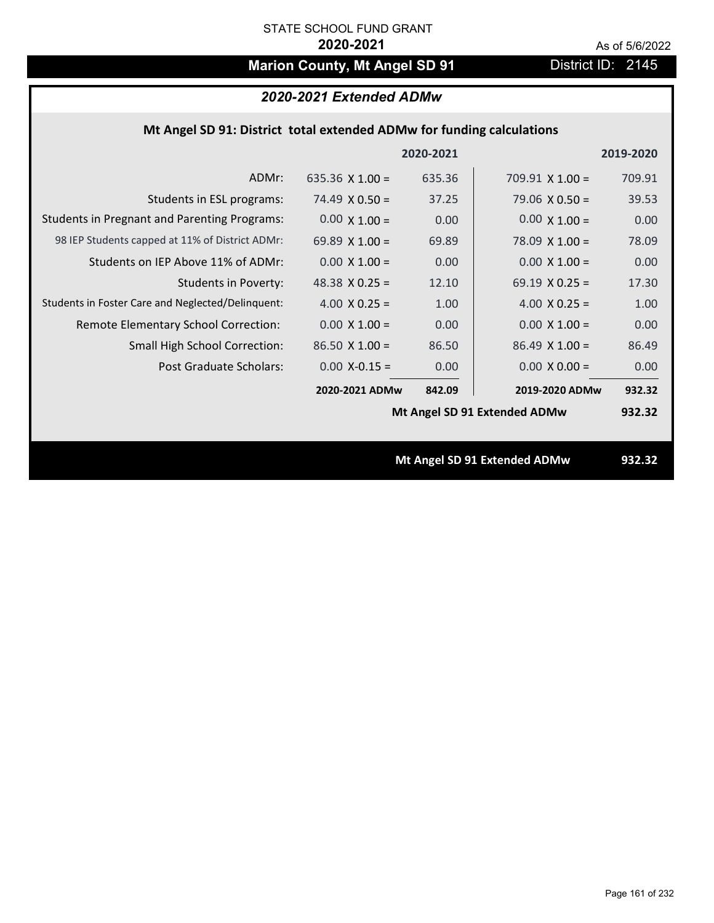# **Marion County, Mt Angel SD 91** District ID: 2145

## *2020-2021 Extended ADMw*

### **Mt Angel SD 91: District total extended ADMw for funding calculations**

|                                                     |                       | 2020-2021 |                              | 2019-2020 |
|-----------------------------------------------------|-----------------------|-----------|------------------------------|-----------|
| ADMr:                                               | 635.36 $X$ 1.00 =     | 635.36    | $709.91 \times 1.00 =$       | 709.91    |
| Students in ESL programs:                           | 74.49 $\times$ 0.50 = | 37.25     | $79.06 \times 0.50 =$        | 39.53     |
| <b>Students in Pregnant and Parenting Programs:</b> | $0.00 \times 1.00 =$  | 0.00      | $0.00 \times 1.00 =$         | 0.00      |
| 98 IEP Students capped at 11% of District ADMr:     | 69.89 $X$ 1.00 =      | 69.89     | $78.09 \times 1.00 =$        | 78.09     |
| Students on IEP Above 11% of ADMr:                  | $0.00 \times 1.00 =$  | 0.00      | $0.00 \times 1.00 =$         | 0.00      |
| <b>Students in Poverty:</b>                         | 48.38 $X$ 0.25 =      | 12.10     | 69.19 $X$ 0.25 =             | 17.30     |
| Students in Foster Care and Neglected/Delinquent:   | 4.00 $X$ 0.25 =       | 1.00      | 4.00 $X$ 0.25 =              | 1.00      |
| Remote Elementary School Correction:                | $0.00 \times 1.00 =$  | 0.00      | $0.00 \times 1.00 =$         | 0.00      |
| <b>Small High School Correction:</b>                | $86.50 \times 1.00 =$ | 86.50     | $86.49 \times 1.00 =$        | 86.49     |
| Post Graduate Scholars:                             | $0.00$ X-0.15 =       | 0.00      | $0.00 \times 0.00 =$         | 0.00      |
|                                                     | 2020-2021 ADMw        | 842.09    | 2019-2020 ADMw               | 932.32    |
|                                                     |                       |           | Mt Angel SD 91 Extended ADMw | 932.32    |
|                                                     |                       |           |                              |           |
|                                                     |                       |           | Mt Angel SD 91 Extended ADMw | 932.32    |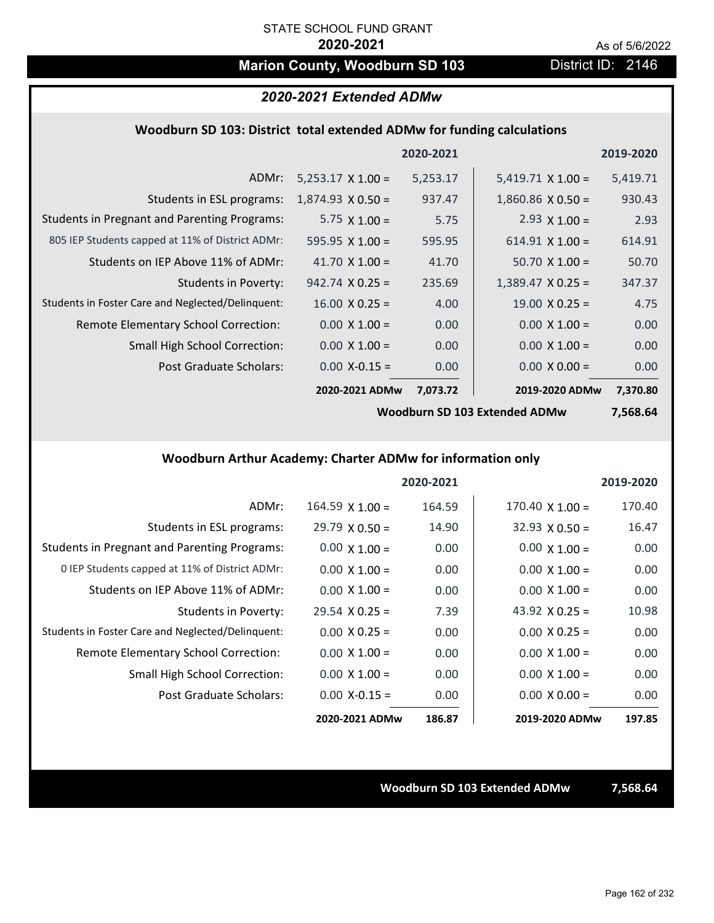# **Marion County, Woodburn SD 103** District ID: 2146

### *2020-2021 Extended ADMw*

#### **Woodburn SD 103: District total extended ADMw for funding calculations**

|                                                     |                          | 2020-2021 |                          | 2019-2020 |
|-----------------------------------------------------|--------------------------|-----------|--------------------------|-----------|
| ADMr:                                               | $5,253.17 \times 1.00 =$ | 5,253.17  | $5,419.71 \times 1.00 =$ | 5,419.71  |
| Students in ESL programs:                           | $1,874.93 \times 0.50 =$ | 937.47    | $1,860.86 \times 0.50 =$ | 930.43    |
| <b>Students in Pregnant and Parenting Programs:</b> | 5.75 $\times$ 1.00 =     | 5.75      | 2.93 $\times$ 1.00 =     | 2.93      |
| 805 IEP Students capped at 11% of District ADMr:    | 595.95 $\times$ 1.00 =   | 595.95    | $614.91 \times 1.00 =$   | 614.91    |
| Students on IEP Above 11% of ADMr:                  | 41.70 $\times$ 1.00 =    | 41.70     | $50.70 \times 1.00 =$    | 50.70     |
| Students in Poverty:                                | $942.74 \times 0.25 =$   | 235.69    | $1,389.47 \times 0.25 =$ | 347.37    |
| Students in Foster Care and Neglected/Delinquent:   | $16.00 \times 0.25 =$    | 4.00      | $19.00 \times 0.25 =$    | 4.75      |
| Remote Elementary School Correction:                | $0.00 \times 1.00 =$     | 0.00      | $0.00 \times 1.00 =$     | 0.00      |
| <b>Small High School Correction:</b>                | $0.00 \times 1.00 =$     | 0.00      | $0.00 \times 1.00 =$     | 0.00      |
| Post Graduate Scholars:                             | $0.00$ X-0.15 =          | 0.00      | $0.00 \times 0.00 =$     | 0.00      |
|                                                     | 2020-2021 ADMw           | 7,073.72  | 2019-2020 ADMw           | 7,370.80  |

**Woodburn SD 103 Extended ADMw**

**7,568.64**

## **Woodburn Arthur Academy: Charter ADMw for information only**

|                                                     |                       | 2020-2021 |                        | 2019-2020 |
|-----------------------------------------------------|-----------------------|-----------|------------------------|-----------|
| ADMr:                                               | $164.59$ X $1.00 =$   | 164.59    | $170.40 \times 1.00 =$ | 170.40    |
| Students in ESL programs:                           | $29.79 \times 0.50 =$ | 14.90     | $32.93 \times 0.50 =$  | 16.47     |
| <b>Students in Pregnant and Parenting Programs:</b> | $0.00 \times 1.00 =$  | 0.00      | $0.00 \times 1.00 =$   | 0.00      |
| 0 IEP Students capped at 11% of District ADMr:      | $0.00 \times 1.00 =$  | 0.00      | $0.00 \times 1.00 =$   | 0.00      |
| Students on IEP Above 11% of ADMr:                  | $0.00 \times 1.00 =$  | 0.00      | $0.00 \times 1.00 =$   | 0.00      |
| Students in Poverty:                                | $29.54 \times 0.25 =$ | 7.39      | 43.92 $X$ 0.25 =       | 10.98     |
| Students in Foster Care and Neglected/Delinquent:   | $0.00 \times 0.25 =$  | 0.00      | $0.00 \times 0.25 =$   | 0.00      |
| Remote Elementary School Correction:                | $0.00 \times 1.00 =$  | 0.00      | $0.00 \times 1.00 =$   | 0.00      |
| <b>Small High School Correction:</b>                | $0.00 \times 1.00 =$  | 0.00      | $0.00 \times 1.00 =$   | 0.00      |
| Post Graduate Scholars:                             | $0.00 X - 0.15 =$     | 0.00      | $0.00 \times 0.00 =$   | 0.00      |
|                                                     | 2020-2021 ADMw        | 186.87    | 2019-2020 ADMw         | 197.85    |

**Woodburn SD 103 Extended ADMw 7,568.64**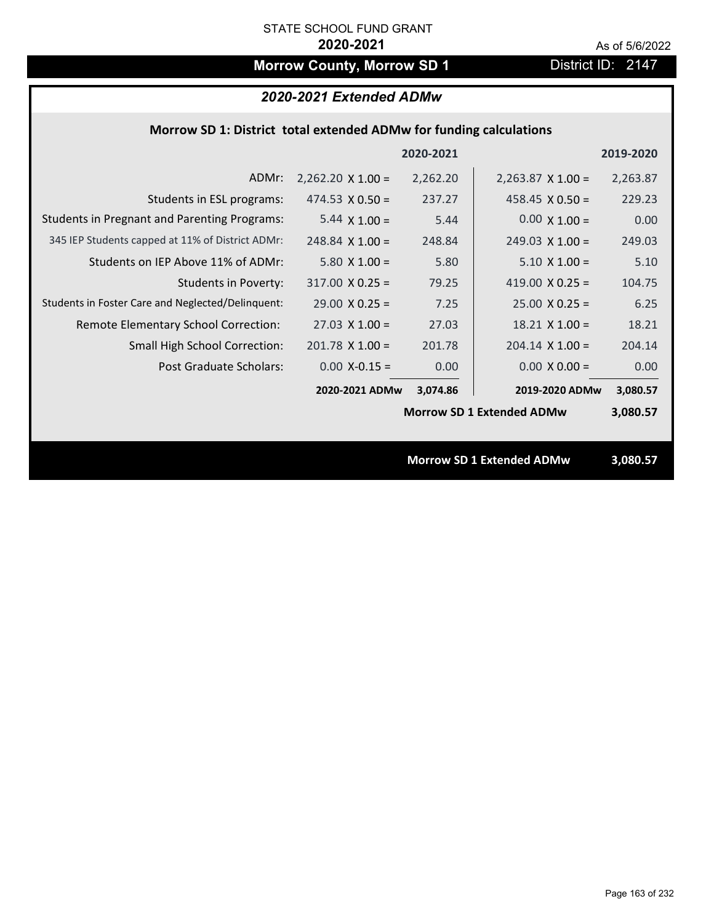# **Morrow County, Morrow SD 1** District ID: 2147

# *2020-2021 Extended ADMw*

### **Morrow SD 1: District total extended ADMw for funding calculations**

|                                                     |                          | 2020-2021 |                                  | 2019-2020 |
|-----------------------------------------------------|--------------------------|-----------|----------------------------------|-----------|
| ADMr:                                               | $2,262.20 \times 1.00 =$ | 2,262.20  | $2,263.87 \times 1.00 =$         | 2,263.87  |
| Students in ESL programs:                           | $474.53 \times 0.50 =$   | 237.27    | 458.45 $\times$ 0.50 =           | 229.23    |
| <b>Students in Pregnant and Parenting Programs:</b> | $5.44 \times 1.00 =$     | 5.44      | $0.00 \times 1.00 =$             | 0.00      |
| 345 IEP Students capped at 11% of District ADMr:    | $248.84$ X 1.00 =        | 248.84    | $249.03 \times 1.00 =$           | 249.03    |
| Students on IEP Above 11% of ADMr:                  | $5.80 \times 1.00 =$     | 5.80      | $5.10 \times 1.00 =$             | 5.10      |
| <b>Students in Poverty:</b>                         | $317.00 \times 0.25 =$   | 79.25     | 419.00 $X$ 0.25 =                | 104.75    |
| Students in Foster Care and Neglected/Delinquent:   | $29.00 \times 0.25 =$    | 7.25      | $25.00 \times 0.25 =$            | 6.25      |
| Remote Elementary School Correction:                | $27.03 \times 1.00 =$    | 27.03     | $18.21 \times 1.00 =$            | 18.21     |
| <b>Small High School Correction:</b>                | $201.78$ X 1.00 =        | 201.78    | $204.14 \times 1.00 =$           | 204.14    |
| Post Graduate Scholars:                             | $0.00$ X-0.15 =          | 0.00      | $0.00 \times 0.00 =$             | 0.00      |
|                                                     | 2020-2021 ADMw           | 3,074.86  | 2019-2020 ADMw                   | 3,080.57  |
|                                                     |                          |           | <b>Morrow SD 1 Extended ADMw</b> | 3,080.57  |
|                                                     |                          |           |                                  |           |
|                                                     |                          |           | <b>Morrow SD 1 Extended ADMw</b> | 3,080.57  |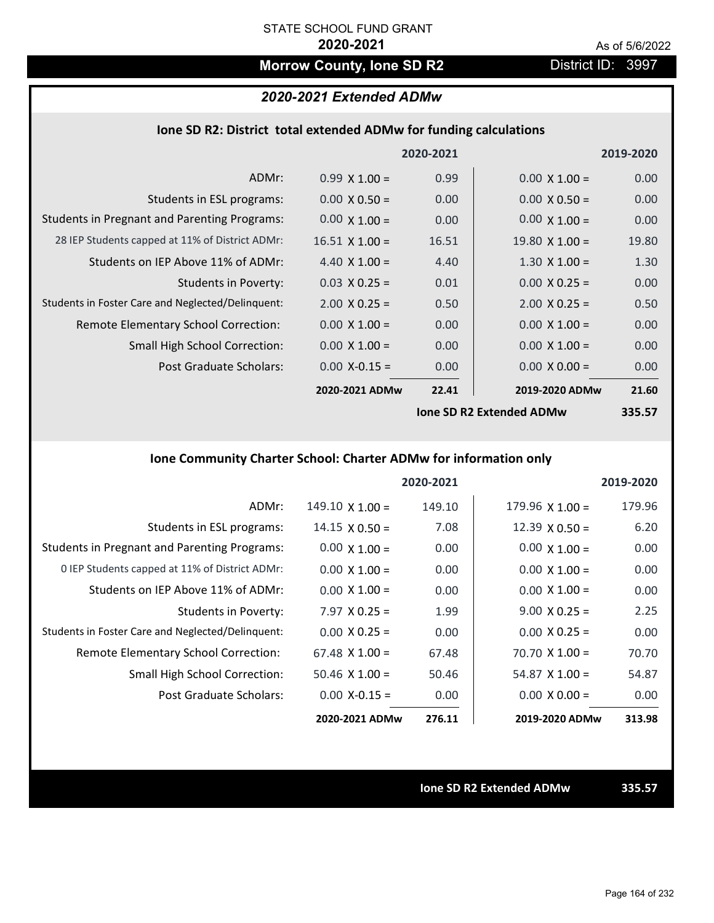# **Morrow County, Ione SD R2** District ID: 3997

# *2020-2021 Extended ADMw*

### **Ione SD R2: District total extended ADMw for funding calculations**

|                                                     |                       | 2020-2021 |                                 | 2019-2020 |
|-----------------------------------------------------|-----------------------|-----------|---------------------------------|-----------|
| ADMr:                                               | $0.99 \times 1.00 =$  | 0.99      | $0.00 \times 1.00 =$            | 0.00      |
| Students in ESL programs:                           | $0.00 \times 0.50 =$  | 0.00      | $0.00 \times 0.50 =$            | 0.00      |
| <b>Students in Pregnant and Parenting Programs:</b> | $0.00 \times 1.00 =$  | 0.00      | $0.00 \times 1.00 =$            | 0.00      |
| 28 IEP Students capped at 11% of District ADMr:     | $16.51 \times 1.00 =$ | 16.51     | $19.80 \times 1.00 =$           | 19.80     |
| Students on IEP Above 11% of ADMr:                  | 4.40 $X$ 1.00 =       | 4.40      | $1.30 \times 1.00 =$            | 1.30      |
| Students in Poverty:                                | $0.03 \times 0.25 =$  | 0.01      | $0.00 \times 0.25 =$            | 0.00      |
| Students in Foster Care and Neglected/Delinquent:   | $2.00 \times 0.25 =$  | 0.50      | $2.00 \times 0.25 =$            | 0.50      |
| Remote Elementary School Correction:                | $0.00 \times 1.00 =$  | 0.00      | $0.00 \times 1.00 =$            | 0.00      |
| <b>Small High School Correction:</b>                | $0.00 \times 1.00 =$  | 0.00      | $0.00 \times 1.00 =$            | 0.00      |
| Post Graduate Scholars:                             | $0.00$ X-0.15 =       | 0.00      | $0.00 \times 0.00 =$            | 0.00      |
|                                                     | 2020-2021 ADMw        | 22.41     | 2019-2020 ADMw                  | 21.60     |
|                                                     |                       |           | <b>Ione SD R2 Extended ADMw</b> | 335.57    |

# **Ione Community Charter School: Charter ADMw for information only**

|                                                     |                        | 2020-2021 |                        | 2019-2020 |
|-----------------------------------------------------|------------------------|-----------|------------------------|-----------|
| ADMr:                                               | $149.10 \times 1.00 =$ | 149.10    | $179.96 \times 1.00 =$ | 179.96    |
| Students in ESL programs:                           | $14.15 \times 0.50 =$  | 7.08      | $12.39 \times 0.50 =$  | 6.20      |
| <b>Students in Pregnant and Parenting Programs:</b> | $0.00 \times 1.00 =$   | 0.00      | $0.00 \times 1.00 =$   | 0.00      |
| 0 IEP Students capped at 11% of District ADMr:      | $0.00 \times 1.00 =$   | 0.00      | $0.00 \times 1.00 =$   | 0.00      |
| Students on IEP Above 11% of ADMr:                  | $0.00 \times 1.00 =$   | 0.00      | $0.00 \times 1.00 =$   | 0.00      |
| Students in Poverty:                                | $7.97 \times 0.25 =$   | 1.99      | $9.00 \times 0.25 =$   | 2.25      |
| Students in Foster Care and Neglected/Delinquent:   | $0.00 \times 0.25 =$   | 0.00      | $0.00 \times 0.25 =$   | 0.00      |
| Remote Elementary School Correction:                | $67.48 \times 1.00 =$  | 67.48     | $70.70 \times 1.00 =$  | 70.70     |
| <b>Small High School Correction:</b>                | $50.46 \times 1.00 =$  | 50.46     | $54.87 \times 1.00 =$  | 54.87     |
| Post Graduate Scholars:                             | $0.00$ X-0.15 =        | 0.00      | $0.00 \times 0.00 =$   | 0.00      |
|                                                     | 2020-2021 ADMw         | 276.11    | 2019-2020 ADMw         | 313.98    |

**Ione SD R2 Extended ADMw 335.57**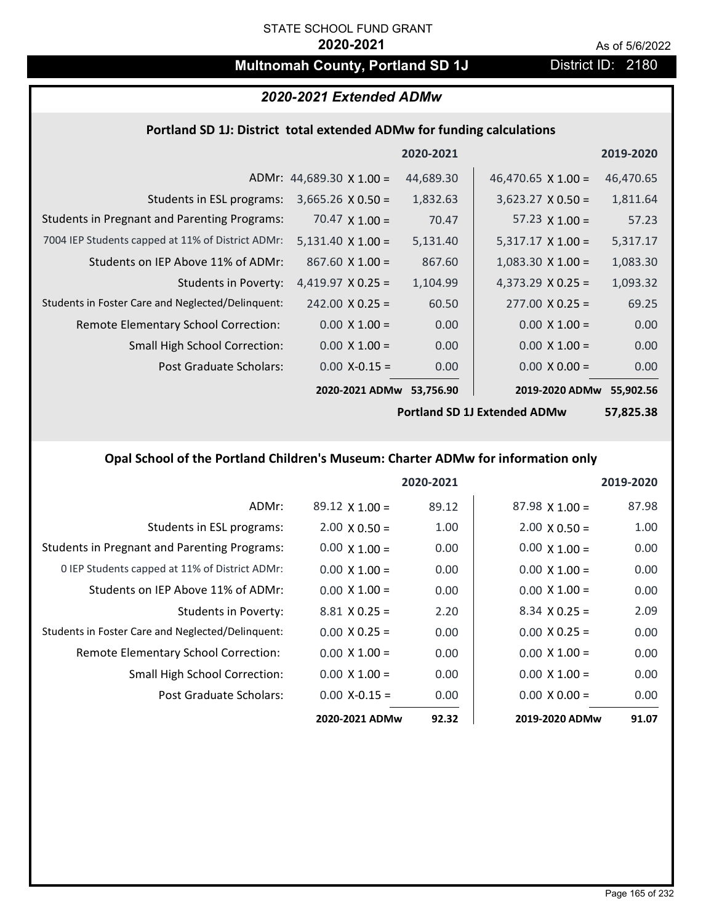# **Multnomah County, Portland SD 1J** District ID: 2180

# *2020-2021 Extended ADMw*

### **Portland SD 1J: District total extended ADMw for funding calculations**

|                                                     |                                 | 2020-2021 |                           | 2019-2020 |
|-----------------------------------------------------|---------------------------------|-----------|---------------------------|-----------|
|                                                     | ADMr: $44,689.30 \times 1.00 =$ | 44,689.30 | 46,470.65 $\times$ 1.00 = | 46,470.65 |
| Students in ESL programs:                           | $3,665.26 \times 0.50 =$        | 1,832.63  | $3,623.27 \times 0.50 =$  | 1,811.64  |
| <b>Students in Pregnant and Parenting Programs:</b> | 70.47 $\times$ 1.00 =           | 70.47     | 57.23 $\times$ 1.00 =     | 57.23     |
| 7004 IEP Students capped at 11% of District ADMr:   | $5,131.40 \times 1.00 =$        | 5,131.40  | $5,317.17 \times 1.00 =$  | 5,317.17  |
| Students on IEP Above 11% of ADMr:                  | $867.60 \times 1.00 =$          | 867.60    | $1,083.30 \times 1.00 =$  | 1,083.30  |
| <b>Students in Poverty:</b>                         | 4,419.97 $X$ 0.25 =             | 1,104.99  | $4,373.29$ X 0.25 =       | 1,093.32  |
| Students in Foster Care and Neglected/Delinquent:   | $242.00 \times 0.25 =$          | 60.50     | $277.00 \times 0.25 =$    | 69.25     |
| Remote Elementary School Correction:                | $0.00 \times 1.00 =$            | 0.00      | $0.00 \times 1.00 =$      | 0.00      |
| <b>Small High School Correction:</b>                | $0.00 \times 1.00 =$            | 0.00      | $0.00 \times 1.00 =$      | 0.00      |
| Post Graduate Scholars:                             | $0.00 X - 0.15 =$               | 0.00      | $0.00 \times 0.00 =$      | 0.00      |
|                                                     | 2020-2021 ADMw                  | 53,756.90 | 2019-2020 ADMw            | 55,902.56 |

**Portland SD 1J Extended ADMw**

**57,825.38**

## **Opal School of the Portland Children's Museum: Charter ADMw for information only**

|                                                     |                       | 2020-2021 |                       | 2019-2020 |
|-----------------------------------------------------|-----------------------|-----------|-----------------------|-----------|
| ADMr:                                               | $89.12 \times 1.00 =$ | 89.12     | $87.98 \times 1.00 =$ | 87.98     |
| Students in ESL programs:                           | $2.00 \times 0.50 =$  | 1.00      | $2.00 \times 0.50 =$  | 1.00      |
| <b>Students in Pregnant and Parenting Programs:</b> | $0.00 \times 1.00 =$  | 0.00      | $0.00 \times 1.00 =$  | 0.00      |
| 0 IEP Students capped at 11% of District ADMr:      | $0.00 \times 1.00 =$  | 0.00      | $0.00 \times 1.00 =$  | 0.00      |
| Students on IEP Above 11% of ADMr:                  | $0.00 \times 1.00 =$  | 0.00      | $0.00 \times 1.00 =$  | 0.00      |
| Students in Poverty:                                | $8.81 \times 0.25 =$  | 2.20      | $8.34 \times 0.25 =$  | 2.09      |
| Students in Foster Care and Neglected/Delinquent:   | $0.00 \times 0.25 =$  | 0.00      | $0.00 \times 0.25 =$  | 0.00      |
| <b>Remote Elementary School Correction:</b>         | $0.00 \times 1.00 =$  | 0.00      | $0.00 \times 1.00 =$  | 0.00      |
| <b>Small High School Correction:</b>                | $0.00 \times 1.00 =$  | 0.00      | $0.00 \times 1.00 =$  | 0.00      |
| Post Graduate Scholars:                             | $0.00$ X-0.15 =       | 0.00      | $0.00 \times 0.00 =$  | 0.00      |
|                                                     | 2020-2021 ADMw        | 92.32     | 2019-2020 ADMw        | 91.07     |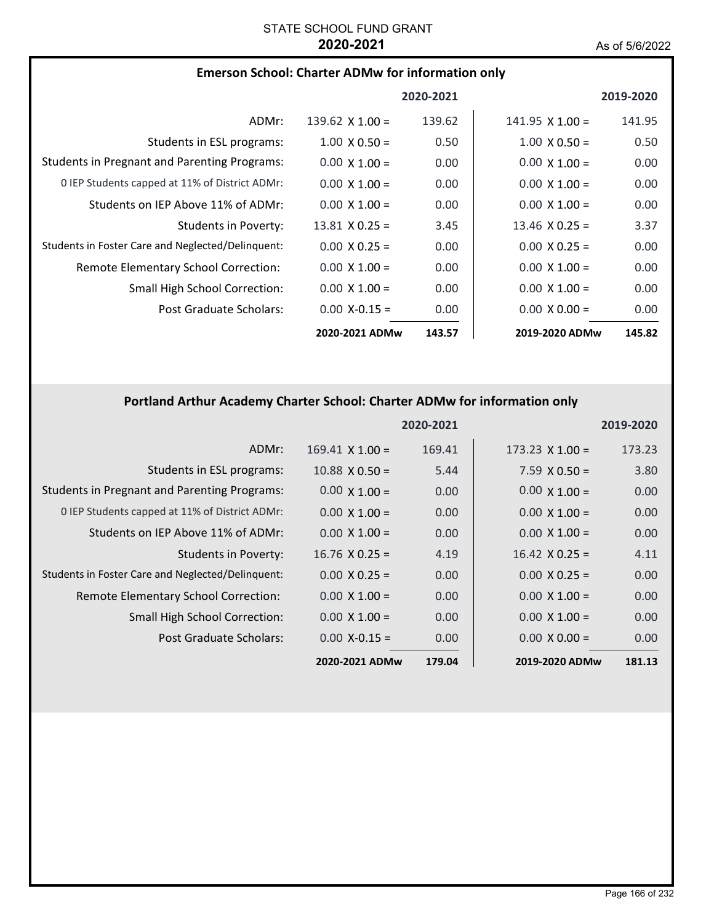| <b>Emerson School: Charter ADMw for information only</b> |  |  |  |
|----------------------------------------------------------|--|--|--|
|----------------------------------------------------------|--|--|--|

|                                                     |                       | 2020-2021 |                        | 2019-2020 |
|-----------------------------------------------------|-----------------------|-----------|------------------------|-----------|
| ADMr:                                               | 139.62 $X$ 1.00 =     | 139.62    | $141.95 \times 1.00 =$ | 141.95    |
| Students in ESL programs:                           | $1.00 \times 0.50 =$  | 0.50      | $1.00 \times 0.50 =$   | 0.50      |
| <b>Students in Pregnant and Parenting Programs:</b> | $0.00 \times 1.00 =$  | 0.00      | $0.00 \times 1.00 =$   | 0.00      |
| 0 IEP Students capped at 11% of District ADMr:      | $0.00 \times 1.00 =$  | 0.00      | $0.00 \times 1.00 =$   | 0.00      |
| Students on IEP Above 11% of ADMr:                  | $0.00 \times 1.00 =$  | 0.00      | $0.00 \times 1.00 =$   | 0.00      |
| Students in Poverty:                                | $13.81 \times 0.25 =$ | 3.45      | $13.46 \times 0.25 =$  | 3.37      |
| Students in Foster Care and Neglected/Delinquent:   | $0.00 \times 0.25 =$  | 0.00      | $0.00 \times 0.25 =$   | 0.00      |
| Remote Elementary School Correction:                | $0.00 \times 1.00 =$  | 0.00      | $0.00 \times 1.00 =$   | 0.00      |
| <b>Small High School Correction:</b>                | $0.00 \times 1.00 =$  | 0.00      | $0.00 \times 1.00 =$   | 0.00      |
| Post Graduate Scholars:                             | $0.00 X - 0.15 =$     | 0.00      | $0.00 \times 0.00 =$   | 0.00      |
|                                                     | 2020-2021 ADMw        | 143.57    | 2019-2020 ADMw         | 145.82    |

# **Portland Arthur Academy Charter School: Charter ADMw for information only**

|                                                     |                        | 2020-2021 |                        | 2019-2020 |
|-----------------------------------------------------|------------------------|-----------|------------------------|-----------|
| ADMr:                                               | $169.41 \times 1.00 =$ | 169.41    | $173.23 \times 1.00 =$ | 173.23    |
| Students in ESL programs:                           | $10.88 \times 0.50 =$  | 5.44      | $7.59 \times 0.50 =$   | 3.80      |
| <b>Students in Pregnant and Parenting Programs:</b> | $0.00 \times 1.00 =$   | 0.00      | $0.00 \times 1.00 =$   | 0.00      |
| 0 IEP Students capped at 11% of District ADMr:      | $0.00 \times 1.00 =$   | 0.00      | $0.00 \times 1.00 =$   | 0.00      |
| Students on IEP Above 11% of ADMr:                  | $0.00 \times 1.00 =$   | 0.00      | $0.00 \times 1.00 =$   | 0.00      |
| Students in Poverty:                                | $16.76 \times 0.25 =$  | 4.19      | $16.42 \times 0.25 =$  | 4.11      |
| Students in Foster Care and Neglected/Delinquent:   | $0.00 \times 0.25 =$   | 0.00      | $0.00 \times 0.25 =$   | 0.00      |
| Remote Elementary School Correction:                | $0.00 \times 1.00 =$   | 0.00      | $0.00 \times 1.00 =$   | 0.00      |
| <b>Small High School Correction:</b>                | $0.00 \times 1.00 =$   | 0.00      | $0.00 \times 1.00 =$   | 0.00      |
| Post Graduate Scholars:                             | $0.00$ X-0.15 =        | 0.00      | $0.00 \times 0.00 =$   | 0.00      |
|                                                     | 2020-2021 ADMw         | 179.04    | 2019-2020 ADMw         | 181.13    |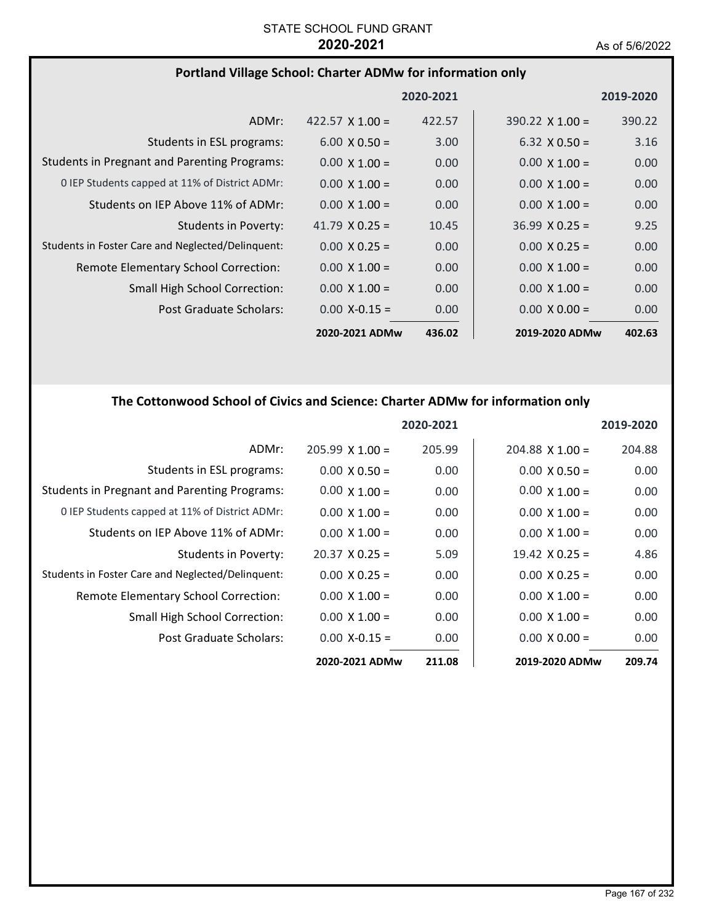# **Portland Village School: Charter ADMw for information only**

|                                                     |                        | 2020-2021 |                        | 2019-2020 |
|-----------------------------------------------------|------------------------|-----------|------------------------|-----------|
| ADMr:                                               | 422.57 $\times$ 1.00 = | 422.57    | $390.22 \times 1.00 =$ | 390.22    |
| Students in ESL programs:                           | $6.00 \times 0.50 =$   | 3.00      | $6.32 \times 0.50 =$   | 3.16      |
| <b>Students in Pregnant and Parenting Programs:</b> | $0.00 \times 1.00 =$   | 0.00      | $0.00 \times 1.00 =$   | 0.00      |
| 0 IEP Students capped at 11% of District ADMr:      | $0.00 \times 1.00 =$   | 0.00      | $0.00 \times 1.00 =$   | 0.00      |
| Students on IEP Above 11% of ADMr:                  | $0.00 \times 1.00 =$   | 0.00      | $0.00 \times 1.00 =$   | 0.00      |
| Students in Poverty:                                | 41.79 $\times$ 0.25 =  | 10.45     | $36.99 \times 0.25 =$  | 9.25      |
| Students in Foster Care and Neglected/Delinguent:   | $0.00 \times 0.25 =$   | 0.00      | $0.00 \times 0.25 =$   | 0.00      |
| Remote Elementary School Correction:                | $0.00 \times 1.00 =$   | 0.00      | $0.00 \times 1.00 =$   | 0.00      |
| <b>Small High School Correction:</b>                | $0.00 \times 1.00 =$   | 0.00      | $0.00 \times 1.00 =$   | 0.00      |
| Post Graduate Scholars:                             | $0.00 X - 0.15 =$      | 0.00      | $0.00 \times 0.00 =$   | 0.00      |
|                                                     | 2020-2021 ADMw         | 436.02    | 2019-2020 ADMw         | 402.63    |

# **The Cottonwood School of Civics and Science: Charter ADMw for information only**

|                                                     |                       | 2020-2021 |                       | 2019-2020 |
|-----------------------------------------------------|-----------------------|-----------|-----------------------|-----------|
| ADMr:                                               | $205.99$ X 1.00 =     | 205.99    | $204.88$ X 1.00 =     | 204.88    |
| Students in ESL programs:                           | $0.00 \times 0.50 =$  | 0.00      | $0.00 \times 0.50 =$  | 0.00      |
| <b>Students in Pregnant and Parenting Programs:</b> | $0.00 \times 1.00 =$  | 0.00      | $0.00 \times 1.00 =$  | 0.00      |
| 0 IEP Students capped at 11% of District ADMr:      | $0.00 \times 1.00 =$  | 0.00      | $0.00 \times 1.00 =$  | 0.00      |
| Students on IEP Above 11% of ADMr:                  | $0.00 \times 1.00 =$  | 0.00      | $0.00 \times 1.00 =$  | 0.00      |
| Students in Poverty:                                | $20.37 \times 0.25 =$ | 5.09      | $19.42 \times 0.25 =$ | 4.86      |
| Students in Foster Care and Neglected/Delinquent:   | $0.00 \times 0.25 =$  | 0.00      | $0.00 \times 0.25 =$  | 0.00      |
| Remote Elementary School Correction:                | $0.00 \times 1.00 =$  | 0.00      | $0.00 \times 1.00 =$  | 0.00      |
| Small High School Correction:                       | $0.00 \times 1.00 =$  | 0.00      | $0.00 \times 1.00 =$  | 0.00      |
| Post Graduate Scholars:                             | $0.00$ X-0.15 =       | 0.00      | $0.00 \times 0.00 =$  | 0.00      |
|                                                     | 2020-2021 ADMw        | 211.08    | 2019-2020 ADMw        | 209.74    |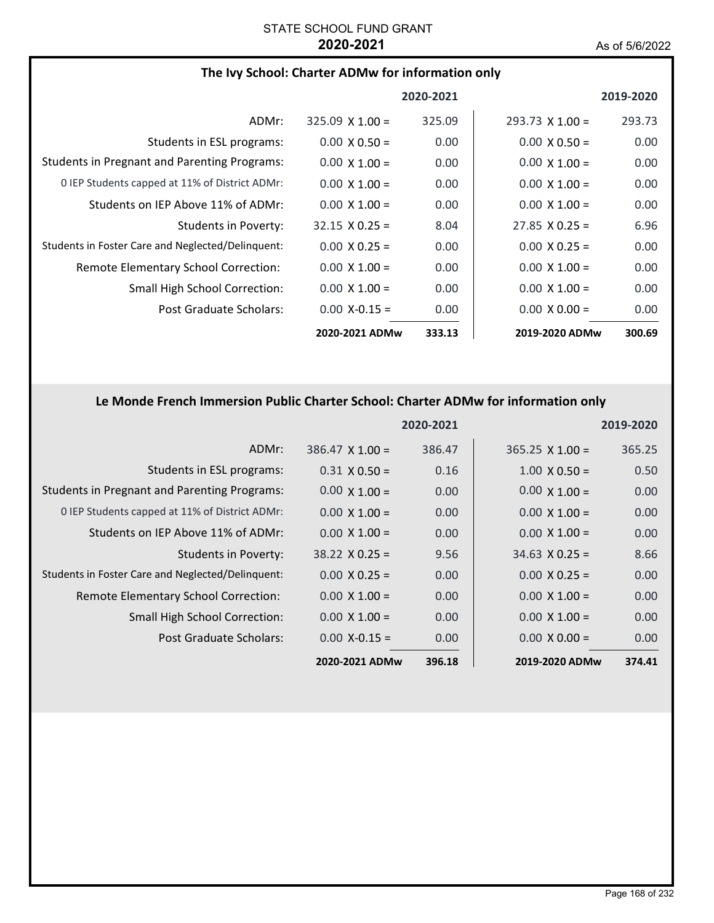| The Ivy School: Charter ADMw for information only   |                        |           |                        |           |
|-----------------------------------------------------|------------------------|-----------|------------------------|-----------|
|                                                     |                        | 2020-2021 |                        | 2019-2020 |
| ADMr:                                               | $325.09 \times 1.00 =$ | 325.09    | $293.73 \times 1.00 =$ | 293.73    |
| Students in ESL programs:                           | $0.00 \times 0.50 =$   | 0.00      | $0.00 \times 0.50 =$   | 0.00      |
| <b>Students in Pregnant and Parenting Programs:</b> | $0.00 \times 1.00 =$   | 0.00      | $0.00 \times 1.00 =$   | 0.00      |
| 0 IEP Students capped at 11% of District ADMr:      | $0.00 \times 1.00 =$   | 0.00      | $0.00 \times 1.00 =$   | 0.00      |
| Students on IEP Above 11% of ADMr:                  | $0.00 \times 1.00 =$   | 0.00      | $0.00 \times 1.00 =$   | 0.00      |
| Students in Poverty:                                | $32.15 \times 0.25 =$  | 8.04      | $27.85 \times 0.25 =$  | 6.96      |
| Students in Foster Care and Neglected/Delinquent:   | $0.00 \times 0.25 =$   | 0.00      | $0.00 \times 0.25 =$   | 0.00      |
| Remote Elementary School Correction:                | $0.00 \times 1.00 =$   | 0.00      | $0.00 \times 1.00 =$   | 0.00      |
| <b>Small High School Correction:</b>                | $0.00 \times 1.00 =$   | 0.00      | $0.00 \times 1.00 =$   | 0.00      |
| Post Graduate Scholars:                             | $0.00$ X-0.15 =        | 0.00      | $0.00 \times 0.00 =$   | 0.00      |
|                                                     | 2020-2021 ADMw         | 333.13    | 2019-2020 ADMw         | 300.69    |

# **Le Monde French Immersion Public Charter School: Charter ADMw for information only**

|                                                     |                        | 2020-2021 |                        | 2019-2020         |
|-----------------------------------------------------|------------------------|-----------|------------------------|-------------------|
| ADMr:                                               | $386.47 \times 1.00 =$ | 386.47    | $365.25 \times 1.00 =$ | 365.25            |
| Students in ESL programs:                           | $0.31 \times 0.50 =$   | 0.16      | $1.00 \times 0.50 =$   | 0.50              |
| <b>Students in Pregnant and Parenting Programs:</b> | $0.00 \times 1.00 =$   | 0.00      | $0.00 \times 1.00 =$   | 0.00              |
| 0 IEP Students capped at 11% of District ADMr:      | $0.00 \times 1.00 =$   | 0.00      | $0.00 \times 1.00 =$   | 0.00              |
| Students on IEP Above 11% of ADMr:                  | $0.00 \times 1.00 =$   | 0.00      | $0.00 \times 1.00 =$   | 0.00              |
| Students in Poverty:                                | $38.22 \times 0.25 =$  | 9.56      | $34.63 \times 0.25 =$  | 8.66              |
| Students in Foster Care and Neglected/Delinquent:   | $0.00 \times 0.25 =$   | 0.00      | $0.00 \times 0.25 =$   | 0.00              |
| Remote Elementary School Correction:                | $0.00 \times 1.00 =$   | 0.00      | $0.00 \times 1.00 =$   | 0.00              |
| <b>Small High School Correction:</b>                | $0.00 \times 1.00 =$   | 0.00      | $0.00 \times 1.00 =$   | 0.00              |
| Post Graduate Scholars:                             | $0.00$ X-0.15 =        | 0.00      | $0.00 \times 0.00 =$   | 0.00 <sub>1</sub> |
|                                                     | 2020-2021 ADMw         | 396.18    | 2019-2020 ADMw         | 374.41            |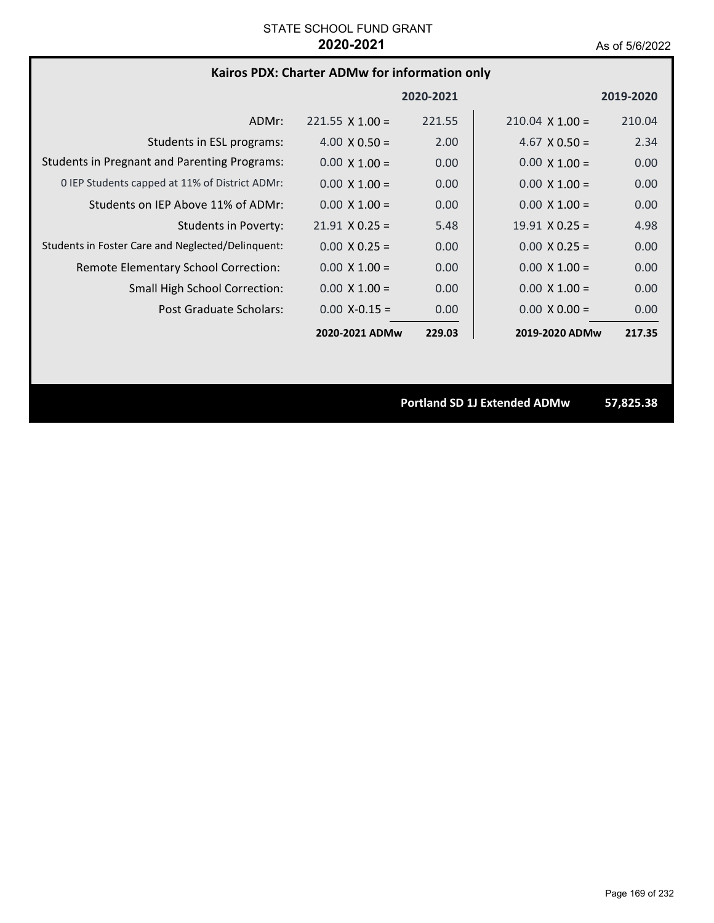### **Kairos PDX: Charter ADMw for information only**

|                                                     |                        | 2020-2021 |                        | 2019-2020 |
|-----------------------------------------------------|------------------------|-----------|------------------------|-----------|
| ADMr:                                               | $221.55 \times 1.00 =$ | 221.55    | $210.04 \times 1.00 =$ | 210.04    |
| Students in ESL programs:                           | $4.00 \times 0.50 =$   | 2.00      | $4.67 \times 0.50 =$   | 2.34      |
| <b>Students in Pregnant and Parenting Programs:</b> | $0.00 \times 1.00 =$   | 0.00      | $0.00 \times 1.00 =$   | 0.00      |
| 0 IEP Students capped at 11% of District ADMr:      | $0.00 \times 1.00 =$   | 0.00      | $0.00 \times 1.00 =$   | 0.00      |
| Students on IEP Above 11% of ADMr:                  | $0.00 \times 1.00 =$   | 0.00      | $0.00 \times 1.00 =$   | 0.00      |
| Students in Poverty:                                | $21.91 \times 0.25 =$  | 5.48      | $19.91 \times 0.25 =$  | 4.98      |
| Students in Foster Care and Neglected/Delinguent:   | $0.00 \times 0.25 =$   | 0.00      | $0.00 \times 0.25 =$   | 0.00      |
| Remote Elementary School Correction:                | $0.00 \times 1.00 =$   | 0.00      | $0.00 \times 1.00 =$   | 0.00      |
| <b>Small High School Correction:</b>                | $0.00 \times 1.00 =$   | 0.00      | $0.00 \times 1.00 =$   | 0.00      |
| <b>Post Graduate Scholars:</b>                      | $0.00 X - 0.15 =$      | 0.00      | $0.00 \times 0.00 =$   | 0.00      |
|                                                     | 2020-2021 ADMw         | 229.03    | 2019-2020 ADMw         | 217.35    |

**Portland SD 1J Extended ADMw 57,825.38**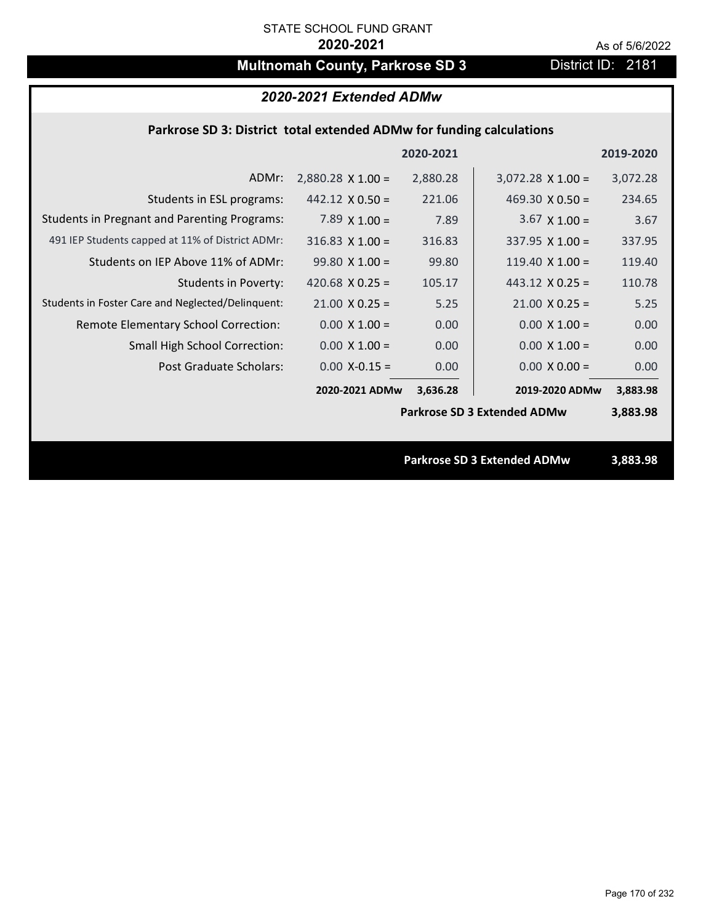# **Multnomah County, Parkrose SD 3** District ID: 2181

# *2020-2021 Extended ADMw*

### **Parkrose SD 3: District total extended ADMw for funding calculations**

|                                                     |                          | 2020-2021 |                                    | 2019-2020 |
|-----------------------------------------------------|--------------------------|-----------|------------------------------------|-----------|
| ADMr:                                               | $2,880.28 \times 1.00 =$ | 2,880.28  | $3,072.28$ X 1.00 =                | 3,072.28  |
| Students in ESL programs:                           | $442.12 \times 0.50 =$   | 221.06    | 469.30 $\times$ 0.50 =             | 234.65    |
| <b>Students in Pregnant and Parenting Programs:</b> | 7.89 $\times$ 1.00 =     | 7.89      | $3.67 \times 1.00 =$               | 3.67      |
| 491 IEP Students capped at 11% of District ADMr:    | $316.83$ X $1.00 =$      | 316.83    | 337.95 $X$ 1.00 =                  | 337.95    |
| Students on IEP Above 11% of ADMr:                  | $99.80 X 1.00 =$         | 99.80     | 119.40 $X$ 1.00 =                  | 119.40    |
| <b>Students in Poverty:</b>                         | 420.68 $X$ 0.25 =        | 105.17    | $443.12 \times 0.25 =$             | 110.78    |
| Students in Foster Care and Neglected/Delinquent:   | $21.00 \times 0.25 =$    | 5.25      | $21.00 \times 0.25 =$              | 5.25      |
| Remote Elementary School Correction:                | $0.00 \times 1.00 =$     | 0.00      | $0.00 \times 1.00 =$               | 0.00      |
| <b>Small High School Correction:</b>                | $0.00 \times 1.00 =$     | 0.00      | $0.00 \times 1.00 =$               | 0.00      |
| Post Graduate Scholars:                             | $0.00$ X-0.15 =          | 0.00      | $0.00 \times 0.00 =$               | 0.00      |
|                                                     | 2020-2021 ADMw           | 3,636.28  | 2019-2020 ADMw                     | 3,883.98  |
|                                                     |                          |           | <b>Parkrose SD 3 Extended ADMw</b> | 3,883.98  |
|                                                     |                          |           |                                    |           |
|                                                     |                          |           | <b>Parkrose SD 3 Extended ADMw</b> | 3,883.98  |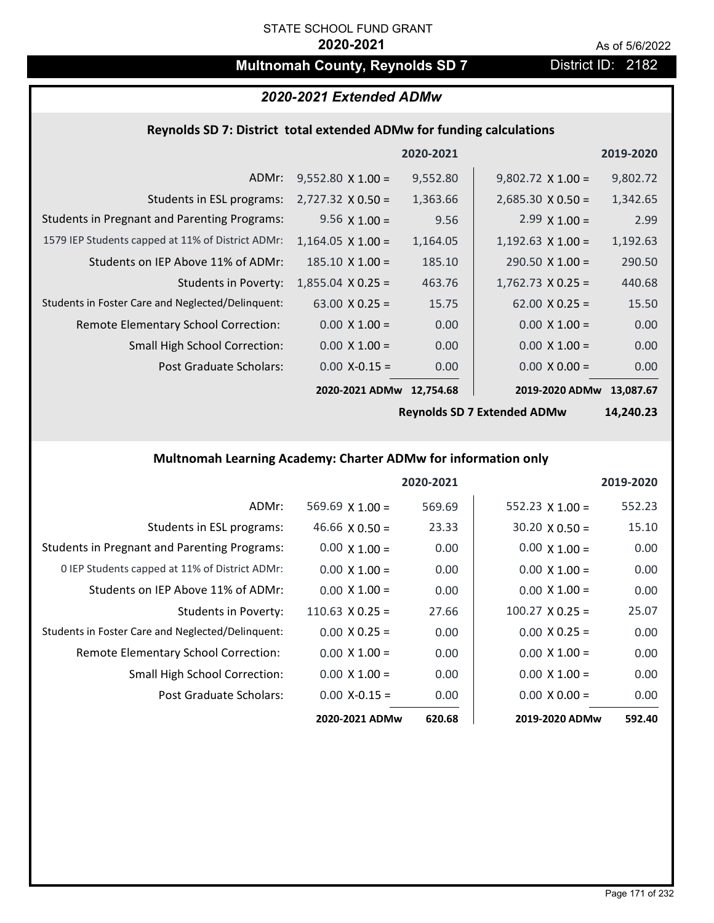# **Multnomah County, Reynolds SD 7** District ID: 2182

### *2020-2021 Extended ADMw*

# **Reynolds SD 7: District total extended ADMw for funding calculations**

|                                                     |                          | 2020-2021 |                          | 2019-2020 |
|-----------------------------------------------------|--------------------------|-----------|--------------------------|-----------|
| ADMr:                                               | $9,552.80 \times 1.00 =$ | 9,552.80  | $9,802.72 \times 1.00 =$ | 9,802.72  |
| Students in ESL programs:                           | $2,727.32 \times 0.50 =$ | 1,363.66  | $2,685.30 \times 0.50 =$ | 1,342.65  |
| <b>Students in Pregnant and Parenting Programs:</b> | $9.56 \times 1.00 =$     | 9.56      | $2.99 \times 1.00 =$     | 2.99      |
| 1579 IEP Students capped at 11% of District ADMr:   | $1,164.05 \times 1.00 =$ | 1,164.05  | $1,192.63 \times 1.00 =$ | 1,192.63  |
| Students on IEP Above 11% of ADMr:                  | $185.10 \times 1.00 =$   | 185.10    | $290.50 \times 1.00 =$   | 290.50    |
| <b>Students in Poverty:</b>                         | $1,855.04 \times 0.25 =$ | 463.76    | $1,762.73 \times 0.25 =$ | 440.68    |
| Students in Foster Care and Neglected/Delinquent:   | 63.00 $X$ 0.25 =         | 15.75     | $62.00 \times 0.25 =$    | 15.50     |
| Remote Elementary School Correction:                | $0.00 \times 1.00 =$     | 0.00      | $0.00 \times 1.00 =$     | 0.00      |
| <b>Small High School Correction:</b>                | $0.00 \times 1.00 =$     | 0.00      | $0.00 \times 1.00 =$     | 0.00      |
| Post Graduate Scholars:                             | $0.00$ X-0.15 =          | 0.00      | $0.00 \times 0.00 =$     | 0.00      |
|                                                     | 2020-2021 ADMw           | 12,754.68 | 2019-2020 ADMw           | 13,087.67 |

**Reynolds SD 7 Extended ADMw**

**14,240.23**

### **Multnomah Learning Academy: Charter ADMw for information only**

|                                                     |                        | 2020-2021 |                        | 2019-2020 |
|-----------------------------------------------------|------------------------|-----------|------------------------|-----------|
| ADMr:                                               | 569.69 $X$ 1.00 =      | 569.69    | $552.23 \times 1.00 =$ | 552.23    |
| Students in ESL programs:                           | 46.66 $\times$ 0.50 =  | 23.33     | $30.20 \times 0.50 =$  | 15.10     |
| <b>Students in Pregnant and Parenting Programs:</b> | $0.00 \times 1.00 =$   | 0.00      | $0.00 \times 1.00 =$   | 0.00      |
| 0 IEP Students capped at 11% of District ADMr:      | $0.00 \times 1.00 =$   | 0.00      | $0.00 \times 1.00 =$   | 0.00      |
| Students on IEP Above 11% of ADMr:                  | $0.00 \times 1.00 =$   | 0.00      | $0.00 \times 1.00 =$   | 0.00      |
| Students in Poverty:                                | $110.63 \times 0.25 =$ | 27.66     | $100.27 \times 0.25 =$ | 25.07     |
| Students in Foster Care and Neglected/Delinquent:   | $0.00 \times 0.25 =$   | 0.00      | $0.00 \times 0.25 =$   | 0.00      |
| Remote Elementary School Correction:                | $0.00 \times 1.00 =$   | 0.00      | $0.00 \times 1.00 =$   | 0.00      |
| <b>Small High School Correction:</b>                | $0.00 \times 1.00 =$   | 0.00      | $0.00 \times 1.00 =$   | 0.00      |
| Post Graduate Scholars:                             | $0.00 X - 0.15 =$      | 0.00      | $0.00 \times 0.00 =$   | 0.00      |
|                                                     | 2020-2021 ADMw         | 620.68    | 2019-2020 ADMw         | 592.40    |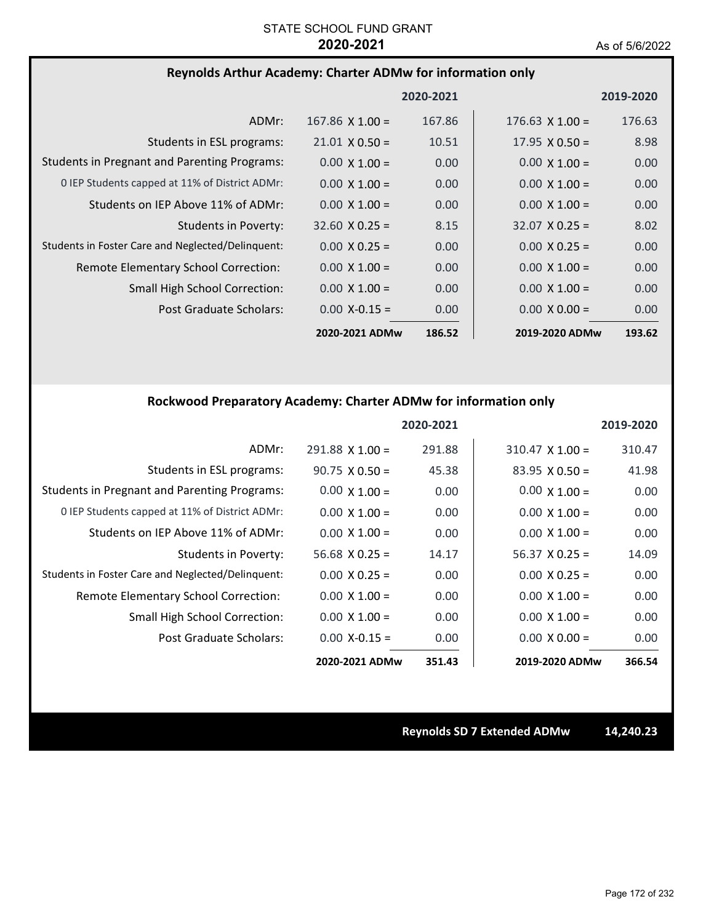### **Reynolds Arthur Academy: Charter ADMw for information only**

|                                                     |                        | 2020-2021 |                        | 2019-2020         |
|-----------------------------------------------------|------------------------|-----------|------------------------|-------------------|
| ADMr:                                               | $167.86 \times 1.00 =$ | 167.86    | $176.63 \times 1.00 =$ | 176.63            |
| Students in ESL programs:                           | $21.01 \times 0.50 =$  | 10.51     | $17.95 \times 0.50 =$  | 8.98              |
| <b>Students in Pregnant and Parenting Programs:</b> | $0.00 \times 1.00 =$   | 0.00      | $0.00 \times 1.00 =$   | 0.00              |
| 0 IEP Students capped at 11% of District ADMr:      | $0.00 \times 1.00 =$   | 0.00      | $0.00 \times 1.00 =$   | 0.00              |
| Students on IEP Above 11% of ADMr:                  | $0.00 \times 1.00 =$   | 0.00      | $0.00 \times 1.00 =$   | 0.00 <sub>1</sub> |
| Students in Poverty:                                | $32.60 \times 0.25 =$  | 8.15      | $32.07 \times 0.25 =$  | 8.02              |
| Students in Foster Care and Neglected/Delinquent:   | $0.00 \times 0.25 =$   | 0.00      | $0.00 \times 0.25 =$   | 0.00              |
| Remote Elementary School Correction:                | $0.00 \times 1.00 =$   | 0.00      | $0.00 \times 1.00 =$   | 0.00              |
| <b>Small High School Correction:</b>                | $0.00 \times 1.00 =$   | 0.00      | $0.00 \times 1.00 =$   | 0.00 <sub>1</sub> |
| Post Graduate Scholars:                             | $0.00 X - 0.15 =$      | 0.00      | $0.00 \times 0.00 =$   | 0.00              |
|                                                     | 2020-2021 ADMw         | 186.52    | 2019-2020 ADMw         | 193.62            |

### **Rockwood Preparatory Academy: Charter ADMw for information only**

|                                                     |                       | 2020-2021 |                        | 2019-2020 |
|-----------------------------------------------------|-----------------------|-----------|------------------------|-----------|
| ADMr:                                               | $291.88$ X 1.00 =     | 291.88    | $310.47 \times 1.00 =$ | 310.47    |
| Students in ESL programs:                           | $90.75 \times 0.50 =$ | 45.38     | $83.95 \times 0.50 =$  | 41.98     |
| <b>Students in Pregnant and Parenting Programs:</b> | $0.00 \times 1.00 =$  | 0.00      | $0.00 \times 1.00 =$   | 0.00      |
| 0 IEP Students capped at 11% of District ADMr:      | $0.00 \times 1.00 =$  | 0.00      | $0.00 \times 1.00 =$   | 0.00      |
| Students on IEP Above 11% of ADMr:                  | $0.00 \times 1.00 =$  | 0.00      | $0.00 \times 1.00 =$   | 0.00      |
| Students in Poverty:                                | $56.68 \times 0.25 =$ | 14.17     | $56.37 \times 0.25 =$  | 14.09     |
| Students in Foster Care and Neglected/Delinquent:   | $0.00 \times 0.25 =$  | 0.00      | $0.00 \times 0.25 =$   | 0.00      |
| Remote Elementary School Correction:                | $0.00 \times 1.00 =$  | 0.00      | $0.00 \times 1.00 =$   | 0.00      |
| Small High School Correction:                       | $0.00 \times 1.00 =$  | 0.00      | $0.00 \times 1.00 =$   | 0.00      |
| Post Graduate Scholars:                             | $0.00 X - 0.15 =$     | 0.00      | $0.00 \times 0.00 =$   | 0.00      |
|                                                     | 2020-2021 ADMw        | 351.43    | 2019-2020 ADMw         | 366.54    |

**Reynolds SD 7 Extended ADMw 14,240.23**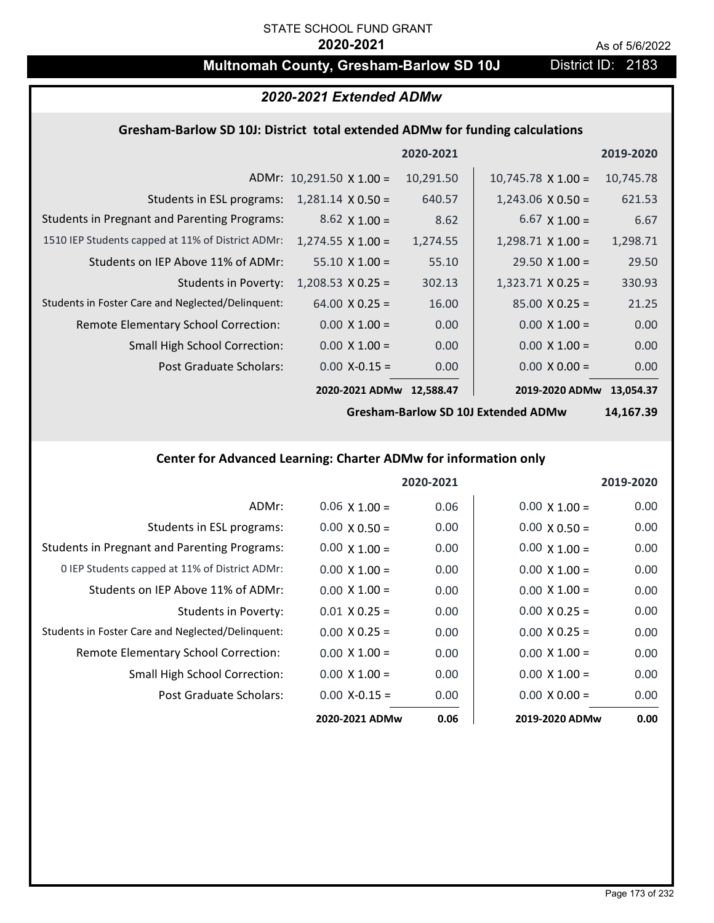# **Multnomah County, Gresham-Barlow SD 10J** District ID: 2183

# *2020-2021 Extended ADMw*

### **Gresham‐Barlow SD 10J: District total extended ADMw for funding calculations**

|                                                     |                                 | 2020-2021 |                           | 2019-2020 |
|-----------------------------------------------------|---------------------------------|-----------|---------------------------|-----------|
|                                                     | ADMr: $10,291.50 \times 1.00 =$ | 10,291.50 | $10,745.78 \times 1.00 =$ | 10,745.78 |
| Students in ESL programs:                           | $1,281.14 \times 0.50 =$        | 640.57    | $1,243.06 \times 0.50 =$  | 621.53    |
| <b>Students in Pregnant and Parenting Programs:</b> | $8.62 \times 1.00 =$            | 8.62      | $6.67 \times 1.00 =$      | 6.67      |
| 1510 IEP Students capped at 11% of District ADMr:   | $1,274.55 \times 1.00 =$        | 1,274.55  | $1,298.71 \times 1.00 =$  | 1,298.71  |
| Students on IEP Above 11% of ADMr:                  | $55.10 \times 1.00 =$           | 55.10     | $29.50 \times 1.00 =$     | 29.50     |
| <b>Students in Poverty:</b>                         | $1,208.53 \times 0.25 =$        | 302.13    | $1,323.71$ X 0.25 =       | 330.93    |
| Students in Foster Care and Neglected/Delinquent:   | $64.00 \times 0.25 =$           | 16.00     | $85.00 \times 0.25 =$     | 21.25     |
| Remote Elementary School Correction:                | $0.00 \times 1.00 =$            | 0.00      | $0.00 \times 1.00 =$      | 0.00      |
| <b>Small High School Correction:</b>                | $0.00 \times 1.00 =$            | 0.00      | $0.00 \times 1.00 =$      | 0.00      |
| Post Graduate Scholars:                             | $0.00$ X-0.15 =                 | 0.00      | $0.00 \times 0.00 =$      | 0.00      |
|                                                     | 2020-2021 ADMw                  | 12,588.47 | 2019-2020 ADMw            | 13.054.37 |

**Gresham‐Barlow SD 10J Extended ADMw**

**14,167.39**

# **Center for Advanced Learning: Charter ADMw for information only**

|                                                     |                      | 2020-2021 |                      | 2019-2020         |
|-----------------------------------------------------|----------------------|-----------|----------------------|-------------------|
| ADMr:                                               | $0.06 \times 1.00 =$ | 0.06      | $0.00 \times 1.00 =$ | 0.00              |
| Students in ESL programs:                           | $0.00 \times 0.50 =$ | 0.00      | $0.00 \times 0.50 =$ | 0.00              |
| <b>Students in Pregnant and Parenting Programs:</b> | $0.00 \times 1.00 =$ | 0.00      | $0.00 \times 1.00 =$ | 0.00              |
| 0 IEP Students capped at 11% of District ADMr:      | $0.00 \times 1.00 =$ | 0.00      | $0.00 \times 1.00 =$ | 0.00              |
| Students on IEP Above 11% of ADMr:                  | $0.00 \times 1.00 =$ | 0.00      | $0.00 \times 1.00 =$ | 0.00              |
| Students in Poverty:                                | $0.01 \times 0.25 =$ | 0.00      | $0.00 \times 0.25 =$ | 0.00 <sub>1</sub> |
| Students in Foster Care and Neglected/Delinquent:   | $0.00 \times 0.25 =$ | 0.00      | $0.00 \times 0.25 =$ | 0.00              |
| Remote Elementary School Correction:                | $0.00 \times 1.00 =$ | 0.00      | $0.00 \times 1.00 =$ | 0.00              |
| <b>Small High School Correction:</b>                | $0.00 \times 1.00 =$ | 0.00      | $0.00 \times 1.00 =$ | 0.00              |
| Post Graduate Scholars:                             | $0.00 X - 0.15 =$    | 0.00      | $0.00 \times 0.00 =$ | 0.00              |
|                                                     | 2020-2021 ADMw       | 0.06      | 2019-2020 ADMw       | 0.00              |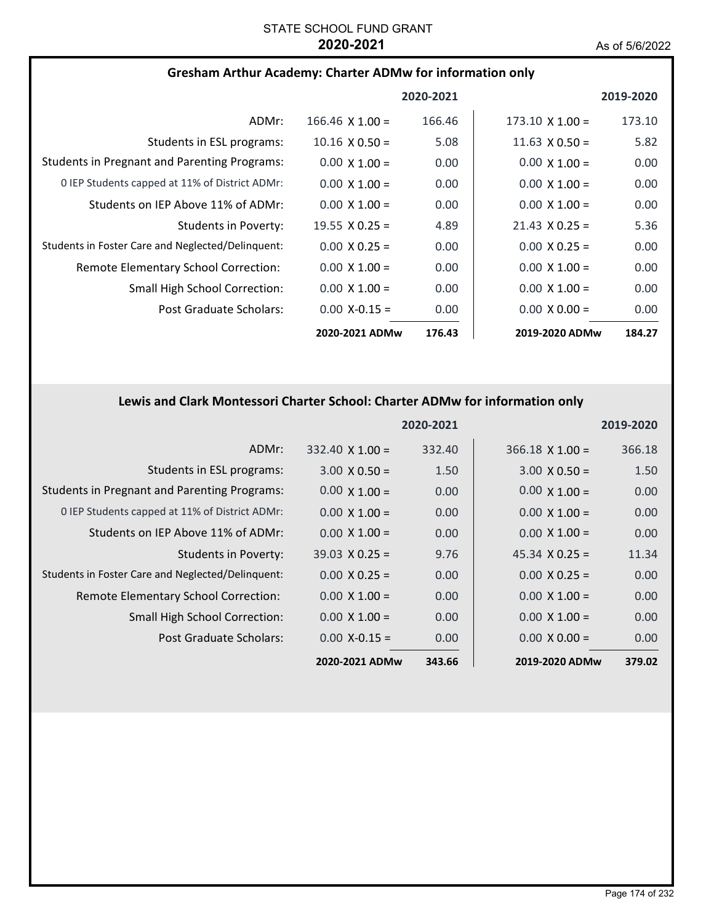| <b>Gresham Arthur Academy: Charter ADMw for information only</b> |  |
|------------------------------------------------------------------|--|
|------------------------------------------------------------------|--|

|                                                     |                        | 2020-2021 |                        | 2019-2020 |
|-----------------------------------------------------|------------------------|-----------|------------------------|-----------|
| ADMr:                                               | $166.46 \times 1.00 =$ | 166.46    | $173.10 \times 1.00 =$ | 173.10    |
| Students in ESL programs:                           | $10.16 \times 0.50 =$  | 5.08      | $11.63 \times 0.50 =$  | 5.82      |
| <b>Students in Pregnant and Parenting Programs:</b> | $0.00 \times 1.00 =$   | 0.00      | $0.00 \times 1.00 =$   | 0.00      |
| 0 IEP Students capped at 11% of District ADMr:      | $0.00 \times 1.00 =$   | 0.00      | $0.00 \times 1.00 =$   | 0.00      |
| Students on IEP Above 11% of ADMr:                  | $0.00 \times 1.00 =$   | 0.00      | $0.00 \times 1.00 =$   | 0.00      |
| Students in Poverty:                                | 19.55 $\times$ 0.25 =  | 4.89      | $21.43 \times 0.25 =$  | 5.36      |
| Students in Foster Care and Neglected/Delinquent:   | $0.00 \times 0.25 =$   | 0.00      | $0.00 \times 0.25 =$   | 0.00      |
| Remote Elementary School Correction:                | $0.00 \times 1.00 =$   | 0.00      | $0.00 \times 1.00 =$   | 0.00      |
| <b>Small High School Correction:</b>                | $0.00 \times 1.00 =$   | 0.00      | $0.00 \times 1.00 =$   | 0.00      |
| Post Graduate Scholars:                             | $0.00$ X-0.15 =        | 0.00      | $0.00 \times 0.00 =$   | 0.00      |
|                                                     | 2020-2021 ADMw         | 176.43    | 2019-2020 ADMw         | 184.27    |

# **Lewis and Clark Montessori Charter School: Charter ADMw for information only**

|                                                     |                        | 2020-2021 |                        | 2019-2020 |
|-----------------------------------------------------|------------------------|-----------|------------------------|-----------|
| ADMr:                                               | $332.40 \times 1.00 =$ | 332.40    | $366.18 \times 1.00 =$ | 366.18    |
| Students in ESL programs:                           | $3.00 \times 0.50 =$   | 1.50      | $3.00 \times 0.50 =$   | 1.50      |
| <b>Students in Pregnant and Parenting Programs:</b> | $0.00 \times 1.00 =$   | 0.00      | $0.00 \times 1.00 =$   | 0.00      |
| 0 IEP Students capped at 11% of District ADMr:      | $0.00 \times 1.00 =$   | 0.00      | $0.00 \times 1.00 =$   | 0.00      |
| Students on IEP Above 11% of ADMr:                  | $0.00 \times 1.00 =$   | 0.00      | $0.00 \times 1.00 =$   | 0.00      |
| Students in Poverty:                                | $39.03 \times 0.25 =$  | 9.76      | $45.34 \times 0.25 =$  | 11.34     |
| Students in Foster Care and Neglected/Delinquent:   | $0.00 \times 0.25 =$   | 0.00      | $0.00 \times 0.25 =$   | 0.00      |
| Remote Elementary School Correction:                | $0.00 \times 1.00 =$   | 0.00      | $0.00 \times 1.00 =$   | 0.00      |
| <b>Small High School Correction:</b>                | $0.00 \times 1.00 =$   | 0.00      | $0.00 \times 1.00 =$   | 0.00      |
| Post Graduate Scholars:                             | $0.00$ X-0.15 =        | 0.00      | $0.00 \times 0.00 =$   | 0.00      |
|                                                     | 2020-2021 ADMw         | 343.66    | 2019-2020 ADMw         | 379.02    |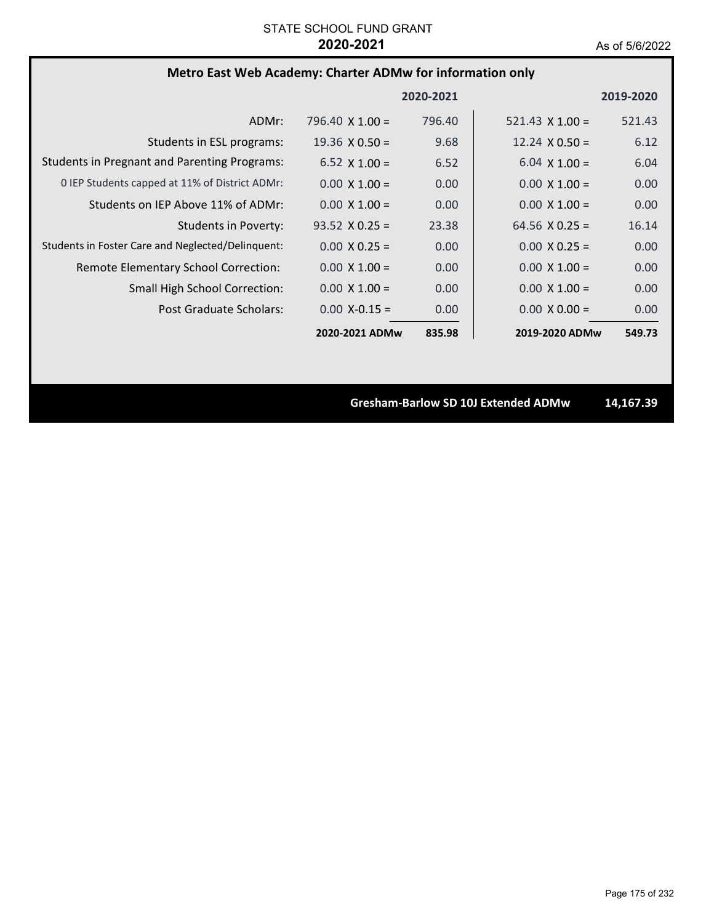# **Metro East Web Academy: Charter ADMw for information only**

|                                                     |                        | 2020-2021 |                        | 2019-2020 |
|-----------------------------------------------------|------------------------|-----------|------------------------|-----------|
| ADMr:                                               | 796.40 $\times$ 1.00 = | 796.40    | $521.43 \times 1.00 =$ | 521.43    |
| Students in ESL programs:                           | $19.36 \times 0.50 =$  | 9.68      | $12.24 \times 0.50 =$  | 6.12      |
| <b>Students in Pregnant and Parenting Programs:</b> | $6.52 \times 1.00 =$   | 6.52      | $6.04 \times 1.00 =$   | 6.04      |
| 0 IEP Students capped at 11% of District ADMr:      | $0.00 \times 1.00 =$   | 0.00      | $0.00 \times 1.00 =$   | 0.00      |
| Students on IEP Above 11% of ADMr:                  | $0.00 \times 1.00 =$   | 0.00      | $0.00 \times 1.00 =$   | 0.00      |
| Students in Poverty:                                | $93.52 \times 0.25 =$  | 23.38     | $64.56 \times 0.25 =$  | 16.14     |
| Students in Foster Care and Neglected/Delinquent:   | $0.00 \times 0.25 =$   | 0.00      | $0.00 \times 0.25 =$   | 0.00      |
| Remote Elementary School Correction:                | $0.00 \times 1.00 =$   | 0.00      | $0.00 \times 1.00 =$   | 0.00      |
| <b>Small High School Correction:</b>                | $0.00 \times 1.00 =$   | 0.00      | $0.00 \times 1.00 =$   | 0.00      |
| Post Graduate Scholars:                             | $0.00 X - 0.15 =$      | 0.00      | $0.00 \times 0.00 =$   | 0.00      |
|                                                     | 2020-2021 ADMw         | 835.98    | 2019-2020 ADMw         | 549.73    |

**Gresham‐Barlow SD 10J Extended ADMw 14,167.39**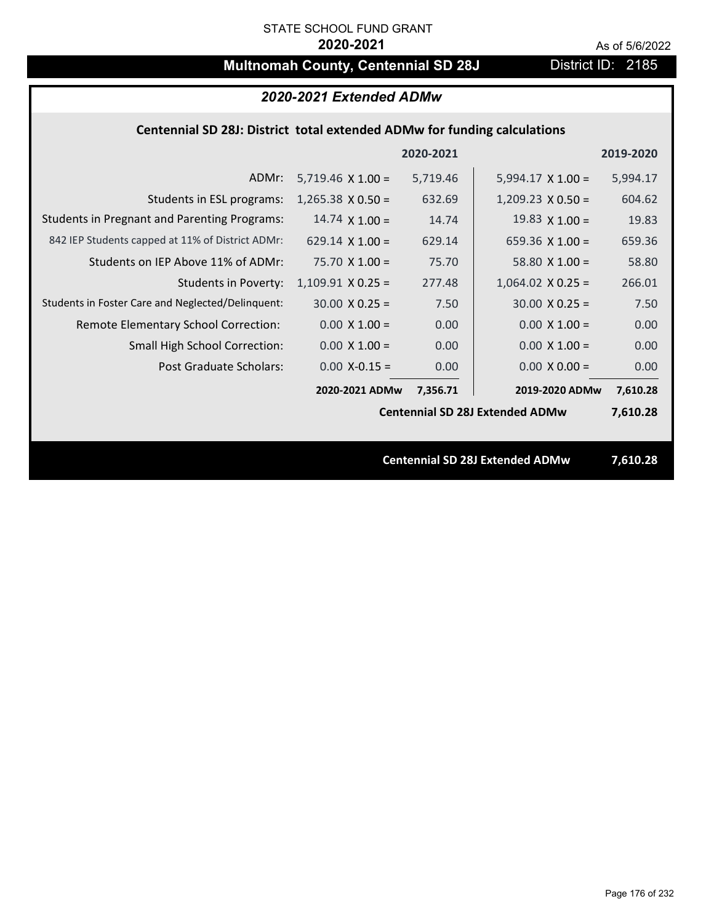# **Multnomah County, Centennial SD 28J** District ID: 2185

| 2020-2021 Extended ADMw                                                         |                          |          |                                        |          |  |  |
|---------------------------------------------------------------------------------|--------------------------|----------|----------------------------------------|----------|--|--|
| <b>Centennial SD 28J: District total extended ADMw for funding calculations</b> |                          |          |                                        |          |  |  |
| 2020-2021<br>2019-2020                                                          |                          |          |                                        |          |  |  |
| ADMr:                                                                           | $5,719.46 \times 1.00 =$ | 5,719.46 | $5,994.17 \times 1.00 =$               | 5,994.17 |  |  |
| Students in ESL programs:                                                       | $1,265.38 \times 0.50 =$ | 632.69   | $1,209.23 \times 0.50 =$               | 604.62   |  |  |
| <b>Students in Pregnant and Parenting Programs:</b>                             | $14.74 \times 1.00 =$    | 14.74    | 19.83 $\times$ 1.00 =                  | 19.83    |  |  |
| 842 IEP Students capped at 11% of District ADMr:                                | 629.14 $\times$ 1.00 =   | 629.14   | 659.36 $X$ 1.00 =                      | 659.36   |  |  |
| Students on IEP Above 11% of ADMr:                                              | $75.70 \times 1.00 =$    | 75.70    | 58.80 $X$ 1.00 =                       | 58.80    |  |  |
| <b>Students in Poverty:</b>                                                     | $1,109.91$ X 0.25 =      | 277.48   | $1,064.02$ X 0.25 =                    | 266.01   |  |  |
| Students in Foster Care and Neglected/Delinquent:                               | $30.00 \times 0.25 =$    | 7.50     | $30.00 \times 0.25 =$                  | 7.50     |  |  |
| Remote Elementary School Correction:                                            | $0.00 \times 1.00 =$     | 0.00     | $0.00 X 1.00 =$                        | 0.00     |  |  |
| Small High School Correction:                                                   | $0.00 \times 1.00 =$     | 0.00     | $0.00 \times 1.00 =$                   | 0.00     |  |  |
| <b>Post Graduate Scholars:</b>                                                  | $0.00$ X-0.15 =          | 0.00     | $0.00 X 0.00 =$                        | 0.00     |  |  |
|                                                                                 | 2020-2021 ADMw           | 7,356.71 | 2019-2020 ADMw                         | 7,610.28 |  |  |
|                                                                                 |                          |          | <b>Centennial SD 28J Extended ADMw</b> | 7,610.28 |  |  |
|                                                                                 |                          |          |                                        |          |  |  |
|                                                                                 |                          |          | <b>Centennial SD 28J Extended ADMw</b> | 7,610.28 |  |  |
|                                                                                 |                          |          |                                        |          |  |  |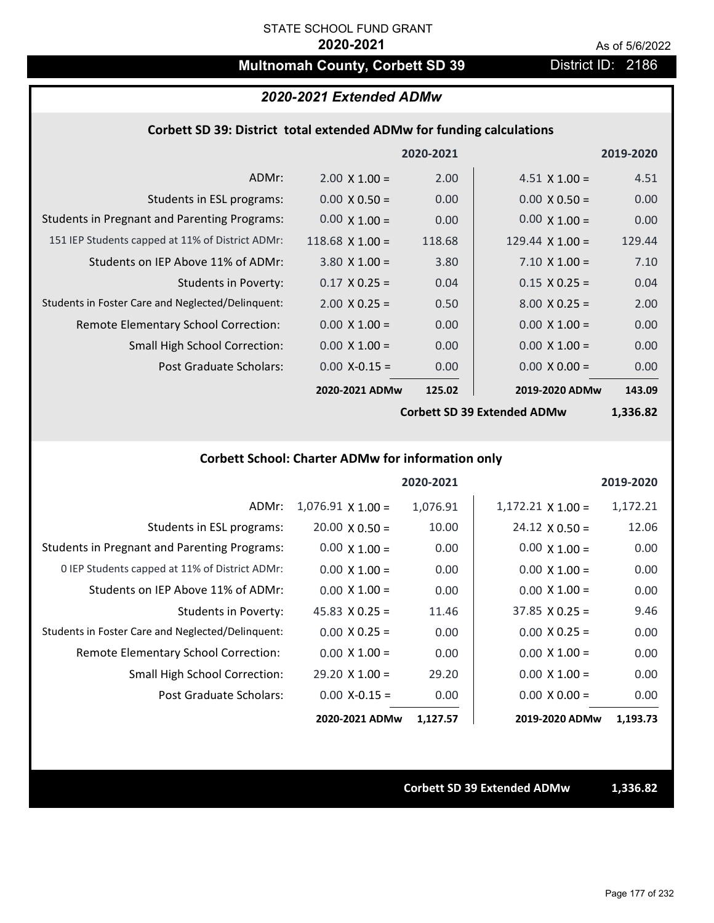# **Multnomah County, Corbett SD 39 District ID: 2186**

### *2020-2021 Extended ADMw*

### **Corbett SD 39: District total extended ADMw for funding calculations**

|                                                     |                        | 2020-2021 |                        | 2019-2020 |
|-----------------------------------------------------|------------------------|-----------|------------------------|-----------|
| ADMr:                                               | $2.00 \times 1.00 =$   | 2.00      | $4.51 \times 1.00 =$   | 4.51      |
| Students in ESL programs:                           | $0.00 \times 0.50 =$   | 0.00      | $0.00 \times 0.50 =$   | 0.00      |
| <b>Students in Pregnant and Parenting Programs:</b> | $0.00 \times 1.00 =$   | 0.00      | $0.00 \times 1.00 =$   | 0.00      |
| 151 IEP Students capped at 11% of District ADMr:    | $118.68 \times 1.00 =$ | 118.68    | 129.44 $\times$ 1.00 = | 129.44    |
| Students on IEP Above 11% of ADMr:                  | $3.80 \times 1.00 =$   | 3.80      | $7.10 \times 1.00 =$   | 7.10      |
| <b>Students in Poverty:</b>                         | $0.17 \times 0.25 =$   | 0.04      | $0.15 \times 0.25 =$   | 0.04      |
| Students in Foster Care and Neglected/Delinquent:   | $2.00 \times 0.25 =$   | 0.50      | $8.00 \times 0.25 =$   | 2.00      |
| Remote Elementary School Correction:                | $0.00 \times 1.00 =$   | 0.00      | $0.00 \times 1.00 =$   | 0.00      |
| <b>Small High School Correction:</b>                | $0.00 \times 1.00 =$   | 0.00      | $0.00 \times 1.00 =$   | 0.00      |
| Post Graduate Scholars:                             | $0.00$ X-0.15 =        | 0.00      | $0.00 \times 0.00 =$   | 0.00      |
|                                                     | 2020-2021 ADMw         | 125.02    | 2019-2020 ADMw         | 143.09    |

**Corbett SD 39 Extended ADMw**

**1,336.82**

# **Corbett School: Charter ADMw for information only**

|                                                     |                       | 2020-2021 |                          | 2019-2020 |
|-----------------------------------------------------|-----------------------|-----------|--------------------------|-----------|
| ADMr:                                               | $1,076.91$ X $1.00 =$ | 1,076.91  | $1,172.21 \times 1.00 =$ | 1,172.21  |
| Students in ESL programs:                           | $20.00 \times 0.50 =$ | 10.00     | $24.12 \times 0.50 =$    | 12.06     |
| <b>Students in Pregnant and Parenting Programs:</b> | $0.00 \times 1.00 =$  | 0.00      | $0.00 \times 1.00 =$     | 0.00      |
| 0 IEP Students capped at 11% of District ADMr:      | $0.00 \times 1.00 =$  | 0.00      | $0.00 \times 1.00 =$     | 0.00      |
| Students on IEP Above 11% of ADMr:                  | $0.00 \times 1.00 =$  | 0.00      | $0.00 \times 1.00 =$     | 0.00      |
| Students in Poverty:                                | $45.83 \times 0.25 =$ | 11.46     | $37.85 \times 0.25 =$    | 9.46      |
| Students in Foster Care and Neglected/Delinquent:   | $0.00 \times 0.25 =$  | 0.00      | $0.00 \times 0.25 =$     | 0.00      |
| Remote Elementary School Correction:                | $0.00 \times 1.00 =$  | 0.00      | $0.00 \times 1.00 =$     | 0.00      |
| <b>Small High School Correction:</b>                | $29.20 \times 1.00 =$ | 29.20     | $0.00 \times 1.00 =$     | 0.00      |
| Post Graduate Scholars:                             | $0.00$ X-0.15 =       | 0.00      | $0.00 \times 0.00 =$     | 0.00      |
|                                                     | 2020-2021 ADMw        | 1,127.57  | 2019-2020 ADMw           | 1,193.73  |

**Corbett SD 39 Extended ADMw 1,336.82**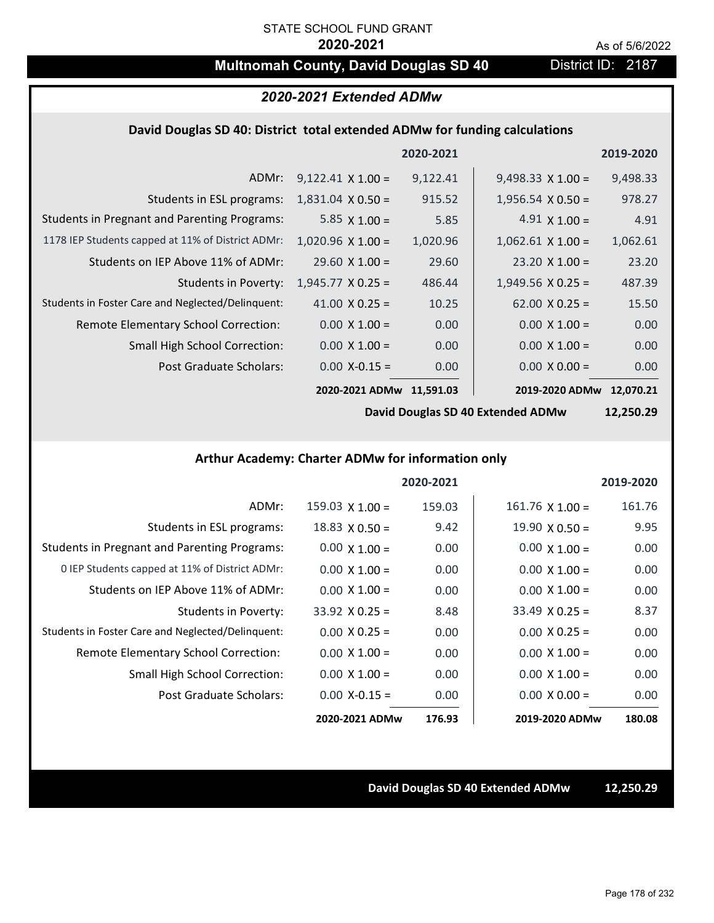# **Multnomah County, David Douglas SD 40** District ID: 2187

## *2020-2021 Extended ADMw*

#### **David Douglas SD 40: District total extended ADMw for funding calculations**

|                                                     |                          | 2020-2021 |                          | 2019-2020 |
|-----------------------------------------------------|--------------------------|-----------|--------------------------|-----------|
| ADMr:                                               | $9,122.41 \times 1.00 =$ | 9,122.41  | $9,498.33 \times 1.00 =$ | 9,498.33  |
| Students in ESL programs:                           | $1,831.04 \times 0.50 =$ | 915.52    | $1,956.54 \times 0.50 =$ | 978.27    |
| <b>Students in Pregnant and Parenting Programs:</b> | 5.85 $\times$ 1.00 =     | 5.85      | $4.91 \times 1.00 =$     | 4.91      |
| 1178 IEP Students capped at 11% of District ADMr:   | $1,020.96 \times 1.00 =$ | 1,020.96  | $1,062.61$ X $1.00 =$    | 1,062.61  |
| Students on IEP Above 11% of ADMr:                  | $29.60 \times 1.00 =$    | 29.60     | $23.20 \times 1.00 =$    | 23.20     |
| <b>Students in Poverty:</b>                         | $1,945.77 \times 0.25 =$ | 486.44    | $1,949.56$ X 0.25 =      | 487.39    |
| Students in Foster Care and Neglected/Delinquent:   | 41.00 $X$ 0.25 =         | 10.25     | $62.00 \times 0.25 =$    | 15.50     |
| Remote Elementary School Correction:                | $0.00 \times 1.00 =$     | 0.00      | $0.00 \times 1.00 =$     | 0.00      |
| <b>Small High School Correction:</b>                | $0.00 \times 1.00 =$     | 0.00      | $0.00 \times 1.00 =$     | 0.00      |
| Post Graduate Scholars:                             | $0.00$ X-0.15 =          | 0.00      | $0.00 \times 0.00 =$     | 0.00      |
|                                                     | 2020-2021 ADMw           | 11.591.03 | 2019-2020 ADMw           | 12.070.21 |

**David Douglas SD 40 Extended ADMw**

**12,250.29**

### **Arthur Academy: Charter ADMw for information only**

|                                                     |                       | 2020-2021 |                       | 2019-2020 |
|-----------------------------------------------------|-----------------------|-----------|-----------------------|-----------|
| ADMr:                                               | $159.03$ X $1.00 =$   | 159.03    | $161.76$ X $1.00 =$   | 161.76    |
| Students in ESL programs:                           | $18.83 \times 0.50 =$ | 9.42      | $19.90 \times 0.50 =$ | 9.95      |
| <b>Students in Pregnant and Parenting Programs:</b> | $0.00 \times 1.00 =$  | 0.00      | $0.00 \times 1.00 =$  | 0.00      |
| 0 IEP Students capped at 11% of District ADMr:      | $0.00 \times 1.00 =$  | 0.00      | $0.00 \times 1.00 =$  | 0.00      |
| Students on IEP Above 11% of ADMr:                  | $0.00 \times 1.00 =$  | 0.00      | $0.00 \times 1.00 =$  | 0.00      |
| Students in Poverty:                                | $33.92 \times 0.25 =$ | 8.48      | $33.49 \times 0.25 =$ | 8.37      |
| Students in Foster Care and Neglected/Delinquent:   | $0.00 \times 0.25 =$  | 0.00      | $0.00 \times 0.25 =$  | 0.00      |
| Remote Elementary School Correction:                | $0.00 \times 1.00 =$  | 0.00      | $0.00 \times 1.00 =$  | 0.00      |
| <b>Small High School Correction:</b>                | $0.00 \times 1.00 =$  | 0.00      | $0.00 \times 1.00 =$  | 0.00      |
| Post Graduate Scholars:                             | $0.00$ X-0.15 =       | 0.00      | $0.00 \times 0.00 =$  | 0.00      |
|                                                     | 2020-2021 ADMw        | 176.93    | 2019-2020 ADMw        | 180.08    |

**David Douglas SD 40 Extended ADMw 12,250.29**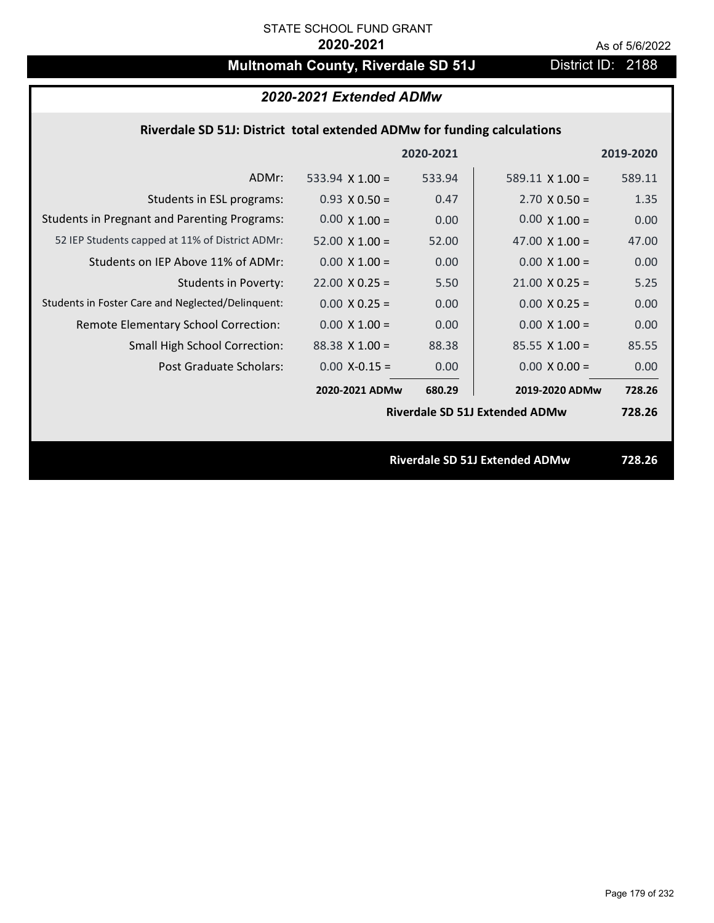# **Multnomah County, Riverdale SD 51J** District ID: 2188

### **Riverdale SD 51J: District total extended ADMw for funding calculations**

|                                                     |                        | 2020-2021 |                                       | 2019-2020 |  |
|-----------------------------------------------------|------------------------|-----------|---------------------------------------|-----------|--|
| ADMr:                                               | 533.94 $\times$ 1.00 = | 533.94    | 589.11 $\times$ 1.00 =                | 589.11    |  |
| Students in ESL programs:                           | $0.93 \times 0.50 =$   | 0.47      | $2.70 \times 0.50 =$                  | 1.35      |  |
| <b>Students in Pregnant and Parenting Programs:</b> | $0.00 \times 1.00 =$   | 0.00      | $0.00 \times 1.00 =$                  | 0.00      |  |
| 52 IEP Students capped at 11% of District ADMr:     | $52.00 \times 1.00 =$  | 52.00     | 47.00 $\times$ 1.00 =                 | 47.00     |  |
| Students on IEP Above 11% of ADMr:                  | $0.00 \times 1.00 =$   | 0.00      | $0.00 \times 1.00 =$                  | 0.00      |  |
| Students in Poverty:                                | $22.00 \times 0.25 =$  | 5.50      | $21.00 \times 0.25 =$                 | 5.25      |  |
| Students in Foster Care and Neglected/Delinquent:   | $0.00 \times 0.25 =$   | 0.00      | $0.00 \times 0.25 =$                  | 0.00      |  |
| Remote Elementary School Correction:                | $0.00 \times 1.00 =$   | 0.00      | $0.00 \times 1.00 =$                  | 0.00      |  |
| <b>Small High School Correction:</b>                | $88.38$ X 1.00 =       | 88.38     | $85.55 \times 1.00 =$                 | 85.55     |  |
| <b>Post Graduate Scholars:</b>                      | $0.00$ X-0.15 =        | 0.00      | $0.00 \times 0.00 =$                  | 0.00      |  |
|                                                     | 2020-2021 ADMw         | 680.29    | 2019-2020 ADMw                        | 728.26    |  |
|                                                     |                        |           | <b>Riverdale SD 51J Extended ADMw</b> | 728.26    |  |
|                                                     |                        |           |                                       |           |  |
|                                                     |                        |           | <b>Riverdale SD 51J Extended ADMw</b> | 728.26    |  |
|                                                     |                        |           |                                       |           |  |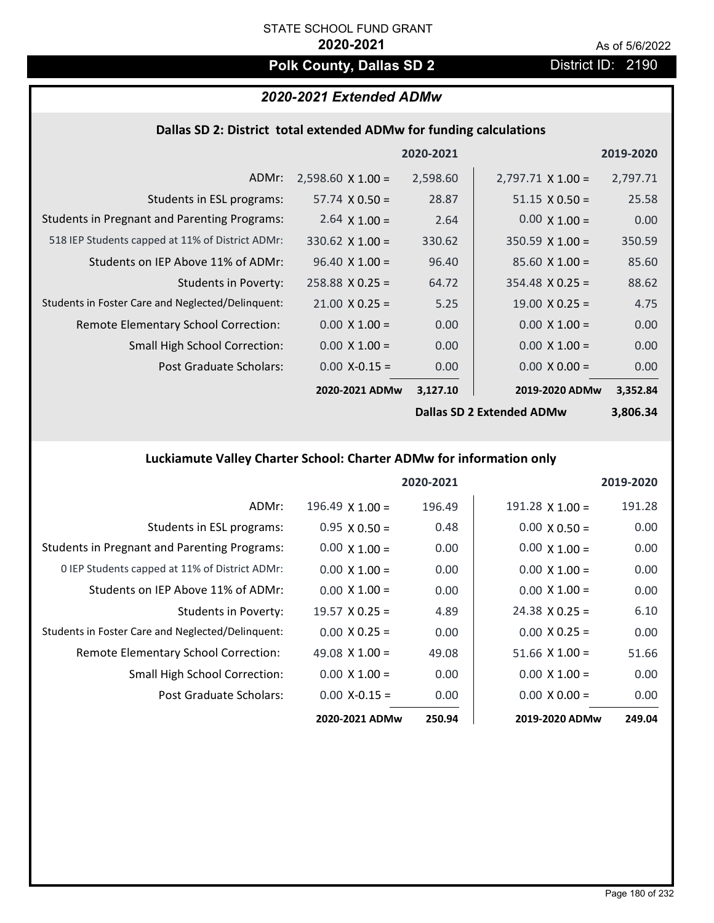# **Polk County, Dallas SD 2** District ID: 2190

# *2020-2021 Extended ADMw*

### **Dallas SD 2: District total extended ADMw for funding calculations**

|                                                     |                          | 2020-2021                 |                          | 2019-2020 |
|-----------------------------------------------------|--------------------------|---------------------------|--------------------------|-----------|
| ADMr:                                               | $2,598.60 \times 1.00 =$ | 2,598.60                  | $2,797.71 \times 1.00 =$ | 2,797.71  |
| Students in ESL programs:                           | $57.74 \times 0.50 =$    | 28.87                     | $51.15 \times 0.50 =$    | 25.58     |
| <b>Students in Pregnant and Parenting Programs:</b> | 2.64 $\times$ 1.00 =     | 2.64                      | $0.00 \times 1.00 =$     | 0.00      |
| 518 IEP Students capped at 11% of District ADMr:    | $330.62 \times 1.00 =$   | 330.62                    | $350.59 \times 1.00 =$   | 350.59    |
| Students on IEP Above 11% of ADMr:                  | $96.40 \times 1.00 =$    | 96.40                     | $85.60 X 1.00 =$         | 85.60     |
| <b>Students in Poverty:</b>                         | $258.88 \times 0.25 =$   | 64.72                     | $354.48$ X 0.25 =        | 88.62     |
| Students in Foster Care and Neglected/Delinquent:   | $21.00 \times 0.25 =$    | 5.25                      | $19.00 \times 0.25 =$    | 4.75      |
| Remote Elementary School Correction:                | $0.00 \times 1.00 =$     | 0.00                      | $0.00 \times 1.00 =$     | 0.00      |
| <b>Small High School Correction:</b>                | $0.00 \times 1.00 =$     | 0.00                      | $0.00 \times 1.00 =$     | 0.00      |
| Post Graduate Scholars:                             | $0.00$ X-0.15 =          | 0.00                      | $0.00 \times 0.00 =$     | 0.00      |
|                                                     | 2020-2021 ADMw           | 3,127.10                  | 2019-2020 ADMw           | 3,352.84  |
|                                                     |                          | Delles CD 3 Evisaded ADMu | 2.006.24                 |           |

**Dallas SD 2 Extended ADMw**

**3,806.34**

# **Luckiamute Valley Charter School: Charter ADMw for information only**

|                                                     |                       | 2020-2021 |                        | 2019-2020 |
|-----------------------------------------------------|-----------------------|-----------|------------------------|-----------|
| ADMr:                                               | $196.49$ X $1.00 =$   | 196.49    | $191.28 \times 1.00 =$ | 191.28    |
| Students in ESL programs:                           | $0.95 \times 0.50 =$  | 0.48      | $0.00 \times 0.50 =$   | 0.00      |
| <b>Students in Pregnant and Parenting Programs:</b> | $0.00 \times 1.00 =$  | 0.00      | $0.00 \times 1.00 =$   | 0.00      |
| 0 IEP Students capped at 11% of District ADMr:      | $0.00 \times 1.00 =$  | 0.00      | $0.00 \times 1.00 =$   | 0.00      |
| Students on IEP Above 11% of ADMr:                  | $0.00 \times 1.00 =$  | 0.00      | $0.00 \times 1.00 =$   | 0.00      |
| Students in Poverty:                                | $19.57 \times 0.25 =$ | 4.89      | $24.38 \times 0.25 =$  | 6.10      |
| Students in Foster Care and Neglected/Delinquent:   | $0.00 \times 0.25 =$  | 0.00      | $0.00 \times 0.25 =$   | 0.00      |
| <b>Remote Elementary School Correction:</b>         | 49.08 $\times$ 1.00 = | 49.08     | $51.66 \times 1.00 =$  | 51.66     |
| <b>Small High School Correction:</b>                | $0.00 \times 1.00 =$  | 0.00      | $0.00 \times 1.00 =$   | 0.00      |
| Post Graduate Scholars:                             | $0.00$ X-0.15 =       | 0.00      | $0.00 \times 0.00 =$   | 0.00      |
|                                                     | 2020-2021 ADMw        | 250.94    | 2019-2020 ADMw         | 249.04    |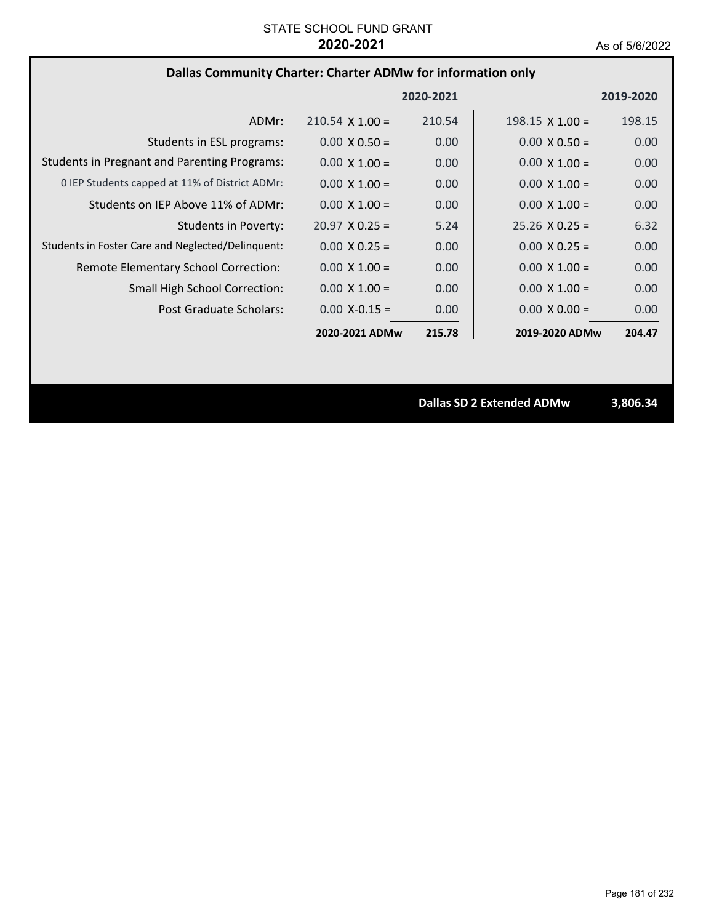# **Dallas Community Charter: Charter ADMw for information only**

|                                                     |                        | 2020-2021 |                        | 2019-2020 |
|-----------------------------------------------------|------------------------|-----------|------------------------|-----------|
| ADMr:                                               | $210.54 \times 1.00 =$ | 210.54    | $198.15 \times 1.00 =$ | 198.15    |
| Students in ESL programs:                           | $0.00 \times 0.50 =$   | 0.00      | $0.00 \times 0.50 =$   | 0.00      |
| <b>Students in Pregnant and Parenting Programs:</b> | $0.00 \times 1.00 =$   | 0.00      | $0.00 \times 1.00 =$   | 0.00      |
| 0 IEP Students capped at 11% of District ADMr:      | $0.00 \times 1.00 =$   | 0.00      | $0.00 \times 1.00 =$   | 0.00      |
| Students on IEP Above 11% of ADMr:                  | $0.00 \times 1.00 =$   | 0.00      | $0.00 \times 1.00 =$   | 0.00      |
| Students in Poverty:                                | $20.97 \times 0.25 =$  | 5.24      | $25.26 \times 0.25 =$  | 6.32      |
| Students in Foster Care and Neglected/Delinquent:   | $0.00 \times 0.25 =$   | 0.00      | $0.00 \times 0.25 =$   | 0.00      |
| Remote Elementary School Correction:                | $0.00 \times 1.00 =$   | 0.00      | $0.00 \times 1.00 =$   | 0.00      |
| <b>Small High School Correction:</b>                | $0.00 \times 1.00 =$   | 0.00      | $0.00 \times 1.00 =$   | 0.00      |
| Post Graduate Scholars:                             | $0.00 X - 0.15 =$      | 0.00      | $0.00 \times 0.00 =$   | 0.00      |
|                                                     | 2020-2021 ADMw         | 215.78    | 2019-2020 ADMw         | 204.47    |

**Dallas SD 2 Extended ADMw 3,806.34**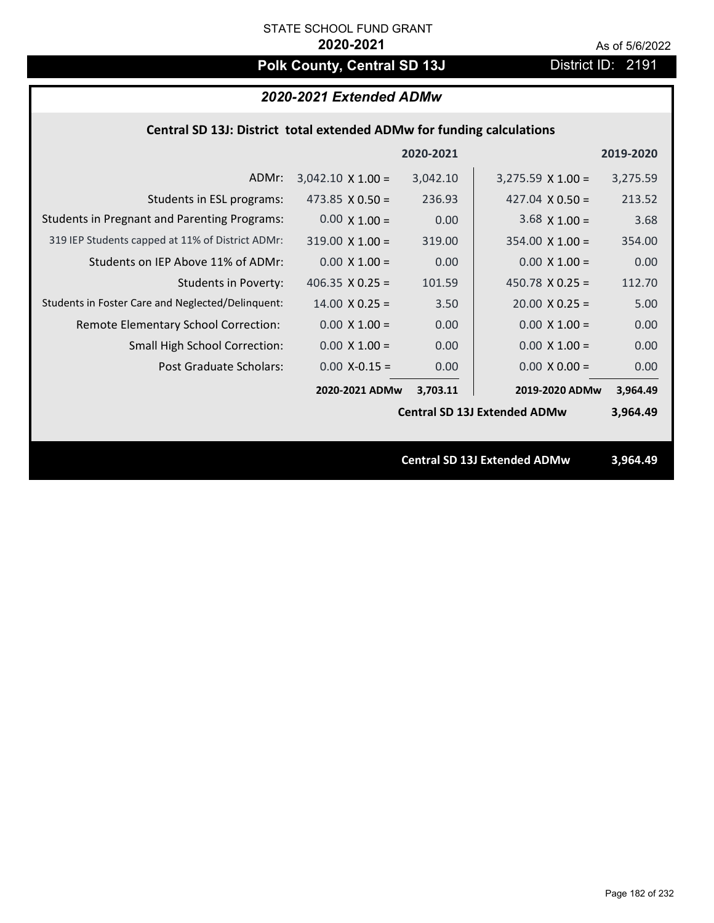# Polk County, Central SD 13J District ID: 2191

# *2020-2021 Extended ADMw*

## **Central SD 13J: District total extended ADMw for funding calculations**

|                                                     |                          | 2020-2021 |                                     | 2019-2020 |
|-----------------------------------------------------|--------------------------|-----------|-------------------------------------|-----------|
| ADMr:                                               | $3,042.10 \times 1.00 =$ | 3,042.10  | $3,275.59 \times 1.00 =$            | 3,275.59  |
| Students in ESL programs:                           | 473.85 $\times$ 0.50 =   | 236.93    | 427.04 $X$ 0.50 =                   | 213.52    |
| <b>Students in Pregnant and Parenting Programs:</b> | $0.00 \times 1.00 =$     | 0.00      | $3.68 \times 1.00 =$                | 3.68      |
| 319 IEP Students capped at 11% of District ADMr:    | $319.00 \times 1.00 =$   | 319.00    | $354.00 \times 1.00 =$              | 354.00    |
| Students on IEP Above 11% of ADMr:                  | $0.00$ X $1.00 =$        | 0.00      | $0.00 X 1.00 =$                     | 0.00      |
| <b>Students in Poverty:</b>                         | 406.35 $\times$ 0.25 =   | 101.59    | 450.78 $X$ 0.25 =                   | 112.70    |
| Students in Foster Care and Neglected/Delinquent:   | $14.00 \times 0.25 =$    | 3.50      | $20.00 \times 0.25 =$               | 5.00      |
| Remote Elementary School Correction:                | $0.00 \times 1.00 =$     | 0.00      | $0.00 \times 1.00 =$                | 0.00      |
| <b>Small High School Correction:</b>                | $0.00 \times 1.00 =$     | 0.00      | $0.00 \times 1.00 =$                | 0.00      |
| Post Graduate Scholars:                             | $0.00$ X-0.15 =          | 0.00      | $0.00 \times 0.00 =$                | 0.00      |
|                                                     | 2020-2021 ADMw           | 3,703.11  | 2019-2020 ADMw                      | 3,964.49  |
|                                                     |                          |           | <b>Central SD 13J Extended ADMw</b> | 3,964.49  |
|                                                     |                          |           |                                     |           |
|                                                     |                          |           | <b>Central SD 13J Extended ADMw</b> | 3,964.49  |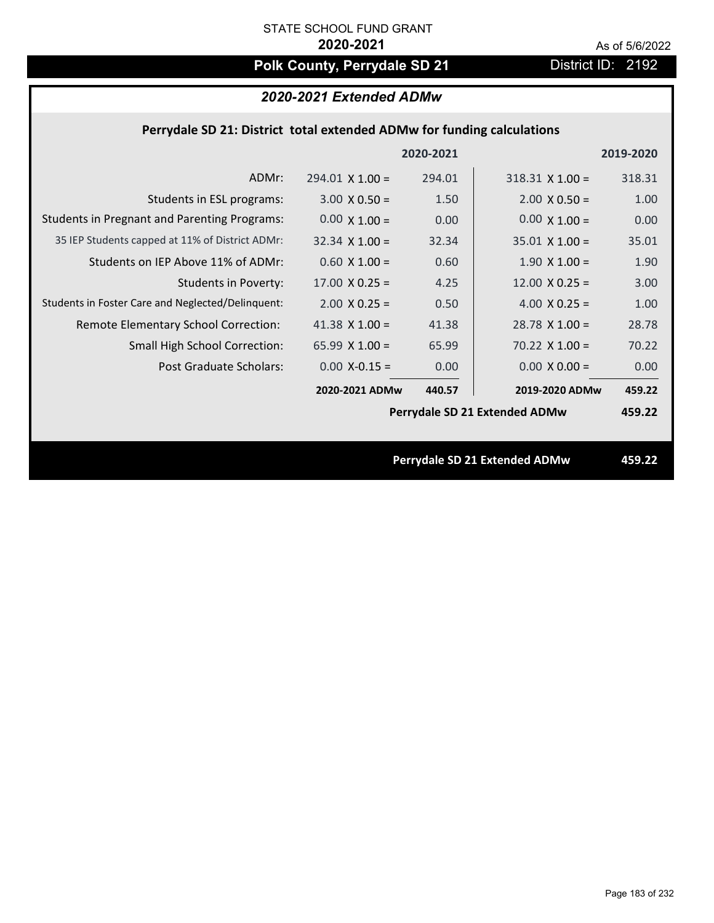# Polk County, Perrydale SD 21 **District ID: 2192**

# *2020-2021 Extended ADMw*

## **Perrydale SD 21: District total extended ADMw for funding calculations**

|                                                     |                       | 2020-2021 |                               | 2019-2020 |
|-----------------------------------------------------|-----------------------|-----------|-------------------------------|-----------|
| ADMr:                                               | $294.01$ X 1.00 =     | 294.01    | $318.31$ X $1.00 =$           | 318.31    |
| Students in ESL programs:                           | $3.00 \times 0.50 =$  | 1.50      | $2.00 \times 0.50 =$          | 1.00      |
| <b>Students in Pregnant and Parenting Programs:</b> | $0.00 \times 1.00 =$  | 0.00      | $0.00 \times 1.00 =$          | 0.00      |
| 35 IEP Students capped at 11% of District ADMr:     | $32.34 \times 1.00 =$ | 32.34     | $35.01 \times 1.00 =$         | 35.01     |
| Students on IEP Above 11% of ADMr:                  | $0.60$ X $1.00 =$     | 0.60      | $1.90$ X $1.00 =$             | 1.90      |
| <b>Students in Poverty:</b>                         | $17.00 \times 0.25 =$ | 4.25      | $12.00 \times 0.25 =$         | 3.00      |
| Students in Foster Care and Neglected/Delinquent:   | $2.00 \times 0.25 =$  | 0.50      | 4.00 $X$ 0.25 =               | 1.00      |
| Remote Elementary School Correction:                | 41.38 $X$ 1.00 =      | 41.38     | $28.78$ X 1.00 =              | 28.78     |
| <b>Small High School Correction:</b>                | 65.99 $X$ 1.00 =      | 65.99     | $70.22$ X $1.00 =$            | 70.22     |
| Post Graduate Scholars:                             | $0.00$ X-0.15 =       | 0.00      | $0.00 \times 0.00 =$          | 0.00      |
|                                                     | 2020-2021 ADMw        | 440.57    | 2019-2020 ADMw                | 459.22    |
|                                                     |                       |           | Perrydale SD 21 Extended ADMw | 459.22    |
|                                                     |                       |           |                               |           |
|                                                     |                       |           | Perrydale SD 21 Extended ADMw | 459.22    |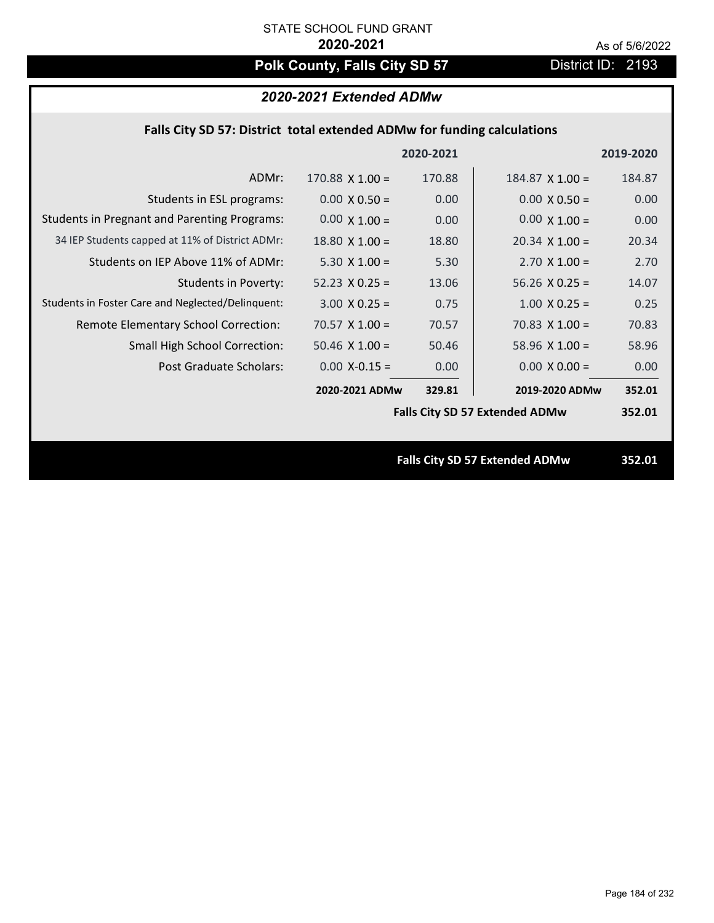# **Polk County, Falls City SD 57** District ID: 2193

# *2020-2021 Extended ADMw*

|  | Falls City SD 57: District total extended ADMw for funding calculations |  |
|--|-------------------------------------------------------------------------|--|
|--|-------------------------------------------------------------------------|--|

|                                                     |                       | 2020-2021 |                                       | 2019-2020 |
|-----------------------------------------------------|-----------------------|-----------|---------------------------------------|-----------|
| ADMr:                                               | $170.88$ X $1.00 =$   | 170.88    | $184.87$ X $1.00 =$                   | 184.87    |
| Students in ESL programs:                           | $0.00 \times 0.50 =$  | 0.00      | $0.00 \times 0.50 =$                  | 0.00      |
| <b>Students in Pregnant and Parenting Programs:</b> | $0.00 \times 1.00 =$  | 0.00      | $0.00 \times 1.00 =$                  | 0.00      |
| 34 IEP Students capped at 11% of District ADMr:     | $18.80 \times 1.00 =$ | 18.80     | $20.34 \times 1.00 =$                 | 20.34     |
| Students on IEP Above 11% of ADMr:                  | 5.30 $X$ 1.00 =       | 5.30      | $2.70$ X $1.00 =$                     | 2.70      |
| <b>Students in Poverty:</b>                         | $52.23 \times 0.25 =$ | 13.06     | $56.26$ X 0.25 =                      | 14.07     |
| Students in Foster Care and Neglected/Delinquent:   | $3.00 \times 0.25 =$  | 0.75      | $1.00 \times 0.25 =$                  | 0.25      |
| Remote Elementary School Correction:                | $70.57$ X 1.00 =      | 70.57     | $70.83$ X $1.00 =$                    | 70.83     |
| <b>Small High School Correction:</b>                | $50.46$ X $1.00 =$    | 50.46     | 58.96 $X$ 1.00 =                      | 58.96     |
| Post Graduate Scholars:                             | $0.00$ X-0.15 =       | 0.00      | $0.00 \times 0.00 =$                  | 0.00      |
|                                                     | 2020-2021 ADMw        | 329.81    | 2019-2020 ADMw                        | 352.01    |
|                                                     |                       |           | <b>Falls City SD 57 Extended ADMw</b> | 352.01    |
|                                                     |                       |           |                                       |           |
|                                                     |                       |           | <b>Falls City SD 57 Extended ADMw</b> | 352.01    |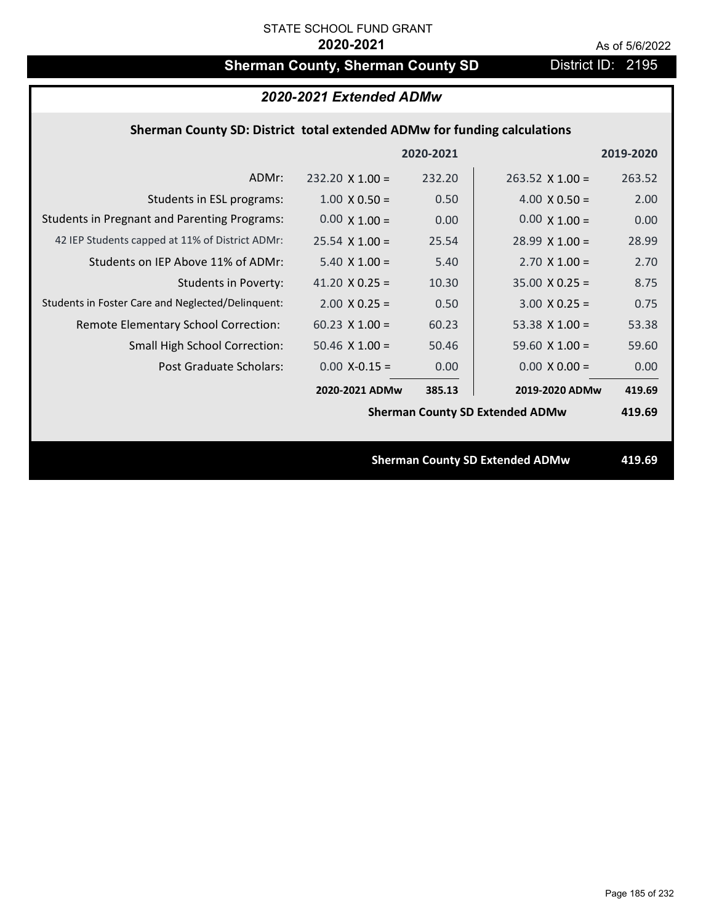# **Sherman County, Sherman County SD** District ID: 2195

|                                                                          | 2020-2021 Extended ADMw |           |                                        |           |
|--------------------------------------------------------------------------|-------------------------|-----------|----------------------------------------|-----------|
| Sherman County SD: District total extended ADMw for funding calculations |                         |           |                                        |           |
|                                                                          |                         | 2020-2021 |                                        | 2019-2020 |
| ADMr:                                                                    | $232.20 \times 1.00 =$  | 232.20    | $263.52 \times 1.00 =$                 | 263.52    |
| Students in ESL programs:                                                | $1.00 \times 0.50 =$    | 0.50      | $4.00 \times 0.50 =$                   | 2.00      |
| <b>Students in Pregnant and Parenting Programs:</b>                      | $0.00 \times 1.00 =$    | 0.00      | $0.00 \times 1.00 =$                   | 0.00      |
| 42 IEP Students capped at 11% of District ADMr:                          | $25.54 \times 1.00 =$   | 25.54     | $28.99 \times 1.00 =$                  | 28.99     |
| Students on IEP Above 11% of ADMr:                                       | $5.40 \times 1.00 =$    | 5.40      | $2.70 \times 1.00 =$                   | 2.70      |
| <b>Students in Poverty:</b>                                              | 41.20 $X$ 0.25 =        | 10.30     | $35.00 \times 0.25 =$                  | 8.75      |
| Students in Foster Care and Neglected/Delinquent:                        | $2.00 \times 0.25 =$    | 0.50      | $3.00 \times 0.25 =$                   | 0.75      |
| Remote Elementary School Correction:                                     | $60.23$ X 1.00 =        | 60.23     | 53.38 $X$ 1.00 =                       | 53.38     |
| Small High School Correction:                                            | $50.46$ X $1.00 =$      | 50.46     | 59.60 $X$ 1.00 =                       | 59.60     |
| <b>Post Graduate Scholars:</b>                                           | $0.00$ X-0.15 =         | 0.00      | $0.00 \times 0.00 =$                   | 0.00      |
|                                                                          | 2020-2021 ADMw          | 385.13    | 2019-2020 ADMw                         | 419.69    |
|                                                                          |                         |           | <b>Sherman County SD Extended ADMw</b> | 419.69    |
|                                                                          |                         |           |                                        |           |
|                                                                          |                         |           | <b>Sherman County SD Extended ADMw</b> | 419.69    |
|                                                                          |                         |           |                                        |           |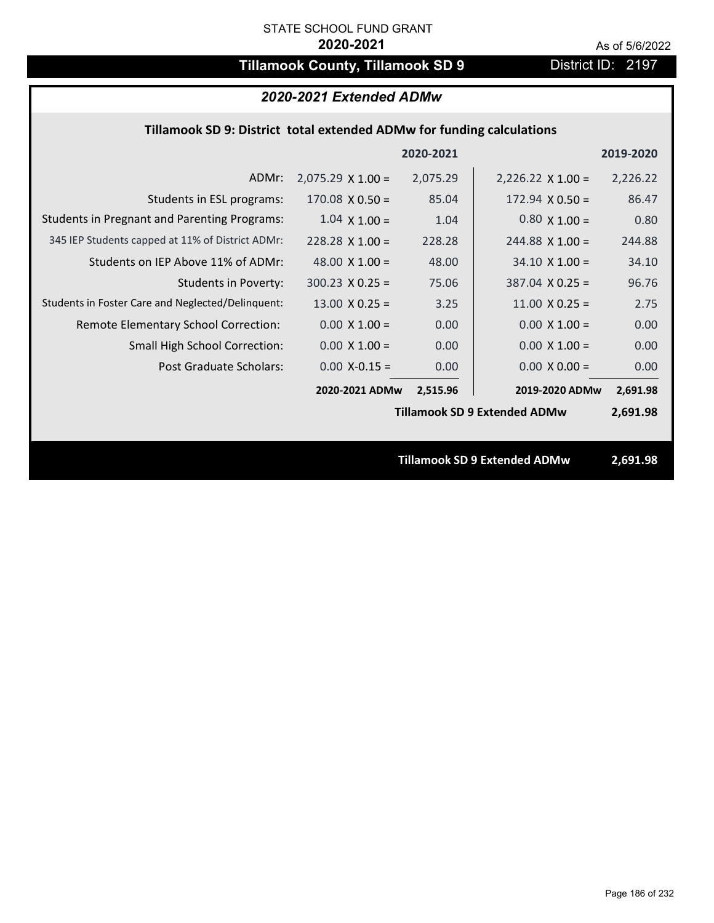# **Tillamook County, Tillamook SD 9** District ID: 2197

## *2020-2021 Extended ADMw*

## **Tillamook SD 9: District total extended ADMw for funding calculations**

| 2020-2021<br>2019-2020                                                                                              |
|---------------------------------------------------------------------------------------------------------------------|
| $2,075.29 \times 1.00 =$<br>2,075.29<br>$2,226.22 \times 1.00 =$<br>2,226.22<br>ADMr:                               |
| 85.04<br>86.47<br>Students in ESL programs:<br>$170.08 \times 0.50 =$<br>$172.94 \times 0.50 =$                     |
| <b>Students in Pregnant and Parenting Programs:</b><br>$0.80 \times 1.00 =$<br>$1.04 \times 1.00 =$<br>0.80<br>1.04 |
| 345 IEP Students capped at 11% of District ADMr:<br>228.28<br>244.88<br>$228.28$ X 1.00 =<br>$244.88$ X 1.00 =      |
| Students on IEP Above 11% of ADMr:<br>48.00 $\times$ 1.00 =<br>$34.10 \times 1.00 =$<br>48.00<br>34.10              |
| $387.04$ X 0.25 =<br><b>Students in Poverty:</b><br>$300.23$ X 0.25 =<br>96.76<br>75.06                             |
| Students in Foster Care and Neglected/Delinquent:<br>$13.00 \times 0.25 =$<br>$11.00 \times 0.25 =$<br>3.25<br>2.75 |
| $0.00 \times 1.00 =$<br>0.00<br>$0.00 \times 1.00 =$<br>Remote Elementary School Correction:<br>0.00                |
| <b>Small High School Correction:</b><br>$0.00 \times 1.00 =$<br>0.00<br>$0.00 \times 1.00 =$<br>0.00                |
| Post Graduate Scholars:<br>$0.00$ X-0.15 =<br>0.00<br>$0.00 \times 0.00 =$<br>0.00                                  |
| 2020-2021 ADMw<br>2019-2020 ADMw<br>2,515.96<br>2,691.98                                                            |
| <b>Tillamook SD 9 Extended ADMw</b><br>2,691.98                                                                     |
|                                                                                                                     |
| <b>Tillamook SD 9 Extended ADMw</b><br>2,691.98                                                                     |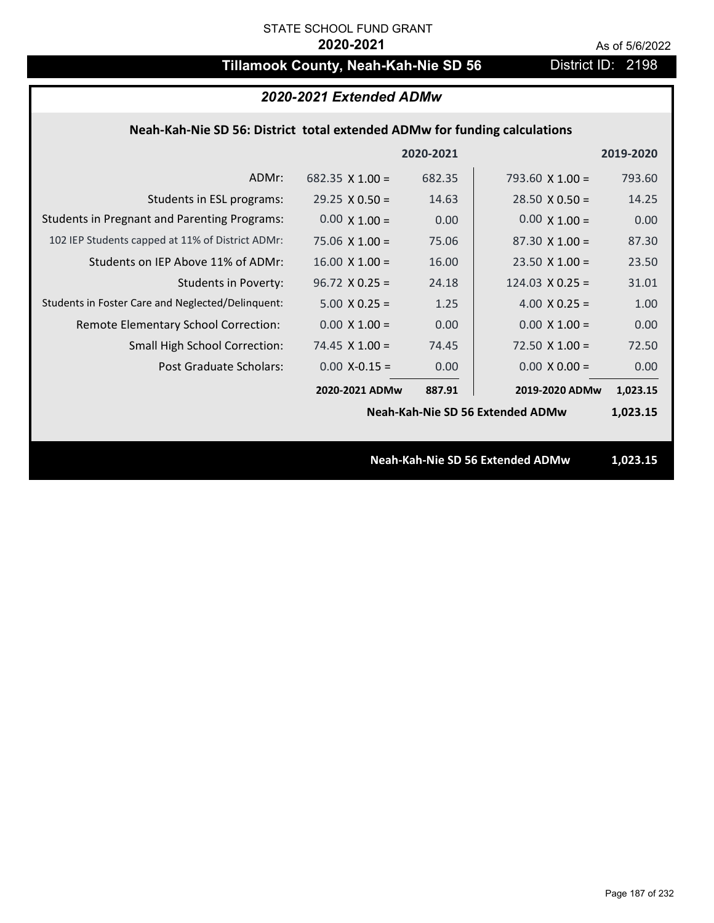# **Tillamook County, Neah-Kah-Nie SD 56** District ID: 2198

| 2020-2021 Extended ADMw                                                   |                       |           |                                  |           |
|---------------------------------------------------------------------------|-----------------------|-----------|----------------------------------|-----------|
| Neah-Kah-Nie SD 56: District total extended ADMw for funding calculations |                       |           |                                  |           |
|                                                                           |                       | 2020-2021 |                                  | 2019-2020 |
| ADMr:                                                                     | 682.35 $X$ 1.00 =     | 682.35    | 793.60 $\times$ 1.00 =           | 793.60    |
| Students in ESL programs:                                                 | $29.25 \times 0.50 =$ | 14.63     | $28.50 \times 0.50 =$            | 14.25     |
| <b>Students in Pregnant and Parenting Programs:</b>                       | $0.00 \times 1.00 =$  | 0.00      | $0.00 \times 1.00 =$             | 0.00      |
| 102 IEP Students capped at 11% of District ADMr:                          | $75.06 \times 1.00 =$ | 75.06     | $87.30 \times 1.00 =$            | 87.30     |
| Students on IEP Above 11% of ADMr:                                        | $16.00$ X $1.00 =$    | 16.00     | $23.50 \times 1.00 =$            | 23.50     |
| <b>Students in Poverty:</b>                                               | $96.72 \times 0.25 =$ | 24.18     | $124.03 \times 0.25 =$           | 31.01     |
| Students in Foster Care and Neglected/Delinquent:                         | $5.00 \times 0.25 =$  | 1.25      | 4.00 $X$ 0.25 =                  | 1.00      |
| Remote Elementary School Correction:                                      | $0.00 \times 1.00 =$  | 0.00      | $0.00 \times 1.00 =$             | 0.00      |
| <b>Small High School Correction:</b>                                      | $74.45$ X $1.00 =$    | 74.45     | $72.50 \times 1.00 =$            | 72.50     |
| Post Graduate Scholars:                                                   | $0.00$ X-0.15 =       | 0.00      | $0.00 \times 0.00 =$             | 0.00      |
|                                                                           | 2020-2021 ADMw        | 887.91    | 2019-2020 ADMw                   | 1,023.15  |
|                                                                           |                       |           | Neah-Kah-Nie SD 56 Extended ADMw | 1,023.15  |
|                                                                           |                       |           |                                  |           |
|                                                                           |                       |           | Neah-Kah-Nie SD 56 Extended ADMw | 1,023.15  |
|                                                                           |                       |           |                                  |           |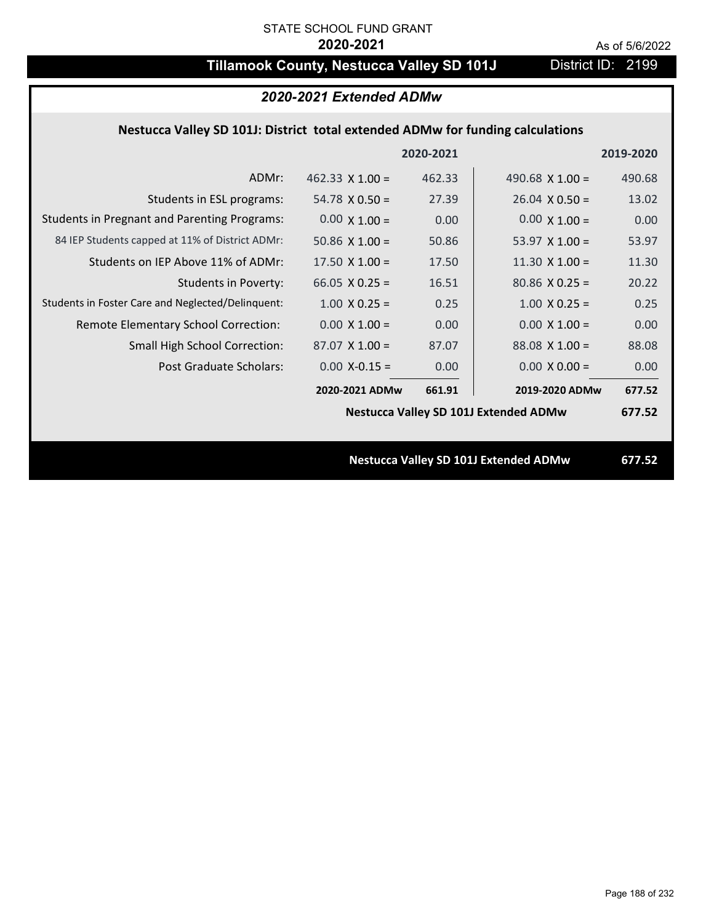# **Tillamook County, Nestucca Valley SD 101J** District ID: 2199

|                                                                                | 2020-2021 Extended ADMw |           |                                              |           |
|--------------------------------------------------------------------------------|-------------------------|-----------|----------------------------------------------|-----------|
| Nestucca Valley SD 101J: District total extended ADMw for funding calculations |                         |           |                                              |           |
|                                                                                |                         | 2020-2021 |                                              | 2019-2020 |
| ADMr:                                                                          | $462.33 \times 1.00 =$  | 462.33    | 490.68 $X$ 1.00 =                            | 490.68    |
| Students in ESL programs:                                                      | $54.78 \times 0.50 =$   | 27.39     | $26.04 \times 0.50 =$                        | 13.02     |
| <b>Students in Pregnant and Parenting Programs:</b>                            | $0.00 \times 1.00 =$    | 0.00      | $0.00 \times 1.00 =$                         | 0.00      |
| 84 IEP Students capped at 11% of District ADMr:                                | 50.86 $\times$ 1.00 =   | 50.86     | 53.97 $X$ 1.00 =                             | 53.97     |
| Students on IEP Above 11% of ADMr:                                             | $17.50 \times 1.00 =$   | 17.50     | $11.30 \times 1.00 =$                        | 11.30     |
| Students in Poverty:                                                           | 66.05 $X$ 0.25 =        | 16.51     | $80.86$ X 0.25 =                             | 20.22     |
| Students in Foster Care and Neglected/Delinquent:                              | $1.00 \times 0.25 =$    | 0.25      | $1.00 \times 0.25 =$                         | 0.25      |
| Remote Elementary School Correction:                                           | $0.00 X 1.00 =$         | 0.00      | $0.00 \times 1.00 =$                         | 0.00      |
| Small High School Correction:                                                  | $87.07$ X 1.00 =        | 87.07     | $88.08$ X 1.00 =                             | 88.08     |
| Post Graduate Scholars:                                                        | $0.00$ X-0.15 =         | 0.00      | $0.00 \times 0.00 =$                         | 0.00      |
|                                                                                | 2020-2021 ADMw          | 661.91    | 2019-2020 ADMw                               | 677.52    |
|                                                                                |                         |           | <b>Nestucca Valley SD 101J Extended ADMw</b> | 677.52    |
|                                                                                |                         |           |                                              |           |
|                                                                                |                         |           | <b>Nestucca Valley SD 101J Extended ADMw</b> | 677.52    |
|                                                                                |                         |           |                                              |           |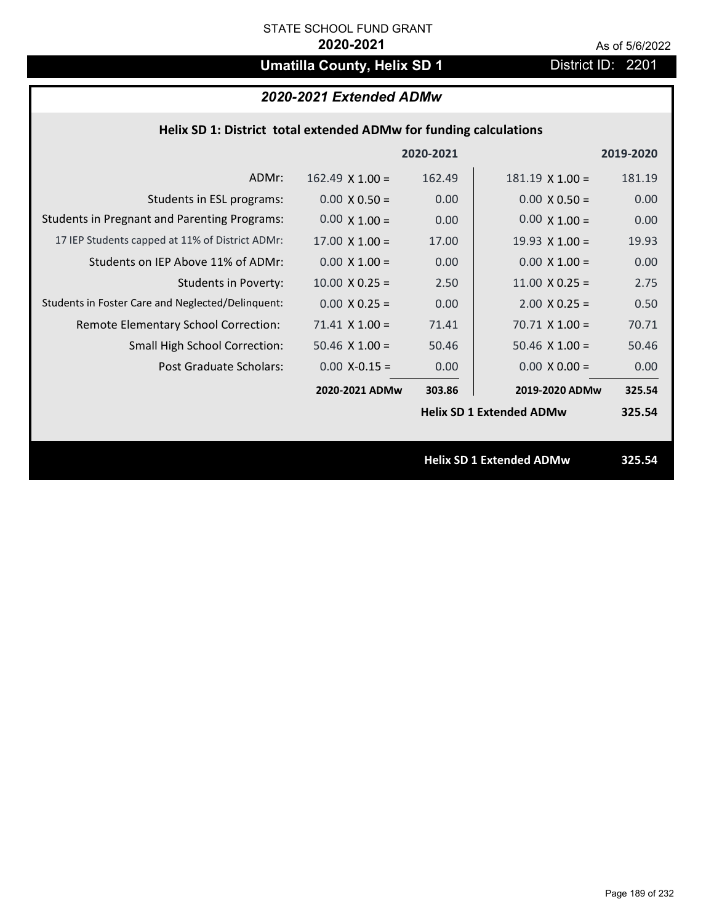# **Umatilla County, Helix SD 1** District ID: 2201

| Helix SD 1: District total extended ADMw for funding calculations |                        |           |                                 |           |  |
|-------------------------------------------------------------------|------------------------|-----------|---------------------------------|-----------|--|
|                                                                   |                        | 2020-2021 |                                 | 2019-2020 |  |
| ADMr:                                                             | $162.49 \times 1.00 =$ | 162.49    | $181.19 \times 1.00 =$          | 181.19    |  |
| Students in ESL programs:                                         | $0.00 \times 0.50 =$   | 0.00      | $0.00 \times 0.50 =$            | 0.00      |  |
| <b>Students in Pregnant and Parenting Programs:</b>               | $0.00 \times 1.00 =$   | 0.00      | $0.00 \times 1.00 =$            | 0.00      |  |
| 17 IEP Students capped at 11% of District ADMr:                   | $17.00 \times 1.00 =$  | 17.00     | 19.93 $\times$ 1.00 =           | 19.93     |  |
| Students on IEP Above 11% of ADMr:                                | $0.00 X 1.00 =$        | 0.00      | $0.00 X 1.00 =$                 | 0.00      |  |
| <b>Students in Poverty:</b>                                       | $10.00 \times 0.25 =$  | 2.50      | $11.00 \times 0.25 =$           | 2.75      |  |
| Students in Foster Care and Neglected/Delinquent:                 | $0.00 \times 0.25 =$   | 0.00      | $2.00$ X 0.25 =                 | 0.50      |  |
| Remote Elementary School Correction:                              | $71.41$ X $1.00 =$     | 71.41     | $70.71$ X 1.00 =                | 70.71     |  |
| Small High School Correction:                                     | 50.46 $X$ 1.00 =       | 50.46     | $50.46$ X $1.00 =$              | 50.46     |  |
| Post Graduate Scholars:                                           | $0.00$ X-0.15 =        | 0.00      | $0.00 X 0.00 =$                 | 0.00      |  |
|                                                                   | 2020-2021 ADMw         | 303.86    | 2019-2020 ADMw                  | 325.54    |  |
|                                                                   |                        |           | <b>Helix SD 1 Extended ADMw</b> | 325.54    |  |
|                                                                   |                        |           |                                 |           |  |
|                                                                   |                        |           | <b>Helix SD 1 Extended ADMw</b> | 325.54    |  |
|                                                                   |                        |           |                                 |           |  |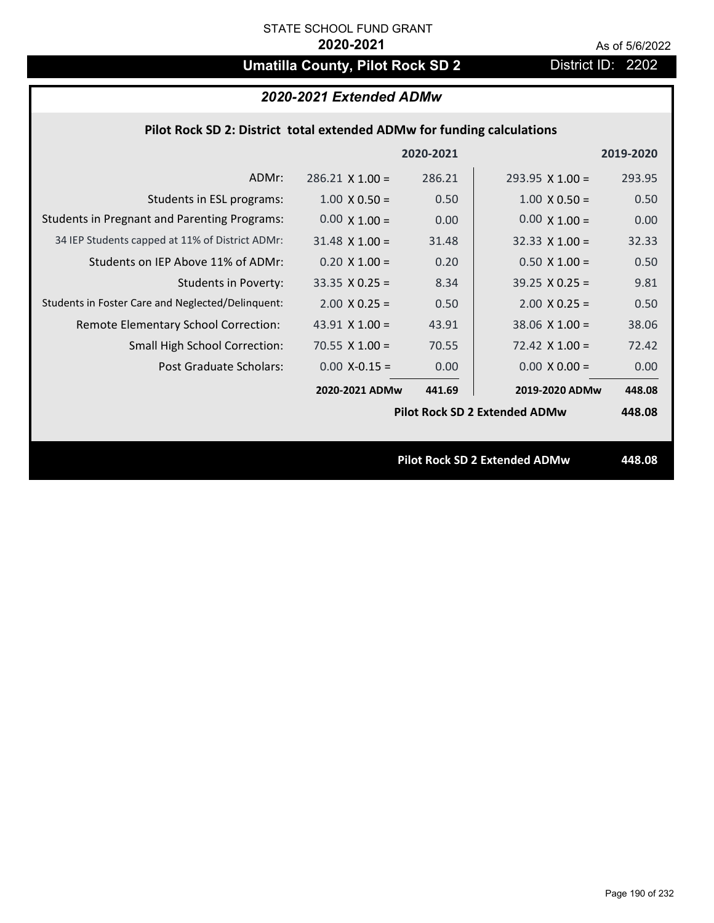# **Umatilla County, Pilot Rock SD 2** District ID: 2202

# *2020-2021 Extended ADMw*

## **Pilot Rock SD 2: District total extended ADMw for funding calculations**

|                        |        |                        | 2019-2020                                                                    |
|------------------------|--------|------------------------|------------------------------------------------------------------------------|
| $286.21 \times 1.00 =$ | 286.21 | $293.95 \times 1.00 =$ | 293.95                                                                       |
| $1.00 \times 0.50 =$   | 0.50   | $1.00 \times 0.50 =$   | 0.50                                                                         |
| $0.00 \times 1.00 =$   | 0.00   | $0.00 \times 1.00 =$   | 0.00                                                                         |
| $31.48 \times 1.00 =$  | 31.48  | $32.33 \times 1.00 =$  | 32.33                                                                        |
| $0.20 \times 1.00 =$   | 0.20   | $0.50$ X 1.00 =        | 0.50                                                                         |
| $33.35 \times 0.25 =$  | 8.34   | $39.25 \times 0.25 =$  | 9.81                                                                         |
| $2.00 \times 0.25 =$   | 0.50   | $2.00 \times 0.25 =$   | 0.50                                                                         |
| 43.91 $X$ 1.00 =       | 43.91  | $38.06$ X 1.00 =       | 38.06                                                                        |
| 70.55 $X$ 1.00 =       | 70.55  | $72.42 \times 1.00 =$  | 72.42                                                                        |
| $0.00$ X-0.15 =        | 0.00   | $0.00 \times 0.00 =$   | 0.00                                                                         |
| 2020-2021 ADMw         | 441.69 | 2019-2020 ADMw         | 448.08                                                                       |
|                        |        |                        | 448.08                                                                       |
|                        |        |                        |                                                                              |
|                        |        |                        | 448.08                                                                       |
|                        |        | 2020-2021              | <b>Pilot Rock SD 2 Extended ADMw</b><br><b>Pilot Rock SD 2 Extended ADMw</b> |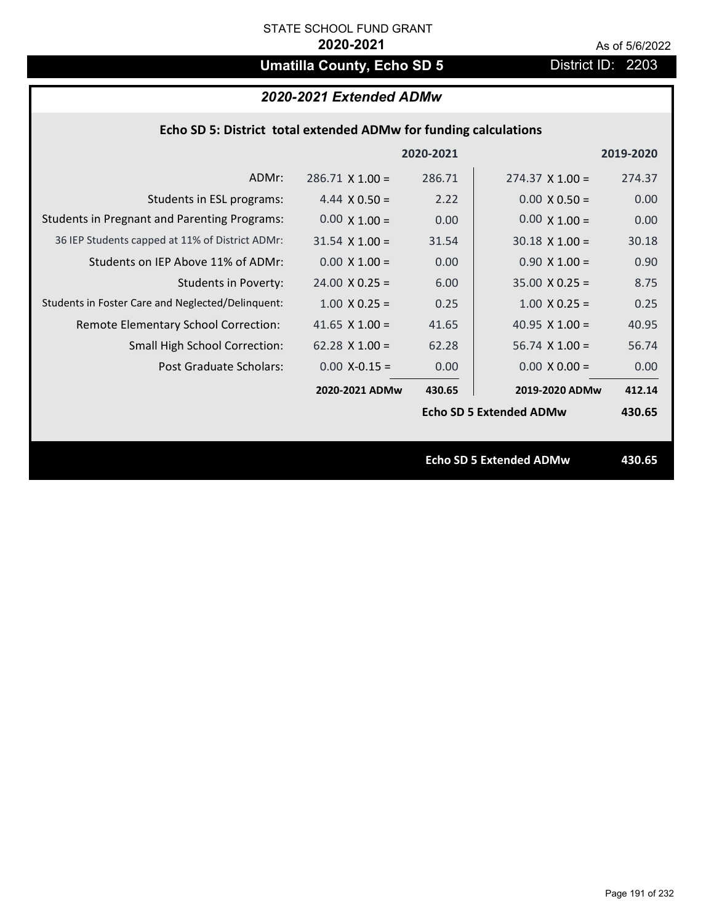# **Umatilla County, Echo SD 5** District ID: 2203

# *2020-2021 Extended ADMw*

|  | Echo SD 5: District total extended ADMw for funding calculations |  |
|--|------------------------------------------------------------------|--|
|  |                                                                  |  |

|                                                     |                        | 2020-2021 |                                | 2019-2020 |
|-----------------------------------------------------|------------------------|-----------|--------------------------------|-----------|
| ADMr:                                               | $286.71 \times 1.00 =$ | 286.71    | $274.37 \times 1.00 =$         | 274.37    |
| Students in ESL programs:                           | 4.44 $\times$ 0.50 =   | 2.22      | $0.00 \times 0.50 =$           | 0.00      |
| <b>Students in Pregnant and Parenting Programs:</b> | $0.00 \times 1.00 =$   | 0.00      | $0.00 \times 1.00 =$           | 0.00      |
| 36 IEP Students capped at 11% of District ADMr:     | $31.54 \times 1.00 =$  | 31.54     | $30.18 \times 1.00 =$          | 30.18     |
| Students on IEP Above 11% of ADMr:                  | $0.00 \times 1.00 =$   | 0.00      | $0.90 \times 1.00 =$           | 0.90      |
| <b>Students in Poverty:</b>                         | $24.00 \times 0.25 =$  | 6.00      | $35.00 \times 0.25 =$          | 8.75      |
| Students in Foster Care and Neglected/Delinquent:   | $1.00 \times 0.25 =$   | 0.25      | $1.00 \times 0.25 =$           | 0.25      |
| Remote Elementary School Correction:                | 41.65 $X$ 1.00 =       | 41.65     | 40.95 $\times$ 1.00 =          | 40.95     |
| <b>Small High School Correction:</b>                | $62.28 \times 1.00 =$  | 62.28     | $56.74 \times 1.00 =$          | 56.74     |
| Post Graduate Scholars:                             | $0.00$ X-0.15 =        | 0.00      | $0.00 \times 0.00 =$           | 0.00      |
|                                                     | 2020-2021 ADMw         | 430.65    | 2019-2020 ADMw                 | 412.14    |
|                                                     |                        |           | <b>Echo SD 5 Extended ADMw</b> | 430.65    |
|                                                     |                        |           |                                |           |
|                                                     |                        |           | <b>Echo SD 5 Extended ADMw</b> | 430.65    |
|                                                     |                        |           |                                |           |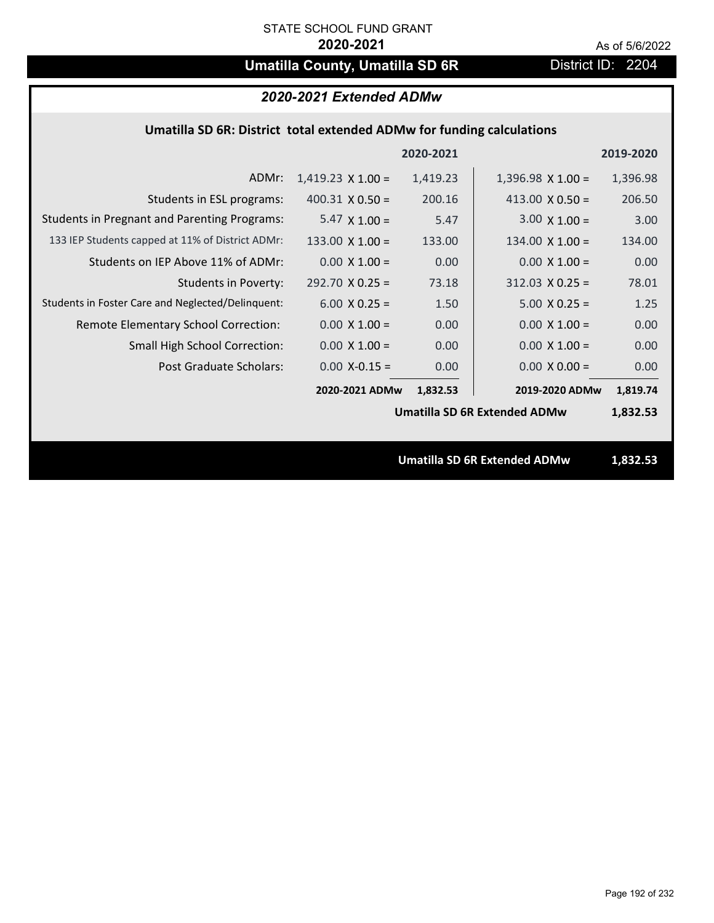# **Umatilla County, Umatilla SD 6R** District ID: 2204

# *2020-2021 Extended ADMw*

## **Umatilla SD 6R: District total extended ADMw for funding calculations**

|                                                     |                          | 2020-2021 |                                     | 2019-2020 |
|-----------------------------------------------------|--------------------------|-----------|-------------------------------------|-----------|
| ADMr:                                               | $1,419.23 \times 1.00 =$ | 1,419.23  | $1,396.98 \times 1.00 =$            | 1,396.98  |
| Students in ESL programs:                           | $400.31 \times 0.50 =$   | 200.16    | 413.00 $X$ 0.50 =                   | 206.50    |
| <b>Students in Pregnant and Parenting Programs:</b> | $5.47 \times 1.00 =$     | 5.47      | $3.00 \times 1.00 =$                | 3.00      |
| 133 IEP Students capped at 11% of District ADMr:    | 133.00 $\times$ 1.00 =   | 133.00    | $134.00 \times 1.00 =$              | 134.00    |
| Students on IEP Above 11% of ADMr:                  | $0.00 \times 1.00 =$     | 0.00      | $0.00 \times 1.00 =$                | 0.00      |
| <b>Students in Poverty:</b>                         | $292.70$ X 0.25 =        | 73.18     | $312.03$ X 0.25 =                   | 78.01     |
| Students in Foster Care and Neglected/Delinquent:   | $6.00 \times 0.25 =$     | 1.50      | $5.00 \times 0.25 =$                | 1.25      |
| Remote Elementary School Correction:                | $0.00 \times 1.00 =$     | 0.00      | $0.00 \times 1.00 =$                | 0.00      |
| <b>Small High School Correction:</b>                | $0.00 \times 1.00 =$     | 0.00      | $0.00 \times 1.00 =$                | 0.00      |
| <b>Post Graduate Scholars:</b>                      | $0.00$ X-0.15 =          | 0.00      | $0.00 \times 0.00 =$                | 0.00      |
|                                                     | 2020-2021 ADMw           | 1,832.53  | 2019-2020 ADMw                      | 1,819.74  |
|                                                     |                          |           | <b>Umatilla SD 6R Extended ADMw</b> | 1,832.53  |
|                                                     |                          |           |                                     |           |
|                                                     |                          |           | <b>Umatilla SD 6R Extended ADMw</b> | 1,832.53  |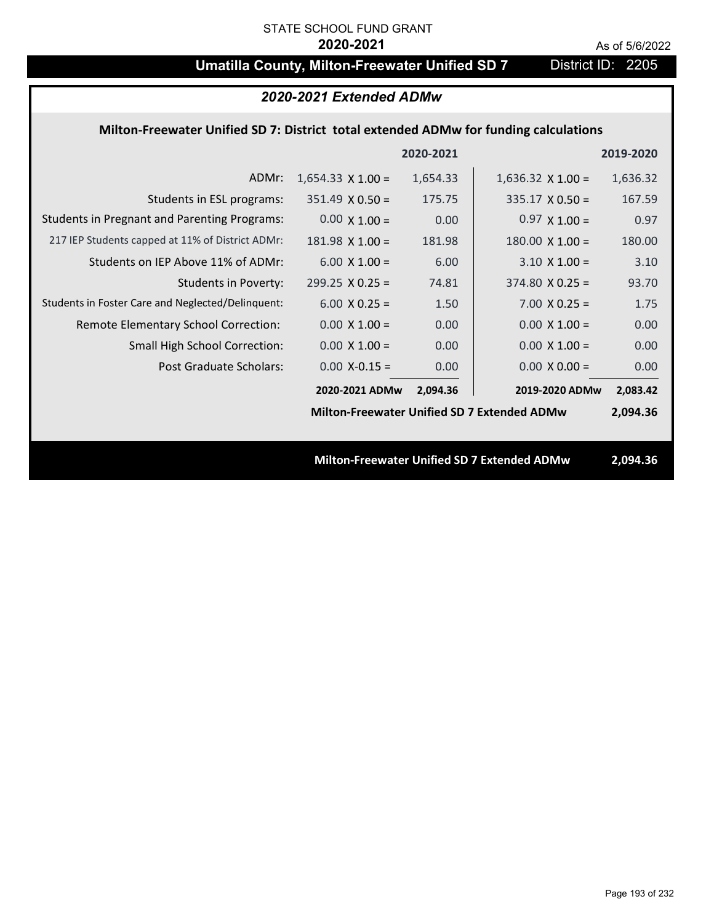# **Umatilla County, Milton-Freewater Unified SD 7** District ID: 2205

## *2020-2021 Extended ADMw*

### **Milton‐Freewater Unified SD 7: District total extended ADMw for funding calculations**

|                                                     |                          | 2020-2021 |                                                    | 2019-2020 |
|-----------------------------------------------------|--------------------------|-----------|----------------------------------------------------|-----------|
| ADMr:                                               | $1,654.33 \times 1.00 =$ | 1,654.33  | $1,636.32 \times 1.00 =$                           | 1,636.32  |
| Students in ESL programs:                           | $351.49 \times 0.50 =$   | 175.75    | $335.17 \times 0.50 =$                             | 167.59    |
| <b>Students in Pregnant and Parenting Programs:</b> | $0.00 \times 1.00 =$     | 0.00      | $0.97 \times 1.00 =$                               | 0.97      |
| 217 IEP Students capped at 11% of District ADMr:    | $181.98$ X $1.00 =$      | 181.98    | $180.00 \times 1.00 =$                             | 180.00    |
| Students on IEP Above 11% of ADMr:                  | $6.00 \times 1.00 =$     | 6.00      | $3.10 \times 1.00 =$                               | 3.10      |
| <b>Students in Poverty:</b>                         | $299.25 \times 0.25 =$   | 74.81     | $374.80$ X 0.25 =                                  | 93.70     |
| Students in Foster Care and Neglected/Delinquent:   | $6.00 \times 0.25 =$     | 1.50      | $7.00 X 0.25 =$                                    | 1.75      |
| Remote Elementary School Correction:                | $0.00 \times 1.00 =$     | 0.00      | $0.00 \times 1.00 =$                               | 0.00      |
| <b>Small High School Correction:</b>                | $0.00 \times 1.00 =$     | 0.00      | $0.00 \times 1.00 =$                               | 0.00      |
| Post Graduate Scholars:                             | $0.00$ X-0.15 =          | 0.00      | $0.00 \times 0.00 =$                               | 0.00      |
|                                                     | 2020-2021 ADMw           | 2,094.36  | 2019-2020 ADMw                                     | 2,083.42  |
|                                                     |                          |           | <b>Milton-Freewater Unified SD 7 Extended ADMw</b> | 2,094.36  |
|                                                     |                          |           |                                                    |           |
|                                                     |                          |           | <b>Milton-Freewater Unified SD 7 Extended ADMw</b> | 2,094.36  |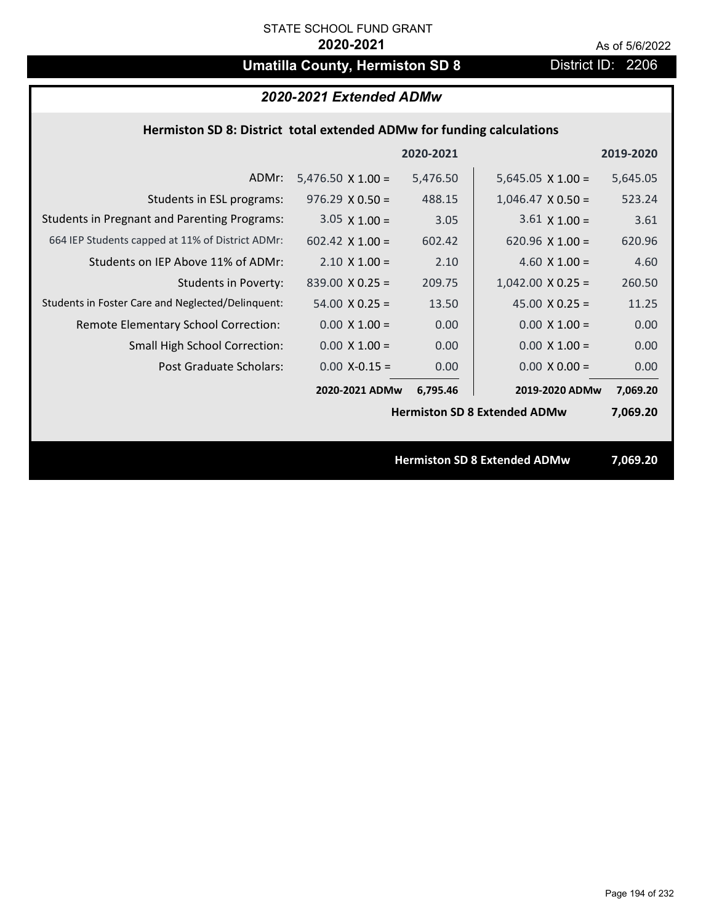# **Umatilla County, Hermiston SD 8** District ID: 2206

### **Hermiston SD 8: District total extended ADMw for funding calculations**

|                                                     |                          | 2020-2021 |                                     | 2019-2020 |
|-----------------------------------------------------|--------------------------|-----------|-------------------------------------|-----------|
| ADMr:                                               | $5,476.50 \times 1.00 =$ | 5,476.50  | $5,645.05 \times 1.00 =$            | 5,645.05  |
| Students in ESL programs:                           | $976.29 \times 0.50 =$   | 488.15    | $1,046.47 \times 0.50 =$            | 523.24    |
| <b>Students in Pregnant and Parenting Programs:</b> | $3.05 \times 1.00 =$     | 3.05      | $3.61 \times 1.00 =$                | 3.61      |
| 664 IEP Students capped at 11% of District ADMr:    | 602.42 $\times$ 1.00 =   | 602.42    | 620.96 $\times$ 1.00 =              | 620.96    |
| Students on IEP Above 11% of ADMr:                  | $2.10 \times 1.00 =$     | 2.10      | 4.60 $X$ 1.00 =                     | 4.60      |
| <b>Students in Poverty:</b>                         | $839.00 \times 0.25 =$   | 209.75    | $1,042.00 \times 0.25 =$            | 260.50    |
| Students in Foster Care and Neglected/Delinquent:   | $54.00 \times 0.25 =$    | 13.50     | 45.00 $X$ 0.25 =                    | 11.25     |
| Remote Elementary School Correction:                | $0.00 \times 1.00 =$     | 0.00      | $0.00 \times 1.00 =$                | 0.00      |
| <b>Small High School Correction:</b>                | $0.00 \times 1.00 =$     | 0.00      | $0.00 \times 1.00 =$                | 0.00      |
| Post Graduate Scholars:                             | $0.00$ X-0.15 =          | 0.00      | $0.00 \times 0.00 =$                | 0.00      |
|                                                     | 2020-2021 ADMw           | 6,795.46  | 2019-2020 ADMw                      | 7,069.20  |
|                                                     |                          |           | <b>Hermiston SD 8 Extended ADMw</b> | 7,069.20  |
|                                                     |                          |           |                                     |           |
|                                                     |                          |           | <b>Hermiston SD 8 Extended ADMw</b> | 7,069.20  |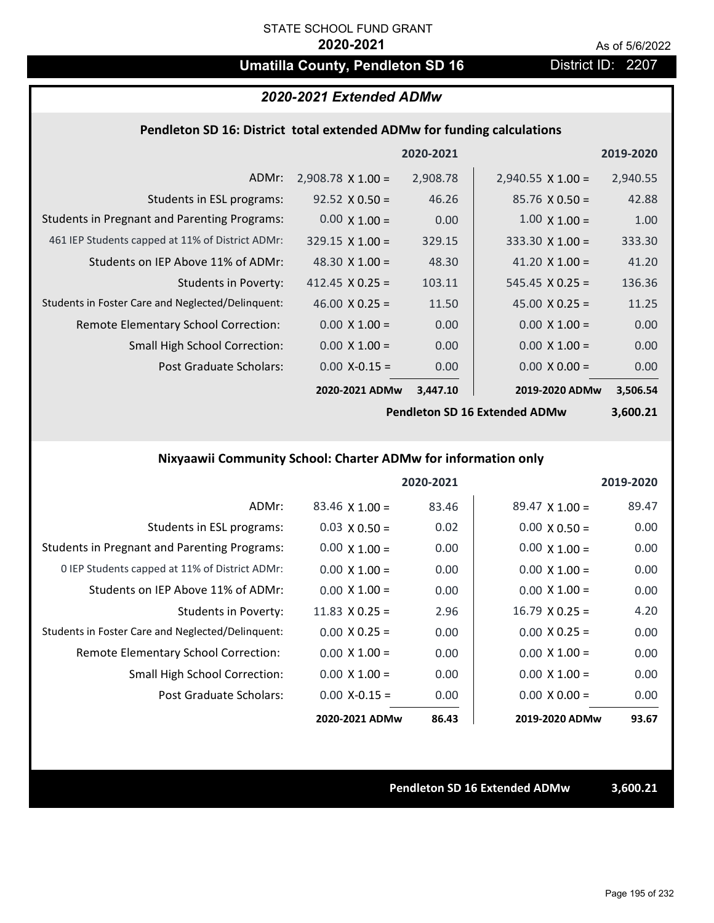# **Umatilla County, Pendleton SD 16** District ID: 2207

### *2020-2021 Extended ADMw*

### **Pendleton SD 16: District total extended ADMw for funding calculations**

|                                                     |                          | 2020-2021 |                          | 2019-2020 |
|-----------------------------------------------------|--------------------------|-----------|--------------------------|-----------|
| ADMr:                                               | $2,908.78 \times 1.00 =$ | 2,908.78  | $2,940.55 \times 1.00 =$ | 2,940.55  |
| Students in ESL programs:                           | $92.52 \times 0.50 =$    | 46.26     | $85.76 \times 0.50 =$    | 42.88     |
| <b>Students in Pregnant and Parenting Programs:</b> | $0.00 \times 1.00 =$     | 0.00      | $1.00 \times 1.00 =$     | 1.00      |
| 461 IEP Students capped at 11% of District ADMr:    | $329.15 \times 1.00 =$   | 329.15    | $333.30 \times 1.00 =$   | 333.30    |
| Students on IEP Above 11% of ADMr:                  | 48.30 $\times$ 1.00 =    | 48.30     | 41.20 $\times$ 1.00 =    | 41.20     |
| <b>Students in Poverty:</b>                         | 412.45 $X$ 0.25 =        | 103.11    | $545.45 \times 0.25 =$   | 136.36    |
| Students in Foster Care and Neglected/Delinquent:   | $46.00 \times 0.25 =$    | 11.50     | 45.00 $X$ 0.25 =         | 11.25     |
| Remote Elementary School Correction:                | $0.00 \times 1.00 =$     | 0.00      | $0.00 \times 1.00 =$     | 0.00      |
| <b>Small High School Correction:</b>                | $0.00 \times 1.00 =$     | 0.00      | $0.00 \times 1.00 =$     | 0.00      |
| Post Graduate Scholars:                             | $0.00 X - 0.15 =$        | 0.00      | $0.00 \times 0.00 =$     | 0.00      |
|                                                     | 2020-2021 ADMw           | 3,447.10  | 2019-2020 ADMw           | 3,506.54  |

**Pendleton SD 16 Extended ADMw**

**3,600.21**

## **Nixyaawii Community School: Charter ADMw for information only**

|                                                     |                       | 2020-2021 |                       | 2019-2020 |
|-----------------------------------------------------|-----------------------|-----------|-----------------------|-----------|
| ADMr:                                               | $83.46 \times 1.00 =$ | 83.46     | $89.47 \times 1.00 =$ | 89.47     |
| Students in ESL programs:                           | $0.03 \times 0.50 =$  | 0.02      | $0.00 \times 0.50 =$  | 0.00      |
| <b>Students in Pregnant and Parenting Programs:</b> | $0.00 \times 1.00 =$  | 0.00      | $0.00 \times 1.00 =$  | 0.00      |
| 0 IEP Students capped at 11% of District ADMr:      | $0.00 \times 1.00 =$  | 0.00      | $0.00 \times 1.00 =$  | 0.00      |
| Students on IEP Above 11% of ADMr:                  | $0.00 \times 1.00 =$  | 0.00      | $0.00 \times 1.00 =$  | 0.00      |
| Students in Poverty:                                | 11.83 $\times$ 0.25 = | 2.96      | $16.79 \times 0.25 =$ | 4.20      |
| Students in Foster Care and Neglected/Delinquent:   | $0.00 \times 0.25 =$  | 0.00      | $0.00 \times 0.25 =$  | 0.00      |
| <b>Remote Elementary School Correction:</b>         | $0.00 \times 1.00 =$  | 0.00      | $0.00 \times 1.00 =$  | 0.00      |
| <b>Small High School Correction:</b>                | $0.00 \times 1.00 =$  | 0.00      | $0.00 \times 1.00 =$  | 0.00      |
| Post Graduate Scholars:                             | $0.00 X-0.15 =$       | 0.00      | $0.00 \times 0.00 =$  | 0.00      |
|                                                     | 2020-2021 ADMw        | 86.43     | 2019-2020 ADMw        | 93.67     |

**Pendleton SD 16 Extended ADMw 3,600.21**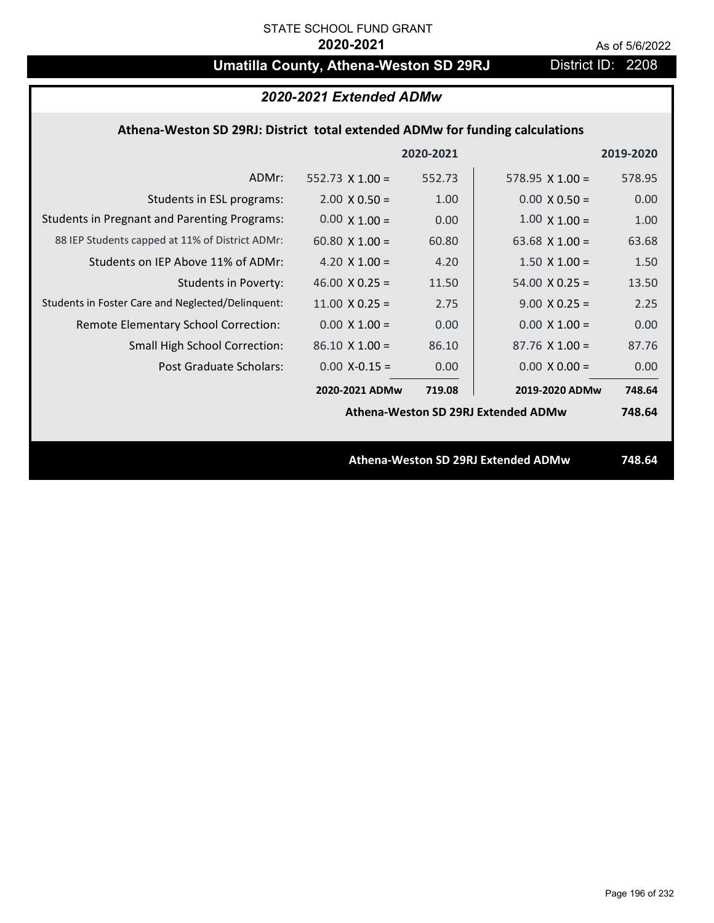# **Umatilla County, Athena-Weston SD 29RJ** District ID: 2208

| 2020-2021 Extended ADMw                                                      |                        |        |                                     |        |  |  |  |
|------------------------------------------------------------------------------|------------------------|--------|-------------------------------------|--------|--|--|--|
| Athena-Weston SD 29RJ: District total extended ADMw for funding calculations |                        |        |                                     |        |  |  |  |
|                                                                              | 2020-2021<br>2019-2020 |        |                                     |        |  |  |  |
| ADMr:                                                                        | $552.73 \times 1.00 =$ | 552.73 | 578.95 $X$ 1.00 =                   | 578.95 |  |  |  |
| Students in ESL programs:                                                    | $2.00 \times 0.50 =$   | 1.00   | $0.00 \times 0.50 =$                | 0.00   |  |  |  |
| <b>Students in Pregnant and Parenting Programs:</b>                          | $0.00 \times 1.00 =$   | 0.00   | $1.00 \times 1.00 =$                | 1.00   |  |  |  |
| 88 IEP Students capped at 11% of District ADMr:                              | 60.80 $\times$ 1.00 =  | 60.80  | 63.68 $X$ 1.00 =                    | 63.68  |  |  |  |
| Students on IEP Above 11% of ADMr:                                           | 4.20 $X$ 1.00 =        | 4.20   | $1.50 \times 1.00 =$                | 1.50   |  |  |  |
| <b>Students in Poverty:</b>                                                  | 46.00 $X$ 0.25 =       | 11.50  | $54.00 \times 0.25 =$               | 13.50  |  |  |  |
| Students in Foster Care and Neglected/Delinquent:                            | $11.00 \times 0.25 =$  | 2.75   | $9.00 \times 0.25 =$                | 2.25   |  |  |  |
| Remote Elementary School Correction:                                         | $0.00 \times 1.00 =$   | 0.00   | $0.00 \times 1.00 =$                | 0.00   |  |  |  |
| Small High School Correction:                                                | $86.10 \times 1.00 =$  | 86.10  | $87.76$ X 1.00 =                    | 87.76  |  |  |  |
| Post Graduate Scholars:                                                      | $0.00$ X-0.15 =        | 0.00   | $0.00 \times 0.00 =$                | 0.00   |  |  |  |
|                                                                              | 2020-2021 ADMw         | 719.08 | 2019-2020 ADMw                      | 748.64 |  |  |  |
|                                                                              |                        |        | Athena-Weston SD 29RJ Extended ADMw | 748.64 |  |  |  |
|                                                                              |                        |        |                                     |        |  |  |  |
| Athena-Weston SD 29RJ Extended ADMw                                          |                        |        |                                     | 748.64 |  |  |  |
|                                                                              |                        |        |                                     |        |  |  |  |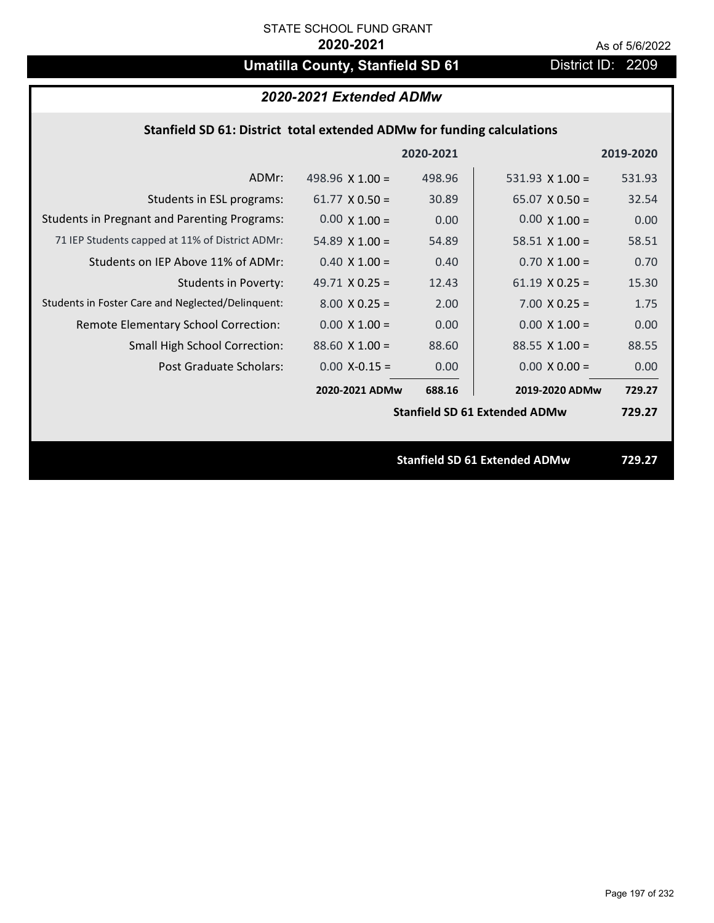# Umatilla County, Stanfield SD 61 **District ID: 2209**

# *2020-2021 Extended ADMw*

## **Stanfield SD 61: District total extended ADMw for funding calculations**

|                                                     |                       | 2020-2021 |                                      | 2019-2020 |
|-----------------------------------------------------|-----------------------|-----------|--------------------------------------|-----------|
| ADMr:                                               | 498.96 $X$ 1.00 =     | 498.96    | 531.93 $X$ 1.00 =                    | 531.93    |
| Students in ESL programs:                           | $61.77 \times 0.50 =$ | 30.89     | $65.07 \times 0.50 =$                | 32.54     |
| <b>Students in Pregnant and Parenting Programs:</b> | $0.00 \times 1.00 =$  | 0.00      | $0.00 \times 1.00 =$                 | 0.00      |
| 71 IEP Students capped at 11% of District ADMr:     | 54.89 $\times$ 1.00 = | 54.89     | 58.51 $\times$ 1.00 =                | 58.51     |
| Students on IEP Above 11% of ADMr:                  | $0.40 \times 1.00 =$  | 0.40      | $0.70$ X 1.00 =                      | 0.70      |
| <b>Students in Poverty:</b>                         | 49.71 $X$ 0.25 =      | 12.43     | $61.19 \times 0.25 =$                | 15.30     |
| Students in Foster Care and Neglected/Delinquent:   | $8.00 \times 0.25 =$  | 2.00      | $7.00 \times 0.25 =$                 | 1.75      |
| Remote Elementary School Correction:                | $0.00 \times 1.00 =$  | 0.00      | $0.00 \times 1.00 =$                 | 0.00      |
| <b>Small High School Correction:</b>                | $88.60$ X 1.00 =      | 88.60     | $88.55 \times 1.00 =$                | 88.55     |
| <b>Post Graduate Scholars:</b>                      | $0.00$ X-0.15 =       | 0.00      | $0.00 \times 0.00 =$                 | 0.00      |
|                                                     | 2020-2021 ADMw        | 688.16    | 2019-2020 ADMw                       | 729.27    |
|                                                     |                       |           | <b>Stanfield SD 61 Extended ADMw</b> | 729.27    |
|                                                     |                       |           |                                      |           |
|                                                     |                       |           | <b>Stanfield SD 61 Extended ADMw</b> | 729.27    |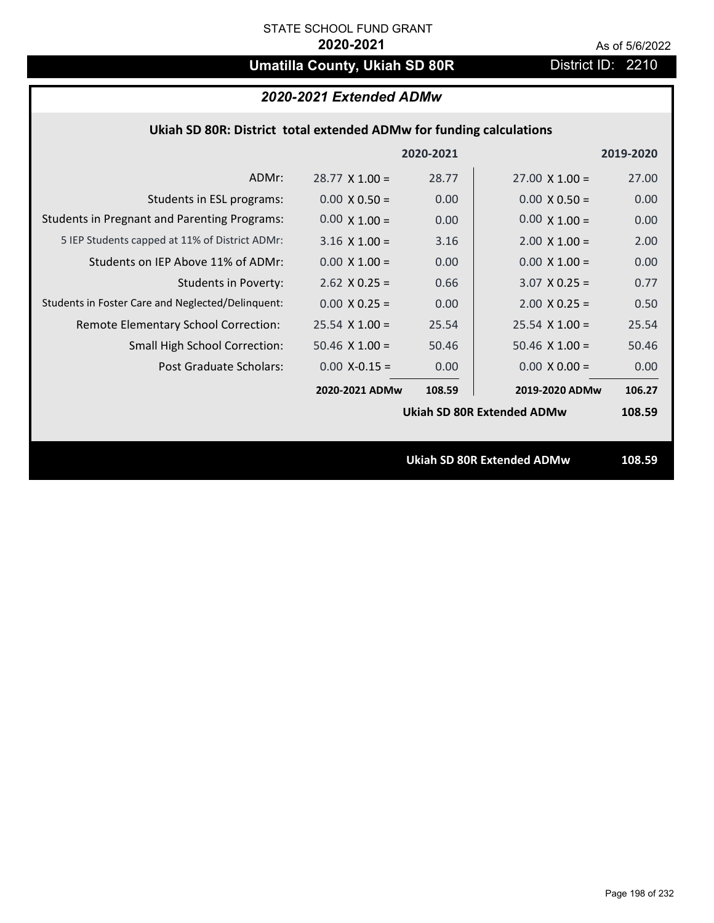# **Umatilla County, Ukiah SD 80R** District ID: 2210

# *2020-2021 Extended ADMw*

| Ukiah SD 80R: District total extended ADMw for funding calculations |  |  |  |
|---------------------------------------------------------------------|--|--|--|
|---------------------------------------------------------------------|--|--|--|

|                                                     |                       | 2020-2021 |                                   | 2019-2020 |
|-----------------------------------------------------|-----------------------|-----------|-----------------------------------|-----------|
| ADMr:                                               | $28.77 \times 1.00 =$ | 28.77     | $27.00 \times 1.00 =$             | 27.00     |
| Students in ESL programs:                           | $0.00 \times 0.50 =$  | 0.00      | $0.00 \times 0.50 =$              | 0.00      |
| <b>Students in Pregnant and Parenting Programs:</b> | $0.00 \times 1.00 =$  | 0.00      | $0.00 \times 1.00 =$              | 0.00      |
| 5 IEP Students capped at 11% of District ADMr:      | $3.16 \times 1.00 =$  | 3.16      | $2.00 \times 1.00 =$              | 2.00      |
| Students on IEP Above 11% of ADMr:                  | $0.00 \times 1.00 =$  | 0.00      | $0.00 \times 1.00 =$              | 0.00      |
| Students in Poverty:                                | $2.62$ X 0.25 =       | 0.66      | $3.07$ X 0.25 =                   | 0.77      |
| Students in Foster Care and Neglected/Delinquent:   | $0.00 \times 0.25 =$  | 0.00      | $2.00 \times 0.25 =$              | 0.50      |
| Remote Elementary School Correction:                | $25.54$ X 1.00 =      | 25.54     | $25.54$ X 1.00 =                  | 25.54     |
| <b>Small High School Correction:</b>                | $50.46 \times 1.00 =$ | 50.46     | $50.46 \times 1.00 =$             | 50.46     |
| Post Graduate Scholars:                             | $0.00$ X-0.15 =       | 0.00      | $0.00 \times 0.00 =$              | 0.00      |
|                                                     | 2020-2021 ADMw        | 108.59    | 2019-2020 ADMw                    | 106.27    |
|                                                     |                       |           | <b>Ukiah SD 80R Extended ADMw</b> | 108.59    |
|                                                     |                       |           |                                   |           |
|                                                     |                       |           | <b>Ukiah SD 80R Extended ADMw</b> | 108.59    |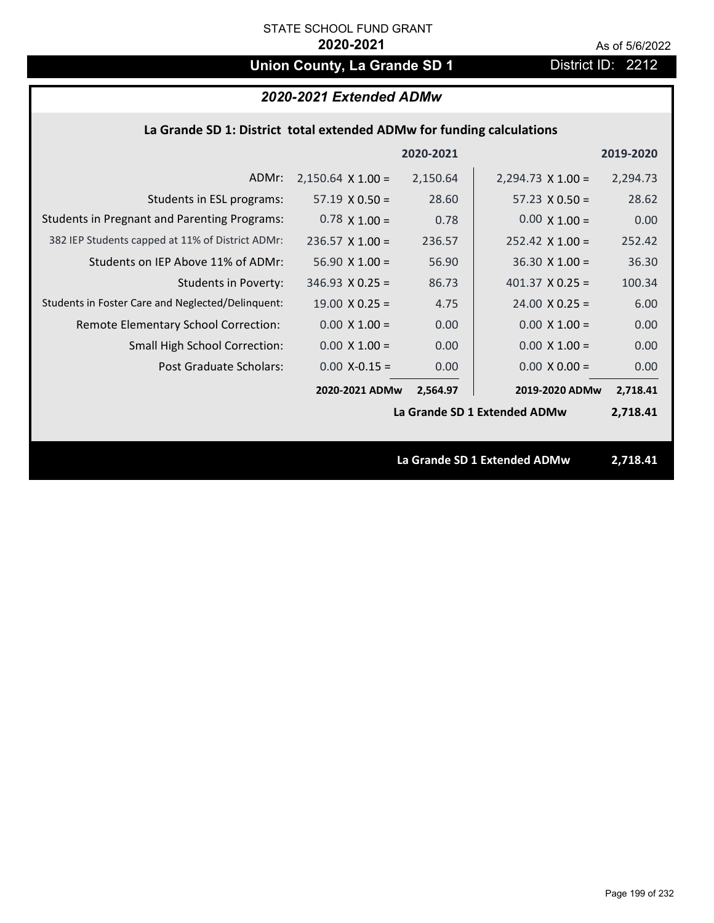# **Union County, La Grande SD 1** District ID: 2212

# *2020-2021 Extended ADMw*

## **La Grande SD 1: District total extended ADMw for funding calculations**

|                                                     |                          | 2020-2021 |                              | 2019-2020 |  |
|-----------------------------------------------------|--------------------------|-----------|------------------------------|-----------|--|
| ADMr:                                               | $2,150.64 \times 1.00 =$ | 2,150.64  | $2,294.73 \times 1.00 =$     | 2,294.73  |  |
| Students in ESL programs:                           | $57.19 \times 0.50 =$    | 28.60     | $57.23 \times 0.50 =$        | 28.62     |  |
| <b>Students in Pregnant and Parenting Programs:</b> | $0.78 \times 1.00 =$     | 0.78      | $0.00 \times 1.00 =$         | 0.00      |  |
| 382 IEP Students capped at 11% of District ADMr:    | $236.57 \times 1.00 =$   | 236.57    | $252.42 \times 1.00 =$       | 252.42    |  |
| Students on IEP Above 11% of ADMr:                  | $56.90 X 1.00 =$         | 56.90     | $36.30 \times 1.00 =$        | 36.30     |  |
| Students in Poverty:                                | $346.93 \times 0.25 =$   | 86.73     | 401.37 $X$ 0.25 =            | 100.34    |  |
| Students in Foster Care and Neglected/Delinquent:   | $19.00 \times 0.25 =$    | 4.75      | $24.00 \times 0.25 =$        | 6.00      |  |
| Remote Elementary School Correction:                | $0.00 \times 1.00 =$     | 0.00      | $0.00 \times 1.00 =$         | 0.00      |  |
| <b>Small High School Correction:</b>                | $0.00 \times 1.00 =$     | 0.00      | $0.00 \times 1.00 =$         | 0.00      |  |
| Post Graduate Scholars:                             | $0.00$ X-0.15 =          | 0.00      | $0.00 \times 0.00 =$         | 0.00      |  |
|                                                     | 2020-2021 ADMw           | 2,564.97  | 2019-2020 ADMw               | 2,718.41  |  |
|                                                     |                          |           | La Grande SD 1 Extended ADMw | 2,718.41  |  |
|                                                     |                          |           |                              |           |  |
|                                                     |                          |           | La Grande SD 1 Extended ADMw | 2,718.41  |  |
|                                                     |                          |           |                              |           |  |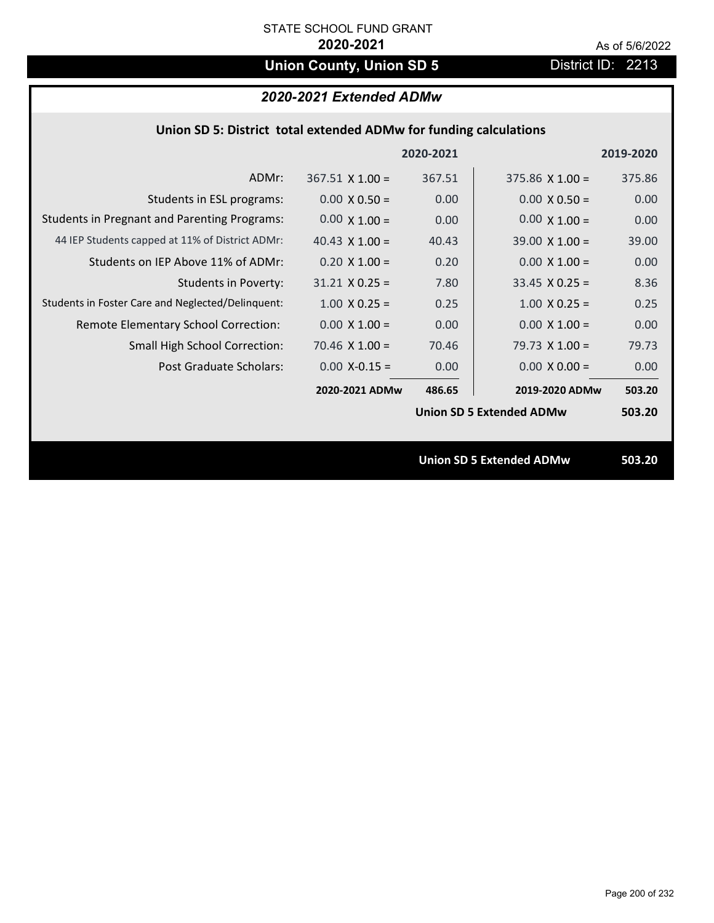# **Union County, Union SD 5** District ID: 2213

# *2020-2021 Extended ADMw*

|  | Union SD 5: District total extended ADMw for funding calculations |
|--|-------------------------------------------------------------------|
|--|-------------------------------------------------------------------|

|                                                     |                        | 2020-2021 |                                 | 2019-2020 |
|-----------------------------------------------------|------------------------|-----------|---------------------------------|-----------|
| ADMr:                                               | $367.51 \times 1.00 =$ | 367.51    | $375.86 \times 1.00 =$          | 375.86    |
| Students in ESL programs:                           | $0.00 \times 0.50 =$   | 0.00      | $0.00 \times 0.50 =$            | 0.00      |
| <b>Students in Pregnant and Parenting Programs:</b> | $0.00 \times 1.00 =$   | 0.00      | $0.00 \times 1.00 =$            | 0.00      |
| 44 IEP Students capped at 11% of District ADMr:     | 40.43 $\times$ 1.00 =  | 40.43     | $39.00 \times 1.00 =$           | 39.00     |
| Students on IEP Above 11% of ADMr:                  | $0.20$ X $1.00 =$      | 0.20      | $0.00 \times 1.00 =$            | 0.00      |
| <b>Students in Poverty:</b>                         | $31.21$ X 0.25 =       | 7.80      | $33.45$ X 0.25 =                | 8.36      |
| Students in Foster Care and Neglected/Delinquent:   | $1.00 \times 0.25 =$   | 0.25      | $1.00 \times 0.25 =$            | 0.25      |
| Remote Elementary School Correction:                | $0.00 \times 1.00 =$   | 0.00      | $0.00 \times 1.00 =$            | 0.00      |
| <b>Small High School Correction:</b>                | $70.46 \times 1.00 =$  | 70.46     | 79.73 $X$ 1.00 =                | 79.73     |
| Post Graduate Scholars:                             | $0.00$ X-0.15 =        | 0.00      | $0.00 \times 0.00 =$            | 0.00      |
|                                                     | 2020-2021 ADMw         | 486.65    | 2019-2020 ADMw                  | 503.20    |
|                                                     |                        |           | <b>Union SD 5 Extended ADMw</b> | 503.20    |
|                                                     |                        |           |                                 |           |
|                                                     |                        |           | <b>Union SD 5 Extended ADMw</b> | 503.20    |
|                                                     |                        |           |                                 |           |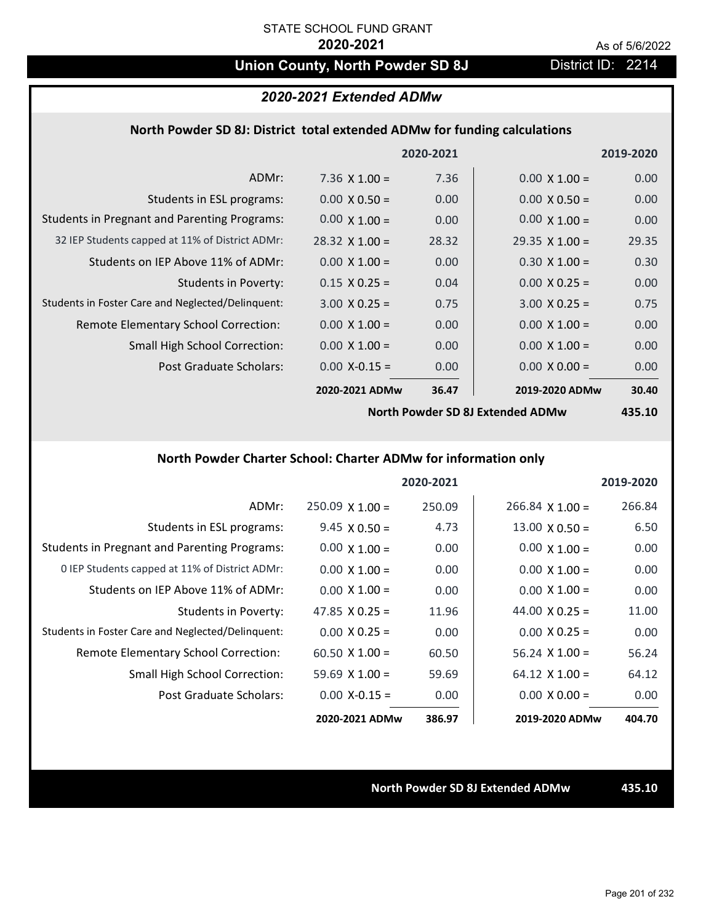# **Union County, North Powder SD 8J** District ID: 2214

### *2020-2021 Extended ADMw*

### **North Powder SD 8J: District total extended ADMw for funding calculations**

|                                                     |                       | 2020-2021      |                       | 2019-2020 |
|-----------------------------------------------------|-----------------------|----------------|-----------------------|-----------|
| ADMr:                                               | 7.36 $\times$ 1.00 =  | 7.36           | $0.00 \times 1.00 =$  | 0.00      |
| Students in ESL programs:                           | $0.00 \times 0.50 =$  | 0.00           | $0.00 \times 0.50 =$  | 0.00      |
| <b>Students in Pregnant and Parenting Programs:</b> | $0.00 \times 1.00 =$  | 0.00           | $0.00 \times 1.00 =$  | 0.00      |
| 32 IEP Students capped at 11% of District ADMr:     | $28.32 \times 1.00 =$ | 28.32          | $29.35 \times 1.00 =$ | 29.35     |
| Students on IEP Above 11% of ADMr:                  | $0.00 \times 1.00 =$  | 0.00           | $0.30 \times 1.00 =$  | 0.30      |
| <b>Students in Poverty:</b>                         | $0.15 \times 0.25 =$  | 0.04           | $0.00 \times 0.25 =$  | 0.00      |
| Students in Foster Care and Neglected/Delinquent:   | $3.00 \times 0.25 =$  | 0.75           | $3.00 \times 0.25 =$  | 0.75      |
| Remote Elementary School Correction:                | $0.00 \times 1.00 =$  | 0.00           | $0.00 \times 1.00 =$  | 0.00      |
| <b>Small High School Correction:</b>                | $0.00 \times 1.00 =$  | 0.00           | $0.00 \times 1.00 =$  | 0.00      |
| Post Graduate Scholars:                             | $0.00$ X-0.15 =       | 0.00           | $0.00 \times 0.00 =$  | 0.00      |
|                                                     | 2020-2021 ADMw        | 36.47          | 2019-2020 ADMw        | 30.40     |
|                                                     | $\cdots$ $\cdots$     | $\blacksquare$ |                       |           |

**North Powder SD 8J Extended ADMw**

**435.10**

## **North Powder Charter School: Charter ADMw for information only**

|                                                     |                        | 2020-2021 |                       | 2019-2020 |
|-----------------------------------------------------|------------------------|-----------|-----------------------|-----------|
| ADMr:                                               | $250.09 \times 1.00 =$ | 250.09    | $266.84$ X 1.00 =     | 266.84    |
| Students in ESL programs:                           | $9.45 \times 0.50 =$   | 4.73      | $13.00 \times 0.50 =$ | 6.50      |
| <b>Students in Pregnant and Parenting Programs:</b> | $0.00 \times 1.00 =$   | 0.00      | $0.00 \times 1.00 =$  | 0.00      |
| 0 IEP Students capped at 11% of District ADMr:      | $0.00 \times 1.00 =$   | 0.00      | $0.00 \times 1.00 =$  | 0.00      |
| Students on IEP Above 11% of ADMr:                  | $0.00 \times 1.00 =$   | 0.00      | $0.00 \times 1.00 =$  | 0.00      |
| Students in Poverty:                                | 47.85 $\times$ 0.25 =  | 11.96     | 44.00 $\times$ 0.25 = | 11.00     |
| Students in Foster Care and Neglected/Delinquent:   | $0.00 \times 0.25 =$   | 0.00      | $0.00 \times 0.25 =$  | 0.00      |
| Remote Elementary School Correction:                | $60.50 \times 1.00 =$  | 60.50     | $56.24$ X 1.00 =      | 56.24     |
| Small High School Correction:                       | $59.69 \times 1.00 =$  | 59.69     | $64.12 \times 1.00 =$ | 64.12     |
| Post Graduate Scholars:                             | $0.00 X - 0.15 =$      | 0.00      | $0.00 \times 0.00 =$  | 0.00      |
|                                                     | 2020-2021 ADMw         | 386.97    | 2019-2020 ADMw        | 404.70    |

### **North Powder SD 8J Extended ADMw 435.10**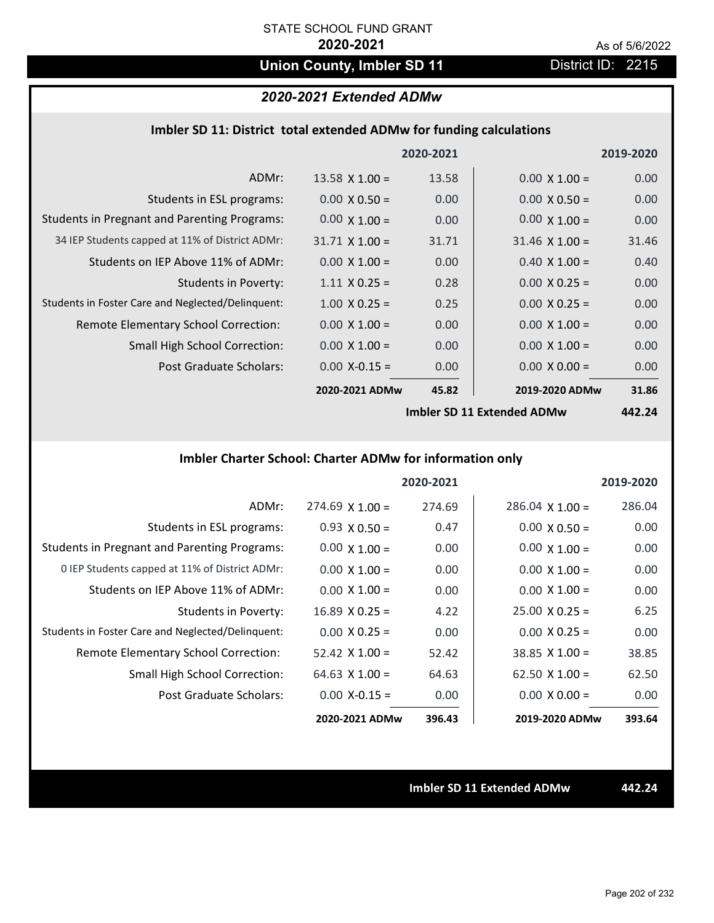# **Union County, Imbler SD 11** District ID: 2215

## *2020-2021 Extended ADMw*

| Imbler SD 11: District total extended ADMw for funding calculations |  |  |  |
|---------------------------------------------------------------------|--|--|--|
|---------------------------------------------------------------------|--|--|--|

|                                                     |                       | 2020-2021         |                                                    | 2019-2020                     |
|-----------------------------------------------------|-----------------------|-------------------|----------------------------------------------------|-------------------------------|
| ADMr:                                               | $13.58 \times 1.00 =$ | 13.58             | $0.00 \times 1.00 =$                               | 0.00                          |
| Students in ESL programs:                           | $0.00 \times 0.50 =$  | 0.00              | $0.00 \times 0.50 =$                               | 0.00                          |
| <b>Students in Pregnant and Parenting Programs:</b> | $0.00 \times 1.00 =$  | 0.00 <sub>1</sub> | $0.00 \times 1.00 =$                               | 0.00                          |
| 34 IEP Students capped at 11% of District ADMr:     | $31.71 \times 1.00 =$ | 31.71             | $31.46 \times 1.00 =$                              | 31.46                         |
| Students on IEP Above 11% of ADMr:                  | $0.00 \times 1.00 =$  | 0.00              | $0.40 \times 1.00 =$                               | 0.40                          |
| <b>Students in Poverty:</b>                         | $1.11 \times 0.25 =$  | 0.28              | $0.00 X 0.25 =$                                    | 0.00                          |
| Students in Foster Care and Neglected/Delinquent:   | $1.00 \times 0.25 =$  | 0.25              | $0.00 \times 0.25 =$                               | 0.00                          |
| Remote Elementary School Correction:                | $0.00 \times 1.00 =$  | 0.00              | $0.00 \times 1.00 =$                               | 0.00                          |
| <b>Small High School Correction:</b>                | $0.00 \times 1.00 =$  | 0.00              | $0.00 \times 1.00 =$                               | 0.00                          |
| Post Graduate Scholars:                             | $0.00$ X-0.15 =       | 0.00              | $0.00 \times 0.00 =$                               | 0.00                          |
|                                                     | 2020-2021 ADMw        | 45.82             | 2019-2020 ADMw                                     | 31.86                         |
|                                                     |                       |                   | $l$ <sub>rea</sub> l-lev CD 44 Eutrepressed ADMuss | $\overline{A}$ $\overline{A}$ |

**Imbler SD 11 Extended ADMw**

**442.24**

# **Imbler Charter School: Charter ADMw for information only**

|                                                     |                       | 2020-2021 |                        | 2019-2020 |
|-----------------------------------------------------|-----------------------|-----------|------------------------|-----------|
| ADMr:                                               | $274.69$ X 1.00 =     | 274.69    | $286.04 \times 1.00 =$ | 286.04    |
| Students in ESL programs:                           | $0.93 \times 0.50 =$  | 0.47      | $0.00 \times 0.50 =$   | 0.00      |
| <b>Students in Pregnant and Parenting Programs:</b> | $0.00 \times 1.00 =$  | 0.00      | $0.00 \times 1.00 =$   | 0.00      |
| 0 IEP Students capped at 11% of District ADMr:      | $0.00 \times 1.00 =$  | 0.00      | $0.00 \times 1.00 =$   | 0.00      |
| Students on IEP Above 11% of ADMr:                  | $0.00 \times 1.00 =$  | 0.00      | $0.00 \times 1.00 =$   | 0.00      |
| Students in Poverty:                                | $16.89$ X 0.25 =      | 4.22      | $25.00 \times 0.25 =$  | 6.25      |
| Students in Foster Care and Neglected/Delinquent:   | $0.00 \times 0.25 =$  | 0.00      | $0.00 \times 0.25 =$   | 0.00      |
| Remote Elementary School Correction:                | $52.42 \times 1.00 =$ | 52.42     | $38.85 \times 1.00 =$  | 38.85     |
| <b>Small High School Correction:</b>                | 64.63 $X$ 1.00 =      | 64.63     | $62.50 \times 1.00 =$  | 62.50     |
| Post Graduate Scholars:                             | $0.00 X - 0.15 =$     | 0.00      | $0.00 \times 0.00 =$   | 0.00      |
|                                                     | 2020-2021 ADMw        | 396.43    | 2019-2020 ADMw         | 393.64    |

**Imbler SD 11 Extended ADMw 442.24**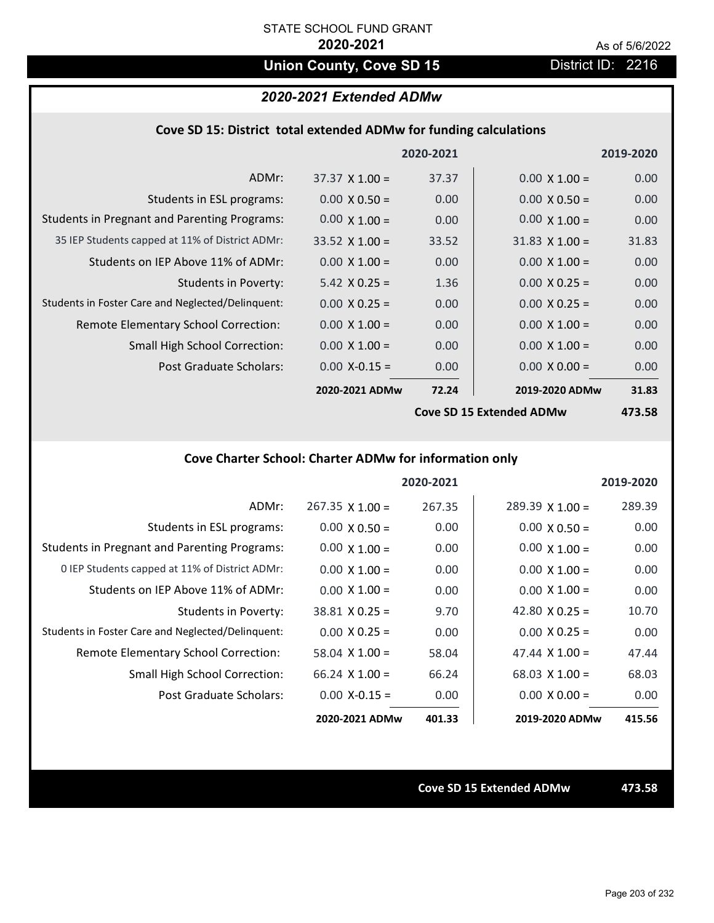# **Union County, Cove SD 15** District ID: 2216

## *2020-2021 Extended ADMw*

| Cove SD 15: District total extended ADMw for funding calculations |  |  |  |  |
|-------------------------------------------------------------------|--|--|--|--|
|-------------------------------------------------------------------|--|--|--|--|

|                                                     |                       | 2020-2021 |                          | 2019-2020 |
|-----------------------------------------------------|-----------------------|-----------|--------------------------|-----------|
| ADMr:                                               | $37.37 \times 1.00 =$ | 37.37     | $0.00 \times 1.00 =$     | 0.00      |
| Students in ESL programs:                           | $0.00 \times 0.50 =$  | 0.00      | $0.00 \times 0.50 =$     | 0.00      |
| <b>Students in Pregnant and Parenting Programs:</b> | $0.00 \times 1.00 =$  | 0.00      | $0.00 \times 1.00 =$     | 0.00      |
| 35 IEP Students capped at 11% of District ADMr:     | $33.52 \times 1.00 =$ | 33.52     | $31.83 \times 1.00 =$    | 31.83     |
| Students on IEP Above 11% of ADMr:                  | $0.00 \times 1.00 =$  | 0.00      | $0.00 \times 1.00 =$     | 0.00      |
| <b>Students in Poverty:</b>                         | $5.42 \times 0.25 =$  | 1.36      | $0.00 \times 0.25 =$     | 0.00      |
| Students in Foster Care and Neglected/Delinquent:   | $0.00 \times 0.25 =$  | 0.00      | $0.00 \times 0.25 =$     | 0.00      |
| Remote Elementary School Correction:                | $0.00 \times 1.00 =$  | 0.00      | $0.00 \times 1.00 =$     | 0.00      |
| <b>Small High School Correction:</b>                | $0.00 \times 1.00 =$  | 0.00      | $0.00 \times 1.00 =$     | 0.00      |
| Post Graduate Scholars:                             | $0.00$ X-0.15 =       | 0.00      | $0.00 \times 0.00 =$     | 0.00      |
|                                                     | 2020-2021 ADMw        | 72.24     | 2019-2020 ADMw           | 31.83     |
|                                                     |                       |           | Cove SD 15 Extended ADMw | 473 58    |

**Cove SD 15 Extended ADMw**

**473.58**

# **Cove Charter School: Charter ADMw for information only**

|                                                     |                       | 2020-2021 |                        | 2019-2020 |
|-----------------------------------------------------|-----------------------|-----------|------------------------|-----------|
| ADMr:                                               | $267.35$ X 1.00 =     | 267.35    | $289.39 \times 1.00 =$ | 289.39    |
| Students in ESL programs:                           | $0.00 \times 0.50 =$  | 0.00      | $0.00 \times 0.50 =$   | 0.00      |
| <b>Students in Pregnant and Parenting Programs:</b> | $0.00 \times 1.00 =$  | 0.00      | $0.00 \times 1.00 =$   | 0.00      |
| 0 IEP Students capped at 11% of District ADMr:      | $0.00 \times 1.00 =$  | 0.00      | $0.00 \times 1.00 =$   | 0.00      |
| Students on IEP Above 11% of ADMr:                  | $0.00 \times 1.00 =$  | 0.00      | $0.00 \times 1.00 =$   | 0.00      |
| Students in Poverty:                                | $38.81$ X 0.25 =      | 9.70      | 42.80 $X$ 0.25 =       | 10.70     |
| Students in Foster Care and Neglected/Delinquent:   | $0.00 \times 0.25 =$  | 0.00      | $0.00 \times 0.25 =$   | 0.00      |
| <b>Remote Elementary School Correction:</b>         | $58.04 \times 1.00 =$ | 58.04     | 47.44 $\times$ 1.00 =  | 47.44     |
| <b>Small High School Correction:</b>                | $66.24$ X 1.00 =      | 66.24     | $68.03 \times 1.00 =$  | 68.03     |
| Post Graduate Scholars:                             | $0.00 X - 0.15 =$     | 0.00      | $0.00 \times 0.00 =$   | 0.00      |
|                                                     | 2020-2021 ADMw        | 401.33    | 2019-2020 ADMw         | 415.56    |

**Cove SD 15 Extended ADMw 473.58**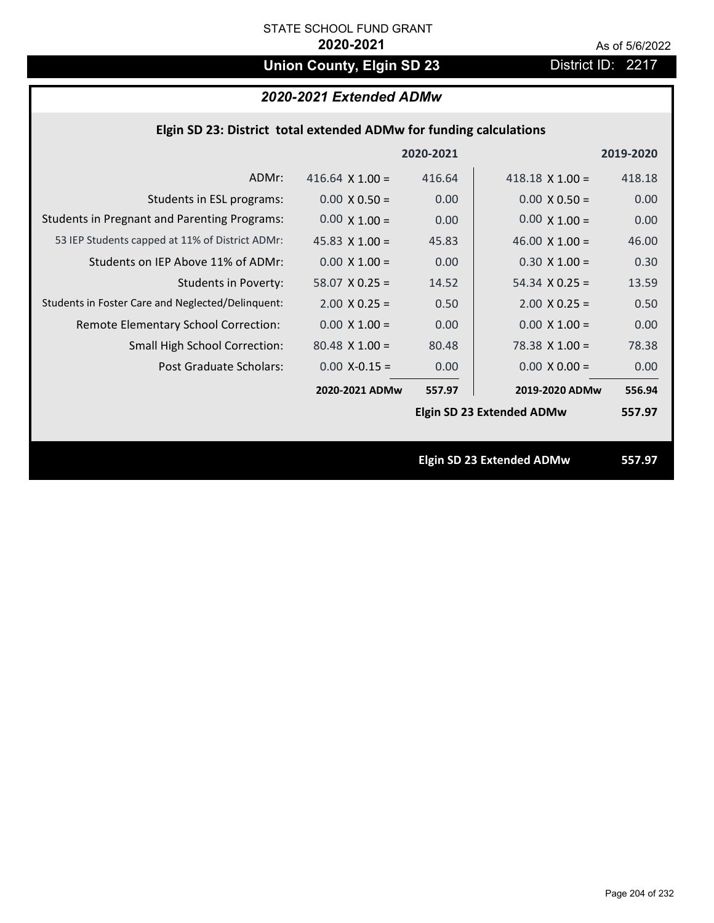# **Union County, Elgin SD 23** District ID: 2217

# *2020-2021 Extended ADMw*

| Elgin SD 23: District total extended ADMw for funding calculations |           |           |
|--------------------------------------------------------------------|-----------|-----------|
|                                                                    | 2020-2021 | 2019-2020 |

| ADMr:                                               | 416.64 $\times$ 1.00 = | 416.64 | $418.18 \times 1.00 =$           | 418.18 |
|-----------------------------------------------------|------------------------|--------|----------------------------------|--------|
| Students in ESL programs:                           | $0.00 \times 0.50 =$   | 0.00   | $0.00 \times 0.50 =$             | 0.00   |
| <b>Students in Pregnant and Parenting Programs:</b> | $0.00 \times 1.00 =$   | 0.00   | $0.00 \times 1.00 =$             | 0.00   |
| 53 IEP Students capped at 11% of District ADMr:     | 45.83 $\times$ 1.00 =  | 45.83  | 46.00 $\times$ 1.00 =            | 46.00  |
| Students on IEP Above 11% of ADMr:                  | $0.00 \times 1.00 =$   | 0.00   | $0.30 \times 1.00 =$             | 0.30   |
| <b>Students in Poverty:</b>                         | $58.07$ X 0.25 =       | 14.52  | $54.34 \times 0.25 =$            | 13.59  |
| Students in Foster Care and Neglected/Delinquent:   | $2.00 \times 0.25 =$   | 0.50   | $2.00 \times 0.25 =$             | 0.50   |
| Remote Elementary School Correction:                | $0.00 \times 1.00 =$   | 0.00   | $0.00 \times 1.00 =$             | 0.00   |
| <b>Small High School Correction:</b>                | $80.48 \times 1.00 =$  | 80.48  | 78.38 X 1.00 =                   | 78.38  |
| Post Graduate Scholars:                             | $0.00 X - 0.15 =$      | 0.00   | $0.00 \times 0.00 =$             | 0.00   |
|                                                     | 2020-2021 ADMw         | 557.97 | 2019-2020 ADMw                   | 556.94 |
|                                                     |                        |        | <b>Elgin SD 23 Extended ADMw</b> | 557.97 |
|                                                     |                        |        |                                  |        |
|                                                     |                        |        | <b>Elgin SD 23 Extended ADMw</b> | 557.97 |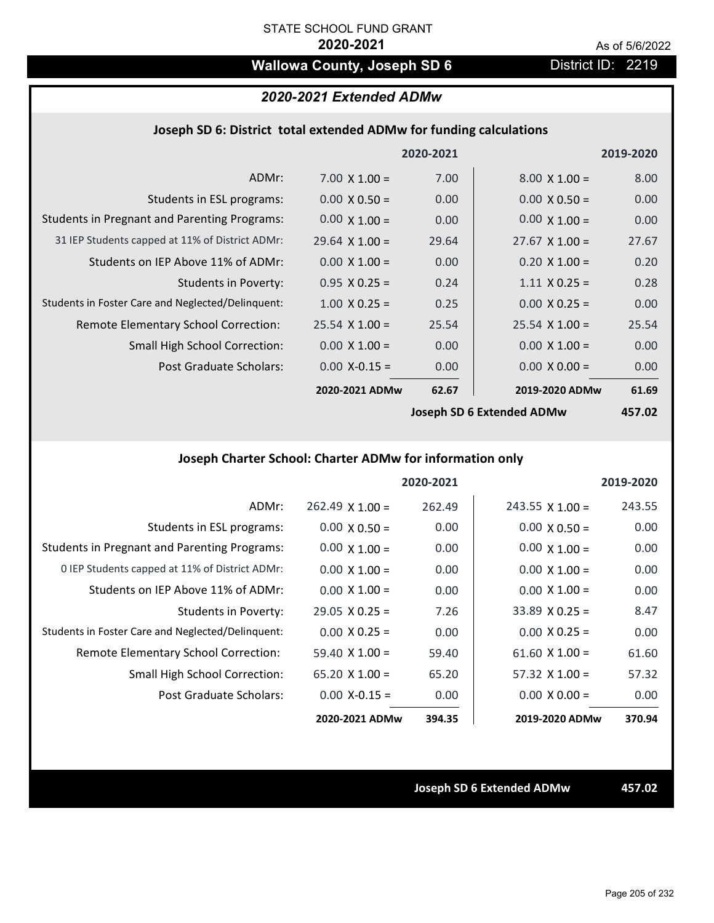# **Wallowa County, Joseph SD 6** District ID: 2219

# *2020-2021 Extended ADMw*

### **Joseph SD 6: District total extended ADMw for funding calculations**

|                                                     |                       | 2020-2021 |                           | 2019-2020 |
|-----------------------------------------------------|-----------------------|-----------|---------------------------|-----------|
| ADMr:                                               | $7.00 \times 1.00 =$  | 7.00      | $8.00 \times 1.00 =$      | 8.00      |
| Students in ESL programs:                           | $0.00 \times 0.50 =$  | 0.00      | $0.00 \times 0.50 =$      | 0.00      |
| <b>Students in Pregnant and Parenting Programs:</b> | $0.00 \times 1.00 =$  | 0.00      | $0.00 \times 1.00 =$      | 0.00      |
| 31 IEP Students capped at 11% of District ADMr:     | $29.64 \times 1.00 =$ | 29.64     | $27.67 \times 1.00 =$     | 27.67     |
| Students on IEP Above 11% of ADMr:                  | $0.00 \times 1.00 =$  | 0.00      | $0.20 \times 1.00 =$      | 0.20      |
| <b>Students in Poverty:</b>                         | $0.95 X 0.25 =$       | 0.24      | $1.11 \times 0.25 =$      | 0.28      |
| Students in Foster Care and Neglected/Delinquent:   | $1.00 \times 0.25 =$  | 0.25      | $0.00 \times 0.25 =$      | 0.00      |
| Remote Elementary School Correction:                | $25.54 \times 1.00 =$ | 25.54     | $25.54 \times 1.00 =$     | 25.54     |
| <b>Small High School Correction:</b>                | $0.00 \times 1.00 =$  | 0.00      | $0.00 \times 1.00 =$      | 0.00      |
| Post Graduate Scholars:                             | $0.00$ X-0.15 =       | 0.00      | $0.00 \times 0.00 =$      | 0.00      |
|                                                     | 2020-2021 ADMw        | 62.67     | 2019-2020 ADMw            | 61.69     |
|                                                     |                       |           | locanh CD C Extended ADMu | 15702     |

**Joseph SD 6 Extended ADMw**

**457.02**

# **Joseph Charter School: Charter ADMw for information only**

|                                                     |                       | 2020-2021 |                        | 2019-2020 |
|-----------------------------------------------------|-----------------------|-----------|------------------------|-----------|
| ADMr:                                               | $262.49$ X 1.00 =     | 262.49    | $243.55 \times 1.00 =$ | 243.55    |
| Students in ESL programs:                           | $0.00 \times 0.50 =$  | 0.00      | $0.00 \times 0.50 =$   | 0.00      |
| <b>Students in Pregnant and Parenting Programs:</b> | $0.00 \times 1.00 =$  | 0.00      | $0.00 \times 1.00 =$   | 0.00      |
| 0 IEP Students capped at 11% of District ADMr:      | $0.00 \times 1.00 =$  | 0.00      | $0.00 \times 1.00 =$   | 0.00      |
| Students on IEP Above 11% of ADMr:                  | $0.00 \times 1.00 =$  | 0.00      | $0.00 \times 1.00 =$   | 0.00      |
| Students in Poverty:                                | $29.05 \times 0.25 =$ | 7.26      | $33.89 \times 0.25 =$  | 8.47      |
| Students in Foster Care and Neglected/Delinquent:   | $0.00 \times 0.25 =$  | 0.00      | $0.00 \times 0.25 =$   | 0.00      |
| Remote Elementary School Correction:                | $59.40 \times 1.00 =$ | 59.40     | $61.60 \times 1.00 =$  | 61.60     |
| <b>Small High School Correction:</b>                | 65.20 $X$ 1.00 =      | 65.20     | $57.32 \times 1.00 =$  | 57.32     |
| Post Graduate Scholars:                             | $0.00 X - 0.15 =$     | 0.00      | $0.00 \times 0.00 =$   | 0.00      |
|                                                     | 2020-2021 ADMw        | 394.35    | 2019-2020 ADMw         | 370.94    |

**Joseph SD 6 Extended ADMw 457.02**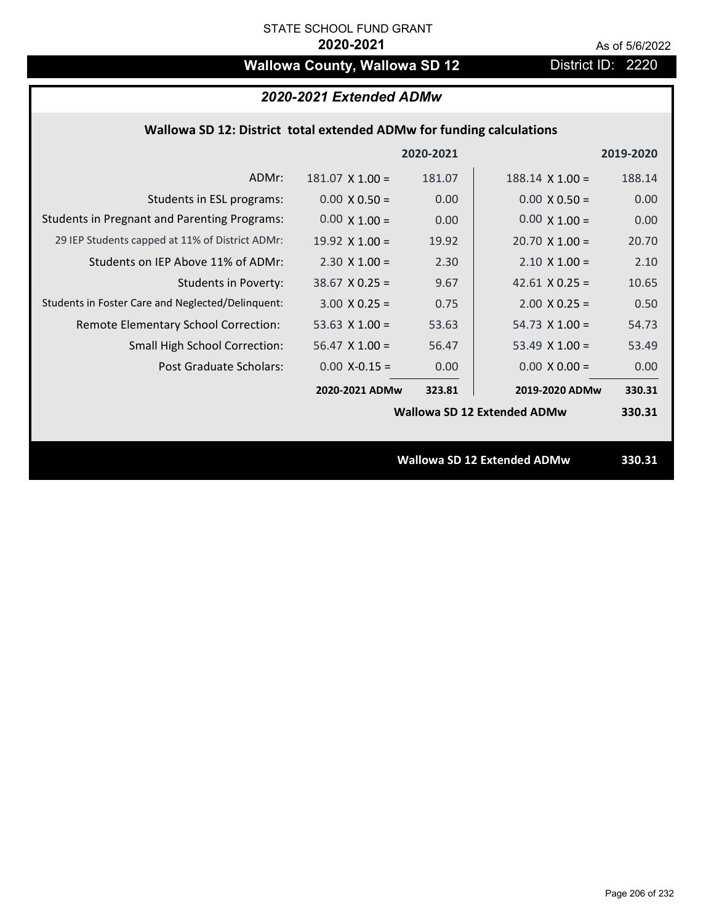# **Wallowa County, Wallowa SD 12** District ID: 2220

## **Wallowa SD 12: District total extended ADMw for funding calculations**

|                                                     |                       | 2020-2021 |                                    | 2019-2020 |
|-----------------------------------------------------|-----------------------|-----------|------------------------------------|-----------|
| ADMr:                                               | $181.07$ X $1.00 =$   | 181.07    | $188.14 \times 1.00 =$             | 188.14    |
| Students in ESL programs:                           | $0.00 \times 0.50 =$  | 0.00      | $0.00 \times 0.50 =$               | 0.00      |
| <b>Students in Pregnant and Parenting Programs:</b> | $0.00 \times 1.00 =$  | 0.00      | $0.00 \times 1.00 =$               | 0.00      |
| 29 IEP Students capped at 11% of District ADMr:     | $19.92 \times 1.00 =$ | 19.92     | $20.70 \times 1.00 =$              | 20.70     |
| Students on IEP Above 11% of ADMr:                  | $2.30 \times 1.00 =$  | 2.30      | $2.10 \times 1.00 =$               | 2.10      |
| <b>Students in Poverty:</b>                         | $38.67$ X 0.25 =      | 9.67      | 42.61 $\times$ 0.25 =              | 10.65     |
| Students in Foster Care and Neglected/Delinquent:   | $3.00 \times 0.25 =$  | 0.75      | $2.00 \times 0.25 =$               | 0.50      |
| Remote Elementary School Correction:                | 53.63 $X$ 1.00 =      | 53.63     | $54.73 \times 1.00 =$              | 54.73     |
| <b>Small High School Correction:</b>                | $56.47 \times 1.00 =$ | 56.47     | 53.49 $X$ 1.00 =                   | 53.49     |
| Post Graduate Scholars:                             | $0.00$ X-0.15 =       | 0.00      | $0.00 \times 0.00 =$               | 0.00      |
|                                                     | 2020-2021 ADMw        | 323.81    | 2019-2020 ADMw                     | 330.31    |
|                                                     |                       |           | <b>Wallowa SD 12 Extended ADMw</b> | 330.31    |
|                                                     |                       |           |                                    |           |
|                                                     |                       |           | <b>Wallowa SD 12 Extended ADMw</b> | 330.31    |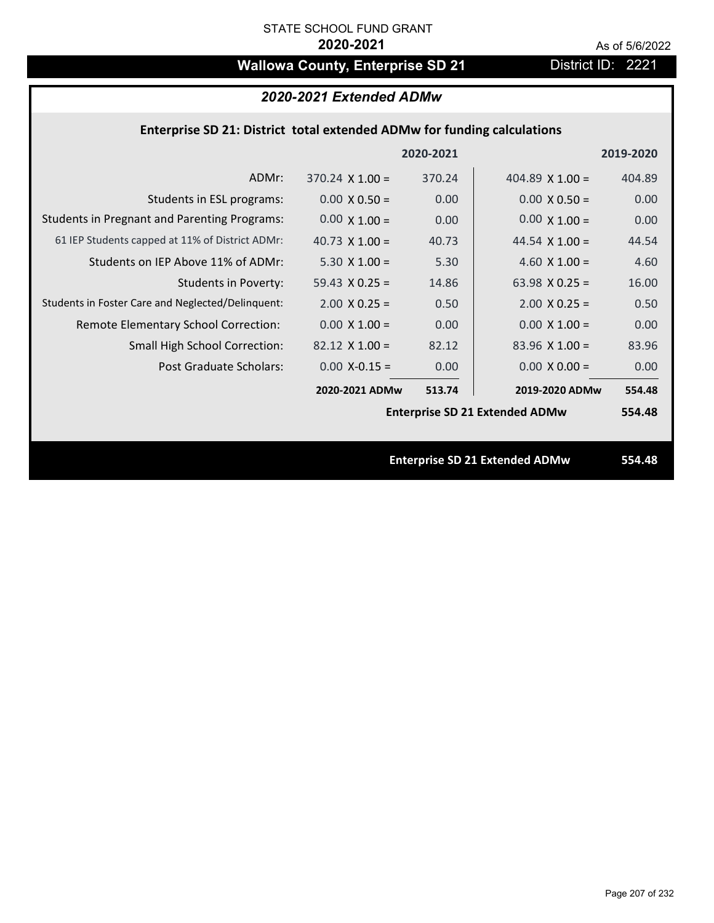# Wallowa County, Enterprise SD 21 District ID: 2221

| 2020-2021 Extended ADMw |
|-------------------------|
|-------------------------|

## **Enterprise SD 21: District total extended ADMw for funding calculations**

|                                                     |                        | 2020-2021 |                                       | 2019-2020 |
|-----------------------------------------------------|------------------------|-----------|---------------------------------------|-----------|
| ADMr:                                               | $370.24 \times 1.00 =$ | 370.24    | 404.89 $X$ 1.00 =                     | 404.89    |
| Students in ESL programs:                           | $0.00 \times 0.50 =$   | 0.00      | $0.00 \times 0.50 =$                  | 0.00      |
| <b>Students in Pregnant and Parenting Programs:</b> | $0.00 \times 1.00 =$   | 0.00      | $0.00 \times 1.00 =$                  | 0.00      |
| 61 IEP Students capped at 11% of District ADMr:     | 40.73 $\times$ 1.00 =  | 40.73     | 44.54 $\times$ 1.00 =                 | 44.54     |
| Students on IEP Above 11% of ADMr:                  | $5.30 \times 1.00 =$   | 5.30      | 4.60 $X$ 1.00 =                       | 4.60      |
| <b>Students in Poverty:</b>                         | 59.43 $X$ 0.25 =       | 14.86     | 63.98 $X$ 0.25 =                      | 16.00     |
| Students in Foster Care and Neglected/Delinquent:   | $2.00 \times 0.25 =$   | 0.50      | $2.00 \times 0.25 =$                  | 0.50      |
| Remote Elementary School Correction:                | $0.00 \times 1.00 =$   | 0.00      | $0.00 \times 1.00 =$                  | 0.00      |
| <b>Small High School Correction:</b>                | $82.12 \times 1.00 =$  | 82.12     | $83.96$ X 1.00 =                      | 83.96     |
| Post Graduate Scholars:                             | $0.00$ X-0.15 =        | 0.00      | $0.00 \times 0.00 =$                  | 0.00      |
|                                                     | 2020-2021 ADMw         | 513.74    | 2019-2020 ADMw                        | 554.48    |
|                                                     |                        |           | <b>Enterprise SD 21 Extended ADMw</b> | 554.48    |
|                                                     |                        |           |                                       |           |
|                                                     |                        |           | <b>Enterprise SD 21 Extended ADMw</b> | 554.48    |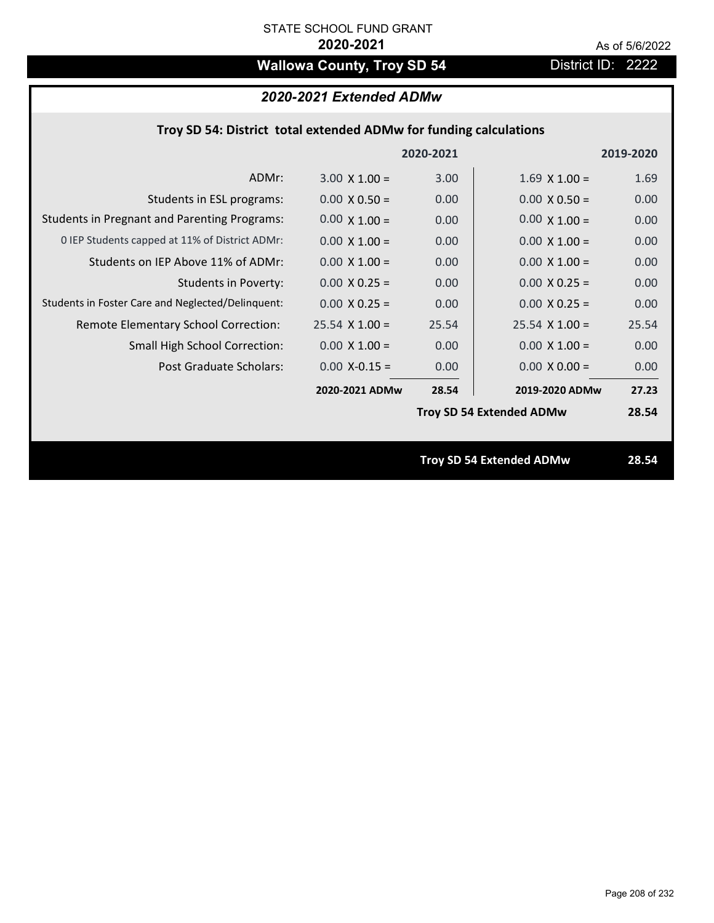# **Wallowa County, Troy SD 54** District ID: 2222

# *2020-2021 Extended ADMw*

|                                                     |                      | 2020-2021         |                                 | 2019-2020 |
|-----------------------------------------------------|----------------------|-------------------|---------------------------------|-----------|
| ADMr:                                               | $3.00 \times 1.00 =$ | 3.00              | $1.69$ X $1.00 =$               | 1.69      |
| Students in ESL programs:                           | $0.00 \times 0.50 =$ | 0.00              | $0.00 \times 0.50 =$            | 0.00      |
| <b>Students in Pregnant and Parenting Programs:</b> | $0.00 \times 1.00 =$ | 0.00              | $0.00 \times 1.00 =$            | 0.00      |
| 0 IEP Students capped at 11% of District ADMr:      | $0.00 \times 1.00 =$ | 0.00              | $0.00 \times 1.00 =$            | 0.00      |
| Students on IEP Above 11% of ADMr:                  | $0.00 \times 1.00 =$ | 0.00 <sub>1</sub> | $0.00 X 1.00 =$                 | 0.00      |
| <b>Students in Poverty:</b>                         | $0.00 X 0.25 =$      | 0.00 <sub>1</sub> | $0.00 X 0.25 =$                 | 0.00      |
| Students in Foster Care and Neglected/Delinquent:   | $0.00 \times 0.25 =$ | 0.00 <sub>1</sub> | $0.00 \times 0.25 =$            | 0.00      |
| Remote Elementary School Correction:                | $25.54$ X 1.00 =     | 25.54             | $25.54$ X 1.00 =                | 25.54     |
| <b>Small High School Correction:</b>                | $0.00 \times 1.00 =$ | 0.00 <sub>1</sub> | $0.00 \times 1.00 =$            | 0.00      |
| Post Graduate Scholars:                             | $0.00 X - 0.15 =$    | 0.00              | $0.00 \times 0.00 =$            | 0.00      |
|                                                     | 2020-2021 ADMw       | 28.54             | 2019-2020 ADMw                  | 27.23     |
|                                                     |                      |                   | <b>Troy SD 54 Extended ADMw</b> | 28.54     |
|                                                     |                      |                   |                                 |           |
|                                                     |                      |                   | <b>Troy SD 54 Extended ADMw</b> | 28.54     |
|                                                     |                      |                   |                                 |           |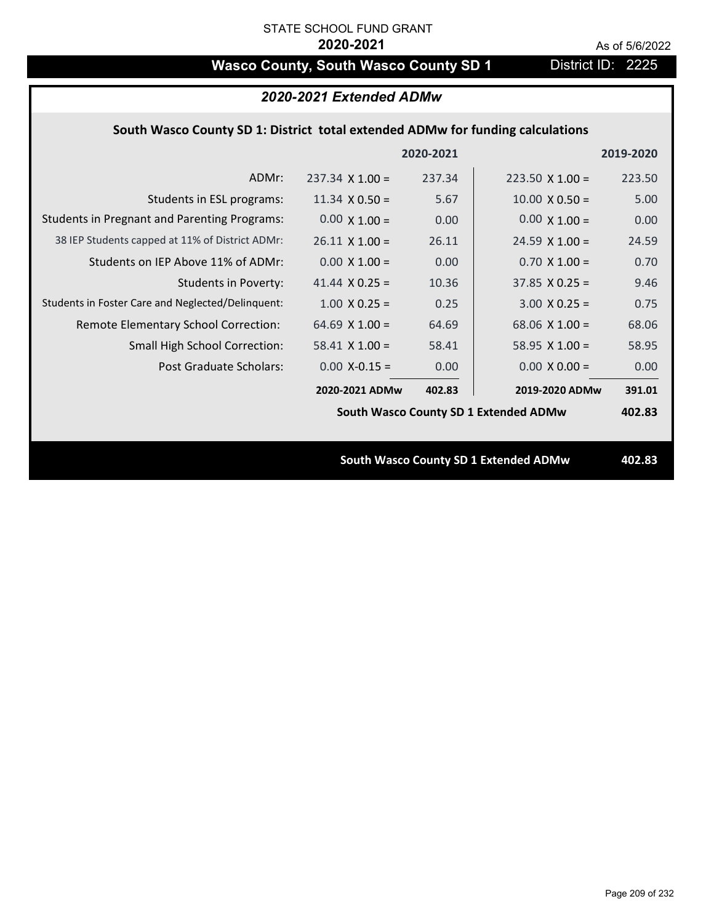# **Wasco County, South Wasco County SD 1** District ID: 2225

| 2020-2021 Extended ADMw                                                        |                        |           |                                              |           |  |
|--------------------------------------------------------------------------------|------------------------|-----------|----------------------------------------------|-----------|--|
| South Wasco County SD 1: District total extended ADMw for funding calculations |                        |           |                                              |           |  |
|                                                                                |                        | 2020-2021 |                                              | 2019-2020 |  |
| ADMr:                                                                          | $237.34 \times 1.00 =$ | 237.34    | $223.50 \times 1.00 =$                       | 223.50    |  |
| Students in ESL programs:                                                      | 11.34 $\times$ 0.50 =  | 5.67      | $10.00 \times 0.50 =$                        | 5.00      |  |
| <b>Students in Pregnant and Parenting Programs:</b>                            | $0.00 \times 1.00 =$   | 0.00      | $0.00 \times 1.00 =$                         | 0.00      |  |
| 38 IEP Students capped at 11% of District ADMr:                                | $26.11 \times 1.00 =$  | 26.11     | $24.59 \times 1.00 =$                        | 24.59     |  |
| Students on IEP Above 11% of ADMr:                                             | $0.00 \times 1.00 =$   | 0.00      | $0.70 \times 1.00 =$                         | 0.70      |  |
| <b>Students in Poverty:</b>                                                    | 41.44 $X$ 0.25 =       | 10.36     | $37.85$ X 0.25 =                             | 9.46      |  |
| Students in Foster Care and Neglected/Delinquent:                              | $1.00 \times 0.25 =$   | 0.25      | $3.00 \times 0.25 =$                         | 0.75      |  |
| Remote Elementary School Correction:                                           | 64.69 $X$ 1.00 =       | 64.69     | 68.06 $X$ 1.00 =                             | 68.06     |  |
| <b>Small High School Correction:</b>                                           | $58.41$ X 1.00 =       | 58.41     | 58.95 $X$ 1.00 =                             | 58.95     |  |
| Post Graduate Scholars:                                                        | $0.00$ X-0.15 =        | 0.00      | $0.00 \times 0.00 =$                         | 0.00      |  |
|                                                                                | 2020-2021 ADMw         | 402.83    | 2019-2020 ADMw                               | 391.01    |  |
|                                                                                |                        |           | South Wasco County SD 1 Extended ADMw        | 402.83    |  |
|                                                                                |                        |           |                                              |           |  |
|                                                                                |                        |           | <b>South Wasco County SD 1 Extended ADMw</b> | 402.83    |  |
|                                                                                |                        |           |                                              |           |  |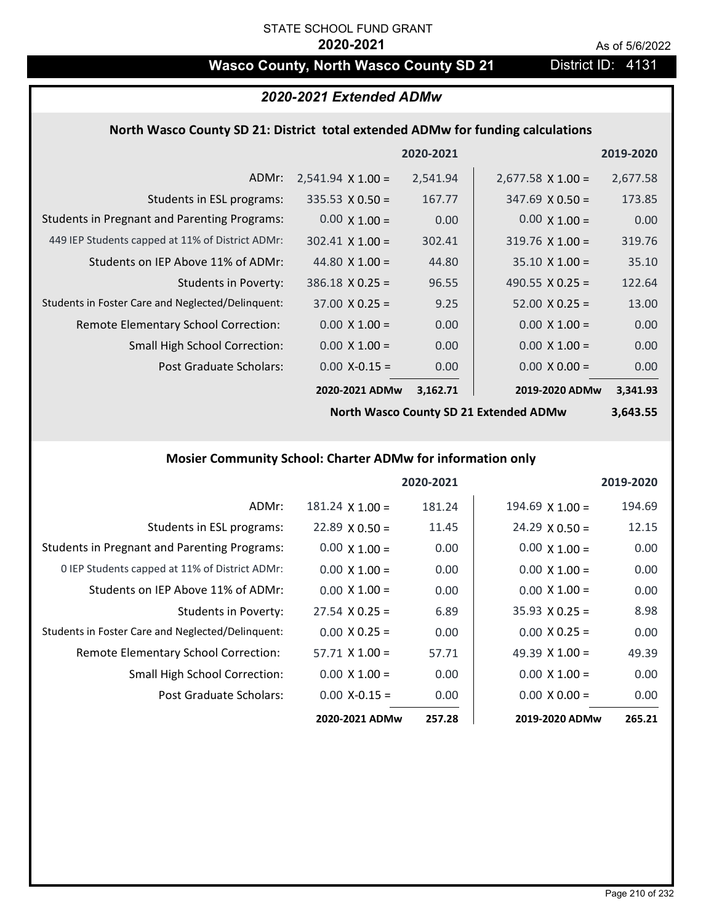# Wasco County, North Wasco County SD 21 District ID: 4131

## *2020-2021 Extended ADMw*

### **North Wasco County SD 21: District total extended ADMw for funding calculations**

|                                                     |                          | 2020-2021 |                          | 2019-2020 |
|-----------------------------------------------------|--------------------------|-----------|--------------------------|-----------|
| ADMr:                                               | $2,541.94 \times 1.00 =$ | 2,541.94  | $2,677.58 \times 1.00 =$ | 2,677.58  |
| Students in ESL programs:                           | $335.53 \times 0.50 =$   | 167.77    | $347.69 \times 0.50 =$   | 173.85    |
| <b>Students in Pregnant and Parenting Programs:</b> | $0.00 \times 1.00 =$     | 0.00      | $0.00 \times 1.00 =$     | 0.00      |
| 449 IEP Students capped at 11% of District ADMr:    | $302.41$ X 1.00 =        | 302.41    | $319.76 \times 1.00 =$   | 319.76    |
| Students on IEP Above 11% of ADMr:                  | 44.80 $\times$ 1.00 =    | 44.80     | $35.10 \times 1.00 =$    | 35.10     |
| <b>Students in Poverty:</b>                         | $386.18 \times 0.25 =$   | 96.55     | 490.55 $\lambda$ 0.25 =  | 122.64    |
| Students in Foster Care and Neglected/Delinquent:   | $37.00 \times 0.25 =$    | 9.25      | $52.00 \times 0.25 =$    | 13.00     |
| Remote Elementary School Correction:                | $0.00 \times 1.00 =$     | 0.00      | $0.00 \times 1.00 =$     | 0.00      |
| <b>Small High School Correction:</b>                | $0.00 \times 1.00 =$     | 0.00      | $0.00 \times 1.00 =$     | 0.00      |
| Post Graduate Scholars:                             | $0.00$ X-0.15 =          | 0.00      | $0.00 \times 0.00 =$     | 0.00      |
|                                                     | 2020-2021 ADMw           | 3,162.71  | 2019-2020 ADMw           | 3,341.93  |

**North Wasco County SD 21 Extended ADMw**

# **3,643.55**

# **Mosier Community School: Charter ADMw for information only**

|                                                     |                       | 2020-2021 |                       | 2019-2020 |
|-----------------------------------------------------|-----------------------|-----------|-----------------------|-----------|
| ADMr:                                               | $181.24$ X $1.00 =$   | 181.24    | $194.69$ X 1.00 =     | 194.69    |
| Students in ESL programs:                           | $22.89 \times 0.50 =$ | 11.45     | $24.29 \times 0.50 =$ | 12.15     |
| <b>Students in Pregnant and Parenting Programs:</b> | $0.00 \times 1.00 =$  | 0.00      | $0.00 \times 1.00 =$  | 0.00      |
| 0 IEP Students capped at 11% of District ADMr:      | $0.00 \times 1.00 =$  | 0.00      | $0.00 \times 1.00 =$  | 0.00      |
| Students on IEP Above 11% of ADMr:                  | $0.00 \times 1.00 =$  | 0.00      | $0.00 \times 1.00 =$  | 0.00      |
| Students in Poverty:                                | $27.54 \times 0.25 =$ | 6.89      | $35.93 \times 0.25 =$ | 8.98      |
| Students in Foster Care and Neglected/Delinquent:   | $0.00 \times 0.25 =$  | 0.00      | $0.00 \times 0.25 =$  | 0.00      |
| Remote Elementary School Correction:                | $57.71 \times 1.00 =$ | 57.71     | 49.39 $\times$ 1.00 = | 49.39     |
| <b>Small High School Correction:</b>                | $0.00 \times 1.00 =$  | 0.00      | $0.00 \times 1.00 =$  | 0.00      |
| Post Graduate Scholars:                             | $0.00 X - 0.15 =$     | 0.00      | $0.00 \times 0.00 =$  | 0.00      |
|                                                     | 2020-2021 ADMw        | 257.28    | 2019-2020 ADMw        | 265.21    |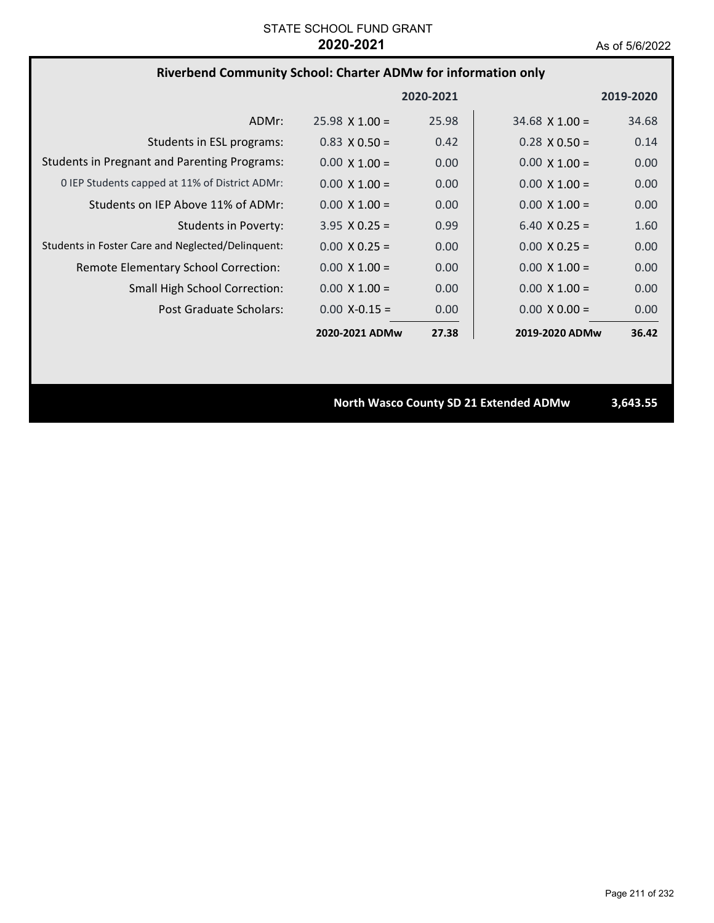# **Riverbend Community School: Charter ADMw for information only**

|                                                     |                       | 2020-2021 |                       | 2019-2020 |
|-----------------------------------------------------|-----------------------|-----------|-----------------------|-----------|
| ADMr:                                               | $25.98 \times 1.00 =$ | 25.98     | $34.68 \times 1.00 =$ | 34.68     |
| Students in ESL programs:                           | $0.83 \times 0.50 =$  | 0.42      | $0.28 \times 0.50 =$  | 0.14      |
| <b>Students in Pregnant and Parenting Programs:</b> | $0.00 \times 1.00 =$  | 0.00      | $0.00 \times 1.00 =$  | 0.00      |
| 0 IEP Students capped at 11% of District ADMr:      | $0.00 \times 1.00 =$  | 0.00      | $0.00 \times 1.00 =$  | 0.00      |
| Students on IEP Above 11% of ADMr:                  | $0.00 \times 1.00 =$  | 0.00      | $0.00 \times 1.00 =$  | 0.00      |
| Students in Poverty:                                | $3.95 \times 0.25 =$  | 0.99      | $6.40 \times 0.25 =$  | 1.60      |
| Students in Foster Care and Neglected/Delinguent:   | $0.00 \times 0.25 =$  | 0.00      | $0.00 \times 0.25 =$  | 0.00      |
| Remote Elementary School Correction:                | $0.00 \times 1.00 =$  | 0.00      | $0.00 \times 1.00 =$  | 0.00      |
| <b>Small High School Correction:</b>                | $0.00 \times 1.00 =$  | 0.00      | $0.00 \times 1.00 =$  | 0.00      |
| Post Graduate Scholars:                             | $0.00 X - 0.15 =$     | 0.00      | $0.00 \times 0.00 =$  | 0.00      |
|                                                     | 2020-2021 ADMw        | 27.38     | 2019-2020 ADMw        | 36.42     |

**North Wasco County SD 21 Extended ADMw 3,643.55**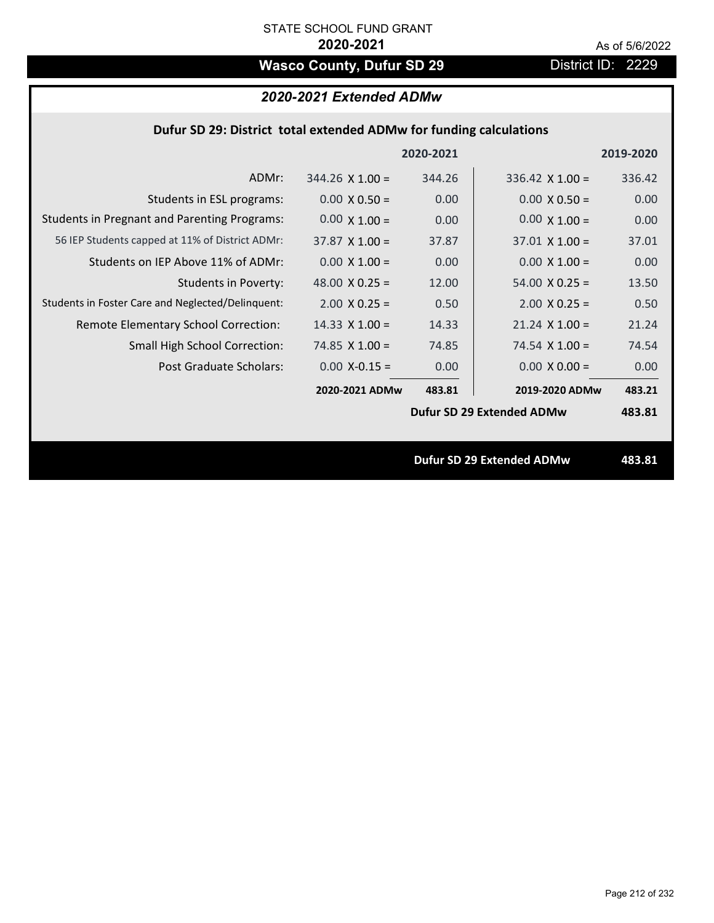# Wasco County, Dufur SD 29 District ID: 2229

# *2020-2021 Extended ADMw*

## **Dufur SD 29: District total extended ADMw for funding calculations**

|                                                     |                       | 2020-2021 |                                  | 2019-2020 |
|-----------------------------------------------------|-----------------------|-----------|----------------------------------|-----------|
| ADMr:                                               | $344.26$ X 1.00 =     | 344.26    | $336.42$ X 1.00 =                | 336.42    |
| Students in ESL programs:                           | $0.00 \times 0.50 =$  | 0.00      | $0.00 \times 0.50 =$             | 0.00      |
| <b>Students in Pregnant and Parenting Programs:</b> | $0.00 \times 1.00 =$  | 0.00      | $0.00 \times 1.00 =$             | 0.00      |
| 56 IEP Students capped at 11% of District ADMr:     | $37.87 \times 1.00 =$ | 37.87     | $37.01 \times 1.00 =$            | 37.01     |
| Students on IEP Above 11% of ADMr:                  | $0.00 \times 1.00 =$  | 0.00      | $0.00 \times 1.00 =$             | 0.00      |
| Students in Poverty:                                | 48.00 $X$ 0.25 =      | 12.00     | $54.00 \times 0.25 =$            | 13.50     |
| Students in Foster Care and Neglected/Delinquent:   | $2.00 \times 0.25 =$  | 0.50      | $2.00 \times 0.25 =$             | 0.50      |
| Remote Elementary School Correction:                | $14.33 \times 1.00 =$ | 14.33     | $21.24 \times 1.00 =$            | 21.24     |
| <b>Small High School Correction:</b>                | 74.85 $\times$ 1.00 = | 74.85     | $74.54 \times 1.00 =$            | 74.54     |
| Post Graduate Scholars:                             | $0.00$ X-0.15 =       | 0.00      | $0.00 \times 0.00 =$             | 0.00      |
|                                                     | 2020-2021 ADMw        | 483.81    | 2019-2020 ADMw                   | 483.21    |
|                                                     |                       |           | Dufur SD 29 Extended ADMw        | 483.81    |
|                                                     |                       |           |                                  |           |
|                                                     |                       |           | <b>Dufur SD 29 Extended ADMw</b> | 483.81    |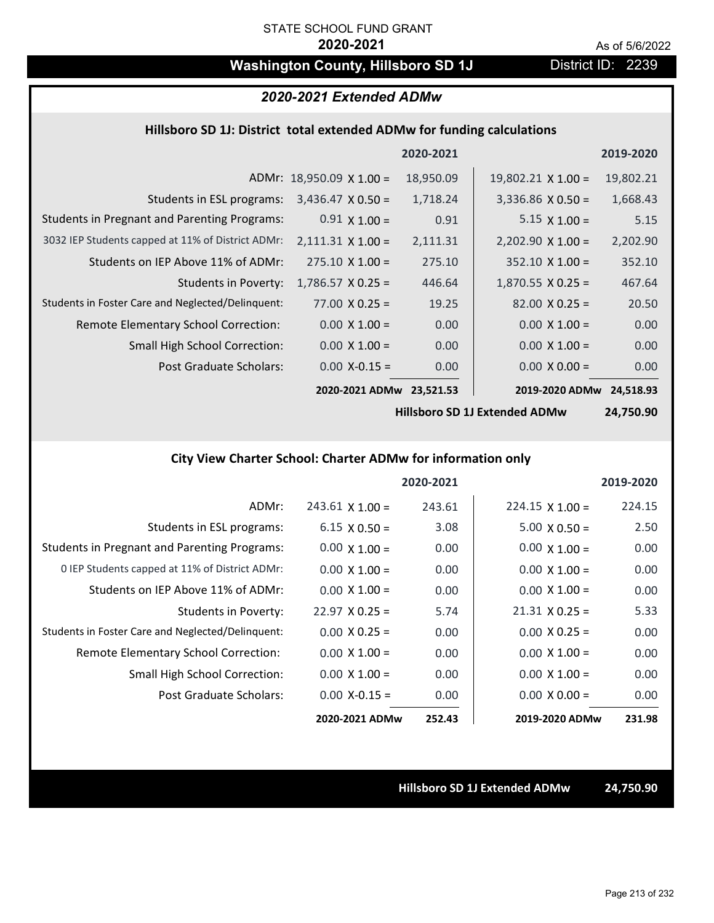# **Washington County, Hillsboro SD 1J** District ID: 2239

# *2020-2021 Extended ADMw*

### **Hillsboro SD 1J: District total extended ADMw for funding calculations**

|                                                     |                                 | 2020-2021 |                           | 2019-2020 |
|-----------------------------------------------------|---------------------------------|-----------|---------------------------|-----------|
|                                                     | ADMr: $18,950.09 \times 1.00 =$ | 18,950.09 | $19,802.21 \times 1.00 =$ | 19,802.21 |
| Students in ESL programs:                           | $3,436.47 \times 0.50 =$        | 1,718.24  | $3,336.86 \times 0.50 =$  | 1,668.43  |
| <b>Students in Pregnant and Parenting Programs:</b> | $0.91 \times 1.00 =$            | 0.91      | $5.15 \times 1.00 =$      | 5.15      |
| 3032 IEP Students capped at 11% of District ADMr:   | $2,111.31 \times 1.00 =$        | 2,111.31  | $2,202.90 \times 1.00 =$  | 2,202.90  |
| Students on IEP Above 11% of ADMr:                  | $275.10 \times 1.00 =$          | 275.10    | $352.10 \times 1.00 =$    | 352.10    |
| <b>Students in Poverty:</b>                         | $1,786.57 \times 0.25 =$        | 446.64    | $1,870.55 \times 0.25 =$  | 467.64    |
| Students in Foster Care and Neglected/Delinquent:   | $77.00 \times 0.25 =$           | 19.25     | $82.00 \times 0.25 =$     | 20.50     |
| Remote Elementary School Correction:                | $0.00 \times 1.00 =$            | 0.00      | $0.00 \times 1.00 =$      | 0.00      |
| <b>Small High School Correction:</b>                | $0.00 \times 1.00 =$            | 0.00      | $0.00 \times 1.00 =$      | 0.00      |
| Post Graduate Scholars:                             | $0.00$ X-0.15 =                 | 0.00      | $0.00 \times 0.00 =$      | 0.00      |
|                                                     | 2020-2021 ADMw                  | 23,521.53 | 2019-2020 ADMw            | 24,518.93 |

**Hillsboro SD 1J Extended ADMw**

**24,750.90**

# **City View Charter School: Charter ADMw for information only**

|                                                     |                        | 2020-2021 |                        | 2019-2020 |
|-----------------------------------------------------|------------------------|-----------|------------------------|-----------|
| ADMr:                                               | $243.61 \times 1.00 =$ | 243.61    | $224.15 \times 1.00 =$ | 224.15    |
| Students in ESL programs:                           | $6.15 \times 0.50 =$   | 3.08      | $5.00 \times 0.50 =$   | 2.50      |
| <b>Students in Pregnant and Parenting Programs:</b> | $0.00 \times 1.00 =$   | 0.00      | $0.00 \times 1.00 =$   | 0.00      |
| 0 IEP Students capped at 11% of District ADMr:      | $0.00 \times 1.00 =$   | 0.00      | $0.00 \times 1.00 =$   | 0.00      |
| Students on IEP Above 11% of ADMr:                  | $0.00 \times 1.00 =$   | 0.00      | $0.00 \times 1.00 =$   | 0.00      |
| Students in Poverty:                                | $22.97 \times 0.25 =$  | 5.74      | $21.31 \times 0.25 =$  | 5.33      |
| Students in Foster Care and Neglected/Delinquent:   | $0.00 \times 0.25 =$   | 0.00      | $0.00 \times 0.25 =$   | 0.00      |
| Remote Elementary School Correction:                | $0.00 \times 1.00 =$   | 0.00      | $0.00 \times 1.00 =$   | 0.00      |
| <b>Small High School Correction:</b>                | $0.00 \times 1.00 =$   | 0.00      | $0.00 \times 1.00 =$   | 0.00      |
| Post Graduate Scholars:                             | $0.00$ X-0.15 =        | 0.00      | $0.00 \times 0.00 =$   | 0.00      |
|                                                     | 2020-2021 ADMw         | 252.43    | 2019-2020 ADMw         | 231.98    |

**Hillsboro SD 1J Extended ADMw 24,750.90**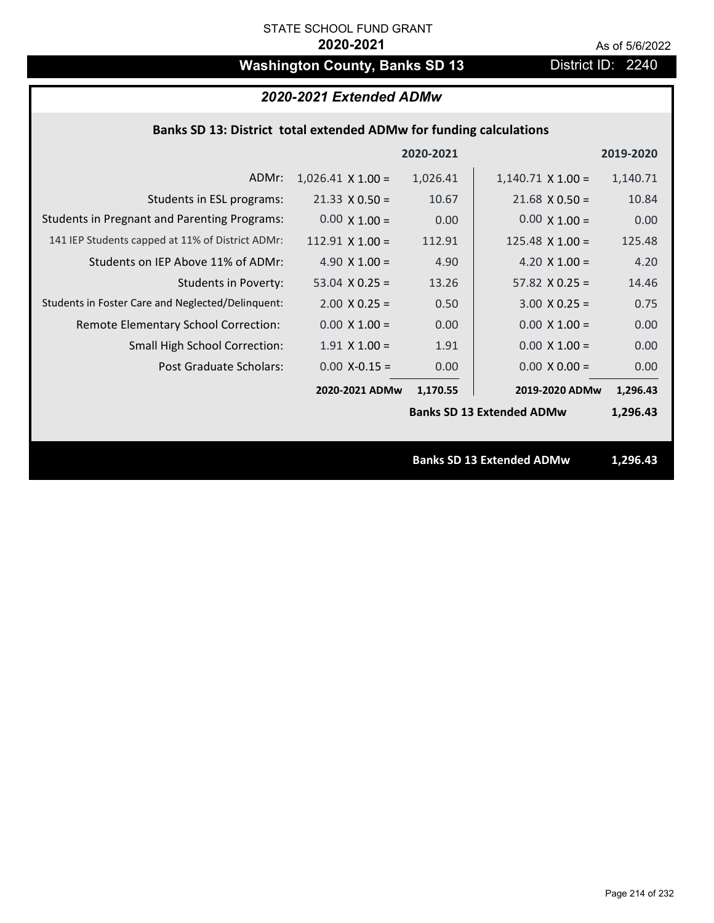# **Washington County, Banks SD 13** District ID: 2240

# *2020-2021 Extended ADMw*

## **Banks SD 13: District total extended ADMw for funding calculations**

|                                                     |                          | 2020-2021 |                                  | 2019-2020 |  |
|-----------------------------------------------------|--------------------------|-----------|----------------------------------|-----------|--|
| ADMr:                                               | $1,026.41 \times 1.00 =$ | 1,026.41  | $1,140.71 \times 1.00 =$         | 1,140.71  |  |
| Students in ESL programs:                           | $21.33 \times 0.50 =$    | 10.67     | $21.68 \times 0.50 =$            | 10.84     |  |
| <b>Students in Pregnant and Parenting Programs:</b> | $0.00 \times 1.00 =$     | 0.00      | $0.00 \times 1.00 =$             | 0.00      |  |
| 141 IEP Students capped at 11% of District ADMr:    | $112.91$ X $1.00 =$      | 112.91    | $125.48 \times 1.00 =$           | 125.48    |  |
| Students on IEP Above 11% of ADMr:                  | 4.90 $X$ 1.00 =          | 4.90      | 4.20 $X$ 1.00 =                  | 4.20      |  |
| <b>Students in Poverty:</b>                         | 53.04 $X$ 0.25 =         | 13.26     | $57.82 \times 0.25 =$            | 14.46     |  |
| Students in Foster Care and Neglected/Delinquent:   | $2.00 \times 0.25 =$     | 0.50      | $3.00 X 0.25 =$                  | 0.75      |  |
| Remote Elementary School Correction:                | $0.00 \times 1.00 =$     | 0.00      | $0.00 \times 1.00 =$             | 0.00      |  |
| <b>Small High School Correction:</b>                | $1.91$ X $1.00 =$        | 1.91      | $0.00 \times 1.00 =$             | 0.00      |  |
| Post Graduate Scholars:                             | $0.00$ X-0.15 =          | 0.00      | $0.00 \times 0.00 =$             | 0.00      |  |
|                                                     | 2020-2021 ADMw           | 1,170.55  | 2019-2020 ADMw                   | 1,296.43  |  |
|                                                     |                          |           | <b>Banks SD 13 Extended ADMw</b> | 1,296.43  |  |
|                                                     |                          |           |                                  |           |  |
|                                                     |                          |           | <b>Banks SD 13 Extended ADMw</b> | 1,296.43  |  |
|                                                     |                          |           |                                  |           |  |

Page 214 of 232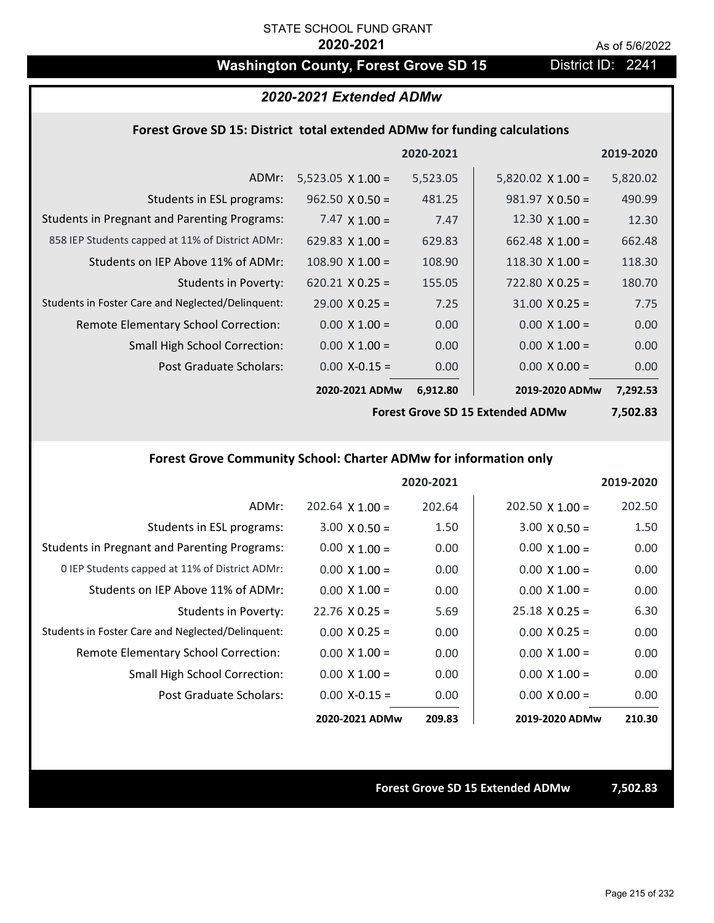# Washington County, Forest Grove SD 15 District ID: 2241

### *2020-2021 Extended ADMw*

### **Forest Grove SD 15: District total extended ADMw for funding calculations**

|                                                     |                          | 2020-2021 |                          | 2019-2020 |
|-----------------------------------------------------|--------------------------|-----------|--------------------------|-----------|
| ADMr:                                               | $5,523.05 \times 1.00 =$ | 5,523.05  | $5,820.02 \times 1.00 =$ | 5,820.02  |
| Students in ESL programs:                           | $962.50 \times 0.50 =$   | 481.25    | $981.97 \times 0.50 =$   | 490.99    |
| <b>Students in Pregnant and Parenting Programs:</b> | 7.47 $\times$ 1.00 =     | 7.47      | 12.30 $\times$ 1.00 =    | 12.30     |
| 858 IEP Students capped at 11% of District ADMr:    | 629.83 $\times$ 1.00 =   | 629.83    | $662.48 \times 1.00 =$   | 662.48    |
| Students on IEP Above 11% of ADMr:                  | $108.90 \times 1.00 =$   | 108.90    | $118.30 \times 1.00 =$   | 118.30    |
| <b>Students in Poverty:</b>                         | $620.21$ X 0.25 =        | 155.05    | $722.80 \times 0.25 =$   | 180.70    |
| Students in Foster Care and Neglected/Delinquent:   | $29.00 \times 0.25 =$    | 7.25      | $31.00 \times 0.25 =$    | 7.75      |
| Remote Elementary School Correction:                | $0.00 \times 1.00 =$     | 0.00      | $0.00 \times 1.00 =$     | 0.00      |
| <b>Small High School Correction:</b>                | $0.00 \times 1.00 =$     | 0.00      | $0.00 \times 1.00 =$     | 0.00      |
| Post Graduate Scholars:                             | $0.00$ X-0.15 =          | 0.00      | $0.00 \times 0.00 =$     | 0.00      |
|                                                     | 2020-2021 ADMw           | 6,912.80  | 2019-2020 ADMw           | 7,292.53  |

**Forest Grove SD 15 Extended ADMw**

**7,502.83**

## **Forest Grove Community School: Charter ADMw for information only**

|                                                     |                       | 2020-2021 |                        | 2019-2020 |
|-----------------------------------------------------|-----------------------|-----------|------------------------|-----------|
| ADMr:                                               | $202.64$ X 1.00 =     | 202.64    | $202.50 \times 1.00 =$ | 202.50    |
| Students in ESL programs:                           | $3.00 \times 0.50 =$  | 1.50      | $3.00 \times 0.50 =$   | 1.50      |
| <b>Students in Pregnant and Parenting Programs:</b> | $0.00 \times 1.00 =$  | 0.00      | $0.00 \times 1.00 =$   | 0.00      |
| 0 IEP Students capped at 11% of District ADMr:      | $0.00 \times 1.00 =$  | 0.00      | $0.00 \times 1.00 =$   | 0.00      |
| Students on IEP Above 11% of ADMr:                  | $0.00 \times 1.00 =$  | 0.00      | $0.00 \times 1.00 =$   | 0.00      |
| Students in Poverty:                                | $22.76 \times 0.25 =$ | 5.69      | $25.18 \times 0.25 =$  | 6.30      |
| Students in Foster Care and Neglected/Delinquent:   | $0.00 \times 0.25 =$  | 0.00      | $0.00 \times 0.25 =$   | 0.00      |
| Remote Elementary School Correction:                | $0.00 \times 1.00 =$  | 0.00      | $0.00 \times 1.00 =$   | 0.00      |
| <b>Small High School Correction:</b>                | $0.00 \times 1.00 =$  | 0.00      | $0.00 \times 1.00 =$   | 0.00      |
| Post Graduate Scholars:                             | $0.00$ X-0.15 =       | 0.00      | $0.00 \times 0.00 =$   | 0.00      |
|                                                     | 2020-2021 ADMw        | 209.83    | 2019-2020 ADMw         | 210.30    |

**Forest Grove SD 15 Extended ADMw 7,502.83**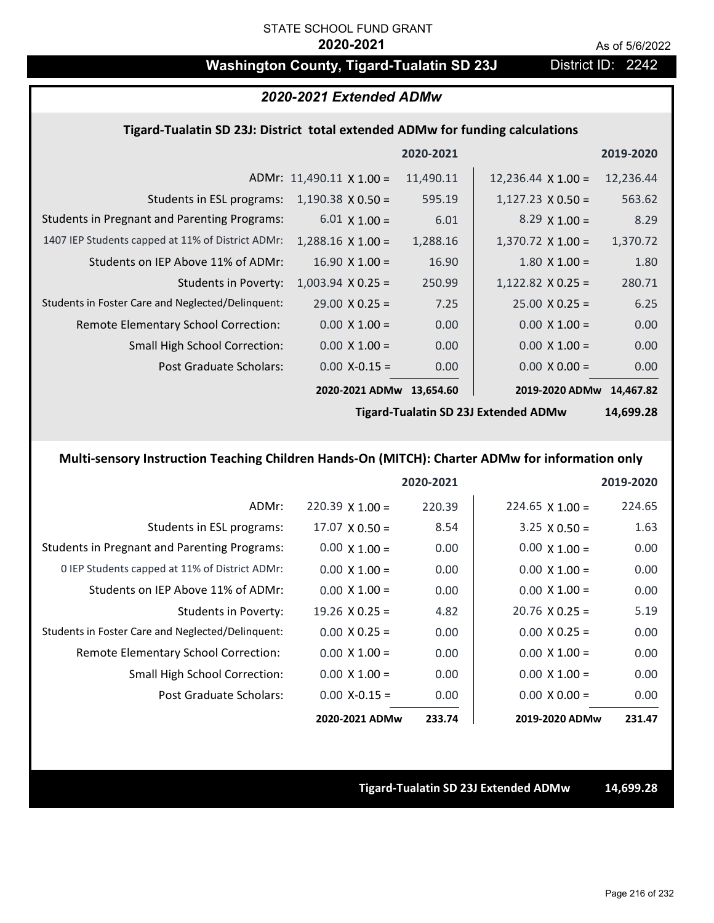# Washington County, Tigard-Tualatin SD 23J District ID: 2242

### *2020-2021 Extended ADMw*

### **Tigard‐Tualatin SD 23J: District total extended ADMw for funding calculations**

|                                                     |                          | 2020-2021 |                           | 2019-2020 |
|-----------------------------------------------------|--------------------------|-----------|---------------------------|-----------|
|                                                     | ADMr: 11,490.11 X 1.00 = | 11,490.11 | $12,236.44 \times 1.00 =$ | 12,236.44 |
| Students in ESL programs:                           | $1,190.38 \times 0.50 =$ | 595.19    | $1,127.23 \times 0.50 =$  | 563.62    |
| <b>Students in Pregnant and Parenting Programs:</b> | $6.01 \times 1.00 =$     | 6.01      | $8.29 \times 1.00 =$      | 8.29      |
| 1407 IEP Students capped at 11% of District ADMr:   | $1,288.16 \times 1.00 =$ | 1,288.16  | $1,370.72 \times 1.00 =$  | 1,370.72  |
| Students on IEP Above 11% of ADMr:                  | $16.90 \times 1.00 =$    | 16.90     | $1.80 \times 1.00 =$      | 1.80      |
| <b>Students in Poverty:</b>                         | $1,003.94$ X 0.25 =      | 250.99    | $1,122.82$ X 0.25 =       | 280.71    |
| Students in Foster Care and Neglected/Delinquent:   | $29.00 \times 0.25 =$    | 7.25      | $25.00 \times 0.25 =$     | 6.25      |
| Remote Elementary School Correction:                | $0.00 \times 1.00 =$     | 0.00      | $0.00 \times 1.00 =$      | 0.00      |
| <b>Small High School Correction:</b>                | $0.00 \times 1.00 =$     | 0.00      | $0.00 \times 1.00 =$      | 0.00      |
| Post Graduate Scholars:                             | $0.00$ X-0.15 =          | 0.00      | $0.00 \times 0.00 =$      | 0.00      |
|                                                     | 2020-2021 ADMw           | 13,654.60 | 2019-2020 ADMw            | 14,467.82 |
|                                                     |                          |           |                           |           |

**Tigard‐Tualatin SD 23J Extended ADMw**

**14,699.28**

# **Multi‐sensory Instruction Teaching Children Hands‐On (MITCH): Charter ADMw for information only**

|                                                     |                       | 2020-2021 |                       | 2019-2020 |
|-----------------------------------------------------|-----------------------|-----------|-----------------------|-----------|
| ADMr:                                               | $220.39$ X 1.00 =     | 220.39    | $224.65$ X 1.00 =     | 224.65    |
| Students in ESL programs:                           | $17.07 \times 0.50 =$ | 8.54      | $3.25 \times 0.50 =$  | 1.63      |
| <b>Students in Pregnant and Parenting Programs:</b> | $0.00 \times 1.00 =$  | 0.00      | $0.00 \times 1.00 =$  | 0.00      |
| 0 IEP Students capped at 11% of District ADMr:      | $0.00 \times 1.00 =$  | 0.00      | $0.00 \times 1.00 =$  | 0.00      |
| Students on IEP Above 11% of ADMr:                  | $0.00 \times 1.00 =$  | 0.00      | $0.00 \times 1.00 =$  | 0.00      |
| Students in Poverty:                                | $19.26 \times 0.25 =$ | 4.82      | $20.76 \times 0.25 =$ | 5.19      |
| Students in Foster Care and Neglected/Delinquent:   | $0.00 \times 0.25 =$  | 0.00      | $0.00 \times 0.25 =$  | 0.00      |
| <b>Remote Elementary School Correction:</b>         | $0.00 \times 1.00 =$  | 0.00      | $0.00 \times 1.00 =$  | 0.00      |
| <b>Small High School Correction:</b>                | $0.00 \times 1.00 =$  | 0.00      | $0.00 \times 1.00 =$  | 0.00      |
| Post Graduate Scholars:                             | $0.00$ X-0.15 =       | 0.00      | $0.00 \times 0.00 =$  | 0.00      |
|                                                     | 2020-2021 ADMw        | 233.74    | 2019-2020 ADMw        | 231.47    |

### **Tigard‐Tualatin SD 23J Extended ADMw 14,699.28**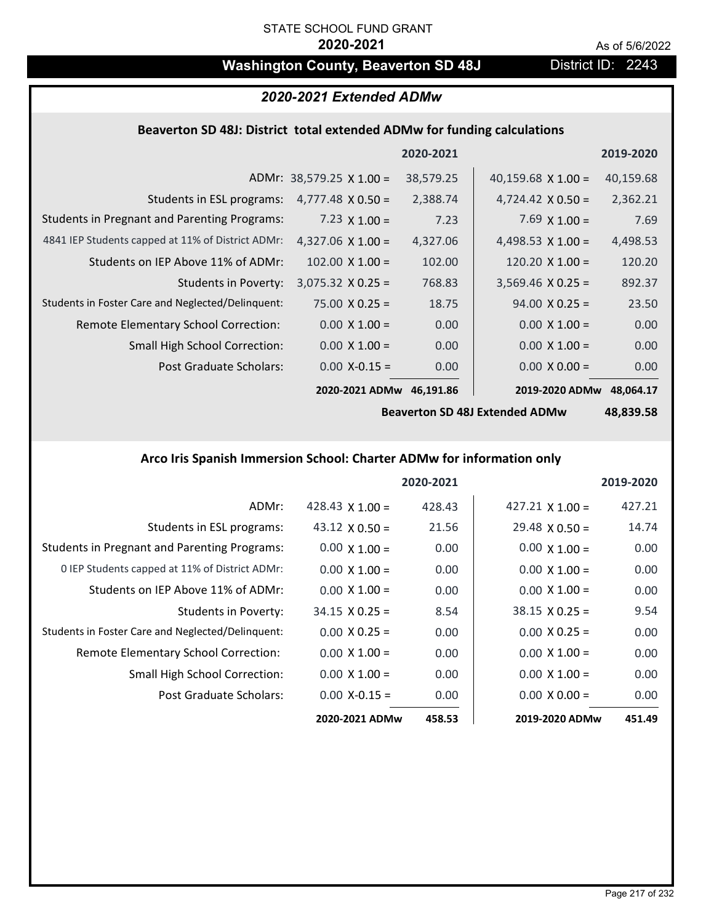# **Washington County, Beaverton SD 48J** District ID: 2243

# *2020-2021 Extended ADMw*

# **Beaverton SD 48J: District total extended ADMw for funding calculations**

|                                                     |                                 | 2020-2021 |                           | 2019-2020 |
|-----------------------------------------------------|---------------------------------|-----------|---------------------------|-----------|
|                                                     | ADMr: $38,579.25 \times 1.00 =$ | 38,579.25 | 40,159.68 $\times$ 1.00 = | 40,159.68 |
| Students in ESL programs:                           | $4,777.48 \times 0.50 =$        | 2,388.74  | $4,724.42 \times 0.50 =$  | 2,362.21  |
| <b>Students in Pregnant and Parenting Programs:</b> | 7.23 $\times$ 1.00 =            | 7.23      | 7.69 $\times$ 1.00 =      | 7.69      |
| 4841 IEP Students capped at 11% of District ADMr:   | $4,327.06 \times 1.00 =$        | 4,327.06  | 4,498.53 $\times$ 1.00 =  | 4,498.53  |
| Students on IEP Above 11% of ADMr:                  | $102.00 \times 1.00 =$          | 102.00    | $120.20 \times 1.00 =$    | 120.20    |
| <b>Students in Poverty:</b>                         | $3,075.32 \times 0.25 =$        | 768.83    | $3,569.46$ X 0.25 =       | 892.37    |
| Students in Foster Care and Neglected/Delinquent:   | $75.00 \times 0.25 =$           | 18.75     | $94.00 \times 0.25 =$     | 23.50     |
| Remote Elementary School Correction:                | $0.00 \times 1.00 =$            | 0.00      | $0.00 \times 1.00 =$      | 0.00      |
| <b>Small High School Correction:</b>                | $0.00 \times 1.00 =$            | 0.00      | $0.00 \times 1.00 =$      | 0.00      |
| Post Graduate Scholars:                             | $0.00$ X-0.15 =                 | 0.00      | $0.00 \times 0.00 =$      | 0.00      |
|                                                     | 2020-2021 ADMw                  | 46,191.86 | 2019-2020 ADMw            | 48,064.17 |

**Beaverton SD 48J Extended ADMw**

**48,839.58**

### **Arco Iris Spanish Immersion School: Charter ADMw for information only**

|                                                     |                        | 2020-2021 |                        | 2019-2020 |
|-----------------------------------------------------|------------------------|-----------|------------------------|-----------|
| ADMr:                                               | 428.43 $\times$ 1.00 = | 428.43    | $427.21 \times 1.00 =$ | 427.21    |
| Students in ESL programs:                           | 43.12 $\times$ 0.50 =  | 21.56     | $29.48 \times 0.50 =$  | 14.74     |
| <b>Students in Pregnant and Parenting Programs:</b> | $0.00 \times 1.00 =$   | 0.00      | $0.00 \times 1.00 =$   | 0.00      |
| 0 IEP Students capped at 11% of District ADMr:      | $0.00 \times 1.00 =$   | 0.00      | $0.00 \times 1.00 =$   | 0.00      |
| Students on IEP Above 11% of ADMr:                  | $0.00 \times 1.00 =$   | 0.00      | $0.00 \times 1.00 =$   | 0.00      |
| Students in Poverty:                                | $34.15 \times 0.25 =$  | 8.54      | $38.15 \times 0.25 =$  | 9.54      |
| Students in Foster Care and Neglected/Delinquent:   | $0.00 \times 0.25 =$   | 0.00      | $0.00 \times 0.25 =$   | 0.00      |
| Remote Elementary School Correction:                | $0.00 \times 1.00 =$   | 0.00      | $0.00 \times 1.00 =$   | 0.00      |
| <b>Small High School Correction:</b>                | $0.00 \times 1.00 =$   | 0.00      | $0.00 \times 1.00 =$   | 0.00      |
| Post Graduate Scholars:                             | $0.00$ X-0.15 =        | 0.00      | $0.00 \times 0.00 =$   | 0.00      |
|                                                     | 2020-2021 ADMw         | 458.53    | 2019-2020 ADMw         | 451.49    |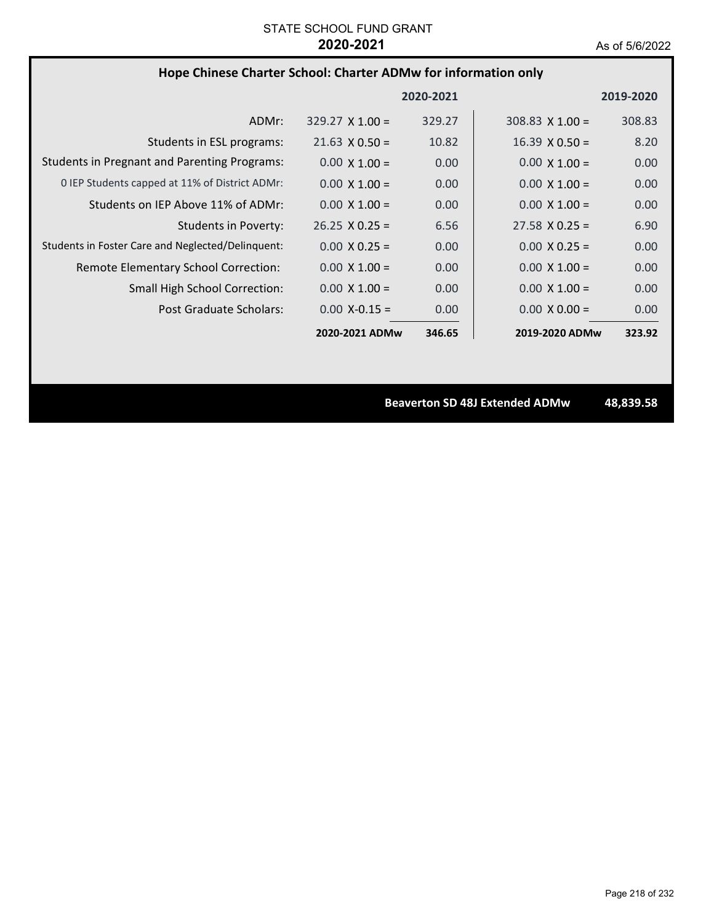# **Hope Chinese Charter School: Charter ADMw for information only**

|                                                     |                        | 2020-2021 |                        | 2019-2020 |
|-----------------------------------------------------|------------------------|-----------|------------------------|-----------|
| ADMr:                                               | $329.27 \times 1.00 =$ | 329.27    | $308.83 \times 1.00 =$ | 308.83    |
| Students in ESL programs:                           | $21.63 \times 0.50 =$  | 10.82     | $16.39 \times 0.50 =$  | 8.20      |
| <b>Students in Pregnant and Parenting Programs:</b> | $0.00 \times 1.00 =$   | 0.00      | $0.00 \times 1.00 =$   | 0.00      |
| 0 IEP Students capped at 11% of District ADMr:      | $0.00 \times 1.00 =$   | 0.00      | $0.00 \times 1.00 =$   | 0.00      |
| Students on IEP Above 11% of ADMr:                  | $0.00 \times 1.00 =$   | 0.00      | $0.00 \times 1.00 =$   | 0.00      |
| <b>Students in Poverty:</b>                         | $26.25 \times 0.25 =$  | 6.56      | $27.58 \times 0.25 =$  | 6.90      |
| Students in Foster Care and Neglected/Delinquent:   | $0.00 \times 0.25 =$   | 0.00      | $0.00 \times 0.25 =$   | 0.00      |
| Remote Elementary School Correction:                | $0.00 \times 1.00 =$   | 0.00      | $0.00 \times 1.00 =$   | 0.00      |
| <b>Small High School Correction:</b>                | $0.00 \times 1.00 =$   | 0.00      | $0.00 \times 1.00 =$   | 0.00      |
| Post Graduate Scholars:                             | $0.00 X - 0.15 =$      | 0.00      | $0.00 \times 0.00 =$   | 0.00      |
|                                                     | 2020-2021 ADMw         | 346.65    | 2019-2020 ADMw         | 323.92    |

**Beaverton SD 48J Extended ADMw 48,839.58**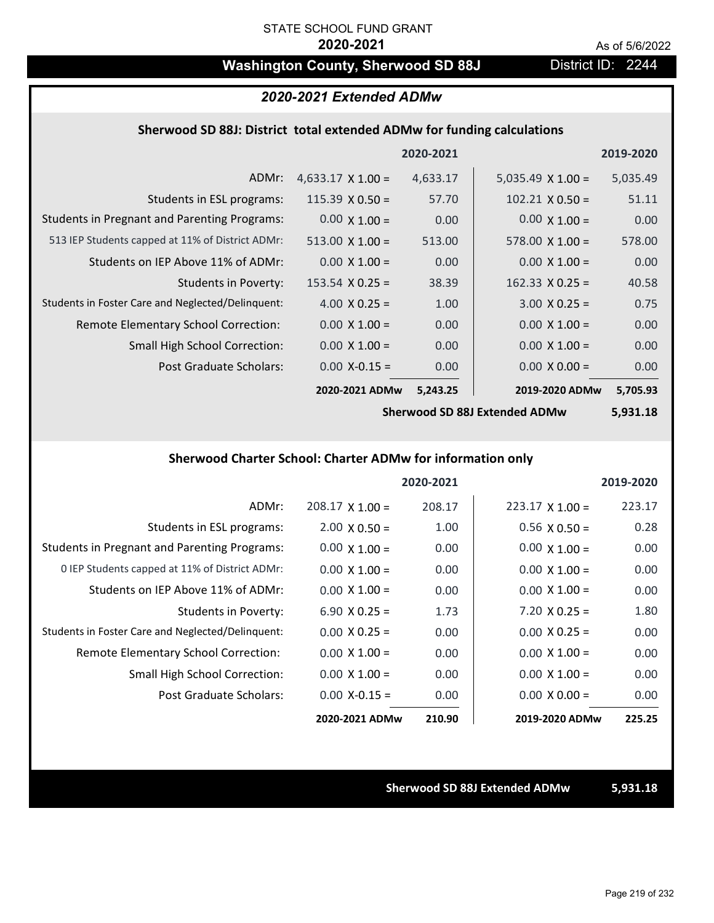# Washington County, Sherwood SD 88J District ID: 2244

### *2020-2021 Extended ADMw*

#### **Sherwood SD 88J: District total extended ADMw for funding calculations**

|                                                     |                          | 2020-2021 |                          | 2019-2020 |
|-----------------------------------------------------|--------------------------|-----------|--------------------------|-----------|
| ADMr:                                               | $4,633.17 \times 1.00 =$ | 4,633.17  | 5,035.49 $\times$ 1.00 = | 5,035.49  |
| Students in ESL programs:                           | $115.39 \times 0.50 =$   | 57.70     | $102.21 \times 0.50 =$   | 51.11     |
| <b>Students in Pregnant and Parenting Programs:</b> | $0.00 \times 1.00 =$     | 0.00      | $0.00 \times 1.00 =$     | 0.00      |
| 513 IEP Students capped at 11% of District ADMr:    | $513.00 \times 1.00 =$   | 513.00    | $578.00 \times 1.00 =$   | 578.00    |
| Students on IEP Above 11% of ADMr:                  | $0.00 \times 1.00 =$     | 0.00      | $0.00 \times 1.00 =$     | 0.00      |
| Students in Poverty:                                | $153.54 \times 0.25 =$   | 38.39     | $162.33 \times 0.25 =$   | 40.58     |
| Students in Foster Care and Neglected/Delinquent:   | 4.00 $X$ 0.25 =          | 1.00      | $3.00 \times 0.25 =$     | 0.75      |
| Remote Elementary School Correction:                | $0.00 \times 1.00 =$     | 0.00      | $0.00 \times 1.00 =$     | 0.00      |
| <b>Small High School Correction:</b>                | $0.00 \times 1.00 =$     | 0.00      | $0.00 \times 1.00 =$     | 0.00      |
| Post Graduate Scholars:                             | $0.00$ X-0.15 =          | 0.00      | $0.00 \times 0.00 =$     | 0.00      |
|                                                     | 2020-2021 ADMw           | 5,243.25  | 2019-2020 ADMw           | 5,705.93  |

**Sherwood SD 88J Extended ADMw**

**5,931.18**

### **Sherwood Charter School: Charter ADMw for information only**

|                                                     |                      | 2020-2021 |                        | 2019-2020 |
|-----------------------------------------------------|----------------------|-----------|------------------------|-----------|
| ADMr:                                               | $208.17$ X 1.00 =    | 208.17    | $223.17 \times 1.00 =$ | 223.17    |
| Students in ESL programs:                           | $2.00 \times 0.50 =$ | 1.00      | $0.56 \times 0.50 =$   | 0.28      |
| <b>Students in Pregnant and Parenting Programs:</b> | $0.00 \times 1.00 =$ | 0.00      | $0.00 \times 1.00 =$   | 0.00      |
| 0 IEP Students capped at 11% of District ADMr:      | $0.00 \times 1.00 =$ | 0.00      | $0.00 \times 1.00 =$   | 0.00      |
| Students on IEP Above 11% of ADMr:                  | $0.00 \times 1.00 =$ | 0.00      | $0.00 \times 1.00 =$   | 0.00      |
| Students in Poverty:                                | $6.90 \times 0.25 =$ | 1.73      | $7.20 \times 0.25 =$   | 1.80      |
| Students in Foster Care and Neglected/Delinquent:   | $0.00 \times 0.25 =$ | 0.00      | $0.00 \times 0.25 =$   | 0.00      |
| Remote Elementary School Correction:                | $0.00 \times 1.00 =$ | 0.00      | $0.00 \times 1.00 =$   | 0.00      |
| <b>Small High School Correction:</b>                | $0.00 \times 1.00 =$ | 0.00      | $0.00 \times 1.00 =$   | 0.00      |
| Post Graduate Scholars:                             | $0.00 X - 0.15 =$    | 0.00      | $0.00 \times 0.00 =$   | 0.00      |
|                                                     | 2020-2021 ADMw       | 210.90    | 2019-2020 ADMw         | 225.25    |

#### **Sherwood SD 88J Extended ADMw 5,931.18**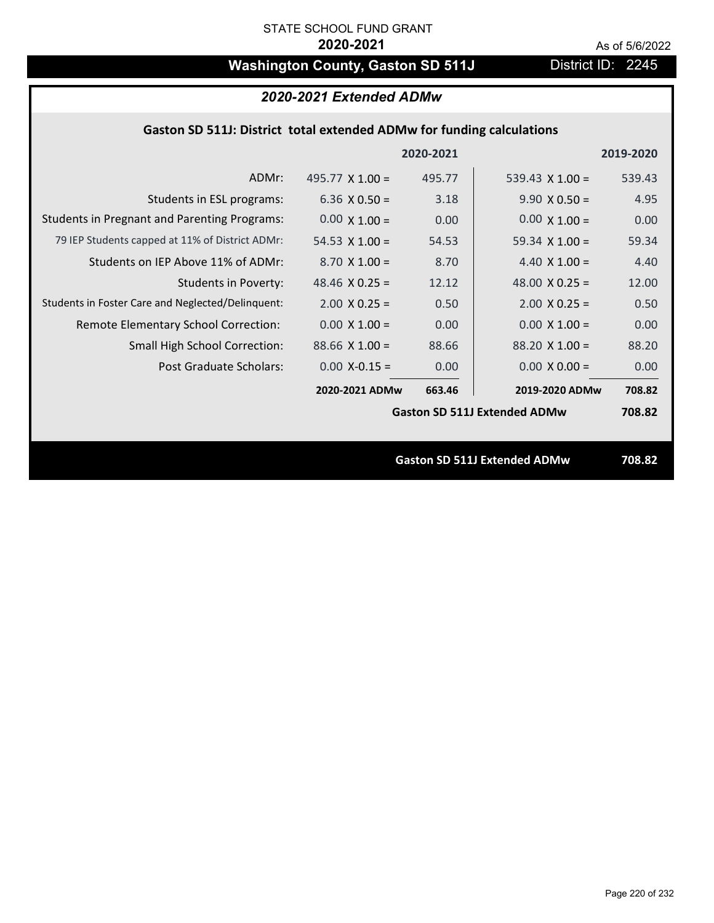# Washington County, Gaston SD 511J District ID: 2245

# *2020-2021 Extended ADMw*

### **Gaston SD 511J: District total extended ADMw for funding calculations**

|                                                     |                       | 2020-2021 |                                     | 2019-2020 |
|-----------------------------------------------------|-----------------------|-----------|-------------------------------------|-----------|
| ADMr:                                               | 495.77 $X$ 1.00 =     | 495.77    | 539.43 $\times$ 1.00 =              | 539.43    |
| Students in ESL programs:                           | 6.36 $\times$ 0.50 =  | 3.18      | $9.90 \times 0.50 =$                | 4.95      |
| <b>Students in Pregnant and Parenting Programs:</b> | $0.00 \times 1.00 =$  | 0.00      | $0.00 \times 1.00 =$                | 0.00      |
| 79 IEP Students capped at 11% of District ADMr:     | 54.53 $X$ 1.00 =      | 54.53     | 59.34 $X$ 1.00 =                    | 59.34     |
| Students on IEP Above 11% of ADMr:                  | $8.70 \times 1.00 =$  | 8.70      | 4.40 $\times$ 1.00 =                | 4.40      |
| <b>Students in Poverty:</b>                         | 48.46 $X$ 0.25 =      | 12.12     | 48.00 $X$ 0.25 =                    | 12.00     |
| Students in Foster Care and Neglected/Delinquent:   | $2.00 \times 0.25 =$  | 0.50      | $2.00 \times 0.25 =$                | 0.50      |
| Remote Elementary School Correction:                | $0.00 \times 1.00 =$  | 0.00      | $0.00 \times 1.00 =$                | 0.00      |
| <b>Small High School Correction:</b>                | $88.66 \times 1.00 =$ | 88.66     | $88.20 \times 1.00 =$               | 88.20     |
| Post Graduate Scholars:                             | $0.00$ X-0.15 =       | 0.00      | $0.00 \times 0.00 =$                | 0.00      |
|                                                     | 2020-2021 ADMw        | 663.46    | 2019-2020 ADMw                      | 708.82    |
|                                                     |                       |           | <b>Gaston SD 511J Extended ADMw</b> | 708.82    |
|                                                     |                       |           |                                     |           |
|                                                     |                       |           | <b>Gaston SD 511J Extended ADMw</b> | 708.82    |
|                                                     |                       |           |                                     |           |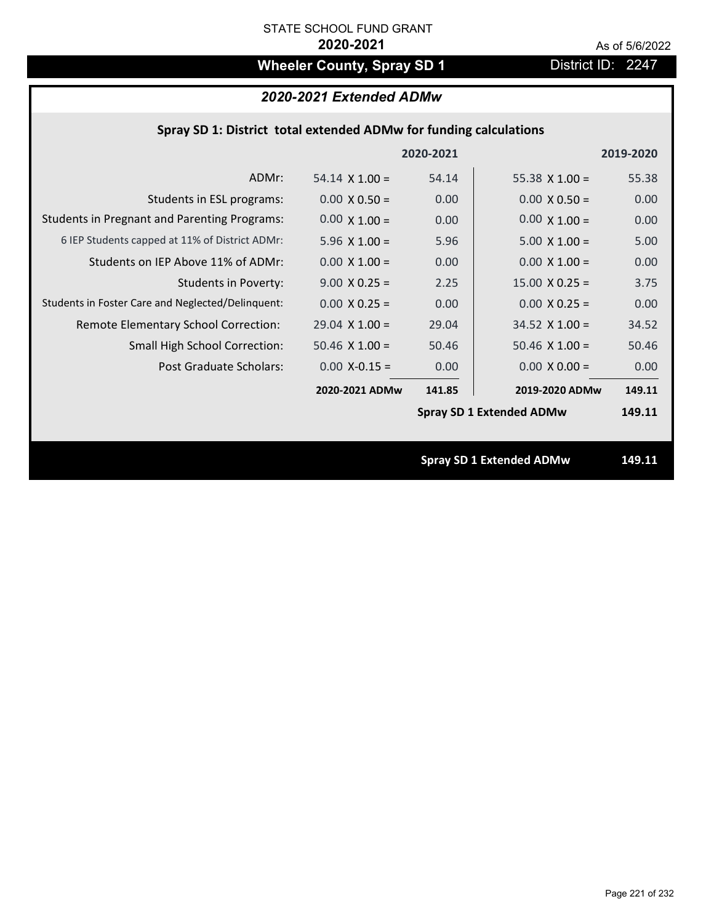# **Wheeler County, Spray SD 1** District ID: 2247

# *2020-2021 Extended ADMw*

|  | Spray SD 1: District total extended ADMw for funding calculations |  |
|--|-------------------------------------------------------------------|--|
|--|-------------------------------------------------------------------|--|

|                                                     |                       | 2020-2021 |                                 | 2019-2020 |
|-----------------------------------------------------|-----------------------|-----------|---------------------------------|-----------|
| ADMr:                                               | $54.14 \times 1.00 =$ | 54.14     | 55.38 $\times$ 1.00 =           | 55.38     |
| Students in ESL programs:                           | $0.00 \times 0.50 =$  | 0.00      | $0.00 \times 0.50 =$            | 0.00      |
| <b>Students in Pregnant and Parenting Programs:</b> | $0.00 \times 1.00 =$  | 0.00      | $0.00 \times 1.00 =$            | 0.00      |
| 6 IEP Students capped at 11% of District ADMr:      | 5.96 $\times$ 1.00 =  | 5.96      | $5.00 \times 1.00 =$            | 5.00      |
| Students on IEP Above 11% of ADMr:                  | $0.00 \times 1.00 =$  | 0.00      | $0.00 \times 1.00 =$            | 0.00      |
| <b>Students in Poverty:</b>                         | $9.00 \times 0.25 =$  | 2.25      | $15.00 \times 0.25 =$           | 3.75      |
| Students in Foster Care and Neglected/Delinquent:   | $0.00 \times 0.25 =$  | 0.00      | $0.00 \times 0.25 =$            | 0.00      |
| Remote Elementary School Correction:                | $29.04$ X 1.00 =      | 29.04     | $34.52$ X 1.00 =                | 34.52     |
| <b>Small High School Correction:</b>                | $50.46$ X $1.00 =$    | 50.46     | $50.46$ X 1.00 =                | 50.46     |
| Post Graduate Scholars:                             | $0.00$ X-0.15 =       | 0.00      | $0.00 \times 0.00 =$            | 0.00      |
|                                                     | 2020-2021 ADMw        | 141.85    | 2019-2020 ADMw                  | 149.11    |
|                                                     |                       |           | <b>Spray SD 1 Extended ADMw</b> | 149.11    |
|                                                     |                       |           |                                 |           |
|                                                     |                       |           | <b>Spray SD 1 Extended ADMw</b> | 149.11    |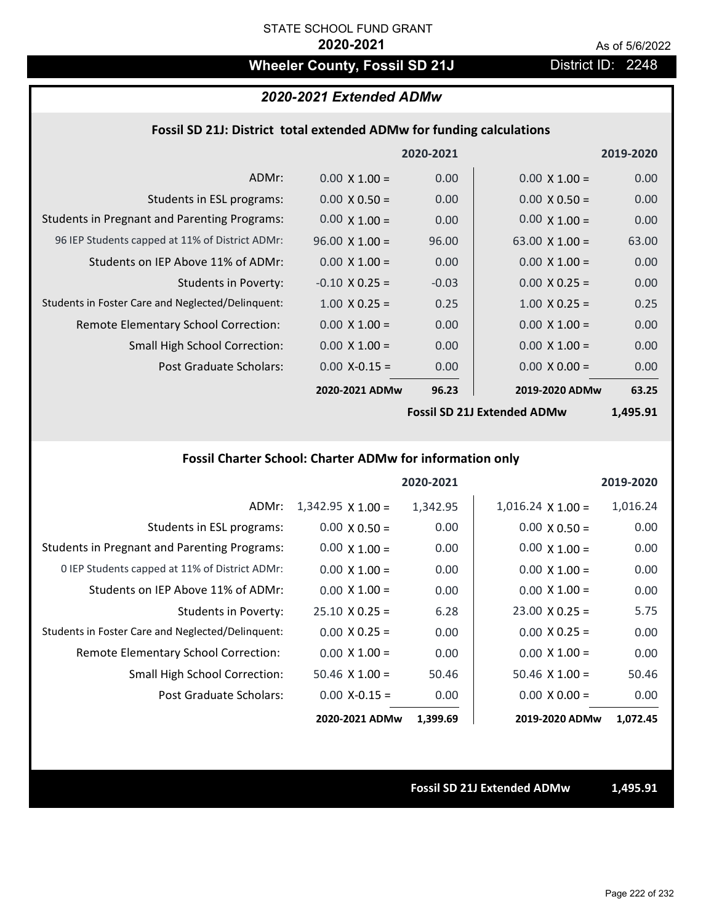# Wheeler County, Fossil SD 21J **District ID: 2248**

#### *2020-2021 Extended ADMw*

#### **Fossil SD 21J: District total extended ADMw for funding calculations**

|                                                     |                       | 2020-2021 |                       | 2019-2020 |
|-----------------------------------------------------|-----------------------|-----------|-----------------------|-----------|
| ADMr:                                               | $0.00 \times 1.00 =$  | 0.00      | $0.00 \times 1.00 =$  | 0.00      |
| Students in ESL programs:                           | $0.00 \times 0.50 =$  | 0.00      | $0.00 \times 0.50 =$  | 0.00      |
| <b>Students in Pregnant and Parenting Programs:</b> | $0.00 \times 1.00 =$  | 0.00      | $0.00 \times 1.00 =$  | 0.00      |
| 96 IEP Students capped at 11% of District ADMr:     | $96.00 \times 1.00 =$ | 96.00     | 63.00 $\times$ 1.00 = | 63.00     |
| Students on IEP Above 11% of ADMr:                  | $0.00 \times 1.00 =$  | 0.00      | $0.00 \times 1.00 =$  | 0.00      |
| <b>Students in Poverty:</b>                         | $-0.10 \times 0.25 =$ | $-0.03$   | $0.00 \times 0.25 =$  | 0.00      |
| Students in Foster Care and Neglected/Delinquent:   | $1.00 \times 0.25 =$  | 0.25      | $1.00 \times 0.25 =$  | 0.25      |
| Remote Elementary School Correction:                | $0.00 \times 1.00 =$  | 0.00      | $0.00 \times 1.00 =$  | 0.00      |
| <b>Small High School Correction:</b>                | $0.00 \times 1.00 =$  | 0.00      | $0.00 \times 1.00 =$  | 0.00      |
| Post Graduate Scholars:                             | $0.00$ X-0.15 =       | 0.00      | $0.00 \times 0.00 =$  | 0.00      |
|                                                     | 2020-2021 ADMw        | 96.23     | 2019-2020 ADMw        | 63.25     |
|                                                     |                       |           |                       |           |

**Fossil SD 21J Extended ADMw**

**1,495.91**

# **Fossil Charter School: Charter ADMw for information only**

|                                                     |                          | 2020-2021 |                          | 2019-2020 |
|-----------------------------------------------------|--------------------------|-----------|--------------------------|-----------|
| ADMr:                                               | $1,342.95 \times 1.00 =$ | 1,342.95  | $1,016.24 \times 1.00 =$ | 1,016.24  |
| Students in ESL programs:                           | $0.00 \times 0.50 =$     | 0.00      | $0.00 \times 0.50 =$     | 0.00      |
| <b>Students in Pregnant and Parenting Programs:</b> | $0.00 \times 1.00 =$     | 0.00      | $0.00 \times 1.00 =$     | 0.00      |
| 0 IEP Students capped at 11% of District ADMr:      | $0.00 \times 1.00 =$     | 0.00      | $0.00 \times 1.00 =$     | 0.00      |
| Students on IEP Above 11% of ADMr:                  | $0.00 \times 1.00 =$     | 0.00      | $0.00 \times 1.00 =$     | 0.00      |
| Students in Poverty:                                | $25.10 \times 0.25 =$    | 6.28      | $23.00 \times 0.25 =$    | 5.75      |
| Students in Foster Care and Neglected/Delinquent:   | $0.00 \times 0.25 =$     | 0.00      | $0.00 \times 0.25 =$     | 0.00      |
| Remote Elementary School Correction:                | $0.00 \times 1.00 =$     | 0.00      | $0.00 \times 1.00 =$     | 0.00      |
| <b>Small High School Correction:</b>                | $50.46 \times 1.00 =$    | 50.46     | $50.46 \times 1.00 =$    | 50.46     |
| Post Graduate Scholars:                             | $0.00$ X-0.15 =          | 0.00      | $0.00 \times 0.00 =$     | 0.00      |
|                                                     | 2020-2021 ADMw           | 1,399.69  | 2019-2020 ADMw           | 1,072.45  |

#### **Fossil SD 21J Extended ADMw 1,495.91**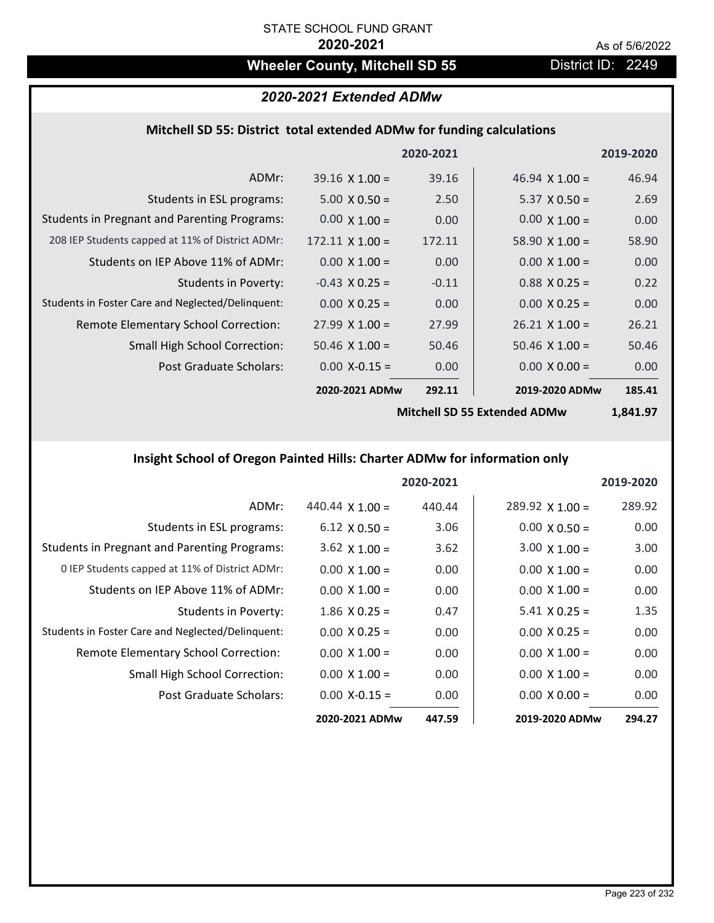# Wheeler County, Mitchell SD 55 **District ID: 2249**

# *2020-2021 Extended ADMw*

# **Mitchell SD 55: District total extended ADMw for funding calculations**

|                        |         |                             | 2019-2020      |
|------------------------|---------|-----------------------------|----------------|
| $39.16 \times 1.00 =$  | 39.16   | 46.94 $\times$ 1.00 =       | 46.94          |
| $5.00 \times 0.50 =$   | 2.50    | $5.37 \times 0.50 =$        | 2.69           |
| $0.00 \times 1.00 =$   | 0.00    | $0.00 \times 1.00 =$        | 0.00           |
| $172.11 \times 1.00 =$ | 172.11  | 58.90 $\times$ 1.00 =       | 58.90          |
| $0.00 \times 1.00 =$   | 0.00    | $0.00 \times 1.00 =$        | 0.00           |
| $-0.43$ X 0.25 =       | $-0.11$ | $0.88$ X 0.25 =             | 0.22           |
| $0.00 \times 0.25 =$   | 0.00    | $0.00 \times 0.25 =$        | 0.00           |
| $27.99 \times 1.00 =$  | 27.99   | $26.21 \times 1.00 =$       | 26.21          |
| $50.46 \times 1.00 =$  | 50.46   | $50.46 \times 1.00 =$       | 50.46          |
| $0.00 X - 0.15 =$      | 0.00    | $0.00 \times 0.00 =$        | 0.00           |
|                        | 292.11  |                             | 185.41         |
|                        |         | 2020-2021<br>2020-2021 ADMw | 2019-2020 ADMw |

**Mitchell SD 55 Extended ADMw**

**1,841.97**

# **Insight School of Oregon Painted Hills: Charter ADMw for information only**

|                                                     |                        | 2020-2021 |                        | 2019-2020         |
|-----------------------------------------------------|------------------------|-----------|------------------------|-------------------|
| ADMr:                                               | 440.44 $\times$ 1.00 = | 440.44    | $289.92 \times 1.00 =$ | 289.92            |
| Students in ESL programs:                           | $6.12 \times 0.50 =$   | 3.06      | $0.00 \times 0.50 =$   | 0.00              |
| <b>Students in Pregnant and Parenting Programs:</b> | $3.62 \times 1.00 =$   | 3.62      | $3.00 \times 1.00 =$   | 3.00 <sub>1</sub> |
| 0 IEP Students capped at 11% of District ADMr:      | $0.00 \times 1.00 =$   | 0.00      | $0.00 \times 1.00 =$   | 0.00              |
| Students on IEP Above 11% of ADMr:                  | $0.00 \times 1.00 =$   | 0.00      | $0.00 \times 1.00 =$   | 0.00              |
| Students in Poverty:                                | $1.86$ X 0.25 =        | 0.47      | $5.41 \times 0.25 =$   | 1.35              |
| Students in Foster Care and Neglected/Delinquent:   | $0.00 \times 0.25 =$   | 0.00      | $0.00 \times 0.25 =$   | 0.00              |
| Remote Elementary School Correction:                | $0.00 \times 1.00 =$   | 0.00      | $0.00 \times 1.00 =$   | 0.00              |
| <b>Small High School Correction:</b>                | $0.00 \times 1.00 =$   | 0.00      | $0.00 \times 1.00 =$   | 0.00              |
| Post Graduate Scholars:                             | $0.00$ X-0.15 =        | 0.00      | $0.00 \times 0.00 =$   | 0.00              |
|                                                     | 2020-2021 ADMw         | 447.59    | 2019-2020 ADMw         | 294.27            |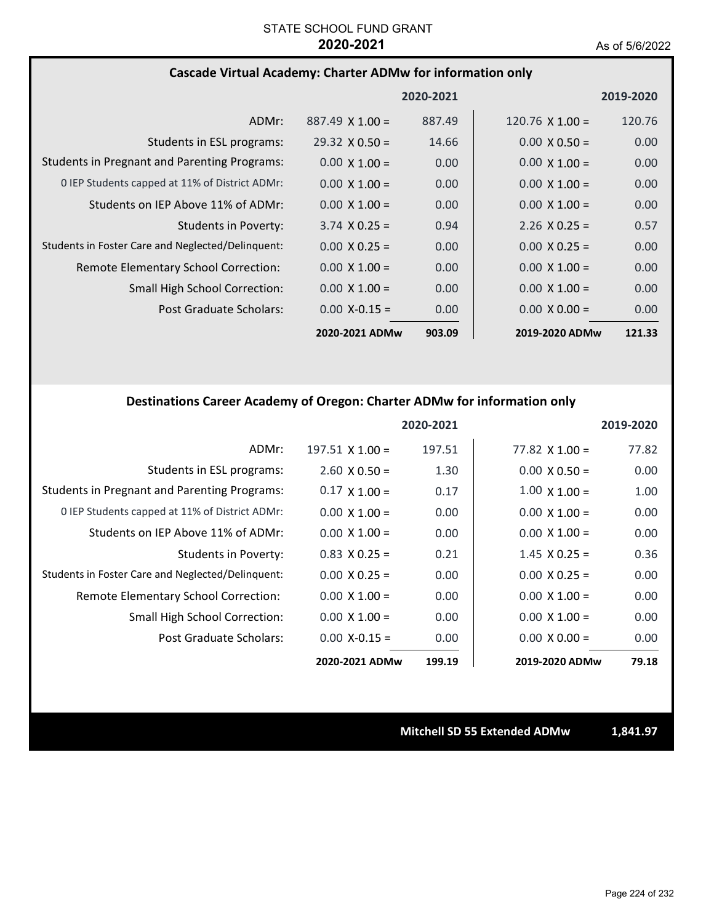#### **Cascade Virtual Academy: Charter ADMw for information only**

|                                                     |                        | 2020-2021 |                        | 2019-2020         |
|-----------------------------------------------------|------------------------|-----------|------------------------|-------------------|
| ADMr:                                               | $887.49 \times 1.00 =$ | 887.49    | $120.76 \times 1.00 =$ | 120.76            |
| Students in ESL programs:                           | $29.32 \times 0.50 =$  | 14.66     | $0.00 \times 0.50 =$   | 0.00              |
| <b>Students in Pregnant and Parenting Programs:</b> | $0.00 \times 1.00 =$   | 0.00      | $0.00 \times 1.00 =$   | 0.00              |
| 0 IEP Students capped at 11% of District ADMr:      | $0.00 \times 1.00 =$   | 0.00      | $0.00 \times 1.00 =$   | 0.00 <sub>1</sub> |
| Students on IEP Above 11% of ADMr:                  | $0.00 \times 1.00 =$   | 0.00      | $0.00 \times 1.00 =$   | 0.00 <sub>1</sub> |
| <b>Students in Poverty:</b>                         | $3.74 \times 0.25 =$   | 0.94      | $2.26 \times 0.25 =$   | 0.57              |
| Students in Foster Care and Neglected/Delinquent:   | $0.00 \times 0.25 =$   | 0.00      | $0.00 \times 0.25 =$   | 0.00              |
| Remote Elementary School Correction:                | $0.00 \times 1.00 =$   | 0.00      | $0.00 \times 1.00 =$   | 0.00              |
| <b>Small High School Correction:</b>                | $0.00 \times 1.00 =$   | 0.00      | $0.00 \times 1.00 =$   | 0.00              |
| Post Graduate Scholars:                             | $0.00 X - 0.15 =$      | 0.00      | $0.00 \times 0.00 =$   | 0.00              |
|                                                     | 2020-2021 ADMw         | 903.09    | 2019-2020 ADMw         | 121.33            |

#### **Destinations Career Academy of Oregon: Charter ADMw for information only**

|                                                     |                        | 2020-2021 |                       | 2019-2020 |
|-----------------------------------------------------|------------------------|-----------|-----------------------|-----------|
| ADMr:                                               | $197.51 \times 1.00 =$ | 197.51    | $77.82 \times 1.00 =$ | 77.82     |
| Students in ESL programs:                           | $2.60 \times 0.50 =$   | 1.30      | $0.00 \times 0.50 =$  | 0.00      |
| <b>Students in Pregnant and Parenting Programs:</b> | $0.17 \times 1.00 =$   | 0.17      | $1.00 \times 1.00 =$  | 1.00      |
| 0 IEP Students capped at 11% of District ADMr:      | $0.00 \times 1.00 =$   | 0.00      | $0.00 \times 1.00 =$  | 0.00      |
| Students on IEP Above 11% of ADMr:                  | $0.00 \times 1.00 =$   | 0.00      | $0.00 \times 1.00 =$  | 0.00      |
| Students in Poverty:                                | $0.83 \times 0.25 =$   | 0.21      | $1.45 \times 0.25 =$  | 0.36      |
| Students in Foster Care and Neglected/Delinquent:   | $0.00 \times 0.25 =$   | 0.00      | $0.00 \times 0.25 =$  | 0.00      |
| Remote Elementary School Correction:                | $0.00 \times 1.00 =$   | 0.00      | $0.00 \times 1.00 =$  | 0.00      |
| <b>Small High School Correction:</b>                | $0.00 \times 1.00 =$   | 0.00      | $0.00 \times 1.00 =$  | 0.00      |
| Post Graduate Scholars:                             | $0.00$ X-0.15 =        | 0.00      | $0.00 \times 0.00 =$  | 0.00      |
|                                                     | 2020-2021 ADMw         | 199.19    | 2019-2020 ADMw        | 79.18     |

**Mitchell SD 55 Extended ADMw 1,841.97**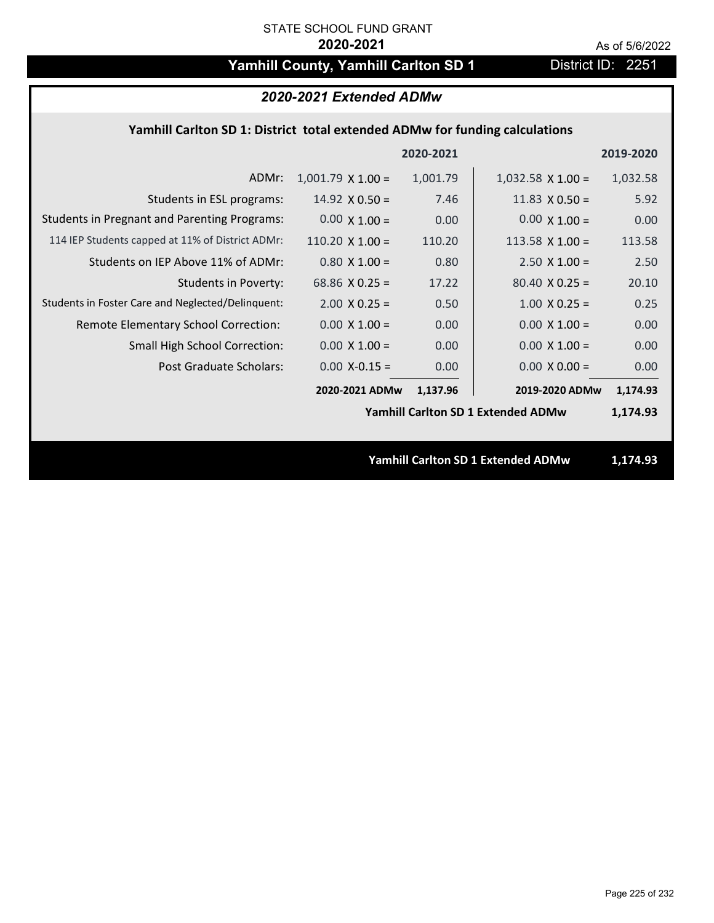# Yamhill County, Yamhill Carlton SD 1 District ID: 2251

| 2020-2021 Extended ADMw                                                     |                        |           |                                           |           |  |  |
|-----------------------------------------------------------------------------|------------------------|-----------|-------------------------------------------|-----------|--|--|
| Yamhill Carlton SD 1: District total extended ADMw for funding calculations |                        |           |                                           |           |  |  |
|                                                                             |                        | 2020-2021 |                                           | 2019-2020 |  |  |
| ADMr:                                                                       | $1,001.79$ X $1.00 =$  | 1,001.79  | $1,032.58 \times 1.00 =$                  | 1,032.58  |  |  |
| Students in ESL programs:                                                   | $14.92 \times 0.50 =$  | 7.46      | 11.83 $\times$ 0.50 =                     | 5.92      |  |  |
| <b>Students in Pregnant and Parenting Programs:</b>                         | $0.00 \times 1.00 =$   | 0.00      | $0.00 \times 1.00 =$                      | 0.00      |  |  |
| 114 IEP Students capped at 11% of District ADMr:                            | 110.20 $\times$ 1.00 = | 110.20    | 113.58 $X$ 1.00 =                         | 113.58    |  |  |
| Students on IEP Above 11% of ADMr:                                          | $0.80$ X 1.00 =        | 0.80      | $2.50 \times 1.00 =$                      | 2.50      |  |  |
| <b>Students in Poverty:</b>                                                 | 68.86 $X$ 0.25 =       | 17.22     | $80.40 \times 0.25 =$                     | 20.10     |  |  |
| Students in Foster Care and Neglected/Delinquent:                           | $2.00 \times 0.25 =$   | 0.50      | $1.00 \times 0.25 =$                      | 0.25      |  |  |
| Remote Elementary School Correction:                                        | $0.00 \times 1.00 =$   | 0.00      | $0.00 \times 1.00 =$                      | 0.00      |  |  |
| Small High School Correction:                                               | $0.00 \times 1.00 =$   | 0.00      | $0.00 \times 1.00 =$                      | 0.00      |  |  |
| Post Graduate Scholars:                                                     | $0.00$ X-0.15 =        | 0.00      | $0.00 \times 0.00 =$                      | 0.00      |  |  |
|                                                                             | 2020-2021 ADMw         | 1,137.96  | 2019-2020 ADMw                            | 1,174.93  |  |  |
|                                                                             |                        |           | Yamhill Carlton SD 1 Extended ADMw        | 1,174.93  |  |  |
|                                                                             |                        |           |                                           |           |  |  |
|                                                                             |                        |           | <b>Yamhill Carlton SD 1 Extended ADMw</b> | 1,174.93  |  |  |
|                                                                             |                        |           |                                           |           |  |  |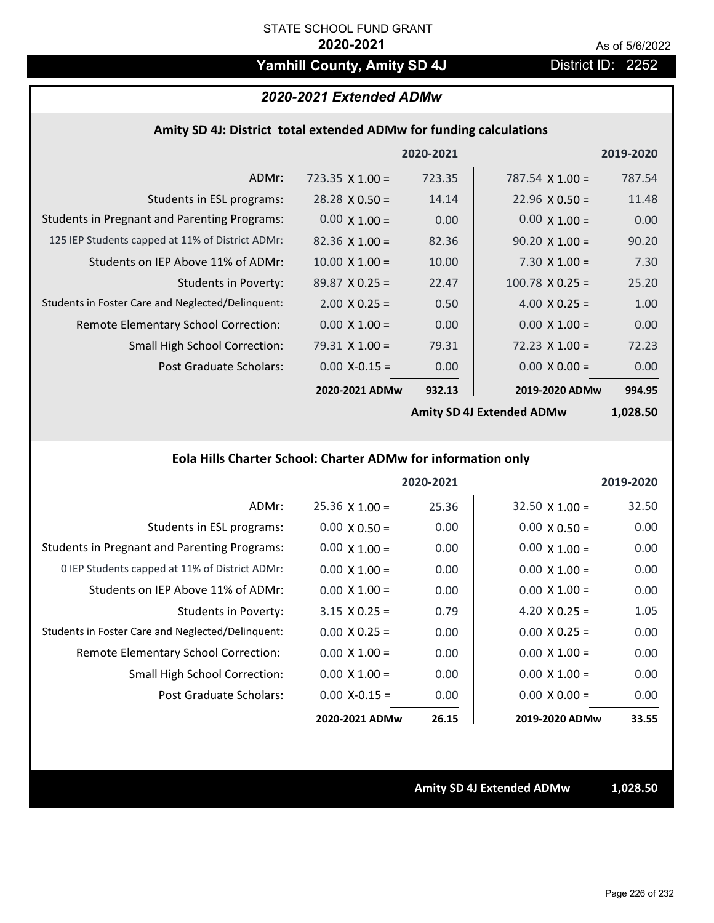# Yamhill County, Amity SD 4J District ID: 2252

# *2020-2021 Extended ADMw*

#### **Amity SD 4J: District total extended ADMw for funding calculations**

|                                                     |                        | 2020-2021 |                        | 2019-2020 |
|-----------------------------------------------------|------------------------|-----------|------------------------|-----------|
| ADMr:                                               | $723.35 \times 1.00 =$ | 723.35    | 787.54 $\times$ 1.00 = | 787.54    |
| Students in ESL programs:                           | $28.28 \times 0.50 =$  | 14.14     | $22.96 \times 0.50 =$  | 11.48     |
| <b>Students in Pregnant and Parenting Programs:</b> | $0.00 \times 1.00 =$   | 0.00      | $0.00 \times 1.00 =$   | 0.00      |
| 125 IEP Students capped at 11% of District ADMr:    | $82.36 \times 1.00 =$  | 82.36     | $90.20 \times 1.00 =$  | 90.20     |
| Students on IEP Above 11% of ADMr:                  | $10.00$ X $1.00 =$     | 10.00     | $7.30 \times 1.00 =$   | 7.30      |
| <b>Students in Poverty:</b>                         | $89.87 \times 0.25 =$  | 22.47     | $100.78 \times 0.25 =$ | 25.20     |
| Students in Foster Care and Neglected/Delinquent:   | $2.00 \times 0.25 =$   | 0.50      | $4.00 \times 0.25 =$   | 1.00      |
| Remote Elementary School Correction:                | $0.00 \times 1.00 =$   | 0.00      | $0.00 \times 1.00 =$   | 0.00      |
| <b>Small High School Correction:</b>                | $79.31 \times 1.00 =$  | 79.31     | $72.23 \times 1.00 =$  | 72.23     |
| Post Graduate Scholars:                             | $0.00$ X-0.15 =        | 0.00      | $0.00 \times 0.00 =$   | 0.00      |
|                                                     | 2020-2021 ADMw         | 932.13    | 2019-2020 ADMw         | 994.95    |
|                                                     |                        |           |                        |           |

**Amity SD 4J Extended ADMw**

**1,028.50**

# **Eola Hills Charter School: Charter ADMw for information only**

|                                                     |                       | 2020-2021 |                       | 2019-2020 |
|-----------------------------------------------------|-----------------------|-----------|-----------------------|-----------|
| ADMr:                                               | $25.36 \times 1.00 =$ | 25.36     | $32.50 \times 1.00 =$ | 32.50     |
| Students in ESL programs:                           | $0.00 \times 0.50 =$  | 0.00      | $0.00 \times 0.50 =$  | 0.00      |
| <b>Students in Pregnant and Parenting Programs:</b> | $0.00 \times 1.00 =$  | 0.00      | $0.00 \times 1.00 =$  | 0.00      |
| 0 IEP Students capped at 11% of District ADMr:      | $0.00 \times 1.00 =$  | 0.00      | $0.00 \times 1.00 =$  | 0.00      |
| Students on IEP Above 11% of ADMr:                  | $0.00 \times 1.00 =$  | 0.00      | $0.00 \times 1.00 =$  | 0.00      |
| Students in Poverty:                                | $3.15 \times 0.25 =$  | 0.79      | 4.20 $X$ 0.25 =       | 1.05      |
| Students in Foster Care and Neglected/Delinquent:   | $0.00 \times 0.25 =$  | 0.00      | $0.00 \times 0.25 =$  | 0.00      |
| Remote Elementary School Correction:                | $0.00 \times 1.00 =$  | 0.00      | $0.00 \times 1.00 =$  | 0.00      |
| <b>Small High School Correction:</b>                | $0.00 \times 1.00 =$  | 0.00      | $0.00 \times 1.00 =$  | 0.00      |
| Post Graduate Scholars:                             | $0.00$ X-0.15 =       | 0.00      | $0.00 \times 0.00 =$  | 0.00      |
|                                                     | 2020-2021 ADMw        | 26.15     | 2019-2020 ADMw        | 33.55     |

**Amity SD 4J Extended ADMw 1,028.50**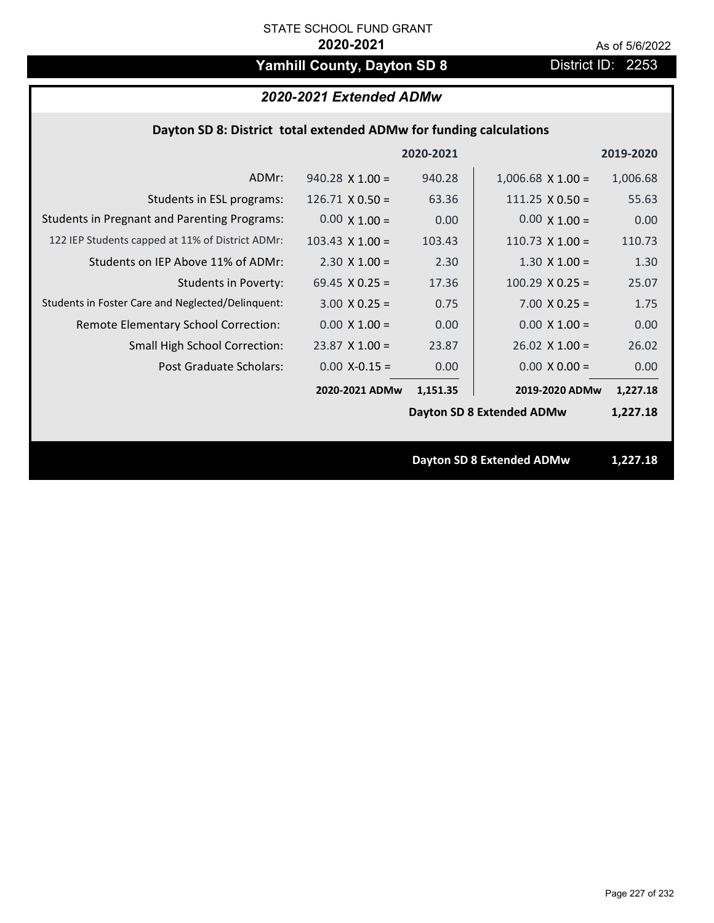# Yamhill County, Dayton SD 8 **District ID: 2253**

# *2020-2021 Extended ADMw*

## **Dayton SD 8: District total extended ADMw for funding calculations**

|                                                     |                        | 2020-2021 |                                  | 2019-2020 |
|-----------------------------------------------------|------------------------|-----------|----------------------------------|-----------|
| ADMr:                                               | $940.28 \times 1.00 =$ | 940.28    | $1,006.68$ X $1.00 =$            | 1,006.68  |
| Students in ESL programs:                           | $126.71 \times 0.50 =$ | 63.36     | $111.25 \times 0.50 =$           | 55.63     |
| <b>Students in Pregnant and Parenting Programs:</b> | $0.00 \times 1.00 =$   | 0.00      | $0.00 \times 1.00 =$             | 0.00      |
| 122 IEP Students capped at 11% of District ADMr:    | $103.43 \times 1.00 =$ | 103.43    | $110.73 \times 1.00 =$           | 110.73    |
| Students on IEP Above 11% of ADMr:                  | $2.30 \times 1.00 =$   | 2.30      | $1.30 \times 1.00 =$             | 1.30      |
| <b>Students in Poverty:</b>                         | 69.45 $X$ 0.25 =       | 17.36     | $100.29$ X 0.25 =                | 25.07     |
| Students in Foster Care and Neglected/Delinquent:   | $3.00 \times 0.25 =$   | 0.75      | $7.00 \times 0.25 =$             | 1.75      |
| Remote Elementary School Correction:                | $0.00 \times 1.00 =$   | 0.00      | $0.00 \times 1.00 =$             | 0.00      |
| <b>Small High School Correction:</b>                | $23.87$ X 1.00 =       | 23.87     | $26.02$ X 1.00 =                 | 26.02     |
| Post Graduate Scholars:                             | $0.00$ X-0.15 =        | 0.00      | $0.00 \times 0.00 =$             | 0.00      |
|                                                     | 2020-2021 ADMw         | 1,151.35  | 2019-2020 ADMw                   | 1,227.18  |
|                                                     |                        |           | <b>Dayton SD 8 Extended ADMw</b> | 1,227.18  |
|                                                     |                        |           |                                  |           |
|                                                     |                        |           | <b>Dayton SD 8 Extended ADMw</b> | 1,227.18  |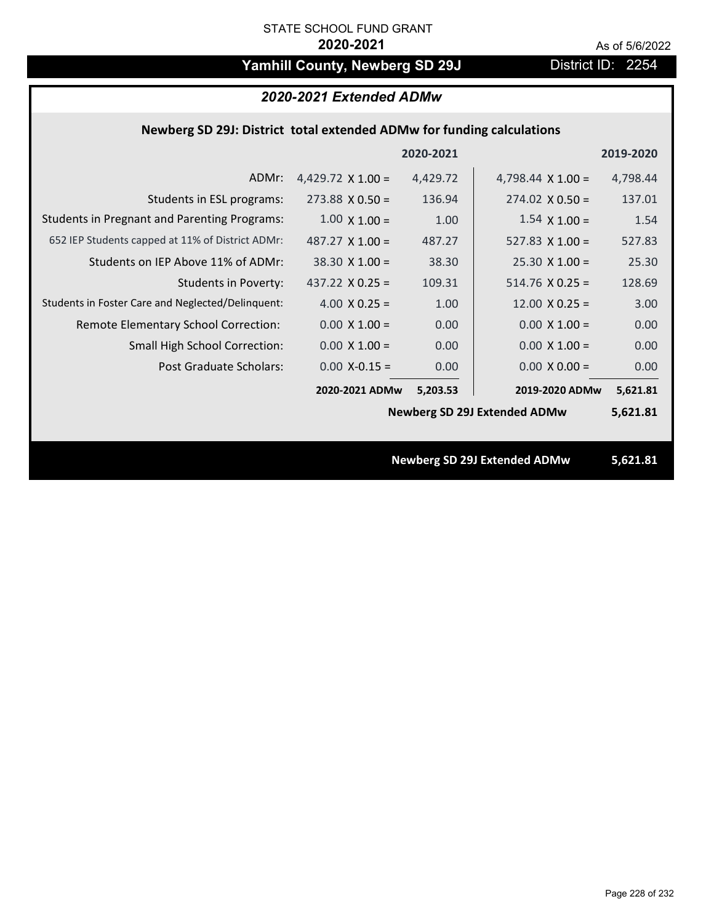# Yamhill County, Newberg SD 29J District ID: 2254

## *2020-2021 Extended ADMw*

### **Newberg SD 29J: District total extended ADMw for funding calculations**

|                                                     |                          | 2020-2021 |                                     | 2019-2020 |
|-----------------------------------------------------|--------------------------|-----------|-------------------------------------|-----------|
| ADMr:                                               | 4,429.72 $\times$ 1.00 = | 4,429.72  | 4,798.44 $\times$ 1.00 =            | 4,798.44  |
| Students in ESL programs:                           | $273.88 \times 0.50 =$   | 136.94    | $274.02 \times 0.50 =$              | 137.01    |
| <b>Students in Pregnant and Parenting Programs:</b> | $1.00 \times 1.00 =$     | 1.00      | $1.54 \times 1.00 =$                | 1.54      |
| 652 IEP Students capped at 11% of District ADMr:    | $487.27 \times 1.00 =$   | 487.27    | 527.83 $\times$ 1.00 =              | 527.83    |
| Students on IEP Above 11% of ADMr:                  | $38.30 \times 1.00 =$    | 38.30     | $25.30 \times 1.00 =$               | 25.30     |
| Students in Poverty:                                | 437.22 $X$ 0.25 =        | 109.31    | $514.76$ X 0.25 =                   | 128.69    |
| Students in Foster Care and Neglected/Delinquent:   | 4.00 $X$ 0.25 =          | 1.00      | $12.00 \times 0.25 =$               | 3.00      |
| Remote Elementary School Correction:                | $0.00 \times 1.00 =$     | 0.00      | $0.00 \times 1.00 =$                | 0.00      |
| <b>Small High School Correction:</b>                | $0.00 \times 1.00 =$     | 0.00      | $0.00 \times 1.00 =$                | 0.00      |
| Post Graduate Scholars:                             | $0.00$ X-0.15 =          | 0.00      | $0.00 \times 0.00 =$                | 0.00      |
|                                                     | 2020-2021 ADMw           | 5,203.53  | 2019-2020 ADMw                      | 5,621.81  |
|                                                     |                          |           | <b>Newberg SD 29J Extended ADMw</b> | 5,621.81  |
|                                                     |                          |           |                                     |           |
|                                                     |                          |           | <b>Newberg SD 29J Extended ADMw</b> | 5,621.81  |
|                                                     |                          |           |                                     |           |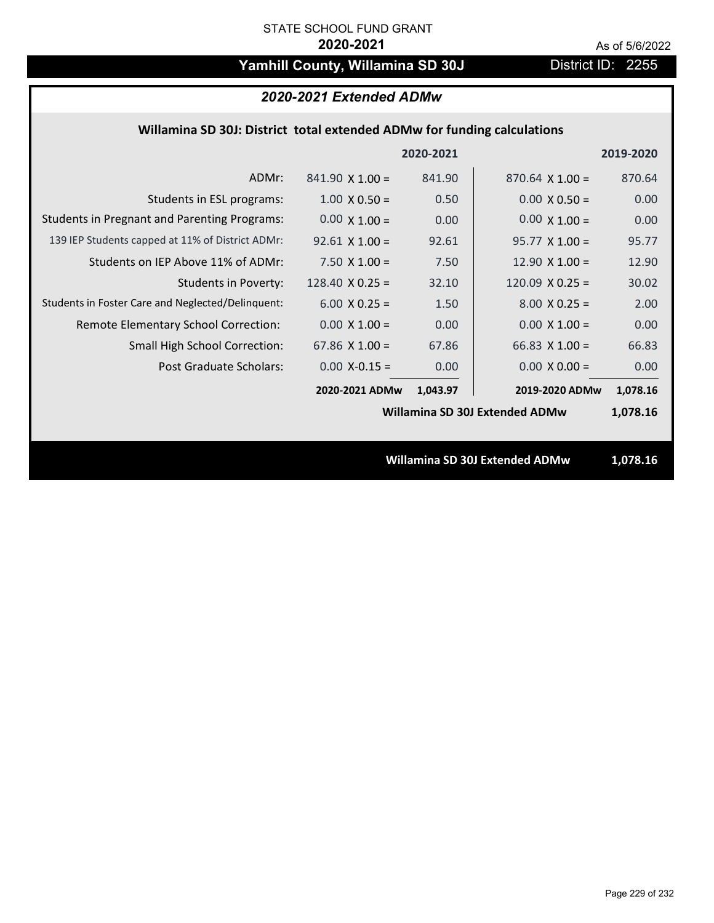# Yamhill County, Willamina SD 30J District ID: 2255

# *2020-2021 Extended ADMw*

#### **Willamina SD 30J: District total extended ADMw for funding calculations**

|                                                     |                        | 2020-2021 |                                | 2019-2020 |
|-----------------------------------------------------|------------------------|-----------|--------------------------------|-----------|
| ADMr:                                               | $841.90 \times 1.00 =$ | 841.90    | $870.64 \times 1.00 =$         | 870.64    |
| Students in ESL programs:                           | $1.00 \times 0.50 =$   | 0.50      | $0.00 \times 0.50 =$           | 0.00      |
| <b>Students in Pregnant and Parenting Programs:</b> | $0.00 \times 1.00 =$   | 0.00      | $0.00 \times 1.00 =$           | 0.00      |
| 139 IEP Students capped at 11% of District ADMr:    | $92.61$ X 1.00 =       | 92.61     | $95.77 \times 1.00 =$          | 95.77     |
| Students on IEP Above 11% of ADMr:                  | $7.50 \times 1.00 =$   | 7.50      | 12.90 $X$ 1.00 =               | 12.90     |
| <b>Students in Poverty:</b>                         | 128.40 $\times$ 0.25 = | 32.10     | $120.09$ X 0.25 =              | 30.02     |
| Students in Foster Care and Neglected/Delinquent:   | $6.00 \times 0.25 =$   | 1.50      | $8.00 \times 0.25 =$           | 2.00      |
| Remote Elementary School Correction:                | $0.00 \times 1.00 =$   | 0.00      | $0.00 \times 1.00 =$           | 0.00      |
| <b>Small High School Correction:</b>                | 67.86 $X$ 1.00 =       | 67.86     | $66.83 \times 1.00 =$          | 66.83     |
| Post Graduate Scholars:                             | $0.00$ X-0.15 =        | 0.00      | $0.00 \times 0.00 =$           | 0.00      |
|                                                     | 2020-2021 ADMw         | 1,043.97  | 2019-2020 ADMw                 | 1,078.16  |
|                                                     |                        |           | Willamina SD 30J Extended ADMw | 1,078.16  |
|                                                     |                        |           |                                |           |
|                                                     |                        |           | Willamina SD 30J Extended ADMw | 1,078.16  |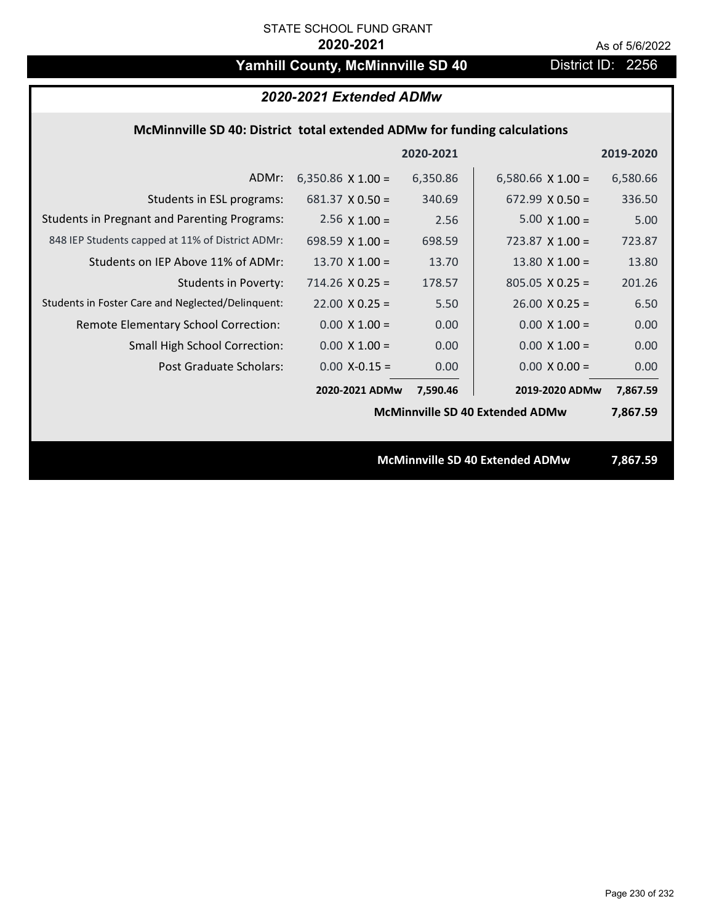# Yamhill County, McMinnville SD 40 District ID: 2256

| 2020-2021 Extended ADMw                                                  |                          |           |                                        |           |  |
|--------------------------------------------------------------------------|--------------------------|-----------|----------------------------------------|-----------|--|
| McMinnville SD 40: District total extended ADMw for funding calculations |                          |           |                                        |           |  |
|                                                                          |                          | 2020-2021 |                                        | 2019-2020 |  |
| ADMr:                                                                    | 6,350.86 $\times$ 1.00 = | 6,350.86  | 6,580.66 $\times$ 1.00 =               | 6,580.66  |  |
| Students in ESL programs:                                                | $681.37 \times 0.50 =$   | 340.69    | $672.99 \times 0.50 =$                 | 336.50    |  |
| <b>Students in Pregnant and Parenting Programs:</b>                      | $2.56 \times 1.00 =$     | 2.56      | $5.00 \times 1.00 =$                   | 5.00      |  |
| 848 IEP Students capped at 11% of District ADMr:                         | 698.59 $X$ 1.00 =        | 698.59    | $723.87 \times 1.00 =$                 | 723.87    |  |
| Students on IEP Above 11% of ADMr:                                       | 13.70 $X$ 1.00 =         | 13.70     | 13.80 $X$ 1.00 =                       | 13.80     |  |
| <b>Students in Poverty:</b>                                              | $714.26$ X 0.25 =        | 178.57    | $805.05 \times 0.25 =$                 | 201.26    |  |
| Students in Foster Care and Neglected/Delinquent:                        | $22.00 \times 0.25 =$    | 5.50      | $26.00 \times 0.25 =$                  | 6.50      |  |
| Remote Elementary School Correction:                                     | $0.00 \times 1.00 =$     | 0.00      | $0.00 \times 1.00 =$                   | 0.00      |  |
| <b>Small High School Correction:</b>                                     | $0.00 \times 1.00 =$     | 0.00      | $0.00 \times 1.00 =$                   | 0.00      |  |
| Post Graduate Scholars:                                                  | $0.00$ X-0.15 =          | 0.00      | $0.00 \times 0.00 =$                   | 0.00      |  |
|                                                                          | 2020-2021 ADMw           | 7,590.46  | 2019-2020 ADMw                         | 7,867.59  |  |
|                                                                          |                          |           | <b>McMinnville SD 40 Extended ADMw</b> | 7,867.59  |  |
|                                                                          |                          |           |                                        |           |  |
| McMinnville SD 40 Extended ADMw                                          |                          |           |                                        | 7,867.59  |  |
|                                                                          |                          |           |                                        |           |  |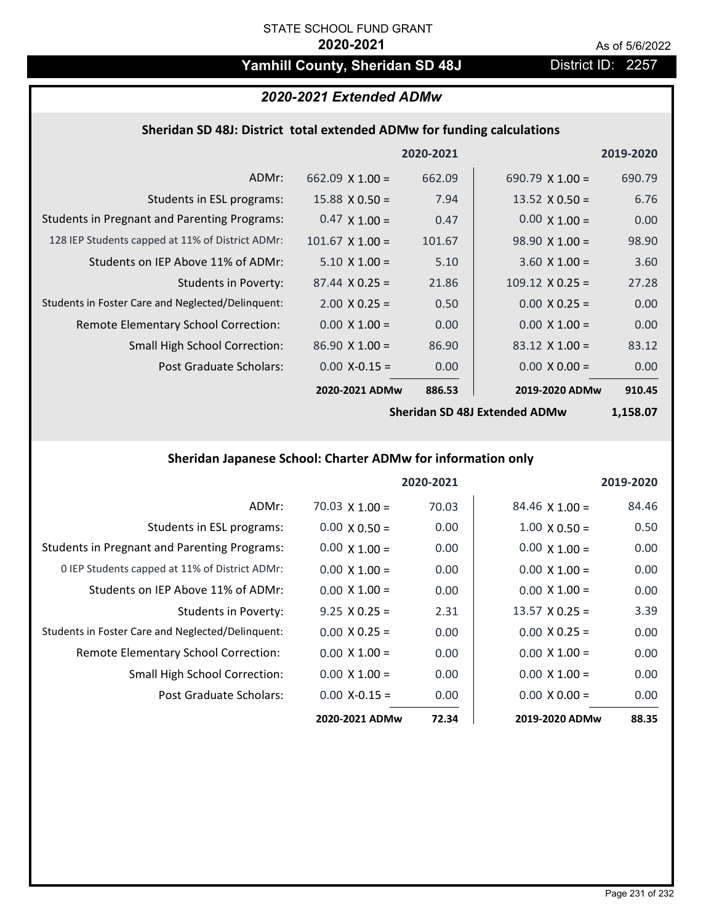# Yamhill County, Sheridan SD 48J District ID: 2257

# *2020-2021 Extended ADMw*

# **Sheridan SD 48J: District total extended ADMw for funding calculations**

|                                                     |                        | 2020-2021 |                        | 2019-2020 |
|-----------------------------------------------------|------------------------|-----------|------------------------|-----------|
| ADMr:                                               | 662.09 $\times$ 1.00 = | 662.09    | 690.79 $X$ 1.00 =      | 690.79    |
| Students in ESL programs:                           | $15.88 \times 0.50 =$  | 7.94      | 13.52 $\times$ 0.50 =  | 6.76      |
| <b>Students in Pregnant and Parenting Programs:</b> | $0.47 \times 1.00 =$   | 0.47      | $0.00 \times 1.00 =$   | 0.00      |
| 128 IEP Students capped at 11% of District ADMr:    | $101.67$ X $1.00 =$    | 101.67    | $98.90 \times 1.00 =$  | 98.90     |
| Students on IEP Above 11% of ADMr:                  | $5.10 \times 1.00 =$   | 5.10      | $3.60 \times 1.00 =$   | 3.60      |
| Students in Poverty:                                | $87.44 \times 0.25 =$  | 21.86     | $109.12 \times 0.25 =$ | 27.28     |
| Students in Foster Care and Neglected/Delinquent:   | $2.00 \times 0.25 =$   | 0.50      | $0.00 \times 0.25 =$   | 0.00      |
| Remote Elementary School Correction:                | $0.00 \times 1.00 =$   | 0.00      | $0.00 \times 1.00 =$   | 0.00      |
| <b>Small High School Correction:</b>                | $86.90 \times 1.00 =$  | 86.90     | $83.12 \times 1.00 =$  | 83.12     |
| Post Graduate Scholars:                             | $0.00$ X-0.15 =        | 0.00      | $0.00 \times 0.00 =$   | 0.00      |
|                                                     | 2020-2021 ADMw         | 886.53    | 2019-2020 ADMw         | 910.45    |

**Sheridan SD 48J Extended ADMw**

**1,158.07**

# **Sheridan Japanese School: Charter ADMw for information only**

|                                                     |                       | 2020-2021 |                       | 2019-2020 |
|-----------------------------------------------------|-----------------------|-----------|-----------------------|-----------|
| ADMr:                                               | $70.03 \times 1.00 =$ | 70.03     | $84.46 \times 1.00 =$ | 84.46     |
| Students in ESL programs:                           | $0.00 \times 0.50 =$  | 0.00      | $1.00 \times 0.50 =$  | 0.50      |
| <b>Students in Pregnant and Parenting Programs:</b> | $0.00 \times 1.00 =$  | 0.00      | $0.00 \times 1.00 =$  | 0.00      |
| 0 IEP Students capped at 11% of District ADMr:      | $0.00 \times 1.00 =$  | 0.00      | $0.00 \times 1.00 =$  | 0.00      |
| Students on IEP Above 11% of ADMr:                  | $0.00 \times 1.00 =$  | 0.00      | $0.00 \times 1.00 =$  | 0.00      |
| Students in Poverty:                                | $9.25 \times 0.25 =$  | 2.31      | $13.57 \times 0.25 =$ | 3.39      |
| Students in Foster Care and Neglected/Delinquent:   | $0.00 \times 0.25 =$  | 0.00      | $0.00 \times 0.25 =$  | 0.00      |
| Remote Elementary School Correction:                | $0.00 \times 1.00 =$  | 0.00      | $0.00 \times 1.00 =$  | 0.00      |
| <b>Small High School Correction:</b>                | $0.00 \times 1.00 =$  | 0.00      | $0.00 \times 1.00 =$  | 0.00      |
| Post Graduate Scholars:                             | $0.00 X - 0.15 =$     | 0.00      | $0.00 \times 0.00 =$  | 0.00      |
|                                                     | 2020-2021 ADMw        | 72.34     | 2019-2020 ADMw        | 88.35     |